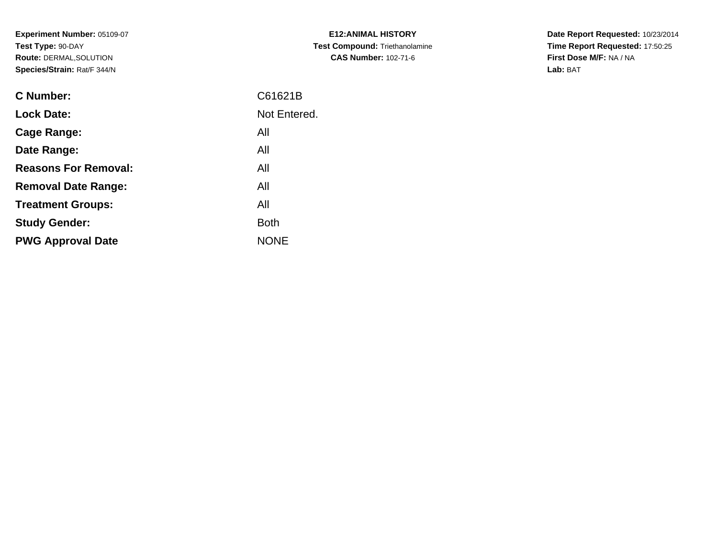**Experiment Number:** 05109-07**Test Type:** 90-DAY **Route:** DERMAL,SOLUTION**Species/Strain:** Rat/F 344/N

| <b>C Number:</b>            | C61621B      |
|-----------------------------|--------------|
| <b>Lock Date:</b>           | Not Entered. |
| <b>Cage Range:</b>          | All          |
| Date Range:                 | All          |
| <b>Reasons For Removal:</b> | All          |
| <b>Removal Date Range:</b>  | All          |
| <b>Treatment Groups:</b>    | All          |
| <b>Study Gender:</b>        | <b>Both</b>  |
| <b>PWG Approval Date</b>    | <b>NONE</b>  |
|                             |              |

**E12:ANIMAL HISTORY Test Compound:** Triethanolamine**CAS Number:** 102-71-6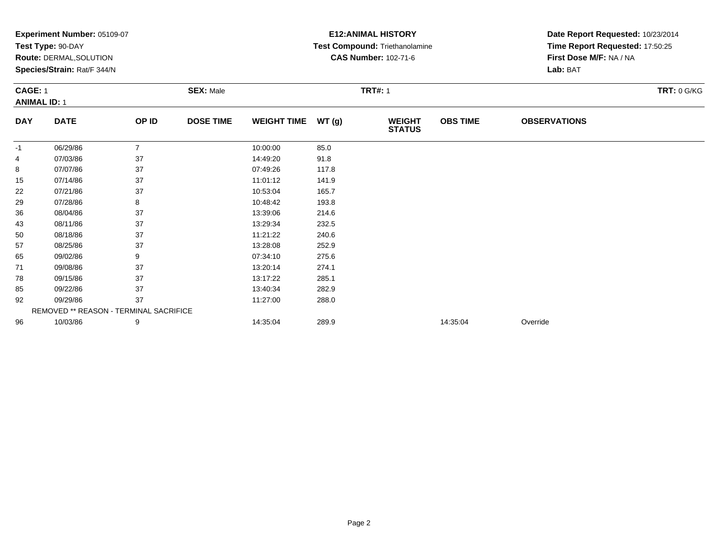| Experiment Number: 05109-07 |                                        |                |                  |                    | <b>E12: ANIMAL HISTORY</b> | Date Report Requested: 10/23/2014 |                 |                                                            |             |  |
|-----------------------------|----------------------------------------|----------------|------------------|--------------------|----------------------------|-----------------------------------|-----------------|------------------------------------------------------------|-------------|--|
|                             | Test Type: 90-DAY                      |                |                  |                    |                            | Test Compound: Triethanolamine    |                 | Time Report Requested: 17:50:25<br>First Dose M/F: NA / NA |             |  |
|                             | Route: DERMAL, SOLUTION                |                |                  |                    |                            | <b>CAS Number: 102-71-6</b>       |                 |                                                            |             |  |
|                             | Species/Strain: Rat/F 344/N            |                |                  |                    |                            |                                   |                 | Lab: BAT                                                   |             |  |
| <b>CAGE: 1</b>              |                                        |                | <b>SEX: Male</b> | <b>TRT#: 1</b>     |                            |                                   |                 |                                                            | TRT: 0 G/KG |  |
|                             | <b>ANIMAL ID: 1</b>                    |                |                  |                    |                            |                                   |                 |                                                            |             |  |
| <b>DAY</b>                  | <b>DATE</b>                            | OP ID          | <b>DOSE TIME</b> | <b>WEIGHT TIME</b> | WT(g)                      | <b>WEIGHT</b><br><b>STATUS</b>    | <b>OBS TIME</b> | <b>OBSERVATIONS</b>                                        |             |  |
| -1                          | 06/29/86                               | $\overline{7}$ |                  | 10:00:00           | 85.0                       |                                   |                 |                                                            |             |  |
| 4                           | 07/03/86                               | 37             |                  | 14:49:20           | 91.8                       |                                   |                 |                                                            |             |  |
| 8                           | 07/07/86                               | 37             |                  | 07:49:26           | 117.8                      |                                   |                 |                                                            |             |  |
| 15                          | 07/14/86                               | 37             |                  | 11:01:12           | 141.9                      |                                   |                 |                                                            |             |  |
| 22                          | 07/21/86                               | 37             |                  | 10:53:04           | 165.7                      |                                   |                 |                                                            |             |  |
| 29                          | 07/28/86                               | 8              |                  | 10:48:42           | 193.8                      |                                   |                 |                                                            |             |  |
| 36                          | 08/04/86                               | 37             |                  | 13:39:06           | 214.6                      |                                   |                 |                                                            |             |  |
| 43                          | 08/11/86                               | 37             |                  | 13:29:34           | 232.5                      |                                   |                 |                                                            |             |  |
| 50                          | 08/18/86                               | 37             |                  | 11:21:22           | 240.6                      |                                   |                 |                                                            |             |  |
| 57                          | 08/25/86                               | 37             |                  | 13:28:08           | 252.9                      |                                   |                 |                                                            |             |  |
| 65                          | 09/02/86                               | 9              |                  | 07:34:10           | 275.6                      |                                   |                 |                                                            |             |  |
| 71                          | 09/08/86                               | 37             |                  | 13:20:14           | 274.1                      |                                   |                 |                                                            |             |  |
| 78                          | 09/15/86                               | 37             |                  | 13:17:22           | 285.1                      |                                   |                 |                                                            |             |  |
| 85                          | 09/22/86                               | 37             |                  | 13:40:34           | 282.9                      |                                   |                 |                                                            |             |  |
| 92                          | 09/29/86                               | 37             |                  | 11:27:00           | 288.0                      |                                   |                 |                                                            |             |  |
|                             | REMOVED ** REASON - TERMINAL SACRIFICE |                |                  |                    |                            |                                   |                 |                                                            |             |  |
| 96                          | 10/03/86                               | 9              |                  | 14:35:04           | 289.9                      |                                   | 14:35:04        | Override                                                   |             |  |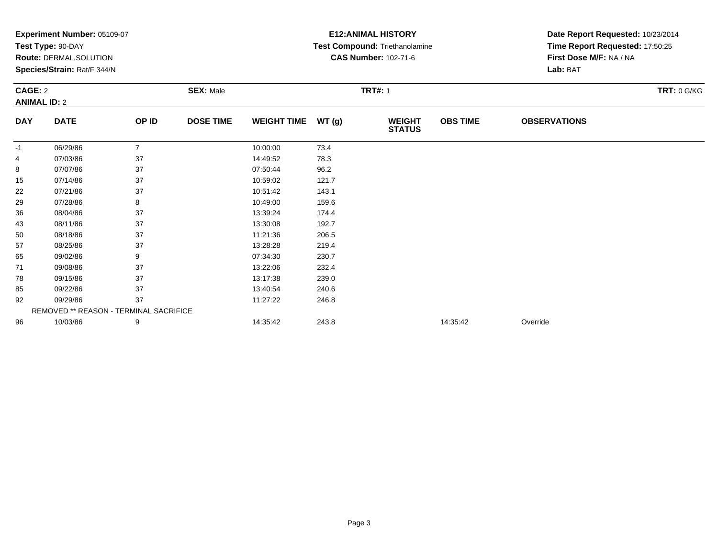| Experiment Number: 05109-07 |                                        |                |                  |                    | <b>E12: ANIMAL HISTORY</b> | Date Report Requested: 10/23/2014 |                 |                                 |  |  |
|-----------------------------|----------------------------------------|----------------|------------------|--------------------|----------------------------|-----------------------------------|-----------------|---------------------------------|--|--|
|                             | Test Type: 90-DAY                      |                |                  |                    |                            | Test Compound: Triethanolamine    |                 | Time Report Requested: 17:50:25 |  |  |
|                             | <b>Route: DERMAL, SOLUTION</b>         |                |                  |                    |                            | <b>CAS Number: 102-71-6</b>       |                 | First Dose M/F: NA / NA         |  |  |
|                             | Species/Strain: Rat/F 344/N            |                |                  |                    |                            |                                   |                 | Lab: BAT                        |  |  |
| <b>CAGE: 2</b>              |                                        |                | <b>SEX: Male</b> |                    |                            | <b>TRT#: 1</b>                    |                 | <b>TRT: 0 G/KG</b>              |  |  |
|                             | <b>ANIMAL ID: 2</b>                    |                |                  |                    |                            |                                   |                 |                                 |  |  |
| <b>DAY</b>                  | <b>DATE</b>                            | OP ID          | <b>DOSE TIME</b> | <b>WEIGHT TIME</b> | WT(g)                      | <b>WEIGHT</b><br><b>STATUS</b>    | <b>OBS TIME</b> | <b>OBSERVATIONS</b>             |  |  |
| -1                          | 06/29/86                               | $\overline{7}$ |                  | 10:00:00           | 73.4                       |                                   |                 |                                 |  |  |
| 4                           | 07/03/86                               | 37             |                  | 14:49:52           | 78.3                       |                                   |                 |                                 |  |  |
| 8                           | 07/07/86                               | 37             |                  | 07:50:44           | 96.2                       |                                   |                 |                                 |  |  |
| 15                          | 07/14/86                               | 37             |                  | 10:59:02           | 121.7                      |                                   |                 |                                 |  |  |
| 22                          | 07/21/86                               | 37             |                  | 10:51:42           | 143.1                      |                                   |                 |                                 |  |  |
| 29                          | 07/28/86                               | 8              |                  | 10:49:00           | 159.6                      |                                   |                 |                                 |  |  |
| 36                          | 08/04/86                               | 37             |                  | 13:39:24           | 174.4                      |                                   |                 |                                 |  |  |
| 43                          | 08/11/86                               | 37             |                  | 13:30:08           | 192.7                      |                                   |                 |                                 |  |  |
| 50                          | 08/18/86                               | 37             |                  | 11:21:36           | 206.5                      |                                   |                 |                                 |  |  |
| 57                          | 08/25/86                               | 37             |                  | 13:28:28           | 219.4                      |                                   |                 |                                 |  |  |
| 65                          | 09/02/86                               | 9              |                  | 07:34:30           | 230.7                      |                                   |                 |                                 |  |  |
| 71                          | 09/08/86                               | 37             |                  | 13:22:06           | 232.4                      |                                   |                 |                                 |  |  |
| 78                          | 09/15/86                               | 37             |                  | 13:17:38           | 239.0                      |                                   |                 |                                 |  |  |
| 85                          | 09/22/86                               | 37             |                  | 13:40:54           | 240.6                      |                                   |                 |                                 |  |  |
| 92                          | 09/29/86                               | 37             |                  | 11:27:22           | 246.8                      |                                   |                 |                                 |  |  |
|                             | REMOVED ** REASON - TERMINAL SACRIFICE |                |                  |                    |                            |                                   |                 |                                 |  |  |
| 96                          | 10/03/86                               | 9              |                  | 14:35:42           | 243.8                      |                                   | 14:35:42        | Override                        |  |  |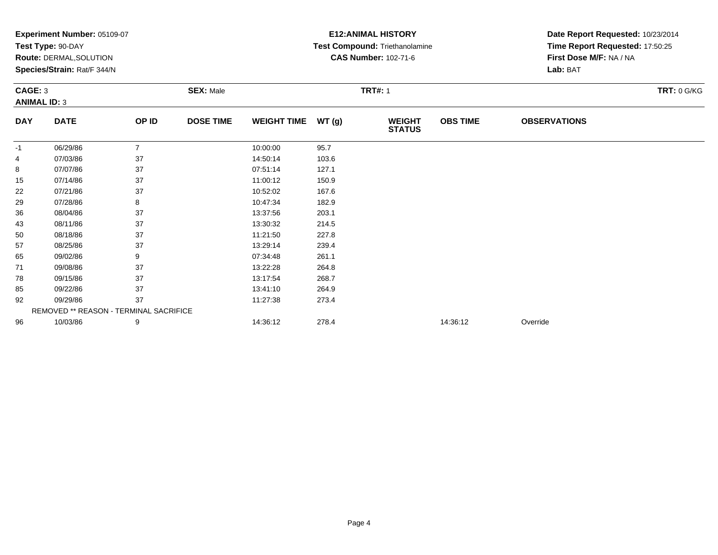| Experiment Number: 05109-07 |                                        |                |                  |                    | <b>E12: ANIMAL HISTORY</b> | Date Report Requested: 10/23/2014 |                 |                                 |  |  |
|-----------------------------|----------------------------------------|----------------|------------------|--------------------|----------------------------|-----------------------------------|-----------------|---------------------------------|--|--|
|                             | Test Type: 90-DAY                      |                |                  |                    |                            | Test Compound: Triethanolamine    |                 | Time Report Requested: 17:50:25 |  |  |
|                             | <b>Route: DERMAL, SOLUTION</b>         |                |                  |                    |                            | <b>CAS Number: 102-71-6</b>       |                 | First Dose M/F: NA / NA         |  |  |
|                             | Species/Strain: Rat/F 344/N            |                |                  |                    |                            |                                   |                 | Lab: BAT                        |  |  |
| <b>CAGE: 3</b>              |                                        |                | <b>SEX: Male</b> |                    |                            | <b>TRT#: 1</b>                    |                 | <b>TRT: 0 G/KG</b>              |  |  |
|                             | <b>ANIMAL ID: 3</b>                    |                |                  |                    |                            |                                   |                 |                                 |  |  |
| <b>DAY</b>                  | <b>DATE</b>                            | OP ID          | <b>DOSE TIME</b> | <b>WEIGHT TIME</b> | WT(g)                      | <b>WEIGHT</b><br><b>STATUS</b>    | <b>OBS TIME</b> | <b>OBSERVATIONS</b>             |  |  |
| -1                          | 06/29/86                               | $\overline{7}$ |                  | 10:00:00           | 95.7                       |                                   |                 |                                 |  |  |
| 4                           | 07/03/86                               | 37             |                  | 14:50:14           | 103.6                      |                                   |                 |                                 |  |  |
| 8                           | 07/07/86                               | 37             |                  | 07:51:14           | 127.1                      |                                   |                 |                                 |  |  |
| 15                          | 07/14/86                               | 37             |                  | 11:00:12           | 150.9                      |                                   |                 |                                 |  |  |
| 22                          | 07/21/86                               | 37             |                  | 10:52:02           | 167.6                      |                                   |                 |                                 |  |  |
| 29                          | 07/28/86                               | 8              |                  | 10:47:34           | 182.9                      |                                   |                 |                                 |  |  |
| 36                          | 08/04/86                               | 37             |                  | 13:37:56           | 203.1                      |                                   |                 |                                 |  |  |
| 43                          | 08/11/86                               | 37             |                  | 13:30:32           | 214.5                      |                                   |                 |                                 |  |  |
| 50                          | 08/18/86                               | 37             |                  | 11:21:50           | 227.8                      |                                   |                 |                                 |  |  |
| 57                          | 08/25/86                               | 37             |                  | 13:29:14           | 239.4                      |                                   |                 |                                 |  |  |
| 65                          | 09/02/86                               | 9              |                  | 07:34:48           | 261.1                      |                                   |                 |                                 |  |  |
| 71                          | 09/08/86                               | 37             |                  | 13:22:28           | 264.8                      |                                   |                 |                                 |  |  |
| 78                          | 09/15/86                               | 37             |                  | 13:17:54           | 268.7                      |                                   |                 |                                 |  |  |
| 85                          | 09/22/86                               | 37             |                  | 13:41:10           | 264.9                      |                                   |                 |                                 |  |  |
| 92                          | 09/29/86                               | 37             |                  | 11:27:38           | 273.4                      |                                   |                 |                                 |  |  |
|                             | REMOVED ** REASON - TERMINAL SACRIFICE |                |                  |                    |                            |                                   |                 |                                 |  |  |
| 96                          | 10/03/86                               | 9              |                  | 14:36:12           | 278.4                      |                                   | 14:36:12        | Override                        |  |  |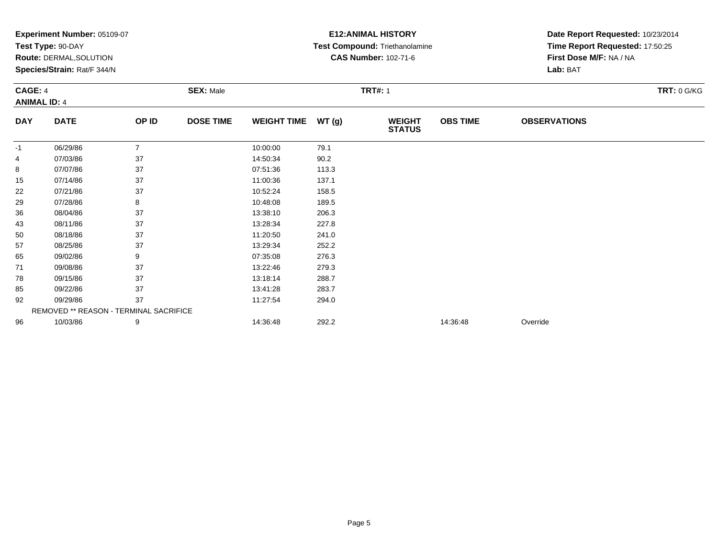|                                       | Experiment Number: 05109-07<br>Test Type: 90-DAY              |                  |                  |                    |       | <b>E12: ANIMAL HISTORY</b><br>Test Compound: Triethanolamine | Date Report Requested: 10/23/2014<br>Time Report Requested: 17:50:25 |                     |  |
|---------------------------------------|---------------------------------------------------------------|------------------|------------------|--------------------|-------|--------------------------------------------------------------|----------------------------------------------------------------------|---------------------|--|
|                                       | <b>Route: DERMAL, SOLUTION</b><br>Species/Strain: Rat/F 344/N |                  |                  |                    |       | <b>CAS Number: 102-71-6</b>                                  | First Dose M/F: NA / NA<br>Lab: BAT                                  |                     |  |
| <b>CAGE: 4</b><br><b>ANIMAL ID: 4</b> |                                                               | <b>SEX: Male</b> | <b>TRT#: 1</b>   |                    |       |                                                              |                                                                      | TRT: 0 G/KG         |  |
| <b>DAY</b>                            | <b>DATE</b>                                                   | OP ID            | <b>DOSE TIME</b> | <b>WEIGHT TIME</b> | WT(g) | <b>WEIGHT</b><br><b>STATUS</b>                               | <b>OBS TIME</b>                                                      | <b>OBSERVATIONS</b> |  |
| -1                                    | 06/29/86                                                      | $\overline{7}$   |                  | 10:00:00           | 79.1  |                                                              |                                                                      |                     |  |
| 4                                     | 07/03/86                                                      | 37               |                  | 14:50:34           | 90.2  |                                                              |                                                                      |                     |  |
| 8                                     | 07/07/86                                                      | 37               |                  | 07:51:36           | 113.3 |                                                              |                                                                      |                     |  |
| 15                                    | 07/14/86                                                      | 37               |                  | 11:00:36           | 137.1 |                                                              |                                                                      |                     |  |
| 22                                    | 07/21/86                                                      | 37               |                  | 10:52:24           | 158.5 |                                                              |                                                                      |                     |  |
| 29                                    | 07/28/86                                                      | 8                |                  | 10:48:08           | 189.5 |                                                              |                                                                      |                     |  |
| 36                                    | 08/04/86                                                      | 37               |                  | 13:38:10           | 206.3 |                                                              |                                                                      |                     |  |
| 43                                    | 08/11/86                                                      | 37               |                  | 13:28:34           | 227.8 |                                                              |                                                                      |                     |  |
| 50                                    | 08/18/86                                                      | 37               |                  | 11:20:50           | 241.0 |                                                              |                                                                      |                     |  |
| 57                                    | 08/25/86                                                      | 37               |                  | 13:29:34           | 252.2 |                                                              |                                                                      |                     |  |
| 65                                    | 09/02/86                                                      | 9                |                  | 07:35:08           | 276.3 |                                                              |                                                                      |                     |  |
| 71                                    | 09/08/86                                                      | 37               |                  | 13:22:46           | 279.3 |                                                              |                                                                      |                     |  |
| 78                                    | 09/15/86                                                      | 37               |                  | 13:18:14           | 288.7 |                                                              |                                                                      |                     |  |
| 85                                    | 09/22/86                                                      | 37               |                  | 13:41:28           | 283.7 |                                                              |                                                                      |                     |  |
| 92                                    | 09/29/86                                                      | 37               |                  | 11:27:54           | 294.0 |                                                              |                                                                      |                     |  |
|                                       | REMOVED ** REASON - TERMINAL SACRIFICE                        |                  |                  |                    |       |                                                              |                                                                      |                     |  |
| 96                                    | 10/03/86                                                      | 9                |                  | 14:36:48           | 292.2 |                                                              | 14:36:48                                                             | Override            |  |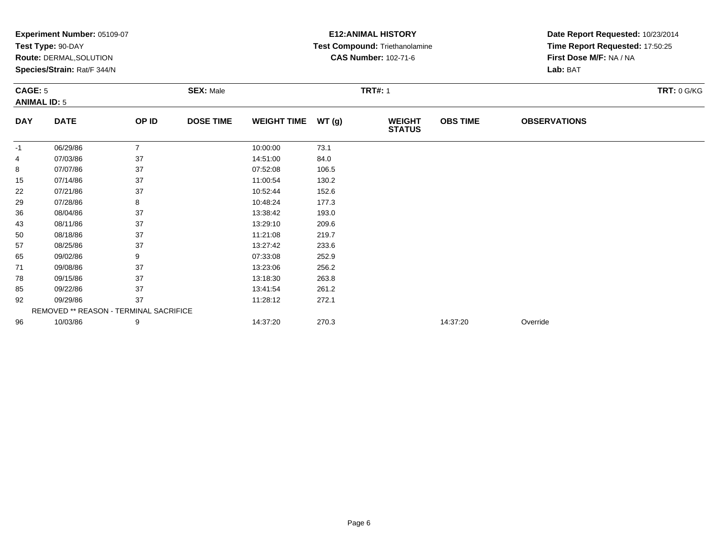|                | Experiment Number: 05109-07            |                |                  |                    |       | <b>E12: ANIMAL HISTORY</b>            | Date Report Requested: 10/23/2014 |                                                            |             |  |
|----------------|----------------------------------------|----------------|------------------|--------------------|-------|---------------------------------------|-----------------------------------|------------------------------------------------------------|-------------|--|
|                | Test Type: 90-DAY                      |                |                  |                    |       | <b>Test Compound: Triethanolamine</b> |                                   | Time Report Requested: 17:50:25<br>First Dose M/F: NA / NA |             |  |
|                | Route: DERMAL, SOLUTION                |                |                  |                    |       | <b>CAS Number: 102-71-6</b>           |                                   |                                                            |             |  |
|                | Species/Strain: Rat/F 344/N            |                |                  |                    |       |                                       |                                   | Lab: BAT                                                   |             |  |
| <b>CAGE: 5</b> |                                        |                | <b>SEX: Male</b> |                    |       | <b>TRT#: 1</b>                        |                                   |                                                            | TRT: 0 G/KG |  |
|                | <b>ANIMAL ID: 5</b>                    |                |                  |                    |       |                                       |                                   |                                                            |             |  |
| <b>DAY</b>     | <b>DATE</b>                            | OP ID          | <b>DOSE TIME</b> | <b>WEIGHT TIME</b> | WT(g) | <b>WEIGHT</b><br><b>STATUS</b>        | <b>OBS TIME</b>                   | <b>OBSERVATIONS</b>                                        |             |  |
| -1             | 06/29/86                               | $\overline{7}$ |                  | 10:00:00           | 73.1  |                                       |                                   |                                                            |             |  |
| 4              | 07/03/86                               | 37             |                  | 14:51:00           | 84.0  |                                       |                                   |                                                            |             |  |
| 8              | 07/07/86                               | 37             |                  | 07:52:08           | 106.5 |                                       |                                   |                                                            |             |  |
| 15             | 07/14/86                               | 37             |                  | 11:00:54           | 130.2 |                                       |                                   |                                                            |             |  |
| 22             | 07/21/86                               | 37             |                  | 10:52:44           | 152.6 |                                       |                                   |                                                            |             |  |
| 29             | 07/28/86                               | 8              |                  | 10:48:24           | 177.3 |                                       |                                   |                                                            |             |  |
| 36             | 08/04/86                               | 37             |                  | 13:38:42           | 193.0 |                                       |                                   |                                                            |             |  |
| 43             | 08/11/86                               | 37             |                  | 13:29:10           | 209.6 |                                       |                                   |                                                            |             |  |
| 50             | 08/18/86                               | 37             |                  | 11:21:08           | 219.7 |                                       |                                   |                                                            |             |  |
| 57             | 08/25/86                               | 37             |                  | 13:27:42           | 233.6 |                                       |                                   |                                                            |             |  |
| 65             | 09/02/86                               | 9              |                  | 07:33:08           | 252.9 |                                       |                                   |                                                            |             |  |
| 71             | 09/08/86                               | 37             |                  | 13:23:06           | 256.2 |                                       |                                   |                                                            |             |  |
| 78             | 09/15/86                               | 37             |                  | 13:18:30           | 263.8 |                                       |                                   |                                                            |             |  |
| 85             | 09/22/86                               | 37             |                  | 13:41:54           | 261.2 |                                       |                                   |                                                            |             |  |
| 92             | 09/29/86                               | 37             |                  | 11:28:12           | 272.1 |                                       |                                   |                                                            |             |  |
|                | REMOVED ** REASON - TERMINAL SACRIFICE |                |                  |                    |       |                                       |                                   |                                                            |             |  |
| 96             | 10/03/86                               | 9              |                  | 14:37:20           | 270.3 |                                       | 14:37:20                          | Override                                                   |             |  |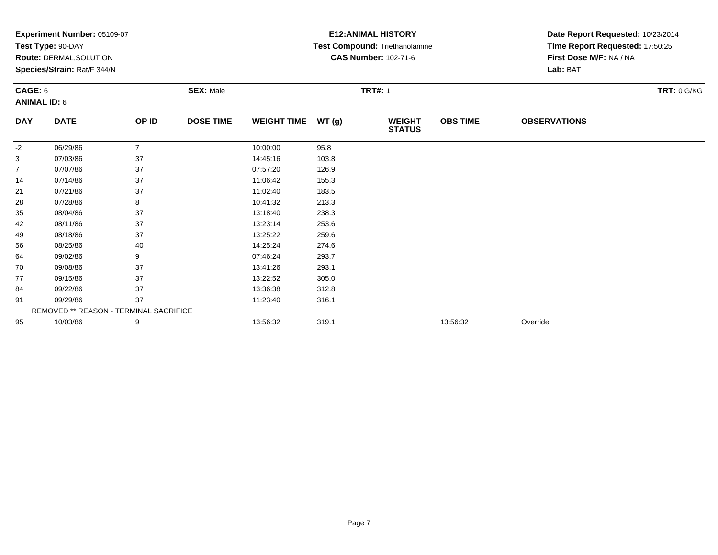| Experiment Number: 05109-07<br>Test Type: 90-DAY<br><b>Route: DERMAL, SOLUTION</b><br>Species/Strain: Rat/F 344/N<br>CAGE: 6<br><b>SEX: Male</b> |                                        |                |                  |                    | <b>E12: ANIMAL HISTORY</b><br>Test Compound: Triethanolamine<br><b>CAS Number: 102-71-6</b><br><b>TRT#: 1</b> | Date Report Requested: 10/23/2014<br>Time Report Requested: 17:50:25<br>First Dose M/F: NA / NA<br>Lab: BAT<br><b>TRT: 0 G/KG</b> |                 |                     |  |
|--------------------------------------------------------------------------------------------------------------------------------------------------|----------------------------------------|----------------|------------------|--------------------|---------------------------------------------------------------------------------------------------------------|-----------------------------------------------------------------------------------------------------------------------------------|-----------------|---------------------|--|
|                                                                                                                                                  | <b>ANIMAL ID: 6</b>                    |                |                  |                    |                                                                                                               |                                                                                                                                   |                 |                     |  |
| <b>DAY</b>                                                                                                                                       | <b>DATE</b>                            | OP ID          | <b>DOSE TIME</b> | <b>WEIGHT TIME</b> | WT(g)                                                                                                         | <b>WEIGHT</b><br><b>STATUS</b>                                                                                                    | <b>OBS TIME</b> | <b>OBSERVATIONS</b> |  |
| -2                                                                                                                                               | 06/29/86                               | $\overline{7}$ |                  | 10:00:00           | 95.8                                                                                                          |                                                                                                                                   |                 |                     |  |
| 3                                                                                                                                                | 07/03/86                               | 37             |                  | 14:45:16           | 103.8                                                                                                         |                                                                                                                                   |                 |                     |  |
| $\overline{7}$                                                                                                                                   | 07/07/86                               | 37             |                  | 07:57:20           | 126.9                                                                                                         |                                                                                                                                   |                 |                     |  |
| 14                                                                                                                                               | 07/14/86                               | 37             |                  | 11:06:42           | 155.3                                                                                                         |                                                                                                                                   |                 |                     |  |
| 21                                                                                                                                               | 07/21/86                               | 37             |                  | 11:02:40           | 183.5                                                                                                         |                                                                                                                                   |                 |                     |  |
| 28                                                                                                                                               | 07/28/86                               | 8              |                  | 10:41:32           | 213.3                                                                                                         |                                                                                                                                   |                 |                     |  |
| 35                                                                                                                                               | 08/04/86                               | 37             |                  | 13:18:40           | 238.3                                                                                                         |                                                                                                                                   |                 |                     |  |
| 42                                                                                                                                               | 08/11/86                               | 37             |                  | 13:23:14           | 253.6                                                                                                         |                                                                                                                                   |                 |                     |  |
| 49                                                                                                                                               | 08/18/86                               | 37             |                  | 13:25:22           | 259.6                                                                                                         |                                                                                                                                   |                 |                     |  |
| 56                                                                                                                                               | 08/25/86                               | 40             |                  | 14:25:24           | 274.6                                                                                                         |                                                                                                                                   |                 |                     |  |
| 64                                                                                                                                               | 09/02/86                               | 9              |                  | 07:46:24           | 293.7                                                                                                         |                                                                                                                                   |                 |                     |  |
| 70                                                                                                                                               | 09/08/86                               | 37             |                  | 13:41:26           | 293.1                                                                                                         |                                                                                                                                   |                 |                     |  |
| 77                                                                                                                                               | 09/15/86                               | 37             |                  | 13:22:52           | 305.0                                                                                                         |                                                                                                                                   |                 |                     |  |
| 84                                                                                                                                               | 09/22/86                               | 37             |                  | 13:36:38           | 312.8                                                                                                         |                                                                                                                                   |                 |                     |  |
| 91                                                                                                                                               | 09/29/86                               | 37             |                  | 11:23:40           | 316.1                                                                                                         |                                                                                                                                   |                 |                     |  |
|                                                                                                                                                  | REMOVED ** REASON - TERMINAL SACRIFICE |                |                  |                    |                                                                                                               |                                                                                                                                   |                 |                     |  |
| 95                                                                                                                                               | 10/03/86                               | 9              |                  | 13:56:32           | 319.1                                                                                                         |                                                                                                                                   | 13:56:32        | Override            |  |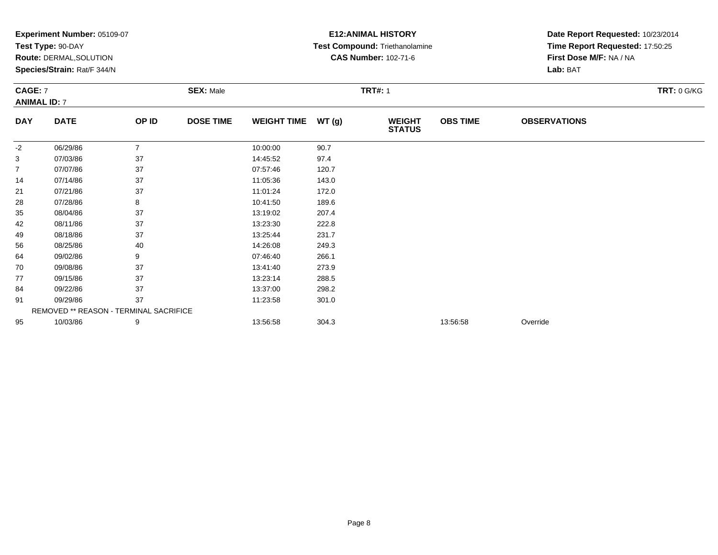|            | Experiment Number: 05109-07<br>Test Type: 90-DAY |                |                  |                    |                | <b>E12: ANIMAL HISTORY</b>            | Date Report Requested: 10/23/2014 |                                                            |             |  |
|------------|--------------------------------------------------|----------------|------------------|--------------------|----------------|---------------------------------------|-----------------------------------|------------------------------------------------------------|-------------|--|
|            |                                                  |                |                  |                    |                | <b>Test Compound: Triethanolamine</b> |                                   | Time Report Requested: 17:50:25<br>First Dose M/F: NA / NA |             |  |
|            | Route: DERMAL, SOLUTION                          |                |                  |                    |                | <b>CAS Number: 102-71-6</b>           |                                   |                                                            |             |  |
|            | Species/Strain: Rat/F 344/N                      |                |                  |                    |                |                                       |                                   | Lab: BAT                                                   |             |  |
| CAGE: 7    |                                                  |                | <b>SEX: Male</b> |                    | <b>TRT#: 1</b> |                                       |                                   |                                                            | TRT: 0 G/KG |  |
|            | <b>ANIMAL ID: 7</b>                              |                |                  |                    |                |                                       |                                   |                                                            |             |  |
| <b>DAY</b> | <b>DATE</b>                                      | OP ID          | <b>DOSE TIME</b> | <b>WEIGHT TIME</b> | WT(g)          | <b>WEIGHT</b><br><b>STATUS</b>        | <b>OBS TIME</b>                   | <b>OBSERVATIONS</b>                                        |             |  |
| -2         | 06/29/86                                         | $\overline{7}$ |                  | 10:00:00           | 90.7           |                                       |                                   |                                                            |             |  |
| 3          | 07/03/86                                         | 37             |                  | 14:45:52           | 97.4           |                                       |                                   |                                                            |             |  |
| 7          | 07/07/86                                         | 37             |                  | 07:57:46           | 120.7          |                                       |                                   |                                                            |             |  |
| 14         | 07/14/86                                         | 37             |                  | 11:05:36           | 143.0          |                                       |                                   |                                                            |             |  |
| 21         | 07/21/86                                         | 37             |                  | 11:01:24           | 172.0          |                                       |                                   |                                                            |             |  |
| 28         | 07/28/86                                         | 8              |                  | 10:41:50           | 189.6          |                                       |                                   |                                                            |             |  |
| 35         | 08/04/86                                         | 37             |                  | 13:19:02           | 207.4          |                                       |                                   |                                                            |             |  |
| 42         | 08/11/86                                         | 37             |                  | 13:23:30           | 222.8          |                                       |                                   |                                                            |             |  |
| 49         | 08/18/86                                         | 37             |                  | 13:25:44           | 231.7          |                                       |                                   |                                                            |             |  |
| 56         | 08/25/86                                         | 40             |                  | 14:26:08           | 249.3          |                                       |                                   |                                                            |             |  |
| 64         | 09/02/86                                         | 9              |                  | 07:46:40           | 266.1          |                                       |                                   |                                                            |             |  |
| 70         | 09/08/86                                         | 37             |                  | 13:41:40           | 273.9          |                                       |                                   |                                                            |             |  |
| 77         | 09/15/86                                         | 37             |                  | 13:23:14           | 288.5          |                                       |                                   |                                                            |             |  |
| 84         | 09/22/86                                         | 37             |                  | 13:37:00           | 298.2          |                                       |                                   |                                                            |             |  |
| 91         | 09/29/86                                         | 37             |                  | 11:23:58           | 301.0          |                                       |                                   |                                                            |             |  |
|            | REMOVED ** REASON - TERMINAL SACRIFICE           |                |                  |                    |                |                                       |                                   |                                                            |             |  |
| 95         | 10/03/86                                         | 9              |                  | 13:56:58           | 304.3          |                                       | 13:56:58                          | Override                                                   |             |  |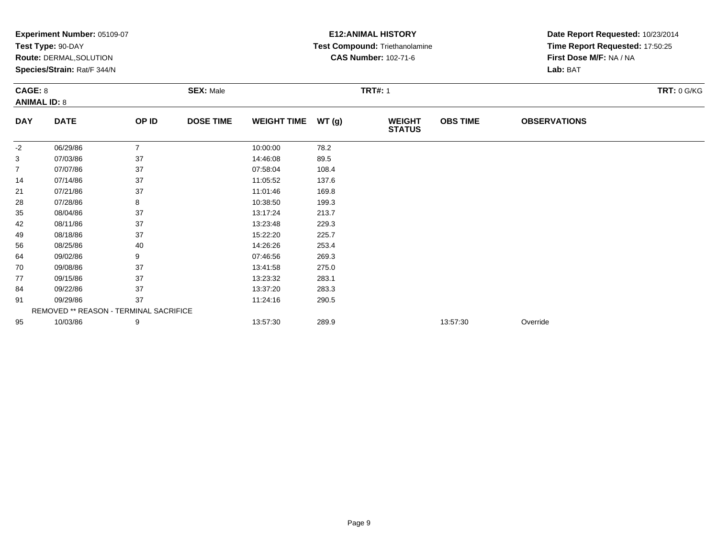|                                | Experiment Number: 05109-07<br>Test Type: 90-DAY<br>Route: DERMAL, SOLUTION<br>Species/Strain: Rat/F 344/N |                  |                  |                    |       | <b>E12: ANIMAL HISTORY</b><br>Test Compound: Triethanolamine<br><b>CAS Number: 102-71-6</b> | Date Report Requested: 10/23/2014<br>Time Report Requested: 17:50:25<br>First Dose M/F: NA / NA<br>Lab: BAT |                     |  |
|--------------------------------|------------------------------------------------------------------------------------------------------------|------------------|------------------|--------------------|-------|---------------------------------------------------------------------------------------------|-------------------------------------------------------------------------------------------------------------|---------------------|--|
| CAGE: 8<br><b>ANIMAL ID: 8</b> |                                                                                                            | <b>SEX: Male</b> | <b>TRT#: 1</b>   |                    |       |                                                                                             |                                                                                                             | TRT: 0 G/KG         |  |
| <b>DAY</b>                     | <b>DATE</b>                                                                                                | OP ID            | <b>DOSE TIME</b> | <b>WEIGHT TIME</b> | WT(g) | <b>WEIGHT</b><br><b>STATUS</b>                                                              | <b>OBS TIME</b>                                                                                             | <b>OBSERVATIONS</b> |  |
| $-2$                           | 06/29/86                                                                                                   | $\overline{7}$   |                  | 10:00:00           | 78.2  |                                                                                             |                                                                                                             |                     |  |
| 3                              | 07/03/86                                                                                                   | 37               |                  | 14:46:08           | 89.5  |                                                                                             |                                                                                                             |                     |  |
| $\overline{7}$                 | 07/07/86                                                                                                   | 37               |                  | 07:58:04           | 108.4 |                                                                                             |                                                                                                             |                     |  |
| 14                             | 07/14/86                                                                                                   | 37               |                  | 11:05:52           | 137.6 |                                                                                             |                                                                                                             |                     |  |
| 21                             | 07/21/86                                                                                                   | 37               |                  | 11:01:46           | 169.8 |                                                                                             |                                                                                                             |                     |  |
| 28                             | 07/28/86                                                                                                   | 8                |                  | 10:38:50           | 199.3 |                                                                                             |                                                                                                             |                     |  |
| 35                             | 08/04/86                                                                                                   | 37               |                  | 13:17:24           | 213.7 |                                                                                             |                                                                                                             |                     |  |
| 42                             | 08/11/86                                                                                                   | 37               |                  | 13:23:48           | 229.3 |                                                                                             |                                                                                                             |                     |  |
| 49                             | 08/18/86                                                                                                   | 37               |                  | 15:22:20           | 225.7 |                                                                                             |                                                                                                             |                     |  |
| 56                             | 08/25/86                                                                                                   | 40               |                  | 14:26:26           | 253.4 |                                                                                             |                                                                                                             |                     |  |
| 64                             | 09/02/86                                                                                                   | 9                |                  | 07:46:56           | 269.3 |                                                                                             |                                                                                                             |                     |  |
| 70                             | 09/08/86                                                                                                   | 37               |                  | 13:41:58           | 275.0 |                                                                                             |                                                                                                             |                     |  |
| 77                             | 09/15/86                                                                                                   | 37               |                  | 13:23:32           | 283.1 |                                                                                             |                                                                                                             |                     |  |
| 84                             | 09/22/86                                                                                                   | 37               |                  | 13:37:20           | 283.3 |                                                                                             |                                                                                                             |                     |  |
| 91                             | 09/29/86                                                                                                   | 37               |                  | 11:24:16           | 290.5 |                                                                                             |                                                                                                             |                     |  |
|                                | REMOVED ** REASON - TERMINAL SACRIFICE                                                                     |                  |                  |                    |       |                                                                                             |                                                                                                             |                     |  |
| 95                             | 10/03/86                                                                                                   | 9                |                  | 13:57:30           | 289.9 |                                                                                             | 13:57:30                                                                                                    | Override            |  |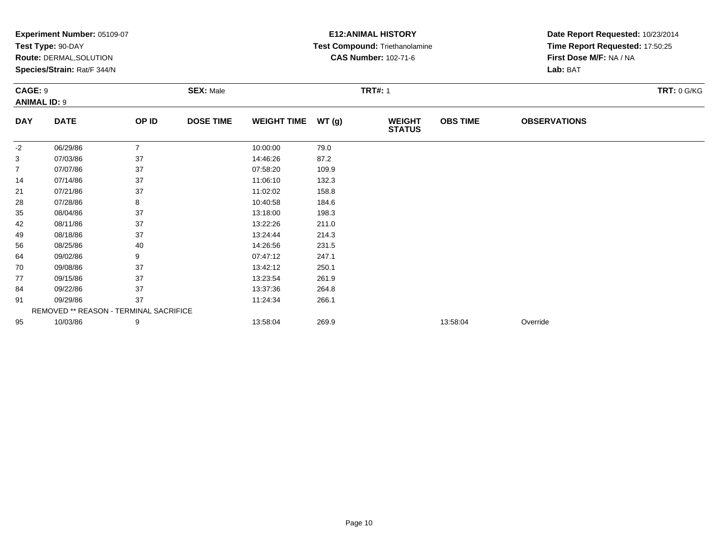| Experiment Number: 05109-07 |                                        |                |                  |                    | <b>E12: ANIMAL HISTORY</b> | Date Report Requested: 10/23/2014 |                 |                                     |             |  |
|-----------------------------|----------------------------------------|----------------|------------------|--------------------|----------------------------|-----------------------------------|-----------------|-------------------------------------|-------------|--|
|                             | Test Type: 90-DAY                      |                |                  |                    |                            | Test Compound: Triethanolamine    |                 | Time Report Requested: 17:50:25     |             |  |
|                             | Route: DERMAL, SOLUTION                |                |                  |                    |                            | <b>CAS Number: 102-71-6</b>       |                 | First Dose M/F: NA / NA<br>Lab: BAT |             |  |
|                             | Species/Strain: Rat/F 344/N            |                |                  |                    |                            |                                   |                 |                                     |             |  |
|                             | <b>CAGE: 9</b><br><b>ANIMAL ID: 9</b>  |                | <b>SEX: Male</b> |                    | <b>TRT#: 1</b>             |                                   |                 |                                     | TRT: 0 G/KG |  |
| <b>DAY</b>                  | <b>DATE</b>                            | OP ID          | <b>DOSE TIME</b> | <b>WEIGHT TIME</b> | WT(g)                      | <b>WEIGHT</b>                     | <b>OBS TIME</b> | <b>OBSERVATIONS</b>                 |             |  |
|                             |                                        |                |                  |                    |                            | <b>STATUS</b>                     |                 |                                     |             |  |
| $-2$                        | 06/29/86                               | $\overline{7}$ |                  | 10:00:00           | 79.0                       |                                   |                 |                                     |             |  |
| 3                           | 07/03/86                               | 37             |                  | 14:46:26           | 87.2                       |                                   |                 |                                     |             |  |
| $\overline{7}$              | 07/07/86                               | 37             |                  | 07:58:20           | 109.9                      |                                   |                 |                                     |             |  |
| 14                          | 07/14/86                               | 37             |                  | 11:06:10           | 132.3                      |                                   |                 |                                     |             |  |
| 21                          | 07/21/86                               | 37             |                  | 11:02:02           | 158.8                      |                                   |                 |                                     |             |  |
| 28                          | 07/28/86                               | 8              |                  | 10:40:58           | 184.6                      |                                   |                 |                                     |             |  |
| 35                          | 08/04/86                               | 37             |                  | 13:18:00           | 198.3                      |                                   |                 |                                     |             |  |
| 42                          | 08/11/86                               | 37             |                  | 13:22:26           | 211.0                      |                                   |                 |                                     |             |  |
| 49                          | 08/18/86                               | 37             |                  | 13:24:44           | 214.3                      |                                   |                 |                                     |             |  |
| 56                          | 08/25/86                               | 40             |                  | 14:26:56           | 231.5                      |                                   |                 |                                     |             |  |
| 64                          | 09/02/86                               | 9              |                  | 07:47:12           | 247.1                      |                                   |                 |                                     |             |  |
| 70                          | 09/08/86                               | 37             |                  | 13:42:12           | 250.1                      |                                   |                 |                                     |             |  |
| 77                          | 09/15/86                               | 37             |                  | 13:23:54           | 261.9                      |                                   |                 |                                     |             |  |
| 84                          | 09/22/86                               | 37             |                  | 13:37:36           | 264.8                      |                                   |                 |                                     |             |  |
| 91                          | 09/29/86                               | 37             |                  | 11:24:34           | 266.1                      |                                   |                 |                                     |             |  |
|                             | REMOVED ** REASON - TERMINAL SACRIFICE |                |                  |                    |                            |                                   |                 |                                     |             |  |
| 95                          | 10/03/86                               | 9              |                  | 13:58:04           | 269.9                      |                                   | 13:58:04        | Override                            |             |  |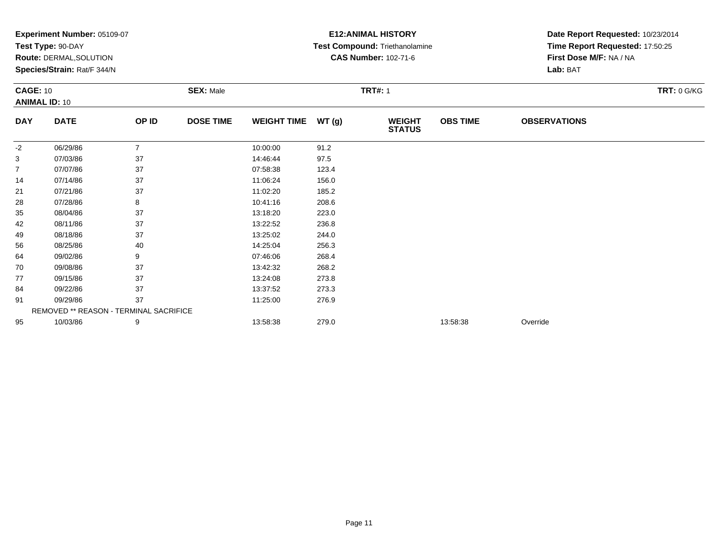| Experiment Number: 05109-07 |                                        |                |                  |                    | <b>E12: ANIMAL HISTORY</b> | Date Report Requested: 10/23/2014 |                 |                                 |                    |  |
|-----------------------------|----------------------------------------|----------------|------------------|--------------------|----------------------------|-----------------------------------|-----------------|---------------------------------|--------------------|--|
|                             | Test Type: 90-DAY                      |                |                  |                    |                            | Test Compound: Triethanolamine    |                 | Time Report Requested: 17:50:25 |                    |  |
|                             | Route: DERMAL, SOLUTION                |                |                  |                    |                            | <b>CAS Number: 102-71-6</b>       |                 | First Dose M/F: NA / NA         |                    |  |
|                             | Species/Strain: Rat/F 344/N            |                |                  |                    |                            |                                   |                 | Lab: BAT                        |                    |  |
| <b>CAGE: 10</b>             |                                        |                | <b>SEX: Male</b> |                    | <b>TRT#: 1</b>             |                                   |                 |                                 | <b>TRT: 0 G/KG</b> |  |
|                             | <b>ANIMAL ID: 10</b>                   |                |                  |                    |                            |                                   |                 |                                 |                    |  |
| <b>DAY</b>                  | <b>DATE</b>                            | OP ID          | <b>DOSE TIME</b> | <b>WEIGHT TIME</b> | WT(g)                      | <b>WEIGHT</b><br><b>STATUS</b>    | <b>OBS TIME</b> | <b>OBSERVATIONS</b>             |                    |  |
| -2                          | 06/29/86                               | $\overline{7}$ |                  | 10:00:00           | 91.2                       |                                   |                 |                                 |                    |  |
| 3                           | 07/03/86                               | 37             |                  | 14:46:44           | 97.5                       |                                   |                 |                                 |                    |  |
| 7                           | 07/07/86                               | 37             |                  | 07:58:38           | 123.4                      |                                   |                 |                                 |                    |  |
| 14                          | 07/14/86                               | 37             |                  | 11:06:24           | 156.0                      |                                   |                 |                                 |                    |  |
| 21                          | 07/21/86                               | 37             |                  | 11:02:20           | 185.2                      |                                   |                 |                                 |                    |  |
| 28                          | 07/28/86                               | 8              |                  | 10:41:16           | 208.6                      |                                   |                 |                                 |                    |  |
| 35                          | 08/04/86                               | 37             |                  | 13:18:20           | 223.0                      |                                   |                 |                                 |                    |  |
| 42                          | 08/11/86                               | 37             |                  | 13:22:52           | 236.8                      |                                   |                 |                                 |                    |  |
| 49                          | 08/18/86                               | 37             |                  | 13:25:02           | 244.0                      |                                   |                 |                                 |                    |  |
| 56                          | 08/25/86                               | 40             |                  | 14:25:04           | 256.3                      |                                   |                 |                                 |                    |  |
| 64                          | 09/02/86                               | 9              |                  | 07:46:06           | 268.4                      |                                   |                 |                                 |                    |  |
| 70                          | 09/08/86                               | 37             |                  | 13:42:32           | 268.2                      |                                   |                 |                                 |                    |  |
| 77                          | 09/15/86                               | 37             |                  | 13:24:08           | 273.8                      |                                   |                 |                                 |                    |  |
| 84                          | 09/22/86                               | 37             |                  | 13:37:52           | 273.3                      |                                   |                 |                                 |                    |  |
| 91                          | 09/29/86                               | 37             |                  | 11:25:00           | 276.9                      |                                   |                 |                                 |                    |  |
|                             | REMOVED ** REASON - TERMINAL SACRIFICE |                |                  |                    |                            |                                   |                 |                                 |                    |  |
| 95                          | 10/03/86                               | 9              |                  | 13:58:38           | 279.0                      |                                   | 13:58:38        | Override                        |                    |  |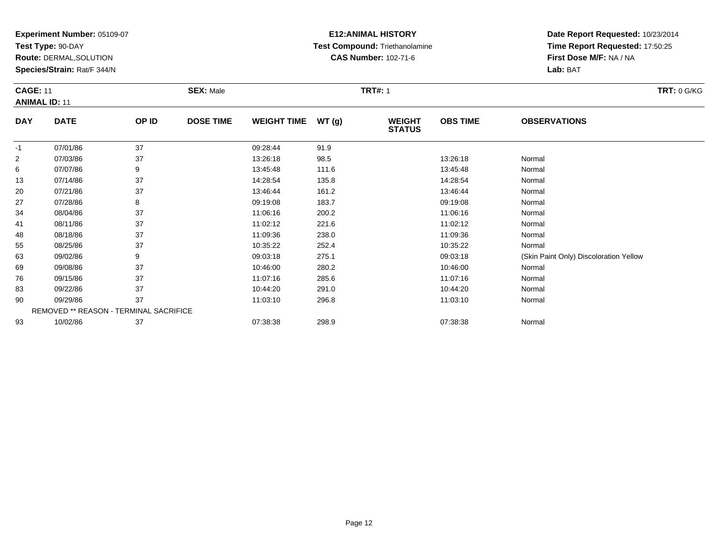**Test Type:** 90-DAY

55

63

69

76

83

90

93

**Route:** DERMAL,SOLUTION

**Species/Strain:** Rat/F 344/N

REMOVED \*\* REASON - TERMINAL SACRIFICE

# **E12:ANIMAL HISTORY Test Compound:** Triethanolamine**CAS Number:** 102-71-6

**Date Report Requested:** 10/23/2014**Time Report Requested:** 17:50:25**First Dose M/F:** NA / NA**Lab:** BAT

| <b>CAGE: 11</b><br><b>ANIMAL ID: 11</b> |             | <b>SEX: Male</b> |                  |                    | <b>TRT#: 1</b> | <b>TRT: 0 G/KG</b>             |                 |                     |  |
|-----------------------------------------|-------------|------------------|------------------|--------------------|----------------|--------------------------------|-----------------|---------------------|--|
| <b>DAY</b>                              | <b>DATE</b> | OP ID            | <b>DOSE TIME</b> | <b>WEIGHT TIME</b> | WT(g)          | <b>WEIGHT</b><br><b>STATUS</b> | <b>OBS TIME</b> | <b>OBSERVATIONS</b> |  |
| $-1$                                    | 07/01/86    | 37               |                  | 09:28:44           | 91.9           |                                |                 |                     |  |
| 2                                       | 07/03/86    | 37               |                  | 13:26:18           | 98.5           |                                | 13:26:18        | Normal              |  |
| 6                                       | 07/07/86    | 9                |                  | 13:45:48           | 111.6          |                                | 13:45:48        | Normal              |  |
| 13                                      | 07/14/86    | 37               |                  | 14:28:54           | 135.8          |                                | 14:28:54        | Normal              |  |
| 20                                      | 07/21/86    | 37               |                  | 13:46:44           | 161.2          |                                | 13:46:44        | Normal              |  |
| 27                                      | 07/28/86    | 8                |                  | 09:19:08           | 183.7          |                                | 09:19:08        | Normal              |  |
| 34                                      | 08/04/86    | 37               |                  | 11:06:16           | 200.2          |                                | 11:06:16        | Normal              |  |
| 41                                      | 08/11/86    | 37               |                  | 11:02:12           | 221.6          |                                | 11:02:12        | Normal              |  |
| 48                                      | 08/18/86    | 37               |                  | 11:09:36           | 238.0          |                                | 11:09:36        | Normal              |  |

09/02/86 9 09:03:18 09:03:18 (Skin Paint Only) Discoloration Yellow<br>09/08/86 37 10:46:00 280.2 10:46:00 Normal

8 08/18/86 37 11:09:36 238.0 11:09:36 Normal

5 08/25/86 37 37 10:35:22 252.4 10:35 10:35 10:35 10:35 10:35:22 Normal

9 09/08/86 37 37 10:46:00 280.2 380.2 10:46:00 10:46:00 10:46:00 10:46:00 10:46:00

6 09/15/86 37 11:07:16 285.6 11:07:16 Normal

3 09/22/86 37 37 10:44:20 291.0 2010 10:44:20 10:44:20 Normal

0 09/29/86 37 11:03:10 296.8 11:03:10 Normal

3 10/02/86 37 37 07:38:38 298.9 208.9 07:38:38 07:38:38 Normal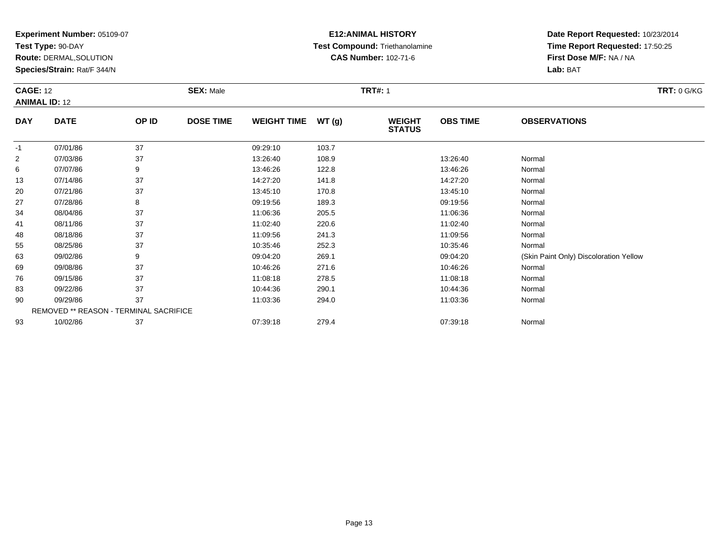**Test Type:** 90-DAY

**Route:** DERMAL,SOLUTION

**Species/Strain:** Rat/F 344/N

# **E12:ANIMAL HISTORY Test Compound:** Triethanolamine**CAS Number:** 102-71-6

| <b>CAGE: 12</b><br><b>ANIMAL ID: 12</b> |             |       | <b>SEX: Male</b> |                    |       | <b>TRT#: 1</b>                 |                 | <b>TRT: 0 G/KG</b>                     |  |
|-----------------------------------------|-------------|-------|------------------|--------------------|-------|--------------------------------|-----------------|----------------------------------------|--|
| <b>DAY</b>                              | <b>DATE</b> | OP ID | <b>DOSE TIME</b> | <b>WEIGHT TIME</b> | WT(g) | <b>WEIGHT</b><br><b>STATUS</b> | <b>OBS TIME</b> | <b>OBSERVATIONS</b>                    |  |
| $-1$                                    | 07/01/86    | 37    |                  | 09:29:10           | 103.7 |                                |                 |                                        |  |
| 2                                       | 07/03/86    | 37    |                  | 13:26:40           | 108.9 |                                | 13:26:40        | Normal                                 |  |
| 6                                       | 07/07/86    | 9     |                  | 13:46:26           | 122.8 |                                | 13:46:26        | Normal                                 |  |
| 13                                      | 07/14/86    | 37    |                  | 14:27:20           | 141.8 |                                | 14:27:20        | Normal                                 |  |
| 20                                      | 07/21/86    | 37    |                  | 13:45:10           | 170.8 |                                | 13:45:10        | Normal                                 |  |
| 27                                      | 07/28/86    | 8     |                  | 09:19:56           | 189.3 |                                | 09:19:56        | Normal                                 |  |
| 34                                      | 08/04/86    | 37    |                  | 11:06:36           | 205.5 |                                | 11:06:36        | Normal                                 |  |
| 41                                      | 08/11/86    | 37    |                  | 11:02:40           | 220.6 |                                | 11:02:40        | Normal                                 |  |
| 48                                      | 08/18/86    | 37    |                  | 11:09:56           | 241.3 |                                | 11:09:56        | Normal                                 |  |
| 55                                      | 08/25/86    | 37    |                  | 10:35:46           | 252.3 |                                | 10:35:46        | Normal                                 |  |
| 63                                      | 09/02/86    | 9     |                  | 09:04:20           | 269.1 |                                | 09:04:20        | (Skin Paint Only) Discoloration Yellow |  |
| 69                                      | 09/08/86    | 37    |                  | 10:46:26           | 271.6 |                                | 10:46:26        | Normal                                 |  |
| 76                                      | 09/15/86    | 37    |                  | 11:08:18           | 278.5 |                                | 11:08:18        | Normal                                 |  |
| 83                                      | 09/22/86    | 37    |                  | 10:44:36           | 290.1 |                                | 10:44:36        | Normal                                 |  |
| 90                                      | 09/29/86    | 37    |                  | 11:03:36           | 294.0 |                                | 11:03:36        | Normal                                 |  |

| -90 | 09/29/86 |                                               | 11.03.36 | 294.0 | 11:03:36 | Normal |
|-----|----------|-----------------------------------------------|----------|-------|----------|--------|
|     |          | <b>REMOVED ** REASON - TERMINAL SACRIFICE</b> |          |       |          |        |
| 93  | 10/02/86 |                                               | 07:39:18 | 279.4 | 07:39:18 | Normal |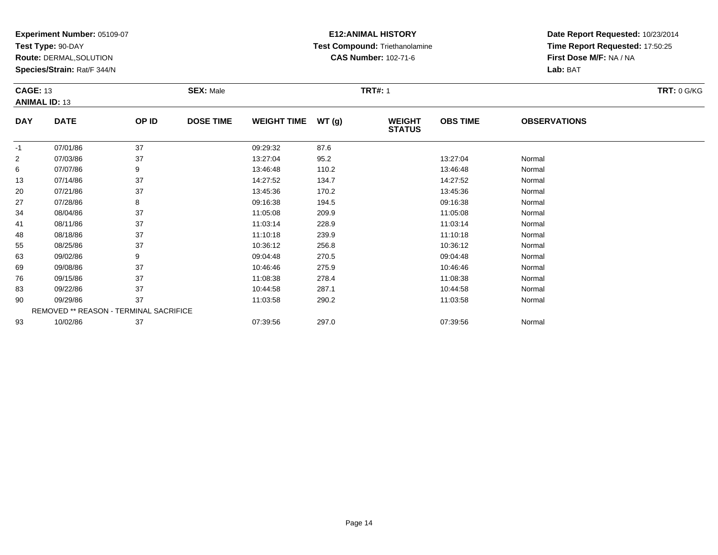**Test Type:** 90-DAY

83

90

93

**Route:** DERMAL,SOLUTION

**Species/Strain:** Rat/F 344/N

REMOVED \*\* REASON - TERMINAL SACRIFICE

# **E12:ANIMAL HISTORY Test Compound:** Triethanolamine**CAS Number:** 102-71-6

**Date Report Requested:** 10/23/2014**Time Report Requested:** 17:50:25**First Dose M/F:** NA / NA**Lab:** BAT

|                | <b>CAGE: 13</b><br><b>ANIMAL ID: 13</b> |       | <b>SEX: Male</b> |                    |       | <b>TRT#: 1</b>                 | <b>TRT: 0 G/KG</b> |                     |  |
|----------------|-----------------------------------------|-------|------------------|--------------------|-------|--------------------------------|--------------------|---------------------|--|
| <b>DAY</b>     | <b>DATE</b>                             | OP ID | <b>DOSE TIME</b> | <b>WEIGHT TIME</b> | WT(g) | <b>WEIGHT</b><br><b>STATUS</b> | <b>OBS TIME</b>    | <b>OBSERVATIONS</b> |  |
| $-1$           | 07/01/86                                | 37    |                  | 09:29:32           | 87.6  |                                |                    |                     |  |
| $\overline{2}$ | 07/03/86                                | 37    |                  | 13:27:04           | 95.2  |                                | 13:27:04           | Normal              |  |
| 6              | 07/07/86                                | 9     |                  | 13:46:48           | 110.2 |                                | 13:46:48           | Normal              |  |
| 13             | 07/14/86                                | 37    |                  | 14:27:52           | 134.7 |                                | 14:27:52           | Normal              |  |
| 20             | 07/21/86                                | 37    |                  | 13:45:36           | 170.2 |                                | 13:45:36           | Normal              |  |
| 27             | 07/28/86                                | 8     |                  | 09:16:38           | 194.5 |                                | 09:16:38           | Normal              |  |
| 34             | 08/04/86                                | 37    |                  | 11:05:08           | 209.9 |                                | 11:05:08           | Normal              |  |
| 41             | 08/11/86                                | 37    |                  | 11:03:14           | 228.9 |                                | 11:03:14           | Normal              |  |
| 48             | 08/18/86                                | 37    |                  | 11:10:18           | 239.9 |                                | 11:10:18           | Normal              |  |
| 55             | 08/25/86                                | 37    |                  | 10:36:12           | 256.8 |                                | 10:36:12           | Normal              |  |
| 63             | 09/02/86                                | 9     |                  | 09:04:48           | 270.5 |                                | 09:04:48           | Normal              |  |
| 69             | 09/08/86                                | 37    |                  | 10:46:46           | 275.9 |                                | 10:46:46           | Normal              |  |
| 76             | 09/15/86                                | 37    |                  | 11:08:38           | 278.4 |                                | 11:08:38           | Normal              |  |

3 09/22/86 37 37 10:44:58 287.1 10:44:59 287.1 10:44:58 Normal

0 09/29/86 37 11:03:58 290.2 11:03:58 Normal

3 10/02/86 37 37 07:39:56 297.0 397.0 07:39:56 3 3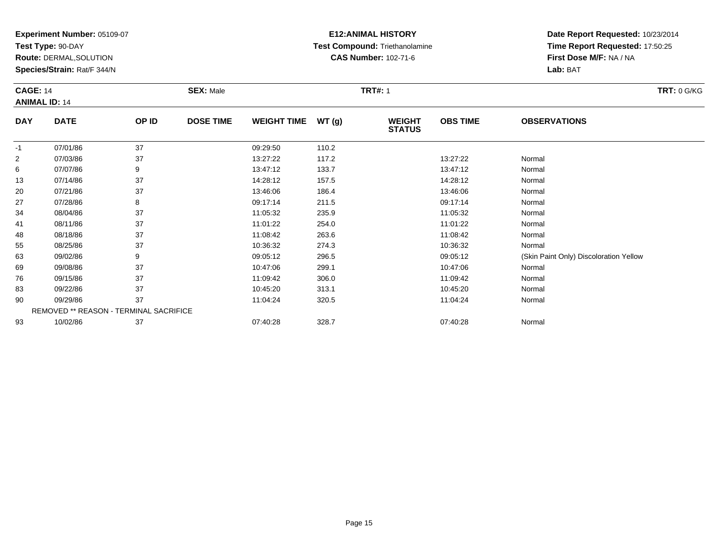**Test Type:** 90-DAY

**Route:** DERMAL,SOLUTION

**Species/Strain:** Rat/F 344/N

# **E12:ANIMAL HISTORY Test Compound:** Triethanolamine**CAS Number:** 102-71-6

**Date Report Requested:** 10/23/2014**Time Report Requested:** 17:50:25**First Dose M/F:** NA / NA**Lab:** BAT

| <b>CAGE: 14</b><br><b>ANIMAL ID: 14</b> |             | <b>SEX: Male</b> |                  |                    | <b>TRT#: 1</b> | <b>TRT: 0 G/KG</b>             |                 |                                        |
|-----------------------------------------|-------------|------------------|------------------|--------------------|----------------|--------------------------------|-----------------|----------------------------------------|
| <b>DAY</b>                              | <b>DATE</b> | OP ID            | <b>DOSE TIME</b> | <b>WEIGHT TIME</b> | WT(g)          | <b>WEIGHT</b><br><b>STATUS</b> | <b>OBS TIME</b> | <b>OBSERVATIONS</b>                    |
| $-1$                                    | 07/01/86    | 37               |                  | 09:29:50           | 110.2          |                                |                 |                                        |
| $\overline{2}$                          | 07/03/86    | 37               |                  | 13:27:22           | 117.2          |                                | 13:27:22        | Normal                                 |
| 6                                       | 07/07/86    | 9                |                  | 13:47:12           | 133.7          |                                | 13:47:12        | Normal                                 |
| 13                                      | 07/14/86    | 37               |                  | 14:28:12           | 157.5          |                                | 14:28:12        | Normal                                 |
| 20                                      | 07/21/86    | 37               |                  | 13:46:06           | 186.4          |                                | 13:46:06        | Normal                                 |
| 27                                      | 07/28/86    | 8                |                  | 09:17:14           | 211.5          |                                | 09:17:14        | Normal                                 |
| 34                                      | 08/04/86    | 37               |                  | 11:05:32           | 235.9          |                                | 11:05:32        | Normal                                 |
| 41                                      | 08/11/86    | 37               |                  | 11:01:22           | 254.0          |                                | 11:01:22        | Normal                                 |
| 48                                      | 08/18/86    | 37               |                  | 11:08:42           | 263.6          |                                | 11:08:42        | Normal                                 |
| 55                                      | 08/25/86    | 37               |                  | 10:36:32           | 274.3          |                                | 10:36:32        | Normal                                 |
| 63                                      | 09/02/86    | 9                |                  | 09:05:12           | 296.5          |                                | 09:05:12        | (Skin Paint Only) Discoloration Yellow |
| 69                                      | 09/08/86    | 37               |                  | 10:47:06           | 299.1          |                                | 10:47:06        | Normal                                 |
| 76                                      | 09/15/86    | 37               |                  | 11:09:42           | 306.0          |                                | 11:09:42        | Normal                                 |
| 83                                      | 09/22/86    | 37               |                  | 10:45:20           | 313.1          |                                | 10:45:20        | Normal                                 |

| 90 | 09/29/86 | $\sim$                                        | '1:04:24 | 320.5 | 11:04:24 | Normal |
|----|----------|-----------------------------------------------|----------|-------|----------|--------|
|    |          | <b>REMOVED ** REASON - TERMINAL SACRIFICE</b> |          |       |          |        |
| 93 | 10/02/86 |                                               | 07:40:28 | 328.  | 07:40:28 | Normal |

Page 15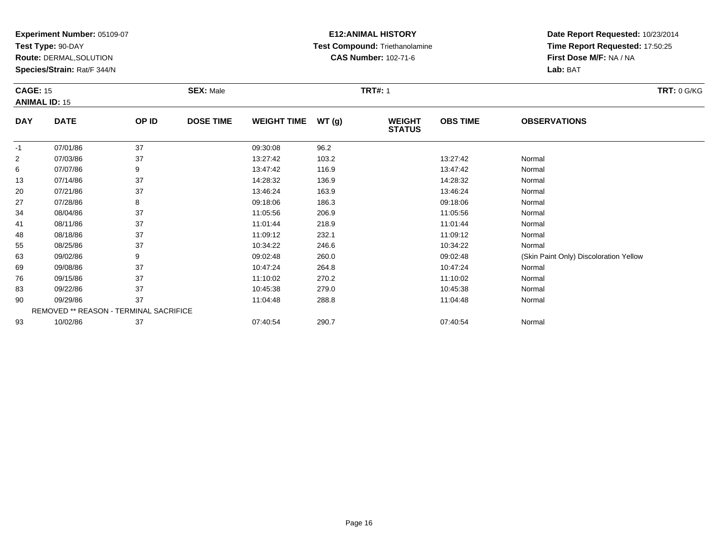**Test Type:** 90-DAY

**Route:** DERMAL,SOLUTION

**Species/Strain:** Rat/F 344/N

# **E12:ANIMAL HISTORY Test Compound:** Triethanolamine**CAS Number:** 102-71-6

| <b>CAGE: 15</b><br><b>ANIMAL ID: 15</b> |             | <b>SEX: Male</b> |                  |                    | <b>TRT#: 1</b> | <b>TRT: 0 G/KG</b>             |                 |                                        |
|-----------------------------------------|-------------|------------------|------------------|--------------------|----------------|--------------------------------|-----------------|----------------------------------------|
| <b>DAY</b>                              | <b>DATE</b> | OP ID            | <b>DOSE TIME</b> | <b>WEIGHT TIME</b> | WT(g)          | <b>WEIGHT</b><br><b>STATUS</b> | <b>OBS TIME</b> | <b>OBSERVATIONS</b>                    |
| $-1$                                    | 07/01/86    | 37               |                  | 09:30:08           | 96.2           |                                |                 |                                        |
| $\overline{2}$                          | 07/03/86    | 37               |                  | 13:27:42           | 103.2          |                                | 13:27:42        | Normal                                 |
| 6                                       | 07/07/86    | 9                |                  | 13:47:42           | 116.9          |                                | 13:47:42        | Normal                                 |
| 13                                      | 07/14/86    | 37               |                  | 14:28:32           | 136.9          |                                | 14:28:32        | Normal                                 |
| 20                                      | 07/21/86    | 37               |                  | 13:46:24           | 163.9          |                                | 13:46:24        | Normal                                 |
| 27                                      | 07/28/86    | 8                |                  | 09:18:06           | 186.3          |                                | 09:18:06        | Normal                                 |
| 34                                      | 08/04/86    | 37               |                  | 11:05:56           | 206.9          |                                | 11:05:56        | Normal                                 |
| 41                                      | 08/11/86    | 37               |                  | 11:01:44           | 218.9          |                                | 11:01:44        | Normal                                 |
| 48                                      | 08/18/86    | 37               |                  | 11:09:12           | 232.1          |                                | 11:09:12        | Normal                                 |
| 55                                      | 08/25/86    | 37               |                  | 10:34:22           | 246.6          |                                | 10:34:22        | Normal                                 |
| 63                                      | 09/02/86    | 9                |                  | 09:02:48           | 260.0          |                                | 09:02:48        | (Skin Paint Only) Discoloration Yellow |
| 69                                      | 09/08/86    | 37               |                  | 10:47:24           | 264.8          |                                | 10:47:24        | Normal                                 |
| 76                                      | 09/15/86    | 37               |                  | 11:10:02           | 270.2          |                                | 11:10:02        | Normal                                 |
| 83                                      | 09/22/86    | 37               |                  | 10:45:38           | 279.0          |                                | 10:45:38        | Normal                                 |
| 90                                      | 09/29/86    | 37               |                  | 11:04:48           | 288.8          |                                | 11:04:48        | Normal                                 |

| 90 | <u>JY/29/86</u> |                                               | 1.04.48  | 288.8 | I 1:04:48 | Norma  |
|----|-----------------|-----------------------------------------------|----------|-------|-----------|--------|
|    |                 | <b>REMOVED ** REASON - TERMINAL SACRIFICE</b> |          |       |           |        |
| 93 | 10/02/86        |                                               | 07:40:54 | 290.7 | 07:40:54  | Normal |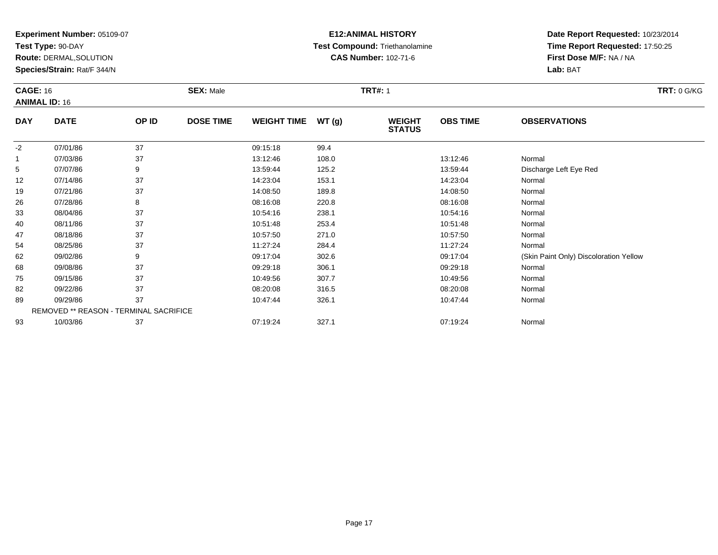**Test Type:** 90-DAY

**Route:** DERMAL,SOLUTION

**Species/Strain:** Rat/F 344/N

# **E12:ANIMAL HISTORY Test Compound:** Triethanolamine**CAS Number:** 102-71-6

**Date Report Requested:** 10/23/2014**Time Report Requested:** 17:50:25**First Dose M/F:** NA / NA**Lab:** BAT

| <b>CAGE: 16</b><br><b>ANIMAL ID: 16</b> |                                               |       | <b>SEX: Male</b> |                    |       | <b>TRT#: 1</b>                 |                 | <b>TRT: 0 G/KG</b>                     |  |
|-----------------------------------------|-----------------------------------------------|-------|------------------|--------------------|-------|--------------------------------|-----------------|----------------------------------------|--|
| <b>DAY</b>                              | <b>DATE</b>                                   | OP ID | <b>DOSE TIME</b> | <b>WEIGHT TIME</b> | WT(g) | <b>WEIGHT</b><br><b>STATUS</b> | <b>OBS TIME</b> | <b>OBSERVATIONS</b>                    |  |
| -2                                      | 07/01/86                                      | 37    |                  | 09:15:18           | 99.4  |                                |                 |                                        |  |
|                                         | 07/03/86                                      | 37    |                  | 13:12:46           | 108.0 |                                | 13:12:46        | Normal                                 |  |
| 5                                       | 07/07/86                                      | 9     |                  | 13:59:44           | 125.2 |                                | 13:59:44        | Discharge Left Eye Red                 |  |
| 12                                      | 07/14/86                                      | 37    |                  | 14:23:04           | 153.1 |                                | 14:23:04        | Normal                                 |  |
| 19                                      | 07/21/86                                      | 37    |                  | 14:08:50           | 189.8 |                                | 14:08:50        | Normal                                 |  |
| 26                                      | 07/28/86                                      | 8     |                  | 08:16:08           | 220.8 |                                | 08:16:08        | Normal                                 |  |
| 33                                      | 08/04/86                                      | 37    |                  | 10:54:16           | 238.1 |                                | 10:54:16        | Normal                                 |  |
| 40                                      | 08/11/86                                      | 37    |                  | 10:51:48           | 253.4 |                                | 10:51:48        | Normal                                 |  |
| 47                                      | 08/18/86                                      | 37    |                  | 10:57:50           | 271.0 |                                | 10:57:50        | Normal                                 |  |
| 54                                      | 08/25/86                                      | 37    |                  | 11:27:24           | 284.4 |                                | 11:27:24        | Normal                                 |  |
| 62                                      | 09/02/86                                      | 9     |                  | 09:17:04           | 302.6 |                                | 09:17:04        | (Skin Paint Only) Discoloration Yellow |  |
| 68                                      | 09/08/86                                      | 37    |                  | 09:29:18           | 306.1 |                                | 09:29:18        | Normal                                 |  |
| 75                                      | 09/15/86                                      | 37    |                  | 10:49:56           | 307.7 |                                | 10:49:56        | Normal                                 |  |
| 82                                      | 09/22/86                                      | 37    |                  | 08:20:08           | 316.5 |                                | 08:20:08        | Normal                                 |  |
| 89                                      | 09/29/86                                      | 37    |                  | 10:47:44           | 326.1 |                                | 10:47:44        | Normal                                 |  |
|                                         | <b>REMOVED ** REASON - TERMINAL SACRIFICE</b> |       |                  |                    |       |                                |                 |                                        |  |
| 93                                      | 10/03/86                                      | 37    |                  | 07:19:24           | 327.1 |                                | 07:19:24        | Normal                                 |  |

10/03/86 <sup>37</sup> 07:19:24 327.1 07:19:24 Normal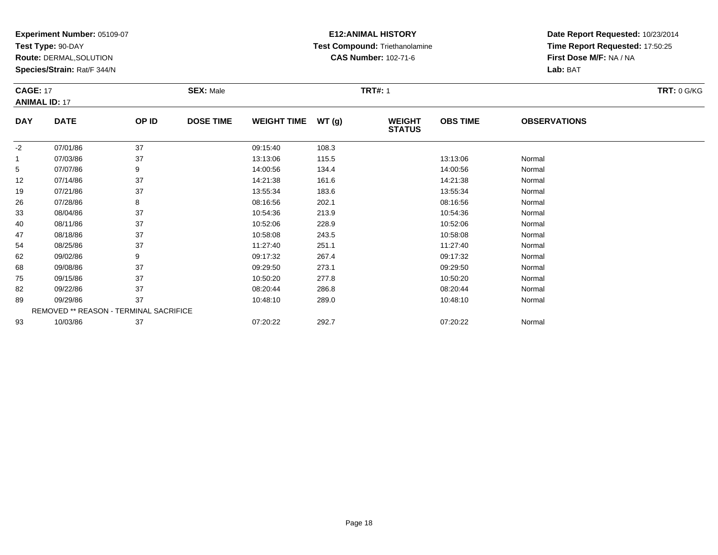**Test Type:** 90-DAY

68

75

82

89

93

**Route:** DERMAL,SOLUTION

**Species/Strain:** Rat/F 344/N

REMOVED \*\* REASON - TERMINAL SACRIFICE

# **E12:ANIMAL HISTORY Test Compound:** Triethanolamine**CAS Number:** 102-71-6

**Date Report Requested:** 10/23/2014**Time Report Requested:** 17:50:25**First Dose M/F:** NA / NA**Lab:** BAT

|            | <b>CAGE: 17</b><br><b>ANIMAL ID: 17</b> |       | <b>SEX: Male</b> |                    |       | <b>TRT#: 1</b>                 | <b>TRT: 0 G/KG</b> |                     |  |
|------------|-----------------------------------------|-------|------------------|--------------------|-------|--------------------------------|--------------------|---------------------|--|
| <b>DAY</b> | <b>DATE</b>                             | OP ID | <b>DOSE TIME</b> | <b>WEIGHT TIME</b> | WT(g) | <b>WEIGHT</b><br><b>STATUS</b> | <b>OBS TIME</b>    | <b>OBSERVATIONS</b> |  |
| $-2$       | 07/01/86                                | 37    |                  | 09:15:40           | 108.3 |                                |                    |                     |  |
| 1          | 07/03/86                                | 37    |                  | 13:13:06           | 115.5 |                                | 13:13:06           | Normal              |  |
| 5          | 07/07/86                                | 9     |                  | 14:00:56           | 134.4 |                                | 14:00:56           | Normal              |  |
| 12         | 07/14/86                                | 37    |                  | 14:21:38           | 161.6 |                                | 14:21:38           | Normal              |  |
| 19         | 07/21/86                                | 37    |                  | 13:55:34           | 183.6 |                                | 13:55:34           | Normal              |  |
| 26         | 07/28/86                                | 8     |                  | 08:16:56           | 202.1 |                                | 08:16:56           | Normal              |  |
| 33         | 08/04/86                                | 37    |                  | 10:54:36           | 213.9 |                                | 10:54:36           | Normal              |  |
| 40         | 08/11/86                                | 37    |                  | 10:52:06           | 228.9 |                                | 10:52:06           | Normal              |  |
| 47         | 08/18/86                                | 37    |                  | 10:58:08           | 243.5 |                                | 10:58:08           | Normal              |  |
| 54         | 08/25/86                                | 37    |                  | 11:27:40           | 251.1 |                                | 11:27:40           | Normal              |  |
| 62         | 09/02/86                                | 9     |                  | 09:17:32           | 267.4 |                                | 09:17:32           | Normal              |  |

2 09/02/86 9 9 09:17:32 267.4 09:17 09:17:32 09:17:32 Normal

8 09/08/86 37 37 09:29:50 273.1 09:29:50 09:29:50 09:29:50

5 09/15/86 37 37 10:50:20 277.8 37 10:50:20 10:50:20 37 Normal

2 09/22/86 37 37 08:20:44 286.8 08:20:44 08:20:44 08:20:44 08:20:44 08:20:44

9 09/29/86 37 37 10:48:10 289.0 10:49 10:49 10:48:10 289.0 10:48:10 10:48:10

10/03/86 <sup>37</sup> 07:20:22 292.7 07:20:22 Normal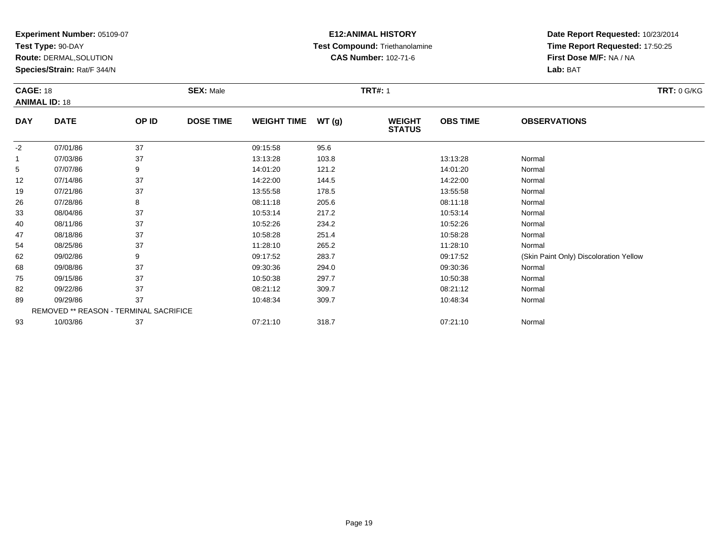**Test Type:** 90-DAY

93

**Route:** DERMAL,SOLUTION

**Species/Strain:** Rat/F 344/N

# **E12:ANIMAL HISTORY Test Compound:** Triethanolamine**CAS Number:** 102-71-6

**Date Report Requested:** 10/23/2014**Time Report Requested:** 17:50:25**First Dose M/F:** NA / NA**Lab:** BAT

| <b>CAGE: 18</b><br><b>ANIMAL ID: 18</b> |                                        | <b>SEX: Male</b> |                  |                    | <b>TRT#: 1</b> | <b>TRT: 0 G/KG</b>             |                 |                                        |
|-----------------------------------------|----------------------------------------|------------------|------------------|--------------------|----------------|--------------------------------|-----------------|----------------------------------------|
| <b>DAY</b>                              | <b>DATE</b>                            | OP ID            | <b>DOSE TIME</b> | <b>WEIGHT TIME</b> | WT(g)          | <b>WEIGHT</b><br><b>STATUS</b> | <b>OBS TIME</b> | <b>OBSERVATIONS</b>                    |
| $-2$                                    | 07/01/86                               | 37               |                  | 09:15:58           | 95.6           |                                |                 |                                        |
| 1                                       | 07/03/86                               | 37               |                  | 13:13:28           | 103.8          |                                | 13:13:28        | Normal                                 |
| 5                                       | 07/07/86                               | 9                |                  | 14:01:20           | 121.2          |                                | 14:01:20        | Normal                                 |
| 12                                      | 07/14/86                               | 37               |                  | 14:22:00           | 144.5          |                                | 14:22:00        | Normal                                 |
| 19                                      | 07/21/86                               | 37               |                  | 13:55:58           | 178.5          |                                | 13:55:58        | Normal                                 |
| 26                                      | 07/28/86                               | 8                |                  | 08:11:18           | 205.6          |                                | 08:11:18        | Normal                                 |
| 33                                      | 08/04/86                               | 37               |                  | 10:53:14           | 217.2          |                                | 10:53:14        | Normal                                 |
| 40                                      | 08/11/86                               | 37               |                  | 10:52:26           | 234.2          |                                | 10:52:26        | Normal                                 |
| 47                                      | 08/18/86                               | 37               |                  | 10:58:28           | 251.4          |                                | 10:58:28        | Normal                                 |
| 54                                      | 08/25/86                               | 37               |                  | 11:28:10           | 265.2          |                                | 11:28:10        | Normal                                 |
| 62                                      | 09/02/86                               | 9                |                  | 09:17:52           | 283.7          |                                | 09:17:52        | (Skin Paint Only) Discoloration Yellow |
| 68                                      | 09/08/86                               | 37               |                  | 09:30:36           | 294.0          |                                | 09:30:36        | Normal                                 |
| 75                                      | 09/15/86                               | 37               |                  | 10:50:38           | 297.7          |                                | 10:50:38        | Normal                                 |
| 82                                      | 09/22/86                               | 37               |                  | 08:21:12           | 309.7          |                                | 08:21:12        | Normal                                 |
| 89                                      | 09/29/86                               | 37               |                  | 10:48:34           | 309.7          |                                | 10:48:34        | Normal                                 |
|                                         | REMOVED ** REASON - TERMINAL SACRIFICE |                  |                  |                    |                |                                |                 |                                        |

10/03/86 <sup>37</sup> 07:21:10 318.7 07:21:10 Normal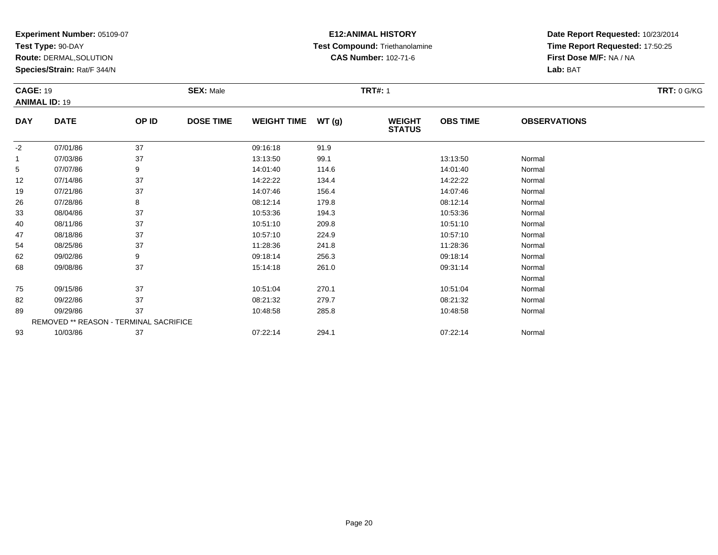**Test Type:** 90-DAY

**Route:** DERMAL,SOLUTION

**Species/Strain:** Rat/F 344/N

# **E12:ANIMAL HISTORY Test Compound:** Triethanolamine**CAS Number:** 102-71-6

|            | <b>CAGE: 19</b><br><b>ANIMAL ID: 19</b> |       | <b>SEX: Male</b> |                    |       |                                | <b>TRT#: 1</b>  |                     |  |  |  |
|------------|-----------------------------------------|-------|------------------|--------------------|-------|--------------------------------|-----------------|---------------------|--|--|--|
| <b>DAY</b> | <b>DATE</b>                             | OP ID | <b>DOSE TIME</b> | <b>WEIGHT TIME</b> | WT(g) | <b>WEIGHT</b><br><b>STATUS</b> | <b>OBS TIME</b> | <b>OBSERVATIONS</b> |  |  |  |
| $-2$       | 07/01/86                                | 37    |                  | 09:16:18           | 91.9  |                                |                 |                     |  |  |  |
| 1          | 07/03/86                                | 37    |                  | 13:13:50           | 99.1  |                                | 13:13:50        | Normal              |  |  |  |
| 5          | 07/07/86                                | 9     |                  | 14:01:40           | 114.6 |                                | 14:01:40        | Normal              |  |  |  |
| 12         | 07/14/86                                | 37    |                  | 14:22:22           | 134.4 |                                | 14:22:22        | Normal              |  |  |  |
| 19         | 07/21/86                                | 37    |                  | 14:07:46           | 156.4 |                                | 14:07:46        | Normal              |  |  |  |
| 26         | 07/28/86                                | 8     |                  | 08:12:14           | 179.8 |                                | 08:12:14        | Normal              |  |  |  |
| 33         | 08/04/86                                | 37    |                  | 10:53:36           | 194.3 |                                | 10:53:36        | Normal              |  |  |  |
| 40         | 08/11/86                                | 37    |                  | 10:51:10           | 209.8 |                                | 10:51:10        | Normal              |  |  |  |
| 47         | 08/18/86                                | 37    |                  | 10:57:10           | 224.9 |                                | 10:57:10        | Normal              |  |  |  |
| 54         | 08/25/86                                | 37    |                  | 11:28:36           | 241.8 |                                | 11:28:36        | Normal              |  |  |  |
| 62         | 09/02/86                                | 9     |                  | 09:18:14           | 256.3 |                                | 09:18:14        | Normal              |  |  |  |
| 68         | 09/08/86                                | 37    |                  | 15:14:18           | 261.0 |                                | 09:31:14        | Normal              |  |  |  |
|            |                                         |       |                  |                    |       |                                |                 | Normal              |  |  |  |
| 75         | 09/15/86                                | 37    |                  | 10:51:04           | 270.1 |                                | 10:51:04        | Normal              |  |  |  |
| 82         | 09/22/86                                | 37    |                  | 08:21:32           | 279.7 |                                | 08:21:32        | Normal              |  |  |  |
| 89         | 09/29/86                                | 37    |                  | 10:48:58           | 285.8 |                                | 10:48:58        | Normal              |  |  |  |
|            | REMOVED ** REASON - TERMINAL SACRIFICE  |       |                  |                    |       |                                |                 |                     |  |  |  |
| 93         | 10/03/86                                | 37    |                  | 07:22:14           | 294.1 |                                | 07:22:14        | Normal              |  |  |  |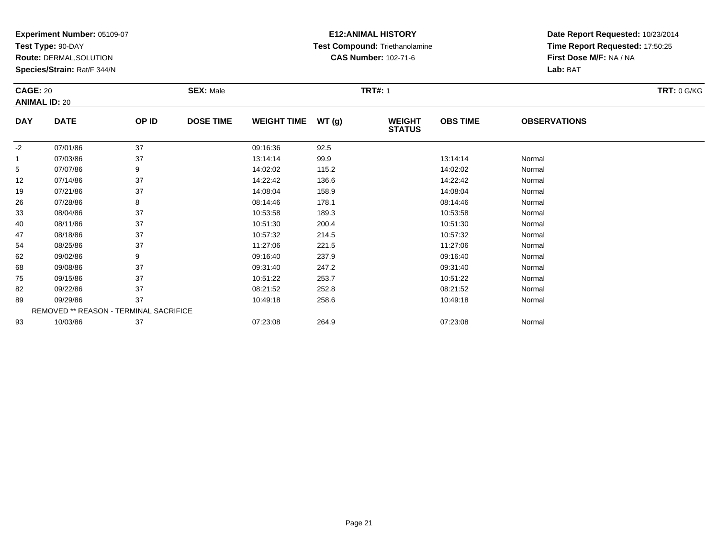**Test Type:** 90-DAY

**Route:** DERMAL,SOLUTION

**Species/Strain:** Rat/F 344/N

# **E12:ANIMAL HISTORY Test Compound:** Triethanolamine**CAS Number:** 102-71-6

**Date Report Requested:** 10/23/2014**Time Report Requested:** 17:50:25**First Dose M/F:** NA / NA**Lab:** BAT

|            | <b>CAGE: 20</b><br><b>ANIMAL ID: 20</b>       |       | <b>SEX: Male</b> |                    |       | <b>TRT#: 1</b>                 |                 |                     |  |  |
|------------|-----------------------------------------------|-------|------------------|--------------------|-------|--------------------------------|-----------------|---------------------|--|--|
|            |                                               |       |                  |                    |       |                                |                 |                     |  |  |
| <b>DAY</b> | <b>DATE</b>                                   | OP ID | <b>DOSE TIME</b> | <b>WEIGHT TIME</b> | WT(g) | <b>WEIGHT</b><br><b>STATUS</b> | <b>OBS TIME</b> | <b>OBSERVATIONS</b> |  |  |
| $-2$       | 07/01/86                                      | 37    |                  | 09:16:36           | 92.5  |                                |                 |                     |  |  |
|            | 07/03/86                                      | 37    |                  | 13:14:14           | 99.9  |                                | 13:14:14        | Normal              |  |  |
| 5          | 07/07/86                                      | 9     |                  | 14:02:02           | 115.2 |                                | 14:02:02        | Normal              |  |  |
| 12         | 07/14/86                                      | 37    |                  | 14:22:42           | 136.6 |                                | 14:22:42        | Normal              |  |  |
| 19         | 07/21/86                                      | 37    |                  | 14:08:04           | 158.9 |                                | 14:08:04        | Normal              |  |  |
| 26         | 07/28/86                                      | 8     |                  | 08:14:46           | 178.1 |                                | 08:14:46        | Normal              |  |  |
| 33         | 08/04/86                                      | 37    |                  | 10:53:58           | 189.3 |                                | 10:53:58        | Normal              |  |  |
| 40         | 08/11/86                                      | 37    |                  | 10:51:30           | 200.4 |                                | 10:51:30        | Normal              |  |  |
| 47         | 08/18/86                                      | 37    |                  | 10:57:32           | 214.5 |                                | 10:57:32        | Normal              |  |  |
| 54         | 08/25/86                                      | 37    |                  | 11:27:06           | 221.5 |                                | 11:27:06        | Normal              |  |  |
| 62         | 09/02/86                                      | 9     |                  | 09:16:40           | 237.9 |                                | 09:16:40        | Normal              |  |  |
| 68         | 09/08/86                                      | 37    |                  | 09:31:40           | 247.2 |                                | 09:31:40        | Normal              |  |  |
| 75         | 09/15/86                                      | 37    |                  | 10:51:22           | 253.7 |                                | 10:51:22        | Normal              |  |  |
| 82         | 09/22/86                                      | 37    |                  | 08:21:52           | 252.8 |                                | 08:21:52        | Normal              |  |  |
| 89         | 09/29/86                                      | 37    |                  | 10:49:18           | 258.6 |                                | 10:49:18        | Normal              |  |  |
|            | <b>REMOVED ** REASON - TERMINAL SACRIFICE</b> |       |                  |                    |       |                                |                 |                     |  |  |
| 93         | 10/03/86                                      | 37    |                  | 07:23:08           | 264.9 |                                | 07:23:08        | Normal              |  |  |

10/03/86 <sup>37</sup> 07:23:08 264.9 07:23:08 Normal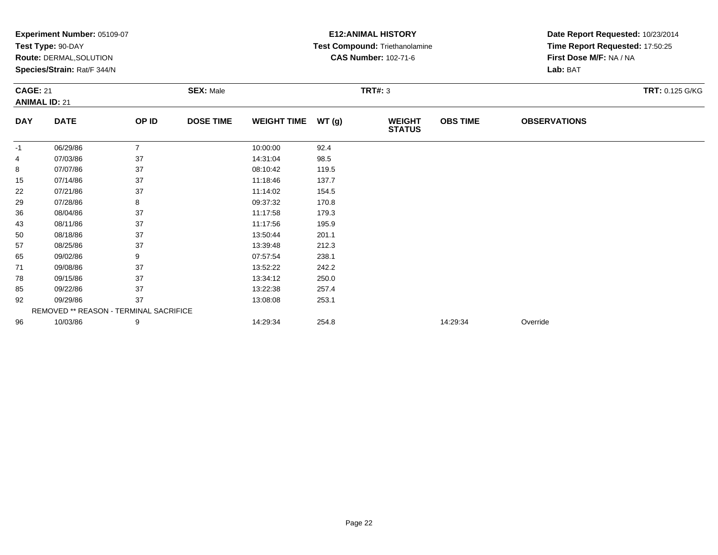|                 | Experiment Number: 05109-07<br>Test Type: 90-DAY       |                |                  |                    |       | <b>E12: ANIMAL HISTORY</b>                                    | Date Report Requested: 10/23/2014<br>Time Report Requested: 17:50:25 |                         |                 |
|-----------------|--------------------------------------------------------|----------------|------------------|--------------------|-------|---------------------------------------------------------------|----------------------------------------------------------------------|-------------------------|-----------------|
|                 |                                                        |                |                  |                    |       | Test Compound: Triethanolamine<br><b>CAS Number: 102-71-6</b> |                                                                      | First Dose M/F: NA / NA |                 |
|                 | Route: DERMAL, SOLUTION<br>Species/Strain: Rat/F 344/N |                |                  |                    |       |                                                               |                                                                      | Lab: BAT                |                 |
|                 |                                                        |                |                  |                    |       |                                                               |                                                                      |                         |                 |
| <b>CAGE: 21</b> |                                                        |                | <b>SEX: Male</b> |                    |       | <b>TRT#: 3</b>                                                |                                                                      |                         | TRT: 0.125 G/KG |
|                 | <b>ANIMAL ID: 21</b>                                   |                |                  |                    |       |                                                               |                                                                      |                         |                 |
| <b>DAY</b>      | <b>DATE</b>                                            | OP ID          | <b>DOSE TIME</b> | <b>WEIGHT TIME</b> | WT(g) | <b>WEIGHT</b><br><b>STATUS</b>                                | <b>OBS TIME</b>                                                      | <b>OBSERVATIONS</b>     |                 |
| -1              | 06/29/86                                               | $\overline{7}$ |                  | 10:00:00           | 92.4  |                                                               |                                                                      |                         |                 |
| 4               | 07/03/86                                               | 37             |                  | 14:31:04           | 98.5  |                                                               |                                                                      |                         |                 |
| 8               | 07/07/86                                               | 37             |                  | 08:10:42           | 119.5 |                                                               |                                                                      |                         |                 |
| 15              | 07/14/86                                               | 37             |                  | 11:18:46           | 137.7 |                                                               |                                                                      |                         |                 |
| 22              | 07/21/86                                               | 37             |                  | 11:14:02           | 154.5 |                                                               |                                                                      |                         |                 |
| 29              | 07/28/86                                               | 8              |                  | 09:37:32           | 170.8 |                                                               |                                                                      |                         |                 |
| 36              | 08/04/86                                               | 37             |                  | 11:17:58           | 179.3 |                                                               |                                                                      |                         |                 |
| 43              | 08/11/86                                               | 37             |                  | 11:17:56           | 195.9 |                                                               |                                                                      |                         |                 |
| 50              | 08/18/86                                               | 37             |                  | 13:50:44           | 201.1 |                                                               |                                                                      |                         |                 |
| 57              | 08/25/86                                               | 37             |                  | 13:39:48           | 212.3 |                                                               |                                                                      |                         |                 |
| 65              | 09/02/86                                               | 9              |                  | 07:57:54           | 238.1 |                                                               |                                                                      |                         |                 |
| 71              | 09/08/86                                               | 37             |                  | 13:52:22           | 242.2 |                                                               |                                                                      |                         |                 |
| 78              | 09/15/86                                               | 37             |                  | 13:34:12           | 250.0 |                                                               |                                                                      |                         |                 |
| 85              | 09/22/86                                               | 37             |                  | 13:22:38           | 257.4 |                                                               |                                                                      |                         |                 |
| 92              | 09/29/86                                               | 37             |                  | 13:08:08           | 253.1 |                                                               |                                                                      |                         |                 |
|                 | <b>REMOVED ** REASON - TERMINAL SACRIFICE</b>          |                |                  |                    |       |                                                               |                                                                      |                         |                 |
| 96              | 10/03/86                                               | 9              |                  | 14:29:34           | 254.8 |                                                               | 14:29:34                                                             | Override                |                 |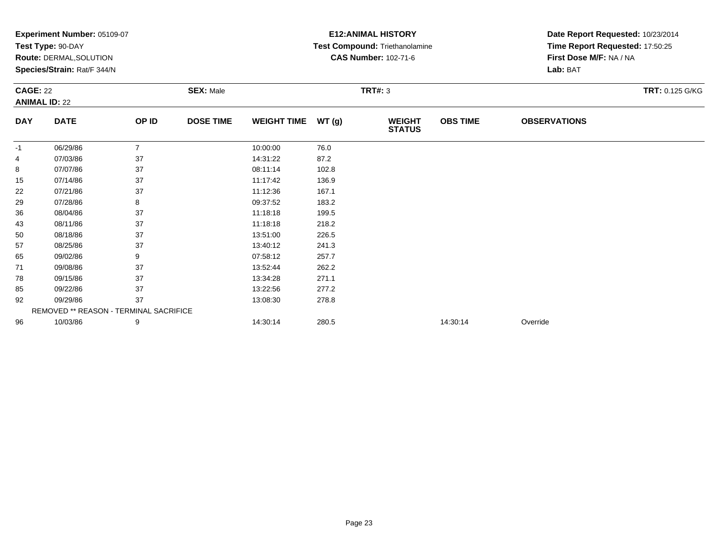|                 | Experiment Number: 05109-07            |                |                  |                    |       | <b>E12: ANIMAL HISTORY</b>     | Date Report Requested: 10/23/2014 |                                 |                        |  |
|-----------------|----------------------------------------|----------------|------------------|--------------------|-------|--------------------------------|-----------------------------------|---------------------------------|------------------------|--|
|                 | Test Type: 90-DAY                      |                |                  |                    |       | Test Compound: Triethanolamine |                                   | Time Report Requested: 17:50:25 |                        |  |
|                 | <b>Route: DERMAL, SOLUTION</b>         |                |                  |                    |       | <b>CAS Number: 102-71-6</b>    |                                   | First Dose M/F: NA / NA         |                        |  |
|                 | Species/Strain: Rat/F 344/N            |                |                  |                    |       |                                |                                   | Lab: BAT                        |                        |  |
| <b>CAGE: 22</b> |                                        |                | <b>SEX: Male</b> |                    |       | <b>TRT#: 3</b>                 |                                   |                                 | <b>TRT: 0.125 G/KG</b> |  |
|                 | <b>ANIMAL ID: 22</b>                   |                |                  |                    |       |                                |                                   |                                 |                        |  |
| <b>DAY</b>      | <b>DATE</b>                            | OP ID          | <b>DOSE TIME</b> | <b>WEIGHT TIME</b> | WT(g) | <b>WEIGHT</b><br><b>STATUS</b> | <b>OBS TIME</b>                   | <b>OBSERVATIONS</b>             |                        |  |
| -1              | 06/29/86                               | $\overline{7}$ |                  | 10:00:00           | 76.0  |                                |                                   |                                 |                        |  |
| 4               | 07/03/86                               | 37             |                  | 14:31:22           | 87.2  |                                |                                   |                                 |                        |  |
| 8               | 07/07/86                               | 37             |                  | 08:11:14           | 102.8 |                                |                                   |                                 |                        |  |
| 15              | 07/14/86                               | 37             |                  | 11:17:42           | 136.9 |                                |                                   |                                 |                        |  |
| 22              | 07/21/86                               | 37             |                  | 11:12:36           | 167.1 |                                |                                   |                                 |                        |  |
| 29              | 07/28/86                               | 8              |                  | 09:37:52           | 183.2 |                                |                                   |                                 |                        |  |
| 36              | 08/04/86                               | 37             |                  | 11:18:18           | 199.5 |                                |                                   |                                 |                        |  |
| 43              | 08/11/86                               | 37             |                  | 11:18:18           | 218.2 |                                |                                   |                                 |                        |  |
| 50              | 08/18/86                               | 37             |                  | 13:51:00           | 226.5 |                                |                                   |                                 |                        |  |
| 57              | 08/25/86                               | 37             |                  | 13:40:12           | 241.3 |                                |                                   |                                 |                        |  |
| 65              | 09/02/86                               | 9              |                  | 07:58:12           | 257.7 |                                |                                   |                                 |                        |  |
| 71              | 09/08/86                               | 37             |                  | 13:52:44           | 262.2 |                                |                                   |                                 |                        |  |
| 78              | 09/15/86                               | 37             |                  | 13:34:28           | 271.1 |                                |                                   |                                 |                        |  |
| 85              | 09/22/86                               | 37             |                  | 13:22:56           | 277.2 |                                |                                   |                                 |                        |  |
| 92              | 09/29/86                               | 37             |                  | 13:08:30           | 278.8 |                                |                                   |                                 |                        |  |
|                 | REMOVED ** REASON - TERMINAL SACRIFICE |                |                  |                    |       |                                |                                   |                                 |                        |  |
| 96              | 10/03/86                               | 9              |                  | 14:30:14           | 280.5 |                                | 14:30:14                          | Override                        |                        |  |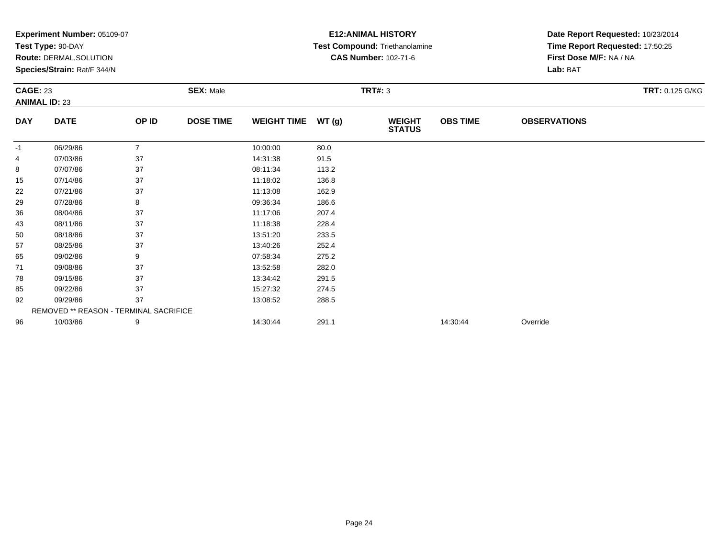|                 | Experiment Number: 05109-07<br>Test Type: 90-DAY              |                |                  |                    |       | <b>E12: ANIMAL HISTORY</b><br>Test Compound: Triethanolamine | Date Report Requested: 10/23/2014<br>Time Report Requested: 17:50:25 |                                     |                 |  |
|-----------------|---------------------------------------------------------------|----------------|------------------|--------------------|-------|--------------------------------------------------------------|----------------------------------------------------------------------|-------------------------------------|-----------------|--|
|                 | <b>Route: DERMAL, SOLUTION</b><br>Species/Strain: Rat/F 344/N |                |                  |                    |       | <b>CAS Number: 102-71-6</b>                                  |                                                                      | First Dose M/F: NA / NA<br>Lab: BAT |                 |  |
| <b>CAGE: 23</b> | <b>ANIMAL ID: 23</b>                                          |                | <b>SEX: Male</b> |                    |       | <b>TRT#: 3</b>                                               |                                                                      |                                     | TRT: 0.125 G/KG |  |
| <b>DAY</b>      | <b>DATE</b>                                                   | OP ID          | <b>DOSE TIME</b> | <b>WEIGHT TIME</b> | WT(g) | <b>WEIGHT</b><br><b>STATUS</b>                               | <b>OBS TIME</b>                                                      | <b>OBSERVATIONS</b>                 |                 |  |
| -1              | 06/29/86                                                      | $\overline{7}$ |                  | 10:00:00           | 80.0  |                                                              |                                                                      |                                     |                 |  |
| 4               | 07/03/86                                                      | 37             |                  | 14:31:38           | 91.5  |                                                              |                                                                      |                                     |                 |  |
| 8               | 07/07/86                                                      | 37             |                  | 08:11:34           | 113.2 |                                                              |                                                                      |                                     |                 |  |
| 15              | 07/14/86                                                      | 37             |                  | 11:18:02           | 136.8 |                                                              |                                                                      |                                     |                 |  |
| 22              | 07/21/86                                                      | 37             |                  | 11:13:08           | 162.9 |                                                              |                                                                      |                                     |                 |  |
| 29              | 07/28/86                                                      | 8              |                  | 09:36:34           | 186.6 |                                                              |                                                                      |                                     |                 |  |
| 36              | 08/04/86                                                      | 37             |                  | 11:17:06           | 207.4 |                                                              |                                                                      |                                     |                 |  |
| 43              | 08/11/86                                                      | 37             |                  | 11:18:38           | 228.4 |                                                              |                                                                      |                                     |                 |  |
| 50              | 08/18/86                                                      | 37             |                  | 13:51:20           | 233.5 |                                                              |                                                                      |                                     |                 |  |
| 57              | 08/25/86                                                      | 37             |                  | 13:40:26           | 252.4 |                                                              |                                                                      |                                     |                 |  |
| 65              | 09/02/86                                                      | 9              |                  | 07:58:34           | 275.2 |                                                              |                                                                      |                                     |                 |  |
| 71              | 09/08/86                                                      | 37             |                  | 13:52:58           | 282.0 |                                                              |                                                                      |                                     |                 |  |
| 78              | 09/15/86                                                      | 37             |                  | 13:34:42           | 291.5 |                                                              |                                                                      |                                     |                 |  |
| 85              | 09/22/86                                                      | 37             |                  | 15:27:32           | 274.5 |                                                              |                                                                      |                                     |                 |  |
| 92              | 09/29/86                                                      | 37             |                  | 13:08:52           | 288.5 |                                                              |                                                                      |                                     |                 |  |
|                 | REMOVED ** REASON - TERMINAL SACRIFICE                        |                |                  |                    |       |                                                              |                                                                      |                                     |                 |  |
| 96              | 10/03/86                                                      | 9              |                  | 14:30:44           | 291.1 |                                                              | 14:30:44                                                             | Override                            |                 |  |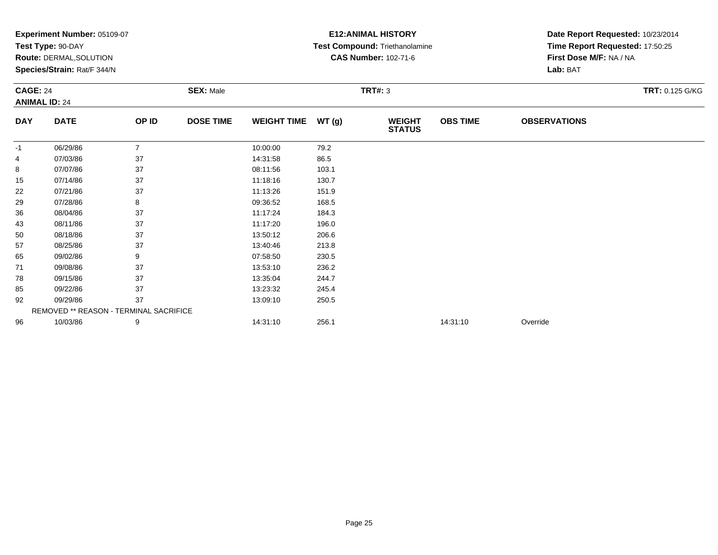|                 | Experiment Number: 05109-07<br>Test Type: 90-DAY |                |                  |                    |       | <b>E12: ANIMAL HISTORY</b><br>Test Compound: Triethanolamine | Date Report Requested: 10/23/2014<br>Time Report Requested: 17:50:25 |                         |  |  |
|-----------------|--------------------------------------------------|----------------|------------------|--------------------|-------|--------------------------------------------------------------|----------------------------------------------------------------------|-------------------------|--|--|
|                 | Route: DERMAL, SOLUTION                          |                |                  |                    |       | <b>CAS Number: 102-71-6</b>                                  |                                                                      | First Dose M/F: NA / NA |  |  |
|                 | Species/Strain: Rat/F 344/N                      |                |                  |                    |       |                                                              |                                                                      | Lab: BAT                |  |  |
| <b>CAGE: 24</b> | <b>ANIMAL ID: 24</b>                             |                | <b>SEX: Male</b> | <b>TRT#: 3</b>     |       |                                                              |                                                                      | <b>TRT: 0.125 G/KG</b>  |  |  |
| <b>DAY</b>      | <b>DATE</b>                                      | OP ID          | <b>DOSE TIME</b> | <b>WEIGHT TIME</b> | WT(g) | <b>WEIGHT</b><br><b>STATUS</b>                               | <b>OBS TIME</b>                                                      | <b>OBSERVATIONS</b>     |  |  |
| -1              | 06/29/86                                         | $\overline{7}$ |                  | 10:00:00           | 79.2  |                                                              |                                                                      |                         |  |  |
| 4               | 07/03/86                                         | 37             |                  | 14:31:58           | 86.5  |                                                              |                                                                      |                         |  |  |
| 8               | 07/07/86                                         | 37             |                  | 08:11:56           | 103.1 |                                                              |                                                                      |                         |  |  |
| 15              | 07/14/86                                         | 37             |                  | 11:18:16           | 130.7 |                                                              |                                                                      |                         |  |  |
| 22              | 07/21/86                                         | 37             |                  | 11:13:26           | 151.9 |                                                              |                                                                      |                         |  |  |
| 29              | 07/28/86                                         | 8              |                  | 09:36:52           | 168.5 |                                                              |                                                                      |                         |  |  |
| 36              | 08/04/86                                         | 37             |                  | 11:17:24           | 184.3 |                                                              |                                                                      |                         |  |  |
| 43              | 08/11/86                                         | 37             |                  | 11:17:20           | 196.0 |                                                              |                                                                      |                         |  |  |
| 50              | 08/18/86                                         | 37             |                  | 13:50:12           | 206.6 |                                                              |                                                                      |                         |  |  |
| 57              | 08/25/86                                         | 37             |                  | 13:40:46           | 213.8 |                                                              |                                                                      |                         |  |  |
| 65              | 09/02/86                                         | 9              |                  | 07:58:50           | 230.5 |                                                              |                                                                      |                         |  |  |
| 71              | 09/08/86                                         | 37             |                  | 13:53:10           | 236.2 |                                                              |                                                                      |                         |  |  |
| 78              | 09/15/86                                         | 37             |                  | 13:35:04           | 244.7 |                                                              |                                                                      |                         |  |  |
| 85              | 09/22/86                                         | 37             |                  | 13:23:32           | 245.4 |                                                              |                                                                      |                         |  |  |
| 92              | 09/29/86                                         | 37             |                  | 13:09:10           | 250.5 |                                                              |                                                                      |                         |  |  |
|                 | REMOVED ** REASON - TERMINAL SACRIFICE           |                |                  |                    |       |                                                              |                                                                      |                         |  |  |
| 96              | 10/03/86                                         | 9              |                  | 14:31:10           | 256.1 |                                                              | 14:31:10                                                             | Override                |  |  |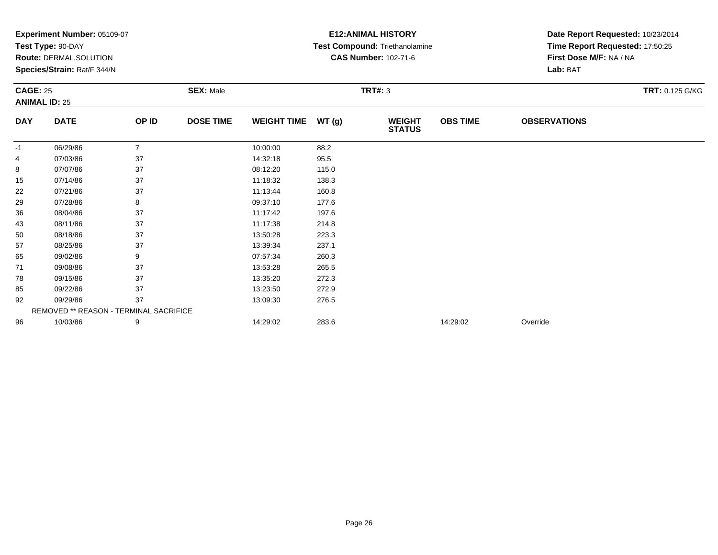|                 | Experiment Number: 05109-07<br>Test Type: 90-DAY |                |                  |                    |       | <b>E12: ANIMAL HISTORY</b>     | Date Report Requested: 10/23/2014<br>Time Report Requested: 17:50:25 |                         |  |  |
|-----------------|--------------------------------------------------|----------------|------------------|--------------------|-------|--------------------------------|----------------------------------------------------------------------|-------------------------|--|--|
|                 |                                                  |                |                  |                    |       | Test Compound: Triethanolamine |                                                                      |                         |  |  |
|                 | Route: DERMAL, SOLUTION                          |                |                  |                    |       | <b>CAS Number: 102-71-6</b>    |                                                                      | First Dose M/F: NA / NA |  |  |
|                 | Species/Strain: Rat/F 344/N                      |                |                  |                    |       |                                |                                                                      | Lab: BAT                |  |  |
| <b>CAGE: 25</b> |                                                  |                | <b>SEX: Male</b> |                    |       | <b>TRT#: 3</b>                 |                                                                      | <b>TRT: 0.125 G/KG</b>  |  |  |
|                 | <b>ANIMAL ID: 25</b>                             |                |                  |                    |       |                                |                                                                      |                         |  |  |
| <b>DAY</b>      | <b>DATE</b>                                      | OP ID          | <b>DOSE TIME</b> | <b>WEIGHT TIME</b> | WT(g) | <b>WEIGHT</b><br><b>STATUS</b> | <b>OBS TIME</b>                                                      | <b>OBSERVATIONS</b>     |  |  |
| -1              | 06/29/86                                         | $\overline{7}$ |                  | 10:00:00           | 88.2  |                                |                                                                      |                         |  |  |
| 4               | 07/03/86                                         | 37             |                  | 14:32:18           | 95.5  |                                |                                                                      |                         |  |  |
| 8               | 07/07/86                                         | 37             |                  | 08:12:20           | 115.0 |                                |                                                                      |                         |  |  |
| 15              | 07/14/86                                         | 37             |                  | 11:18:32           | 138.3 |                                |                                                                      |                         |  |  |
| 22              | 07/21/86                                         | 37             |                  | 11:13:44           | 160.8 |                                |                                                                      |                         |  |  |
| 29              | 07/28/86                                         | 8              |                  | 09:37:10           | 177.6 |                                |                                                                      |                         |  |  |
| 36              | 08/04/86                                         | 37             |                  | 11:17:42           | 197.6 |                                |                                                                      |                         |  |  |
| 43              | 08/11/86                                         | 37             |                  | 11:17:38           | 214.8 |                                |                                                                      |                         |  |  |
| 50              | 08/18/86                                         | 37             |                  | 13:50:28           | 223.3 |                                |                                                                      |                         |  |  |
| 57              | 08/25/86                                         | 37             |                  | 13:39:34           | 237.1 |                                |                                                                      |                         |  |  |
| 65              | 09/02/86                                         | 9              |                  | 07:57:34           | 260.3 |                                |                                                                      |                         |  |  |
| 71              | 09/08/86                                         | 37             |                  | 13:53:28           | 265.5 |                                |                                                                      |                         |  |  |
| 78              | 09/15/86                                         | 37             |                  | 13:35:20           | 272.3 |                                |                                                                      |                         |  |  |
| 85              | 09/22/86                                         | 37             |                  | 13:23:50           | 272.9 |                                |                                                                      |                         |  |  |
| 92              | 09/29/86                                         | 37             |                  | 13:09:30           | 276.5 |                                |                                                                      |                         |  |  |
|                 | REMOVED ** REASON - TERMINAL SACRIFICE           |                |                  |                    |       |                                |                                                                      |                         |  |  |
| 96              | 10/03/86                                         | 9              |                  | 14:29:02           | 283.6 |                                | 14:29:02                                                             | Override                |  |  |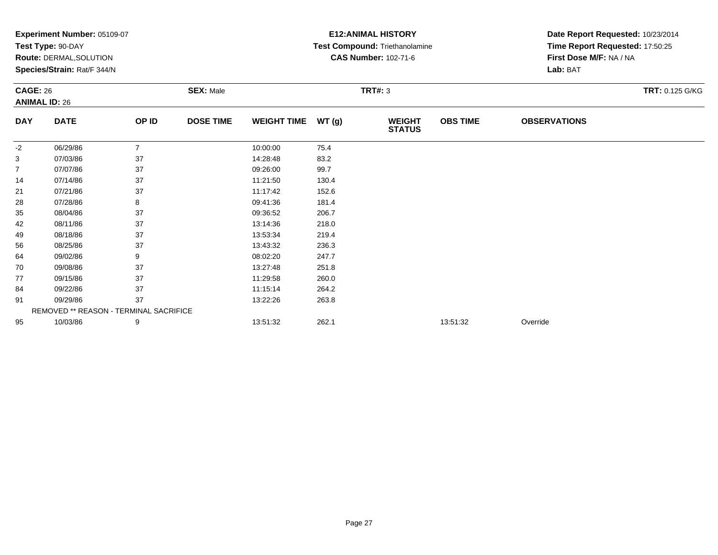|                 | Experiment Number: 05109-07            |                |                  |                    |                | <b>E12: ANIMAL HISTORY</b>     | Date Report Requested: 10/23/2014 |                                 |                        |
|-----------------|----------------------------------------|----------------|------------------|--------------------|----------------|--------------------------------|-----------------------------------|---------------------------------|------------------------|
|                 | Test Type: 90-DAY                      |                |                  |                    |                | Test Compound: Triethanolamine |                                   | Time Report Requested: 17:50:25 |                        |
|                 | Route: DERMAL, SOLUTION                |                |                  |                    |                | <b>CAS Number: 102-71-6</b>    |                                   | First Dose M/F: NA / NA         |                        |
|                 | Species/Strain: Rat/F 344/N            |                |                  |                    |                |                                |                                   | Lab: BAT                        |                        |
| <b>CAGE: 26</b> |                                        |                | <b>SEX: Male</b> |                    | <b>TRT#: 3</b> |                                |                                   |                                 | <b>TRT: 0.125 G/KG</b> |
|                 | <b>ANIMAL ID: 26</b>                   |                |                  |                    |                |                                |                                   |                                 |                        |
| <b>DAY</b>      | <b>DATE</b>                            | OP ID          | <b>DOSE TIME</b> | <b>WEIGHT TIME</b> | WT(g)          | <b>WEIGHT</b><br><b>STATUS</b> | <b>OBS TIME</b>                   | <b>OBSERVATIONS</b>             |                        |
| -2              | 06/29/86                               | $\overline{7}$ |                  | 10:00:00           | 75.4           |                                |                                   |                                 |                        |
| 3               | 07/03/86                               | 37             |                  | 14:28:48           | 83.2           |                                |                                   |                                 |                        |
| $\overline{7}$  | 07/07/86                               | 37             |                  | 09:26:00           | 99.7           |                                |                                   |                                 |                        |
| 14              | 07/14/86                               | 37             |                  | 11:21:50           | 130.4          |                                |                                   |                                 |                        |
| 21              | 07/21/86                               | 37             |                  | 11:17:42           | 152.6          |                                |                                   |                                 |                        |
| 28              | 07/28/86                               | 8              |                  | 09:41:36           | 181.4          |                                |                                   |                                 |                        |
| 35              | 08/04/86                               | 37             |                  | 09:36:52           | 206.7          |                                |                                   |                                 |                        |
| 42              | 08/11/86                               | 37             |                  | 13:14:36           | 218.0          |                                |                                   |                                 |                        |
| 49              | 08/18/86                               | 37             |                  | 13:53:34           | 219.4          |                                |                                   |                                 |                        |
| 56              | 08/25/86                               | 37             |                  | 13:43:32           | 236.3          |                                |                                   |                                 |                        |
| 64              | 09/02/86                               | 9              |                  | 08:02:20           | 247.7          |                                |                                   |                                 |                        |
| 70              | 09/08/86                               | 37             |                  | 13:27:48           | 251.8          |                                |                                   |                                 |                        |
| 77              | 09/15/86                               | 37             |                  | 11:29:58           | 260.0          |                                |                                   |                                 |                        |
| 84              | 09/22/86                               | 37             |                  | 11:15:14           | 264.2          |                                |                                   |                                 |                        |
| 91              | 09/29/86                               | 37             |                  | 13:22:26           | 263.8          |                                |                                   |                                 |                        |
|                 | REMOVED ** REASON - TERMINAL SACRIFICE |                |                  |                    |                |                                |                                   |                                 |                        |
| 95              | 10/03/86                               | 9              |                  | 13:51:32           | 262.1          |                                | 13:51:32                          | Override                        |                        |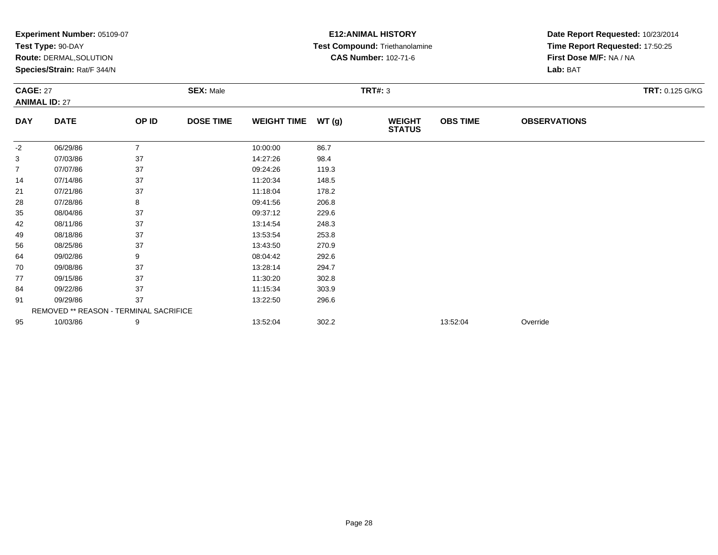|                 | Experiment Number: 05109-07<br>Test Type: 90-DAY |                |                  |                    |       | <b>E12: ANIMAL HISTORY</b>     | Date Report Requested: 10/23/2014 |                                 |                 |  |
|-----------------|--------------------------------------------------|----------------|------------------|--------------------|-------|--------------------------------|-----------------------------------|---------------------------------|-----------------|--|
|                 |                                                  |                |                  |                    |       | Test Compound: Triethanolamine |                                   | Time Report Requested: 17:50:25 |                 |  |
|                 | Route: DERMAL, SOLUTION                          |                |                  |                    |       | <b>CAS Number: 102-71-6</b>    |                                   | First Dose M/F: NA / NA         |                 |  |
|                 | Species/Strain: Rat/F 344/N                      |                |                  |                    |       |                                |                                   | Lab: BAT                        |                 |  |
| <b>CAGE: 27</b> |                                                  |                | <b>SEX: Male</b> |                    |       | <b>TRT#: 3</b>                 |                                   |                                 | TRT: 0.125 G/KG |  |
|                 | <b>ANIMAL ID: 27</b>                             |                |                  |                    |       |                                |                                   |                                 |                 |  |
| <b>DAY</b>      | <b>DATE</b>                                      | OP ID          | <b>DOSE TIME</b> | <b>WEIGHT TIME</b> | WT(g) | <b>WEIGHT</b><br><b>STATUS</b> | <b>OBS TIME</b>                   | <b>OBSERVATIONS</b>             |                 |  |
| -2              | 06/29/86                                         | $\overline{7}$ |                  | 10:00:00           | 86.7  |                                |                                   |                                 |                 |  |
| 3               | 07/03/86                                         | 37             |                  | 14:27:26           | 98.4  |                                |                                   |                                 |                 |  |
| $\overline{7}$  | 07/07/86                                         | 37             |                  | 09:24:26           | 119.3 |                                |                                   |                                 |                 |  |
| 14              | 07/14/86                                         | 37             |                  | 11:20:34           | 148.5 |                                |                                   |                                 |                 |  |
| 21              | 07/21/86                                         | 37             |                  | 11:18:04           | 178.2 |                                |                                   |                                 |                 |  |
| 28              | 07/28/86                                         | 8              |                  | 09:41:56           | 206.8 |                                |                                   |                                 |                 |  |
| 35              | 08/04/86                                         | 37             |                  | 09:37:12           | 229.6 |                                |                                   |                                 |                 |  |
| 42              | 08/11/86                                         | 37             |                  | 13:14:54           | 248.3 |                                |                                   |                                 |                 |  |
| 49              | 08/18/86                                         | 37             |                  | 13:53:54           | 253.8 |                                |                                   |                                 |                 |  |
| 56              | 08/25/86                                         | 37             |                  | 13:43:50           | 270.9 |                                |                                   |                                 |                 |  |
| 64              | 09/02/86                                         | 9              |                  | 08:04:42           | 292.6 |                                |                                   |                                 |                 |  |
| 70              | 09/08/86                                         | 37             |                  | 13:28:14           | 294.7 |                                |                                   |                                 |                 |  |
| 77              | 09/15/86                                         | 37             |                  | 11:30:20           | 302.8 |                                |                                   |                                 |                 |  |
| 84              | 09/22/86                                         | 37             |                  | 11:15:34           | 303.9 |                                |                                   |                                 |                 |  |
| 91              | 09/29/86                                         | 37             |                  | 13:22:50           | 296.6 |                                |                                   |                                 |                 |  |
|                 | REMOVED ** REASON - TERMINAL SACRIFICE           |                |                  |                    |       |                                |                                   |                                 |                 |  |
| 95              | 10/03/86                                         | 9              |                  | 13:52:04           | 302.2 |                                | 13:52:04                          | Override                        |                 |  |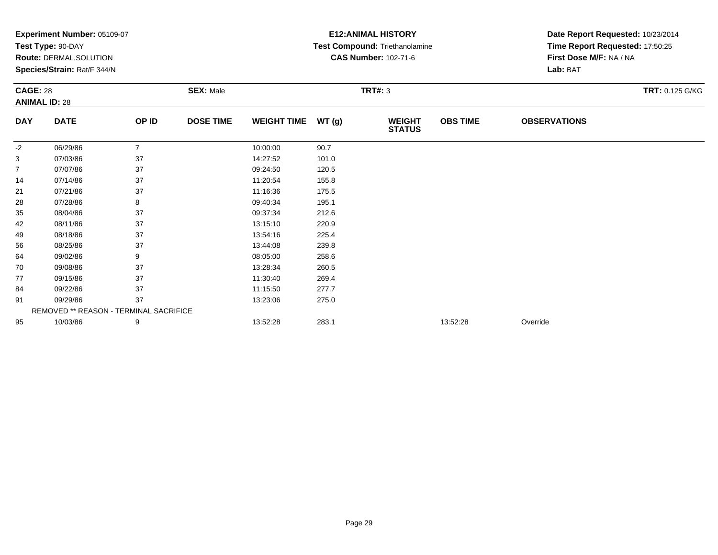|                 | Experiment Number: 05109-07            |                |                  |                    |       | <b>E12: ANIMAL HISTORY</b>     | Date Report Requested: 10/23/2014 |                                 |                        |  |
|-----------------|----------------------------------------|----------------|------------------|--------------------|-------|--------------------------------|-----------------------------------|---------------------------------|------------------------|--|
|                 | Test Type: 90-DAY                      |                |                  |                    |       | Test Compound: Triethanolamine |                                   | Time Report Requested: 17:50:25 |                        |  |
|                 | <b>Route: DERMAL, SOLUTION</b>         |                |                  |                    |       | <b>CAS Number: 102-71-6</b>    |                                   | First Dose M/F: NA / NA         |                        |  |
|                 | Species/Strain: Rat/F 344/N            |                |                  |                    |       |                                |                                   | Lab: BAT                        |                        |  |
| <b>CAGE: 28</b> |                                        |                | <b>SEX: Male</b> |                    |       | <b>TRT#: 3</b>                 |                                   |                                 | <b>TRT: 0.125 G/KG</b> |  |
|                 | <b>ANIMAL ID: 28</b>                   |                |                  |                    |       |                                |                                   |                                 |                        |  |
| <b>DAY</b>      | <b>DATE</b>                            | OP ID          | <b>DOSE TIME</b> | <b>WEIGHT TIME</b> | WT(g) | <b>WEIGHT</b><br><b>STATUS</b> | <b>OBS TIME</b>                   | <b>OBSERVATIONS</b>             |                        |  |
| $-2$            | 06/29/86                               | $\overline{7}$ |                  | 10:00:00           | 90.7  |                                |                                   |                                 |                        |  |
| 3               | 07/03/86                               | 37             |                  | 14:27:52           | 101.0 |                                |                                   |                                 |                        |  |
| $\overline{7}$  | 07/07/86                               | 37             |                  | 09:24:50           | 120.5 |                                |                                   |                                 |                        |  |
| 14              | 07/14/86                               | 37             |                  | 11:20:54           | 155.8 |                                |                                   |                                 |                        |  |
| 21              | 07/21/86                               | 37             |                  | 11:16:36           | 175.5 |                                |                                   |                                 |                        |  |
| 28              | 07/28/86                               | 8              |                  | 09:40:34           | 195.1 |                                |                                   |                                 |                        |  |
| 35              | 08/04/86                               | 37             |                  | 09:37:34           | 212.6 |                                |                                   |                                 |                        |  |
| 42              | 08/11/86                               | 37             |                  | 13:15:10           | 220.9 |                                |                                   |                                 |                        |  |
| 49              | 08/18/86                               | 37             |                  | 13:54:16           | 225.4 |                                |                                   |                                 |                        |  |
| 56              | 08/25/86                               | 37             |                  | 13:44:08           | 239.8 |                                |                                   |                                 |                        |  |
| 64              | 09/02/86                               | 9              |                  | 08:05:00           | 258.6 |                                |                                   |                                 |                        |  |
| 70              | 09/08/86                               | 37             |                  | 13:28:34           | 260.5 |                                |                                   |                                 |                        |  |
| 77              | 09/15/86                               | 37             |                  | 11:30:40           | 269.4 |                                |                                   |                                 |                        |  |
| 84              | 09/22/86                               | 37             |                  | 11:15:50           | 277.7 |                                |                                   |                                 |                        |  |
| 91              | 09/29/86                               | 37             |                  | 13:23:06           | 275.0 |                                |                                   |                                 |                        |  |
|                 | REMOVED ** REASON - TERMINAL SACRIFICE |                |                  |                    |       |                                |                                   |                                 |                        |  |
| 95              | 10/03/86                               | 9              |                  | 13:52:28           | 283.1 |                                | 13:52:28                          | Override                        |                        |  |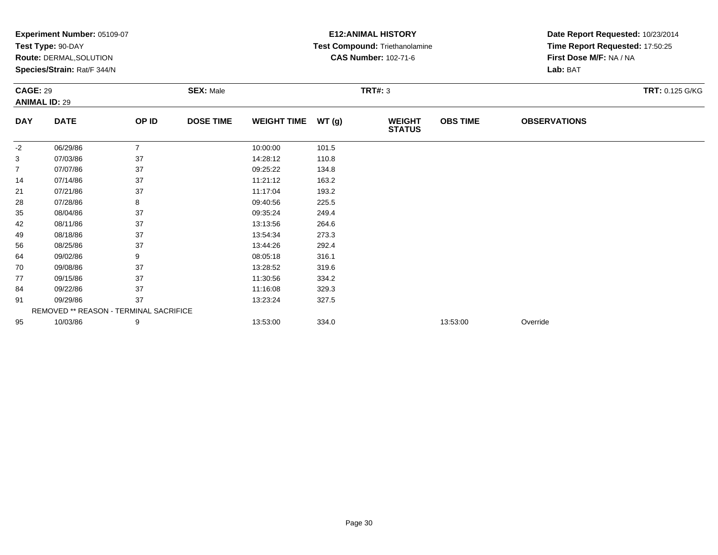|                 | Experiment Number: 05109-07            |                |                  |                    |       | <b>E12: ANIMAL HISTORY</b>     | Date Report Requested: 10/23/2014 |                                 |                        |  |
|-----------------|----------------------------------------|----------------|------------------|--------------------|-------|--------------------------------|-----------------------------------|---------------------------------|------------------------|--|
|                 | Test Type: 90-DAY                      |                |                  |                    |       | Test Compound: Triethanolamine |                                   | Time Report Requested: 17:50:25 |                        |  |
|                 | <b>Route: DERMAL, SOLUTION</b>         |                |                  |                    |       | <b>CAS Number: 102-71-6</b>    |                                   | First Dose M/F: NA / NA         |                        |  |
|                 | Species/Strain: Rat/F 344/N            |                |                  |                    |       |                                |                                   | Lab: BAT                        |                        |  |
| <b>CAGE: 29</b> |                                        |                | <b>SEX: Male</b> |                    |       | <b>TRT#: 3</b>                 |                                   |                                 | <b>TRT: 0.125 G/KG</b> |  |
|                 | <b>ANIMAL ID: 29</b>                   |                |                  |                    |       |                                |                                   |                                 |                        |  |
| <b>DAY</b>      | <b>DATE</b>                            | OP ID          | <b>DOSE TIME</b> | <b>WEIGHT TIME</b> | WT(g) | <b>WEIGHT</b><br><b>STATUS</b> | <b>OBS TIME</b>                   | <b>OBSERVATIONS</b>             |                        |  |
| $-2$            | 06/29/86                               | $\overline{7}$ |                  | 10:00:00           | 101.5 |                                |                                   |                                 |                        |  |
| 3               | 07/03/86                               | 37             |                  | 14:28:12           | 110.8 |                                |                                   |                                 |                        |  |
| $\overline{7}$  | 07/07/86                               | 37             |                  | 09:25:22           | 134.8 |                                |                                   |                                 |                        |  |
| 14              | 07/14/86                               | 37             |                  | 11:21:12           | 163.2 |                                |                                   |                                 |                        |  |
| 21              | 07/21/86                               | 37             |                  | 11:17:04           | 193.2 |                                |                                   |                                 |                        |  |
| 28              | 07/28/86                               | 8              |                  | 09:40:56           | 225.5 |                                |                                   |                                 |                        |  |
| 35              | 08/04/86                               | 37             |                  | 09:35:24           | 249.4 |                                |                                   |                                 |                        |  |
| 42              | 08/11/86                               | 37             |                  | 13:13:56           | 264.6 |                                |                                   |                                 |                        |  |
| 49              | 08/18/86                               | 37             |                  | 13:54:34           | 273.3 |                                |                                   |                                 |                        |  |
| 56              | 08/25/86                               | 37             |                  | 13:44:26           | 292.4 |                                |                                   |                                 |                        |  |
| 64              | 09/02/86                               | 9              |                  | 08:05:18           | 316.1 |                                |                                   |                                 |                        |  |
| 70              | 09/08/86                               | 37             |                  | 13:28:52           | 319.6 |                                |                                   |                                 |                        |  |
| 77              | 09/15/86                               | 37             |                  | 11:30:56           | 334.2 |                                |                                   |                                 |                        |  |
| 84              | 09/22/86                               | 37             |                  | 11:16:08           | 329.3 |                                |                                   |                                 |                        |  |
| 91              | 09/29/86                               | 37             |                  | 13:23:24           | 327.5 |                                |                                   |                                 |                        |  |
|                 | REMOVED ** REASON - TERMINAL SACRIFICE |                |                  |                    |       |                                |                                   |                                 |                        |  |
| 95              | 10/03/86                               | 9              |                  | 13:53:00           | 334.0 |                                | 13:53:00                          | Override                        |                        |  |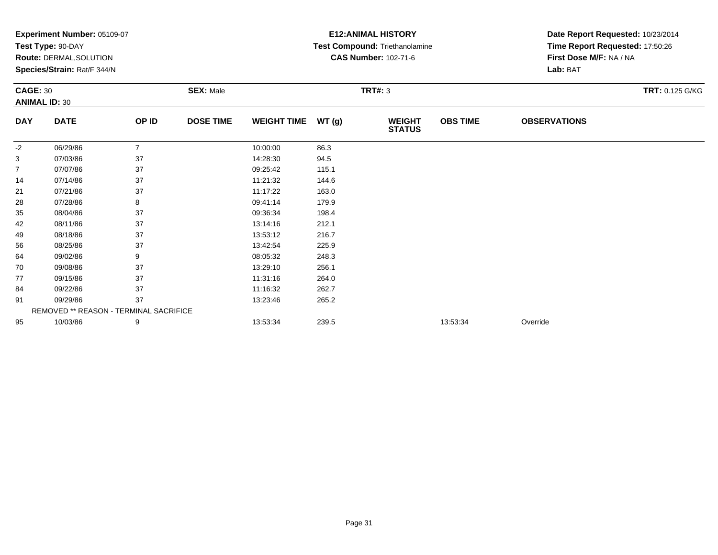|                 | Experiment Number: 05109-07            |                |                  | <b>E12: ANIMAL HISTORY</b> | Date Report Requested: 10/23/2014 |                                |                 |                                 |                        |  |
|-----------------|----------------------------------------|----------------|------------------|----------------------------|-----------------------------------|--------------------------------|-----------------|---------------------------------|------------------------|--|
|                 | Test Type: 90-DAY                      |                |                  |                            |                                   | Test Compound: Triethanolamine |                 | Time Report Requested: 17:50:26 |                        |  |
|                 | <b>Route: DERMAL, SOLUTION</b>         |                |                  |                            |                                   | <b>CAS Number: 102-71-6</b>    |                 | First Dose M/F: NA / NA         |                        |  |
|                 | Species/Strain: Rat/F 344/N            |                |                  |                            |                                   |                                |                 | Lab: BAT                        |                        |  |
| <b>CAGE: 30</b> | <b>ANIMAL ID: 30</b>                   |                | <b>SEX: Male</b> |                            |                                   | <b>TRT#: 3</b>                 |                 |                                 | <b>TRT: 0.125 G/KG</b> |  |
| <b>DAY</b>      | <b>DATE</b>                            | OP ID          | <b>DOSE TIME</b> | <b>WEIGHT TIME</b>         | WT(g)                             | <b>WEIGHT</b><br><b>STATUS</b> | <b>OBS TIME</b> | <b>OBSERVATIONS</b>             |                        |  |
| -2              | 06/29/86                               | $\overline{7}$ |                  | 10:00:00                   | 86.3                              |                                |                 |                                 |                        |  |
| 3               | 07/03/86                               | 37             |                  | 14:28:30                   | 94.5                              |                                |                 |                                 |                        |  |
| $\overline{7}$  | 07/07/86                               | 37             |                  | 09:25:42                   | 115.1                             |                                |                 |                                 |                        |  |
| 14              | 07/14/86                               | 37             |                  | 11:21:32                   | 144.6                             |                                |                 |                                 |                        |  |
| 21              | 07/21/86                               | 37             |                  | 11:17:22                   | 163.0                             |                                |                 |                                 |                        |  |
| 28              | 07/28/86                               | 8              |                  | 09:41:14                   | 179.9                             |                                |                 |                                 |                        |  |
| 35              | 08/04/86                               | 37             |                  | 09:36:34                   | 198.4                             |                                |                 |                                 |                        |  |
| 42              | 08/11/86                               | 37             |                  | 13:14:16                   | 212.1                             |                                |                 |                                 |                        |  |
| 49              | 08/18/86                               | 37             |                  | 13:53:12                   | 216.7                             |                                |                 |                                 |                        |  |
| 56              | 08/25/86                               | 37             |                  | 13:42:54                   | 225.9                             |                                |                 |                                 |                        |  |
| 64              | 09/02/86                               | 9              |                  | 08:05:32                   | 248.3                             |                                |                 |                                 |                        |  |
| 70              | 09/08/86                               | 37             |                  | 13:29:10                   | 256.1                             |                                |                 |                                 |                        |  |
| 77              | 09/15/86                               | 37             |                  | 11:31:16                   | 264.0                             |                                |                 |                                 |                        |  |
| 84              | 09/22/86                               | 37             |                  | 11:16:32                   | 262.7                             |                                |                 |                                 |                        |  |
| 91              | 09/29/86                               | 37             |                  | 13:23:46                   | 265.2                             |                                |                 |                                 |                        |  |
|                 | REMOVED ** REASON - TERMINAL SACRIFICE |                |                  |                            |                                   |                                |                 |                                 |                        |  |
| 95              | 10/03/86                               | 9              |                  | 13:53:34                   | 239.5                             |                                | 13:53:34        | Override                        |                        |  |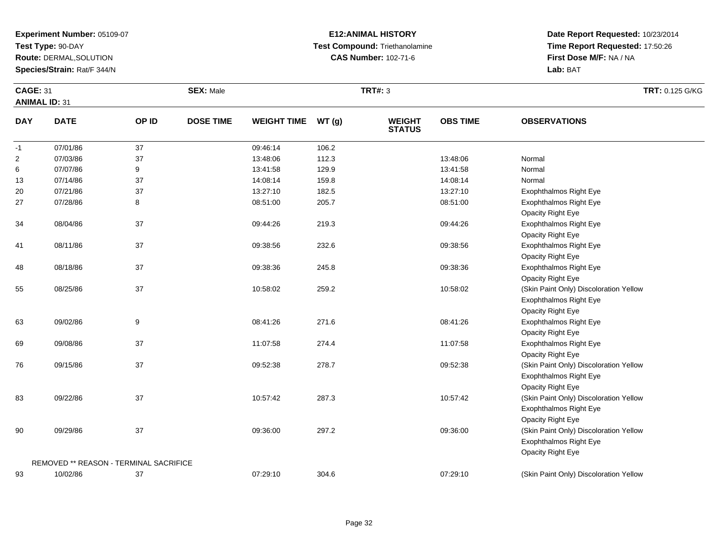**Test Type:** 90-DAY

**Route:** DERMAL,SOLUTION

**Species/Strain:** Rat/F 344/N

#### **E12:ANIMAL HISTORY Test Compound:** Triethanolamine**CAS Number:** 102-71-6

| <b>CAGE: 31</b> |                                        |       | <b>SEX: Male</b> |                    |       | <b>TRT#: 3</b>                 |                 |                                        | TRT: 0.125 G/KG |
|-----------------|----------------------------------------|-------|------------------|--------------------|-------|--------------------------------|-----------------|----------------------------------------|-----------------|
|                 | <b>ANIMAL ID: 31</b>                   |       |                  |                    |       |                                |                 |                                        |                 |
| <b>DAY</b>      | <b>DATE</b>                            | OP ID | <b>DOSE TIME</b> | <b>WEIGHT TIME</b> | WT(g) | <b>WEIGHT</b><br><b>STATUS</b> | <b>OBS TIME</b> | <b>OBSERVATIONS</b>                    |                 |
| $-1$            | 07/01/86                               | 37    |                  | 09:46:14           | 106.2 |                                |                 |                                        |                 |
| $\overline{c}$  | 07/03/86                               | 37    |                  | 13:48:06           | 112.3 |                                | 13:48:06        | Normal                                 |                 |
| 6               | 07/07/86                               | 9     |                  | 13:41:58           | 129.9 |                                | 13:41:58        | Normal                                 |                 |
| 13              | 07/14/86                               | 37    |                  | 14:08:14           | 159.8 |                                | 14:08:14        | Normal                                 |                 |
| 20              | 07/21/86                               | 37    |                  | 13:27:10           | 182.5 |                                | 13:27:10        | <b>Exophthalmos Right Eye</b>          |                 |
| 27              | 07/28/86                               | 8     |                  | 08:51:00           | 205.7 |                                | 08:51:00        | <b>Exophthalmos Right Eye</b>          |                 |
|                 |                                        |       |                  |                    |       |                                |                 | Opacity Right Eye                      |                 |
| 34              | 08/04/86                               | 37    |                  | 09:44:26           | 219.3 |                                | 09:44:26        | Exophthalmos Right Eye                 |                 |
|                 |                                        |       |                  |                    |       |                                |                 | Opacity Right Eye                      |                 |
| 41              | 08/11/86                               | 37    |                  | 09:38:56           | 232.6 |                                | 09:38:56        | Exophthalmos Right Eye                 |                 |
|                 |                                        |       |                  |                    |       |                                |                 | Opacity Right Eye                      |                 |
| 48              | 08/18/86                               | 37    |                  | 09:38:36           | 245.8 |                                | 09:38:36        | Exophthalmos Right Eye                 |                 |
|                 |                                        |       |                  |                    |       |                                |                 | Opacity Right Eye                      |                 |
| 55              | 08/25/86                               | 37    |                  | 10:58:02           | 259.2 |                                | 10:58:02        | (Skin Paint Only) Discoloration Yellow |                 |
|                 |                                        |       |                  |                    |       |                                |                 | Exophthalmos Right Eye                 |                 |
|                 |                                        |       |                  |                    |       |                                |                 | Opacity Right Eye                      |                 |
| 63              | 09/02/86                               | 9     |                  | 08:41:26           | 271.6 |                                | 08:41:26        | Exophthalmos Right Eye                 |                 |
|                 |                                        |       |                  |                    |       |                                |                 | Opacity Right Eye                      |                 |
| 69              | 09/08/86                               | 37    |                  | 11:07:58           | 274.4 |                                | 11:07:58        | Exophthalmos Right Eye                 |                 |
|                 |                                        |       |                  |                    |       |                                |                 | Opacity Right Eye                      |                 |
| 76              | 09/15/86                               | 37    |                  | 09:52:38           | 278.7 |                                | 09:52:38        | (Skin Paint Only) Discoloration Yellow |                 |
|                 |                                        |       |                  |                    |       |                                |                 | Exophthalmos Right Eye                 |                 |
|                 |                                        |       |                  |                    |       |                                |                 | Opacity Right Eye                      |                 |
| 83              | 09/22/86                               | 37    |                  | 10:57:42           | 287.3 |                                | 10:57:42        | (Skin Paint Only) Discoloration Yellow |                 |
|                 |                                        |       |                  |                    |       |                                |                 | Exophthalmos Right Eye                 |                 |
|                 |                                        |       |                  |                    |       |                                |                 | Opacity Right Eye                      |                 |
| $90\,$          | 09/29/86                               | 37    |                  | 09:36:00           | 297.2 |                                | 09:36:00        | (Skin Paint Only) Discoloration Yellow |                 |
|                 |                                        |       |                  |                    |       |                                |                 | Exophthalmos Right Eye                 |                 |
|                 |                                        |       |                  |                    |       |                                |                 | Opacity Right Eye                      |                 |
|                 | REMOVED ** REASON - TERMINAL SACRIFICE |       |                  |                    |       |                                |                 |                                        |                 |
| 93              | 10/02/86                               | 37    |                  | 07:29:10           | 304.6 |                                | 07:29:10        | (Skin Paint Only) Discoloration Yellow |                 |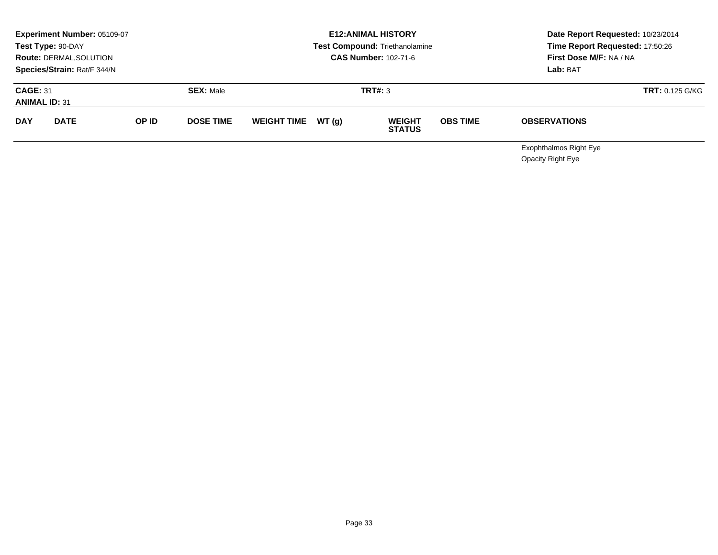|                                         | <b>Experiment Number: 05109-07</b><br>Test Type: 90-DAY<br><b>Route: DERMAL, SOLUTION</b><br>Species/Strain: Rat/F 344/N |  |                  | <b>E12: ANIMAL HISTORY</b><br>Test Compound: Triethanolamine<br><b>CAS Number: 102-71-6</b> |  |                                |                 | Date Report Requested: 10/23/2014<br>Time Report Requested: 17:50:26<br>First Dose M/F: NA / NA<br>Lab: BAT |  |
|-----------------------------------------|--------------------------------------------------------------------------------------------------------------------------|--|------------------|---------------------------------------------------------------------------------------------|--|--------------------------------|-----------------|-------------------------------------------------------------------------------------------------------------|--|
| <b>CAGE: 31</b><br><b>ANIMAL ID: 31</b> |                                                                                                                          |  | <b>SEX: Male</b> |                                                                                             |  | <b>TRT#: 3</b>                 |                 | <b>TRT: 0.125 G/KG</b>                                                                                      |  |
| <b>DAY</b><br><b>DATE</b><br>OP ID      |                                                                                                                          |  | <b>DOSE TIME</b> | WEIGHT TIME $WT(q)$                                                                         |  | <b>WEIGHT</b><br><b>STATUS</b> | <b>OBS TIME</b> | <b>OBSERVATIONS</b>                                                                                         |  |
|                                         |                                                                                                                          |  |                  |                                                                                             |  |                                |                 | <b>Exophthalmos Right Eye</b>                                                                               |  |

Opacity Right Eye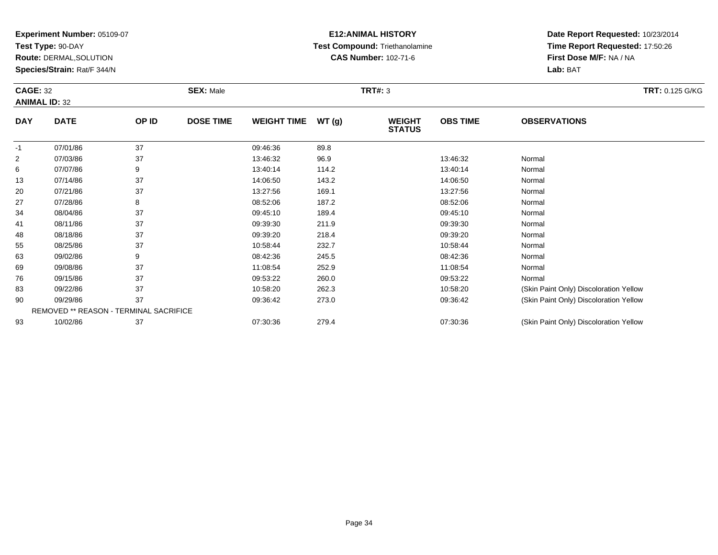**Test Type:** 90-DAY

93

**Route:** DERMAL,SOLUTION

**Species/Strain:** Rat/F 344/N

REMOVED \*\* REASON - TERMINAL SACRIFICE

# **E12:ANIMAL HISTORY Test Compound:** Triethanolamine**CAS Number:** 102-71-6

**Date Report Requested:** 10/23/2014**Time Report Requested:** 17:50:26**First Dose M/F:** NA / NA**Lab:** BAT

| <b>CAGE: 32</b><br><b>ANIMAL ID: 32</b> |             |       | <b>SEX: Male</b> |                    |       | <b>TRT: 0.125 G/KG</b>         |                 |                                        |  |
|-----------------------------------------|-------------|-------|------------------|--------------------|-------|--------------------------------|-----------------|----------------------------------------|--|
| <b>DAY</b>                              | <b>DATE</b> | OP ID | <b>DOSE TIME</b> | <b>WEIGHT TIME</b> | WT(g) | <b>WEIGHT</b><br><b>STATUS</b> | <b>OBS TIME</b> | <b>OBSERVATIONS</b>                    |  |
| $-1$                                    | 07/01/86    | 37    |                  | 09:46:36           | 89.8  |                                |                 |                                        |  |
| $\overline{2}$                          | 07/03/86    | 37    |                  | 13:46:32           | 96.9  |                                | 13:46:32        | Normal                                 |  |
| 6                                       | 07/07/86    | 9     |                  | 13:40:14           | 114.2 |                                | 13:40:14        | Normal                                 |  |
| 13                                      | 07/14/86    | 37    |                  | 14:06:50           | 143.2 |                                | 14:06:50        | Normal                                 |  |
| 20                                      | 07/21/86    | 37    |                  | 13:27:56           | 169.1 |                                | 13:27:56        | Normal                                 |  |
| 27                                      | 07/28/86    | 8     |                  | 08:52:06           | 187.2 |                                | 08:52:06        | Normal                                 |  |
| 34                                      | 08/04/86    | 37    |                  | 09:45:10           | 189.4 |                                | 09:45:10        | Normal                                 |  |
| 41                                      | 08/11/86    | 37    |                  | 09:39:30           | 211.9 |                                | 09:39:30        | Normal                                 |  |
| 48                                      | 08/18/86    | 37    |                  | 09:39:20           | 218.4 |                                | 09:39:20        | Normal                                 |  |
| 55                                      | 08/25/86    | 37    |                  | 10:58:44           | 232.7 |                                | 10:58:44        | Normal                                 |  |
| 63                                      | 09/02/86    | 9     |                  | 08:42:36           | 245.5 |                                | 08:42:36        | Normal                                 |  |
| 69                                      | 09/08/86    | 37    |                  | 11:08:54           | 252.9 |                                | 11:08:54        | Normal                                 |  |
| 76                                      | 09/15/86    | 37    |                  | 09:53:22           | 260.0 |                                | 09:53:22        | Normal                                 |  |
| 83                                      | 09/22/86    | 37    |                  | 10:58:20           | 262.3 |                                | 10:58:20        | (Skin Paint Only) Discoloration Yellow |  |
| 90                                      | 09/29/86    | 37    |                  | 09:36:42           | 273.0 |                                | 09:36:42        | (Skin Paint Only) Discoloration Yellow |  |

09/29/86 <sup>37</sup> 09:36:42 273.0 09:36:42 (Skin Paint Only) Discoloration Yellow

10/02/86 <sup>37</sup> 07:30:36 279.4 07:30:36 (Skin Paint Only) Discoloration Yellow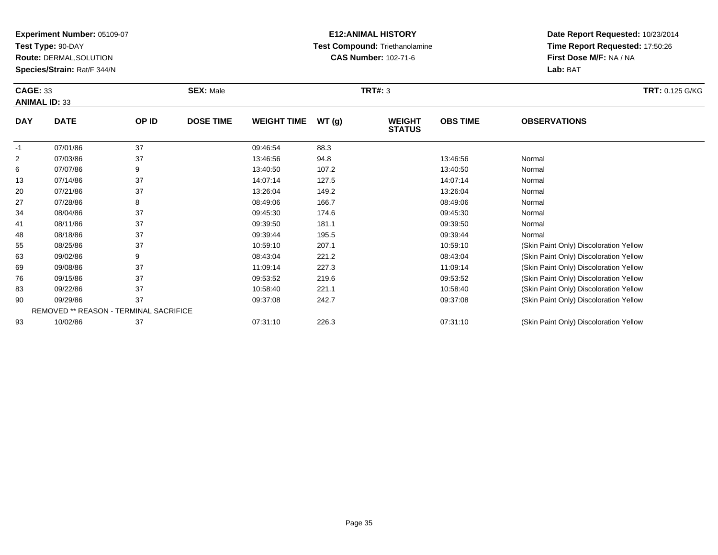**Test Type:** 90-DAY

69

76

83

90

93

**Route:** DERMAL,SOLUTION

**Species/Strain:** Rat/F 344/N

REMOVED \*\* REASON - TERMINAL SACRIFICE

#### **E12:ANIMAL HISTORY Test Compound:** Triethanolamine**CAS Number:** 102-71-6

**Date Report Requested:** 10/23/2014**Time Report Requested:** 17:50:26**First Dose M/F:** NA / NA**Lab:** BAT

| <b>CAGE: 33</b><br><b>ANIMAL ID: 33</b> |             |       | <b>SEX: Male</b> |                    |       | <b>TRT#: 3</b>                 |                 | <b>TRT: 0.125 G/KG</b>                 |  |
|-----------------------------------------|-------------|-------|------------------|--------------------|-------|--------------------------------|-----------------|----------------------------------------|--|
| <b>DAY</b>                              | <b>DATE</b> | OP ID | <b>DOSE TIME</b> | <b>WEIGHT TIME</b> | WT(g) | <b>WEIGHT</b><br><b>STATUS</b> | <b>OBS TIME</b> | <b>OBSERVATIONS</b>                    |  |
| $-1$                                    | 07/01/86    | 37    |                  | 09:46:54           | 88.3  |                                |                 |                                        |  |
| 2                                       | 07/03/86    | 37    |                  | 13:46:56           | 94.8  |                                | 13:46:56        | Normal                                 |  |
| 6                                       | 07/07/86    | 9     |                  | 13:40:50           | 107.2 |                                | 13:40:50        | Normal                                 |  |
| 13                                      | 07/14/86    | 37    |                  | 14:07:14           | 127.5 |                                | 14:07:14        | Normal                                 |  |
| 20                                      | 07/21/86    | 37    |                  | 13:26:04           | 149.2 |                                | 13:26:04        | Normal                                 |  |
| 27                                      | 07/28/86    | 8     |                  | 08:49:06           | 166.7 |                                | 08:49:06        | Normal                                 |  |
| 34                                      | 08/04/86    | 37    |                  | 09:45:30           | 174.6 |                                | 09:45:30        | Normal                                 |  |
| 41                                      | 08/11/86    | 37    |                  | 09:39:50           | 181.1 |                                | 09:39:50        | Normal                                 |  |
| 48                                      | 08/18/86    | 37    |                  | 09:39:44           | 195.5 |                                | 09:39:44        | Normal                                 |  |
| 55                                      | 08/25/86    | 37    |                  | 10:59:10           | 207.1 |                                | 10:59:10        | (Skin Paint Only) Discoloration Yellow |  |
| 63                                      | 09/02/86    | 9     |                  | 08:43:04           | 221.2 |                                | 08:43:04        | (Skin Paint Only) Discoloration Yellow |  |

09/02/86 <sup>9</sup> 08:43:04 221.2 08:43:04 (Skin Paint Only) Discoloration Yellow

09/08/86 <sup>37</sup> 11:09:14 227.3 11:09:14 (Skin Paint Only) Discoloration Yellow

09/15/86 <sup>37</sup> 09:53:52 219.6 09:53:52 (Skin Paint Only) Discoloration Yellow

09/22/86 37 37 10:58:40 221.1 10:58:40 2010 10:58:40 Skin Paint Only) Discoloration Yellow (Skin Paint Only) Discoloration Yellow

09/29/86 <sup>37</sup> 09:37:08 242.7 09:37:08 (Skin Paint Only) Discoloration Yellow

10/02/86 <sup>37</sup> 07:31:10 226.3 07:31:10 (Skin Paint Only) Discoloration Yellow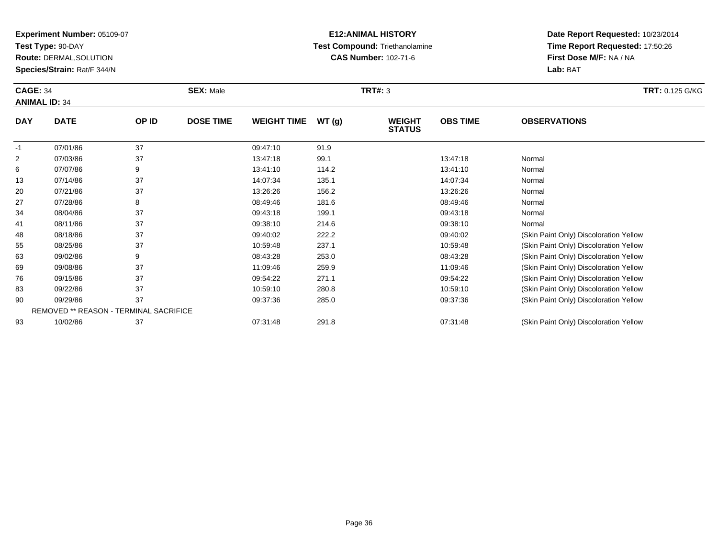**Test Type:** 90-DAY

76

83

90

93

**Route:** DERMAL,SOLUTION

**Species/Strain:** Rat/F 344/N

REMOVED \*\* REASON - TERMINAL SACRIFICE

# **E12:ANIMAL HISTORY Test Compound:** Triethanolamine**CAS Number:** 102-71-6

**Date Report Requested:** 10/23/2014**Time Report Requested:** 17:50:26**First Dose M/F:** NA / NA**Lab:** BAT

| <b>CAGE: 34</b><br><b>ANIMAL ID: 34</b> |             |       | <b>SEX: Male</b> |                    |       | <b>TRT#: 3</b>                 | <b>TRT: 0.125 G/KG</b> |                                        |
|-----------------------------------------|-------------|-------|------------------|--------------------|-------|--------------------------------|------------------------|----------------------------------------|
| <b>DAY</b>                              | <b>DATE</b> | OP ID | <b>DOSE TIME</b> | <b>WEIGHT TIME</b> | WT(g) | <b>WEIGHT</b><br><b>STATUS</b> | <b>OBS TIME</b>        | <b>OBSERVATIONS</b>                    |
| $-1$                                    | 07/01/86    | 37    |                  | 09:47:10           | 91.9  |                                |                        |                                        |
| $\overline{2}$                          | 07/03/86    | 37    |                  | 13:47:18           | 99.1  |                                | 13:47:18               | Normal                                 |
| 6                                       | 07/07/86    | 9     |                  | 13:41:10           | 114.2 |                                | 13:41:10               | Normal                                 |
| 13                                      | 07/14/86    | 37    |                  | 14:07:34           | 135.1 |                                | 14:07:34               | Normal                                 |
| 20                                      | 07/21/86    | 37    |                  | 13:26:26           | 156.2 |                                | 13:26:26               | Normal                                 |
| 27                                      | 07/28/86    | 8     |                  | 08:49:46           | 181.6 |                                | 08:49:46               | Normal                                 |
| 34                                      | 08/04/86    | 37    |                  | 09:43:18           | 199.1 |                                | 09:43:18               | Normal                                 |
| 41                                      | 08/11/86    | 37    |                  | 09:38:10           | 214.6 |                                | 09:38:10               | Normal                                 |
| 48                                      | 08/18/86    | 37    |                  | 09:40:02           | 222.2 |                                | 09:40:02               | (Skin Paint Only) Discoloration Yellow |
| 55                                      | 08/25/86    | 37    |                  | 10:59:48           | 237.1 |                                | 10:59:48               | (Skin Paint Only) Discoloration Yellow |
| 63                                      | 09/02/86    | 9     |                  | 08:43:28           | 253.0 |                                | 08:43:28               | (Skin Paint Only) Discoloration Yellow |
| 69                                      | 09/08/86    | 37    |                  | 11:09:46           | 259.9 |                                | 11:09:46               | (Skin Paint Only) Discoloration Yellow |

6 09/15/86 37 37 09:54:22 271.1 09:54:22 09:54:22 (Skin Paint Only) Discoloration Yellow

09/22/86 <sup>37</sup> 10:59:10 280.8 10:59:10 (Skin Paint Only) Discoloration Yellow

09/29/86 <sup>37</sup> 09:37:36 285.0 09:37:36 (Skin Paint Only) Discoloration Yellow

10/02/86 <sup>37</sup> 07:31:48 291.8 07:31:48 (Skin Paint Only) Discoloration Yellow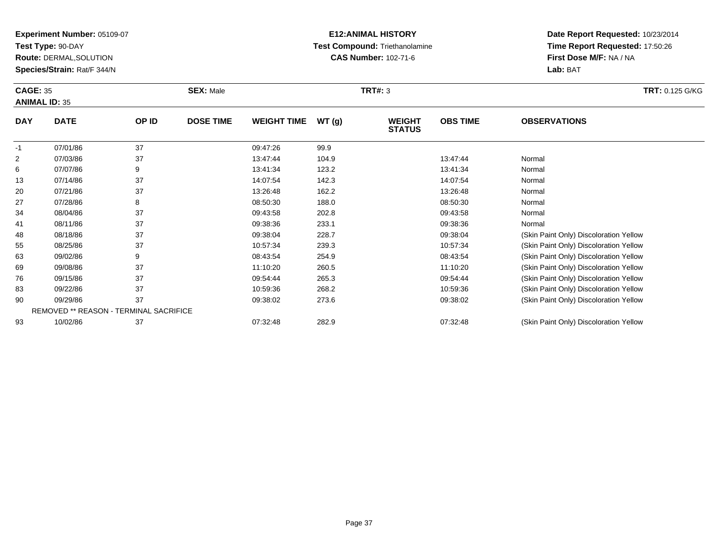**Test Type:** 90-DAY

90

93

**Route:** DERMAL,SOLUTION

**Species/Strain:** Rat/F 344/N

REMOVED \*\* REASON - TERMINAL SACRIFICE

# **E12:ANIMAL HISTORY Test Compound:** Triethanolamine**CAS Number:** 102-71-6

**Date Report Requested:** 10/23/2014**Time Report Requested:** 17:50:26**First Dose M/F:** NA / NA**Lab:** BAT

| <b>CAGE: 35</b><br><b>ANIMAL ID: 35</b> |             | <b>SEX: Male</b> |                  |                    | <b>TRT#: 3</b> | <b>TRT: 0.125 G/KG</b>         |                 |                                        |
|-----------------------------------------|-------------|------------------|------------------|--------------------|----------------|--------------------------------|-----------------|----------------------------------------|
| <b>DAY</b>                              | <b>DATE</b> | OP ID            | <b>DOSE TIME</b> | <b>WEIGHT TIME</b> | WT(g)          | <b>WEIGHT</b><br><b>STATUS</b> | <b>OBS TIME</b> | <b>OBSERVATIONS</b>                    |
| $-1$                                    | 07/01/86    | 37               |                  | 09:47:26           | 99.9           |                                |                 |                                        |
| 2                                       | 07/03/86    | 37               |                  | 13:47:44           | 104.9          |                                | 13:47:44        | Normal                                 |
| 6                                       | 07/07/86    | 9                |                  | 13:41:34           | 123.2          |                                | 13:41:34        | Normal                                 |
| 13                                      | 07/14/86    | 37               |                  | 14:07:54           | 142.3          |                                | 14:07:54        | Normal                                 |
| 20                                      | 07/21/86    | 37               |                  | 13:26:48           | 162.2          |                                | 13:26:48        | Normal                                 |
| 27                                      | 07/28/86    | 8                |                  | 08:50:30           | 188.0          |                                | 08:50:30        | Normal                                 |
| 34                                      | 08/04/86    | 37               |                  | 09:43:58           | 202.8          |                                | 09:43:58        | Normal                                 |
| 41                                      | 08/11/86    | 37               |                  | 09:38:36           | 233.1          |                                | 09:38:36        | Normal                                 |
| 48                                      | 08/18/86    | 37               |                  | 09:38:04           | 228.7          |                                | 09:38:04        | (Skin Paint Only) Discoloration Yellow |
| 55                                      | 08/25/86    | 37               |                  | 10:57:34           | 239.3          |                                | 10:57:34        | (Skin Paint Only) Discoloration Yellow |
| 63                                      | 09/02/86    | 9                |                  | 08:43:54           | 254.9          |                                | 08:43:54        | (Skin Paint Only) Discoloration Yellow |
| 69                                      | 09/08/86    | 37               |                  | 11:10:20           | 260.5          |                                | 11:10:20        | (Skin Paint Only) Discoloration Yellow |
| 76                                      | 09/15/86    | 37               |                  | 09:54:44           | 265.3          |                                | 09:54:44        | (Skin Paint Only) Discoloration Yellow |
| 83                                      | 09/22/86    | 37               |                  | 10:59:36           | 268.2          |                                | 10:59:36        | (Skin Paint Only) Discoloration Yellow |

09/29/86 <sup>37</sup> 09:38:02 273.6 09:38:02 (Skin Paint Only) Discoloration Yellow

10/02/86 <sup>37</sup> 07:32:48 282.9 07:32:48 (Skin Paint Only) Discoloration Yellow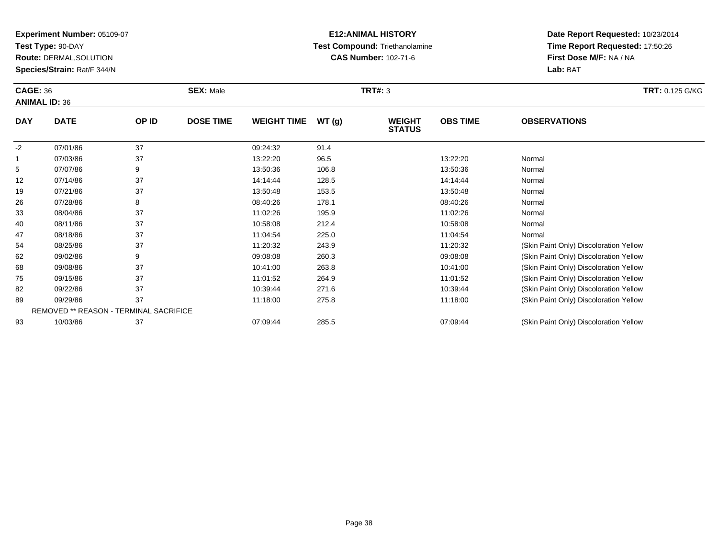**Test Type:** 90-DAY

68

75

82

89

93

**Route:** DERMAL,SOLUTION

**Species/Strain:** Rat/F 344/N

REMOVED \*\* REASON - TERMINAL SACRIFICE

# **E12:ANIMAL HISTORY Test Compound:** Triethanolamine**CAS Number:** 102-71-6

**Date Report Requested:** 10/23/2014**Time Report Requested:** 17:50:26**First Dose M/F:** NA / NA**Lab:** BAT

| <b>CAGE: 36</b><br><b>ANIMAL ID: 36</b> |             |       | <b>SEX: Male</b> |                    |       | <b>TRT#: 3</b>                 |                 | <b>TRT: 0.125 G/KG</b>                 |  |
|-----------------------------------------|-------------|-------|------------------|--------------------|-------|--------------------------------|-----------------|----------------------------------------|--|
| <b>DAY</b>                              | <b>DATE</b> | OP ID | <b>DOSE TIME</b> | <b>WEIGHT TIME</b> | WT(g) | <b>WEIGHT</b><br><b>STATUS</b> | <b>OBS TIME</b> | <b>OBSERVATIONS</b>                    |  |
| $-2$                                    | 07/01/86    | 37    |                  | 09:24:32           | 91.4  |                                |                 |                                        |  |
|                                         | 07/03/86    | 37    |                  | 13:22:20           | 96.5  |                                | 13:22:20        | Normal                                 |  |
| 5                                       | 07/07/86    | 9     |                  | 13:50:36           | 106.8 |                                | 13:50:36        | Normal                                 |  |
| 12                                      | 07/14/86    | 37    |                  | 14:14:44           | 128.5 |                                | 14:14:44        | Normal                                 |  |
| 19                                      | 07/21/86    | 37    |                  | 13:50:48           | 153.5 |                                | 13:50:48        | Normal                                 |  |
| 26                                      | 07/28/86    | 8     |                  | 08:40:26           | 178.1 |                                | 08:40:26        | Normal                                 |  |
| 33                                      | 08/04/86    | 37    |                  | 11:02:26           | 195.9 |                                | 11:02:26        | Normal                                 |  |
| 40                                      | 08/11/86    | 37    |                  | 10:58:08           | 212.4 |                                | 10:58:08        | Normal                                 |  |
| 47                                      | 08/18/86    | 37    |                  | 11:04:54           | 225.0 |                                | 11:04:54        | Normal                                 |  |
| 54                                      | 08/25/86    | 37    |                  | 11:20:32           | 243.9 |                                | 11:20:32        | (Skin Paint Only) Discoloration Yellow |  |
| 62                                      | 09/02/86    | 9     |                  | 09:08:08           | 260.3 |                                | 09:08:08        | (Skin Paint Only) Discoloration Yellow |  |

09/02/86 <sup>9</sup> 09:08:08 260.3 09:08:08 (Skin Paint Only) Discoloration Yellow

09/08/86 <sup>37</sup> 10:41:00 263.8 10:41:00 (Skin Paint Only) Discoloration Yellow

09/15/86 <sup>37</sup> 11:01:52 264.9 11:01:52 (Skin Paint Only) Discoloration Yellow

09/22/86 <sup>37</sup> 10:39:44 271.6 10:39:44 (Skin Paint Only) Discoloration Yellow

09/29/86 <sup>37</sup> 11:18:00 275.8 11:18:00 (Skin Paint Only) Discoloration Yellow

10/03/86 <sup>37</sup> 07:09:44 285.5 07:09:44 (Skin Paint Only) Discoloration Yellow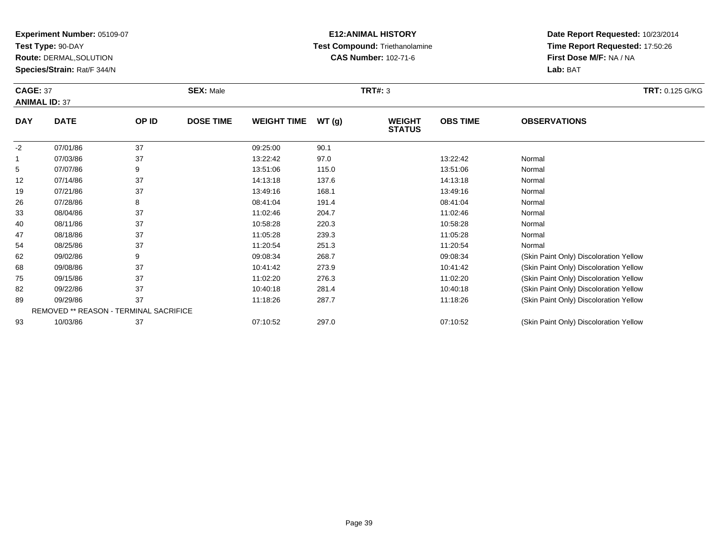**Test Type:** 90-DAY

82

**Route:** DERMAL,SOLUTION

**Species/Strain:** Rat/F 344/N

# **E12:ANIMAL HISTORY Test Compound:** Triethanolamine**CAS Number:** 102-71-6

| <b>CAGE: 37</b><br><b>ANIMAL ID: 37</b> |             | <b>SEX: Male</b> |                  |                    | <b>TRT#: 3</b> | <b>TRT: 0.125 G/KG</b>         |                 |                                        |
|-----------------------------------------|-------------|------------------|------------------|--------------------|----------------|--------------------------------|-----------------|----------------------------------------|
| <b>DAY</b>                              | <b>DATE</b> | OP ID            | <b>DOSE TIME</b> | <b>WEIGHT TIME</b> | WT(g)          | <b>WEIGHT</b><br><b>STATUS</b> | <b>OBS TIME</b> | <b>OBSERVATIONS</b>                    |
| -2                                      | 07/01/86    | 37               |                  | 09:25:00           | 90.1           |                                |                 |                                        |
|                                         | 07/03/86    | 37               |                  | 13:22:42           | 97.0           |                                | 13:22:42        | Normal                                 |
| 5                                       | 07/07/86    | 9                |                  | 13:51:06           | 115.0          |                                | 13:51:06        | Normal                                 |
| 12                                      | 07/14/86    | 37               |                  | 14:13:18           | 137.6          |                                | 14:13:18        | Normal                                 |
| 19                                      | 07/21/86    | 37               |                  | 13:49:16           | 168.1          |                                | 13:49:16        | Normal                                 |
| 26                                      | 07/28/86    | 8                |                  | 08:41:04           | 191.4          |                                | 08:41:04        | Normal                                 |
| 33                                      | 08/04/86    | 37               |                  | 11:02:46           | 204.7          |                                | 11:02:46        | Normal                                 |
| 40                                      | 08/11/86    | 37               |                  | 10:58:28           | 220.3          |                                | 10:58:28        | Normal                                 |
| 47                                      | 08/18/86    | 37               |                  | 11:05:28           | 239.3          |                                | 11:05:28        | Normal                                 |
| 54                                      | 08/25/86    | 37               |                  | 11:20:54           | 251.3          |                                | 11:20:54        | Normal                                 |
| 62                                      | 09/02/86    | 9                |                  | 09:08:34           | 268.7          |                                | 09:08:34        | (Skin Paint Only) Discoloration Yellow |
| 68                                      | 09/08/86    | 37               |                  | 10:41:42           | 273.9          |                                | 10:41:42        | (Skin Paint Only) Discoloration Yellow |
| 75                                      | 09/15/86    | 37               |                  | 11:02:20           | 276.3          |                                | 11:02:20        | (Skin Paint Only) Discoloration Yellow |

| -82 | 09/22/86                               | 10:40:18 | 281.4 | 10:40:18 | (Skin Paint Only) Discoloration Yellow |
|-----|----------------------------------------|----------|-------|----------|----------------------------------------|
| 89  | 09/29/86                               | 11:18:26 | 287.7 | 11:18:26 | (Skin Paint Only) Discoloration Yellow |
|     | REMOVED ** REASON - TERMINAL SACRIFICE |          |       |          |                                        |
| 93  | 10/03/86                               | 07:10:52 | 297.0 | 07:10:52 | (Skin Paint Only) Discoloration Yellow |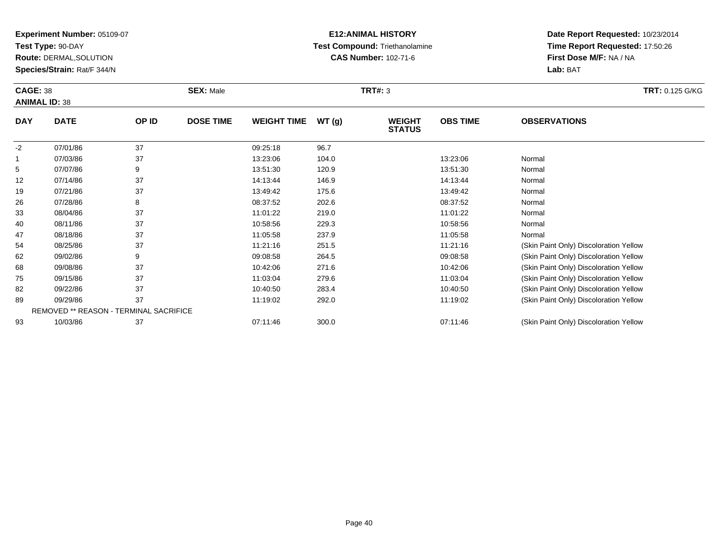**Test Type:** 90-DAY

**Route:** DERMAL,SOLUTION

**Species/Strain:** Rat/F 344/N

# **E12:ANIMAL HISTORY Test Compound:** Triethanolamine**CAS Number:** 102-71-6

| <b>CAGE: 38</b><br><b>ANIMAL ID: 38</b> |             |       | <b>SEX: Male</b> |                    |       | <b>TRT#: 3</b>                 |                 | <b>TRT: 0.125 G/KG</b>                 |
|-----------------------------------------|-------------|-------|------------------|--------------------|-------|--------------------------------|-----------------|----------------------------------------|
| <b>DAY</b>                              | <b>DATE</b> | OP ID | <b>DOSE TIME</b> | <b>WEIGHT TIME</b> | WT(g) | <b>WEIGHT</b><br><b>STATUS</b> | <b>OBS TIME</b> | <b>OBSERVATIONS</b>                    |
| $-2$                                    | 07/01/86    | 37    |                  | 09:25:18           | 96.7  |                                |                 |                                        |
| $\mathbf 1$                             | 07/03/86    | 37    |                  | 13:23:06           | 104.0 |                                | 13:23:06        | Normal                                 |
| 5                                       | 07/07/86    | 9     |                  | 13:51:30           | 120.9 |                                | 13:51:30        | Normal                                 |
| 12                                      | 07/14/86    | 37    |                  | 14:13:44           | 146.9 |                                | 14:13:44        | Normal                                 |
| 19                                      | 07/21/86    | 37    |                  | 13:49:42           | 175.6 |                                | 13:49:42        | Normal                                 |
| 26                                      | 07/28/86    | 8     |                  | 08:37:52           | 202.6 |                                | 08:37:52        | Normal                                 |
| 33                                      | 08/04/86    | 37    |                  | 11:01:22           | 219.0 |                                | 11:01:22        | Normal                                 |
| 40                                      | 08/11/86    | 37    |                  | 10:58:56           | 229.3 |                                | 10:58:56        | Normal                                 |
| 47                                      | 08/18/86    | 37    |                  | 11:05:58           | 237.9 |                                | 11:05:58        | Normal                                 |
| 54                                      | 08/25/86    | 37    |                  | 11:21:16           | 251.5 |                                | 11:21:16        | (Skin Paint Only) Discoloration Yellow |
| 62                                      | 09/02/86    | 9     |                  | 09:08:58           | 264.5 |                                | 09:08:58        | (Skin Paint Only) Discoloration Yellow |
| 68                                      | 09/08/86    | 37    |                  | 10:42:06           | 271.6 |                                | 10:42:06        | (Skin Paint Only) Discoloration Yellow |
| 75                                      | 09/15/86    | 37    |                  | 11:03:04           | 279.6 |                                | 11:03:04        | (Skin Paint Only) Discoloration Yellow |
| 82                                      | 09/22/86    | 37    |                  | 10:40:50           | 283.4 |                                | 10:40:50        | (Skin Paint Only) Discoloration Yellow |

| 89 | 09/29/86                               | 11:19:02 | 292.0 | 11:19:02 | (Skin Paint Only) Discoloration Yellow |
|----|----------------------------------------|----------|-------|----------|----------------------------------------|
|    | REMOVED ** REASON - TERMINAL SACRIFICE |          |       |          |                                        |
| 93 | 10/03/86                               | 07:11:46 | 300.0 | 07:11:46 | (Skin Paint Only) Discoloration Yellow |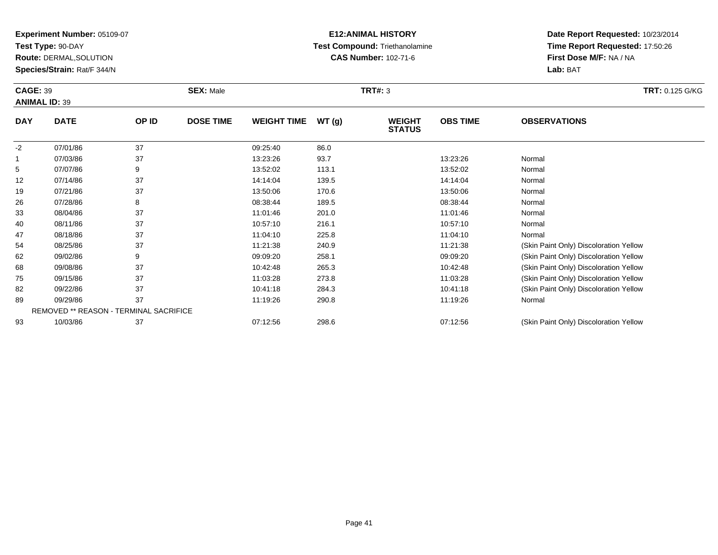**Test Type:** 90-DAY

89

93

**Route:** DERMAL,SOLUTION

**Species/Strain:** Rat/F 344/N

REMOVED \*\* REASON - TERMINAL SACRIFICE

# **E12:ANIMAL HISTORY Test Compound:** Triethanolamine**CAS Number:** 102-71-6

**Date Report Requested:** 10/23/2014**Time Report Requested:** 17:50:26**First Dose M/F:** NA / NA**Lab:** BAT

| <b>CAGE: 39</b><br><b>ANIMAL ID: 39</b> |             |       | <b>SEX: Male</b> |                    |       | <b>TRT#: 3</b>                 | <b>TRT: 0.125 G/KG</b> |                                        |
|-----------------------------------------|-------------|-------|------------------|--------------------|-------|--------------------------------|------------------------|----------------------------------------|
| <b>DAY</b>                              | <b>DATE</b> | OP ID | <b>DOSE TIME</b> | <b>WEIGHT TIME</b> | WT(g) | <b>WEIGHT</b><br><b>STATUS</b> | <b>OBS TIME</b>        | <b>OBSERVATIONS</b>                    |
| $-2$                                    | 07/01/86    | 37    |                  | 09:25:40           | 86.0  |                                |                        |                                        |
| $\mathbf 1$                             | 07/03/86    | 37    |                  | 13:23:26           | 93.7  |                                | 13:23:26               | Normal                                 |
| 5                                       | 07/07/86    | 9     |                  | 13:52:02           | 113.1 |                                | 13:52:02               | Normal                                 |
| 12                                      | 07/14/86    | 37    |                  | 14:14:04           | 139.5 |                                | 14:14:04               | Normal                                 |
| 19                                      | 07/21/86    | 37    |                  | 13:50:06           | 170.6 |                                | 13:50:06               | Normal                                 |
| 26                                      | 07/28/86    | 8     |                  | 08:38:44           | 189.5 |                                | 08:38:44               | Normal                                 |
| 33                                      | 08/04/86    | 37    |                  | 11:01:46           | 201.0 |                                | 11:01:46               | Normal                                 |
| 40                                      | 08/11/86    | 37    |                  | 10:57:10           | 216.1 |                                | 10:57:10               | Normal                                 |
| 47                                      | 08/18/86    | 37    |                  | 11:04:10           | 225.8 |                                | 11:04:10               | Normal                                 |
| 54                                      | 08/25/86    | 37    |                  | 11:21:38           | 240.9 |                                | 11:21:38               | (Skin Paint Only) Discoloration Yellow |
| 62                                      | 09/02/86    | 9     |                  | 09:09:20           | 258.1 |                                | 09:09:20               | (Skin Paint Only) Discoloration Yellow |
| 68                                      | 09/08/86    | 37    |                  | 10:42:48           | 265.3 |                                | 10:42:48               | (Skin Paint Only) Discoloration Yellow |
| 75                                      | 09/15/86    | 37    |                  | 11:03:28           | 273.8 |                                | 11:03:28               | (Skin Paint Only) Discoloration Yellow |
| 82                                      | 09/22/86    | 37    |                  | 10:41:18           | 284.3 |                                | 10:41:18               | (Skin Paint Only) Discoloration Yellow |

10/03/86 <sup>37</sup> 07:12:56 298.6 07:12:56 (Skin Paint Only) Discoloration Yellow

9 09/29/86 37 11:19:26 290.8 11:19:26 Normal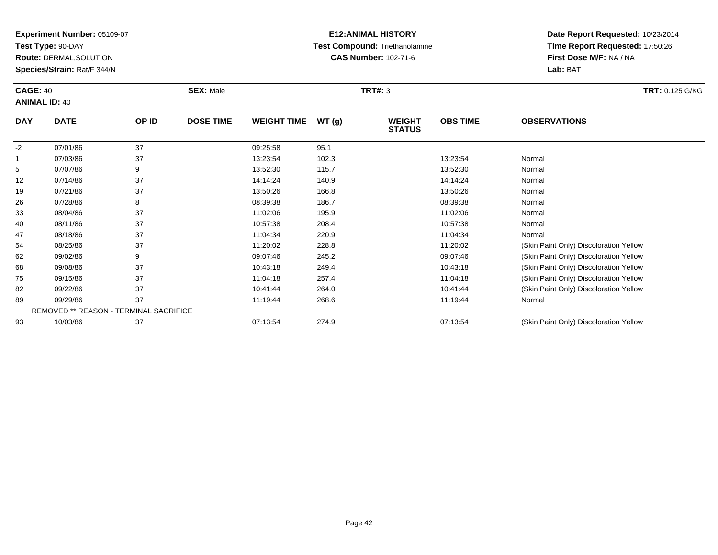**Test Type:** 90-DAY

75

8289

93

**Route:** DERMAL,SOLUTION

**Species/Strain:** Rat/F 344/N

REMOVED \*\* REASON - TERMINAL SACRIFICE

# **E12:ANIMAL HISTORY Test Compound:** Triethanolamine**CAS Number:** 102-71-6

**Date Report Requested:** 10/23/2014**Time Report Requested:** 17:50:26**First Dose M/F:** NA / NA**Lab:** BAT

| <b>CAGE: 40</b><br><b>ANIMAL ID: 40</b> |             |       | <b>SEX: Male</b> |                    |       | <b>TRT#: 3</b>                 | <b>TRT: 0.125 G/KG</b> |                                        |
|-----------------------------------------|-------------|-------|------------------|--------------------|-------|--------------------------------|------------------------|----------------------------------------|
| <b>DAY</b>                              | <b>DATE</b> | OP ID | <b>DOSE TIME</b> | <b>WEIGHT TIME</b> | WT(g) | <b>WEIGHT</b><br><b>STATUS</b> | <b>OBS TIME</b>        | <b>OBSERVATIONS</b>                    |
| $-2$                                    | 07/01/86    | 37    |                  | 09:25:58           | 95.1  |                                |                        |                                        |
|                                         | 07/03/86    | 37    |                  | 13:23:54           | 102.3 |                                | 13:23:54               | Normal                                 |
| 5                                       | 07/07/86    | 9     |                  | 13:52:30           | 115.7 |                                | 13:52:30               | Normal                                 |
| 12                                      | 07/14/86    | 37    |                  | 14:14:24           | 140.9 |                                | 14:14:24               | Normal                                 |
| 19                                      | 07/21/86    | 37    |                  | 13:50:26           | 166.8 |                                | 13:50:26               | Normal                                 |
| 26                                      | 07/28/86    | 8     |                  | 08:39:38           | 186.7 |                                | 08:39:38               | Normal                                 |
| 33                                      | 08/04/86    | 37    |                  | 11:02:06           | 195.9 |                                | 11:02:06               | Normal                                 |
| 40                                      | 08/11/86    | 37    |                  | 10:57:38           | 208.4 |                                | 10:57:38               | Normal                                 |
| 47                                      | 08/18/86    | 37    |                  | 11:04:34           | 220.9 |                                | 11:04:34               | Normal                                 |
| 54                                      | 08/25/86    | 37    |                  | 11:20:02           | 228.8 |                                | 11:20:02               | (Skin Paint Only) Discoloration Yellow |
| 62                                      | 09/02/86    | 9     |                  | 09:07:46           | 245.2 |                                | 09:07:46               | (Skin Paint Only) Discoloration Yellow |
| 68                                      | 09/08/86    | 37    |                  | 10:43:18           | 249.4 |                                | 10:43:18               | (Skin Paint Only) Discoloration Yellow |

09/15/86 <sup>37</sup> 11:04:18 257.4 11:04:18 (Skin Paint Only) Discoloration Yellow

09/22/86 <sup>37</sup> 10:41:44 264.0 10:41:44 (Skin Paint Only) Discoloration Yellow

10/03/86 <sup>37</sup> 07:13:54 274.9 07:13:54 (Skin Paint Only) Discoloration Yellow

9 09/29/86 37 11:19:44 268.6 11:19:44 Normal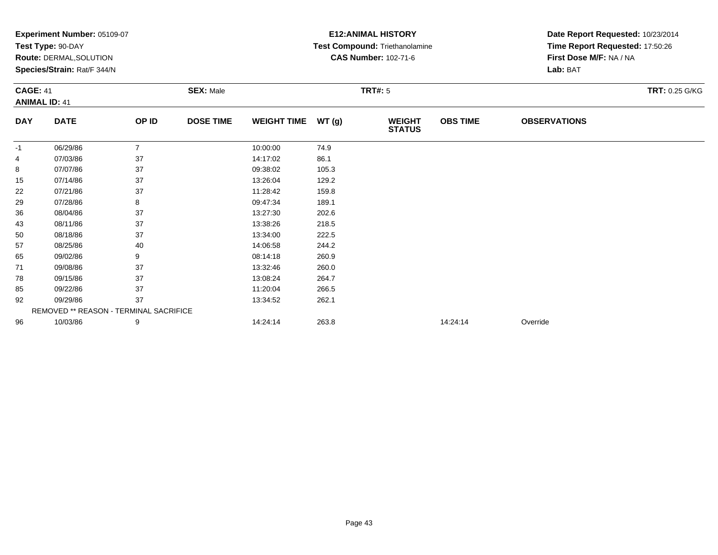|            | Experiment Number: 05109-07                   |                |                  |                                    |       | <b>E12: ANIMAL HISTORY</b>     | Date Report Requested: 10/23/2014<br>Time Report Requested: 17:50:26 |                         |                       |  |
|------------|-----------------------------------------------|----------------|------------------|------------------------------------|-------|--------------------------------|----------------------------------------------------------------------|-------------------------|-----------------------|--|
|            | Test Type: 90-DAY                             |                |                  |                                    |       | Test Compound: Triethanolamine |                                                                      |                         |                       |  |
|            | Route: DERMAL, SOLUTION                       |                |                  |                                    |       | <b>CAS Number: 102-71-6</b>    |                                                                      | First Dose M/F: NA / NA |                       |  |
|            | Species/Strain: Rat/F 344/N                   |                |                  |                                    |       |                                | Lab: BAT                                                             |                         |                       |  |
|            | <b>CAGE: 41</b>                               |                |                  | <b>SEX: Male</b><br><b>TRT#: 5</b> |       |                                |                                                                      |                         | <b>TRT: 0.25 G/KG</b> |  |
|            | <b>ANIMAL ID: 41</b>                          |                |                  |                                    |       |                                |                                                                      |                         |                       |  |
| <b>DAY</b> | <b>DATE</b>                                   | OP ID          | <b>DOSE TIME</b> | <b>WEIGHT TIME</b>                 | WT(g) | <b>WEIGHT</b><br><b>STATUS</b> | <b>OBS TIME</b>                                                      | <b>OBSERVATIONS</b>     |                       |  |
| -1         | 06/29/86                                      | $\overline{7}$ |                  | 10:00:00                           | 74.9  |                                |                                                                      |                         |                       |  |
| 4          | 07/03/86                                      | 37             |                  | 14:17:02                           | 86.1  |                                |                                                                      |                         |                       |  |
| 8          | 07/07/86                                      | 37             |                  | 09:38:02                           | 105.3 |                                |                                                                      |                         |                       |  |
| 15         | 07/14/86                                      | 37             |                  | 13:26:04                           | 129.2 |                                |                                                                      |                         |                       |  |
| 22         | 07/21/86                                      | 37             |                  | 11:28:42                           | 159.8 |                                |                                                                      |                         |                       |  |
| 29         | 07/28/86                                      | 8              |                  | 09:47:34                           | 189.1 |                                |                                                                      |                         |                       |  |
| 36         | 08/04/86                                      | 37             |                  | 13:27:30                           | 202.6 |                                |                                                                      |                         |                       |  |
| 43         | 08/11/86                                      | 37             |                  | 13:38:26                           | 218.5 |                                |                                                                      |                         |                       |  |
| 50         | 08/18/86                                      | 37             |                  | 13:34:00                           | 222.5 |                                |                                                                      |                         |                       |  |
| 57         | 08/25/86                                      | 40             |                  | 14:06:58                           | 244.2 |                                |                                                                      |                         |                       |  |
| 65         | 09/02/86                                      | 9              |                  | 08:14:18                           | 260.9 |                                |                                                                      |                         |                       |  |
| 71         | 09/08/86                                      | 37             |                  | 13:32:46                           | 260.0 |                                |                                                                      |                         |                       |  |
| 78         | 09/15/86                                      | 37             |                  | 13:08:24                           | 264.7 |                                |                                                                      |                         |                       |  |
| 85         | 09/22/86                                      | 37             |                  | 11:20:04                           | 266.5 |                                |                                                                      |                         |                       |  |
| 92         | 37<br>09/29/86                                |                | 13:34:52         | 262.1                              |       |                                |                                                                      |                         |                       |  |
|            | <b>REMOVED ** REASON - TERMINAL SACRIFICE</b> |                |                  |                                    |       |                                |                                                                      |                         |                       |  |
| 96         | 10/03/86                                      | 9              |                  | 14:24:14                           | 263.8 |                                | 14:24:14                                                             | Override                |                       |  |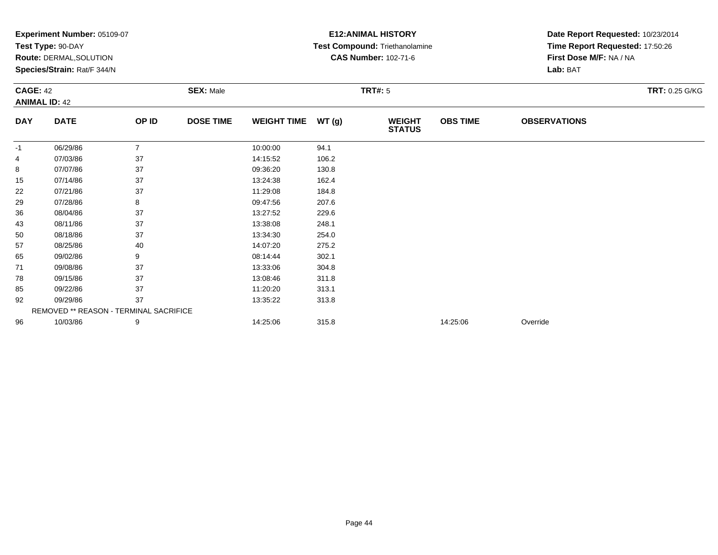|            | Experiment Number: 05109-07            |                |                  |                    | <b>E12: ANIMAL HISTORY</b> | Date Report Requested: 10/23/2014 |                 |                                 |  |  |
|------------|----------------------------------------|----------------|------------------|--------------------|----------------------------|-----------------------------------|-----------------|---------------------------------|--|--|
|            | Test Type: 90-DAY                      |                |                  |                    |                            | Test Compound: Triethanolamine    |                 | Time Report Requested: 17:50:26 |  |  |
|            | Route: DERMAL, SOLUTION                |                |                  |                    |                            | <b>CAS Number: 102-71-6</b>       |                 | First Dose M/F: NA / NA         |  |  |
|            | Species/Strain: Rat/F 344/N            |                |                  |                    |                            |                                   | Lab: BAT        |                                 |  |  |
|            | <b>CAGE: 42</b><br><b>SEX: Male</b>    |                |                  |                    |                            | <b>TRT#: 5</b>                    |                 | <b>TRT: 0.25 G/KG</b>           |  |  |
|            | <b>ANIMAL ID: 42</b>                   |                |                  |                    |                            |                                   |                 |                                 |  |  |
| <b>DAY</b> | <b>DATE</b>                            | OP ID          | <b>DOSE TIME</b> | <b>WEIGHT TIME</b> | WT(g)                      | <b>WEIGHT</b><br><b>STATUS</b>    | <b>OBS TIME</b> | <b>OBSERVATIONS</b>             |  |  |
| -1         | 06/29/86                               | $\overline{7}$ |                  | 10:00:00           | 94.1                       |                                   |                 |                                 |  |  |
| 4          | 07/03/86                               | 37             |                  | 14:15:52           | 106.2                      |                                   |                 |                                 |  |  |
| 8          | 07/07/86                               | 37             |                  | 09:36:20           | 130.8                      |                                   |                 |                                 |  |  |
| 15         | 07/14/86                               | 37             |                  | 13:24:38           | 162.4                      |                                   |                 |                                 |  |  |
| 22         | 07/21/86                               | 37             |                  | 11:29:08           | 184.8                      |                                   |                 |                                 |  |  |
| 29         | 07/28/86                               | 8              |                  | 09:47:56           | 207.6                      |                                   |                 |                                 |  |  |
| 36         | 08/04/86                               | 37             |                  | 13:27:52           | 229.6                      |                                   |                 |                                 |  |  |
| 43         | 08/11/86                               | 37             |                  | 13:38:08           | 248.1                      |                                   |                 |                                 |  |  |
| 50         | 08/18/86                               | 37             |                  | 13:34:30           | 254.0                      |                                   |                 |                                 |  |  |
| 57         | 08/25/86                               | 40             |                  | 14:07:20           | 275.2                      |                                   |                 |                                 |  |  |
| 65         | 09/02/86                               | 9              |                  | 08:14:44           | 302.1                      |                                   |                 |                                 |  |  |
| 71         | 09/08/86                               | 37             |                  | 13:33:06           | 304.8                      |                                   |                 |                                 |  |  |
| 78         | 09/15/86                               | 37             |                  | 13:08:46           | 311.8                      |                                   |                 |                                 |  |  |
| 85         | 09/22/86                               | 37             |                  | 11:20:20           | 313.1                      |                                   |                 |                                 |  |  |
| 92         | 09/29/86                               | 37             |                  | 13:35:22           | 313.8                      |                                   |                 |                                 |  |  |
|            | REMOVED ** REASON - TERMINAL SACRIFICE |                |                  |                    |                            |                                   |                 |                                 |  |  |
| 96         | 10/03/86                               | 9              |                  | 14:25:06           | 315.8                      |                                   | 14:25:06        | Override                        |  |  |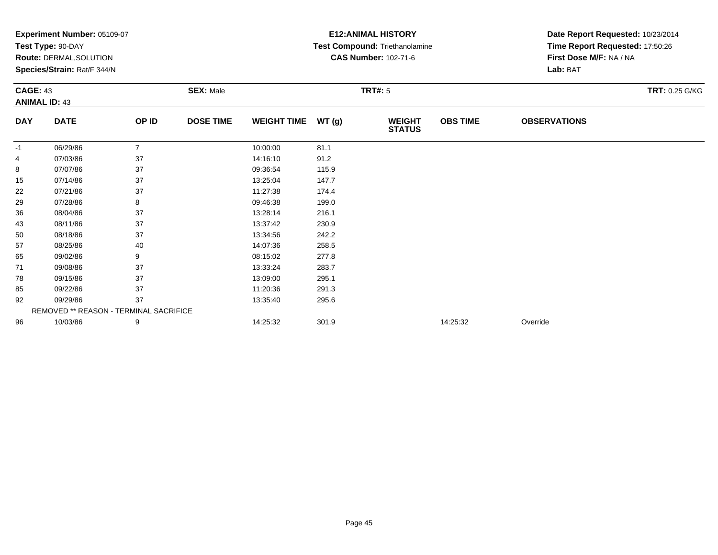|            | Experiment Number: 05109-07            |                |                  |                    | <b>E12: ANIMAL HISTORY</b> | Date Report Requested: 10/23/2014 |                 |                                 |  |  |
|------------|----------------------------------------|----------------|------------------|--------------------|----------------------------|-----------------------------------|-----------------|---------------------------------|--|--|
|            | Test Type: 90-DAY                      |                |                  |                    |                            | Test Compound: Triethanolamine    |                 | Time Report Requested: 17:50:26 |  |  |
|            | <b>Route: DERMAL, SOLUTION</b>         |                |                  |                    |                            | <b>CAS Number: 102-71-6</b>       |                 | First Dose M/F: NA / NA         |  |  |
|            | Species/Strain: Rat/F 344/N            |                |                  |                    |                            |                                   | Lab: BAT        |                                 |  |  |
|            | <b>CAGE: 43</b><br><b>SEX: Male</b>    |                |                  |                    |                            | <b>TRT#: 5</b>                    |                 | <b>TRT: 0.25 G/KG</b>           |  |  |
|            | <b>ANIMAL ID: 43</b>                   |                |                  |                    |                            |                                   |                 |                                 |  |  |
| <b>DAY</b> | <b>DATE</b>                            | OP ID          | <b>DOSE TIME</b> | <b>WEIGHT TIME</b> | WT(g)                      | <b>WEIGHT</b><br><b>STATUS</b>    | <b>OBS TIME</b> | <b>OBSERVATIONS</b>             |  |  |
| -1         | 06/29/86                               | $\overline{7}$ |                  | 10:00:00           | 81.1                       |                                   |                 |                                 |  |  |
| 4          | 07/03/86                               | 37             |                  | 14:16:10           | 91.2                       |                                   |                 |                                 |  |  |
| 8          | 07/07/86                               | 37             |                  | 09:36:54           | 115.9                      |                                   |                 |                                 |  |  |
| 15         | 07/14/86                               | 37             |                  | 13:25:04           | 147.7                      |                                   |                 |                                 |  |  |
| 22         | 07/21/86                               | 37             |                  | 11:27:38           | 174.4                      |                                   |                 |                                 |  |  |
| 29         | 07/28/86                               | 8              |                  | 09:46:38           | 199.0                      |                                   |                 |                                 |  |  |
| 36         | 08/04/86                               | 37             |                  | 13:28:14           | 216.1                      |                                   |                 |                                 |  |  |
| 43         | 08/11/86                               | 37             |                  | 13:37:42           | 230.9                      |                                   |                 |                                 |  |  |
| 50         | 08/18/86                               | 37             |                  | 13:34:56           | 242.2                      |                                   |                 |                                 |  |  |
| 57         | 08/25/86                               | 40             |                  | 14:07:36           | 258.5                      |                                   |                 |                                 |  |  |
| 65         | 09/02/86                               | 9              |                  | 08:15:02           | 277.8                      |                                   |                 |                                 |  |  |
| 71         | 09/08/86                               | 37             |                  | 13:33:24           | 283.7                      |                                   |                 |                                 |  |  |
| 78         | 09/15/86                               | 37             |                  | 13:09:00           | 295.1                      |                                   |                 |                                 |  |  |
| 85         | 09/22/86                               | 37             |                  | 11:20:36           | 291.3                      |                                   |                 |                                 |  |  |
| 92         | 09/29/86                               | 37             |                  | 13:35:40           | 295.6                      |                                   |                 |                                 |  |  |
|            | REMOVED ** REASON - TERMINAL SACRIFICE |                |                  |                    |                            |                                   |                 |                                 |  |  |
| 96         | 10/03/86                               | 9              |                  | 14:25:32           | 301.9                      |                                   | 14:25:32        | Override                        |  |  |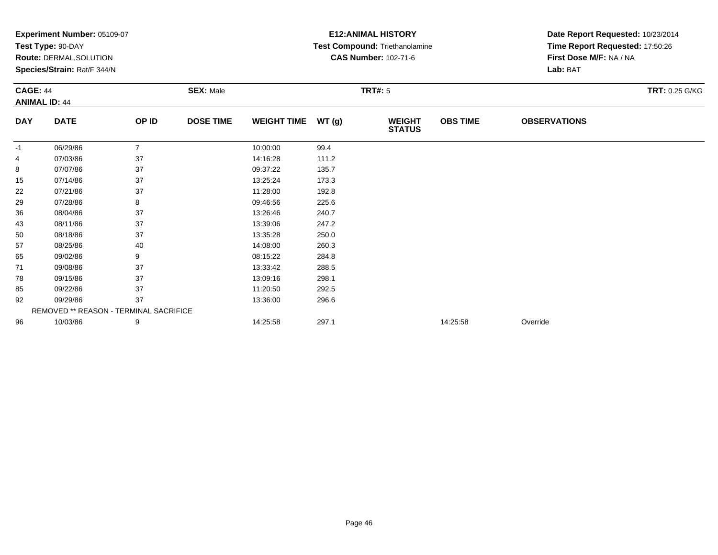|            | Experiment Number: 05109-07            |                |                  |                    |       | <b>E12: ANIMAL HISTORY</b>     | Date Report Requested: 10/23/2014 |                                 |  |  |
|------------|----------------------------------------|----------------|------------------|--------------------|-------|--------------------------------|-----------------------------------|---------------------------------|--|--|
|            | Test Type: 90-DAY                      |                |                  |                    |       | Test Compound: Triethanolamine |                                   | Time Report Requested: 17:50:26 |  |  |
|            | Route: DERMAL, SOLUTION                |                |                  |                    |       | <b>CAS Number: 102-71-6</b>    |                                   | First Dose M/F: NA / NA         |  |  |
|            | Species/Strain: Rat/F 344/N            |                |                  |                    |       |                                | Lab: BAT                          |                                 |  |  |
|            | <b>CAGE: 44</b><br><b>SEX: Male</b>    |                |                  |                    |       | <b>TRT#: 5</b>                 |                                   | <b>TRT: 0.25 G/KG</b>           |  |  |
|            | <b>ANIMAL ID: 44</b>                   |                |                  |                    |       |                                |                                   |                                 |  |  |
| <b>DAY</b> | <b>DATE</b>                            | OP ID          | <b>DOSE TIME</b> | <b>WEIGHT TIME</b> | WT(g) | <b>WEIGHT</b><br><b>STATUS</b> | <b>OBS TIME</b>                   | <b>OBSERVATIONS</b>             |  |  |
| -1         | 06/29/86                               | $\overline{7}$ |                  | 10:00:00           | 99.4  |                                |                                   |                                 |  |  |
| 4          | 07/03/86                               | 37             |                  | 14:16:28           | 111.2 |                                |                                   |                                 |  |  |
| 8          | 07/07/86                               | 37             |                  | 09:37:22           | 135.7 |                                |                                   |                                 |  |  |
| 15         | 07/14/86                               | 37             |                  | 13:25:24           | 173.3 |                                |                                   |                                 |  |  |
| 22         | 07/21/86                               | 37             |                  | 11:28:00           | 192.8 |                                |                                   |                                 |  |  |
| 29         | 07/28/86                               | 8              |                  | 09:46:56           | 225.6 |                                |                                   |                                 |  |  |
| 36         | 08/04/86                               | 37             |                  | 13:26:46           | 240.7 |                                |                                   |                                 |  |  |
| 43         | 08/11/86                               | 37             |                  | 13:39:06           | 247.2 |                                |                                   |                                 |  |  |
| 50         | 08/18/86                               | 37             |                  | 13:35:28           | 250.0 |                                |                                   |                                 |  |  |
| 57         | 08/25/86                               | 40             |                  | 14:08:00           | 260.3 |                                |                                   |                                 |  |  |
| 65         | 09/02/86                               | 9              |                  | 08:15:22           | 284.8 |                                |                                   |                                 |  |  |
| 71         | 09/08/86                               | 37             |                  | 13:33:42           | 288.5 |                                |                                   |                                 |  |  |
| 78         | 09/15/86                               | 37             |                  | 13:09:16           | 298.1 |                                |                                   |                                 |  |  |
| 85         | 09/22/86                               | 37             |                  | 11:20:50           | 292.5 |                                |                                   |                                 |  |  |
| 92         | 09/29/86                               | 37             |                  | 13:36:00           | 296.6 |                                |                                   |                                 |  |  |
|            | REMOVED ** REASON - TERMINAL SACRIFICE |                |                  |                    |       |                                |                                   |                                 |  |  |
| 96         | 10/03/86                               | 9              |                  | 14:25:58           | 297.1 |                                | 14:25:58                          | Override                        |  |  |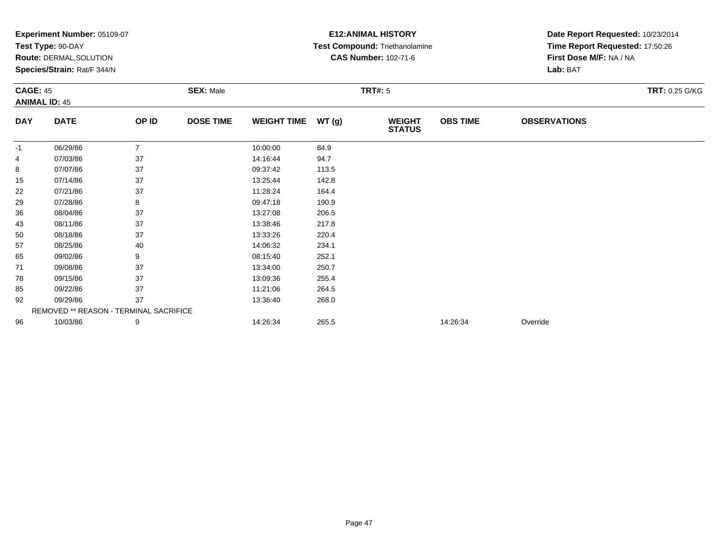|            | Experiment Number: 05109-07            |                |                  |                    |                | <b>E12: ANIMAL HISTORY</b>     | Date Report Requested: 10/23/2014 |                         |  |
|------------|----------------------------------------|----------------|------------------|--------------------|----------------|--------------------------------|-----------------------------------|-------------------------|--|
|            | Test Type: 90-DAY                      |                |                  |                    |                | Test Compound: Triethanolamine | Time Report Requested: 17:50:26   |                         |  |
|            | Route: DERMAL, SOLUTION                |                |                  |                    |                | <b>CAS Number: 102-71-6</b>    |                                   | First Dose M/F: NA / NA |  |
|            | Species/Strain: Rat/F 344/N            |                |                  |                    |                |                                |                                   | Lab: BAT                |  |
|            | <b>CAGE: 45</b><br><b>SEX: Male</b>    |                |                  |                    | <b>TRT#: 5</b> |                                | <b>TRT: 0.25 G/KG</b>             |                         |  |
|            | <b>ANIMAL ID: 45</b>                   |                |                  |                    |                |                                |                                   |                         |  |
| <b>DAY</b> | <b>DATE</b>                            | OP ID          | <b>DOSE TIME</b> | <b>WEIGHT TIME</b> | WT(g)          | <b>WEIGHT</b><br><b>STATUS</b> | <b>OBS TIME</b>                   | <b>OBSERVATIONS</b>     |  |
| -1         | 06/29/86                               | $\overline{7}$ |                  | 10:00:00           | 84.9           |                                |                                   |                         |  |
| 4          | 07/03/86                               | 37             |                  | 14:16:44           | 94.7           |                                |                                   |                         |  |
| 8          | 07/07/86                               | 37             |                  | 09:37:42           | 113.5          |                                |                                   |                         |  |
| 15         | 07/14/86                               | 37             |                  | 13:25:44           | 142.8          |                                |                                   |                         |  |
| 22         | 07/21/86                               | 37             |                  | 11:28:24           | 164.4          |                                |                                   |                         |  |
| 29         | 07/28/86                               | 8              |                  | 09:47:18           | 190.9          |                                |                                   |                         |  |
| 36         | 08/04/86                               | 37             |                  | 13:27:08           | 206.5          |                                |                                   |                         |  |
| 43         | 08/11/86                               | 37             |                  | 13:38:46           | 217.8          |                                |                                   |                         |  |
| 50         | 08/18/86                               | 37             |                  | 13:33:26           | 220.4          |                                |                                   |                         |  |
| 57         | 08/25/86                               | 40             |                  | 14:06:32           | 234.1          |                                |                                   |                         |  |
| 65         | 09/02/86                               | 9              |                  | 08:15:40           | 252.1          |                                |                                   |                         |  |
| 71         | 09/08/86                               | 37             |                  | 13:34:00           | 250.7          |                                |                                   |                         |  |
| 78         | 09/15/86                               | 37             |                  | 13:09:36           | 255.4          |                                |                                   |                         |  |
| 85         | 09/22/86                               | 37             |                  | 11:21:06           | 264.5          |                                |                                   |                         |  |
| 92         | 09/29/86                               | 37             |                  | 13:36:40           | 268.0          |                                |                                   |                         |  |
|            | REMOVED ** REASON - TERMINAL SACRIFICE |                |                  |                    |                |                                |                                   |                         |  |
| 96         | 10/03/86                               | 9              |                  | 14:26:34           | 265.5          |                                | 14:26:34                          | Override                |  |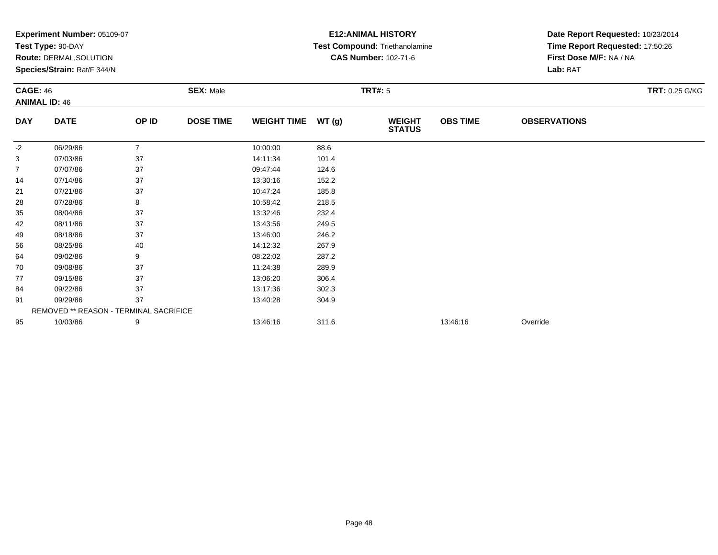|                | Experiment Number: 05109-07            |                |                  |                    |                | <b>E12: ANIMAL HISTORY</b>     | Date Report Requested: 10/23/2014 |                                 |  |  |
|----------------|----------------------------------------|----------------|------------------|--------------------|----------------|--------------------------------|-----------------------------------|---------------------------------|--|--|
|                | Test Type: 90-DAY                      |                |                  |                    |                | Test Compound: Triethanolamine |                                   | Time Report Requested: 17:50:26 |  |  |
|                | <b>Route: DERMAL, SOLUTION</b>         |                |                  |                    |                | <b>CAS Number: 102-71-6</b>    |                                   | First Dose M/F: NA / NA         |  |  |
|                | Species/Strain: Rat/F 344/N            |                |                  |                    |                |                                |                                   | Lab: BAT                        |  |  |
|                | <b>CAGE: 46</b><br><b>SEX: Male</b>    |                |                  |                    | <b>TRT#: 5</b> |                                | <b>TRT: 0.25 G/KG</b>             |                                 |  |  |
|                | <b>ANIMAL ID: 46</b>                   |                |                  |                    |                |                                |                                   |                                 |  |  |
| <b>DAY</b>     | <b>DATE</b>                            | OP ID          | <b>DOSE TIME</b> | <b>WEIGHT TIME</b> | WT(g)          | <b>WEIGHT</b><br><b>STATUS</b> | <b>OBS TIME</b>                   | <b>OBSERVATIONS</b>             |  |  |
| $-2$           | 06/29/86                               | $\overline{7}$ |                  | 10:00:00           | 88.6           |                                |                                   |                                 |  |  |
| 3              | 07/03/86                               | 37             |                  | 14:11:34           | 101.4          |                                |                                   |                                 |  |  |
| $\overline{7}$ | 07/07/86                               | 37             |                  | 09:47:44           | 124.6          |                                |                                   |                                 |  |  |
| 14             | 07/14/86                               | 37             |                  | 13:30:16           | 152.2          |                                |                                   |                                 |  |  |
| 21             | 07/21/86                               | 37             |                  | 10:47:24           | 185.8          |                                |                                   |                                 |  |  |
| 28             | 07/28/86                               | 8              |                  | 10:58:42           | 218.5          |                                |                                   |                                 |  |  |
| 35             | 08/04/86                               | 37             |                  | 13:32:46           | 232.4          |                                |                                   |                                 |  |  |
| 42             | 08/11/86                               | 37             |                  | 13:43:56           | 249.5          |                                |                                   |                                 |  |  |
| 49             | 08/18/86                               | 37             |                  | 13:46:00           | 246.2          |                                |                                   |                                 |  |  |
| 56             | 08/25/86                               | 40             |                  | 14:12:32           | 267.9          |                                |                                   |                                 |  |  |
| 64             | 09/02/86                               | 9              |                  | 08:22:02           | 287.2          |                                |                                   |                                 |  |  |
| 70             | 09/08/86                               | 37             |                  | 11:24:38           | 289.9          |                                |                                   |                                 |  |  |
| 77             | 09/15/86                               | 37             |                  | 13:06:20           | 306.4          |                                |                                   |                                 |  |  |
| 84             | 09/22/86                               | 37             |                  | 13:17:36           | 302.3          |                                |                                   |                                 |  |  |
| 91             | 09/29/86                               | 37             |                  | 13:40:28           | 304.9          |                                |                                   |                                 |  |  |
|                | REMOVED ** REASON - TERMINAL SACRIFICE |                |                  |                    |                |                                |                                   |                                 |  |  |
| 95             | 10/03/86                               | 9              |                  | 13:46:16           | 311.6          |                                | 13:46:16                          | Override                        |  |  |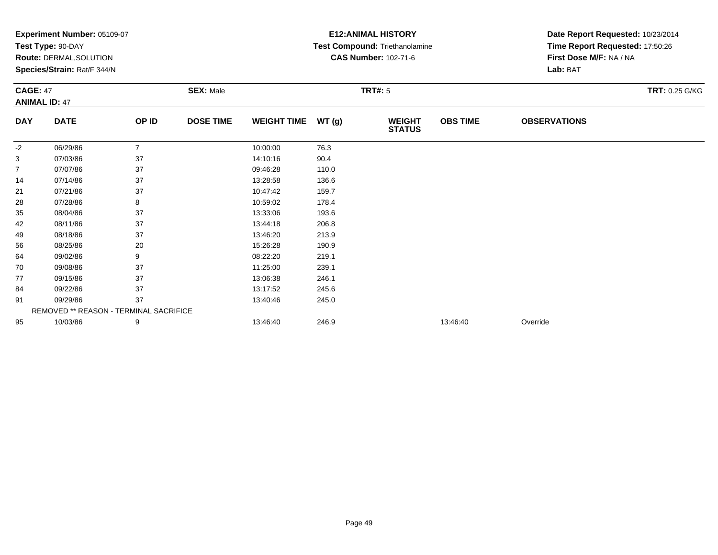|                | Experiment Number: 05109-07            |                |                  |                    |       | <b>E12: ANIMAL HISTORY</b>     | Date Report Requested: 10/23/2014 |                                 |  |  |
|----------------|----------------------------------------|----------------|------------------|--------------------|-------|--------------------------------|-----------------------------------|---------------------------------|--|--|
|                | Test Type: 90-DAY                      |                |                  |                    |       | Test Compound: Triethanolamine |                                   | Time Report Requested: 17:50:26 |  |  |
|                | Route: DERMAL, SOLUTION                |                |                  |                    |       | <b>CAS Number: 102-71-6</b>    |                                   | First Dose M/F: NA / NA         |  |  |
|                | Species/Strain: Rat/F 344/N            |                |                  |                    |       |                                |                                   | Lab: BAT                        |  |  |
|                | <b>CAGE: 47</b><br><b>SEX: Male</b>    |                |                  |                    |       | <b>TRT#: 5</b>                 | TRT: 0.25 G/KG                    |                                 |  |  |
|                | <b>ANIMAL ID: 47</b>                   |                |                  |                    |       |                                |                                   |                                 |  |  |
| <b>DAY</b>     | <b>DATE</b>                            | OP ID          | <b>DOSE TIME</b> | <b>WEIGHT TIME</b> | WT(g) | <b>WEIGHT</b><br><b>STATUS</b> | <b>OBS TIME</b>                   | <b>OBSERVATIONS</b>             |  |  |
| -2             | 06/29/86                               | $\overline{7}$ |                  | 10:00:00           | 76.3  |                                |                                   |                                 |  |  |
| 3              | 07/03/86                               | 37             |                  | 14:10:16           | 90.4  |                                |                                   |                                 |  |  |
| $\overline{7}$ | 07/07/86                               | 37             |                  | 09:46:28           | 110.0 |                                |                                   |                                 |  |  |
| 14             | 07/14/86                               | 37             |                  | 13:28:58           | 136.6 |                                |                                   |                                 |  |  |
| 21             | 07/21/86                               | 37             |                  | 10:47:42           | 159.7 |                                |                                   |                                 |  |  |
| 28             | 07/28/86                               | 8              |                  | 10:59:02           | 178.4 |                                |                                   |                                 |  |  |
| 35             | 08/04/86                               | 37             |                  | 13:33:06           | 193.6 |                                |                                   |                                 |  |  |
| 42             | 08/11/86                               | 37             |                  | 13:44:18           | 206.8 |                                |                                   |                                 |  |  |
| 49             | 08/18/86                               | 37             |                  | 13:46:20           | 213.9 |                                |                                   |                                 |  |  |
| 56             | 08/25/86                               | 20             |                  | 15:26:28           | 190.9 |                                |                                   |                                 |  |  |
| 64             | 09/02/86                               | 9              |                  | 08:22:20           | 219.1 |                                |                                   |                                 |  |  |
| 70             | 09/08/86                               | 37             |                  | 11:25:00           | 239.1 |                                |                                   |                                 |  |  |
| 77             | 09/15/86                               | 37             |                  | 13:06:38           | 246.1 |                                |                                   |                                 |  |  |
| 84             | 09/22/86                               | 37             |                  | 13:17:52           | 245.6 |                                |                                   |                                 |  |  |
| 91             | 09/29/86                               | 37             |                  | 13:40:46           | 245.0 |                                |                                   |                                 |  |  |
|                | REMOVED ** REASON - TERMINAL SACRIFICE |                |                  |                    |       |                                |                                   |                                 |  |  |
| 95             | 10/03/86                               | 9              |                  | 13:46:40           | 246.9 |                                | 13:46:40                          | Override                        |  |  |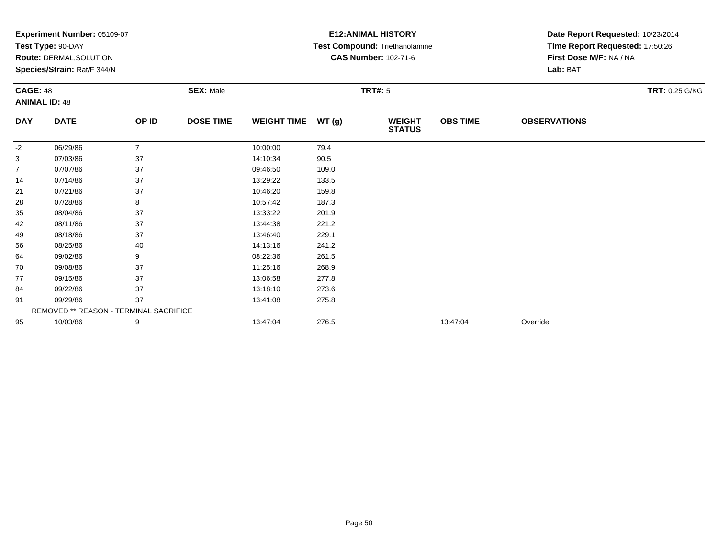|                | Experiment Number: 05109-07            |                |                  |                    |       | <b>E12: ANIMAL HISTORY</b>     | Date Report Requested: 10/23/2014 |                                     |  |  |
|----------------|----------------------------------------|----------------|------------------|--------------------|-------|--------------------------------|-----------------------------------|-------------------------------------|--|--|
|                | Test Type: 90-DAY                      |                |                  |                    |       | Test Compound: Triethanolamine |                                   | Time Report Requested: 17:50:26     |  |  |
|                | Route: DERMAL, SOLUTION                |                |                  |                    |       | <b>CAS Number: 102-71-6</b>    |                                   | First Dose M/F: NA / NA<br>Lab: BAT |  |  |
|                | Species/Strain: Rat/F 344/N            |                |                  |                    |       |                                |                                   |                                     |  |  |
|                | <b>CAGE: 48</b><br><b>SEX: Male</b>    |                |                  |                    |       | <b>TRT#: 5</b>                 | TRT: 0.25 G/KG                    |                                     |  |  |
|                | <b>ANIMAL ID: 48</b>                   |                |                  |                    |       |                                |                                   |                                     |  |  |
| <b>DAY</b>     | <b>DATE</b>                            | OP ID          | <b>DOSE TIME</b> | <b>WEIGHT TIME</b> | WT(g) | <b>WEIGHT</b><br><b>STATUS</b> | <b>OBS TIME</b>                   | <b>OBSERVATIONS</b>                 |  |  |
| -2             | 06/29/86                               | $\overline{7}$ |                  | 10:00:00           | 79.4  |                                |                                   |                                     |  |  |
| 3              | 07/03/86                               | 37             |                  | 14:10:34           | 90.5  |                                |                                   |                                     |  |  |
| $\overline{7}$ | 07/07/86                               | 37             |                  | 09:46:50           | 109.0 |                                |                                   |                                     |  |  |
| 14             | 07/14/86                               | 37             |                  | 13:29:22           | 133.5 |                                |                                   |                                     |  |  |
| 21             | 07/21/86                               | 37             |                  | 10:46:20           | 159.8 |                                |                                   |                                     |  |  |
| 28             | 07/28/86                               | 8              |                  | 10:57:42           | 187.3 |                                |                                   |                                     |  |  |
| 35             | 08/04/86                               | 37             |                  | 13:33:22           | 201.9 |                                |                                   |                                     |  |  |
| 42             | 08/11/86                               | 37             |                  | 13:44:38           | 221.2 |                                |                                   |                                     |  |  |
| 49             | 08/18/86                               | 37             |                  | 13:46:40           | 229.1 |                                |                                   |                                     |  |  |
| 56             | 08/25/86                               | 40             |                  | 14:13:16           | 241.2 |                                |                                   |                                     |  |  |
| 64             | 09/02/86                               | 9              |                  | 08:22:36           | 261.5 |                                |                                   |                                     |  |  |
| 70             | 09/08/86                               | 37             |                  | 11:25:16           | 268.9 |                                |                                   |                                     |  |  |
| 77             | 09/15/86                               | 37             |                  | 13:06:58           | 277.8 |                                |                                   |                                     |  |  |
| 84             | 09/22/86                               | 37             |                  | 13:18:10           | 273.6 |                                |                                   |                                     |  |  |
| 91             | 09/29/86                               | 37             |                  | 13:41:08           | 275.8 |                                |                                   |                                     |  |  |
|                | REMOVED ** REASON - TERMINAL SACRIFICE |                |                  |                    |       |                                |                                   |                                     |  |  |
| 95             | 10/03/86                               | 9              |                  | 13:47:04           | 276.5 |                                | 13:47:04                          | Override                            |  |  |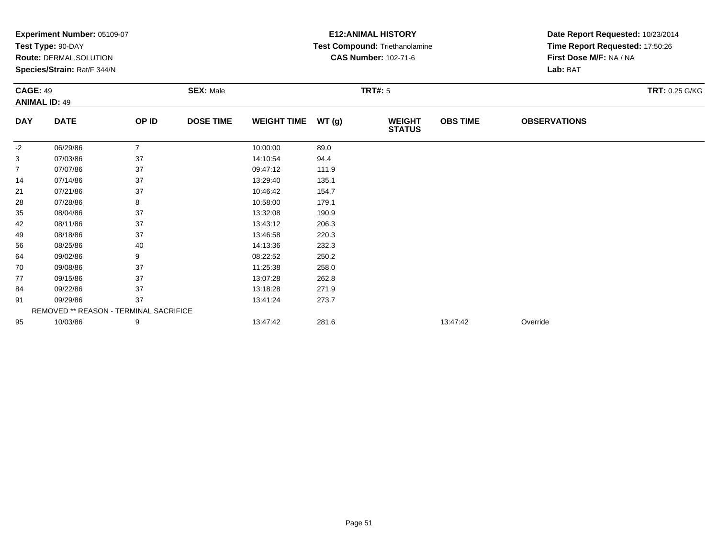|                | Experiment Number: 05109-07            |                |                  | <b>E12: ANIMAL HISTORY</b><br>Date Report Requested: 10/23/2014 |       |                                |                 |                                 |  |
|----------------|----------------------------------------|----------------|------------------|-----------------------------------------------------------------|-------|--------------------------------|-----------------|---------------------------------|--|
|                | Test Type: 90-DAY                      |                |                  |                                                                 |       | Test Compound: Triethanolamine |                 | Time Report Requested: 17:50:26 |  |
|                | Route: DERMAL, SOLUTION                |                |                  |                                                                 |       | <b>CAS Number: 102-71-6</b>    |                 | First Dose M/F: NA / NA         |  |
|                | Species/Strain: Rat/F 344/N            |                |                  |                                                                 |       |                                |                 | Lab: BAT                        |  |
|                | <b>CAGE: 49</b><br><b>SEX: Male</b>    |                |                  |                                                                 |       | <b>TRT#: 5</b>                 |                 | <b>TRT: 0.25 G/KG</b>           |  |
|                | <b>ANIMAL ID: 49</b>                   |                |                  |                                                                 |       |                                |                 |                                 |  |
| <b>DAY</b>     | <b>DATE</b>                            | OP ID          | <b>DOSE TIME</b> | <b>WEIGHT TIME</b>                                              | WT(g) | <b>WEIGHT</b><br><b>STATUS</b> | <b>OBS TIME</b> | <b>OBSERVATIONS</b>             |  |
| -2             | 06/29/86                               | $\overline{7}$ |                  | 10:00:00                                                        | 89.0  |                                |                 |                                 |  |
| 3              | 07/03/86                               | 37             |                  | 14:10:54                                                        | 94.4  |                                |                 |                                 |  |
| $\overline{7}$ | 07/07/86                               | 37             |                  | 09:47:12                                                        | 111.9 |                                |                 |                                 |  |
| 14             | 07/14/86                               | 37             |                  | 13:29:40                                                        | 135.1 |                                |                 |                                 |  |
| 21             | 07/21/86                               | 37             |                  | 10:46:42                                                        | 154.7 |                                |                 |                                 |  |
| 28             | 07/28/86                               | 8              |                  | 10:58:00                                                        | 179.1 |                                |                 |                                 |  |
| 35             | 08/04/86                               | 37             |                  | 13:32:08                                                        | 190.9 |                                |                 |                                 |  |
| 42             | 08/11/86                               | 37             |                  | 13:43:12                                                        | 206.3 |                                |                 |                                 |  |
| 49             | 08/18/86                               | 37             |                  | 13:46:58                                                        | 220.3 |                                |                 |                                 |  |
| 56             | 08/25/86                               | 40             |                  | 14:13:36                                                        | 232.3 |                                |                 |                                 |  |
| 64             | 09/02/86                               | 9              |                  | 08:22:52                                                        | 250.2 |                                |                 |                                 |  |
| 70             | 09/08/86                               | 37             |                  | 11:25:38                                                        | 258.0 |                                |                 |                                 |  |
| 77             | 09/15/86                               | 37             |                  | 13:07:28                                                        | 262.8 |                                |                 |                                 |  |
| 84             | 09/22/86                               | 37             |                  | 13:18:28                                                        | 271.9 |                                |                 |                                 |  |
| 91             | 09/29/86                               | 37             |                  | 13:41:24                                                        | 273.7 |                                |                 |                                 |  |
|                | REMOVED ** REASON - TERMINAL SACRIFICE |                |                  |                                                                 |       |                                |                 |                                 |  |
| 95             | 10/03/86                               | 9              |                  | 13:47:42                                                        | 281.6 |                                | 13:47:42        | Override                        |  |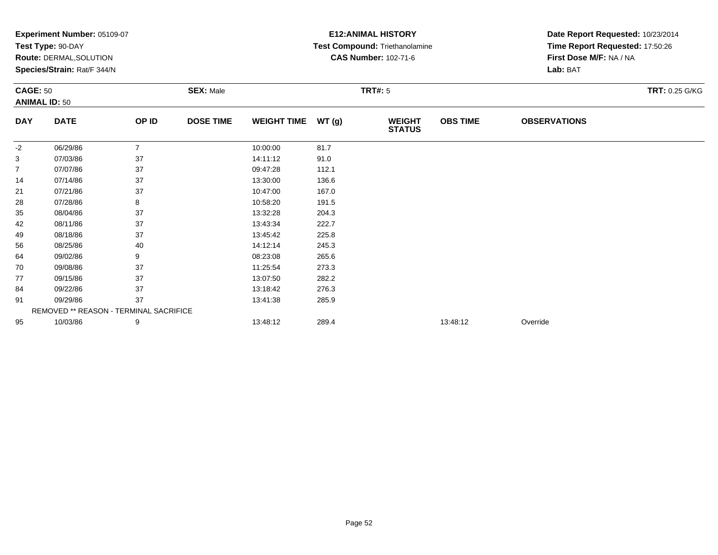|                | Experiment Number: 05109-07            |                |                  |                    |       | <b>E12: ANIMAL HISTORY</b>     |                 | Date Report Requested: 10/23/2014 |  |
|----------------|----------------------------------------|----------------|------------------|--------------------|-------|--------------------------------|-----------------|-----------------------------------|--|
|                | Test Type: 90-DAY                      |                |                  |                    |       | Test Compound: Triethanolamine |                 | Time Report Requested: 17:50:26   |  |
|                | Route: DERMAL, SOLUTION                |                |                  |                    |       | <b>CAS Number: 102-71-6</b>    |                 | First Dose M/F: NA / NA           |  |
|                | Species/Strain: Rat/F 344/N            |                |                  |                    |       |                                |                 | Lab: BAT                          |  |
|                | <b>CAGE: 50</b><br><b>SEX: Male</b>    |                |                  |                    |       | <b>TRT#: 5</b>                 |                 | <b>TRT: 0.25 G/KG</b>             |  |
|                | <b>ANIMAL ID: 50</b>                   |                |                  |                    |       |                                |                 |                                   |  |
| <b>DAY</b>     | <b>DATE</b>                            | OP ID          | <b>DOSE TIME</b> | <b>WEIGHT TIME</b> | WT(g) | <b>WEIGHT</b><br><b>STATUS</b> | <b>OBS TIME</b> | <b>OBSERVATIONS</b>               |  |
| -2             | 06/29/86                               | $\overline{7}$ |                  | 10:00:00           | 81.7  |                                |                 |                                   |  |
| 3              | 07/03/86                               | 37             |                  | 14:11:12           | 91.0  |                                |                 |                                   |  |
| $\overline{7}$ | 07/07/86                               | 37             |                  | 09:47:28           | 112.1 |                                |                 |                                   |  |
| 14             | 07/14/86                               | 37             |                  | 13:30:00           | 136.6 |                                |                 |                                   |  |
| 21             | 07/21/86                               | 37             |                  | 10:47:00           | 167.0 |                                |                 |                                   |  |
| 28             | 07/28/86                               | 8              |                  | 10:58:20           | 191.5 |                                |                 |                                   |  |
| 35             | 08/04/86                               | 37             |                  | 13:32:28           | 204.3 |                                |                 |                                   |  |
| 42             | 08/11/86                               | 37             |                  | 13:43:34           | 222.7 |                                |                 |                                   |  |
| 49             | 08/18/86                               | 37             |                  | 13:45:42           | 225.8 |                                |                 |                                   |  |
| 56             | 08/25/86                               | 40             |                  | 14:12:14           | 245.3 |                                |                 |                                   |  |
| 64             | 09/02/86                               | 9              |                  | 08:23:08           | 265.6 |                                |                 |                                   |  |
| 70             | 09/08/86                               | 37             |                  | 11:25:54           | 273.3 |                                |                 |                                   |  |
| 77             | 09/15/86                               | 37             |                  | 13:07:50           | 282.2 |                                |                 |                                   |  |
| 84             | 09/22/86                               | 37             |                  | 13:18:42           | 276.3 |                                |                 |                                   |  |
| 91             | 09/29/86                               | 37             |                  | 13:41:38           | 285.9 |                                |                 |                                   |  |
|                | REMOVED ** REASON - TERMINAL SACRIFICE |                |                  |                    |       |                                |                 |                                   |  |
| 95             | 10/03/86                               | 9              |                  | 13:48:12           | 289.4 |                                | 13:48:12        | Override                          |  |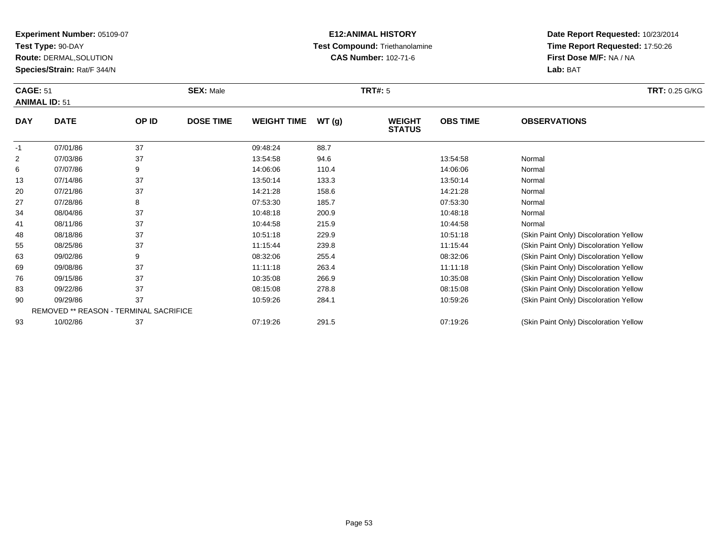**Test Type:** 90-DAY

83

**Route:** DERMAL,SOLUTION

**Species/Strain:** Rat/F 344/N

# **E12:ANIMAL HISTORY Test Compound:** Triethanolamine**CAS Number:** 102-71-6

| <b>CAGE: 51</b><br><b>ANIMAL ID: 51</b> |             | <b>SEX: Male</b> |                  |                    | <b>TRT#: 5</b> | <b>TRT: 0.25 G/KG</b>          |                 |                                        |
|-----------------------------------------|-------------|------------------|------------------|--------------------|----------------|--------------------------------|-----------------|----------------------------------------|
| <b>DAY</b>                              | <b>DATE</b> | OP ID            | <b>DOSE TIME</b> | <b>WEIGHT TIME</b> | WT(g)          | <b>WEIGHT</b><br><b>STATUS</b> | <b>OBS TIME</b> | <b>OBSERVATIONS</b>                    |
| -1                                      | 07/01/86    | 37               |                  | 09:48:24           | 88.7           |                                |                 |                                        |
| $\overline{2}$                          | 07/03/86    | 37               |                  | 13:54:58           | 94.6           |                                | 13:54:58        | Normal                                 |
| 6                                       | 07/07/86    | 9                |                  | 14:06:06           | 110.4          |                                | 14:06:06        | Normal                                 |
| 13                                      | 07/14/86    | 37               |                  | 13:50:14           | 133.3          |                                | 13:50:14        | Normal                                 |
| 20                                      | 07/21/86    | 37               |                  | 14:21:28           | 158.6          |                                | 14:21:28        | Normal                                 |
| 27                                      | 07/28/86    | 8                |                  | 07:53:30           | 185.7          |                                | 07:53:30        | Normal                                 |
| 34                                      | 08/04/86    | 37               |                  | 10:48:18           | 200.9          |                                | 10:48:18        | Normal                                 |
| 41                                      | 08/11/86    | 37               |                  | 10:44:58           | 215.9          |                                | 10:44:58        | Normal                                 |
| 48                                      | 08/18/86    | 37               |                  | 10:51:18           | 229.9          |                                | 10:51:18        | (Skin Paint Only) Discoloration Yellow |
| 55                                      | 08/25/86    | 37               |                  | 11:15:44           | 239.8          |                                | 11:15:44        | (Skin Paint Only) Discoloration Yellow |
| 63                                      | 09/02/86    | 9                |                  | 08:32:06           | 255.4          |                                | 08:32:06        | (Skin Paint Only) Discoloration Yellow |
| 69                                      | 09/08/86    | 37               |                  | 11:11:18           | 263.4          |                                | 11:11:18        | (Skin Paint Only) Discoloration Yellow |
| 76                                      | 09/15/86    | 37               |                  | 10:35:08           | 266.9          |                                | 10:35:08        | (Skin Paint Only) Discoloration Yellow |

| 83 | 09/22/86                               | 08:15:08 | 278.8 | 08:15:08 | (Skin Paint Only) Discoloration Yellow |
|----|----------------------------------------|----------|-------|----------|----------------------------------------|
| 90 | 09/29/86                               | 10:59:26 | 284.1 | 10:59:26 | (Skin Paint Only) Discoloration Yellow |
|    | REMOVED ** REASON - TERMINAL SACRIFICE |          |       |          |                                        |
| 93 | 10/02/86                               | 07:19:26 | 291.5 | 07:19:26 | (Skin Paint Only) Discoloration Yellow |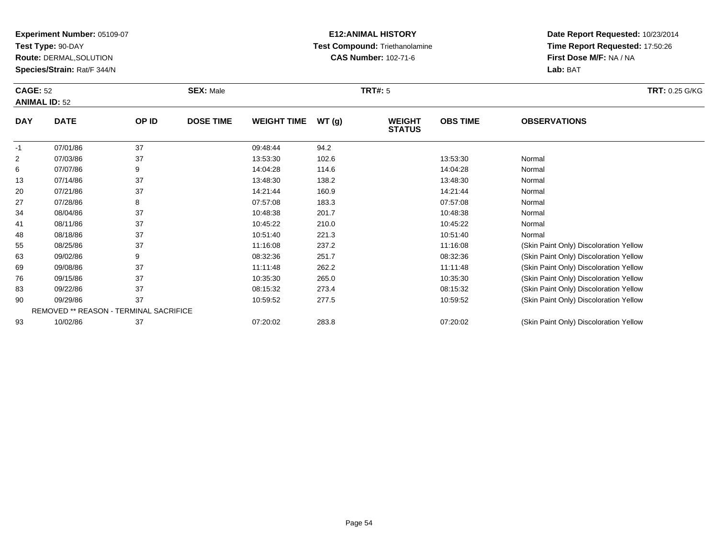**Test Type:** 90-DAY

83

**Route:** DERMAL,SOLUTION

**Species/Strain:** Rat/F 344/N

# **E12:ANIMAL HISTORY Test Compound:** Triethanolamine**CAS Number:** 102-71-6

| <b>CAGE: 52</b><br><b>ANIMAL ID: 52</b> |             | <b>SEX: Male</b> |                  |                    | <b>TRT#: 5</b> | <b>TRT: 0.25 G/KG</b>          |                 |                                        |
|-----------------------------------------|-------------|------------------|------------------|--------------------|----------------|--------------------------------|-----------------|----------------------------------------|
| <b>DAY</b>                              | <b>DATE</b> | OP ID            | <b>DOSE TIME</b> | <b>WEIGHT TIME</b> | WT(g)          | <b>WEIGHT</b><br><b>STATUS</b> | <b>OBS TIME</b> | <b>OBSERVATIONS</b>                    |
| $-1$                                    | 07/01/86    | 37               |                  | 09:48:44           | 94.2           |                                |                 |                                        |
| 2                                       | 07/03/86    | 37               |                  | 13:53:30           | 102.6          |                                | 13:53:30        | Normal                                 |
| 6                                       | 07/07/86    | 9                |                  | 14:04:28           | 114.6          |                                | 14:04:28        | Normal                                 |
| 13                                      | 07/14/86    | 37               |                  | 13:48:30           | 138.2          |                                | 13:48:30        | Normal                                 |
| 20                                      | 07/21/86    | 37               |                  | 14:21:44           | 160.9          |                                | 14:21:44        | Normal                                 |
| 27                                      | 07/28/86    | 8                |                  | 07:57:08           | 183.3          |                                | 07:57:08        | Normal                                 |
| 34                                      | 08/04/86    | 37               |                  | 10:48:38           | 201.7          |                                | 10:48:38        | Normal                                 |
| 41                                      | 08/11/86    | 37               |                  | 10:45:22           | 210.0          |                                | 10:45:22        | Normal                                 |
| 48                                      | 08/18/86    | 37               |                  | 10:51:40           | 221.3          |                                | 10:51:40        | Normal                                 |
| 55                                      | 08/25/86    | 37               |                  | 11:16:08           | 237.2          |                                | 11:16:08        | (Skin Paint Only) Discoloration Yellow |
| 63                                      | 09/02/86    | 9                |                  | 08:32:36           | 251.7          |                                | 08:32:36        | (Skin Paint Only) Discoloration Yellow |
| 69                                      | 09/08/86    | 37               |                  | 11:11:48           | 262.2          |                                | 11:11:48        | (Skin Paint Only) Discoloration Yellow |
| 76                                      | 09/15/86    | 37               |                  | 10:35:30           | 265.0          |                                | 10:35:30        | (Skin Paint Only) Discoloration Yellow |

| 83 | 09/22/86                               | 08:15:32 | 273.4 | 08:15:32 | (Skin Paint Only) Discoloration Yellow |
|----|----------------------------------------|----------|-------|----------|----------------------------------------|
| 90 | 09/29/86                               | 10:59:52 | 277.5 | 10:59:52 | (Skin Paint Only) Discoloration Yellow |
|    | REMOVED ** REASON - TERMINAL SACRIFICE |          |       |          |                                        |
| 93 | 10/02/86                               | 07:20:02 | 283.8 | 07:20:02 | (Skin Paint Only) Discoloration Yellow |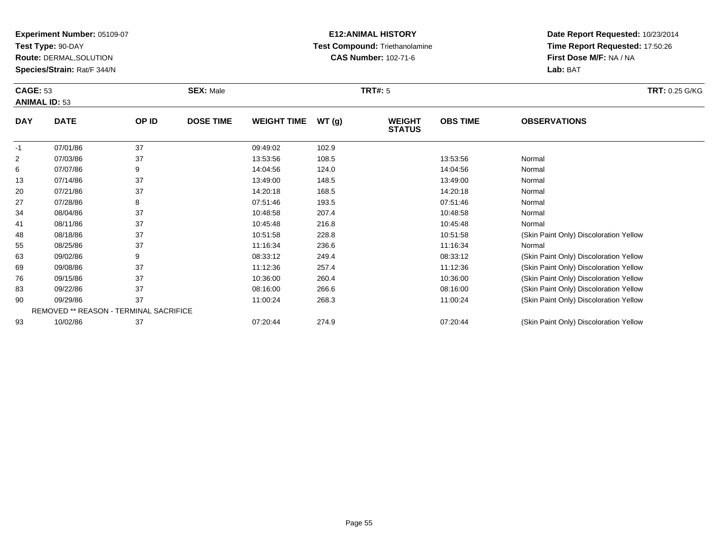**Test Type:** 90-DAY

93

**Route:** DERMAL,SOLUTION

**Species/Strain:** Rat/F 344/N

## **E12:ANIMAL HISTORY Test Compound:** Triethanolamine**CAS Number:** 102-71-6

**Date Report Requested:** 10/23/2014**Time Report Requested:** 17:50:26**First Dose M/F:** NA / NA**Lab:** BAT

|            | <b>CAGE: 53</b><br><b>ANIMAL ID: 53</b>       |       | <b>SEX: Male</b> |                    |        | <b>TRT#: 5</b>                 | <b>TRT: 0.25 G/KG</b> |                                        |
|------------|-----------------------------------------------|-------|------------------|--------------------|--------|--------------------------------|-----------------------|----------------------------------------|
| <b>DAY</b> | <b>DATE</b>                                   | OP ID | <b>DOSE TIME</b> | <b>WEIGHT TIME</b> | WT (g) | <b>WEIGHT</b><br><b>STATUS</b> | <b>OBS TIME</b>       | <b>OBSERVATIONS</b>                    |
| -1         | 07/01/86                                      | 37    |                  | 09:49:02           | 102.9  |                                |                       |                                        |
| 2          | 07/03/86                                      | 37    |                  | 13:53:56           | 108.5  |                                | 13:53:56              | Normal                                 |
| 6          | 07/07/86                                      | 9     |                  | 14:04:56           | 124.0  |                                | 14:04:56              | Normal                                 |
| 13         | 07/14/86                                      | 37    |                  | 13:49:00           | 148.5  |                                | 13:49:00              | Normal                                 |
| 20         | 07/21/86                                      | 37    |                  | 14:20:18           | 168.5  |                                | 14:20:18              | Normal                                 |
| 27         | 07/28/86                                      | 8     |                  | 07:51:46           | 193.5  |                                | 07:51:46              | Normal                                 |
| 34         | 08/04/86                                      | 37    |                  | 10:48:58           | 207.4  |                                | 10:48:58              | Normal                                 |
| 41         | 08/11/86                                      | 37    |                  | 10:45:48           | 216.8  |                                | 10:45:48              | Normal                                 |
| 48         | 08/18/86                                      | 37    |                  | 10:51:58           | 228.8  |                                | 10:51:58              | (Skin Paint Only) Discoloration Yellow |
| 55         | 08/25/86                                      | 37    |                  | 11:16:34           | 236.6  |                                | 11:16:34              | Normal                                 |
| 63         | 09/02/86                                      | 9     |                  | 08:33:12           | 249.4  |                                | 08:33:12              | (Skin Paint Only) Discoloration Yellow |
| 69         | 09/08/86                                      | 37    |                  | 11:12:36           | 257.4  |                                | 11:12:36              | (Skin Paint Only) Discoloration Yellow |
| 76         | 09/15/86                                      | 37    |                  | 10:36:00           | 260.4  |                                | 10:36:00              | (Skin Paint Only) Discoloration Yellow |
| 83         | 09/22/86                                      | 37    |                  | 08:16:00           | 266.6  |                                | 08:16:00              | (Skin Paint Only) Discoloration Yellow |
| 90         | 09/29/86                                      | 37    |                  | 11:00:24           | 268.3  |                                | 11:00:24              | (Skin Paint Only) Discoloration Yellow |
|            | <b>REMOVED ** REASON - TERMINAL SACRIFICE</b> |       |                  |                    |        |                                |                       |                                        |

10/02/86 <sup>37</sup> 07:20:44 274.9 07:20:44 (Skin Paint Only) Discoloration Yellow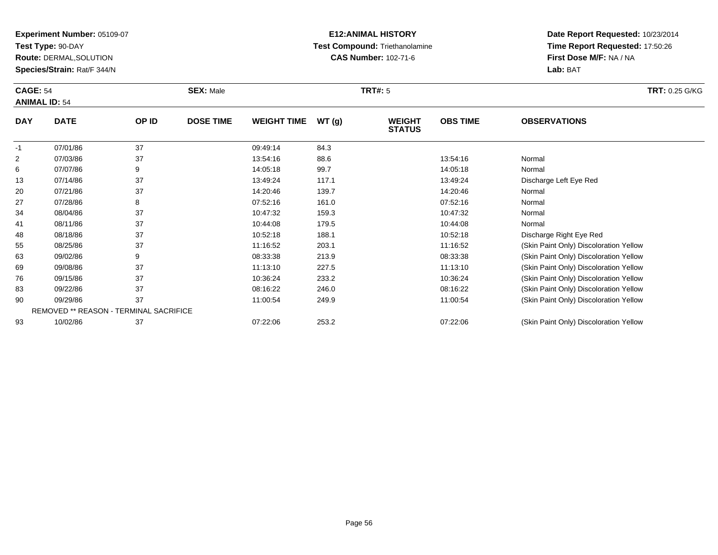**Test Type:** 90-DAY

**Route:** DERMAL,SOLUTION

**Species/Strain:** Rat/F 344/N

# **E12:ANIMAL HISTORY Test Compound:** Triethanolamine**CAS Number:** 102-71-6

**Date Report Requested:** 10/23/2014**Time Report Requested:** 17:50:26**First Dose M/F:** NA / NA**Lab:** BAT

| <b>CAGE: 54</b><br><b>ANIMAL ID: 54</b> |             | <b>SEX: Male</b> |                  |                    | <b>TRT#: 5</b> | <b>TRT: 0.25 G/KG</b>          |                 |                                        |
|-----------------------------------------|-------------|------------------|------------------|--------------------|----------------|--------------------------------|-----------------|----------------------------------------|
| <b>DAY</b>                              | <b>DATE</b> | OP ID            | <b>DOSE TIME</b> | <b>WEIGHT TIME</b> | WT(g)          | <b>WEIGHT</b><br><b>STATUS</b> | <b>OBS TIME</b> | <b>OBSERVATIONS</b>                    |
| $-1$                                    | 07/01/86    | 37               |                  | 09:49:14           | 84.3           |                                |                 |                                        |
| 2                                       | 07/03/86    | 37               |                  | 13:54:16           | 88.6           |                                | 13:54:16        | Normal                                 |
| 6                                       | 07/07/86    | 9                |                  | 14:05:18           | 99.7           |                                | 14:05:18        | Normal                                 |
| 13                                      | 07/14/86    | 37               |                  | 13:49:24           | 117.1          |                                | 13:49:24        | Discharge Left Eye Red                 |
| 20                                      | 07/21/86    | 37               |                  | 14:20:46           | 139.7          |                                | 14:20:46        | Normal                                 |
| 27                                      | 07/28/86    | 8                |                  | 07:52:16           | 161.0          |                                | 07:52:16        | Normal                                 |
| 34                                      | 08/04/86    | 37               |                  | 10:47:32           | 159.3          |                                | 10:47:32        | Normal                                 |
| 41                                      | 08/11/86    | 37               |                  | 10:44:08           | 179.5          |                                | 10:44:08        | Normal                                 |
| 48                                      | 08/18/86    | 37               |                  | 10:52:18           | 188.1          |                                | 10:52:18        | Discharge Right Eye Red                |
| 55                                      | 08/25/86    | 37               |                  | 11:16:52           | 203.1          |                                | 11:16:52        | (Skin Paint Only) Discoloration Yellow |
| 63                                      | 09/02/86    | 9                |                  | 08:33:38           | 213.9          |                                | 08:33:38        | (Skin Paint Only) Discoloration Yellow |
| 69                                      | 09/08/86    | 37               |                  | 11:13:10           | 227.5          |                                | 11:13:10        | (Skin Paint Only) Discoloration Yellow |
| 76                                      | 09/15/86    | 37               |                  | 10:36:24           | 233.2          |                                | 10:36:24        | (Skin Paint Only) Discoloration Yellow |
| 83                                      | 09/22/86    | 37               |                  | 08:16:22           | 246.0          |                                | 08:16:22        | (Skin Paint Only) Discoloration Yellow |
|                                         |             |                  |                  |                    |                |                                |                 |                                        |

0 09/29/86 37 37 11:00:54 249.9 249.9 11:00:54 11:00:54 (Skin Paint Only) Discoloration Yellow 90REMOVED \*\* REASON - TERMINAL SACRIFICE9310/02/86 <sup>37</sup> 07:22:06 253.2 07:22:06 (Skin Paint Only) Discoloration Yellow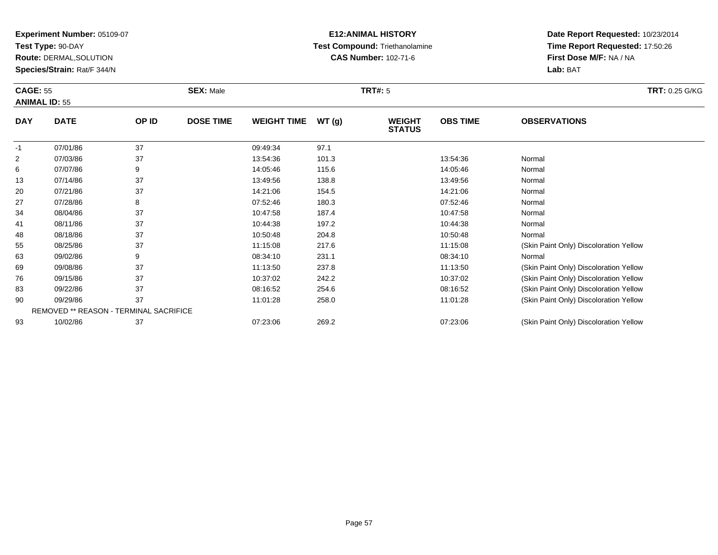**Test Type:** 90-DAY

93

**Route:** DERMAL,SOLUTION

**Species/Strain:** Rat/F 344/N

# **E12:ANIMAL HISTORY Test Compound:** Triethanolamine**CAS Number:** 102-71-6

**Date Report Requested:** 10/23/2014**Time Report Requested:** 17:50:26**First Dose M/F:** NA / NA**Lab:** BAT

|                | <b>CAGE: 55</b><br><b>ANIMAL ID: 55</b> |       | <b>SEX: Male</b> |                    |       | <b>TRT#: 5</b>                 | <b>TRT: 0.25 G/KG</b> |                                        |
|----------------|-----------------------------------------|-------|------------------|--------------------|-------|--------------------------------|-----------------------|----------------------------------------|
| <b>DAY</b>     | <b>DATE</b>                             | OP ID | <b>DOSE TIME</b> | <b>WEIGHT TIME</b> | WT(g) | <b>WEIGHT</b><br><b>STATUS</b> | <b>OBS TIME</b>       | <b>OBSERVATIONS</b>                    |
| $-1$           | 07/01/86                                | 37    |                  | 09:49:34           | 97.1  |                                |                       |                                        |
| $\overline{2}$ | 07/03/86                                | 37    |                  | 13:54:36           | 101.3 |                                | 13:54:36              | Normal                                 |
| 6              | 07/07/86                                | 9     |                  | 14:05:46           | 115.6 |                                | 14:05:46              | Normal                                 |
| 13             | 07/14/86                                | 37    |                  | 13:49:56           | 138.8 |                                | 13:49:56              | Normal                                 |
| 20             | 07/21/86                                | 37    |                  | 14:21:06           | 154.5 |                                | 14:21:06              | Normal                                 |
| 27             | 07/28/86                                | 8     |                  | 07:52:46           | 180.3 |                                | 07.52.46              | Normal                                 |
| 34             | 08/04/86                                | 37    |                  | 10:47:58           | 187.4 |                                | 10:47:58              | Normal                                 |
| 41             | 08/11/86                                | 37    |                  | 10:44:38           | 197.2 |                                | 10:44:38              | Normal                                 |
| 48             | 08/18/86                                | 37    |                  | 10:50:48           | 204.8 |                                | 10:50:48              | Normal                                 |
| 55             | 08/25/86                                | 37    |                  | 11:15:08           | 217.6 |                                | 11:15:08              | (Skin Paint Only) Discoloration Yellow |
| 63             | 09/02/86                                | 9     |                  | 08:34:10           | 231.1 |                                | 08:34:10              | Normal                                 |
| 69             | 09/08/86                                | 37    |                  | 11:13:50           | 237.8 |                                | 11:13:50              | (Skin Paint Only) Discoloration Yellow |
| 76             | 09/15/86                                | 37    |                  | 10:37:02           | 242.2 |                                | 10:37:02              | (Skin Paint Only) Discoloration Yellow |
| 83             | 09/22/86                                | 37    |                  | 08:16:52           | 254.6 |                                | 08:16:52              | (Skin Paint Only) Discoloration Yellow |
| 90             | 09/29/86                                | 37    |                  | 11:01:28           | 258.0 |                                | 11:01:28              | (Skin Paint Only) Discoloration Yellow |
|                | REMOVED ** REASON - TERMINAL SACRIFICE  |       |                  |                    |       |                                |                       |                                        |

10/02/86 <sup>37</sup> 07:23:06 269.2 07:23:06 (Skin Paint Only) Discoloration Yellow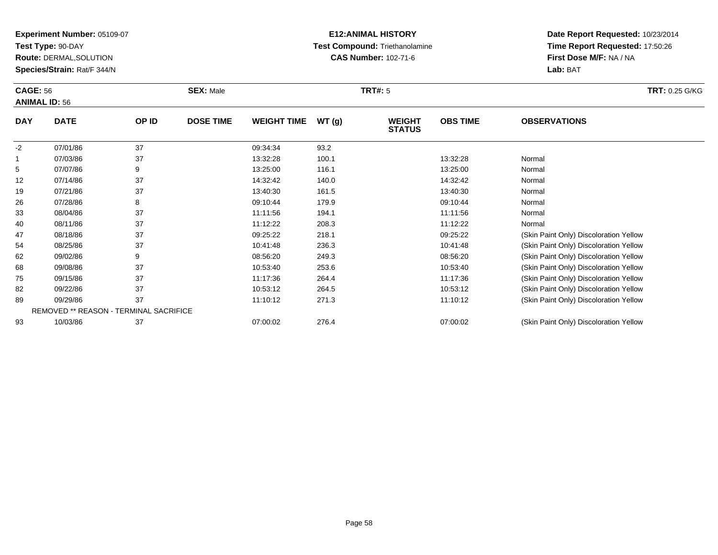**Test Type:** 90-DAY

93

**Route:** DERMAL,SOLUTION

**Species/Strain:** Rat/F 344/N

# **E12:ANIMAL HISTORY Test Compound:** Triethanolamine**CAS Number:** 102-71-6

**Date Report Requested:** 10/23/2014**Time Report Requested:** 17:50:26**First Dose M/F:** NA / NA**Lab:** BAT

|             | <b>CAGE: 56</b><br><b>ANIMAL ID: 56</b>       |       | <b>SEX: Male</b> |                    |       | <b>TRT#: 5</b>                 | <b>TRT: 0.25 G/KG</b> |                                        |
|-------------|-----------------------------------------------|-------|------------------|--------------------|-------|--------------------------------|-----------------------|----------------------------------------|
| <b>DAY</b>  | <b>DATE</b>                                   | OP ID | <b>DOSE TIME</b> | <b>WEIGHT TIME</b> | WT(g) | <b>WEIGHT</b><br><b>STATUS</b> | <b>OBS TIME</b>       | <b>OBSERVATIONS</b>                    |
| $-2$        | 07/01/86                                      | 37    |                  | 09:34:34           | 93.2  |                                |                       |                                        |
| $\mathbf 1$ | 07/03/86                                      | 37    |                  | 13:32:28           | 100.1 |                                | 13:32:28              | Normal                                 |
| 5           | 07/07/86                                      | 9     |                  | 13:25:00           | 116.1 |                                | 13:25:00              | Normal                                 |
| 12          | 07/14/86                                      | 37    |                  | 14:32:42           | 140.0 |                                | 14:32:42              | Normal                                 |
| 19          | 07/21/86                                      | 37    |                  | 13:40:30           | 161.5 |                                | 13:40:30              | Normal                                 |
| 26          | 07/28/86                                      | 8     |                  | 09:10:44           | 179.9 |                                | 09:10:44              | Normal                                 |
| 33          | 08/04/86                                      | 37    |                  | 11:11:56           | 194.1 |                                | 11:11:56              | Normal                                 |
| 40          | 08/11/86                                      | 37    |                  | 11:12:22           | 208.3 |                                | 11:12:22              | Normal                                 |
| 47          | 08/18/86                                      | 37    |                  | 09:25:22           | 218.1 |                                | 09:25:22              | (Skin Paint Only) Discoloration Yellow |
| 54          | 08/25/86                                      | 37    |                  | 10:41:48           | 236.3 |                                | 10:41:48              | (Skin Paint Only) Discoloration Yellow |
| 62          | 09/02/86                                      | 9     |                  | 08:56:20           | 249.3 |                                | 08:56:20              | (Skin Paint Only) Discoloration Yellow |
| 68          | 09/08/86                                      | 37    |                  | 10:53:40           | 253.6 |                                | 10:53:40              | (Skin Paint Only) Discoloration Yellow |
| 75          | 09/15/86                                      | 37    |                  | 11:17:36           | 264.4 |                                | 11:17:36              | (Skin Paint Only) Discoloration Yellow |
| 82          | 09/22/86                                      | 37    |                  | 10:53:12           | 264.5 |                                | 10:53:12              | (Skin Paint Only) Discoloration Yellow |
| 89          | 09/29/86                                      | 37    |                  | 11:10:12           | 271.3 |                                | 11:10:12              | (Skin Paint Only) Discoloration Yellow |
|             | <b>REMOVED ** REASON - TERMINAL SACRIFICE</b> |       |                  |                    |       |                                |                       |                                        |

10/03/86 <sup>37</sup> 07:00:02 276.4 07:00:02 (Skin Paint Only) Discoloration Yellow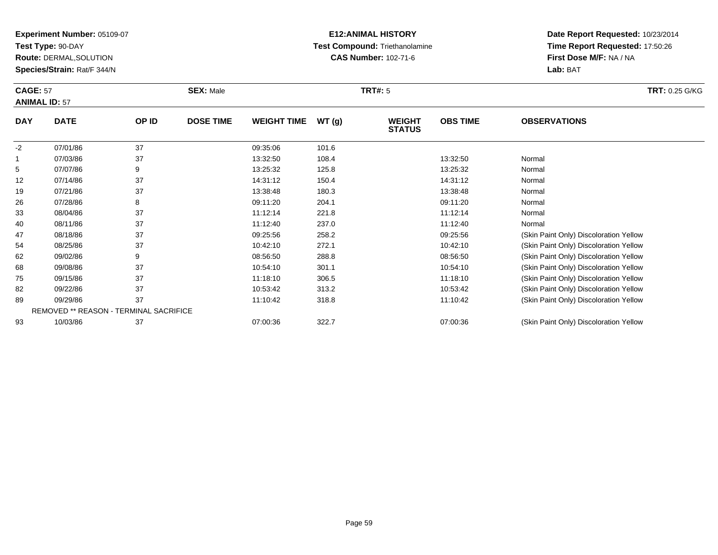**Test Type:** 90-DAY

**Route:** DERMAL,SOLUTION

**Species/Strain:** Rat/F 344/N

# **E12:ANIMAL HISTORY Test Compound:** Triethanolamine**CAS Number:** 102-71-6

**Date Report Requested:** 10/23/2014**Time Report Requested:** 17:50:26**First Dose M/F:** NA / NA**Lab:** BAT

|            | <b>CAGE: 57</b><br><b>ANIMAL ID: 57</b> |       | <b>SEX: Male</b> |                    |       | <b>TRT#: 5</b>                 |                 | <b>TRT: 0.25 G/KG</b>                  |
|------------|-----------------------------------------|-------|------------------|--------------------|-------|--------------------------------|-----------------|----------------------------------------|
| <b>DAY</b> | <b>DATE</b>                             | OP ID | <b>DOSE TIME</b> | <b>WEIGHT TIME</b> | WT(g) | <b>WEIGHT</b><br><b>STATUS</b> | <b>OBS TIME</b> | <b>OBSERVATIONS</b>                    |
| $-2$       | 07/01/86                                | 37    |                  | 09:35:06           | 101.6 |                                |                 |                                        |
|            | 07/03/86                                | 37    |                  | 13:32:50           | 108.4 |                                | 13:32:50        | Normal                                 |
| 5          | 07/07/86                                | 9     |                  | 13:25:32           | 125.8 |                                | 13:25:32        | Normal                                 |
| 12         | 07/14/86                                | 37    |                  | 14:31:12           | 150.4 |                                | 14:31:12        | Normal                                 |
| 19         | 07/21/86                                | 37    |                  | 13:38:48           | 180.3 |                                | 13:38:48        | Normal                                 |
| 26         | 07/28/86                                | 8     |                  | 09:11:20           | 204.1 |                                | 09:11:20        | Normal                                 |
| 33         | 08/04/86                                | 37    |                  | 11:12:14           | 221.8 |                                | 11:12:14        | Normal                                 |
| 40         | 08/11/86                                | 37    |                  | 11:12:40           | 237.0 |                                | 11:12:40        | Normal                                 |
| 47         | 08/18/86                                | 37    |                  | 09:25:56           | 258.2 |                                | 09:25:56        | (Skin Paint Only) Discoloration Yellow |
| 54         | 08/25/86                                | 37    |                  | 10:42:10           | 272.1 |                                | 10:42:10        | (Skin Paint Only) Discoloration Yellow |
| 62         | 09/02/86                                | 9     |                  | 08:56:50           | 288.8 |                                | 08:56:50        | (Skin Paint Only) Discoloration Yellow |
| 68         | 09/08/86                                | 37    |                  | 10:54:10           | 301.1 |                                | 10:54:10        | (Skin Paint Only) Discoloration Yellow |
| 75         | 09/15/86                                | 37    |                  | 11:18:10           | 306.5 |                                | 11:18:10        | (Skin Paint Only) Discoloration Yellow |
| 82         | 09/22/86                                | 37    |                  | 10:53:42           | 313.2 |                                | 10:53:42        | (Skin Paint Only) Discoloration Yellow |

07:00:36 322.7 07:00:36 (Skin Paint Only) Discoloration Yellow

| 82 | 09/22/86                                      | 10:53:42 | 313.2 | 10:53:42 | (Skin Paint Only) Discoloration Yellow |
|----|-----------------------------------------------|----------|-------|----------|----------------------------------------|
| 89 | 09/29/86                                      | 1:10:42  | 318.8 | 11:10:42 | (Skin Paint Only) Discoloration Yellow |
|    | <b>REMOVED ** REASON - TERMINAL SACRIFICE</b> |          |       |          |                                        |
| 93 | 10/03/86                                      | 07:00:36 |       | 07:00:36 | (Skin Paint Only) Discoloration Yellow |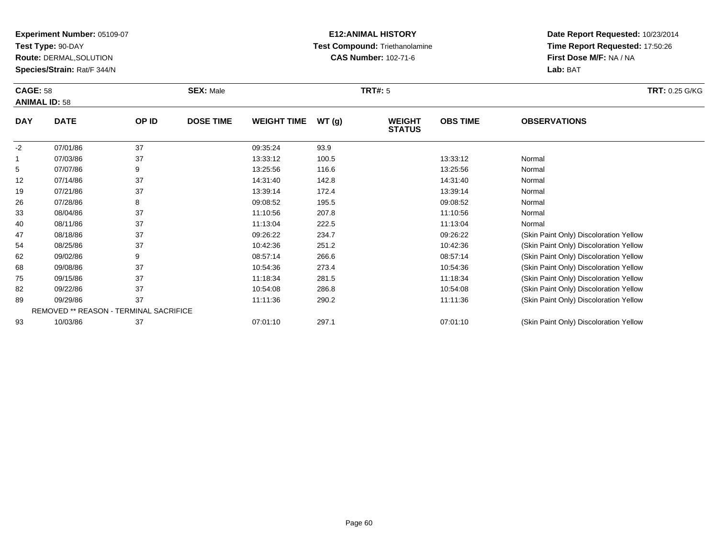**Test Type:** 90-DAY

82

**Route:** DERMAL,SOLUTION

**Species/Strain:** Rat/F 344/N

# **E12:ANIMAL HISTORY Test Compound:** Triethanolamine**CAS Number:** 102-71-6

|            | <b>CAGE: 58</b><br><b>ANIMAL ID: 58</b> |       | <b>SEX: Male</b> |                    |       | <b>TRT#: 5</b>                 | <b>TRT: 0.25 G/KG</b> |                                        |
|------------|-----------------------------------------|-------|------------------|--------------------|-------|--------------------------------|-----------------------|----------------------------------------|
| <b>DAY</b> | <b>DATE</b>                             | OP ID | <b>DOSE TIME</b> | <b>WEIGHT TIME</b> | WT(g) | <b>WEIGHT</b><br><b>STATUS</b> | <b>OBS TIME</b>       | <b>OBSERVATIONS</b>                    |
| $-2$       | 07/01/86                                | 37    |                  | 09:35:24           | 93.9  |                                |                       |                                        |
|            | 07/03/86                                | 37    |                  | 13:33:12           | 100.5 |                                | 13:33:12              | Normal                                 |
| 5          | 07/07/86                                | 9     |                  | 13:25:56           | 116.6 |                                | 13:25:56              | Normal                                 |
| 12         | 07/14/86                                | 37    |                  | 14:31:40           | 142.8 |                                | 14:31:40              | Normal                                 |
| 19         | 07/21/86                                | 37    |                  | 13:39:14           | 172.4 |                                | 13:39:14              | Normal                                 |
| 26         | 07/28/86                                | 8     |                  | 09:08:52           | 195.5 |                                | 09:08:52              | Normal                                 |
| 33         | 08/04/86                                | 37    |                  | 11:10:56           | 207.8 |                                | 11:10:56              | Normal                                 |
| 40         | 08/11/86                                | 37    |                  | 11:13:04           | 222.5 |                                | 11:13:04              | Normal                                 |
| 47         | 08/18/86                                | 37    |                  | 09:26:22           | 234.7 |                                | 09:26:22              | (Skin Paint Only) Discoloration Yellow |
| 54         | 08/25/86                                | 37    |                  | 10:42:36           | 251.2 |                                | 10:42:36              | (Skin Paint Only) Discoloration Yellow |
| 62         | 09/02/86                                | 9     |                  | 08:57:14           | 266.6 |                                | 08:57:14              | (Skin Paint Only) Discoloration Yellow |
| 68         | 09/08/86                                | 37    |                  | 10:54:36           | 273.4 |                                | 10:54:36              | (Skin Paint Only) Discoloration Yellow |
| 75         | 09/15/86                                | 37    |                  | 11:18:34           | 281.5 |                                | 11:18:34              | (Skin Paint Only) Discoloration Yellow |

| -82 | 09/22/86 |                                        | 10:54:08 | 286.8 | 10:54:08 | (Skin Paint Only) Discoloration Yellow |
|-----|----------|----------------------------------------|----------|-------|----------|----------------------------------------|
| 89  | 09/29/86 |                                        | 11:11:36 | 290.2 | 11:11:36 | (Skin Paint Only) Discoloration Yellow |
|     |          | REMOVED ** REASON - TERMINAL SACRIFICE |          |       |          |                                        |
| 93  | 10/03/86 |                                        | 07:01:10 | 297.7 | 07:01:10 | (Skin Paint Only) Discoloration Yellow |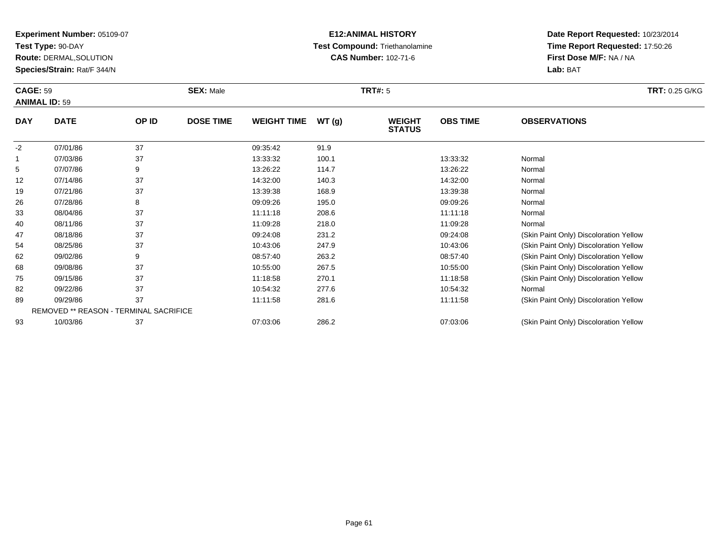**Test Type:** 90-DAY

93

**Route:** DERMAL,SOLUTION

**Species/Strain:** Rat/F 344/N

# **E12:ANIMAL HISTORY Test Compound:** Triethanolamine**CAS Number:** 102-71-6

**Date Report Requested:** 10/23/2014**Time Report Requested:** 17:50:26**First Dose M/F:** NA / NA**Lab:** BAT

|              | <b>CAGE: 59</b><br><b>ANIMAL ID: 59</b>       |       | <b>SEX: Male</b> |                    |       | <b>TRT#: 5</b>                 | <b>TRT: 0.25 G/KG</b> |                                        |
|--------------|-----------------------------------------------|-------|------------------|--------------------|-------|--------------------------------|-----------------------|----------------------------------------|
| <b>DAY</b>   | <b>DATE</b>                                   | OP ID | <b>DOSE TIME</b> | <b>WEIGHT TIME</b> | WT(g) | <b>WEIGHT</b><br><b>STATUS</b> | <b>OBS TIME</b>       | <b>OBSERVATIONS</b>                    |
| $-2$         | 07/01/86                                      | 37    |                  | 09:35:42           | 91.9  |                                |                       |                                        |
| $\mathbf{1}$ | 07/03/86                                      | 37    |                  | 13:33:32           | 100.1 |                                | 13:33:32              | Normal                                 |
| 5            | 07/07/86                                      | 9     |                  | 13:26:22           | 114.7 |                                | 13:26:22              | Normal                                 |
| 12           | 07/14/86                                      | 37    |                  | 14:32:00           | 140.3 |                                | 14:32:00              | Normal                                 |
| 19           | 07/21/86                                      | 37    |                  | 13:39:38           | 168.9 |                                | 13:39:38              | Normal                                 |
| 26           | 07/28/86                                      | 8     |                  | 09:09:26           | 195.0 |                                | 09:09:26              | Normal                                 |
| 33           | 08/04/86                                      | 37    |                  | 11:11:18           | 208.6 |                                | 11:11:18              | Normal                                 |
| 40           | 08/11/86                                      | 37    |                  | 11:09:28           | 218.0 |                                | 11:09:28              | Normal                                 |
| 47           | 08/18/86                                      | 37    |                  | 09:24:08           | 231.2 |                                | 09:24:08              | (Skin Paint Only) Discoloration Yellow |
| 54           | 08/25/86                                      | 37    |                  | 10:43:06           | 247.9 |                                | 10:43:06              | (Skin Paint Only) Discoloration Yellow |
| 62           | 09/02/86                                      | 9     |                  | 08:57:40           | 263.2 |                                | 08:57:40              | (Skin Paint Only) Discoloration Yellow |
| 68           | 09/08/86                                      | 37    |                  | 10:55:00           | 267.5 |                                | 10:55:00              | (Skin Paint Only) Discoloration Yellow |
| 75           | 09/15/86                                      | 37    |                  | 11:18:58           | 270.1 |                                | 11:18:58              | (Skin Paint Only) Discoloration Yellow |
| 82           | 09/22/86                                      | 37    |                  | 10:54:32           | 277.6 |                                | 10:54:32              | Normal                                 |
| 89           | 09/29/86                                      | 37    |                  | 11:11:58           | 281.6 |                                | 11:11:58              | (Skin Paint Only) Discoloration Yellow |
|              | <b>REMOVED ** REASON - TERMINAL SACRIFICE</b> |       |                  |                    |       |                                |                       |                                        |

10/03/86 <sup>37</sup> 07:03:06 286.2 07:03:06 (Skin Paint Only) Discoloration Yellow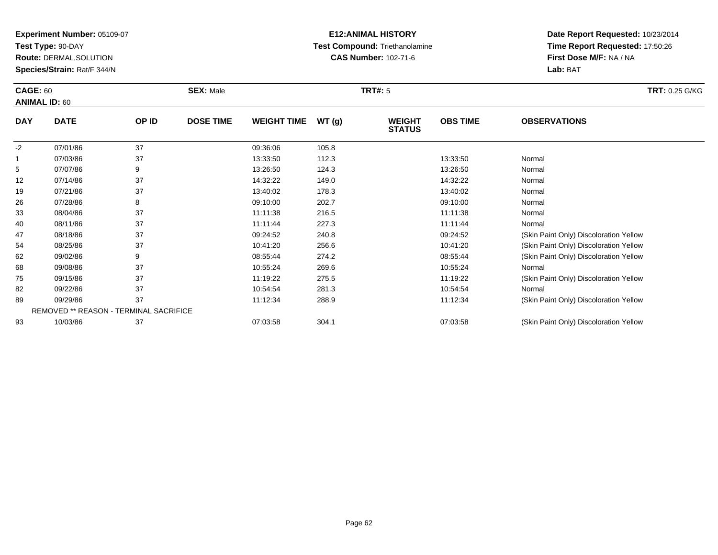**Test Type:** 90-DAY

**Route:** DERMAL,SOLUTION

**Species/Strain:** Rat/F 344/N

# **E12:ANIMAL HISTORY Test Compound:** Triethanolamine**CAS Number:** 102-71-6

| <b>CAGE: 60</b><br><b>ANIMAL ID: 60</b> |                                        | <b>SEX: Male</b> |                  |                    | <b>TRT#: 5</b> |                                | <b>TRT: 0.25 G/KG</b> |                                        |
|-----------------------------------------|----------------------------------------|------------------|------------------|--------------------|----------------|--------------------------------|-----------------------|----------------------------------------|
| <b>DAY</b>                              | <b>DATE</b>                            | OP ID            | <b>DOSE TIME</b> | <b>WEIGHT TIME</b> | WT(g)          | <b>WEIGHT</b><br><b>STATUS</b> | <b>OBS TIME</b>       | <b>OBSERVATIONS</b>                    |
| $-2$                                    | 07/01/86                               | 37               |                  | 09:36:06           | 105.8          |                                |                       |                                        |
|                                         | 07/03/86                               | 37               |                  | 13:33:50           | 112.3          |                                | 13:33:50              | Normal                                 |
| 5                                       | 07/07/86                               | 9                |                  | 13:26:50           | 124.3          |                                | 13:26:50              | Normal                                 |
| 12                                      | 07/14/86                               | 37               |                  | 14:32:22           | 149.0          |                                | 14:32:22              | Normal                                 |
| 19                                      | 07/21/86                               | 37               |                  | 13:40:02           | 178.3          |                                | 13:40:02              | Normal                                 |
| 26                                      | 07/28/86                               | 8                |                  | 09:10:00           | 202.7          |                                | 09:10:00              | Normal                                 |
| 33                                      | 08/04/86                               | 37               |                  | 11:11:38           | 216.5          |                                | 11:11:38              | Normal                                 |
| 40                                      | 08/11/86                               | 37               |                  | 11:11:44           | 227.3          |                                | 11:11:44              | Normal                                 |
| 47                                      | 08/18/86                               | 37               |                  | 09:24:52           | 240.8          |                                | 09:24:52              | (Skin Paint Only) Discoloration Yellow |
| 54                                      | 08/25/86                               | 37               |                  | 10:41:20           | 256.6          |                                | 10:41:20              | (Skin Paint Only) Discoloration Yellow |
| 62                                      | 09/02/86                               | 9                |                  | 08:55:44           | 274.2          |                                | 08:55:44              | (Skin Paint Only) Discoloration Yellow |
| 68                                      | 09/08/86                               | 37               |                  | 10:55:24           | 269.6          |                                | 10:55:24              | Normal                                 |
| 75                                      | 09/15/86                               | 37               |                  | 11:19:22           | 275.5          |                                | 11:19:22              | (Skin Paint Only) Discoloration Yellow |
| 82                                      | 09/22/86                               | 37               |                  | 10:54:54           | 281.3          |                                | 10:54:54              | Normal                                 |
| 89                                      | 09/29/86                               | 37               |                  | 11:12:34           | 288.9          |                                | 11:12:34              | (Skin Paint Only) Discoloration Yellow |
|                                         | REMOVED ** REASON - TERMINAL SACRIFICE |                  |                  |                    |                |                                |                       |                                        |
| 93                                      | 10/03/86                               | 37               |                  | 07:03:58           | 304.1          |                                | 07:03:58              | (Skin Paint Only) Discoloration Yellow |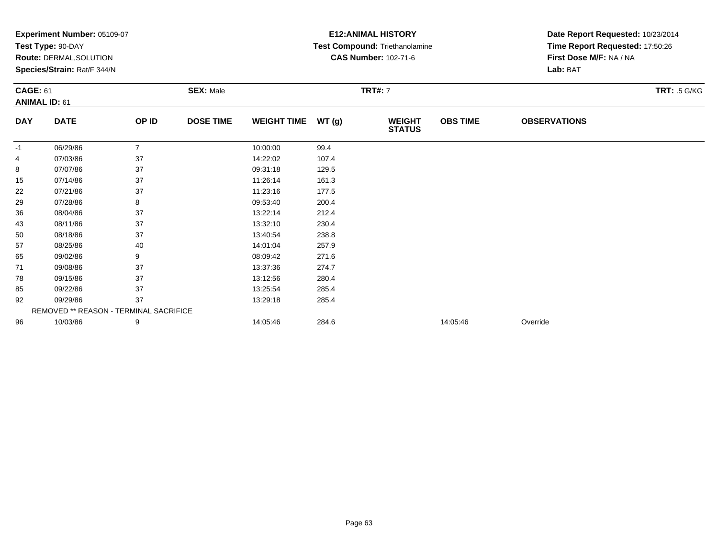|                 | Experiment Number: 05109-07            |                |                  |                    |       | <b>E12: ANIMAL HISTORY</b>     | Date Report Requested: 10/23/2014 |                                 |  |  |
|-----------------|----------------------------------------|----------------|------------------|--------------------|-------|--------------------------------|-----------------------------------|---------------------------------|--|--|
|                 | Test Type: 90-DAY                      |                |                  |                    |       | Test Compound: Triethanolamine |                                   | Time Report Requested: 17:50:26 |  |  |
|                 | Route: DERMAL, SOLUTION                |                |                  |                    |       | <b>CAS Number: 102-71-6</b>    |                                   | First Dose M/F: NA / NA         |  |  |
|                 | Species/Strain: Rat/F 344/N            |                |                  |                    |       |                                |                                   | Lab: BAT                        |  |  |
| <b>CAGE: 61</b> |                                        |                | <b>SEX: Male</b> |                    |       | <b>TRT#: 7</b>                 |                                   | <b>TRT: .5 G/KG</b>             |  |  |
|                 | <b>ANIMAL ID: 61</b>                   |                |                  |                    |       |                                |                                   |                                 |  |  |
| <b>DAY</b>      | <b>DATE</b>                            | OP ID          | <b>DOSE TIME</b> | <b>WEIGHT TIME</b> | WT(g) | <b>WEIGHT</b><br><b>STATUS</b> | <b>OBS TIME</b>                   | <b>OBSERVATIONS</b>             |  |  |
| -1              | 06/29/86                               | $\overline{7}$ |                  | 10:00:00           | 99.4  |                                |                                   |                                 |  |  |
| 4               | 07/03/86                               | 37             |                  | 14:22:02           | 107.4 |                                |                                   |                                 |  |  |
| 8               | 07/07/86                               | 37             |                  | 09:31:18           | 129.5 |                                |                                   |                                 |  |  |
| 15              | 07/14/86                               | 37             |                  | 11:26:14           | 161.3 |                                |                                   |                                 |  |  |
| 22              | 07/21/86                               | 37             |                  | 11:23:16           | 177.5 |                                |                                   |                                 |  |  |
| 29              | 07/28/86                               | 8              |                  | 09:53:40           | 200.4 |                                |                                   |                                 |  |  |
| 36              | 08/04/86                               | 37             |                  | 13:22:14           | 212.4 |                                |                                   |                                 |  |  |
| 43              | 08/11/86                               | 37             |                  | 13:32:10           | 230.4 |                                |                                   |                                 |  |  |
| 50              | 08/18/86                               | 37             |                  | 13:40:54           | 238.8 |                                |                                   |                                 |  |  |
| 57              | 08/25/86                               | 40             |                  | 14:01:04           | 257.9 |                                |                                   |                                 |  |  |
| 65              | 09/02/86                               | 9              |                  | 08:09:42           | 271.6 |                                |                                   |                                 |  |  |
| 71              | 09/08/86                               | 37             |                  | 13:37:36           | 274.7 |                                |                                   |                                 |  |  |
| 78              | 09/15/86                               | 37             |                  | 13:12:56           | 280.4 |                                |                                   |                                 |  |  |
| 85              | 09/22/86                               | 37             |                  | 13:25:54           | 285.4 |                                |                                   |                                 |  |  |
| 92              | 09/29/86                               | 37             |                  | 13:29:18           | 285.4 |                                |                                   |                                 |  |  |
|                 | REMOVED ** REASON - TERMINAL SACRIFICE |                |                  |                    |       |                                |                                   |                                 |  |  |
| 96              | 10/03/86                               | 9              |                  | 14:05:46           | 284.6 |                                | 14:05:46                          | Override                        |  |  |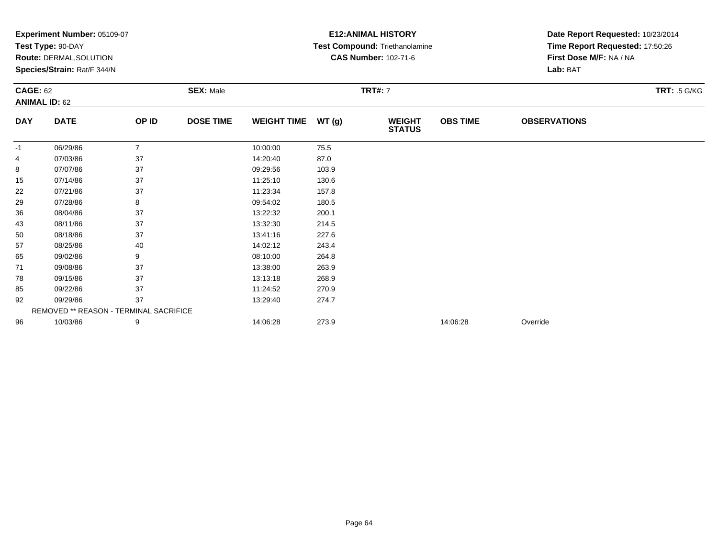|                 | Experiment Number: 05109-07            |                |                  |                    |       | <b>E12: ANIMAL HISTORY</b>            | Date Report Requested: 10/23/2014 |                                 |  |  |
|-----------------|----------------------------------------|----------------|------------------|--------------------|-------|---------------------------------------|-----------------------------------|---------------------------------|--|--|
|                 | Test Type: 90-DAY                      |                |                  |                    |       | <b>Test Compound: Triethanolamine</b> |                                   | Time Report Requested: 17:50:26 |  |  |
|                 | Route: DERMAL, SOLUTION                |                |                  |                    |       | <b>CAS Number: 102-71-6</b>           |                                   | First Dose M/F: NA / NA         |  |  |
|                 | Species/Strain: Rat/F 344/N            |                |                  |                    |       |                                       |                                   | Lab: BAT                        |  |  |
| <b>CAGE: 62</b> |                                        |                | <b>SEX: Male</b> |                    |       | <b>TRT#: 7</b>                        |                                   | <b>TRT: .5 G/KG</b>             |  |  |
|                 | <b>ANIMAL ID: 62</b>                   |                |                  |                    |       |                                       |                                   |                                 |  |  |
| <b>DAY</b>      | <b>DATE</b>                            | OP ID          | <b>DOSE TIME</b> | <b>WEIGHT TIME</b> | WT(g) | <b>WEIGHT</b><br><b>STATUS</b>        | <b>OBS TIME</b>                   | <b>OBSERVATIONS</b>             |  |  |
| -1              | 06/29/86                               | $\overline{7}$ |                  | 10:00:00           | 75.5  |                                       |                                   |                                 |  |  |
| 4               | 07/03/86                               | 37             |                  | 14:20:40           | 87.0  |                                       |                                   |                                 |  |  |
| 8               | 07/07/86                               | 37             |                  | 09:29:56           | 103.9 |                                       |                                   |                                 |  |  |
| 15              | 07/14/86                               | 37             |                  | 11:25:10           | 130.6 |                                       |                                   |                                 |  |  |
| 22              | 07/21/86                               | 37             |                  | 11:23:34           | 157.8 |                                       |                                   |                                 |  |  |
| 29              | 07/28/86                               | 8              |                  | 09:54:02           | 180.5 |                                       |                                   |                                 |  |  |
| 36              | 08/04/86                               | 37             |                  | 13:22:32           | 200.1 |                                       |                                   |                                 |  |  |
| 43              | 08/11/86                               | 37             |                  | 13:32:30           | 214.5 |                                       |                                   |                                 |  |  |
| 50              | 08/18/86                               | 37             |                  | 13:41:16           | 227.6 |                                       |                                   |                                 |  |  |
| 57              | 08/25/86                               | 40             |                  | 14:02:12           | 243.4 |                                       |                                   |                                 |  |  |
| 65              | 09/02/86                               | 9              |                  | 08:10:00           | 264.8 |                                       |                                   |                                 |  |  |
| 71              | 09/08/86                               | 37             |                  | 13:38:00           | 263.9 |                                       |                                   |                                 |  |  |
| 78              | 09/15/86                               | 37             |                  | 13:13:18           | 268.9 |                                       |                                   |                                 |  |  |
| 85              | 09/22/86                               | 37             |                  | 11:24:52           | 270.9 |                                       |                                   |                                 |  |  |
| 92              | 09/29/86                               | 37             |                  | 13:29:40           | 274.7 |                                       |                                   |                                 |  |  |
|                 | REMOVED ** REASON - TERMINAL SACRIFICE |                |                  |                    |       |                                       |                                   |                                 |  |  |
| 96              | 10/03/86                               | 9              |                  | 14:06:28           | 273.9 |                                       | 14:06:28                          | Override                        |  |  |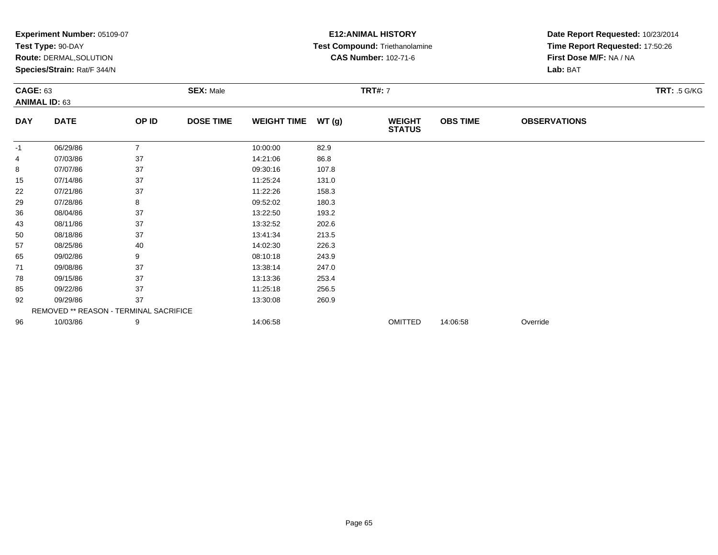|                 | Experiment Number: 05109-07            |                |                  |                    |       | <b>E12: ANIMAL HISTORY</b>     | Date Report Requested: 10/23/2014 |                                 |  |  |
|-----------------|----------------------------------------|----------------|------------------|--------------------|-------|--------------------------------|-----------------------------------|---------------------------------|--|--|
|                 | Test Type: 90-DAY                      |                |                  |                    |       | Test Compound: Triethanolamine |                                   | Time Report Requested: 17:50:26 |  |  |
|                 | Route: DERMAL, SOLUTION                |                |                  |                    |       | <b>CAS Number: 102-71-6</b>    |                                   | First Dose M/F: NA / NA         |  |  |
|                 | Species/Strain: Rat/F 344/N            |                |                  |                    |       |                                |                                   | Lab: BAT                        |  |  |
| <b>CAGE: 63</b> |                                        |                | <b>SEX: Male</b> |                    |       | <b>TRT#: 7</b>                 |                                   | <b>TRT: .5 G/KG</b>             |  |  |
|                 | <b>ANIMAL ID: 63</b>                   |                |                  |                    |       |                                |                                   |                                 |  |  |
| <b>DAY</b>      | <b>DATE</b>                            | OP ID          | <b>DOSE TIME</b> | <b>WEIGHT TIME</b> | WT(g) | <b>WEIGHT</b><br><b>STATUS</b> | <b>OBS TIME</b>                   | <b>OBSERVATIONS</b>             |  |  |
| -1              | 06/29/86                               | $\overline{7}$ |                  | 10:00:00           | 82.9  |                                |                                   |                                 |  |  |
| 4               | 07/03/86                               | 37             |                  | 14:21:06           | 86.8  |                                |                                   |                                 |  |  |
| 8               | 07/07/86                               | 37             |                  | 09:30:16           | 107.8 |                                |                                   |                                 |  |  |
| 15              | 07/14/86                               | 37             |                  | 11:25:24           | 131.0 |                                |                                   |                                 |  |  |
| 22              | 07/21/86                               | 37             |                  | 11:22:26           | 158.3 |                                |                                   |                                 |  |  |
| 29              | 07/28/86                               | 8              |                  | 09:52:02           | 180.3 |                                |                                   |                                 |  |  |
| 36              | 08/04/86                               | 37             |                  | 13:22:50           | 193.2 |                                |                                   |                                 |  |  |
| 43              | 08/11/86                               | 37             |                  | 13:32:52           | 202.6 |                                |                                   |                                 |  |  |
| 50              | 08/18/86                               | 37             |                  | 13:41:34           | 213.5 |                                |                                   |                                 |  |  |
| 57              | 08/25/86                               | 40             |                  | 14:02:30           | 226.3 |                                |                                   |                                 |  |  |
| 65              | 09/02/86                               | 9              |                  | 08:10:18           | 243.9 |                                |                                   |                                 |  |  |
| 71              | 09/08/86                               | 37             |                  | 13:38:14           | 247.0 |                                |                                   |                                 |  |  |
| 78              | 09/15/86                               | 37             |                  | 13:13:36           | 253.4 |                                |                                   |                                 |  |  |
| 85              | 09/22/86                               | 37             |                  | 11:25:18           | 256.5 |                                |                                   |                                 |  |  |
| 92              | 09/29/86<br>37                         |                |                  | 13:30:08           | 260.9 |                                |                                   |                                 |  |  |
|                 | REMOVED ** REASON - TERMINAL SACRIFICE |                |                  |                    |       |                                |                                   |                                 |  |  |
| 96              | 10/03/86                               | 9              |                  | 14:06:58           |       | <b>OMITTED</b>                 | 14:06:58                          | Override                        |  |  |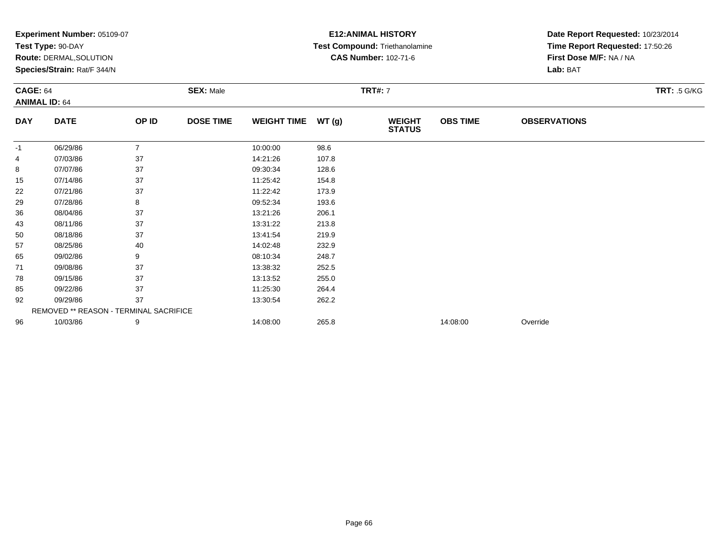|                 | Experiment Number: 05109-07            |                |                  |                    |       | <b>E12: ANIMAL HISTORY</b>     | Date Report Requested: 10/23/2014 |                                 |  |  |
|-----------------|----------------------------------------|----------------|------------------|--------------------|-------|--------------------------------|-----------------------------------|---------------------------------|--|--|
|                 | Test Type: 90-DAY                      |                |                  |                    |       | Test Compound: Triethanolamine |                                   | Time Report Requested: 17:50:26 |  |  |
|                 | Route: DERMAL, SOLUTION                |                |                  |                    |       | <b>CAS Number: 102-71-6</b>    |                                   | First Dose M/F: NA / NA         |  |  |
|                 | Species/Strain: Rat/F 344/N            |                |                  |                    |       |                                |                                   | Lab: BAT                        |  |  |
| <b>CAGE: 64</b> |                                        |                | <b>SEX: Male</b> |                    |       | <b>TRT#: 7</b>                 |                                   | <b>TRT: .5 G/KG</b>             |  |  |
|                 | <b>ANIMAL ID: 64</b>                   |                |                  |                    |       |                                |                                   |                                 |  |  |
| <b>DAY</b>      | <b>DATE</b>                            | OP ID          | <b>DOSE TIME</b> | <b>WEIGHT TIME</b> | WT(g) | <b>WEIGHT</b><br><b>STATUS</b> | <b>OBS TIME</b>                   | <b>OBSERVATIONS</b>             |  |  |
| -1              | 06/29/86                               | $\overline{7}$ |                  | 10:00:00           | 98.6  |                                |                                   |                                 |  |  |
| 4               | 07/03/86                               | 37             |                  | 14:21:26           | 107.8 |                                |                                   |                                 |  |  |
| 8               | 07/07/86                               | 37             |                  | 09:30:34           | 128.6 |                                |                                   |                                 |  |  |
| 15              | 07/14/86                               | 37             |                  | 11:25:42           | 154.8 |                                |                                   |                                 |  |  |
| 22              | 07/21/86                               | 37             |                  | 11:22:42           | 173.9 |                                |                                   |                                 |  |  |
| 29              | 07/28/86                               | 8              |                  | 09:52:34           | 193.6 |                                |                                   |                                 |  |  |
| 36              | 08/04/86                               | 37             |                  | 13:21:26           | 206.1 |                                |                                   |                                 |  |  |
| 43              | 08/11/86                               | 37             |                  | 13:31:22           | 213.8 |                                |                                   |                                 |  |  |
| 50              | 08/18/86                               | 37             |                  | 13:41:54           | 219.9 |                                |                                   |                                 |  |  |
| 57              | 08/25/86                               | 40             |                  | 14:02:48           | 232.9 |                                |                                   |                                 |  |  |
| 65              | 09/02/86                               | 9              |                  | 08:10:34           | 248.7 |                                |                                   |                                 |  |  |
| 71              | 09/08/86                               | 37             |                  | 13:38:32           | 252.5 |                                |                                   |                                 |  |  |
| 78              | 09/15/86                               | 37             |                  | 13:13:52           | 255.0 |                                |                                   |                                 |  |  |
| 85              | 09/22/86                               | 37             |                  | 11:25:30           | 264.4 |                                |                                   |                                 |  |  |
| 92              | 09/29/86                               | 37             |                  | 13:30:54           | 262.2 |                                |                                   |                                 |  |  |
|                 | REMOVED ** REASON - TERMINAL SACRIFICE |                |                  |                    |       |                                |                                   |                                 |  |  |
| 96              | 10/03/86                               | 9              |                  | 14:08:00           | 265.8 |                                | 14:08:00                          | Override                        |  |  |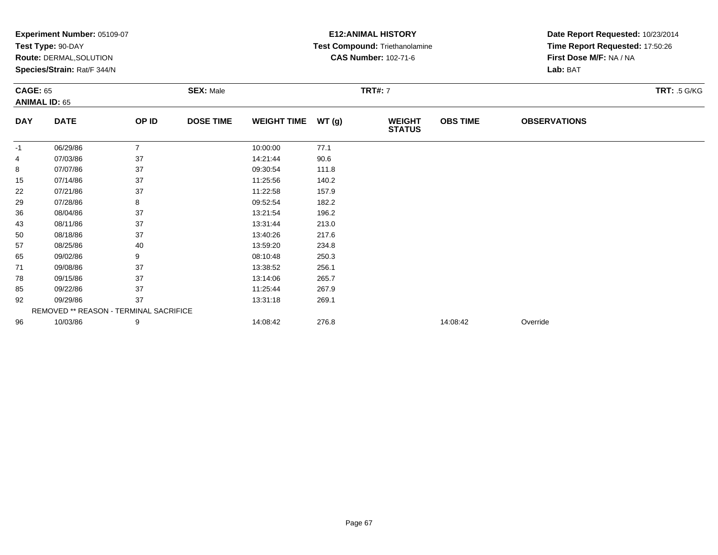|                                         | Experiment Number: 05109-07<br>Test Type: 90-DAY       |                |                  |                    |                | <b>E12: ANIMAL HISTORY</b><br>Test Compound: Triethanolamine | Date Report Requested: 10/23/2014<br>Time Report Requested: 17:50:26<br>First Dose M/F: NA / NA<br>Lab: BAT |                     |                     |  |
|-----------------------------------------|--------------------------------------------------------|----------------|------------------|--------------------|----------------|--------------------------------------------------------------|-------------------------------------------------------------------------------------------------------------|---------------------|---------------------|--|
|                                         | Route: DERMAL, SOLUTION<br>Species/Strain: Rat/F 344/N |                |                  |                    |                | <b>CAS Number: 102-71-6</b>                                  |                                                                                                             |                     |                     |  |
| <b>CAGE: 65</b><br><b>ANIMAL ID: 65</b> |                                                        |                | <b>SEX: Male</b> |                    | <b>TRT#: 7</b> |                                                              |                                                                                                             |                     | <b>TRT: .5 G/KG</b> |  |
| <b>DAY</b>                              | <b>DATE</b>                                            | OP ID          | <b>DOSE TIME</b> | <b>WEIGHT TIME</b> | WT(g)          | <b>WEIGHT</b><br><b>STATUS</b>                               | <b>OBS TIME</b>                                                                                             | <b>OBSERVATIONS</b> |                     |  |
| -1                                      | 06/29/86                                               | $\overline{7}$ |                  | 10:00:00           | 77.1           |                                                              |                                                                                                             |                     |                     |  |
| 4                                       | 07/03/86                                               | 37             |                  | 14:21:44           | 90.6           |                                                              |                                                                                                             |                     |                     |  |
| 8                                       | 07/07/86                                               | 37             |                  | 09:30:54           | 111.8          |                                                              |                                                                                                             |                     |                     |  |
| 15                                      | 07/14/86                                               | 37             |                  | 11:25:56           | 140.2          |                                                              |                                                                                                             |                     |                     |  |
| 22                                      | 07/21/86                                               | 37             |                  | 11:22:58           | 157.9          |                                                              |                                                                                                             |                     |                     |  |
| 29                                      | 07/28/86                                               | 8              |                  | 09:52:54           | 182.2          |                                                              |                                                                                                             |                     |                     |  |
| 36                                      | 08/04/86                                               | 37             |                  | 13:21:54           | 196.2          |                                                              |                                                                                                             |                     |                     |  |
| 43                                      | 08/11/86                                               | 37             |                  | 13:31:44           | 213.0          |                                                              |                                                                                                             |                     |                     |  |
| 50                                      | 08/18/86                                               | 37             |                  | 13:40:26           | 217.6          |                                                              |                                                                                                             |                     |                     |  |
| 57                                      | 08/25/86                                               | 40             |                  | 13:59:20           | 234.8          |                                                              |                                                                                                             |                     |                     |  |
| 65                                      | 09/02/86                                               | 9              |                  | 08:10:48           | 250.3          |                                                              |                                                                                                             |                     |                     |  |
| 71                                      | 09/08/86                                               | 37             |                  | 13:38:52           | 256.1          |                                                              |                                                                                                             |                     |                     |  |
| 78                                      | 09/15/86                                               | 37             |                  | 13:14:06           | 265.7          |                                                              |                                                                                                             |                     |                     |  |
| 85                                      | 09/22/86                                               | 37             |                  | 11:25:44           | 267.9          |                                                              |                                                                                                             |                     |                     |  |
| 92                                      | 09/29/86                                               | 37             |                  | 13:31:18           | 269.1          |                                                              |                                                                                                             |                     |                     |  |
|                                         | REMOVED ** REASON - TERMINAL SACRIFICE                 |                |                  |                    |                |                                                              |                                                                                                             |                     |                     |  |
| 96                                      | 10/03/86                                               | 9              |                  | 14:08:42           | 276.8          |                                                              | 14:08:42                                                                                                    | Override            |                     |  |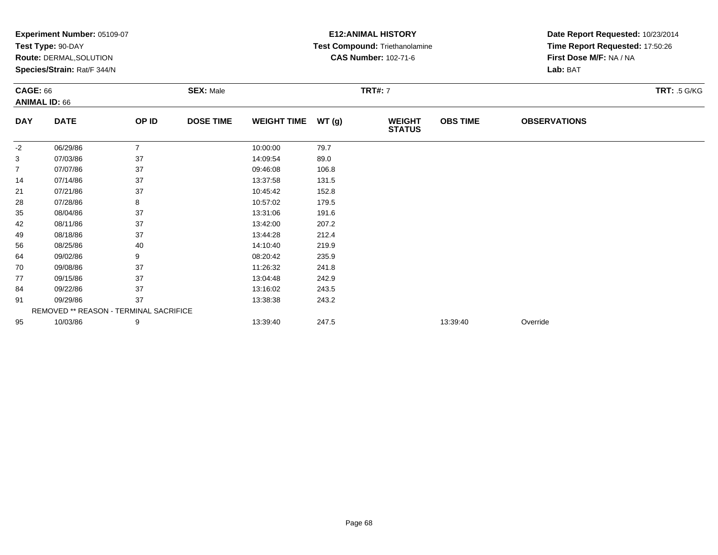|                                         | Experiment Number: 05109-07<br>Test Type: 90-DAY       |                  |                  |                    |       | <b>E12: ANIMAL HISTORY</b><br>Test Compound: Triethanolamine | Date Report Requested: 10/23/2014<br>Time Report Requested: 17:50:26<br>First Dose M/F: NA / NA<br>Lab: BAT |                     |  |
|-----------------------------------------|--------------------------------------------------------|------------------|------------------|--------------------|-------|--------------------------------------------------------------|-------------------------------------------------------------------------------------------------------------|---------------------|--|
|                                         | Route: DERMAL, SOLUTION<br>Species/Strain: Rat/F 344/N |                  |                  |                    |       | <b>CAS Number: 102-71-6</b>                                  |                                                                                                             |                     |  |
| <b>CAGE: 66</b><br><b>ANIMAL ID: 66</b> |                                                        | <b>SEX: Male</b> |                  | <b>TRT#: 7</b>     |       |                                                              |                                                                                                             | <b>TRT: .5 G/KG</b> |  |
| <b>DAY</b>                              | <b>DATE</b>                                            | OP ID            | <b>DOSE TIME</b> | <b>WEIGHT TIME</b> | WT(g) | <b>WEIGHT</b><br><b>STATUS</b>                               | <b>OBS TIME</b>                                                                                             | <b>OBSERVATIONS</b> |  |
| -2                                      | 06/29/86                                               | $\overline{7}$   |                  | 10:00:00           | 79.7  |                                                              |                                                                                                             |                     |  |
| 3                                       | 07/03/86                                               | 37               |                  | 14:09:54           | 89.0  |                                                              |                                                                                                             |                     |  |
| $\overline{7}$                          | 07/07/86                                               | 37               |                  | 09:46:08           | 106.8 |                                                              |                                                                                                             |                     |  |
| 14                                      | 07/14/86                                               | 37               |                  | 13:37:58           | 131.5 |                                                              |                                                                                                             |                     |  |
| 21                                      | 07/21/86                                               | 37               |                  | 10:45:42           | 152.8 |                                                              |                                                                                                             |                     |  |
| 28                                      | 07/28/86                                               | 8                |                  | 10:57:02           | 179.5 |                                                              |                                                                                                             |                     |  |
| 35                                      | 08/04/86                                               | 37               |                  | 13:31:06           | 191.6 |                                                              |                                                                                                             |                     |  |
| 42                                      | 08/11/86                                               | 37               |                  | 13:42:00           | 207.2 |                                                              |                                                                                                             |                     |  |
| 49                                      | 08/18/86                                               | 37               |                  | 13:44:28           | 212.4 |                                                              |                                                                                                             |                     |  |
| 56                                      | 08/25/86                                               | 40               |                  | 14:10:40           | 219.9 |                                                              |                                                                                                             |                     |  |
| 64                                      | 09/02/86                                               | 9                |                  | 08:20:42           | 235.9 |                                                              |                                                                                                             |                     |  |
| 70                                      | 09/08/86                                               | 37               |                  | 11:26:32           | 241.8 |                                                              |                                                                                                             |                     |  |
| 77                                      | 09/15/86                                               | 37               |                  | 13:04:48           | 242.9 |                                                              |                                                                                                             |                     |  |
| 84                                      | 09/22/86                                               | 37               |                  | 13:16:02           | 243.5 |                                                              |                                                                                                             |                     |  |
| 91                                      | 09/29/86                                               | 37               |                  | 13:38:38           | 243.2 |                                                              |                                                                                                             |                     |  |
|                                         | REMOVED ** REASON - TERMINAL SACRIFICE                 |                  |                  |                    |       |                                                              |                                                                                                             |                     |  |
| 95                                      | 10/03/86                                               | 9                |                  | 13:39:40           | 247.5 |                                                              | 13:39:40                                                                                                    | Override            |  |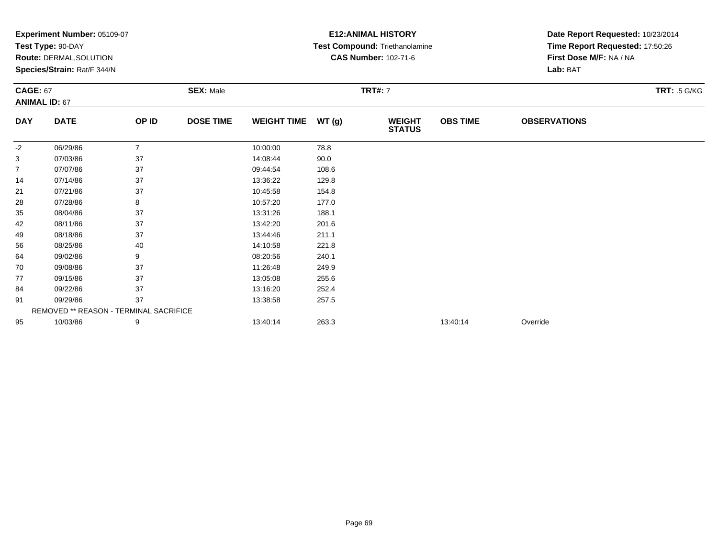|                                         | Experiment Number: 05109-07<br>Test Type: 90-DAY<br><b>Route: DERMAL, SOLUTION</b><br>Species/Strain: Rat/F 344/N |                |                  |                    |                | <b>E12: ANIMAL HISTORY</b><br>Test Compound: Triethanolamine<br><b>CAS Number: 102-71-6</b> | Date Report Requested: 10/23/2014<br>Time Report Requested: 17:50:26<br>First Dose M/F: NA / NA<br>Lab: BAT |                     |                     |
|-----------------------------------------|-------------------------------------------------------------------------------------------------------------------|----------------|------------------|--------------------|----------------|---------------------------------------------------------------------------------------------|-------------------------------------------------------------------------------------------------------------|---------------------|---------------------|
| <b>CAGE: 67</b><br><b>ANIMAL ID: 67</b> |                                                                                                                   |                | <b>SEX: Male</b> |                    | <b>TRT#: 7</b> |                                                                                             |                                                                                                             |                     | <b>TRT: .5 G/KG</b> |
| <b>DAY</b>                              | <b>DATE</b>                                                                                                       | OP ID          | <b>DOSE TIME</b> | <b>WEIGHT TIME</b> | WT(g)          | <b>WEIGHT</b><br><b>STATUS</b>                                                              | <b>OBS TIME</b>                                                                                             | <b>OBSERVATIONS</b> |                     |
| $-2$                                    | 06/29/86                                                                                                          | $\overline{7}$ |                  | 10:00:00           | 78.8           |                                                                                             |                                                                                                             |                     |                     |
| 3                                       | 07/03/86                                                                                                          | 37             |                  | 14:08:44           | 90.0           |                                                                                             |                                                                                                             |                     |                     |
| 7                                       | 07/07/86                                                                                                          | 37             |                  | 09:44:54           | 108.6          |                                                                                             |                                                                                                             |                     |                     |
| 14                                      | 07/14/86                                                                                                          | 37             |                  | 13:36:22           | 129.8          |                                                                                             |                                                                                                             |                     |                     |
| 21                                      | 07/21/86                                                                                                          | 37             |                  | 10:45:58           | 154.8          |                                                                                             |                                                                                                             |                     |                     |
| 28                                      | 07/28/86                                                                                                          | 8              |                  | 10:57:20           | 177.0          |                                                                                             |                                                                                                             |                     |                     |
| 35                                      | 08/04/86                                                                                                          | 37             |                  | 13:31:26           | 188.1          |                                                                                             |                                                                                                             |                     |                     |
| 42                                      | 08/11/86                                                                                                          | 37             |                  | 13:42:20           | 201.6          |                                                                                             |                                                                                                             |                     |                     |
| 49                                      | 08/18/86                                                                                                          | 37             |                  | 13:44:46           | 211.1          |                                                                                             |                                                                                                             |                     |                     |
| 56                                      | 08/25/86                                                                                                          | 40             |                  | 14:10:58           | 221.8          |                                                                                             |                                                                                                             |                     |                     |
| 64                                      | 09/02/86                                                                                                          | 9              |                  | 08:20:56           | 240.1          |                                                                                             |                                                                                                             |                     |                     |
| 70                                      | 09/08/86                                                                                                          | 37             |                  | 11:26:48           | 249.9          |                                                                                             |                                                                                                             |                     |                     |
| 77                                      | 09/15/86                                                                                                          | 37             |                  | 13:05:08           | 255.6          |                                                                                             |                                                                                                             |                     |                     |
| 84                                      | 09/22/86                                                                                                          | 37             |                  | 13:16:20           | 252.4          |                                                                                             |                                                                                                             |                     |                     |
| 91                                      | 09/29/86                                                                                                          | 37             |                  | 13:38:58           | 257.5          |                                                                                             |                                                                                                             |                     |                     |
|                                         | REMOVED ** REASON - TERMINAL SACRIFICE                                                                            |                |                  |                    |                |                                                                                             |                                                                                                             |                     |                     |
| 95                                      | 10/03/86                                                                                                          | 9              |                  | 13:40:14           | 263.3          |                                                                                             | 13:40:14                                                                                                    | Override            |                     |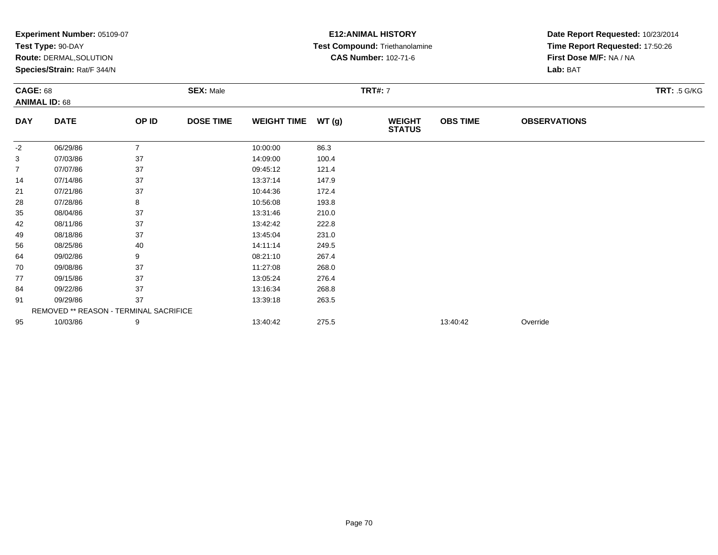|                                         | Experiment Number: 05109-07<br>Test Type: 90-DAY       |                |                  |                    |                | <b>E12: ANIMAL HISTORY</b><br>Test Compound: Triethanolamine | Date Report Requested: 10/23/2014<br>Time Report Requested: 17:50:26<br>First Dose M/F: NA / NA<br>Lab: BAT |                     |                     |  |
|-----------------------------------------|--------------------------------------------------------|----------------|------------------|--------------------|----------------|--------------------------------------------------------------|-------------------------------------------------------------------------------------------------------------|---------------------|---------------------|--|
|                                         | Route: DERMAL, SOLUTION<br>Species/Strain: Rat/F 344/N |                |                  |                    |                | <b>CAS Number: 102-71-6</b>                                  |                                                                                                             |                     |                     |  |
| <b>CAGE: 68</b><br><b>ANIMAL ID: 68</b> |                                                        |                | <b>SEX: Male</b> |                    | <b>TRT#: 7</b> |                                                              |                                                                                                             |                     | <b>TRT: .5 G/KG</b> |  |
| <b>DAY</b>                              | <b>DATE</b>                                            | OP ID          | <b>DOSE TIME</b> | <b>WEIGHT TIME</b> | WT(g)          | <b>WEIGHT</b><br><b>STATUS</b>                               | <b>OBS TIME</b>                                                                                             | <b>OBSERVATIONS</b> |                     |  |
| $-2$                                    | 06/29/86                                               | $\overline{7}$ |                  | 10:00:00           | 86.3           |                                                              |                                                                                                             |                     |                     |  |
| 3                                       | 07/03/86                                               | 37             |                  | 14:09:00           | 100.4          |                                                              |                                                                                                             |                     |                     |  |
| $\overline{7}$                          | 07/07/86                                               | 37             |                  | 09:45:12           | 121.4          |                                                              |                                                                                                             |                     |                     |  |
| 14                                      | 07/14/86                                               | 37             |                  | 13:37:14           | 147.9          |                                                              |                                                                                                             |                     |                     |  |
| 21                                      | 07/21/86                                               | 37             |                  | 10:44:36           | 172.4          |                                                              |                                                                                                             |                     |                     |  |
| 28                                      | 07/28/86                                               | 8              |                  | 10:56:08           | 193.8          |                                                              |                                                                                                             |                     |                     |  |
| 35                                      | 08/04/86                                               | 37             |                  | 13:31:46           | 210.0          |                                                              |                                                                                                             |                     |                     |  |
| 42                                      | 08/11/86                                               | 37             |                  | 13:42:42           | 222.8          |                                                              |                                                                                                             |                     |                     |  |
| 49                                      | 08/18/86                                               | 37             |                  | 13:45:04           | 231.0          |                                                              |                                                                                                             |                     |                     |  |
| 56                                      | 08/25/86                                               | 40             |                  | 14:11:14           | 249.5          |                                                              |                                                                                                             |                     |                     |  |
| 64                                      | 09/02/86                                               | 9              |                  | 08:21:10           | 267.4          |                                                              |                                                                                                             |                     |                     |  |
| 70                                      | 09/08/86                                               | 37             |                  | 11:27:08           | 268.0          |                                                              |                                                                                                             |                     |                     |  |
| 77                                      | 09/15/86                                               | 37             |                  | 13:05:24           | 276.4          |                                                              |                                                                                                             |                     |                     |  |
| 84                                      | 09/22/86                                               | 37             |                  | 13:16:34           | 268.8          |                                                              |                                                                                                             |                     |                     |  |
| 91                                      | 09/29/86                                               | 37             |                  | 13:39:18           | 263.5          |                                                              |                                                                                                             |                     |                     |  |
|                                         | REMOVED ** REASON - TERMINAL SACRIFICE                 |                |                  |                    |                |                                                              |                                                                                                             |                     |                     |  |
| 95                                      | 10/03/86                                               | 9              |                  | 13:40:42           | 275.5          |                                                              | 13:40:42                                                                                                    | Override            |                     |  |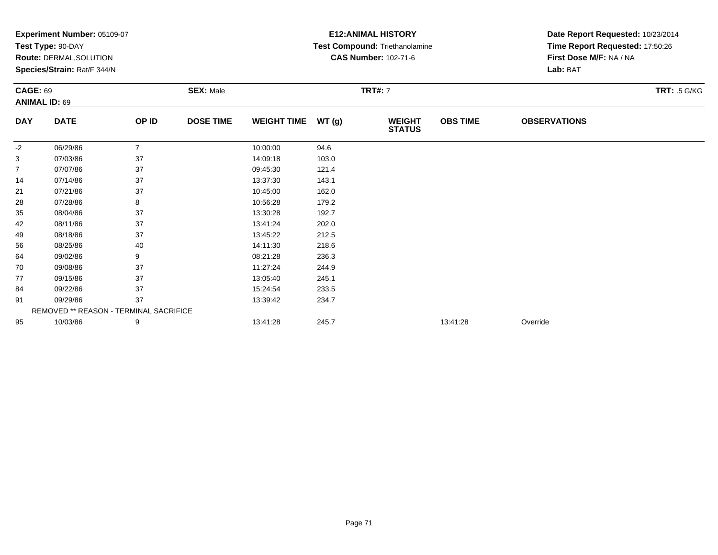|                                         | Experiment Number: 05109-07<br>Test Type: 90-DAY       |                |                  |                    |                | <b>E12: ANIMAL HISTORY</b><br>Test Compound: Triethanolamine | Date Report Requested: 10/23/2014<br>Time Report Requested: 17:50:26<br>First Dose M/F: NA / NA<br>Lab: BAT |                     |                     |
|-----------------------------------------|--------------------------------------------------------|----------------|------------------|--------------------|----------------|--------------------------------------------------------------|-------------------------------------------------------------------------------------------------------------|---------------------|---------------------|
|                                         | Route: DERMAL, SOLUTION<br>Species/Strain: Rat/F 344/N |                |                  |                    |                | <b>CAS Number: 102-71-6</b>                                  |                                                                                                             |                     |                     |
| <b>CAGE: 69</b><br><b>ANIMAL ID: 69</b> |                                                        |                | <b>SEX: Male</b> |                    | <b>TRT#: 7</b> |                                                              |                                                                                                             |                     | <b>TRT: .5 G/KG</b> |
| <b>DAY</b>                              | <b>DATE</b>                                            | OP ID          | <b>DOSE TIME</b> | <b>WEIGHT TIME</b> | WT(g)          | <b>WEIGHT</b><br><b>STATUS</b>                               | <b>OBS TIME</b>                                                                                             | <b>OBSERVATIONS</b> |                     |
| $-2$                                    | 06/29/86                                               | $\overline{7}$ |                  | 10:00:00           | 94.6           |                                                              |                                                                                                             |                     |                     |
| 3                                       | 07/03/86                                               | 37             |                  | 14:09:18           | 103.0          |                                                              |                                                                                                             |                     |                     |
| 7                                       | 07/07/86                                               | 37             |                  | 09:45:30           | 121.4          |                                                              |                                                                                                             |                     |                     |
| 14                                      | 07/14/86                                               | 37             |                  | 13:37:30           | 143.1          |                                                              |                                                                                                             |                     |                     |
| 21                                      | 07/21/86                                               | 37             |                  | 10:45:00           | 162.0          |                                                              |                                                                                                             |                     |                     |
| 28                                      | 07/28/86                                               | 8              |                  | 10:56:28           | 179.2          |                                                              |                                                                                                             |                     |                     |
| 35                                      | 08/04/86                                               | 37             |                  | 13:30:28           | 192.7          |                                                              |                                                                                                             |                     |                     |
| 42                                      | 08/11/86                                               | 37             |                  | 13:41:24           | 202.0          |                                                              |                                                                                                             |                     |                     |
| 49                                      | 08/18/86                                               | 37             |                  | 13:45:22           | 212.5          |                                                              |                                                                                                             |                     |                     |
| 56                                      | 08/25/86                                               | 40             |                  | 14:11:30           | 218.6          |                                                              |                                                                                                             |                     |                     |
| 64                                      | 09/02/86                                               | 9              |                  | 08:21:28           | 236.3          |                                                              |                                                                                                             |                     |                     |
| 70                                      | 09/08/86                                               | 37             |                  | 11:27:24           | 244.9          |                                                              |                                                                                                             |                     |                     |
| 77                                      | 09/15/86                                               | 37             |                  | 13:05:40           | 245.1          |                                                              |                                                                                                             |                     |                     |
| 84                                      | 09/22/86                                               | 37             |                  | 15:24:54           | 233.5          |                                                              |                                                                                                             |                     |                     |
| 91                                      | 09/29/86                                               | 37             |                  | 13:39:42           | 234.7          |                                                              |                                                                                                             |                     |                     |
|                                         | REMOVED ** REASON - TERMINAL SACRIFICE                 |                |                  |                    |                |                                                              |                                                                                                             |                     |                     |
| 95                                      | 10/03/86                                               | 9              |                  | 13:41:28           | 245.7          |                                                              | 13:41:28                                                                                                    | Override            |                     |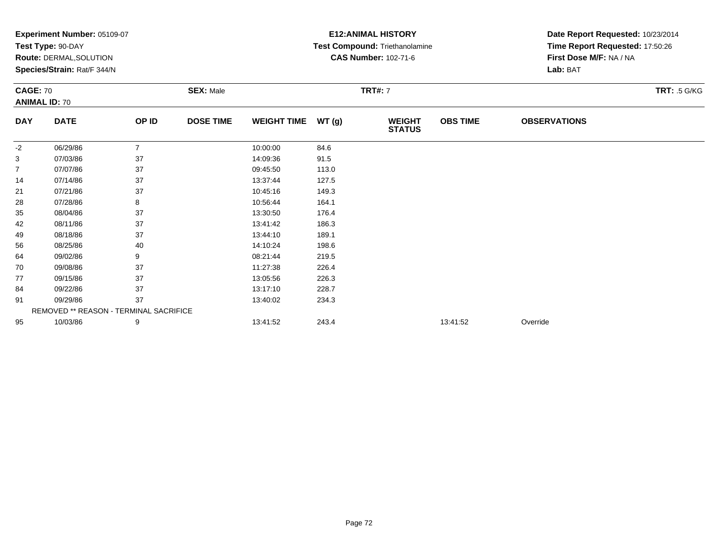|                 | Experiment Number: 05109-07                            |                |                  |                    |       | <b>E12: ANIMAL HISTORY</b>                                           | Date Report Requested: 10/23/2014<br>Time Report Requested: 17:50:26<br>First Dose M/F: NA / NA |                     |                     |
|-----------------|--------------------------------------------------------|----------------|------------------|--------------------|-------|----------------------------------------------------------------------|-------------------------------------------------------------------------------------------------|---------------------|---------------------|
|                 | Test Type: 90-DAY                                      |                |                  |                    |       | <b>Test Compound: Triethanolamine</b><br><b>CAS Number: 102-71-6</b> |                                                                                                 |                     |                     |
|                 | Route: DERMAL, SOLUTION<br>Species/Strain: Rat/F 344/N |                |                  |                    |       |                                                                      |                                                                                                 | Lab: BAT            |                     |
|                 |                                                        |                |                  |                    |       |                                                                      |                                                                                                 |                     |                     |
| <b>CAGE: 70</b> |                                                        |                | <b>SEX: Male</b> |                    |       | <b>TRT#: 7</b>                                                       |                                                                                                 |                     | <b>TRT: .5 G/KG</b> |
|                 | <b>ANIMAL ID: 70</b>                                   |                |                  |                    |       |                                                                      |                                                                                                 |                     |                     |
| <b>DAY</b>      | <b>DATE</b>                                            | OP ID          | <b>DOSE TIME</b> | <b>WEIGHT TIME</b> | WT(g) | <b>WEIGHT</b><br><b>STATUS</b>                                       | <b>OBS TIME</b>                                                                                 | <b>OBSERVATIONS</b> |                     |
| -2              | 06/29/86                                               | $\overline{7}$ |                  | 10:00:00           | 84.6  |                                                                      |                                                                                                 |                     |                     |
| 3               | 07/03/86                                               | 37             |                  | 14:09:36           | 91.5  |                                                                      |                                                                                                 |                     |                     |
| 7               | 07/07/86                                               | 37             |                  | 09:45:50           | 113.0 |                                                                      |                                                                                                 |                     |                     |
| 14              | 07/14/86                                               | 37             |                  | 13:37:44           | 127.5 |                                                                      |                                                                                                 |                     |                     |
| 21              | 07/21/86                                               | 37             |                  | 10:45:16           | 149.3 |                                                                      |                                                                                                 |                     |                     |
| 28              | 07/28/86                                               | 8              |                  | 10:56:44           | 164.1 |                                                                      |                                                                                                 |                     |                     |
| 35              | 08/04/86                                               | 37             |                  | 13:30:50           | 176.4 |                                                                      |                                                                                                 |                     |                     |
| 42              | 08/11/86                                               | 37             |                  | 13:41:42           | 186.3 |                                                                      |                                                                                                 |                     |                     |
| 49              | 08/18/86                                               | 37             |                  | 13:44:10           | 189.1 |                                                                      |                                                                                                 |                     |                     |
| 56              | 08/25/86                                               | 40             |                  | 14:10:24           | 198.6 |                                                                      |                                                                                                 |                     |                     |
| 64              | 09/02/86                                               | 9              |                  | 08:21:44           | 219.5 |                                                                      |                                                                                                 |                     |                     |
| 70              | 09/08/86                                               | 37             |                  | 11:27:38           | 226.4 |                                                                      |                                                                                                 |                     |                     |
| 77              | 09/15/86                                               | 37             |                  | 13:05:56           | 226.3 |                                                                      |                                                                                                 |                     |                     |
| 84              | 09/22/86                                               | 37             |                  | 13:17:10           | 228.7 |                                                                      |                                                                                                 |                     |                     |
| 91              | 09/29/86                                               | 37             |                  | 13:40:02           | 234.3 |                                                                      |                                                                                                 |                     |                     |
|                 | REMOVED ** REASON - TERMINAL SACRIFICE                 |                |                  |                    |       |                                                                      |                                                                                                 |                     |                     |
| 95              | 10/03/86                                               | 9              |                  | 13:41:52           | 243.4 |                                                                      | 13:41:52                                                                                        | Override            |                     |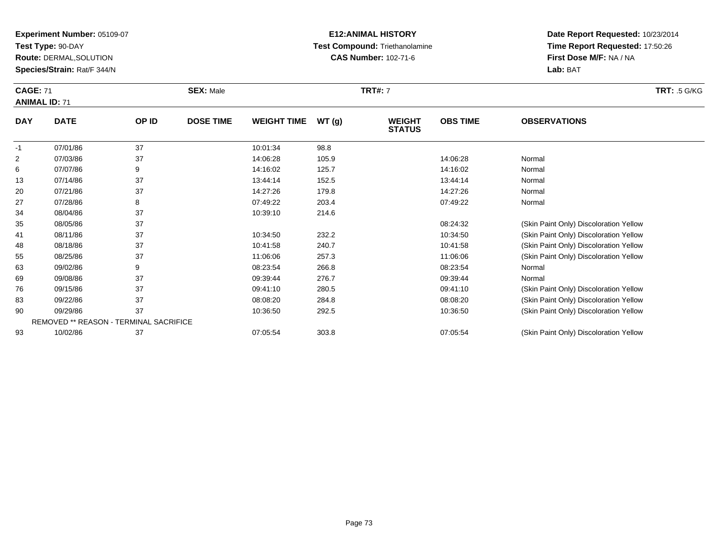**Test Type:** 90-DAY

**Route:** DERMAL,SOLUTION

**Species/Strain:** Rat/F 344/N

### **E12:ANIMAL HISTORY Test Compound:** Triethanolamine**CAS Number:** 102-71-6

**Date Report Requested:** 10/23/2014 **Time Report Requested:** 17:50:26**First Dose M/F:** NA / NA**Lab:** BAT

#### **CAGE:** 71 **SEX:** Male **TRT#:** <sup>7</sup> **TRT:** .5 G/KG**ANIMAL ID:** 71**DAY DATE OP IDDOSE TIME WEIGHT TIME WT** (g) **WEIGHT<br>STATUS OBS TIMEOBSERVATIONS**

|          |    |          |                                               | <b>PIAIVP</b> |                                        |
|----------|----|----------|-----------------------------------------------|---------------|----------------------------------------|
| 07/01/86 | 37 | 10:01:34 | 98.8                                          |               |                                        |
| 07/03/86 | 37 | 14:06:28 | 105.9                                         | 14:06:28      | Normal                                 |
| 07/07/86 | 9  | 14:16:02 | 125.7                                         | 14:16:02      | Normal                                 |
| 07/14/86 | 37 | 13:44:14 | 152.5                                         | 13:44:14      | Normal                                 |
| 07/21/86 | 37 | 14:27:26 | 179.8                                         | 14:27:26      | Normal                                 |
| 07/28/86 | 8  | 07:49:22 | 203.4                                         | 07:49:22      | Normal                                 |
| 08/04/86 | 37 | 10:39:10 | 214.6                                         |               |                                        |
| 08/05/86 | 37 |          |                                               | 08:24:32      | (Skin Paint Only) Discoloration Yellow |
| 08/11/86 | 37 | 10:34:50 | 232.2                                         | 10:34:50      | (Skin Paint Only) Discoloration Yellow |
| 08/18/86 | 37 | 10:41:58 | 240.7                                         | 10:41:58      | (Skin Paint Only) Discoloration Yellow |
| 08/25/86 | 37 | 11:06:06 | 257.3                                         | 11:06:06      | (Skin Paint Only) Discoloration Yellow |
| 09/02/86 | 9  | 08:23:54 | 266.8                                         | 08:23:54      | Normal                                 |
| 09/08/86 | 37 | 09:39:44 | 276.7                                         | 09:39:44      | Normal                                 |
| 09/15/86 | 37 | 09:41:10 | 280.5                                         | 09:41:10      | (Skin Paint Only) Discoloration Yellow |
| 09/22/86 | 37 | 08:08:20 | 284.8                                         | 08:08:20      | (Skin Paint Only) Discoloration Yellow |
| 09/29/86 | 37 | 10:36:50 | 292.5                                         | 10:36:50      | (Skin Paint Only) Discoloration Yellow |
|          |    |          |                                               |               |                                        |
| 10/02/86 | 37 | 07:05:54 | 303.8                                         | 07:05:54      | (Skin Paint Only) Discoloration Yellow |
|          |    |          | <b>REMOVED ** REASON - TERMINAL SACRIFICE</b> |               |                                        |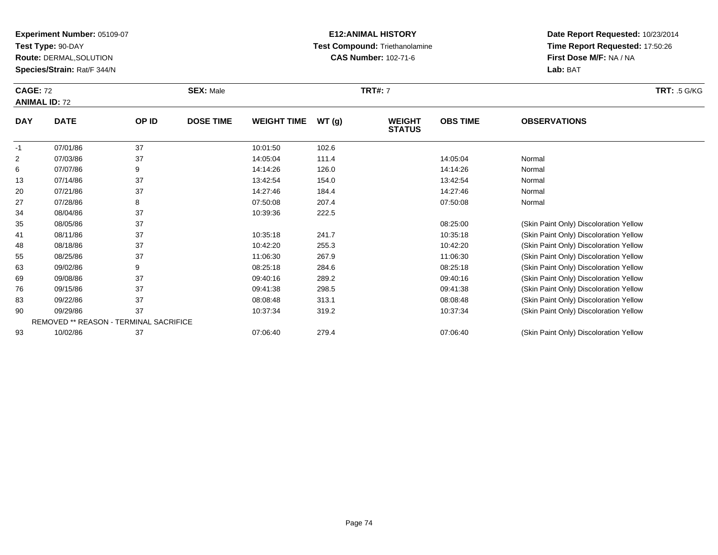**Test Type:** 90-DAY

**Route:** DERMAL,SOLUTION

**Species/Strain:** Rat/F 344/N

## **E12:ANIMAL HISTORY Test Compound:** Triethanolamine**CAS Number:** 102-71-6

| <b>CAGE: 72</b><br><b>ANIMAL ID: 72</b> |             |       | <b>SEX: Male</b> |                    |       | <b>TRT#: 7</b>                 | <b>TRT:</b> .5 G/KG |                     |  |
|-----------------------------------------|-------------|-------|------------------|--------------------|-------|--------------------------------|---------------------|---------------------|--|
| <b>DAY</b>                              | <b>DATE</b> | OP ID | <b>DOSE TIME</b> | <b>WEIGHT TIME</b> | WT(g) | <b>WEIGHT</b><br><b>STATUS</b> | <b>OBS TIME</b>     | <b>OBSERVATIONS</b> |  |
| $-1$                                    | 07/01/86    | 37    |                  | 10:01:50           | 102.6 |                                |                     |                     |  |
| 2                                       | 07/03/86    | 37    |                  | 14:05:04           | 111.4 |                                | 14:05:04            | Normal              |  |
| 6                                       | 07/07/86    |       |                  | 14:14:26           | 126.0 |                                | 14:14:26            | Normal              |  |

| 13 | 07/14/86 | 37                                            | 13:42:54 | 154.0 | 13:42:54 | Normal                                 |
|----|----------|-----------------------------------------------|----------|-------|----------|----------------------------------------|
| 20 | 07/21/86 | 37                                            | 14:27:46 | 184.4 | 14:27:46 | Normal                                 |
| 27 | 07/28/86 | 8                                             | 07:50:08 | 207.4 | 07:50:08 | Normal                                 |
| 34 | 08/04/86 | 37                                            | 10:39:36 | 222.5 |          |                                        |
| 35 | 08/05/86 | 37                                            |          |       | 08:25:00 | (Skin Paint Only) Discoloration Yellow |
| 41 | 08/11/86 | 37                                            | 10:35:18 | 241.7 | 10:35:18 | (Skin Paint Only) Discoloration Yellow |
| 48 | 08/18/86 | 37                                            | 10:42:20 | 255.3 | 10:42:20 | (Skin Paint Only) Discoloration Yellow |
| 55 | 08/25/86 | 37                                            | 11:06:30 | 267.9 | 11:06:30 | (Skin Paint Only) Discoloration Yellow |
| 63 | 09/02/86 | 9                                             | 08:25:18 | 284.6 | 08:25:18 | (Skin Paint Only) Discoloration Yellow |
| 69 | 09/08/86 | 37                                            | 09:40:16 | 289.2 | 09:40:16 | (Skin Paint Only) Discoloration Yellow |
| 76 | 09/15/86 | 37                                            | 09:41:38 | 298.5 | 09:41:38 | (Skin Paint Only) Discoloration Yellow |
| 83 | 09/22/86 | 37                                            | 08:08:48 | 313.1 | 08:08:48 | (Skin Paint Only) Discoloration Yellow |
| 90 | 09/29/86 | 37                                            | 10:37:34 | 319.2 | 10:37:34 | (Skin Paint Only) Discoloration Yellow |
|    |          | <b>REMOVED ** REASON - TERMINAL SACRIFICE</b> |          |       |          |                                        |
| 93 | 10/02/86 | 37                                            | 07:06:40 | 279.4 | 07:06:40 | (Skin Paint Only) Discoloration Yellow |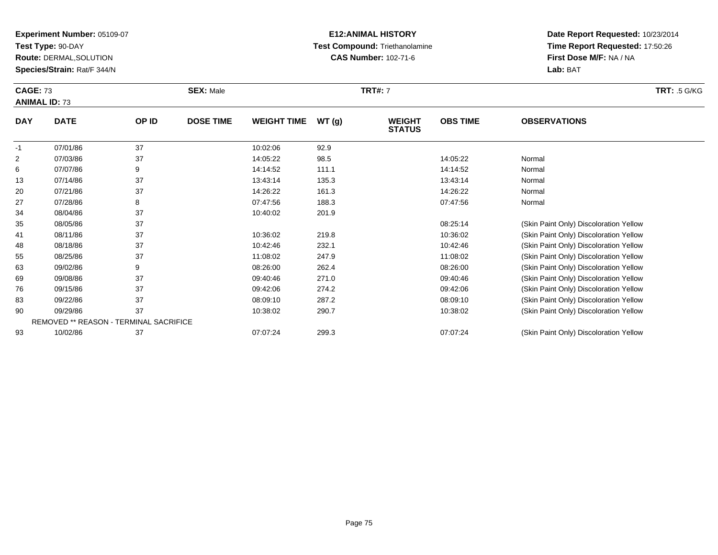**Test Type:** 90-DAY

**Route:** DERMAL,SOLUTION

**Species/Strain:** Rat/F 344/N

## **E12:ANIMAL HISTORY Test Compound:** Triethanolamine**CAS Number:** 102-71-6

|            | <b>CAGE: 73</b><br><b>SEX: Male</b><br><b>ANIMAL ID: 73</b> |       |                  | <b>TRT#: 7</b>     |       |                                |                 |                     | <b>TRT:</b> .5 G/KG |
|------------|-------------------------------------------------------------|-------|------------------|--------------------|-------|--------------------------------|-----------------|---------------------|---------------------|
| <b>DAY</b> | <b>DATE</b>                                                 | OP ID | <b>DOSE TIME</b> | <b>WEIGHT TIME</b> | WT(g) | <b>WEIGHT</b><br><b>STATUS</b> | <b>OBS TIME</b> | <b>OBSERVATIONS</b> |                     |
| -1         | 07/01/86                                                    | 37    |                  | 10:02:06           | 92.9  |                                |                 |                     |                     |

| -1             |    | 07/01/86                                      | 37 | 10:02:06 | 92.9  |          |                                        |
|----------------|----|-----------------------------------------------|----|----------|-------|----------|----------------------------------------|
| $\overline{2}$ |    | 07/03/86                                      | 37 | 14:05:22 | 98.5  | 14:05:22 | Normal                                 |
| 6              |    | 07/07/86                                      | 9  | 14:14:52 | 111.1 | 14:14:52 | Normal                                 |
|                | 13 | 07/14/86                                      | 37 | 13:43:14 | 135.3 | 13:43:14 | Normal                                 |
|                | 20 | 07/21/86                                      | 37 | 14:26:22 | 161.3 | 14:26:22 | Normal                                 |
|                | 27 | 07/28/86                                      | 8  | 07:47:56 | 188.3 | 07:47:56 | Normal                                 |
|                | 34 | 08/04/86                                      | 37 | 10:40:02 | 201.9 |          |                                        |
|                | 35 | 08/05/86                                      | 37 |          |       | 08:25:14 | (Skin Paint Only) Discoloration Yellow |
|                | 41 | 08/11/86                                      | 37 | 10:36:02 | 219.8 | 10:36:02 | (Skin Paint Only) Discoloration Yellow |
|                | 48 | 08/18/86                                      | 37 | 10:42:46 | 232.1 | 10:42:46 | (Skin Paint Only) Discoloration Yellow |
|                | 55 | 08/25/86                                      | 37 | 11:08:02 | 247.9 | 11:08:02 | (Skin Paint Only) Discoloration Yellow |
|                | 63 | 09/02/86                                      | 9  | 08:26:00 | 262.4 | 08:26:00 | (Skin Paint Only) Discoloration Yellow |
|                | 69 | 09/08/86                                      | 37 | 09:40:46 | 271.0 | 09:40:46 | (Skin Paint Only) Discoloration Yellow |
|                | 76 | 09/15/86                                      | 37 | 09:42:06 | 274.2 | 09:42:06 | (Skin Paint Only) Discoloration Yellow |
|                | 83 | 09/22/86                                      | 37 | 08:09:10 | 287.2 | 08:09:10 | (Skin Paint Only) Discoloration Yellow |
|                | 90 | 09/29/86                                      | 37 | 10:38:02 | 290.7 | 10:38:02 | (Skin Paint Only) Discoloration Yellow |
|                |    | <b>REMOVED ** REASON - TERMINAL SACRIFICE</b> |    |          |       |          |                                        |
|                | 93 | 10/02/86                                      | 37 | 07:07:24 | 299.3 | 07:07:24 | (Skin Paint Only) Discoloration Yellow |
|                |    |                                               |    |          |       |          |                                        |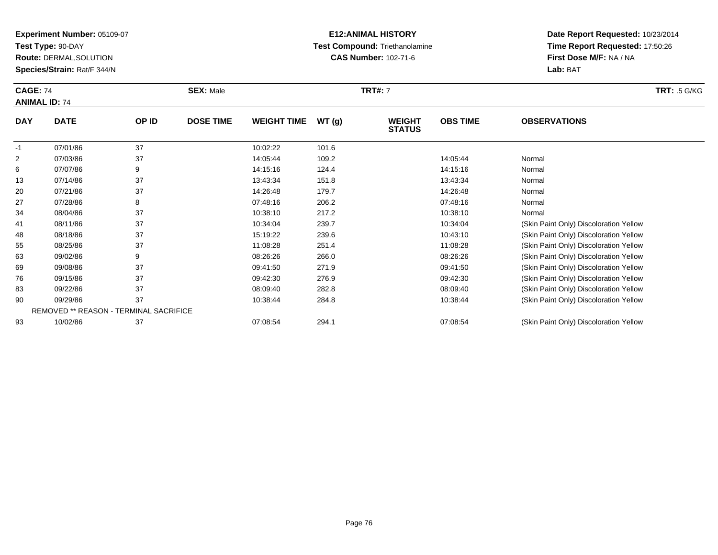**Test Type:** 90-DAY

76

83

90

93

**Route:** DERMAL,SOLUTION

**Species/Strain:** Rat/F 344/N

REMOVED \*\* REASON - TERMINAL SACRIFICE

### **E12:ANIMAL HISTORY Test Compound:** Triethanolamine**CAS Number:** 102-71-6

**Date Report Requested:** 10/23/2014**Time Report Requested:** 17:50:26**First Dose M/F:** NA / NA**Lab:** BAT

|                | <b>CAGE: 74</b><br><b>ANIMAL ID: 74</b> |       | <b>SEX: Male</b> |                    |       | <b>TRT#: 7</b>                 |                 | <b>TRT: .5 G/KG</b>                    |  |
|----------------|-----------------------------------------|-------|------------------|--------------------|-------|--------------------------------|-----------------|----------------------------------------|--|
| <b>DAY</b>     | <b>DATE</b>                             | OP ID | <b>DOSE TIME</b> | <b>WEIGHT TIME</b> | WT(g) | <b>WEIGHT</b><br><b>STATUS</b> | <b>OBS TIME</b> | <b>OBSERVATIONS</b>                    |  |
| $-1$           | 07/01/86                                | 37    |                  | 10:02:22           | 101.6 |                                |                 |                                        |  |
| $\overline{2}$ | 07/03/86                                | 37    |                  | 14:05:44           | 109.2 |                                | 14:05:44        | Normal                                 |  |
| 6              | 07/07/86                                | 9     |                  | 14:15:16           | 124.4 |                                | 14:15:16        | Normal                                 |  |
| 13             | 07/14/86                                | 37    |                  | 13:43:34           | 151.8 |                                | 13:43:34        | Normal                                 |  |
| 20             | 07/21/86                                | 37    |                  | 14:26:48           | 179.7 |                                | 14:26:48        | Normal                                 |  |
| 27             | 07/28/86                                | 8     |                  | 07:48:16           | 206.2 |                                | 07:48:16        | Normal                                 |  |
| 34             | 08/04/86                                | 37    |                  | 10:38:10           | 217.2 |                                | 10:38:10        | Normal                                 |  |
| 41             | 08/11/86                                | 37    |                  | 10:34:04           | 239.7 |                                | 10:34:04        | (Skin Paint Only) Discoloration Yellow |  |
| 48             | 08/18/86                                | 37    |                  | 15:19:22           | 239.6 |                                | 10:43:10        | (Skin Paint Only) Discoloration Yellow |  |
| 55             | 08/25/86                                | 37    |                  | 11:08:28           | 251.4 |                                | 11:08:28        | (Skin Paint Only) Discoloration Yellow |  |
| 63             | 09/02/86                                | 9     |                  | 08:26:26           | 266.0 |                                | 08:26:26        | (Skin Paint Only) Discoloration Yellow |  |
| 69             | 09/08/86                                | 37    |                  | 09:41:50           | 271.9 |                                | 09:41:50        | (Skin Paint Only) Discoloration Yellow |  |

09/08/86 <sup>37</sup> 09:41:50 271.9 09:41:50 (Skin Paint Only) Discoloration Yellow

09/15/86 <sup>37</sup> 09:42:30 276.9 09:42:30 (Skin Paint Only) Discoloration Yellow

09/22/86 <sup>37</sup> 08:09:40 282.8 08:09:40 (Skin Paint Only) Discoloration Yellow

0 09/29/86 37 37 10:38:44 284.8 284.8 10:38:44 3 10:38:44 CSkin Paint Only) Discoloration Yellow

10/02/86 <sup>37</sup> 07:08:54 294.1 07:08:54 (Skin Paint Only) Discoloration Yellow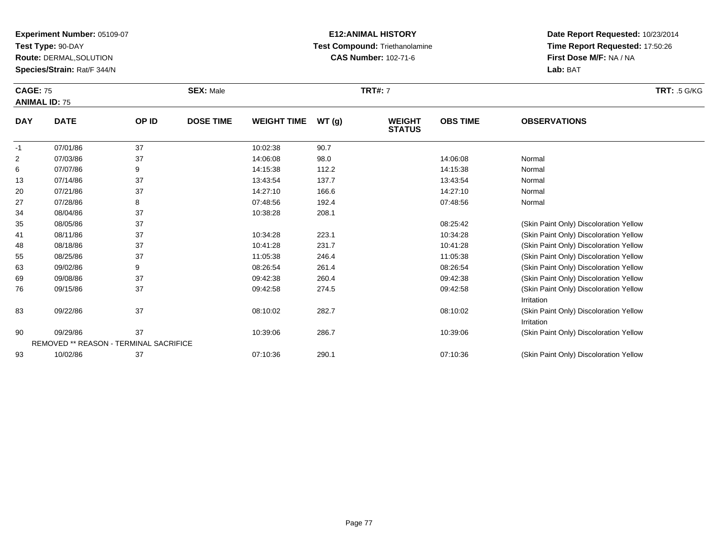**Test Type:** 90-DAY

**Route:** DERMAL,SOLUTION

**Species/Strain:** Rat/F 344/N

### **E12:ANIMAL HISTORY Test Compound:** Triethanolamine**CAS Number:** 102-71-6

| <b>CAGE: 75</b><br><b>ANIMAL ID: 75</b> |              |        | <b>SEX: Male</b> |                    |       | <b>TRT#: 7</b>                 | <b>TRT:</b> .5 G/KG |                     |  |
|-----------------------------------------|--------------|--------|------------------|--------------------|-------|--------------------------------|---------------------|---------------------|--|
| <b>DAY</b>                              | <b>DATE</b>  | OP ID  | <b>DOSE TIME</b> | <b>WEIGHT TIME</b> | WT(g) | <b>WEIGHT</b><br><b>STATUS</b> | <b>OBS TIME</b>     | <b>OBSERVATIONS</b> |  |
| -1                                      | 07/01/86     | 37     |                  | 10:02:38           | 90.7  |                                |                     |                     |  |
| 2                                       | 07/03/86     | 37     |                  | 14:06:08           | 98.0  |                                | 14:06:08            | Normal              |  |
| 6                                       | 07/07/86     | 9      |                  | 14:15:38           | 112.2 |                                | 14:15:38            | Normal              |  |
| $\sqrt{2}$                              | $07/4$ $100$ | $\sim$ |                  | 40.40.54           | 4077  |                                | 40.40.54            | No man all          |  |

| 13 | 07/14/86 | 37                                            | 13:43:54 | 137.7 | 13:43:54 | Normal                                 |
|----|----------|-----------------------------------------------|----------|-------|----------|----------------------------------------|
| 20 | 07/21/86 | 37                                            | 14:27:10 | 166.6 | 14:27:10 | Normal                                 |
| 27 | 07/28/86 | 8                                             | 07:48:56 | 192.4 | 07:48:56 | Normal                                 |
| 34 | 08/04/86 | 37                                            | 10:38:28 | 208.1 |          |                                        |
| 35 | 08/05/86 | 37                                            |          |       | 08:25:42 | (Skin Paint Only) Discoloration Yellow |
| 41 | 08/11/86 | 37                                            | 10:34:28 | 223.1 | 10:34:28 | (Skin Paint Only) Discoloration Yellow |
| 48 | 08/18/86 | 37                                            | 10:41:28 | 231.7 | 10:41:28 | (Skin Paint Only) Discoloration Yellow |
| 55 | 08/25/86 | 37                                            | 11:05:38 | 246.4 | 11:05:38 | (Skin Paint Only) Discoloration Yellow |
| 63 | 09/02/86 | 9                                             | 08:26:54 | 261.4 | 08:26:54 | (Skin Paint Only) Discoloration Yellow |
| 69 | 09/08/86 | 37                                            | 09:42:38 | 260.4 | 09:42:38 | (Skin Paint Only) Discoloration Yellow |
| 76 | 09/15/86 | 37                                            | 09:42:58 | 274.5 | 09:42:58 | (Skin Paint Only) Discoloration Yellow |
|    |          |                                               |          |       |          | Irritation                             |
| 83 | 09/22/86 | 37                                            | 08:10:02 | 282.7 | 08:10:02 | (Skin Paint Only) Discoloration Yellow |
|    |          |                                               |          |       |          | Irritation                             |
| 90 | 09/29/86 | 37                                            | 10:39:06 | 286.7 | 10:39:06 | (Skin Paint Only) Discoloration Yellow |
|    |          | <b>REMOVED ** REASON - TERMINAL SACRIFICE</b> |          |       |          |                                        |
| 93 | 10/02/86 | 37                                            | 07:10:36 | 290.1 | 07:10:36 | (Skin Paint Only) Discoloration Yellow |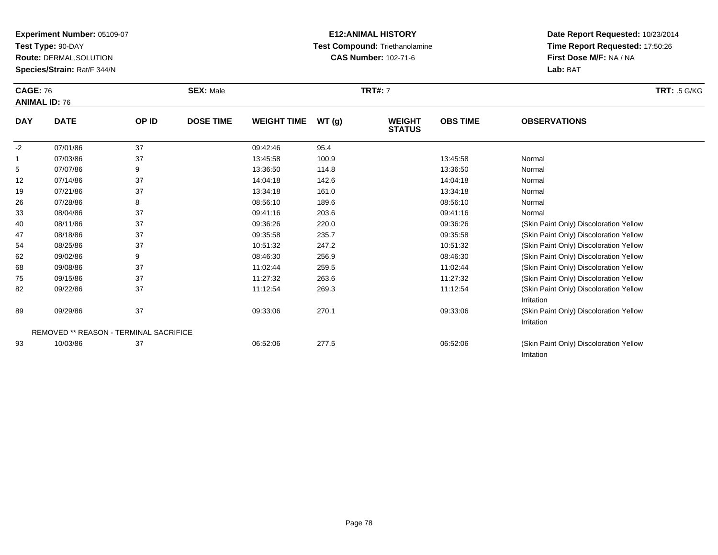**Test Type:** 90-DAY

**Route:** DERMAL,SOLUTION

**Species/Strain:** Rat/F 344/N

### **E12:ANIMAL HISTORY Test Compound:** Triethanolamine**CAS Number:** 102-71-6

**Date Report Requested:** 10/23/2014**Time Report Requested:** 17:50:26**First Dose M/F:** NA / NA**Lab:** BAT

Irritation

|            | <b>CAGE: 76</b><br><b>ANIMAL ID: 76</b> |       | <b>SEX: Male</b> |                    |       | <b>TRT#: 7</b>                 | <b>TRT: .5 G/KG</b> |                                                      |  |
|------------|-----------------------------------------|-------|------------------|--------------------|-------|--------------------------------|---------------------|------------------------------------------------------|--|
| <b>DAY</b> | <b>DATE</b>                             | OP ID | <b>DOSE TIME</b> | <b>WEIGHT TIME</b> | WT(g) | <b>WEIGHT</b><br><b>STATUS</b> | <b>OBS TIME</b>     | <b>OBSERVATIONS</b>                                  |  |
| $-2$       | 07/01/86                                | 37    |                  | 09:42:46           | 95.4  |                                |                     |                                                      |  |
|            | 07/03/86                                | 37    |                  | 13:45:58           | 100.9 |                                | 13:45:58            | Normal                                               |  |
| 5          | 07/07/86                                | 9     |                  | 13:36:50           | 114.8 |                                | 13:36:50            | Normal                                               |  |
| 12         | 07/14/86                                | 37    |                  | 14:04:18           | 142.6 |                                | 14:04:18            | Normal                                               |  |
| 19         | 07/21/86                                | 37    |                  | 13:34:18           | 161.0 |                                | 13:34:18            | Normal                                               |  |
| 26         | 07/28/86                                | 8     |                  | 08:56:10           | 189.6 |                                | 08:56:10            | Normal                                               |  |
| 33         | 08/04/86                                | 37    |                  | 09:41:16           | 203.6 |                                | 09:41:16            | Normal                                               |  |
| 40         | 08/11/86                                | 37    |                  | 09:36:26           | 220.0 |                                | 09:36:26            | (Skin Paint Only) Discoloration Yellow               |  |
| 47         | 08/18/86                                | 37    |                  | 09:35:58           | 235.7 |                                | 09:35:58            | (Skin Paint Only) Discoloration Yellow               |  |
| 54         | 08/25/86                                | 37    |                  | 10:51:32           | 247.2 |                                | 10:51:32            | (Skin Paint Only) Discoloration Yellow               |  |
| 62         | 09/02/86                                | 9     |                  | 08:46:30           | 256.9 |                                | 08:46:30            | (Skin Paint Only) Discoloration Yellow               |  |
| 68         | 09/08/86                                | 37    |                  | 11:02:44           | 259.5 |                                | 11:02:44            | (Skin Paint Only) Discoloration Yellow               |  |
| 75         | 09/15/86                                | 37    |                  | 11:27:32           | 263.6 |                                | 11:27:32            | (Skin Paint Only) Discoloration Yellow               |  |
| 82         | 09/22/86                                | 37    |                  | 11:12:54           | 269.3 |                                | 11:12:54            | (Skin Paint Only) Discoloration Yellow               |  |
|            |                                         |       |                  |                    |       |                                |                     | Irritation                                           |  |
| 89         | 09/29/86                                | 37    |                  | 09:33:06           | 270.1 |                                | 09:33:06            | (Skin Paint Only) Discoloration Yellow<br>Irritation |  |

REMOVED \*\* REASON - TERMINAL SACRIFICE

93

10/03/86 <sup>37</sup> 06:52:06 277.5 06:52:06 (Skin Paint Only) Discoloration Yellow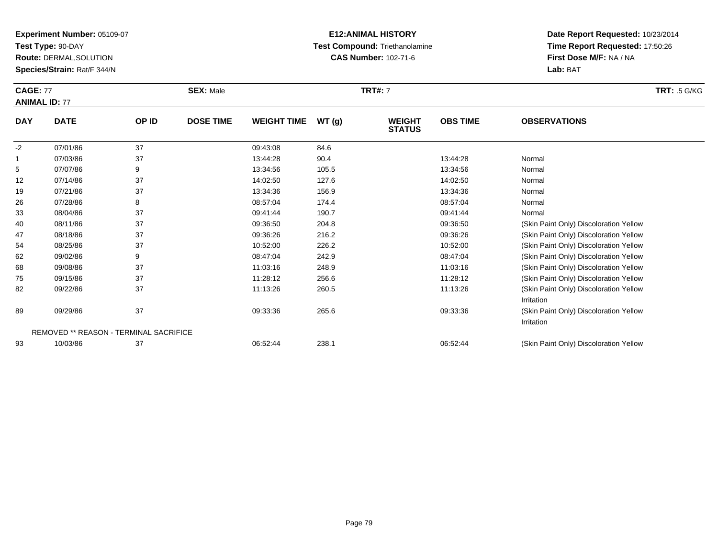**Test Type:** 90-DAY

68

75

82

89

93

**Route:** DERMAL,SOLUTION

**Species/Strain:** Rat/F 344/N

REMOVED \*\* REASON - TERMINAL SACRIFICE

### **E12:ANIMAL HISTORY Test Compound:** Triethanolamine**CAS Number:** 102-71-6

**Date Report Requested:** 10/23/2014**Time Report Requested:** 17:50:26**First Dose M/F:** NA / NA**Lab:** BAT

Irritation

Irritation

|            | <b>CAGE: 77</b><br><b>ANIMAL ID: 77</b> |       | <b>SEX: Male</b> |                    |       | <b>TRT#: 7</b>                 | <b>TRT: .5 G/KG</b> |                                        |
|------------|-----------------------------------------|-------|------------------|--------------------|-------|--------------------------------|---------------------|----------------------------------------|
| <b>DAY</b> | <b>DATE</b>                             | OP ID | <b>DOSE TIME</b> | <b>WEIGHT TIME</b> | WT(g) | <b>WEIGHT</b><br><b>STATUS</b> | <b>OBS TIME</b>     | <b>OBSERVATIONS</b>                    |
| -2         | 07/01/86                                | 37    |                  | 09:43:08           | 84.6  |                                |                     |                                        |
| 1          | 07/03/86                                | 37    |                  | 13:44:28           | 90.4  |                                | 13:44:28            | Normal                                 |
| 5          | 07/07/86                                | 9     |                  | 13:34:56           | 105.5 |                                | 13:34:56            | Normal                                 |
| 12         | 07/14/86                                | 37    |                  | 14:02:50           | 127.6 |                                | 14:02:50            | Normal                                 |
| 19         | 07/21/86                                | 37    |                  | 13:34:36           | 156.9 |                                | 13:34:36            | Normal                                 |
| 26         | 07/28/86                                | 8     |                  | 08:57:04           | 174.4 |                                | 08:57:04            | Normal                                 |
| 33         | 08/04/86                                | 37    |                  | 09:41:44           | 190.7 |                                | 09:41:44            | Normal                                 |
| 40         | 08/11/86                                | 37    |                  | 09:36:50           | 204.8 |                                | 09:36:50            | (Skin Paint Only) Discoloration Yellow |
| 47         | 08/18/86                                | 37    |                  | 09:36:26           | 216.2 |                                | 09:36:26            | (Skin Paint Only) Discoloration Yellow |
| 54         | 08/25/86                                | 37    |                  | 10:52:00           | 226.2 |                                | 10:52:00            | (Skin Paint Only) Discoloration Yellow |
| 62         | 09/02/86                                | 9     |                  | 08:47:04           | 242.9 |                                | 08:47:04            | (Skin Paint Only) Discoloration Yellow |

09/02/86 <sup>9</sup> 08:47:04 242.9 08:47:04 (Skin Paint Only) Discoloration Yellow

09/08/86 <sup>37</sup> 11:03:16 248.9 11:03:16 (Skin Paint Only) Discoloration Yellow

5 09/15/86 37 37 11:28:12 256.6 11:28:12 11:28:12 158.0 11:28:12 (Skin Paint Only) Discoloration Yellow

09/22/86 <sup>37</sup> 11:13:26 260.5 11:13:26 (Skin Paint Only) Discoloration Yellow

09/29/86 <sup>37</sup> 09:33:36 265.6 09:33:36 (Skin Paint Only) Discoloration Yellow

10/03/86 <sup>37</sup> 06:52:44 238.1 06:52:44 (Skin Paint Only) Discoloration Yellow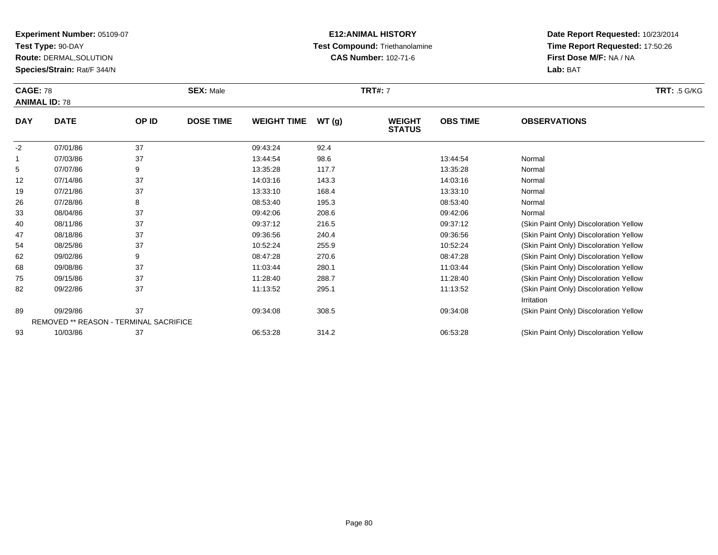**Test Type:** 90-DAY

93

**Route:** DERMAL,SOLUTION

**Species/Strain:** Rat/F 344/N

REMOVED \*\* REASON - TERMINAL SACRIFICE

### **E12:ANIMAL HISTORY Test Compound:** Triethanolamine**CAS Number:** 102-71-6

**Date Report Requested:** 10/23/2014**Time Report Requested:** 17:50:26**First Dose M/F:** NA / NA**Lab:** BAT

|            | <b>CAGE: 78</b><br><b>ANIMAL ID: 78</b> |       | <b>SEX: Male</b> |                    |        | <b>TRT#: 7</b>                 | <b>TRT: .5 G/KG</b> |                                                      |  |
|------------|-----------------------------------------|-------|------------------|--------------------|--------|--------------------------------|---------------------|------------------------------------------------------|--|
| <b>DAY</b> | <b>DATE</b>                             | OP ID | <b>DOSE TIME</b> | <b>WEIGHT TIME</b> | WT (g) | <b>WEIGHT</b><br><b>STATUS</b> | <b>OBS TIME</b>     | <b>OBSERVATIONS</b>                                  |  |
| $-2$       | 07/01/86                                | 37    |                  | 09:43:24           | 92.4   |                                |                     |                                                      |  |
|            | 07/03/86                                | 37    |                  | 13:44:54           | 98.6   |                                | 13:44:54            | Normal                                               |  |
| 5          | 07/07/86                                | 9     |                  | 13:35:28           | 117.7  |                                | 13:35:28            | Normal                                               |  |
| 12         | 07/14/86                                | 37    |                  | 14:03:16           | 143.3  |                                | 14:03:16            | Normal                                               |  |
| 19         | 07/21/86                                | 37    |                  | 13:33:10           | 168.4  |                                | 13:33:10            | Normal                                               |  |
| 26         | 07/28/86                                | 8     |                  | 08:53:40           | 195.3  |                                | 08:53:40            | Normal                                               |  |
| 33         | 08/04/86                                | 37    |                  | 09:42:06           | 208.6  |                                | 09:42:06            | Normal                                               |  |
| 40         | 08/11/86                                | 37    |                  | 09:37:12           | 216.5  |                                | 09:37:12            | (Skin Paint Only) Discoloration Yellow               |  |
| 47         | 08/18/86                                | 37    |                  | 09:36:56           | 240.4  |                                | 09:36:56            | (Skin Paint Only) Discoloration Yellow               |  |
| 54         | 08/25/86                                | 37    |                  | 10:52:24           | 255.9  |                                | 10:52:24            | (Skin Paint Only) Discoloration Yellow               |  |
| 62         | 09/02/86                                | 9     |                  | 08:47:28           | 270.6  |                                | 08:47:28            | (Skin Paint Only) Discoloration Yellow               |  |
| 68         | 09/08/86                                | 37    |                  | 11:03:44           | 280.1  |                                | 11:03:44            | (Skin Paint Only) Discoloration Yellow               |  |
| 75         | 09/15/86                                | 37    |                  | 11:28:40           | 288.7  |                                | 11:28:40            | (Skin Paint Only) Discoloration Yellow               |  |
| 82         | 09/22/86                                | 37    |                  | 11:13:52           | 295.1  |                                | 11:13:52            | (Skin Paint Only) Discoloration Yellow<br>Irritation |  |
| 89         | 09/29/86                                | 37    |                  | 09:34:08           | 308.5  |                                | 09:34:08            | (Skin Paint Only) Discoloration Yellow               |  |

09/29/86 <sup>37</sup> 09:34:08 308.5 09:34:08 (Skin Paint Only) Discoloration Yellow

10/03/86 <sup>37</sup> 06:53:28 314.2 06:53:28 (Skin Paint Only) Discoloration Yellow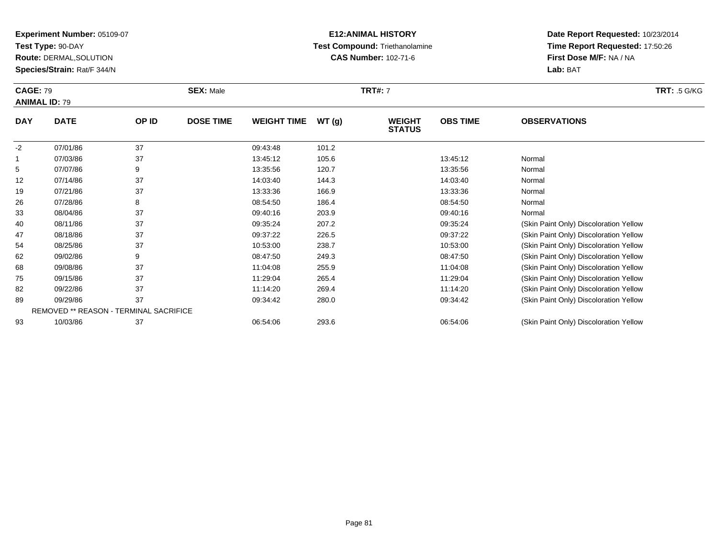**Test Type:** 90-DAY

**Route:** DERMAL,SOLUTION

**Species/Strain:** Rat/F 344/N

### **E12:ANIMAL HISTORY Test Compound:** Triethanolamine**CAS Number:** 102-71-6

**Date Report Requested:** 10/23/2014**Time Report Requested:** 17:50:26**First Dose M/F:** NA / NA**Lab:** BAT

|              | <b>CAGE: 79</b><br><b>ANIMAL ID: 79</b> |       | <b>SEX: Male</b> |                    |       | <b>TRT#: 7</b>                 | <b>TRT: .5 G/KG</b> |                                        |  |
|--------------|-----------------------------------------|-------|------------------|--------------------|-------|--------------------------------|---------------------|----------------------------------------|--|
| <b>DAY</b>   | <b>DATE</b>                             | OP ID | <b>DOSE TIME</b> | <b>WEIGHT TIME</b> | WT(g) | <b>WEIGHT</b><br><b>STATUS</b> | <b>OBS TIME</b>     | <b>OBSERVATIONS</b>                    |  |
| $-2$         | 07/01/86                                | 37    |                  | 09:43:48           | 101.2 |                                |                     |                                        |  |
| $\mathbf{1}$ | 07/03/86                                | 37    |                  | 13:45:12           | 105.6 |                                | 13:45:12            | Normal                                 |  |
| 5            | 07/07/86                                | 9     |                  | 13:35:56           | 120.7 |                                | 13:35:56            | Normal                                 |  |
| 12           | 07/14/86                                | 37    |                  | 14:03:40           | 144.3 |                                | 14:03:40            | Normal                                 |  |
| 19           | 07/21/86                                | 37    |                  | 13:33:36           | 166.9 |                                | 13:33:36            | Normal                                 |  |
| 26           | 07/28/86                                | 8     |                  | 08:54:50           | 186.4 |                                | 08:54:50            | Normal                                 |  |
| 33           | 08/04/86                                | 37    |                  | 09:40:16           | 203.9 |                                | 09:40:16            | Normal                                 |  |
| 40           | 08/11/86                                | 37    |                  | 09:35:24           | 207.2 |                                | 09:35:24            | (Skin Paint Only) Discoloration Yellow |  |
| 47           | 08/18/86                                | 37    |                  | 09:37:22           | 226.5 |                                | 09:37:22            | (Skin Paint Only) Discoloration Yellow |  |
| 54           | 08/25/86                                | 37    |                  | 10:53:00           | 238.7 |                                | 10:53:00            | (Skin Paint Only) Discoloration Yellow |  |
| 62           | 09/02/86                                | 9     |                  | 08:47:50           | 249.3 |                                | 08:47:50            | (Skin Paint Only) Discoloration Yellow |  |
| 68           | 09/08/86                                | 37    |                  | 11:04:08           | 255.9 |                                | 11:04:08            | (Skin Paint Only) Discoloration Yellow |  |
| 75           | 09/15/86                                | 37    |                  | 11:29:04           | 265.4 |                                | 11:29:04            | (Skin Paint Only) Discoloration Yellow |  |
| 82           | 09/22/86                                | 37    |                  | 11:14:20           | 269.4 |                                | 11:14:20            | (Skin Paint Only) Discoloration Yellow |  |
| 89           | 09/29/86                                | 37    |                  | 09:34:42           | 280.0 |                                | 09:34:42            | (Skin Paint Only) Discoloration Yellow |  |

| -89 | 09/29/86                                      | UY 34.42 | <b>280.0</b> | 09.34.42 | (Skin Paint Only) Discoloration Yellow |
|-----|-----------------------------------------------|----------|--------------|----------|----------------------------------------|
|     | <b>REMOVED ** REASON - TERMINAL SACRIFICE</b> |          |              |          |                                        |
| 93  | 10/03/86                                      | 06:54:06 | 293.6        | 06:54:06 | (Skin Paint Only) Discoloration Yellow |

Page 81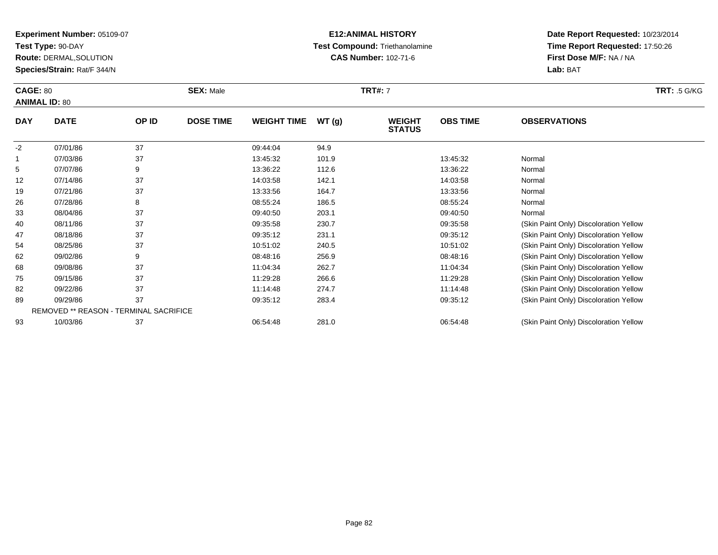**Test Type:** 90-DAY

**Route:** DERMAL,SOLUTION

**Species/Strain:** Rat/F 344/N

### **E12:ANIMAL HISTORY Test Compound:** Triethanolamine**CAS Number:** 102-71-6

**Date Report Requested:** 10/23/2014**Time Report Requested:** 17:50:26**First Dose M/F:** NA / NA**Lab:** BAT

| <b>CAGE: 80</b><br><b>ANIMAL ID: 80</b> |             | <b>SEX: Male</b> |                  |                    | <b>TRT#: 7</b> |                                |                 |                                        |  |  |
|-----------------------------------------|-------------|------------------|------------------|--------------------|----------------|--------------------------------|-----------------|----------------------------------------|--|--|
| <b>DAY</b>                              | <b>DATE</b> | OP ID            | <b>DOSE TIME</b> | <b>WEIGHT TIME</b> | WT(g)          | <b>WEIGHT</b><br><b>STATUS</b> | <b>OBS TIME</b> | <b>OBSERVATIONS</b>                    |  |  |
| $-2$                                    | 07/01/86    | 37               |                  | 09:44:04           | 94.9           |                                |                 |                                        |  |  |
|                                         | 07/03/86    | 37               |                  | 13:45:32           | 101.9          |                                | 13:45:32        | Normal                                 |  |  |
| 5                                       | 07/07/86    | 9                |                  | 13:36:22           | 112.6          |                                | 13:36:22        | Normal                                 |  |  |
| 12                                      | 07/14/86    | 37               |                  | 14:03:58           | 142.1          |                                | 14:03:58        | Normal                                 |  |  |
| 19                                      | 07/21/86    | 37               |                  | 13:33:56           | 164.7          |                                | 13:33:56        | Normal                                 |  |  |
| 26                                      | 07/28/86    | 8                |                  | 08:55:24           | 186.5          |                                | 08:55:24        | Normal                                 |  |  |
| 33                                      | 08/04/86    | 37               |                  | 09:40:50           | 203.1          |                                | 09:40:50        | Normal                                 |  |  |
| 40                                      | 08/11/86    | 37               |                  | 09:35:58           | 230.7          |                                | 09:35:58        | (Skin Paint Only) Discoloration Yellow |  |  |
| 47                                      | 08/18/86    | 37               |                  | 09:35:12           | 231.1          |                                | 09:35:12        | (Skin Paint Only) Discoloration Yellow |  |  |
| 54                                      | 08/25/86    | 37               |                  | 10:51:02           | 240.5          |                                | 10:51:02        | (Skin Paint Only) Discoloration Yellow |  |  |
| 62                                      | 09/02/86    | 9                |                  | 08:48:16           | 256.9          |                                | 08:48:16        | (Skin Paint Only) Discoloration Yellow |  |  |
| 68                                      | 09/08/86    | 37               |                  | 11:04:34           | 262.7          |                                | 11:04:34        | (Skin Paint Only) Discoloration Yellow |  |  |
| 75                                      | 09/15/86    | 37               |                  | 11:29:28           | 266.6          |                                | 11:29:28        | (Skin Paint Only) Discoloration Yellow |  |  |
| 82                                      | 09/22/86    | 37               |                  | 11:14:48           | 274.7          |                                | 11:14:48        | (Skin Paint Only) Discoloration Yellow |  |  |
| 89                                      | 09/29/86    | 37               |                  | 09:35:12           | 283.4          |                                | 09:35:12        | (Skin Paint Only) Discoloration Yellow |  |  |

| $\tilde{\phantom{a}}$ | -------                                       | . | -------- | ----  | ------   | $\sum_{i=1}^{n}$                       |
|-----------------------|-----------------------------------------------|---|----------|-------|----------|----------------------------------------|
|                       | <b>REMOVED ** REASON - TERMINAL SACRIFICE</b> |   |          |       |          |                                        |
| 93                    | 10/03/86                                      |   | 06:54:48 | 281.0 | 06:54:48 | (Skin Paint Only) Discoloration Yellow |

Page 82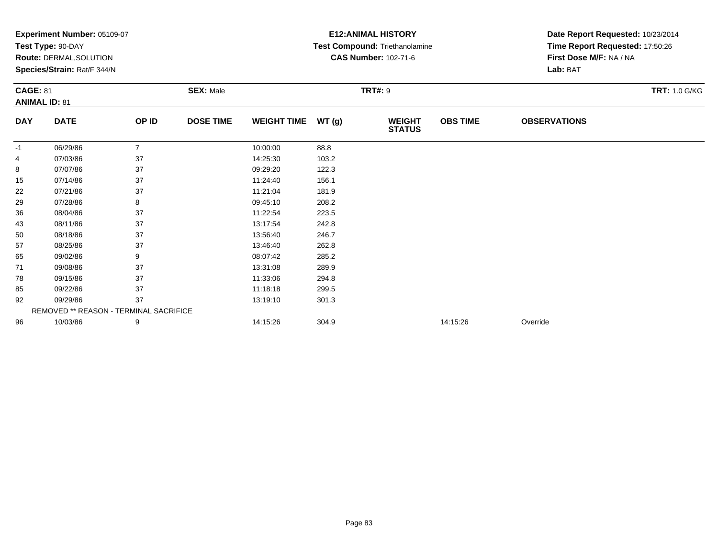|            | Experiment Number: 05109-07            |                |                  |                    |                | <b>E12: ANIMAL HISTORY</b>     | Date Report Requested: 10/23/2014 |                                 |                      |  |
|------------|----------------------------------------|----------------|------------------|--------------------|----------------|--------------------------------|-----------------------------------|---------------------------------|----------------------|--|
|            | Test Type: 90-DAY                      |                |                  |                    |                | Test Compound: Triethanolamine |                                   | Time Report Requested: 17:50:26 |                      |  |
|            | Route: DERMAL, SOLUTION                |                |                  |                    |                | <b>CAS Number: 102-71-6</b>    |                                   | First Dose M/F: NA / NA         |                      |  |
|            | Species/Strain: Rat/F 344/N            |                |                  |                    |                |                                |                                   | Lab: BAT                        |                      |  |
|            | <b>CAGE: 81</b>                        |                | <b>SEX: Male</b> |                    | <b>TRT#: 9</b> |                                |                                   |                                 | <b>TRT: 1.0 G/KG</b> |  |
|            | <b>ANIMAL ID: 81</b>                   |                |                  |                    |                |                                |                                   |                                 |                      |  |
| <b>DAY</b> | <b>DATE</b>                            | OP ID          | <b>DOSE TIME</b> | <b>WEIGHT TIME</b> | WT(g)          | <b>WEIGHT</b><br><b>STATUS</b> | <b>OBS TIME</b>                   | <b>OBSERVATIONS</b>             |                      |  |
| -1         | 06/29/86                               | $\overline{7}$ |                  | 10:00:00           | 88.8           |                                |                                   |                                 |                      |  |
| 4          | 07/03/86                               | 37             |                  | 14:25:30           | 103.2          |                                |                                   |                                 |                      |  |
| 8          | 07/07/86                               | 37             |                  | 09:29:20           | 122.3          |                                |                                   |                                 |                      |  |
| 15         | 07/14/86                               | 37             |                  | 11:24:40           | 156.1          |                                |                                   |                                 |                      |  |
| 22         | 07/21/86                               | 37             |                  | 11:21:04           | 181.9          |                                |                                   |                                 |                      |  |
| 29         | 07/28/86                               | 8              |                  | 09:45:10           | 208.2          |                                |                                   |                                 |                      |  |
| 36         | 08/04/86                               | 37             |                  | 11:22:54           | 223.5          |                                |                                   |                                 |                      |  |
| 43         | 08/11/86                               | 37             |                  | 13:17:54           | 242.8          |                                |                                   |                                 |                      |  |
| 50         | 08/18/86                               | 37             |                  | 13:56:40           | 246.7          |                                |                                   |                                 |                      |  |
| 57         | 08/25/86                               | 37             |                  | 13:46:40           | 262.8          |                                |                                   |                                 |                      |  |
| 65         | 09/02/86                               | 9              |                  | 08:07:42           | 285.2          |                                |                                   |                                 |                      |  |
| 71         | 09/08/86                               | 37             |                  | 13:31:08           | 289.9          |                                |                                   |                                 |                      |  |
| 78         | 09/15/86                               | 37             |                  | 11:33:06           | 294.8          |                                |                                   |                                 |                      |  |
| 85         | 09/22/86                               | 37             |                  | 11:18:18           | 299.5          |                                |                                   |                                 |                      |  |
| 92         | 09/29/86                               | 37             |                  | 13:19:10           | 301.3          |                                |                                   |                                 |                      |  |
|            | REMOVED ** REASON - TERMINAL SACRIFICE |                |                  |                    |                |                                |                                   |                                 |                      |  |
| 96         | 10/03/86                               | 9              |                  | 14:15:26           | 304.9          |                                | 14:15:26                          | Override                        |                      |  |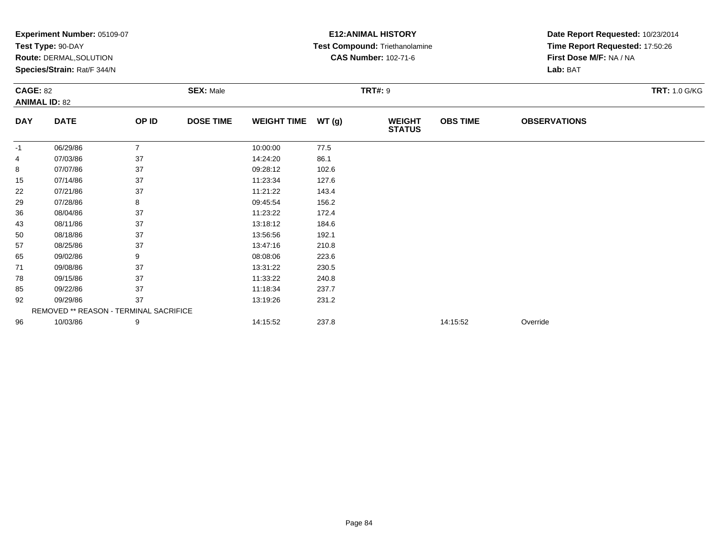|                 | Experiment Number: 05109-07            |                |                  |                    |       | <b>E12: ANIMAL HISTORY</b>     | Date Report Requested: 10/23/2014 |                                 |                      |
|-----------------|----------------------------------------|----------------|------------------|--------------------|-------|--------------------------------|-----------------------------------|---------------------------------|----------------------|
|                 | Test Type: 90-DAY                      |                |                  |                    |       | Test Compound: Triethanolamine |                                   | Time Report Requested: 17:50:26 |                      |
|                 | Route: DERMAL, SOLUTION                |                |                  |                    |       | <b>CAS Number: 102-71-6</b>    | First Dose M/F: NA / NA           |                                 |                      |
|                 | Species/Strain: Rat/F 344/N            |                |                  |                    |       |                                |                                   | Lab: BAT                        |                      |
| <b>CAGE: 82</b> |                                        |                | <b>SEX: Male</b> |                    |       | <b>TRT#: 9</b>                 |                                   |                                 | <b>TRT: 1.0 G/KG</b> |
|                 | <b>ANIMAL ID: 82</b>                   |                |                  |                    |       |                                |                                   |                                 |                      |
| <b>DAY</b>      | <b>DATE</b>                            | OP ID          | <b>DOSE TIME</b> | <b>WEIGHT TIME</b> | WT(g) | <b>WEIGHT</b><br><b>STATUS</b> | <b>OBS TIME</b>                   | <b>OBSERVATIONS</b>             |                      |
| -1              | 06/29/86                               | $\overline{7}$ |                  | 10:00:00           | 77.5  |                                |                                   |                                 |                      |
| 4               | 07/03/86                               | 37             |                  | 14:24:20           | 86.1  |                                |                                   |                                 |                      |
| 8               | 07/07/86                               | 37             |                  | 09:28:12           | 102.6 |                                |                                   |                                 |                      |
| 15              | 07/14/86                               | 37             |                  | 11:23:34           | 127.6 |                                |                                   |                                 |                      |
| 22              | 07/21/86                               | 37             |                  | 11:21:22           | 143.4 |                                |                                   |                                 |                      |
| 29              | 07/28/86                               | 8              |                  | 09:45:54           | 156.2 |                                |                                   |                                 |                      |
| 36              | 08/04/86                               | 37             |                  | 11:23:22           | 172.4 |                                |                                   |                                 |                      |
| 43              | 08/11/86                               | 37             |                  | 13:18:12           | 184.6 |                                |                                   |                                 |                      |
| 50              | 08/18/86                               | 37             |                  | 13:56:56           | 192.1 |                                |                                   |                                 |                      |
| 57              | 08/25/86                               | 37             |                  | 13:47:16           | 210.8 |                                |                                   |                                 |                      |
| 65              | 09/02/86                               | 9              |                  | 08:08:06           | 223.6 |                                |                                   |                                 |                      |
| 71              | 09/08/86                               | 37             |                  | 13:31:22           | 230.5 |                                |                                   |                                 |                      |
| 78              | 09/15/86                               | 37             |                  | 11:33:22           | 240.8 |                                |                                   |                                 |                      |
| 85              | 09/22/86                               | 37             |                  | 11:18:34           | 237.7 |                                |                                   |                                 |                      |
| 92              | 09/29/86                               | 37             |                  | 13:19:26           | 231.2 |                                |                                   |                                 |                      |
|                 | REMOVED ** REASON - TERMINAL SACRIFICE |                |                  |                    |       |                                |                                   |                                 |                      |
| 96              | 10/03/86                               | 9              |                  | 14:15:52           | 237.8 |                                | 14:15:52                          | Override                        |                      |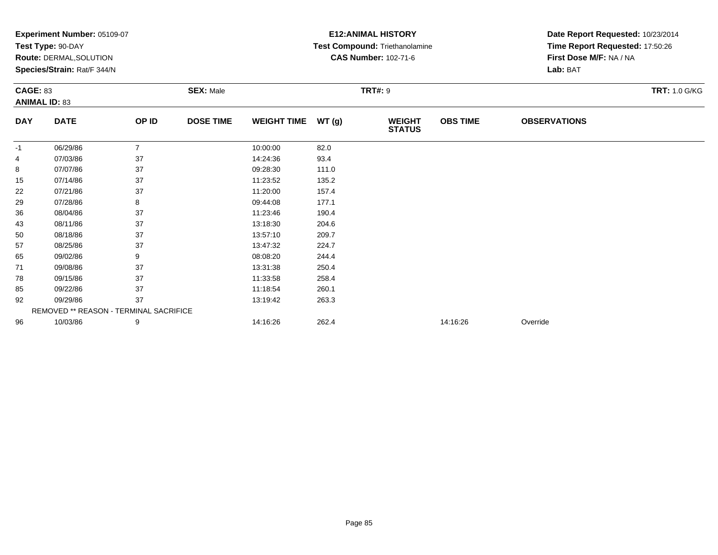|            | Experiment Number: 05109-07            |                |                  |                    |       | <b>E12: ANIMAL HISTORY</b>     | Date Report Requested: 10/23/2014 |                                 |  |  |
|------------|----------------------------------------|----------------|------------------|--------------------|-------|--------------------------------|-----------------------------------|---------------------------------|--|--|
|            | Test Type: 90-DAY                      |                |                  |                    |       | Test Compound: Triethanolamine |                                   | Time Report Requested: 17:50:26 |  |  |
|            | <b>Route: DERMAL, SOLUTION</b>         |                |                  |                    |       | <b>CAS Number: 102-71-6</b>    |                                   | First Dose M/F: NA / NA         |  |  |
|            | Species/Strain: Rat/F 344/N            |                |                  |                    |       |                                |                                   | Lab: BAT                        |  |  |
|            | <b>CAGE: 83</b>                        |                | <b>SEX: Male</b> |                    |       | <b>TRT#: 9</b>                 |                                   | <b>TRT: 1.0 G/KG</b>            |  |  |
|            | <b>ANIMAL ID: 83</b>                   |                |                  |                    |       |                                |                                   |                                 |  |  |
| <b>DAY</b> | <b>DATE</b>                            | OP ID          | <b>DOSE TIME</b> | <b>WEIGHT TIME</b> | WT(g) | <b>WEIGHT</b><br><b>STATUS</b> | <b>OBS TIME</b>                   | <b>OBSERVATIONS</b>             |  |  |
| -1         | 06/29/86                               | $\overline{7}$ |                  | 10:00:00           | 82.0  |                                |                                   |                                 |  |  |
| 4          | 07/03/86                               | 37             |                  | 14:24:36           | 93.4  |                                |                                   |                                 |  |  |
| 8          | 07/07/86                               | 37             |                  | 09:28:30           | 111.0 |                                |                                   |                                 |  |  |
| 15         | 07/14/86                               | 37             |                  | 11:23:52           | 135.2 |                                |                                   |                                 |  |  |
| 22         | 07/21/86                               | 37             |                  | 11:20:00           | 157.4 |                                |                                   |                                 |  |  |
| 29         | 07/28/86                               | 8              |                  | 09:44:08           | 177.1 |                                |                                   |                                 |  |  |
| 36         | 08/04/86                               | 37             |                  | 11:23:46           | 190.4 |                                |                                   |                                 |  |  |
| 43         | 08/11/86                               | 37             |                  | 13:18:30           | 204.6 |                                |                                   |                                 |  |  |
| 50         | 08/18/86                               | 37             |                  | 13:57:10           | 209.7 |                                |                                   |                                 |  |  |
| 57         | 08/25/86                               | 37             |                  | 13:47:32           | 224.7 |                                |                                   |                                 |  |  |
| 65         | 09/02/86                               | 9              |                  | 08:08:20           | 244.4 |                                |                                   |                                 |  |  |
| 71         | 09/08/86                               | 37             |                  | 13:31:38           | 250.4 |                                |                                   |                                 |  |  |
| 78         | 09/15/86                               | 37             |                  | 11:33:58           | 258.4 |                                |                                   |                                 |  |  |
| 85         | 09/22/86                               | 37             |                  | 11:18:54           | 260.1 |                                |                                   |                                 |  |  |
| 92         | 09/29/86                               | 37             |                  | 13:19:42           | 263.3 |                                |                                   |                                 |  |  |
|            | REMOVED ** REASON - TERMINAL SACRIFICE |                |                  |                    |       |                                |                                   |                                 |  |  |
| 96         | 10/03/86                               | 9              |                  | 14:16:26           | 262.4 |                                | 14:16:26                          | Override                        |  |  |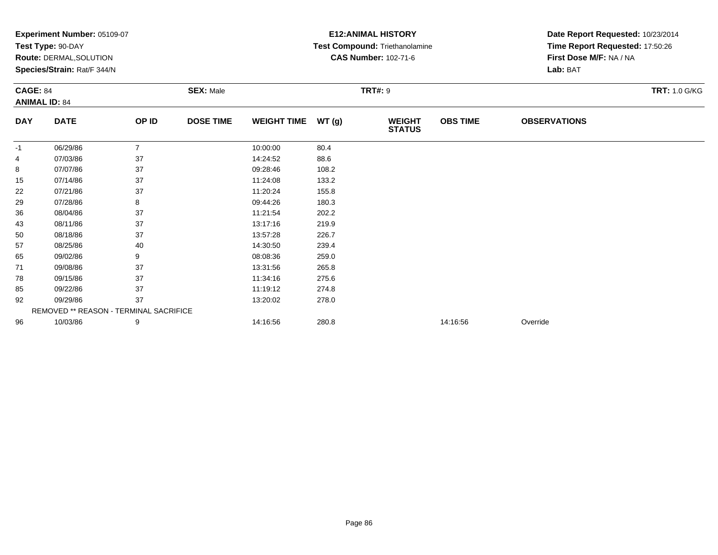|                                         | Experiment Number: 05109-07<br>Test Type: 90-DAY              |                  |                  |                    |       | <b>E12: ANIMAL HISTORY</b><br>Test Compound: Triethanolamine | Date Report Requested: 10/23/2014<br>Time Report Requested: 17:50:26 |                      |  |
|-----------------------------------------|---------------------------------------------------------------|------------------|------------------|--------------------|-------|--------------------------------------------------------------|----------------------------------------------------------------------|----------------------|--|
|                                         | <b>Route: DERMAL, SOLUTION</b><br>Species/Strain: Rat/F 344/N |                  |                  |                    |       | <b>CAS Number: 102-71-6</b>                                  | First Dose M/F: NA / NA<br>Lab: BAT                                  |                      |  |
| <b>CAGE: 84</b><br><b>ANIMAL ID: 84</b> |                                                               | <b>SEX: Male</b> |                  | <b>TRT#: 9</b>     |       |                                                              |                                                                      | <b>TRT: 1.0 G/KG</b> |  |
| <b>DAY</b>                              | <b>DATE</b>                                                   | OP ID            | <b>DOSE TIME</b> | <b>WEIGHT TIME</b> | WT(g) | <b>WEIGHT</b><br><b>STATUS</b>                               | <b>OBS TIME</b>                                                      | <b>OBSERVATIONS</b>  |  |
| -1                                      | 06/29/86                                                      | $\overline{7}$   |                  | 10:00:00           | 80.4  |                                                              |                                                                      |                      |  |
| 4                                       | 07/03/86                                                      | 37               |                  | 14:24:52           | 88.6  |                                                              |                                                                      |                      |  |
| 8                                       | 07/07/86                                                      | 37               |                  | 09:28:46           | 108.2 |                                                              |                                                                      |                      |  |
| 15                                      | 07/14/86                                                      | 37               |                  | 11:24:08           | 133.2 |                                                              |                                                                      |                      |  |
| 22                                      | 07/21/86                                                      | 37               |                  | 11:20:24           | 155.8 |                                                              |                                                                      |                      |  |
| 29                                      | 07/28/86                                                      | 8                |                  | 09:44:26           | 180.3 |                                                              |                                                                      |                      |  |
| 36                                      | 08/04/86                                                      | 37               |                  | 11:21:54           | 202.2 |                                                              |                                                                      |                      |  |
| 43                                      | 08/11/86                                                      | 37               |                  | 13:17:16           | 219.9 |                                                              |                                                                      |                      |  |
| 50                                      | 08/18/86                                                      | 37               |                  | 13:57:28           | 226.7 |                                                              |                                                                      |                      |  |
| 57                                      | 08/25/86                                                      | 40               |                  | 14:30:50           | 239.4 |                                                              |                                                                      |                      |  |
| 65                                      | 09/02/86                                                      | 9                |                  | 08:08:36           | 259.0 |                                                              |                                                                      |                      |  |
| 71                                      | 09/08/86                                                      | 37               |                  | 13:31:56           | 265.8 |                                                              |                                                                      |                      |  |
| 78                                      | 09/15/86                                                      | 37               |                  | 11:34:16           | 275.6 |                                                              |                                                                      |                      |  |
| 85                                      | 09/22/86                                                      | 37               |                  | 11:19:12           | 274.8 |                                                              |                                                                      |                      |  |
| 92                                      | 09/29/86                                                      | 37               |                  | 13:20:02           | 278.0 |                                                              |                                                                      |                      |  |
|                                         | REMOVED ** REASON - TERMINAL SACRIFICE                        |                  |                  |                    |       |                                                              |                                                                      |                      |  |
| 96                                      | 10/03/86                                                      | 9                |                  | 14:16:56           | 280.8 |                                                              | 14:16:56                                                             | Override             |  |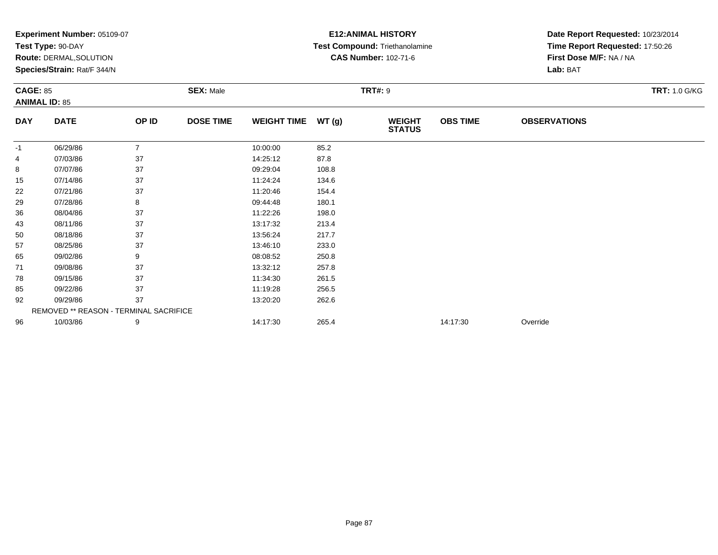|                 | Experiment Number: 05109-07            |                |                  |                    |                | <b>E12: ANIMAL HISTORY</b>            | Date Report Requested: 10/23/2014 |                                                            |                      |  |
|-----------------|----------------------------------------|----------------|------------------|--------------------|----------------|---------------------------------------|-----------------------------------|------------------------------------------------------------|----------------------|--|
|                 | Test Type: 90-DAY                      |                |                  |                    |                | <b>Test Compound: Triethanolamine</b> |                                   | Time Report Requested: 17:50:26<br>First Dose M/F: NA / NA |                      |  |
|                 | Route: DERMAL, SOLUTION                |                |                  |                    |                | <b>CAS Number: 102-71-6</b>           |                                   |                                                            |                      |  |
|                 | Species/Strain: Rat/F 344/N            |                |                  |                    |                |                                       |                                   | Lab: BAT                                                   |                      |  |
| <b>CAGE: 85</b> |                                        |                | <b>SEX: Male</b> |                    | <b>TRT#: 9</b> |                                       |                                   |                                                            | <b>TRT: 1.0 G/KG</b> |  |
|                 | <b>ANIMAL ID: 85</b>                   |                |                  |                    |                |                                       |                                   |                                                            |                      |  |
| <b>DAY</b>      | <b>DATE</b>                            | OP ID          | <b>DOSE TIME</b> | <b>WEIGHT TIME</b> | WT(g)          | <b>WEIGHT</b><br><b>STATUS</b>        | <b>OBS TIME</b>                   | <b>OBSERVATIONS</b>                                        |                      |  |
| -1              | 06/29/86                               | $\overline{7}$ |                  | 10:00:00           | 85.2           |                                       |                                   |                                                            |                      |  |
| 4               | 07/03/86                               | 37             |                  | 14:25:12           | 87.8           |                                       |                                   |                                                            |                      |  |
| 8               | 07/07/86                               | 37             |                  | 09:29:04           | 108.8          |                                       |                                   |                                                            |                      |  |
| 15              | 07/14/86                               | 37             |                  | 11:24:24           | 134.6          |                                       |                                   |                                                            |                      |  |
| 22              | 07/21/86                               | 37             |                  | 11:20:46           | 154.4          |                                       |                                   |                                                            |                      |  |
| 29              | 07/28/86                               | 8              |                  | 09:44:48           | 180.1          |                                       |                                   |                                                            |                      |  |
| 36              | 08/04/86                               | 37             |                  | 11:22:26           | 198.0          |                                       |                                   |                                                            |                      |  |
| 43              | 08/11/86                               | 37             |                  | 13:17:32           | 213.4          |                                       |                                   |                                                            |                      |  |
| 50              | 08/18/86                               | 37             |                  | 13:56:24           | 217.7          |                                       |                                   |                                                            |                      |  |
| 57              | 08/25/86                               | 37             |                  | 13:46:10           | 233.0          |                                       |                                   |                                                            |                      |  |
| 65              | 09/02/86                               | 9              |                  | 08:08:52           | 250.8          |                                       |                                   |                                                            |                      |  |
| 71              | 09/08/86                               | 37             |                  | 13:32:12           | 257.8          |                                       |                                   |                                                            |                      |  |
| 78              | 09/15/86                               | 37             |                  | 11:34:30           | 261.5          |                                       |                                   |                                                            |                      |  |
| 85              | 09/22/86                               | 37             |                  | 11:19:28           | 256.5          |                                       |                                   |                                                            |                      |  |
| 92              | 09/29/86                               | 37             |                  | 13:20:20           | 262.6          |                                       |                                   |                                                            |                      |  |
|                 | REMOVED ** REASON - TERMINAL SACRIFICE |                |                  |                    |                |                                       |                                   |                                                            |                      |  |
| 96              | 10/03/86                               | 9              |                  | 14:17:30           | 265.4          |                                       | 14:17:30                          | Override                                                   |                      |  |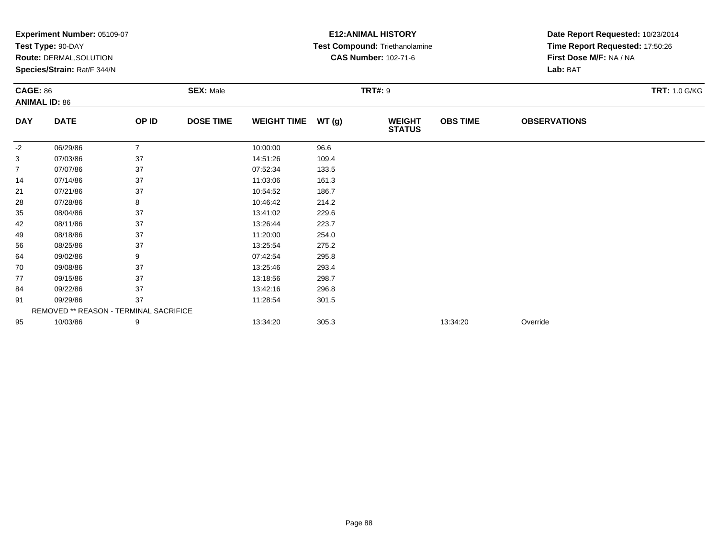|                | Experiment Number: 05109-07            |                |                  |                    |                | <b>E12: ANIMAL HISTORY</b>     | Date Report Requested: 10/23/2014 |                                                            |                      |  |
|----------------|----------------------------------------|----------------|------------------|--------------------|----------------|--------------------------------|-----------------------------------|------------------------------------------------------------|----------------------|--|
|                | Test Type: 90-DAY                      |                |                  |                    |                | Test Compound: Triethanolamine |                                   | Time Report Requested: 17:50:26<br>First Dose M/F: NA / NA |                      |  |
|                | Route: DERMAL, SOLUTION                |                |                  |                    |                | <b>CAS Number: 102-71-6</b>    |                                   |                                                            |                      |  |
|                | Species/Strain: Rat/F 344/N            |                |                  |                    |                |                                |                                   | Lab: BAT                                                   |                      |  |
|                | <b>CAGE: 86</b>                        |                | <b>SEX: Male</b> |                    | <b>TRT#: 9</b> |                                |                                   |                                                            | <b>TRT: 1.0 G/KG</b> |  |
|                | <b>ANIMAL ID: 86</b>                   |                |                  |                    |                |                                |                                   |                                                            |                      |  |
| <b>DAY</b>     | <b>DATE</b>                            | OP ID          | <b>DOSE TIME</b> | <b>WEIGHT TIME</b> | WT(g)          | <b>WEIGHT</b><br><b>STATUS</b> | <b>OBS TIME</b>                   | <b>OBSERVATIONS</b>                                        |                      |  |
| $-2$           | 06/29/86                               | $\overline{7}$ |                  | 10:00:00           | 96.6           |                                |                                   |                                                            |                      |  |
| 3              | 07/03/86                               | 37             |                  | 14:51:26           | 109.4          |                                |                                   |                                                            |                      |  |
| $\overline{7}$ | 07/07/86                               | 37             |                  | 07:52:34           | 133.5          |                                |                                   |                                                            |                      |  |
| 14             | 07/14/86                               | 37             |                  | 11:03:06           | 161.3          |                                |                                   |                                                            |                      |  |
| 21             | 07/21/86                               | 37             |                  | 10:54:52           | 186.7          |                                |                                   |                                                            |                      |  |
| 28             | 07/28/86                               | 8              |                  | 10:46:42           | 214.2          |                                |                                   |                                                            |                      |  |
| 35             | 08/04/86                               | 37             |                  | 13:41:02           | 229.6          |                                |                                   |                                                            |                      |  |
| 42             | 08/11/86                               | 37             |                  | 13:26:44           | 223.7          |                                |                                   |                                                            |                      |  |
| 49             | 08/18/86                               | 37             |                  | 11:20:00           | 254.0          |                                |                                   |                                                            |                      |  |
| 56             | 08/25/86                               | 37             |                  | 13:25:54           | 275.2          |                                |                                   |                                                            |                      |  |
| 64             | 09/02/86                               | 9              |                  | 07:42:54           | 295.8          |                                |                                   |                                                            |                      |  |
| 70             | 09/08/86                               | 37             |                  | 13:25:46           | 293.4          |                                |                                   |                                                            |                      |  |
| 77             | 09/15/86                               | 37             |                  | 13:18:56           | 298.7          |                                |                                   |                                                            |                      |  |
| 84             | 09/22/86                               | 37             |                  | 13:42:16           | 296.8          |                                |                                   |                                                            |                      |  |
| 91             | 09/29/86                               | 37             |                  | 11:28:54           | 301.5          |                                |                                   |                                                            |                      |  |
|                | REMOVED ** REASON - TERMINAL SACRIFICE |                |                  |                    |                |                                |                                   |                                                            |                      |  |
| 95             | 10/03/86                               | 9              |                  | 13:34:20           | 305.3          |                                | 13:34:20                          | Override                                                   |                      |  |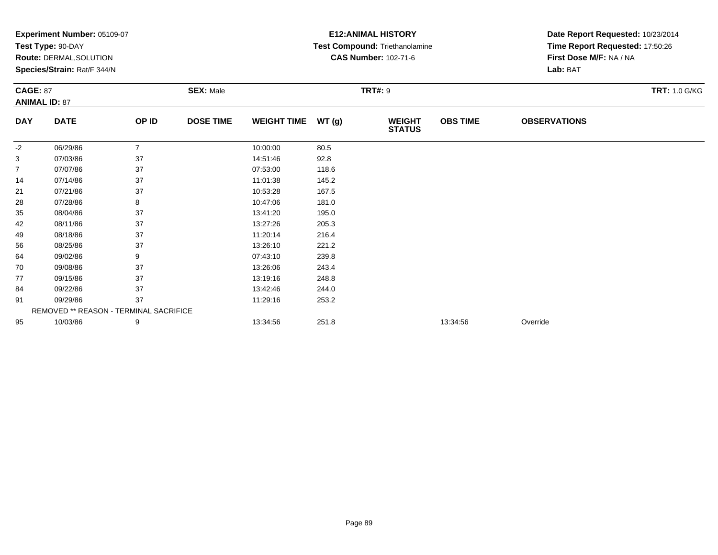|            | Experiment Number: 05109-07            |                |                  |                    |                | <b>E12: ANIMAL HISTORY</b>            | Date Report Requested: 10/23/2014 |                                 |                      |  |
|------------|----------------------------------------|----------------|------------------|--------------------|----------------|---------------------------------------|-----------------------------------|---------------------------------|----------------------|--|
|            | Test Type: 90-DAY                      |                |                  |                    |                | <b>Test Compound: Triethanolamine</b> |                                   | Time Report Requested: 17:50:26 |                      |  |
|            | Route: DERMAL, SOLUTION                |                |                  |                    |                | <b>CAS Number: 102-71-6</b>           |                                   | First Dose M/F: NA / NA         |                      |  |
|            | Species/Strain: Rat/F 344/N            |                |                  |                    |                |                                       |                                   | Lab: BAT                        |                      |  |
|            | <b>CAGE: 87</b>                        |                | <b>SEX: Male</b> |                    | <b>TRT#: 9</b> |                                       |                                   |                                 | <b>TRT: 1.0 G/KG</b> |  |
|            | <b>ANIMAL ID: 87</b>                   |                |                  |                    |                |                                       |                                   |                                 |                      |  |
| <b>DAY</b> | <b>DATE</b>                            | OP ID          | <b>DOSE TIME</b> | <b>WEIGHT TIME</b> | WT(g)          | <b>WEIGHT</b><br><b>STATUS</b>        | <b>OBS TIME</b>                   | <b>OBSERVATIONS</b>             |                      |  |
| -2         | 06/29/86                               | $\overline{7}$ |                  | 10:00:00           | 80.5           |                                       |                                   |                                 |                      |  |
| 3          | 07/03/86                               | 37             |                  | 14:51:46           | 92.8           |                                       |                                   |                                 |                      |  |
| 7          | 07/07/86                               | 37             |                  | 07:53:00           | 118.6          |                                       |                                   |                                 |                      |  |
| 14         | 07/14/86                               | 37             |                  | 11:01:38           | 145.2          |                                       |                                   |                                 |                      |  |
| 21         | 07/21/86                               | 37             |                  | 10:53:28           | 167.5          |                                       |                                   |                                 |                      |  |
| 28         | 07/28/86                               | 8              |                  | 10:47:06           | 181.0          |                                       |                                   |                                 |                      |  |
| 35         | 08/04/86                               | 37             |                  | 13:41:20           | 195.0          |                                       |                                   |                                 |                      |  |
| 42         | 08/11/86                               | 37             |                  | 13:27:26           | 205.3          |                                       |                                   |                                 |                      |  |
| 49         | 08/18/86                               | 37             |                  | 11:20:14           | 216.4          |                                       |                                   |                                 |                      |  |
| 56         | 08/25/86                               | 37             |                  | 13:26:10           | 221.2          |                                       |                                   |                                 |                      |  |
| 64         | 09/02/86                               | 9              |                  | 07:43:10           | 239.8          |                                       |                                   |                                 |                      |  |
| 70         | 09/08/86                               | 37             |                  | 13:26:06           | 243.4          |                                       |                                   |                                 |                      |  |
| 77         | 09/15/86                               | 37             |                  | 13:19:16           | 248.8          |                                       |                                   |                                 |                      |  |
| 84         | 09/22/86                               | 37             |                  | 13:42:46           | 244.0          |                                       |                                   |                                 |                      |  |
| 91         | 09/29/86                               | 37             |                  | 11:29:16           | 253.2          |                                       |                                   |                                 |                      |  |
|            | REMOVED ** REASON - TERMINAL SACRIFICE |                |                  |                    |                |                                       |                                   |                                 |                      |  |
| 95         | 10/03/86                               | 9              |                  | 13:34:56           | 251.8          |                                       | 13:34:56                          | Override                        |                      |  |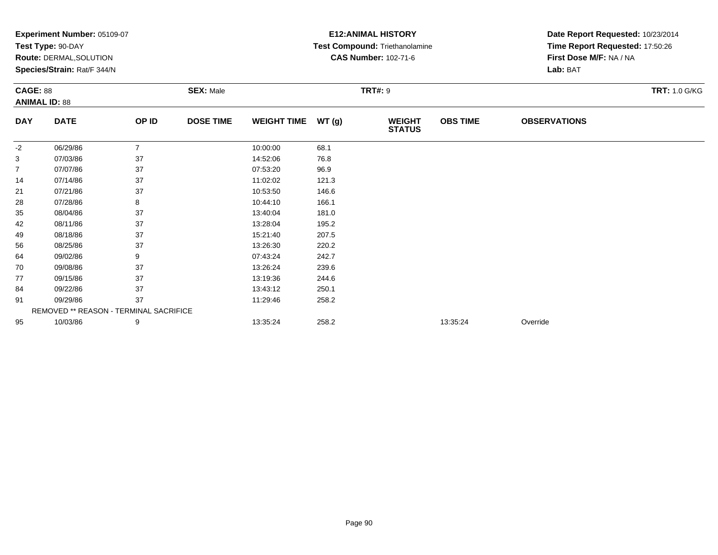| Experiment Number: 05109-07             |                                        |                  |                  |                    | <b>E12: ANIMAL HISTORY</b> | Date Report Requested: 10/23/2014 |                 |                                 |  |  |
|-----------------------------------------|----------------------------------------|------------------|------------------|--------------------|----------------------------|-----------------------------------|-----------------|---------------------------------|--|--|
|                                         | Test Type: 90-DAY                      |                  |                  |                    |                            | Test Compound: Triethanolamine    |                 | Time Report Requested: 17:50:26 |  |  |
|                                         | Route: DERMAL, SOLUTION                |                  |                  |                    |                            | <b>CAS Number: 102-71-6</b>       |                 | First Dose M/F: NA / NA         |  |  |
|                                         | Species/Strain: Rat/F 344/N            |                  |                  |                    |                            |                                   |                 | Lab: BAT                        |  |  |
| <b>CAGE: 88</b><br><b>ANIMAL ID: 88</b> |                                        | <b>SEX: Male</b> |                  | <b>TRT#: 9</b>     |                            |                                   |                 | <b>TRT: 1.0 G/KG</b>            |  |  |
|                                         |                                        |                  |                  |                    |                            |                                   |                 |                                 |  |  |
| <b>DAY</b>                              | <b>DATE</b>                            | OP ID            | <b>DOSE TIME</b> | <b>WEIGHT TIME</b> | WT(g)                      | <b>WEIGHT</b><br><b>STATUS</b>    | <b>OBS TIME</b> | <b>OBSERVATIONS</b>             |  |  |
| $-2$                                    | 06/29/86                               | $\overline{7}$   |                  | 10:00:00           | 68.1                       |                                   |                 |                                 |  |  |
| 3                                       | 07/03/86                               | 37               |                  | 14:52:06           | 76.8                       |                                   |                 |                                 |  |  |
| $\overline{7}$                          | 07/07/86                               | 37               |                  | 07:53:20           | 96.9                       |                                   |                 |                                 |  |  |
| 14                                      | 07/14/86                               | 37               |                  | 11:02:02           | 121.3                      |                                   |                 |                                 |  |  |
| 21                                      | 07/21/86                               | 37               |                  | 10:53:50           | 146.6                      |                                   |                 |                                 |  |  |
| 28                                      | 07/28/86                               | 8                |                  | 10:44:10           | 166.1                      |                                   |                 |                                 |  |  |
| 35                                      | 08/04/86                               | 37               |                  | 13:40:04           | 181.0                      |                                   |                 |                                 |  |  |
| 42                                      | 08/11/86                               | 37               |                  | 13:28:04           | 195.2                      |                                   |                 |                                 |  |  |
| 49                                      | 08/18/86                               | 37               |                  | 15:21:40           | 207.5                      |                                   |                 |                                 |  |  |
| 56                                      | 08/25/86                               | 37               |                  | 13:26:30           | 220.2                      |                                   |                 |                                 |  |  |
| 64                                      | 09/02/86                               | 9                |                  | 07:43:24           | 242.7                      |                                   |                 |                                 |  |  |
| 70                                      | 09/08/86                               | 37               |                  | 13:26:24           | 239.6                      |                                   |                 |                                 |  |  |
| 77                                      | 09/15/86                               | 37               |                  | 13:19:36           | 244.6                      |                                   |                 |                                 |  |  |
| 84                                      | 09/22/86                               | 37               |                  | 13:43:12           | 250.1                      |                                   |                 |                                 |  |  |
| 91                                      | 09/29/86                               | 37               |                  | 11:29:46           | 258.2                      |                                   |                 |                                 |  |  |
|                                         | REMOVED ** REASON - TERMINAL SACRIFICE |                  |                  |                    |                            |                                   |                 |                                 |  |  |
| 95                                      | 10/03/86                               | 9                |                  | 13:35:24           | 258.2                      |                                   | 13:35:24        | Override                        |  |  |
|                                         |                                        |                  |                  |                    |                            |                                   |                 |                                 |  |  |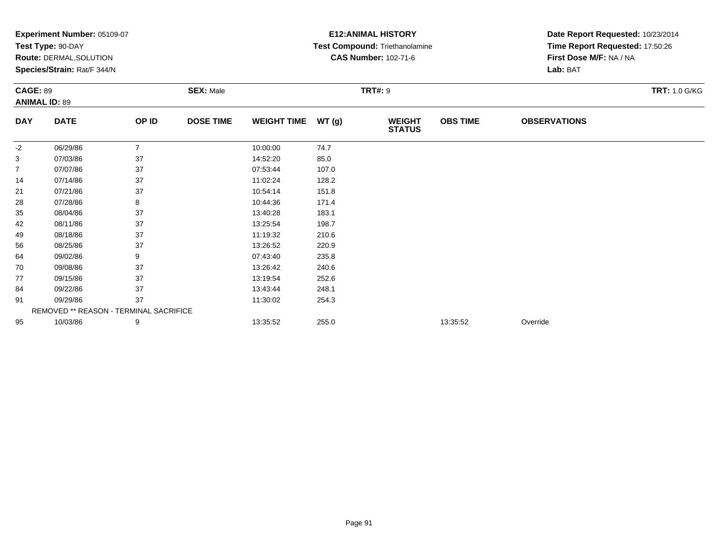|            | Experiment Number: 05109-07            |                |                  |                    |                | <b>E12: ANIMAL HISTORY</b>     | Date Report Requested: 10/23/2014 |                         |                      |  |
|------------|----------------------------------------|----------------|------------------|--------------------|----------------|--------------------------------|-----------------------------------|-------------------------|----------------------|--|
|            | Test Type: 90-DAY                      |                |                  |                    |                | Test Compound: Triethanolamine | Time Report Requested: 17:50:26   |                         |                      |  |
|            | Route: DERMAL, SOLUTION                |                |                  |                    |                | <b>CAS Number: 102-71-6</b>    |                                   | First Dose M/F: NA / NA |                      |  |
|            | Species/Strain: Rat/F 344/N            |                |                  |                    |                |                                |                                   | Lab: BAT                |                      |  |
|            | <b>CAGE: 89</b>                        |                | <b>SEX: Male</b> |                    | <b>TRT#: 9</b> |                                |                                   |                         | <b>TRT: 1.0 G/KG</b> |  |
|            | <b>ANIMAL ID: 89</b>                   |                |                  |                    |                |                                |                                   |                         |                      |  |
| <b>DAY</b> | <b>DATE</b>                            | OP ID          | <b>DOSE TIME</b> | <b>WEIGHT TIME</b> | WT(g)          | <b>WEIGHT</b><br><b>STATUS</b> | <b>OBS TIME</b>                   | <b>OBSERVATIONS</b>     |                      |  |
| -2         | 06/29/86                               | $\overline{7}$ |                  | 10:00:00           | 74.7           |                                |                                   |                         |                      |  |
| 3          | 07/03/86                               | 37             |                  | 14:52:20           | 85.0           |                                |                                   |                         |                      |  |
| 7          | 07/07/86                               | 37             |                  | 07:53:44           | 107.0          |                                |                                   |                         |                      |  |
| 14         | 07/14/86                               | 37             |                  | 11:02:24           | 128.2          |                                |                                   |                         |                      |  |
| 21         | 07/21/86                               | 37             |                  | 10:54:14           | 151.8          |                                |                                   |                         |                      |  |
| 28         | 07/28/86                               | 8              |                  | 10:44:36           | 171.4          |                                |                                   |                         |                      |  |
| 35         | 08/04/86                               | 37             |                  | 13:40:28           | 183.1          |                                |                                   |                         |                      |  |
| 42         | 08/11/86                               | 37             |                  | 13:25:54           | 198.7          |                                |                                   |                         |                      |  |
| 49         | 08/18/86                               | 37             |                  | 11:19:32           | 210.6          |                                |                                   |                         |                      |  |
| 56         | 08/25/86                               | 37             |                  | 13:26:52           | 220.9          |                                |                                   |                         |                      |  |
| 64         | 09/02/86                               | 9              |                  | 07:43:40           | 235.8          |                                |                                   |                         |                      |  |
| 70         | 09/08/86                               | 37             |                  | 13:26:42           | 240.6          |                                |                                   |                         |                      |  |
| 77         | 09/15/86                               | 37             |                  | 13:19:54           | 252.6          |                                |                                   |                         |                      |  |
| 84         | 09/22/86                               | 37             |                  | 13:43:44           | 248.1          |                                |                                   |                         |                      |  |
| 91         | 09/29/86                               | 37             |                  | 11:30:02           | 254.3          |                                |                                   |                         |                      |  |
|            | REMOVED ** REASON - TERMINAL SACRIFICE |                |                  |                    |                |                                |                                   |                         |                      |  |
| 95         | 10/03/86                               | 9              |                  | 13:35:52           | 255.0          |                                | 13:35:52                          | Override                |                      |  |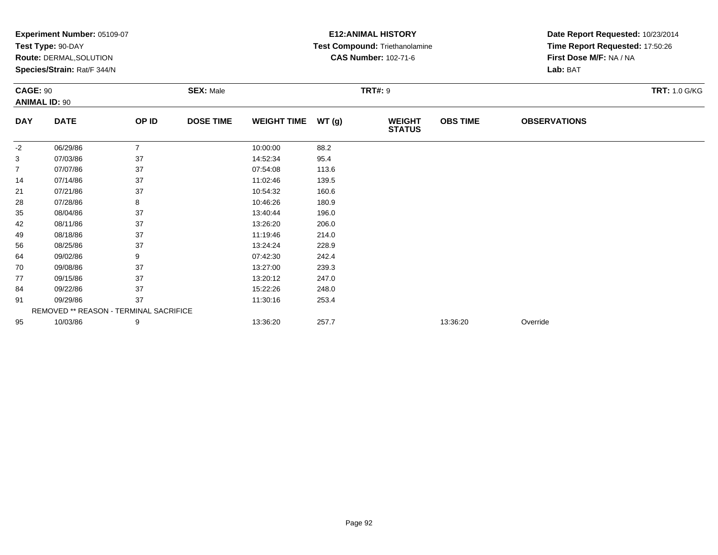|                 | Experiment Number: 05109-07            |                |                  |                    |                | <b>E12: ANIMAL HISTORY</b>            | Date Report Requested: 10/23/2014 |                                 |                      |  |
|-----------------|----------------------------------------|----------------|------------------|--------------------|----------------|---------------------------------------|-----------------------------------|---------------------------------|----------------------|--|
|                 | Test Type: 90-DAY                      |                |                  |                    |                | <b>Test Compound: Triethanolamine</b> |                                   | Time Report Requested: 17:50:26 |                      |  |
|                 | Route: DERMAL, SOLUTION                |                |                  |                    |                | <b>CAS Number: 102-71-6</b>           |                                   | First Dose M/F: NA / NA         |                      |  |
|                 | Species/Strain: Rat/F 344/N            |                |                  |                    |                |                                       |                                   | Lab: BAT                        |                      |  |
| <b>CAGE: 90</b> |                                        |                | <b>SEX: Male</b> |                    | <b>TRT#: 9</b> |                                       |                                   |                                 | <b>TRT: 1.0 G/KG</b> |  |
|                 | <b>ANIMAL ID: 90</b>                   |                |                  |                    |                |                                       |                                   |                                 |                      |  |
| <b>DAY</b>      | <b>DATE</b>                            | OP ID          | <b>DOSE TIME</b> | <b>WEIGHT TIME</b> | WT(g)          | <b>WEIGHT</b><br><b>STATUS</b>        | <b>OBS TIME</b>                   | <b>OBSERVATIONS</b>             |                      |  |
| -2              | 06/29/86                               | $\overline{7}$ |                  | 10:00:00           | 88.2           |                                       |                                   |                                 |                      |  |
| 3               | 07/03/86                               | 37             |                  | 14:52:34           | 95.4           |                                       |                                   |                                 |                      |  |
| 7               | 07/07/86                               | 37             |                  | 07:54:08           | 113.6          |                                       |                                   |                                 |                      |  |
| 14              | 07/14/86                               | 37             |                  | 11:02:46           | 139.5          |                                       |                                   |                                 |                      |  |
| 21              | 07/21/86                               | 37             |                  | 10:54:32           | 160.6          |                                       |                                   |                                 |                      |  |
| 28              | 07/28/86                               | 8              |                  | 10:46:26           | 180.9          |                                       |                                   |                                 |                      |  |
| 35              | 08/04/86                               | 37             |                  | 13:40:44           | 196.0          |                                       |                                   |                                 |                      |  |
| 42              | 08/11/86                               | 37             |                  | 13:26:20           | 206.0          |                                       |                                   |                                 |                      |  |
| 49              | 08/18/86                               | 37             |                  | 11:19:46           | 214.0          |                                       |                                   |                                 |                      |  |
| 56              | 08/25/86                               | 37             |                  | 13:24:24           | 228.9          |                                       |                                   |                                 |                      |  |
| 64              | 09/02/86                               | 9              |                  | 07:42:30           | 242.4          |                                       |                                   |                                 |                      |  |
| 70              | 09/08/86                               | 37             |                  | 13:27:00           | 239.3          |                                       |                                   |                                 |                      |  |
| 77              | 09/15/86                               | 37             |                  | 13:20:12           | 247.0          |                                       |                                   |                                 |                      |  |
| 84              | 09/22/86                               | 37             |                  | 15:22:26           | 248.0          |                                       |                                   |                                 |                      |  |
| 91              | 09/29/86                               | 37             |                  | 11:30:16           | 253.4          |                                       |                                   |                                 |                      |  |
|                 | REMOVED ** REASON - TERMINAL SACRIFICE |                |                  |                    |                |                                       |                                   |                                 |                      |  |
| 95              | 10/03/86                               | 9              |                  | 13:36:20           | 257.7          |                                       | 13:36:20                          | Override                        |                      |  |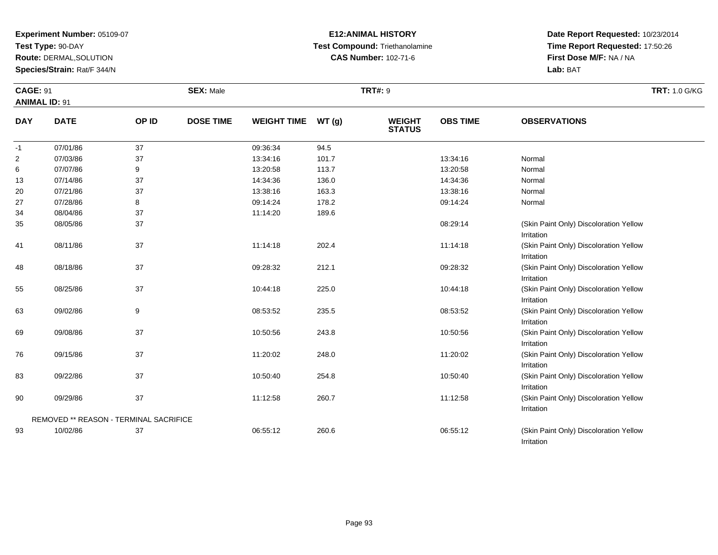**Test Type:** 90-DAY

**Route:** DERMAL,SOLUTION

**Species/Strain:** Rat/F 344/N

### **E12:ANIMAL HISTORY Test Compound:** Triethanolamine**CAS Number:** 102-71-6

**Date Report Requested:** 10/23/2014**Time Report Requested:** 17:50:26**First Dose M/F:** NA / NA**Lab:** BAT

Irritation

| <b>CAGE: 91</b>      |                                        |       | <b>SEX: Male</b> |                    |       | <b>TRT#: 9</b>                 |                 | <b>TRT: 1.0 G/KG</b>                                 |  |
|----------------------|----------------------------------------|-------|------------------|--------------------|-------|--------------------------------|-----------------|------------------------------------------------------|--|
| <b>ANIMAL ID: 91</b> |                                        |       |                  |                    |       |                                |                 |                                                      |  |
| <b>DAY</b>           | <b>DATE</b>                            | OP ID | <b>DOSE TIME</b> | <b>WEIGHT TIME</b> | WT(g) | <b>WEIGHT</b><br><b>STATUS</b> | <b>OBS TIME</b> | <b>OBSERVATIONS</b>                                  |  |
| -1                   | 07/01/86                               | 37    |                  | 09:36:34           | 94.5  |                                |                 |                                                      |  |
| 2                    | 07/03/86                               | 37    |                  | 13:34:16           | 101.7 |                                | 13:34:16        | Normal                                               |  |
| 6                    | 07/07/86                               | 9     |                  | 13:20:58           | 113.7 |                                | 13:20:58        | Normal                                               |  |
| 13                   | 07/14/86                               | 37    |                  | 14:34:36           | 136.0 |                                | 14:34:36        | Normal                                               |  |
| 20                   | 07/21/86                               | 37    |                  | 13:38:16           | 163.3 |                                | 13:38:16        | Normal                                               |  |
| 27                   | 07/28/86                               | 8     |                  | 09:14:24           | 178.2 |                                | 09:14:24        | Normal                                               |  |
| 34                   | 08/04/86                               | 37    |                  | 11:14:20           | 189.6 |                                |                 |                                                      |  |
| 35                   | 08/05/86                               | 37    |                  |                    |       |                                | 08:29:14        | (Skin Paint Only) Discoloration Yellow<br>Irritation |  |
| 41                   | 08/11/86                               | 37    |                  | 11:14:18           | 202.4 |                                | 11:14:18        | (Skin Paint Only) Discoloration Yellow<br>Irritation |  |
| 48                   | 08/18/86                               | 37    |                  | 09:28:32           | 212.1 |                                | 09:28:32        | (Skin Paint Only) Discoloration Yellow<br>Irritation |  |
| 55                   | 08/25/86                               | 37    |                  | 10:44:18           | 225.0 |                                | 10:44:18        | (Skin Paint Only) Discoloration Yellow<br>Irritation |  |
| 63                   | 09/02/86                               | 9     |                  | 08:53:52           | 235.5 |                                | 08:53:52        | (Skin Paint Only) Discoloration Yellow<br>Irritation |  |
| 69                   | 09/08/86                               | 37    |                  | 10:50:56           | 243.8 |                                | 10:50:56        | (Skin Paint Only) Discoloration Yellow<br>Irritation |  |
| 76                   | 09/15/86                               | 37    |                  | 11:20:02           | 248.0 |                                | 11:20:02        | (Skin Paint Only) Discoloration Yellow<br>Irritation |  |
| 83                   | 09/22/86                               | 37    |                  | 10:50:40           | 254.8 |                                | 10:50:40        | (Skin Paint Only) Discoloration Yellow<br>Irritation |  |
| 90                   | 09/29/86                               | 37    |                  | 11:12:58           | 260.7 |                                | 11:12:58        | (Skin Paint Only) Discoloration Yellow<br>Irritation |  |
|                      | REMOVED ** REASON - TERMINAL SACRIFICE |       |                  |                    |       |                                |                 |                                                      |  |
| 93                   | 10/02/86                               | 37    |                  | 06:55:12           | 260.6 |                                | 06:55:12        | (Skin Paint Only) Discoloration Yellow               |  |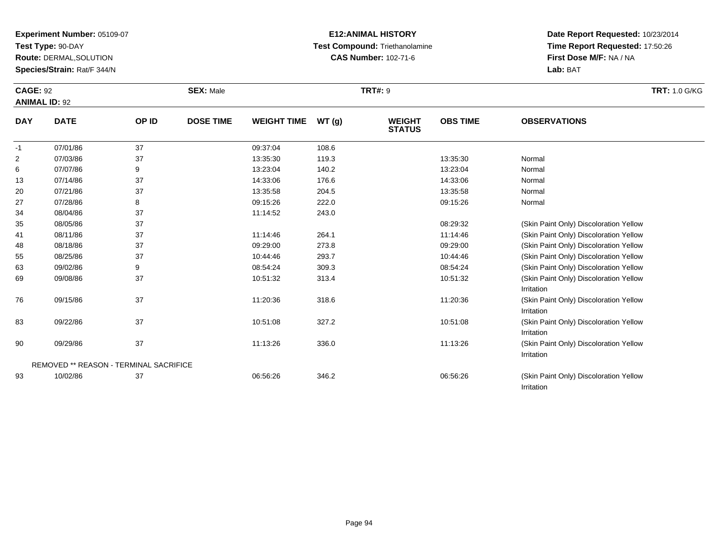**Test Type:** 90-DAY

**Route:** DERMAL,SOLUTION

**Species/Strain:** Rat/F 344/N

## **E12:ANIMAL HISTORY Test Compound:** Triethanolamine**CAS Number:** 102-71-6

**Date Report Requested:** 10/23/2014 **Time Report Requested:** 17:50:26**First Dose M/F:** NA / NA**Lab:** BAT

Irritation

| <b>CAGE: 92</b><br><b>ANIMAL ID: 92</b> |             |       | <b>SEX: Male</b> |                    |       | <b>TRT#: 9</b>                 | <b>TRT:</b> 1.0 G/KG |                     |  |
|-----------------------------------------|-------------|-------|------------------|--------------------|-------|--------------------------------|----------------------|---------------------|--|
| <b>DAY</b>                              | <b>DATE</b> | OP ID | <b>DOSE TIME</b> | <b>WEIGHT TIME</b> | WT(g) | <b>WEIGHT</b><br><b>STATUS</b> | <b>OBS TIME</b>      | <b>OBSERVATIONS</b> |  |
| $-1$                                    | 07/01/86    | 37    |                  | 09:37:04           | 108.6 |                                |                      |                     |  |
| 2                                       | 07/03/86    | 37    |                  | 13:35:30           | 119.3 |                                | 13:35:30             | Normal              |  |
| 6                                       | 07/07/86    | 9     |                  | 13:23:04           | 140.2 |                                | 13:23:04             | Normal              |  |
| 13                                      | 07/14/86    | 37    |                  | 14:33:06           | 176.6 |                                | 14:33:06             | Normal              |  |
| 20                                      | 07/21/86    | 37    |                  | 13:35:58           | 204.5 |                                | 13:35:58             | Normal              |  |
| 27                                      | 07/28/86    | 8     |                  | 09:15:26           | 222.0 |                                | 09:15:26             | Normal              |  |

| 27 | 07/28/86                                      | ၓ  | 09:15:26 | 222.0 | 09.15.26 | Normal                                 |
|----|-----------------------------------------------|----|----------|-------|----------|----------------------------------------|
| 34 | 08/04/86                                      | 37 | 11:14:52 | 243.0 |          |                                        |
| 35 | 08/05/86                                      | 37 |          |       | 08:29:32 | (Skin Paint Only) Discoloration Yellow |
| 41 | 08/11/86                                      | 37 | 11:14:46 | 264.1 | 11:14:46 | (Skin Paint Only) Discoloration Yellow |
| 48 | 08/18/86                                      | 37 | 09:29:00 | 273.8 | 09:29:00 | (Skin Paint Only) Discoloration Yellow |
| 55 | 08/25/86                                      | 37 | 10:44:46 | 293.7 | 10:44:46 | (Skin Paint Only) Discoloration Yellow |
| 63 | 09/02/86                                      | 9  | 08:54:24 | 309.3 | 08:54:24 | (Skin Paint Only) Discoloration Yellow |
| 69 | 09/08/86                                      | 37 | 10:51:32 | 313.4 | 10:51:32 | (Skin Paint Only) Discoloration Yellow |
|    |                                               |    |          |       |          | Irritation                             |
| 76 | 09/15/86                                      | 37 | 11:20:36 | 318.6 | 11:20:36 | (Skin Paint Only) Discoloration Yellow |
|    |                                               |    |          |       |          | Irritation                             |
| 83 | 09/22/86                                      | 37 | 10:51:08 | 327.2 | 10:51:08 | (Skin Paint Only) Discoloration Yellow |
|    |                                               |    |          |       |          | Irritation                             |
| 90 | 09/29/86                                      | 37 | 11:13:26 | 336.0 | 11:13:26 | (Skin Paint Only) Discoloration Yellow |
|    |                                               |    |          |       |          | Irritation                             |
|    | <b>REMOVED ** REASON - TERMINAL SACRIFICE</b> |    |          |       |          |                                        |
| 93 | 10/02/86                                      | 37 | 06:56:26 | 346.2 | 06:56:26 | (Skin Paint Only) Discoloration Yellow |
|    |                                               |    |          |       |          |                                        |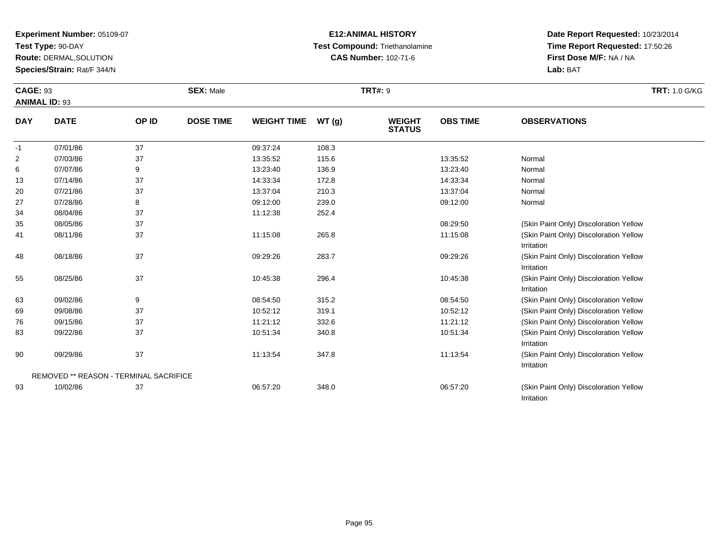**Test Type:** 90-DAY

83

90

93

REMOVED \*\* REASON - TERMINAL SACRIFICE

**Route:** DERMAL,SOLUTION

**Species/Strain:** Rat/F 344/N

### **E12:ANIMAL HISTORY Test Compound:** Triethanolamine**CAS Number:** 102-71-6

**Date Report Requested:** 10/23/2014**Time Report Requested:** 17:50:26**First Dose M/F:** NA / NA**Lab:** BAT

Irritation

Irritation

Irritation

| <b>CAGE: 93</b><br><b>ANIMAL ID: 93</b> |             |       | <b>SEX: Male</b> |                    |       | <b>TRT#: 9</b>                 | <b>TRT: 1.0 G/KG</b> |                                                      |  |
|-----------------------------------------|-------------|-------|------------------|--------------------|-------|--------------------------------|----------------------|------------------------------------------------------|--|
| <b>DAY</b>                              | <b>DATE</b> | OP ID | <b>DOSE TIME</b> | <b>WEIGHT TIME</b> | WT(g) | <b>WEIGHT</b><br><b>STATUS</b> | <b>OBS TIME</b>      | <b>OBSERVATIONS</b>                                  |  |
| $-1$                                    | 07/01/86    | 37    |                  | 09:37:24           | 108.3 |                                |                      |                                                      |  |
| $\overline{2}$                          | 07/03/86    | 37    |                  | 13:35:52           | 115.6 |                                | 13:35:52             | Normal                                               |  |
| 6                                       | 07/07/86    | 9     |                  | 13:23:40           | 136.9 |                                | 13:23:40             | Normal                                               |  |
| 13                                      | 07/14/86    | 37    |                  | 14:33:34           | 172.8 |                                | 14:33:34             | Normal                                               |  |
| 20                                      | 07/21/86    | 37    |                  | 13:37:04           | 210.3 |                                | 13:37:04             | Normal                                               |  |
| 27                                      | 07/28/86    | 8     |                  | 09:12:00           | 239.0 |                                | 09:12:00             | Normal                                               |  |
| 34                                      | 08/04/86    | 37    |                  | 11:12:38           | 252.4 |                                |                      |                                                      |  |
| 35                                      | 08/05/86    | 37    |                  |                    |       |                                | 08:29:50             | (Skin Paint Only) Discoloration Yellow               |  |
| 41                                      | 08/11/86    | 37    |                  | 11:15:08           | 265.8 |                                | 11:15:08             | (Skin Paint Only) Discoloration Yellow<br>Irritation |  |
| 48                                      | 08/18/86    | 37    |                  | 09:29:26           | 283.7 |                                | 09:29:26             | (Skin Paint Only) Discoloration Yellow<br>Irritation |  |
| 55                                      | 08/25/86    | 37    |                  | 10:45:38           | 296.4 |                                | 10:45:38             | (Skin Paint Only) Discoloration Yellow<br>Irritation |  |
| 63                                      | 09/02/86    | 9     |                  | 08:54:50           | 315.2 |                                | 08:54:50             | (Skin Paint Only) Discoloration Yellow               |  |
| 69                                      | 09/08/86    | 37    |                  | 10:52:12           | 319.1 |                                | 10:52:12             | (Skin Paint Only) Discoloration Yellow               |  |
| 76                                      | 09/15/86    | 37    |                  | 11:21:12           | 332.6 |                                | 11:21:12             | (Skin Paint Only) Discoloration Yellow               |  |

09/15/86 <sup>37</sup> 11:21:12 332.6 11:21:12 (Skin Paint Only) Discoloration Yellow

09/22/86 <sup>37</sup> 10:51:34 340.8 10:51:34 (Skin Paint Only) Discoloration Yellow

09/29/86 37 37 11:13:54 347.8 11:13:54 347.8 11:13:54 Stkin Paint Only) Discoloration Yellow

10/02/86 <sup>37</sup> 06:57:20 348.0 06:57:20 (Skin Paint Only) Discoloration Yellow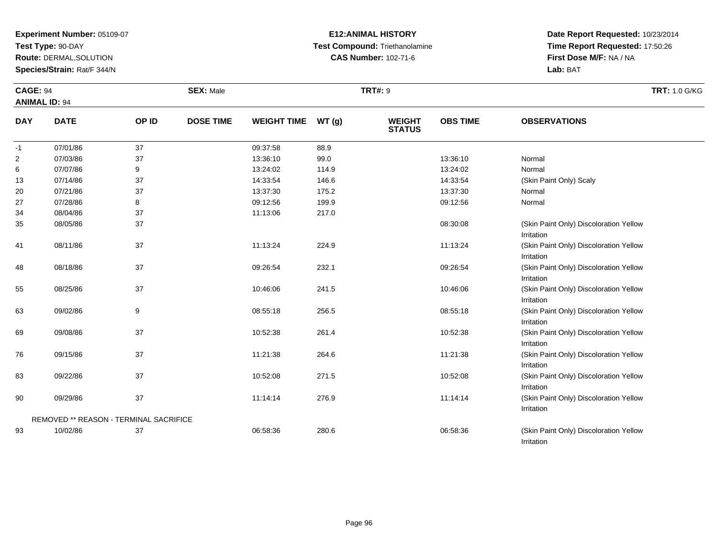**Test Type:** 90-DAY

**Route:** DERMAL,SOLUTION

**Species/Strain:** Rat/F 344/N

## **E12:ANIMAL HISTORY Test Compound:** Triethanolamine**CAS Number:** 102-71-6

**Date Report Requested:** 10/23/2014 **Time Report Requested:** 17:50:26**First Dose M/F:** NA / NA**Lab:** BAT

Irritation

| <b>CAGE: 94</b> |                                        |       | <b>SEX: Male</b> |                    |       | <b>TRT#: 9</b>                 |                 | <b>TRT: 1.0 G/KG</b>                                 |
|-----------------|----------------------------------------|-------|------------------|--------------------|-------|--------------------------------|-----------------|------------------------------------------------------|
|                 | <b>ANIMAL ID: 94</b>                   |       |                  |                    |       |                                |                 |                                                      |
| <b>DAY</b>      | <b>DATE</b>                            | OP ID | <b>DOSE TIME</b> | <b>WEIGHT TIME</b> | WT(g) | <b>WEIGHT</b><br><b>STATUS</b> | <b>OBS TIME</b> | <b>OBSERVATIONS</b>                                  |
| $-1$            | 07/01/86                               | 37    |                  | 09:37:58           | 88.9  |                                |                 |                                                      |
| $\overline{2}$  | 07/03/86                               | 37    |                  | 13:36:10           | 99.0  |                                | 13:36:10        | Normal                                               |
| 6               | 07/07/86                               | 9     |                  | 13:24:02           | 114.9 |                                | 13:24:02        | Normal                                               |
| 13              | 07/14/86                               | 37    |                  | 14:33:54           | 146.6 |                                | 14:33:54        | (Skin Paint Only) Scaly                              |
| 20              | 07/21/86                               | 37    |                  | 13:37:30           | 175.2 |                                | 13:37:30        | Normal                                               |
| 27              | 07/28/86                               | 8     |                  | 09:12:56           | 199.9 |                                | 09:12:56        | Normal                                               |
| 34              | 08/04/86                               | 37    |                  | 11:13:06           | 217.0 |                                |                 |                                                      |
| 35              | 08/05/86                               | 37    |                  |                    |       |                                | 08:30:08        | (Skin Paint Only) Discoloration Yellow<br>Irritation |
| 41              | 08/11/86                               | 37    |                  | 11:13:24           | 224.9 |                                | 11:13:24        | (Skin Paint Only) Discoloration Yellow<br>Irritation |
| 48              | 08/18/86                               | 37    |                  | 09:26:54           | 232.1 |                                | 09:26:54        | (Skin Paint Only) Discoloration Yellow<br>Irritation |
| 55              | 08/25/86                               | 37    |                  | 10:46:06           | 241.5 |                                | 10:46:06        | (Skin Paint Only) Discoloration Yellow<br>Irritation |
| 63              | 09/02/86                               | 9     |                  | 08:55:18           | 256.5 |                                | 08:55:18        | (Skin Paint Only) Discoloration Yellow<br>Irritation |
| 69              | 09/08/86                               | 37    |                  | 10:52:38           | 261.4 |                                | 10:52:38        | (Skin Paint Only) Discoloration Yellow<br>Irritation |
| 76              | 09/15/86                               | 37    |                  | 11:21:38           | 264.6 |                                | 11:21:38        | (Skin Paint Only) Discoloration Yellow<br>Irritation |
| 83              | 09/22/86                               | 37    |                  | 10:52:08           | 271.5 |                                | 10:52:08        | (Skin Paint Only) Discoloration Yellow<br>Irritation |
| 90              | 09/29/86                               | 37    |                  | 11:14:14           | 276.9 |                                | 11:14:14        | (Skin Paint Only) Discoloration Yellow<br>Irritation |
|                 | REMOVED ** REASON - TERMINAL SACRIFICE |       |                  |                    |       |                                |                 |                                                      |
| 93              | 10/02/86                               | 37    |                  | 06:58:36           | 280.6 |                                | 06:58:36        | (Skin Paint Only) Discoloration Yellow               |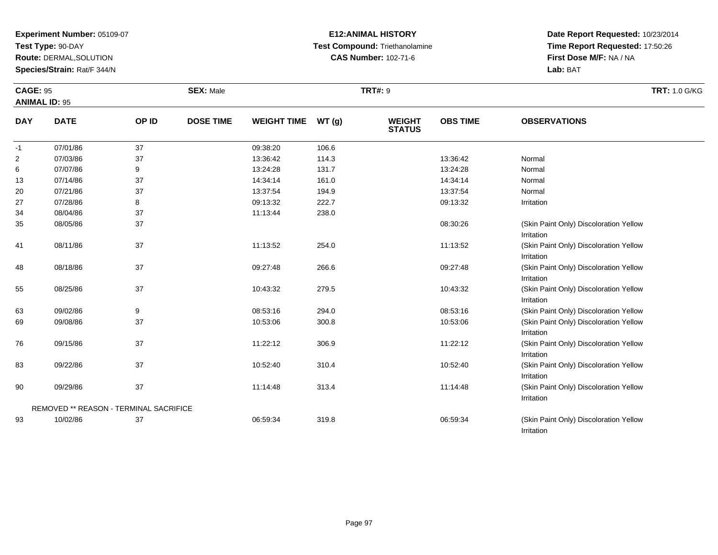**Test Type:** 90-DAY

93

**Route:** DERMAL,SOLUTION

**Species/Strain:** Rat/F 344/N

### **E12:ANIMAL HISTORY Test Compound:** Triethanolamine**CAS Number:** 102-71-6

**Date Report Requested:** 10/23/2014**Time Report Requested:** 17:50:26**First Dose M/F:** NA / NA**Lab:** BAT

Irritation

| <b>CAGE: 95</b><br><b>ANIMAL ID: 95</b> |                                               |       | <b>SEX: Male</b> |                    |       | <b>TRT#: 9</b>                 |                 | <b>TRT: 1.0 G/KG</b>                                 |
|-----------------------------------------|-----------------------------------------------|-------|------------------|--------------------|-------|--------------------------------|-----------------|------------------------------------------------------|
| <b>DAY</b>                              | <b>DATE</b>                                   | OP ID | <b>DOSE TIME</b> | <b>WEIGHT TIME</b> | WT(g) | <b>WEIGHT</b><br><b>STATUS</b> | <b>OBS TIME</b> | <b>OBSERVATIONS</b>                                  |
| $-1$                                    | 07/01/86                                      | 37    |                  | 09:38:20           | 106.6 |                                |                 |                                                      |
| $\overline{c}$                          | 07/03/86                                      | 37    |                  | 13:36:42           | 114.3 |                                | 13:36:42        | Normal                                               |
| 6                                       | 07/07/86                                      | 9     |                  | 13:24:28           | 131.7 |                                | 13:24:28        | Normal                                               |
| 13                                      | 07/14/86                                      | 37    |                  | 14:34:14           | 161.0 |                                | 14:34:14        | Normal                                               |
| 20                                      | 07/21/86                                      | 37    |                  | 13:37:54           | 194.9 |                                | 13:37:54        | Normal                                               |
| 27                                      | 07/28/86                                      | 8     |                  | 09:13:32           | 222.7 |                                | 09:13:32        | Irritation                                           |
| 34                                      | 08/04/86                                      | 37    |                  | 11:13:44           | 238.0 |                                |                 |                                                      |
| 35                                      | 08/05/86                                      | 37    |                  |                    |       |                                | 08:30:26        | (Skin Paint Only) Discoloration Yellow<br>Irritation |
| 41                                      | 08/11/86                                      | 37    |                  | 11:13:52           | 254.0 |                                | 11:13:52        | (Skin Paint Only) Discoloration Yellow<br>Irritation |
| 48                                      | 08/18/86                                      | 37    |                  | 09:27:48           | 266.6 |                                | 09:27:48        | (Skin Paint Only) Discoloration Yellow<br>Irritation |
| 55                                      | 08/25/86                                      | 37    |                  | 10:43:32           | 279.5 |                                | 10:43:32        | (Skin Paint Only) Discoloration Yellow<br>Irritation |
| 63                                      | 09/02/86                                      | 9     |                  | 08:53:16           | 294.0 |                                | 08:53:16        | (Skin Paint Only) Discoloration Yellow               |
| 69                                      | 09/08/86                                      | 37    |                  | 10:53:06           | 300.8 |                                | 10:53:06        | (Skin Paint Only) Discoloration Yellow<br>Irritation |
| 76                                      | 09/15/86                                      | 37    |                  | 11:22:12           | 306.9 |                                | 11:22:12        | (Skin Paint Only) Discoloration Yellow<br>Irritation |
| 83                                      | 09/22/86                                      | 37    |                  | 10:52:40           | 310.4 |                                | 10:52:40        | (Skin Paint Only) Discoloration Yellow<br>Irritation |
| 90                                      | 09/29/86                                      | 37    |                  | 11:14:48           | 313.4 |                                | 11:14:48        | (Skin Paint Only) Discoloration Yellow<br>Irritation |
|                                         | <b>REMOVED ** REASON - TERMINAL SACRIFICE</b> |       |                  |                    |       |                                |                 |                                                      |

10/02/86 <sup>37</sup> 06:59:34 319.8 06:59:34 (Skin Paint Only) Discoloration Yellow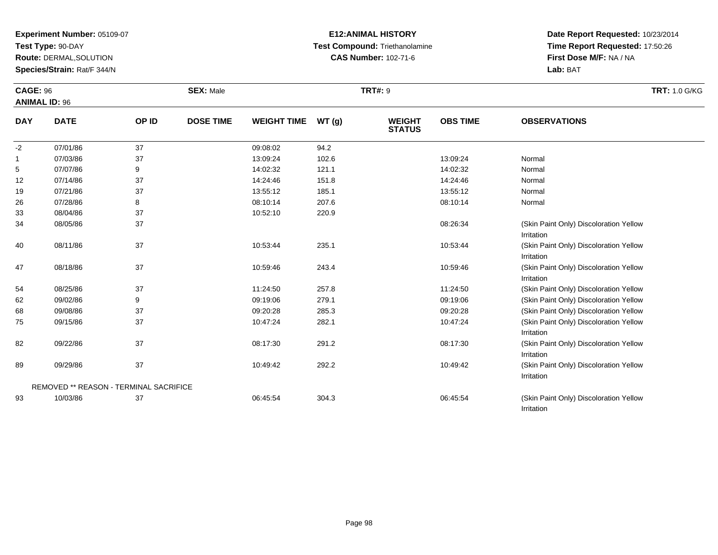**Test Type:** 90-DAY

**Route:** DERMAL,SOLUTION

**Species/Strain:** Rat/F 344/N

### **E12:ANIMAL HISTORY Test Compound:** Triethanolamine**CAS Number:** 102-71-6

**Date Report Requested:** 10/23/2014**Time Report Requested:** 17:50:26**First Dose M/F:** NA / NA**Lab:** BAT

|            | <b>CAGE: 96</b><br><b>ANIMAL ID: 96</b> |       | <b>SEX: Male</b> |                    |       | <b>TRT#: 9</b>                 | <b>TRT: 1.0 G/KG</b> |                                                      |  |
|------------|-----------------------------------------|-------|------------------|--------------------|-------|--------------------------------|----------------------|------------------------------------------------------|--|
| <b>DAY</b> | <b>DATE</b>                             | OP ID | <b>DOSE TIME</b> | <b>WEIGHT TIME</b> | WT(g) | <b>WEIGHT</b><br><b>STATUS</b> | <b>OBS TIME</b>      | <b>OBSERVATIONS</b>                                  |  |
| $-2$       | 07/01/86                                | 37    |                  | 09:08:02           | 94.2  |                                |                      |                                                      |  |
| 1          | 07/03/86                                | 37    |                  | 13:09:24           | 102.6 |                                | 13:09:24             | Normal                                               |  |
| 5          | 07/07/86                                | 9     |                  | 14:02:32           | 121.1 |                                | 14:02:32             | Normal                                               |  |
| 12         | 07/14/86                                | 37    |                  | 14:24:46           | 151.8 |                                | 14:24:46             | Normal                                               |  |
| 19         | 07/21/86                                | 37    |                  | 13:55:12           | 185.1 |                                | 13:55:12             | Normal                                               |  |
| 26         | 07/28/86                                | 8     |                  | 08:10:14           | 207.6 |                                | 08:10:14             | Normal                                               |  |
| 33         | 08/04/86                                | 37    |                  | 10:52:10           | 220.9 |                                |                      |                                                      |  |
| 34         | 08/05/86                                | 37    |                  |                    |       |                                | 08:26:34             | (Skin Paint Only) Discoloration Yellow               |  |
|            |                                         |       |                  |                    |       |                                |                      | Irritation                                           |  |
| 40         | 08/11/86                                | 37    |                  | 10:53:44           | 235.1 |                                | 10:53:44             | (Skin Paint Only) Discoloration Yellow               |  |
|            |                                         |       |                  |                    |       |                                |                      | Irritation                                           |  |
| 47         | 08/18/86                                | 37    |                  | 10:59:46           | 243.4 |                                | 10:59:46             | (Skin Paint Only) Discoloration Yellow               |  |
|            |                                         |       |                  |                    |       |                                |                      | Irritation                                           |  |
| 54         | 08/25/86                                | 37    |                  | 11:24:50           | 257.8 |                                | 11:24:50             | (Skin Paint Only) Discoloration Yellow               |  |
| 62         | 09/02/86                                | 9     |                  | 09:19:06           | 279.1 |                                | 09:19:06             | (Skin Paint Only) Discoloration Yellow               |  |
| 68         | 09/08/86                                | 37    |                  | 09:20:28           | 285.3 |                                | 09:20:28             | (Skin Paint Only) Discoloration Yellow               |  |
| 75         | 09/15/86                                | 37    |                  | 10:47:24           | 282.1 |                                | 10:47:24             | (Skin Paint Only) Discoloration Yellow               |  |
|            |                                         |       |                  |                    |       |                                |                      | Irritation                                           |  |
| 82         | 09/22/86                                | 37    |                  | 08:17:30           | 291.2 |                                | 08:17:30             | (Skin Paint Only) Discoloration Yellow<br>Irritation |  |
| 89         | 09/29/86                                | 37    |                  | 10:49:42           | 292.2 |                                | 10:49:42             | (Skin Paint Only) Discoloration Yellow               |  |

REMOVED \*\* REASON - TERMINAL SACRIFICE93

 10/03/86 <sup>37</sup> 06:45:54 304.3 06:45:54 (Skin Paint Only) Discoloration YellowIrritation

Irritation

09/29/86 <sup>37</sup> 10:49:42 292.2 10:49:42 (Skin Paint Only) Discoloration Yellow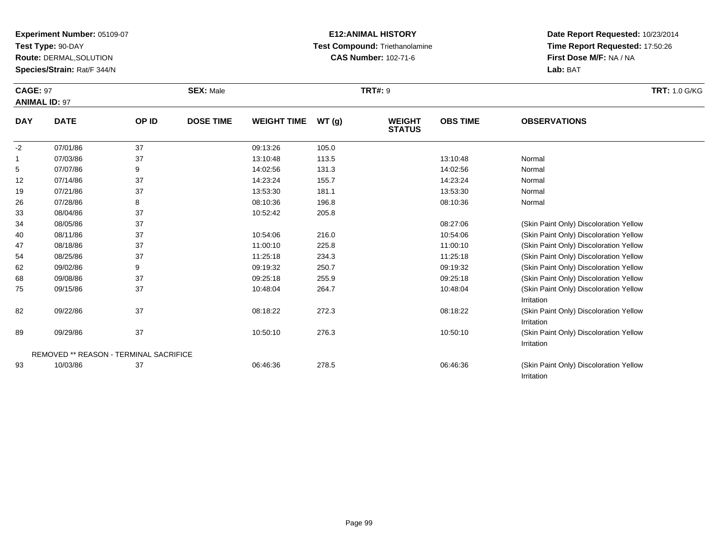**Test Type:** 90-DAY

**Route:** DERMAL,SOLUTION

**Species/Strain:** Rat/F 344/N

## **E12:ANIMAL HISTORY Test Compound:** Triethanolamine**CAS Number:** 102-71-6

| <b>CAGE: 97</b><br><b>ANIMAL ID: 97</b> |                      |          | <b>SEX: Male</b> |                      |                | <b>TRT#: 9</b>                 | <b>TRT:</b> 1.0 G/KG |                     |  |
|-----------------------------------------|----------------------|----------|------------------|----------------------|----------------|--------------------------------|----------------------|---------------------|--|
| <b>DAY</b>                              | <b>DATE</b>          | OP ID    | <b>DOSE TIME</b> | <b>WEIGHT TIME</b>   | WT(g)          | <b>WEIGHT</b><br><b>STATUS</b> | <b>OBS TIME</b>      | <b>OBSERVATIONS</b> |  |
| $-2$                                    | 07/01/86<br>07/03/86 | 37<br>37 |                  | 09:13:26<br>13:10:48 | 105.0<br>113.5 |                                | 13:10:48             | Normal              |  |

|    | 07/03/86 | 37                                            | 13:10:48 | 113.5 | 13:10:48 | Normal                                 |  |
|----|----------|-----------------------------------------------|----------|-------|----------|----------------------------------------|--|
| 5  | 07/07/86 | 9                                             | 14:02:56 | 131.3 | 14:02:56 | Normal                                 |  |
| 12 | 07/14/86 | 37                                            | 14:23:24 | 155.7 | 14:23:24 | Normal                                 |  |
| 19 | 07/21/86 | 37                                            | 13:53:30 | 181.1 | 13:53:30 | Normal                                 |  |
| 26 | 07/28/86 | 8                                             | 08:10:36 | 196.8 | 08:10:36 | Normal                                 |  |
| 33 | 08/04/86 | 37                                            | 10:52:42 | 205.8 |          |                                        |  |
| 34 | 08/05/86 | 37                                            |          |       | 08:27:06 | (Skin Paint Only) Discoloration Yellow |  |
| 40 | 08/11/86 | 37                                            | 10:54:06 | 216.0 | 10:54:06 | (Skin Paint Only) Discoloration Yellow |  |
| 47 | 08/18/86 | 37                                            | 11:00:10 | 225.8 | 11:00:10 | (Skin Paint Only) Discoloration Yellow |  |
| 54 | 08/25/86 | 37                                            | 11:25:18 | 234.3 | 11:25:18 | (Skin Paint Only) Discoloration Yellow |  |
| 62 | 09/02/86 | 9                                             | 09:19:32 | 250.7 | 09:19:32 | (Skin Paint Only) Discoloration Yellow |  |
| 68 | 09/08/86 | 37                                            | 09:25:18 | 255.9 | 09:25:18 | (Skin Paint Only) Discoloration Yellow |  |
| 75 | 09/15/86 | 37                                            | 10:48:04 | 264.7 | 10:48:04 | (Skin Paint Only) Discoloration Yellow |  |
|    |          |                                               |          |       |          | Irritation                             |  |
| 82 | 09/22/86 | 37                                            | 08:18:22 | 272.3 | 08:18:22 | (Skin Paint Only) Discoloration Yellow |  |
|    |          |                                               |          |       |          | Irritation                             |  |
| 89 | 09/29/86 | 37                                            | 10:50:10 | 276.3 | 10:50:10 | (Skin Paint Only) Discoloration Yellow |  |
|    |          |                                               |          |       |          | Irritation                             |  |
|    |          | <b>REMOVED ** REASON - TERMINAL SACRIFICE</b> |          |       |          |                                        |  |
| 93 | 10/03/86 | 37                                            | 06:46:36 | 278.5 | 06:46:36 | (Skin Paint Only) Discoloration Yellow |  |
|    |          |                                               |          |       |          | Irritation                             |  |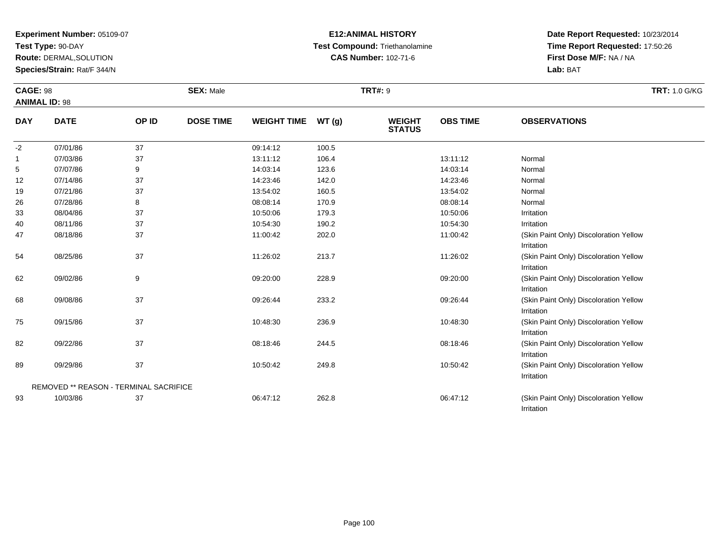**Test Type:** 90-DAY

**Route:** DERMAL,SOLUTION

**Species/Strain:** Rat/F 344/N

## **E12:ANIMAL HISTORY Test Compound:** Triethanolamine**CAS Number:** 102-71-6

| <b>CAGE: 98</b><br><b>ANIMAL ID: 98</b> |                                               |       | <b>SEX: Male</b> |                    |       | <b>TRT#: 9</b>                 |                 |                                                      | <b>TRT: 1.0 G/KG</b> |
|-----------------------------------------|-----------------------------------------------|-------|------------------|--------------------|-------|--------------------------------|-----------------|------------------------------------------------------|----------------------|
| <b>DAY</b>                              | <b>DATE</b>                                   | OP ID | <b>DOSE TIME</b> | <b>WEIGHT TIME</b> | WT(g) | <b>WEIGHT</b><br><b>STATUS</b> | <b>OBS TIME</b> | <b>OBSERVATIONS</b>                                  |                      |
| $-2$                                    | 07/01/86                                      | 37    |                  | 09:14:12           | 100.5 |                                |                 |                                                      |                      |
| 1                                       | 07/03/86                                      | 37    |                  | 13:11:12           | 106.4 |                                | 13:11:12        | Normal                                               |                      |
| 5                                       | 07/07/86                                      | 9     |                  | 14:03:14           | 123.6 |                                | 14:03:14        | Normal                                               |                      |
| 12                                      | 07/14/86                                      | 37    |                  | 14:23:46           | 142.0 |                                | 14:23:46        | Normal                                               |                      |
| 19                                      | 07/21/86                                      | 37    |                  | 13:54:02           | 160.5 |                                | 13:54:02        | Normal                                               |                      |
| 26                                      | 07/28/86                                      | 8     |                  | 08:08:14           | 170.9 |                                | 08:08:14        | Normal                                               |                      |
| 33                                      | 08/04/86                                      | 37    |                  | 10:50:06           | 179.3 |                                | 10:50:06        | Irritation                                           |                      |
| 40                                      | 08/11/86                                      | 37    |                  | 10:54:30           | 190.2 |                                | 10:54:30        | Irritation                                           |                      |
| 47                                      | 08/18/86                                      | 37    |                  | 11:00:42           | 202.0 |                                | 11:00:42        | (Skin Paint Only) Discoloration Yellow<br>Irritation |                      |
| 54                                      | 08/25/86                                      | 37    |                  | 11:26:02           | 213.7 |                                | 11:26:02        | (Skin Paint Only) Discoloration Yellow<br>Irritation |                      |
| 62                                      | 09/02/86                                      | 9     |                  | 09:20:00           | 228.9 |                                | 09:20:00        | (Skin Paint Only) Discoloration Yellow<br>Irritation |                      |
| 68                                      | 09/08/86                                      | 37    |                  | 09:26:44           | 233.2 |                                | 09:26:44        | (Skin Paint Only) Discoloration Yellow<br>Irritation |                      |
| 75                                      | 09/15/86                                      | 37    |                  | 10:48:30           | 236.9 |                                | 10:48:30        | (Skin Paint Only) Discoloration Yellow<br>Irritation |                      |
| 82                                      | 09/22/86                                      | 37    |                  | 08:18:46           | 244.5 |                                | 08:18:46        | (Skin Paint Only) Discoloration Yellow<br>Irritation |                      |
| 89                                      | 09/29/86                                      | 37    |                  | 10:50:42           | 249.8 |                                | 10:50:42        | (Skin Paint Only) Discoloration Yellow<br>Irritation |                      |
|                                         | <b>REMOVED ** REASON - TERMINAL SACRIFICE</b> |       |                  |                    |       |                                |                 |                                                      |                      |
| 93                                      | 10/03/86                                      | 37    |                  | 06:47:12           | 262.8 |                                | 06:47:12        | (Skin Paint Only) Discoloration Yellow<br>Irritation |                      |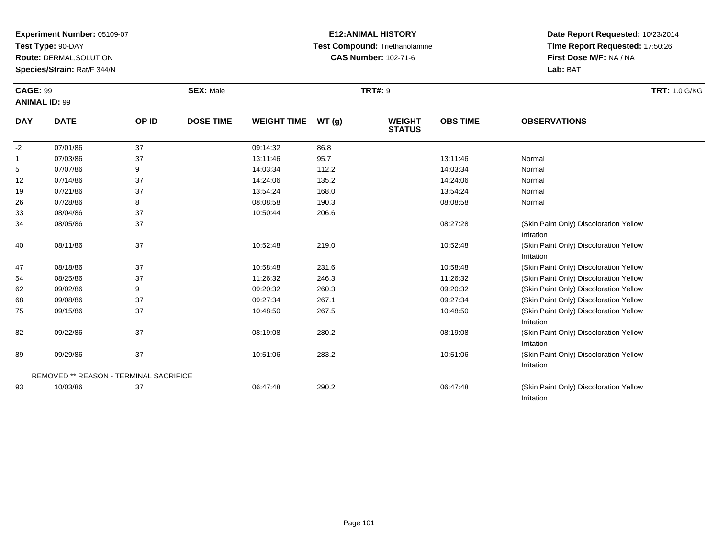**Test Type:** 90-DAY

47

54

62

68

75

82

89

93

REMOVED \*\* REASON - TERMINAL SACRIFICE

**Route:** DERMAL,SOLUTION

**Species/Strain:** Rat/F 344/N

### **E12:ANIMAL HISTORY Test Compound:** Triethanolamine**CAS Number:** 102-71-6

**Date Report Requested:** 10/23/2014**Time Report Requested:** 17:50:26**First Dose M/F:** NA / NA**Lab:** BAT

Irritation

Irritation

Irritation

Irritation

Irritation

| <b>CAGE: 99</b><br><b>ANIMAL ID: 99</b> |             | <b>SEX: Male</b> | <b>TRT: 1.0 G/KG</b> |                    |       |                                |                 |                                                      |
|-----------------------------------------|-------------|------------------|----------------------|--------------------|-------|--------------------------------|-----------------|------------------------------------------------------|
| <b>DAY</b>                              | <b>DATE</b> | OP ID            | <b>DOSE TIME</b>     | <b>WEIGHT TIME</b> | WT(g) | <b>WEIGHT</b><br><b>STATUS</b> | <b>OBS TIME</b> | <b>OBSERVATIONS</b>                                  |
| $-2$                                    | 07/01/86    | 37               |                      | 09:14:32           | 86.8  |                                |                 |                                                      |
| 1                                       | 07/03/86    | 37               |                      | 13:11:46           | 95.7  |                                | 13:11:46        | Normal                                               |
| 5                                       | 07/07/86    | 9                |                      | 14:03:34           | 112.2 |                                | 14:03:34        | Normal                                               |
| 12                                      | 07/14/86    | 37               |                      | 14:24:06           | 135.2 |                                | 14:24:06        | Normal                                               |
| 19                                      | 07/21/86    | 37               |                      | 13:54:24           | 168.0 |                                | 13:54:24        | Normal                                               |
| 26                                      | 07/28/86    | 8                |                      | 08:08:58           | 190.3 |                                | 08:08:58        | Normal                                               |
| 33                                      | 08/04/86    | 37               |                      | 10:50:44           | 206.6 |                                |                 |                                                      |
| 34                                      | 08/05/86    | 37               |                      |                    |       |                                | 08:27:28        | (Skin Paint Only) Discoloration Yellow<br>Irritation |
| 40                                      | 08/11/86    | 37               |                      | 10:52:48           | 219.0 |                                | 10:52:48        | (Skin Paint Only) Discoloration Yellow               |

08/18/86 <sup>37</sup> 10:58:48 231.6 10:58:48 (Skin Paint Only) Discoloration Yellow

08/25/86 <sup>37</sup> 11:26:32 246.3 11:26:32 (Skin Paint Only) Discoloration Yellow

09/02/86 <sup>9</sup> 09:20:32 260.3 09:20:32 (Skin Paint Only) Discoloration Yellow

09/08/86 <sup>37</sup> 09:27:34 267.1 09:27:34 (Skin Paint Only) Discoloration Yellow

09/15/86 <sup>37</sup> 10:48:50 267.5 10:48:50 (Skin Paint Only) Discoloration Yellow

09/22/86 <sup>37</sup> 08:19:08 280.2 08:19:08 (Skin Paint Only) Discoloration Yellow

09/29/86 <sup>37</sup> 10:51:06 283.2 10:51:06 (Skin Paint Only) Discoloration Yellow

10/03/86 <sup>37</sup> 06:47:48 290.2 06:47:48 (Skin Paint Only) Discoloration Yellow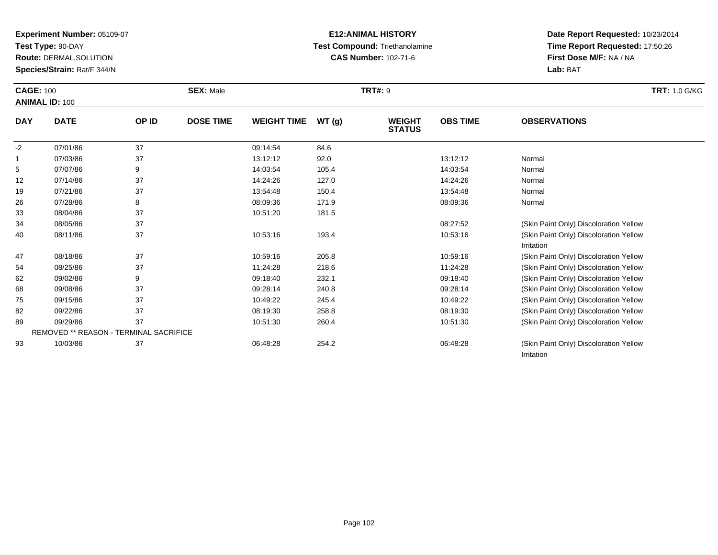**Test Type:** 90-DAY

47

54

62

68

75

82

89

93

REMOVED \*\* REASON - TERMINAL SACRIFICE

**Route:** DERMAL,SOLUTION

**Species/Strain:** Rat/F 344/N

### **E12:ANIMAL HISTORY Test Compound:** Triethanolamine**CAS Number:** 102-71-6

**Date Report Requested:** 10/23/2014**Time Report Requested:** 17:50:26**First Dose M/F:** NA / NA**Lab:** BAT

Irritation

| <b>CAGE: 100</b><br><b>ANIMAL ID: 100</b> |             |       | <b>SEX: Male</b> |                    |       | <b>TRT#: 9</b>                 |                 | <b>TRT: 1.0 G/KG</b>                                 |
|-------------------------------------------|-------------|-------|------------------|--------------------|-------|--------------------------------|-----------------|------------------------------------------------------|
| <b>DAY</b>                                | <b>DATE</b> | OP ID | <b>DOSE TIME</b> | <b>WEIGHT TIME</b> | WT(g) | <b>WEIGHT</b><br><b>STATUS</b> | <b>OBS TIME</b> | <b>OBSERVATIONS</b>                                  |
| $-2$                                      | 07/01/86    | 37    |                  | 09:14:54           | 84.6  |                                |                 |                                                      |
|                                           | 07/03/86    | 37    |                  | 13:12:12           | 92.0  |                                | 13:12:12        | Normal                                               |
| 5                                         | 07/07/86    | 9     |                  | 14:03:54           | 105.4 |                                | 14:03:54        | Normal                                               |
| 12                                        | 07/14/86    | 37    |                  | 14:24:26           | 127.0 |                                | 14:24:26        | Normal                                               |
| 19                                        | 07/21/86    | 37    |                  | 13:54:48           | 150.4 |                                | 13:54:48        | Normal                                               |
| 26                                        | 07/28/86    | 8     |                  | 08:09:36           | 171.9 |                                | 08:09:36        | Normal                                               |
| 33                                        | 08/04/86    | 37    |                  | 10:51:20           | 181.5 |                                |                 |                                                      |
| 34                                        | 08/05/86    | 37    |                  |                    |       |                                | 08:27:52        | (Skin Paint Only) Discoloration Yellow               |
| 40                                        | 08/11/86    | 37    |                  | 10:53:16           | 193.4 |                                | 10:53:16        | (Skin Paint Only) Discoloration Yellow<br>Irritation |

08/18/86 <sup>37</sup> 10:59:16 205.8 10:59:16 (Skin Paint Only) Discoloration Yellow

08/25/86 <sup>37</sup> 11:24:28 218.6 11:24:28 (Skin Paint Only) Discoloration Yellow

09/02/86 <sup>9</sup> 09:18:40 232.1 09:18:40 (Skin Paint Only) Discoloration Yellow

09/08/86 <sup>37</sup> 09:28:14 240.8 09:28:14 (Skin Paint Only) Discoloration Yellow

09/15/86 <sup>37</sup> 10:49:22 245.4 10:49:22 (Skin Paint Only) Discoloration Yellow

09/22/86 <sup>37</sup> 08:19:30 258.8 08:19:30 (Skin Paint Only) Discoloration Yellow

09/29/86 <sup>37</sup> 10:51:30 260.4 10:51:30 (Skin Paint Only) Discoloration Yellow

10/03/86 <sup>37</sup> 06:48:28 254.2 06:48:28 (Skin Paint Only) Discoloration Yellow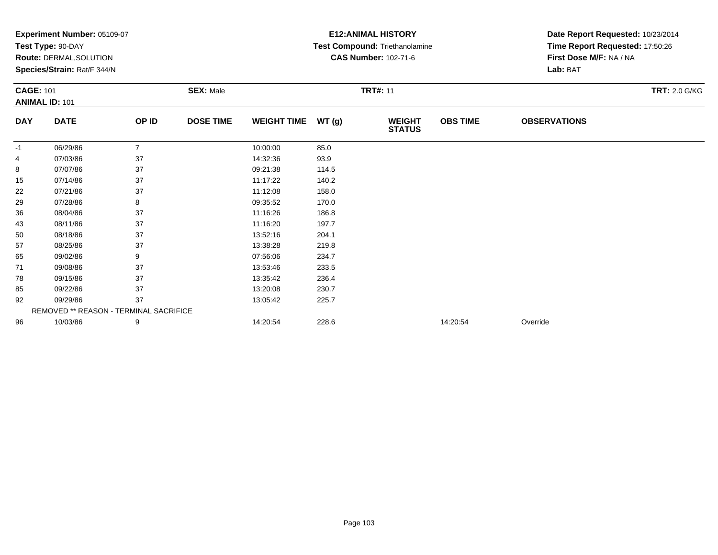|                  | Experiment Number: 05109-07            |                |                  |                    |                 | <b>E12: ANIMAL HISTORY</b>     | Date Report Requested: 10/23/2014<br>Time Report Requested: 17:50:26 |                         |                      |  |
|------------------|----------------------------------------|----------------|------------------|--------------------|-----------------|--------------------------------|----------------------------------------------------------------------|-------------------------|----------------------|--|
|                  | Test Type: 90-DAY                      |                |                  |                    |                 | Test Compound: Triethanolamine |                                                                      |                         |                      |  |
|                  | Route: DERMAL, SOLUTION                |                |                  |                    |                 | <b>CAS Number: 102-71-6</b>    |                                                                      | First Dose M/F: NA / NA |                      |  |
|                  | Species/Strain: Rat/F 344/N            |                |                  |                    |                 |                                |                                                                      | Lab: BAT                |                      |  |
| <b>CAGE: 101</b> |                                        |                | <b>SEX: Male</b> |                    | <b>TRT#: 11</b> |                                |                                                                      |                         | <b>TRT: 2.0 G/KG</b> |  |
|                  | <b>ANIMAL ID: 101</b>                  |                |                  |                    |                 |                                |                                                                      |                         |                      |  |
| <b>DAY</b>       | <b>DATE</b>                            | OP ID          | <b>DOSE TIME</b> | <b>WEIGHT TIME</b> | WT(g)           | <b>WEIGHT</b><br><b>STATUS</b> | <b>OBS TIME</b>                                                      | <b>OBSERVATIONS</b>     |                      |  |
| -1               | 06/29/86                               | $\overline{7}$ |                  | 10:00:00           | 85.0            |                                |                                                                      |                         |                      |  |
| 4                | 07/03/86                               | 37             |                  | 14:32:36           | 93.9            |                                |                                                                      |                         |                      |  |
| 8                | 07/07/86                               | 37             |                  | 09:21:38           | 114.5           |                                |                                                                      |                         |                      |  |
| 15               | 07/14/86                               | 37             |                  | 11:17:22           | 140.2           |                                |                                                                      |                         |                      |  |
| 22               | 07/21/86                               | 37             |                  | 11:12:08           | 158.0           |                                |                                                                      |                         |                      |  |
| 29               | 07/28/86                               | 8              |                  | 09:35:52           | 170.0           |                                |                                                                      |                         |                      |  |
| 36               | 08/04/86                               | 37             |                  | 11:16:26           | 186.8           |                                |                                                                      |                         |                      |  |
| 43               | 08/11/86                               | 37             |                  | 11:16:20           | 197.7           |                                |                                                                      |                         |                      |  |
| 50               | 08/18/86                               | 37             |                  | 13:52:16           | 204.1           |                                |                                                                      |                         |                      |  |
| 57               | 08/25/86                               | 37             |                  | 13:38:28           | 219.8           |                                |                                                                      |                         |                      |  |
| 65               | 09/02/86                               | 9              |                  | 07:56:06           | 234.7           |                                |                                                                      |                         |                      |  |
| 71               | 09/08/86                               | 37             |                  | 13:53:46           | 233.5           |                                |                                                                      |                         |                      |  |
| 78               | 09/15/86                               | 37             |                  | 13:35:42           | 236.4           |                                |                                                                      |                         |                      |  |
| 85               | 09/22/86                               | 37             |                  | 13:20:08           | 230.7           |                                |                                                                      |                         |                      |  |
| 92               | 09/29/86                               | 37             |                  | 13:05:42           | 225.7           |                                |                                                                      |                         |                      |  |
|                  | REMOVED ** REASON - TERMINAL SACRIFICE |                |                  |                    |                 |                                |                                                                      |                         |                      |  |
| 96               | 10/03/86                               | 9              |                  | 14:20:54           | 228.6           |                                | 14:20:54                                                             | Override                |                      |  |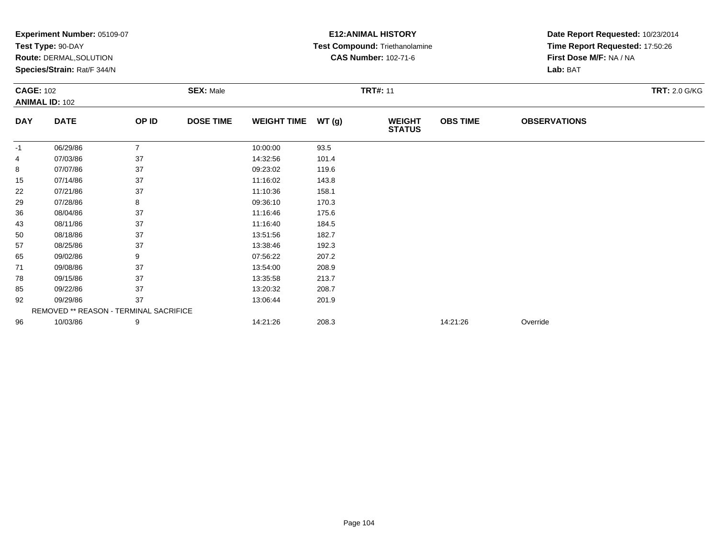|                             | Experiment Number: 05109-07            |                |                  |                    |                 | <b>E12: ANIMAL HISTORY</b>            | Date Report Requested: 10/23/2014<br>Time Report Requested: 17:50:26 |                         |                      |  |
|-----------------------------|----------------------------------------|----------------|------------------|--------------------|-----------------|---------------------------------------|----------------------------------------------------------------------|-------------------------|----------------------|--|
|                             | Test Type: 90-DAY                      |                |                  |                    |                 | <b>Test Compound: Triethanolamine</b> |                                                                      |                         |                      |  |
|                             | Route: DERMAL, SOLUTION                |                |                  |                    |                 | <b>CAS Number: 102-71-6</b>           |                                                                      | First Dose M/F: NA / NA |                      |  |
| Species/Strain: Rat/F 344/N |                                        |                |                  |                    |                 |                                       | Lab: BAT                                                             |                         |                      |  |
| <b>CAGE: 102</b>            |                                        |                | <b>SEX: Male</b> |                    | <b>TRT#: 11</b> |                                       |                                                                      |                         | <b>TRT: 2.0 G/KG</b> |  |
|                             | <b>ANIMAL ID: 102</b>                  |                |                  |                    |                 |                                       |                                                                      |                         |                      |  |
| <b>DAY</b>                  | <b>DATE</b>                            | OP ID          | <b>DOSE TIME</b> | <b>WEIGHT TIME</b> | WT(g)           | <b>WEIGHT</b><br><b>STATUS</b>        | <b>OBS TIME</b>                                                      | <b>OBSERVATIONS</b>     |                      |  |
| -1                          | 06/29/86                               | $\overline{7}$ |                  | 10:00:00           | 93.5            |                                       |                                                                      |                         |                      |  |
| 4                           | 07/03/86                               | 37             |                  | 14:32:56           | 101.4           |                                       |                                                                      |                         |                      |  |
| 8                           | 07/07/86                               | 37             |                  | 09:23:02           | 119.6           |                                       |                                                                      |                         |                      |  |
| 15                          | 07/14/86                               | 37             |                  | 11:16:02           | 143.8           |                                       |                                                                      |                         |                      |  |
| 22                          | 07/21/86                               | 37             |                  | 11:10:36           | 158.1           |                                       |                                                                      |                         |                      |  |
| 29                          | 07/28/86                               | 8              |                  | 09:36:10           | 170.3           |                                       |                                                                      |                         |                      |  |
| 36                          | 08/04/86                               | 37             |                  | 11:16:46           | 175.6           |                                       |                                                                      |                         |                      |  |
| 43                          | 08/11/86                               | 37             |                  | 11:16:40           | 184.5           |                                       |                                                                      |                         |                      |  |
| 50                          | 08/18/86                               | 37             |                  | 13:51:56           | 182.7           |                                       |                                                                      |                         |                      |  |
| 57                          | 08/25/86                               | 37             |                  | 13:38:46           | 192.3           |                                       |                                                                      |                         |                      |  |
| 65                          | 09/02/86                               | 9              |                  | 07:56:22           | 207.2           |                                       |                                                                      |                         |                      |  |
| 71                          | 09/08/86                               | 37             |                  | 13:54:00           | 208.9           |                                       |                                                                      |                         |                      |  |
| 78                          | 09/15/86                               | 37             |                  | 13:35:58           | 213.7           |                                       |                                                                      |                         |                      |  |
| 85                          | 09/22/86                               | 37             |                  | 13:20:32           | 208.7           |                                       |                                                                      |                         |                      |  |
| 92                          | 09/29/86                               | 37             |                  | 13:06:44           | 201.9           |                                       |                                                                      |                         |                      |  |
|                             | REMOVED ** REASON - TERMINAL SACRIFICE |                |                  |                    |                 |                                       |                                                                      |                         |                      |  |
| 96                          | 10/03/86                               | 9              |                  | 14:21:26           | 208.3           |                                       | 14:21:26                                                             | Override                |                      |  |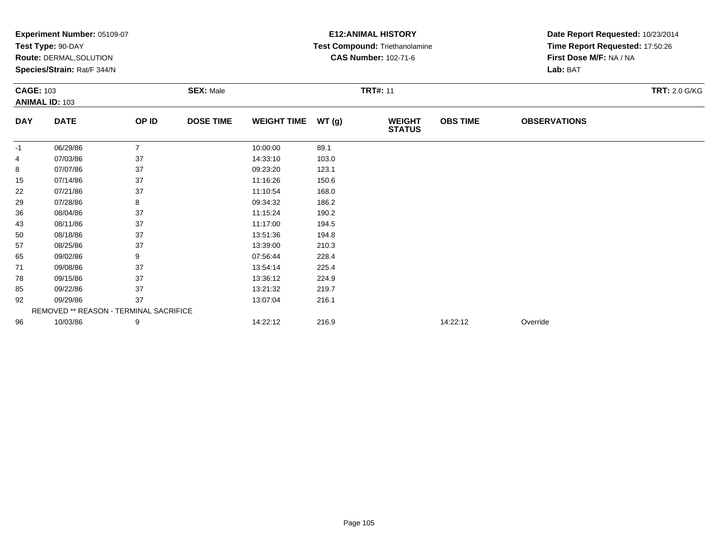|                  | Experiment Number: 05109-07            |                |                  |                    |       | <b>E12: ANIMAL HISTORY</b>     | Date Report Requested: 10/23/2014<br>Time Report Requested: 17:50:26 |                         |                      |  |
|------------------|----------------------------------------|----------------|------------------|--------------------|-------|--------------------------------|----------------------------------------------------------------------|-------------------------|----------------------|--|
|                  | Test Type: 90-DAY                      |                |                  |                    |       | Test Compound: Triethanolamine |                                                                      |                         |                      |  |
|                  | Route: DERMAL, SOLUTION                |                |                  |                    |       | <b>CAS Number: 102-71-6</b>    |                                                                      | First Dose M/F: NA / NA |                      |  |
|                  | Species/Strain: Rat/F 344/N            |                |                  |                    |       |                                |                                                                      | Lab: BAT                |                      |  |
| <b>CAGE: 103</b> |                                        |                | <b>SEX: Male</b> |                    |       | <b>TRT#: 11</b>                |                                                                      |                         | <b>TRT: 2.0 G/KG</b> |  |
|                  | <b>ANIMAL ID: 103</b>                  |                |                  |                    |       |                                |                                                                      |                         |                      |  |
| <b>DAY</b>       | <b>DATE</b>                            | OP ID          | <b>DOSE TIME</b> | <b>WEIGHT TIME</b> | WT(g) | <b>WEIGHT</b><br><b>STATUS</b> | <b>OBS TIME</b>                                                      | <b>OBSERVATIONS</b>     |                      |  |
| -1               | 06/29/86                               | $\overline{7}$ |                  | 10:00:00           | 89.1  |                                |                                                                      |                         |                      |  |
| 4                | 07/03/86                               | 37             |                  | 14:33:10           | 103.0 |                                |                                                                      |                         |                      |  |
| 8                | 07/07/86                               | 37             |                  | 09:23:20           | 123.1 |                                |                                                                      |                         |                      |  |
| 15               | 07/14/86                               | 37             |                  | 11:16:26           | 150.6 |                                |                                                                      |                         |                      |  |
| 22               | 07/21/86                               | 37             |                  | 11:10:54           | 168.0 |                                |                                                                      |                         |                      |  |
| 29               | 07/28/86                               | 8              |                  | 09:34:32           | 186.2 |                                |                                                                      |                         |                      |  |
| 36               | 08/04/86                               | 37             |                  | 11:15:24           | 190.2 |                                |                                                                      |                         |                      |  |
| 43               | 08/11/86                               | 37             |                  | 11:17:00           | 194.5 |                                |                                                                      |                         |                      |  |
| 50               | 08/18/86                               | 37             |                  | 13:51:36           | 194.8 |                                |                                                                      |                         |                      |  |
| 57               | 08/25/86                               | 37             |                  | 13:39:00           | 210.3 |                                |                                                                      |                         |                      |  |
| 65               | 09/02/86                               | 9              |                  | 07:56:44           | 228.4 |                                |                                                                      |                         |                      |  |
| 71               | 09/08/86                               | 37             |                  | 13:54:14           | 225.4 |                                |                                                                      |                         |                      |  |
| 78               | 09/15/86                               | 37             |                  | 13:36:12           | 224.9 |                                |                                                                      |                         |                      |  |
| 85               | 09/22/86                               | 37             |                  | 13:21:32           | 219.7 |                                |                                                                      |                         |                      |  |
| 92               | 09/29/86                               | 37             |                  | 13:07:04           | 216.1 |                                |                                                                      |                         |                      |  |
|                  | REMOVED ** REASON - TERMINAL SACRIFICE |                |                  |                    |       |                                |                                                                      |                         |                      |  |
| 96               | 10/03/86                               | 9              |                  | 14:22:12           | 216.9 |                                | 14:22:12                                                             | Override                |                      |  |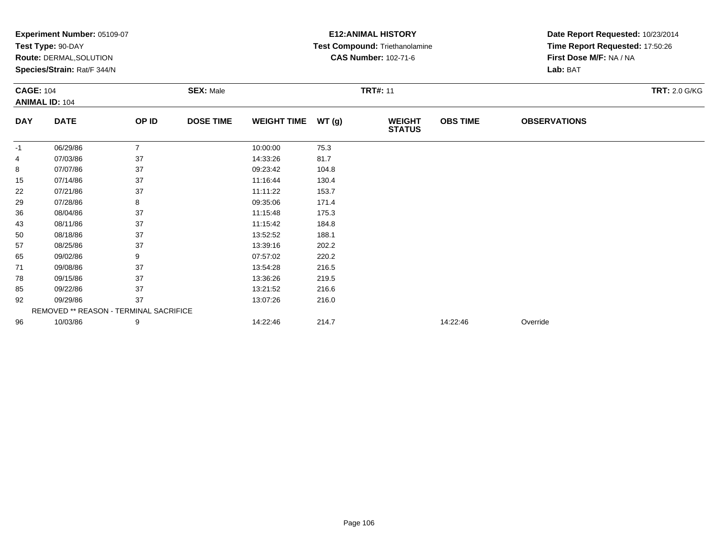|                  | Experiment Number: 05109-07            |                |                  |                    |       | <b>E12: ANIMAL HISTORY</b>     | Date Report Requested: 10/23/2014<br>Time Report Requested: 17:50:26 |                         |                      |  |
|------------------|----------------------------------------|----------------|------------------|--------------------|-------|--------------------------------|----------------------------------------------------------------------|-------------------------|----------------------|--|
|                  | Test Type: 90-DAY                      |                |                  |                    |       | Test Compound: Triethanolamine |                                                                      |                         |                      |  |
|                  | Route: DERMAL, SOLUTION                |                |                  |                    |       | <b>CAS Number: 102-71-6</b>    |                                                                      | First Dose M/F: NA / NA |                      |  |
|                  | Species/Strain: Rat/F 344/N            |                |                  |                    |       |                                |                                                                      | Lab: BAT                |                      |  |
| <b>CAGE: 104</b> |                                        |                | <b>SEX: Male</b> |                    |       | <b>TRT#: 11</b>                |                                                                      |                         | <b>TRT: 2.0 G/KG</b> |  |
|                  | <b>ANIMAL ID: 104</b>                  |                |                  |                    |       |                                |                                                                      |                         |                      |  |
| <b>DAY</b>       | <b>DATE</b>                            | OP ID          | <b>DOSE TIME</b> | <b>WEIGHT TIME</b> | WT(g) | <b>WEIGHT</b><br><b>STATUS</b> | <b>OBS TIME</b>                                                      | <b>OBSERVATIONS</b>     |                      |  |
| -1               | 06/29/86                               | $\overline{7}$ |                  | 10:00:00           | 75.3  |                                |                                                                      |                         |                      |  |
| 4                | 07/03/86                               | 37             |                  | 14:33:26           | 81.7  |                                |                                                                      |                         |                      |  |
| 8                | 07/07/86                               | 37             |                  | 09:23:42           | 104.8 |                                |                                                                      |                         |                      |  |
| 15               | 07/14/86                               | 37             |                  | 11:16:44           | 130.4 |                                |                                                                      |                         |                      |  |
| 22               | 07/21/86                               | 37             |                  | 11:11:22           | 153.7 |                                |                                                                      |                         |                      |  |
| 29               | 07/28/86                               | 8              |                  | 09:35:06           | 171.4 |                                |                                                                      |                         |                      |  |
| 36               | 08/04/86                               | 37             |                  | 11:15:48           | 175.3 |                                |                                                                      |                         |                      |  |
| 43               | 08/11/86                               | 37             |                  | 11:15:42           | 184.8 |                                |                                                                      |                         |                      |  |
| 50               | 08/18/86                               | 37             |                  | 13:52:52           | 188.1 |                                |                                                                      |                         |                      |  |
| 57               | 08/25/86                               | 37             |                  | 13:39:16           | 202.2 |                                |                                                                      |                         |                      |  |
| 65               | 09/02/86                               | 9              |                  | 07:57:02           | 220.2 |                                |                                                                      |                         |                      |  |
| 71               | 09/08/86                               | 37             |                  | 13:54:28           | 216.5 |                                |                                                                      |                         |                      |  |
| 78               | 09/15/86                               | 37             |                  | 13:36:26           | 219.5 |                                |                                                                      |                         |                      |  |
| 85               | 09/22/86                               | 37             |                  | 13:21:52           | 216.6 |                                |                                                                      |                         |                      |  |
| 92               | 09/29/86                               | 37             |                  | 13:07:26           | 216.0 |                                |                                                                      |                         |                      |  |
|                  | REMOVED ** REASON - TERMINAL SACRIFICE |                |                  |                    |       |                                |                                                                      |                         |                      |  |
| 96               | 10/03/86                               | 9              |                  | 14:22:46           | 214.7 |                                | 14:22:46                                                             | Override                |                      |  |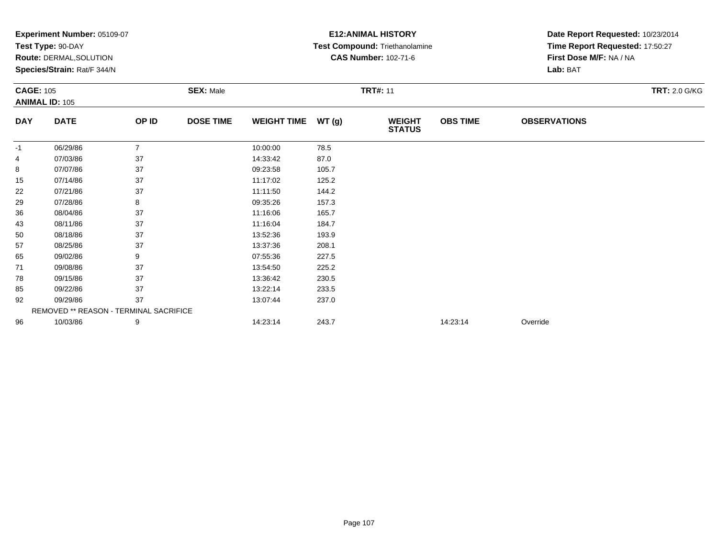|                  | Experiment Number: 05109-07            |                |                  |                    |                 | <b>E12: ANIMAL HISTORY</b>     | Date Report Requested: 10/23/2014<br>Time Report Requested: 17:50:27 |                         |                      |  |
|------------------|----------------------------------------|----------------|------------------|--------------------|-----------------|--------------------------------|----------------------------------------------------------------------|-------------------------|----------------------|--|
|                  | Test Type: 90-DAY                      |                |                  |                    |                 | Test Compound: Triethanolamine |                                                                      |                         |                      |  |
|                  | Route: DERMAL, SOLUTION                |                |                  |                    |                 | <b>CAS Number: 102-71-6</b>    |                                                                      | First Dose M/F: NA / NA |                      |  |
|                  | Species/Strain: Rat/F 344/N            |                |                  |                    |                 |                                |                                                                      | Lab: BAT                |                      |  |
| <b>CAGE: 105</b> |                                        |                | <b>SEX: Male</b> |                    | <b>TRT#: 11</b> |                                |                                                                      |                         | <b>TRT: 2.0 G/KG</b> |  |
|                  | <b>ANIMAL ID: 105</b>                  |                |                  |                    |                 |                                |                                                                      |                         |                      |  |
| <b>DAY</b>       | <b>DATE</b>                            | OP ID          | <b>DOSE TIME</b> | <b>WEIGHT TIME</b> | WT(g)           | <b>WEIGHT</b><br><b>STATUS</b> | <b>OBS TIME</b>                                                      | <b>OBSERVATIONS</b>     |                      |  |
| -1               | 06/29/86                               | $\overline{7}$ |                  | 10:00:00           | 78.5            |                                |                                                                      |                         |                      |  |
| 4                | 07/03/86                               | 37             |                  | 14:33:42           | 87.0            |                                |                                                                      |                         |                      |  |
| 8                | 07/07/86                               | 37             |                  | 09:23:58           | 105.7           |                                |                                                                      |                         |                      |  |
| 15               | 07/14/86                               | 37             |                  | 11:17:02           | 125.2           |                                |                                                                      |                         |                      |  |
| 22               | 07/21/86                               | 37             |                  | 11:11:50           | 144.2           |                                |                                                                      |                         |                      |  |
| 29               | 07/28/86                               | 8              |                  | 09:35:26           | 157.3           |                                |                                                                      |                         |                      |  |
| 36               | 08/04/86                               | 37             |                  | 11:16:06           | 165.7           |                                |                                                                      |                         |                      |  |
| 43               | 08/11/86                               | 37             |                  | 11:16:04           | 184.7           |                                |                                                                      |                         |                      |  |
| 50               | 08/18/86                               | 37             |                  | 13:52:36           | 193.9           |                                |                                                                      |                         |                      |  |
| 57               | 08/25/86                               | 37             |                  | 13:37:36           | 208.1           |                                |                                                                      |                         |                      |  |
| 65               | 09/02/86                               | 9              |                  | 07:55:36           | 227.5           |                                |                                                                      |                         |                      |  |
| 71               | 09/08/86                               | 37             |                  | 13:54:50           | 225.2           |                                |                                                                      |                         |                      |  |
| 78               | 09/15/86                               | 37             |                  | 13:36:42           | 230.5           |                                |                                                                      |                         |                      |  |
| 85               | 09/22/86                               | 37             |                  | 13:22:14           | 233.5           |                                |                                                                      |                         |                      |  |
| 92               | 09/29/86                               | 37             |                  | 13:07:44           | 237.0           |                                |                                                                      |                         |                      |  |
|                  | REMOVED ** REASON - TERMINAL SACRIFICE |                |                  |                    |                 |                                |                                                                      |                         |                      |  |
| 96               | 10/03/86                               | 9              |                  | 14:23:14           | 243.7           |                                | 14:23:14                                                             | Override                |                      |  |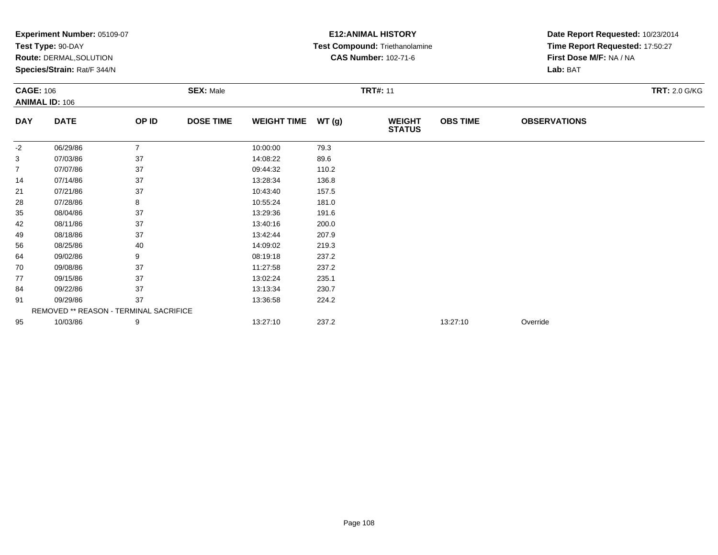|                   | Experiment Number: 05109-07            |                |                  |                    |                 | <b>E12: ANIMAL HISTORY</b>     | Date Report Requested: 10/23/2014 |                         |  |  |
|-------------------|----------------------------------------|----------------|------------------|--------------------|-----------------|--------------------------------|-----------------------------------|-------------------------|--|--|
| Test Type: 90-DAY |                                        |                |                  |                    |                 | Test Compound: Triethanolamine | Time Report Requested: 17:50:27   |                         |  |  |
|                   | Route: DERMAL, SOLUTION                |                |                  |                    |                 | <b>CAS Number: 102-71-6</b>    |                                   | First Dose M/F: NA / NA |  |  |
|                   | Species/Strain: Rat/F 344/N            |                |                  |                    |                 |                                |                                   | Lab: BAT                |  |  |
| <b>CAGE: 106</b>  |                                        |                | <b>SEX: Male</b> |                    | <b>TRT#: 11</b> |                                | <b>TRT: 2.0 G/KG</b>              |                         |  |  |
|                   | <b>ANIMAL ID: 106</b>                  |                |                  |                    |                 |                                |                                   |                         |  |  |
| <b>DAY</b>        | <b>DATE</b>                            | OP ID          | <b>DOSE TIME</b> | <b>WEIGHT TIME</b> | WT(g)           | <b>WEIGHT</b><br><b>STATUS</b> | <b>OBS TIME</b>                   | <b>OBSERVATIONS</b>     |  |  |
| -2                | 06/29/86                               | $\overline{7}$ |                  | 10:00:00           | 79.3            |                                |                                   |                         |  |  |
| 3                 | 07/03/86                               | 37             |                  | 14:08:22           | 89.6            |                                |                                   |                         |  |  |
| $\overline{7}$    | 07/07/86                               | 37             |                  | 09:44:32           | 110.2           |                                |                                   |                         |  |  |
| 14                | 07/14/86                               | 37             |                  | 13:28:34           | 136.8           |                                |                                   |                         |  |  |
| 21                | 07/21/86                               | 37             |                  | 10:43:40           | 157.5           |                                |                                   |                         |  |  |
| 28                | 07/28/86                               | 8              |                  | 10:55:24           | 181.0           |                                |                                   |                         |  |  |
| 35                | 08/04/86                               | 37             |                  | 13:29:36           | 191.6           |                                |                                   |                         |  |  |
| 42                | 08/11/86                               | 37             |                  | 13:40:16           | 200.0           |                                |                                   |                         |  |  |
| 49                | 08/18/86                               | 37             |                  | 13:42:44           | 207.9           |                                |                                   |                         |  |  |
| 56                | 08/25/86                               | 40             |                  | 14:09:02           | 219.3           |                                |                                   |                         |  |  |
| 64                | 09/02/86                               | 9              |                  | 08:19:18           | 237.2           |                                |                                   |                         |  |  |
| 70                | 09/08/86                               | 37             |                  | 11:27:58           | 237.2           |                                |                                   |                         |  |  |
| 77                | 09/15/86                               | 37             |                  | 13:02:24           | 235.1           |                                |                                   |                         |  |  |
| 84                | 09/22/86                               | 37             |                  | 13:13:34           | 230.7           |                                |                                   |                         |  |  |
| 91                | 09/29/86                               | 37             |                  | 13:36:58           | 224.2           |                                |                                   |                         |  |  |
|                   | REMOVED ** REASON - TERMINAL SACRIFICE |                |                  |                    |                 |                                |                                   |                         |  |  |
| 95                | 10/03/86                               | 9              |                  | 13:27:10           | 237.2           |                                | 13:27:10                          | Override                |  |  |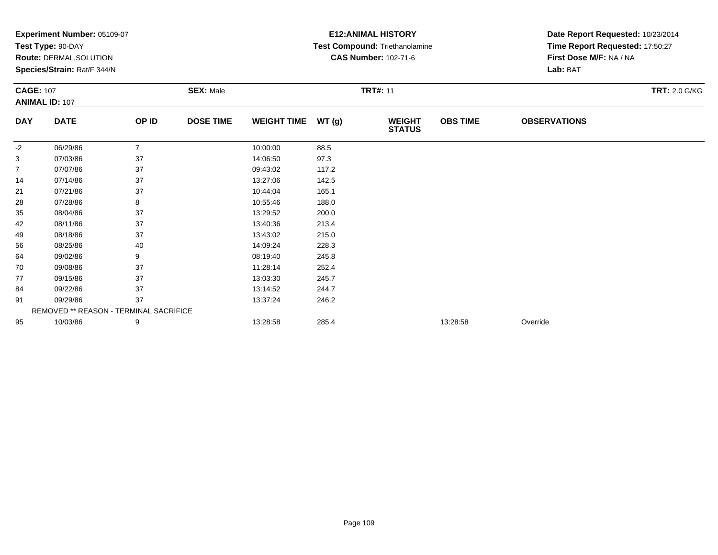|                  | Experiment Number: 05109-07                            |                |                  |                    |       | <b>E12: ANIMAL HISTORY</b>                                    |                 | Date Report Requested: 10/23/2014<br>Time Report Requested: 17:50:27 |                      |
|------------------|--------------------------------------------------------|----------------|------------------|--------------------|-------|---------------------------------------------------------------|-----------------|----------------------------------------------------------------------|----------------------|
|                  | Test Type: 90-DAY                                      |                |                  |                    |       | Test Compound: Triethanolamine<br><b>CAS Number: 102-71-6</b> |                 | First Dose M/F: NA / NA                                              |                      |
|                  | Route: DERMAL, SOLUTION<br>Species/Strain: Rat/F 344/N |                |                  |                    |       |                                                               |                 | Lab: BAT                                                             |                      |
|                  |                                                        |                |                  |                    |       |                                                               |                 |                                                                      |                      |
| <b>CAGE: 107</b> |                                                        |                | <b>SEX: Male</b> |                    |       | <b>TRT#: 11</b>                                               |                 |                                                                      | <b>TRT: 2.0 G/KG</b> |
|                  | <b>ANIMAL ID: 107</b>                                  |                |                  |                    |       |                                                               |                 |                                                                      |                      |
| <b>DAY</b>       | <b>DATE</b>                                            | OP ID          | <b>DOSE TIME</b> | <b>WEIGHT TIME</b> | WT(g) | <b>WEIGHT</b><br><b>STATUS</b>                                | <b>OBS TIME</b> | <b>OBSERVATIONS</b>                                                  |                      |
| -2               | 06/29/86                                               | $\overline{7}$ |                  | 10:00:00           | 88.5  |                                                               |                 |                                                                      |                      |
| 3                | 07/03/86                                               | 37             |                  | 14:06:50           | 97.3  |                                                               |                 |                                                                      |                      |
| $\overline{7}$   | 07/07/86                                               | 37             |                  | 09:43:02           | 117.2 |                                                               |                 |                                                                      |                      |
| 14               | 07/14/86                                               | 37             |                  | 13:27:06           | 142.5 |                                                               |                 |                                                                      |                      |
| 21               | 07/21/86                                               | 37             |                  | 10:44:04           | 165.1 |                                                               |                 |                                                                      |                      |
| 28               | 07/28/86                                               | 8              |                  | 10:55:46           | 188.0 |                                                               |                 |                                                                      |                      |
| 35               | 08/04/86                                               | 37             |                  | 13:29:52           | 200.0 |                                                               |                 |                                                                      |                      |
| 42               | 08/11/86                                               | 37             |                  | 13:40:36           | 213.4 |                                                               |                 |                                                                      |                      |
| 49               | 08/18/86                                               | 37             |                  | 13:43:02           | 215.0 |                                                               |                 |                                                                      |                      |
| 56               | 08/25/86                                               | 40             |                  | 14:09:24           | 228.3 |                                                               |                 |                                                                      |                      |
| 64               | 09/02/86                                               | 9              |                  | 08:19:40           | 245.8 |                                                               |                 |                                                                      |                      |
| 70               | 09/08/86                                               | 37             |                  | 11:28:14           | 252.4 |                                                               |                 |                                                                      |                      |
| 77               | 09/15/86                                               | 37             |                  | 13:03:30           | 245.7 |                                                               |                 |                                                                      |                      |
| 84               | 09/22/86                                               | 37             |                  | 13:14:52           | 244.7 |                                                               |                 |                                                                      |                      |
| 91               | 09/29/86                                               | 37             |                  | 13:37:24           | 246.2 |                                                               |                 |                                                                      |                      |
|                  | <b>REMOVED ** REASON - TERMINAL SACRIFICE</b>          |                |                  |                    |       |                                                               |                 |                                                                      |                      |
| 95               | 10/03/86                                               | 9              |                  | 13:28:58           | 285.4 |                                                               | 13:28:58        | Override                                                             |                      |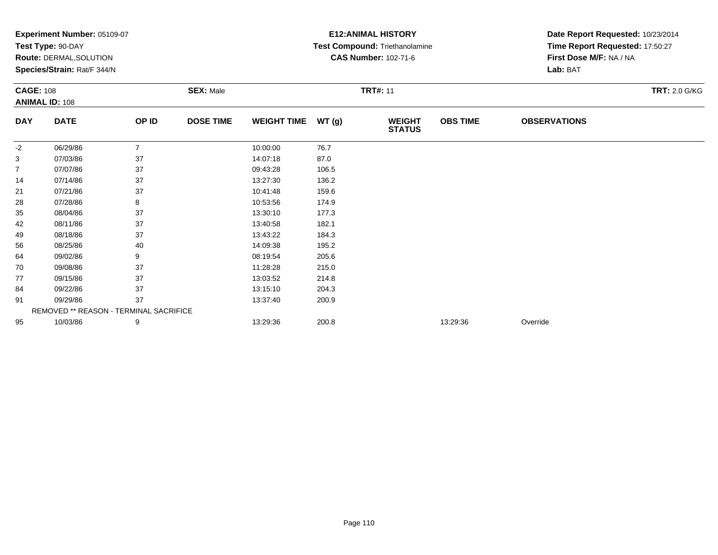|                  | Experiment Number: 05109-07                   |                |                  |                    |       | <b>E12: ANIMAL HISTORY</b>     |                 | Date Report Requested: 10/23/2014 |                      |
|------------------|-----------------------------------------------|----------------|------------------|--------------------|-------|--------------------------------|-----------------|-----------------------------------|----------------------|
|                  | Test Type: 90-DAY                             |                |                  |                    |       | Test Compound: Triethanolamine |                 | Time Report Requested: 17:50:27   |                      |
|                  | Route: DERMAL, SOLUTION                       |                |                  |                    |       | <b>CAS Number: 102-71-6</b>    |                 | First Dose M/F: NA / NA           |                      |
|                  | Species/Strain: Rat/F 344/N                   |                |                  |                    |       |                                |                 | Lab: BAT                          |                      |
| <b>CAGE: 108</b> |                                               |                | <b>SEX: Male</b> |                    |       | <b>TRT#: 11</b>                |                 |                                   | <b>TRT: 2.0 G/KG</b> |
|                  | <b>ANIMAL ID: 108</b>                         |                |                  |                    |       |                                |                 |                                   |                      |
| <b>DAY</b>       | <b>DATE</b>                                   | OP ID          | <b>DOSE TIME</b> | <b>WEIGHT TIME</b> | WT(g) | <b>WEIGHT</b><br><b>STATUS</b> | <b>OBS TIME</b> | <b>OBSERVATIONS</b>               |                      |
| -2               | 06/29/86                                      | $\overline{7}$ |                  | 10:00:00           | 76.7  |                                |                 |                                   |                      |
| 3                | 07/03/86                                      | 37             |                  | 14:07:18           | 87.0  |                                |                 |                                   |                      |
| $\overline{7}$   | 07/07/86                                      | 37             |                  | 09:43:28           | 106.5 |                                |                 |                                   |                      |
| 14               | 07/14/86                                      | 37             |                  | 13:27:30           | 136.2 |                                |                 |                                   |                      |
| 21               | 07/21/86                                      | 37             |                  | 10:41:48           | 159.6 |                                |                 |                                   |                      |
| 28               | 07/28/86                                      | 8              |                  | 10:53:56           | 174.9 |                                |                 |                                   |                      |
| 35               | 08/04/86                                      | 37             |                  | 13:30:10           | 177.3 |                                |                 |                                   |                      |
| 42               | 08/11/86                                      | 37             |                  | 13:40:58           | 182.1 |                                |                 |                                   |                      |
| 49               | 08/18/86                                      | 37             |                  | 13:43:22           | 184.3 |                                |                 |                                   |                      |
| 56               | 08/25/86                                      | 40             |                  | 14:09:38           | 195.2 |                                |                 |                                   |                      |
| 64               | 09/02/86                                      | 9              |                  | 08:19:54           | 205.6 |                                |                 |                                   |                      |
| 70               | 09/08/86                                      | 37             |                  | 11:28:28           | 215.0 |                                |                 |                                   |                      |
| 77               | 09/15/86                                      | 37             |                  | 13:03:52           | 214.8 |                                |                 |                                   |                      |
| 84               | 09/22/86                                      | 37             |                  | 13:15:10           | 204.3 |                                |                 |                                   |                      |
| 91               | 09/29/86                                      | 37             |                  | 13:37:40           | 200.9 |                                |                 |                                   |                      |
|                  | <b>REMOVED ** REASON - TERMINAL SACRIFICE</b> |                |                  |                    |       |                                |                 |                                   |                      |
| 95               | 10/03/86                                      | 9              |                  | 13:29:36           | 200.8 |                                | 13:29:36        | Override                          |                      |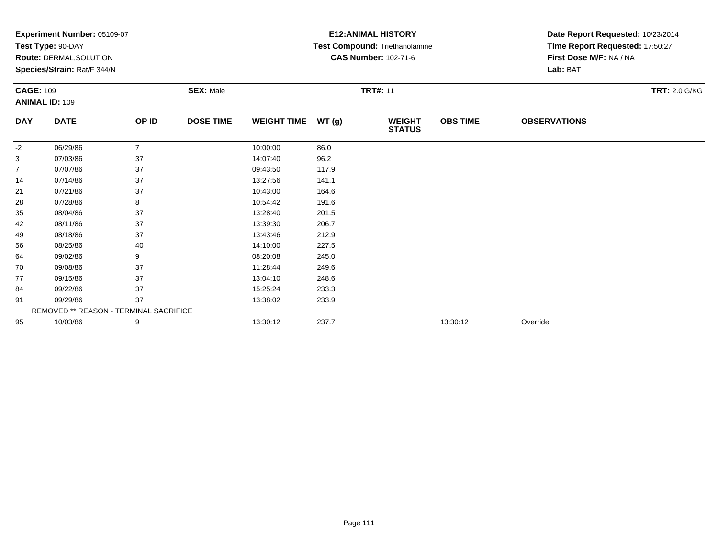|                  | Experiment Number: 05109-07                   |                |                  |                    |       | <b>E12: ANIMAL HISTORY</b>     |                 | Date Report Requested: 10/23/2014 |                      |
|------------------|-----------------------------------------------|----------------|------------------|--------------------|-------|--------------------------------|-----------------|-----------------------------------|----------------------|
|                  | Test Type: 90-DAY                             |                |                  |                    |       | Test Compound: Triethanolamine |                 | Time Report Requested: 17:50:27   |                      |
|                  | Route: DERMAL, SOLUTION                       |                |                  |                    |       | <b>CAS Number: 102-71-6</b>    |                 | First Dose M/F: NA / NA           |                      |
|                  | Species/Strain: Rat/F 344/N                   |                |                  |                    |       |                                |                 | Lab: BAT                          |                      |
| <b>CAGE: 109</b> |                                               |                | <b>SEX: Male</b> |                    |       | <b>TRT#: 11</b>                |                 |                                   | <b>TRT: 2.0 G/KG</b> |
|                  | <b>ANIMAL ID: 109</b>                         |                |                  |                    |       |                                |                 |                                   |                      |
| <b>DAY</b>       | <b>DATE</b>                                   | OP ID          | <b>DOSE TIME</b> | <b>WEIGHT TIME</b> | WT(g) | <b>WEIGHT</b><br><b>STATUS</b> | <b>OBS TIME</b> | <b>OBSERVATIONS</b>               |                      |
| -2               | 06/29/86                                      | $\overline{7}$ |                  | 10:00:00           | 86.0  |                                |                 |                                   |                      |
| 3                | 07/03/86                                      | 37             |                  | 14:07:40           | 96.2  |                                |                 |                                   |                      |
| $\overline{7}$   | 07/07/86                                      | 37             |                  | 09:43:50           | 117.9 |                                |                 |                                   |                      |
| 14               | 07/14/86                                      | 37             |                  | 13:27:56           | 141.1 |                                |                 |                                   |                      |
| 21               | 07/21/86                                      | 37             |                  | 10:43:00           | 164.6 |                                |                 |                                   |                      |
| 28               | 07/28/86                                      | 8              |                  | 10:54:42           | 191.6 |                                |                 |                                   |                      |
| 35               | 08/04/86                                      | 37             |                  | 13:28:40           | 201.5 |                                |                 |                                   |                      |
| 42               | 08/11/86                                      | 37             |                  | 13:39:30           | 206.7 |                                |                 |                                   |                      |
| 49               | 08/18/86                                      | 37             |                  | 13:43:46           | 212.9 |                                |                 |                                   |                      |
| 56               | 08/25/86                                      | 40             |                  | 14:10:00           | 227.5 |                                |                 |                                   |                      |
| 64               | 09/02/86                                      | 9              |                  | 08:20:08           | 245.0 |                                |                 |                                   |                      |
| 70               | 09/08/86                                      | 37             |                  | 11:28:44           | 249.6 |                                |                 |                                   |                      |
| 77               | 09/15/86                                      | 37             |                  | 13:04:10           | 248.6 |                                |                 |                                   |                      |
| 84               | 09/22/86                                      | 37             |                  | 15:25:24           | 233.3 |                                |                 |                                   |                      |
| 91               | 09/29/86                                      | 37             |                  | 13:38:02           | 233.9 |                                |                 |                                   |                      |
|                  | <b>REMOVED ** REASON - TERMINAL SACRIFICE</b> |                |                  |                    |       |                                |                 |                                   |                      |
| 95               | 10/03/86                                      | 9              |                  | 13:30:12           | 237.7 |                                | 13:30:12        | Override                          |                      |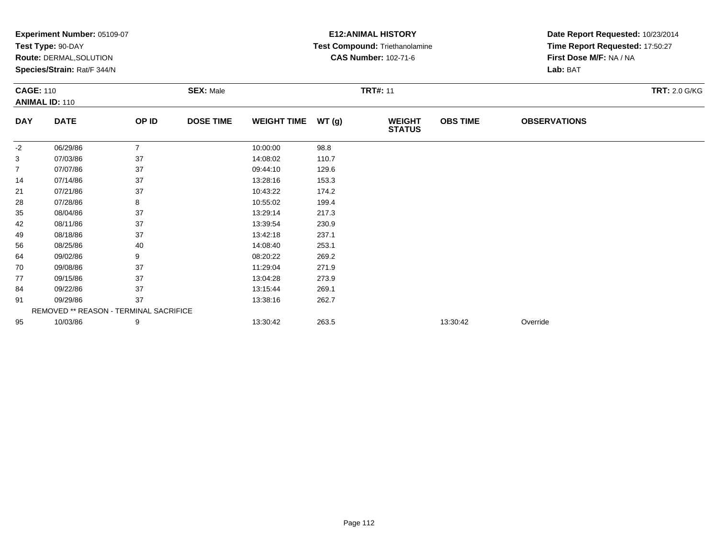|                  | Experiment Number: 05109-07<br>Test Type: 90-DAY<br><b>Route: DERMAL, SOLUTION</b><br>Species/Strain: Rat/F 344/N |                |                  |                    |       | <b>E12: ANIMAL HISTORY</b><br>Test Compound: Triethanolamine<br><b>CAS Number: 102-71-6</b> |                 | Date Report Requested: 10/23/2014<br>Time Report Requested: 17:50:27<br>First Dose M/F: NA / NA<br>Lab: BAT |                      |
|------------------|-------------------------------------------------------------------------------------------------------------------|----------------|------------------|--------------------|-------|---------------------------------------------------------------------------------------------|-----------------|-------------------------------------------------------------------------------------------------------------|----------------------|
| <b>CAGE: 110</b> | <b>ANIMAL ID: 110</b>                                                                                             |                | <b>SEX: Male</b> |                    |       | <b>TRT#: 11</b>                                                                             |                 |                                                                                                             | <b>TRT: 2.0 G/KG</b> |
| <b>DAY</b>       | <b>DATE</b>                                                                                                       | OP ID          | <b>DOSE TIME</b> | <b>WEIGHT TIME</b> | WT(g) | <b>WEIGHT</b><br><b>STATUS</b>                                                              | <b>OBS TIME</b> | <b>OBSERVATIONS</b>                                                                                         |                      |
| $-2$             | 06/29/86                                                                                                          | $\overline{7}$ |                  | 10:00:00           | 98.8  |                                                                                             |                 |                                                                                                             |                      |
| 3                | 07/03/86                                                                                                          | 37             |                  | 14:08:02           | 110.7 |                                                                                             |                 |                                                                                                             |                      |
| $\overline{7}$   | 07/07/86                                                                                                          | 37             |                  | 09:44:10           | 129.6 |                                                                                             |                 |                                                                                                             |                      |
| 14               | 07/14/86                                                                                                          | 37             |                  | 13:28:16           | 153.3 |                                                                                             |                 |                                                                                                             |                      |
| 21               | 07/21/86                                                                                                          | 37             |                  | 10:43:22           | 174.2 |                                                                                             |                 |                                                                                                             |                      |
| 28               | 07/28/86                                                                                                          | 8              |                  | 10:55:02           | 199.4 |                                                                                             |                 |                                                                                                             |                      |
| 35               | 08/04/86                                                                                                          | 37             |                  | 13:29:14           | 217.3 |                                                                                             |                 |                                                                                                             |                      |
| 42               | 08/11/86                                                                                                          | 37             |                  | 13:39:54           | 230.9 |                                                                                             |                 |                                                                                                             |                      |
| 49               | 08/18/86                                                                                                          | 37             |                  | 13:42:18           | 237.1 |                                                                                             |                 |                                                                                                             |                      |
| 56               | 08/25/86                                                                                                          | 40             |                  | 14:08:40           | 253.1 |                                                                                             |                 |                                                                                                             |                      |
| 64               | 09/02/86                                                                                                          | 9              |                  | 08:20:22           | 269.2 |                                                                                             |                 |                                                                                                             |                      |
| 70               | 09/08/86                                                                                                          | 37             |                  | 11:29:04           | 271.9 |                                                                                             |                 |                                                                                                             |                      |
| 77               | 09/15/86                                                                                                          | 37             |                  | 13:04:28           | 273.9 |                                                                                             |                 |                                                                                                             |                      |
| 84               | 09/22/86                                                                                                          | 37             |                  | 13:15:44           | 269.1 |                                                                                             |                 |                                                                                                             |                      |
| 91               | 09/29/86                                                                                                          | 37             |                  | 13:38:16           | 262.7 |                                                                                             |                 |                                                                                                             |                      |
|                  | REMOVED ** REASON - TERMINAL SACRIFICE                                                                            |                |                  |                    |       |                                                                                             |                 |                                                                                                             |                      |
| 95               | 10/03/86                                                                                                          | 9              |                  | 13:30:42           | 263.5 |                                                                                             | 13:30:42        | Override                                                                                                    |                      |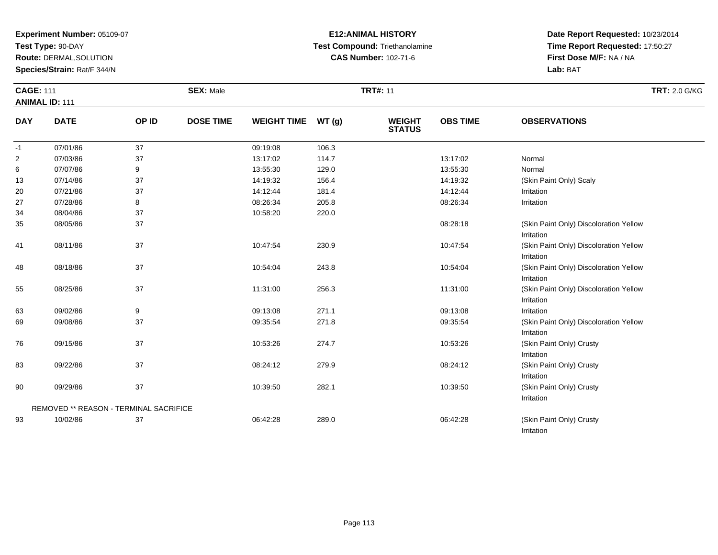**Test Type:** 90-DAY

34

35

41

48

55

63

69

76

83

90

93

REMOVED \*\* REASON - TERMINAL SACRIFICE

**Route:** DERMAL,SOLUTION

**Species/Strain:** Rat/F 344/N

#### **E12:ANIMAL HISTORY Test Compound:** Triethanolamine**CAS Number:** 102-71-6

**Date Report Requested:** 10/23/2014**Time Report Requested:** 17:50:27**First Dose M/F:** NA / NA**Lab:** BAT

Irritation

Irritation

Irritation

IrritationIrritation

Irritation

Irritation

Irritation

Irritation

Irritation

(Skin Paint Only) Crusty

(Skin Paint Only) Crusty

(Skin Paint Only) Crusty

| <b>CAGE: 111</b> | <b>ANIMAL ID: 111</b> |              | <b>SEX: Male</b> |                    |       | <b>TRT#: 11</b>                | <b>TRT: 2.0 G/KG</b> |                         |  |
|------------------|-----------------------|--------------|------------------|--------------------|-------|--------------------------------|----------------------|-------------------------|--|
| <b>DAY</b>       | <b>DATE</b>           | <b>OP ID</b> | <b>DOSE TIME</b> | <b>WEIGHT TIME</b> | WT(g) | <b>WEIGHT</b><br><b>STATUS</b> | <b>OBS TIME</b>      | <b>OBSERVATIONS</b>     |  |
| $-1$             | 07/01/86              | 37           |                  | 09:19:08           | 106.3 |                                |                      |                         |  |
| $\overline{2}$   | 07/03/86              | 37           |                  | 13:17:02           | 114.7 |                                | 13:17:02             | Normal                  |  |
| 6                | 07/07/86              | 9            |                  | 13:55:30           | 129.0 |                                | 13:55:30             | Normal                  |  |
| 13               | 07/14/86              | 37           |                  | 14:19:32           | 156.4 |                                | 14:19:32             | (Skin Paint Only) Scaly |  |
| 20               | 07/21/86              | 37           |                  | 14:12:44           | 181.4 |                                | 14:12:44             | Irritation              |  |
| 27               | 07/28/86              | 8            |                  | 08:26:34           | 205.8 |                                | 08:26:34             | Irritation              |  |

08/05/86 <sup>37</sup> 08:28:18 (Skin Paint Only) Discoloration Yellow

09/08/86 <sup>37</sup> 09:35:54 271.8 09:35:54 (Skin Paint Only) Discoloration Yellow

08/11/86 <sup>37</sup> 10:47:54 230.9 10:47:54 (Skin Paint Only) Discoloration Yellow

08/18/86 37 37 10:54:04 243.8 10:54:04 2005 10:54:04 10:54:04 10:54:04 10:54:04

08/25/86 <sup>37</sup> 11:31:00 256.3 11:31:00 (Skin Paint Only) Discoloration Yellow

07/28/86 <sup>8</sup> 08:26:34 205.8 08:26:34 Irritation

3 09/02/86 9 9 09:13:08 271.1 09:13:08 09:13:08 DHT 09:13:08 Irritation

6 09/15/86 37 37 10:53:26 274.7 10:53:26 35 10:53:26 10:53:26 5 10:53:26 10:53:26 10:53:26 10:53:26 10:53:26 10

09/22/86 <sup>37</sup> 08:24:12 279.9 08:24:12 (Skin Paint Only) Crusty

0 09/29/86 37 37 10:39:50 282.1 10:39:50 10:39:50 10:39:50 (Skin Paint Only) Crusty

10/02/86 <sup>37</sup> 06:42:28 289.0 06:42:28 (Skin Paint Only) Crusty

08/04/86 <sup>37</sup> 10:58:20 220.0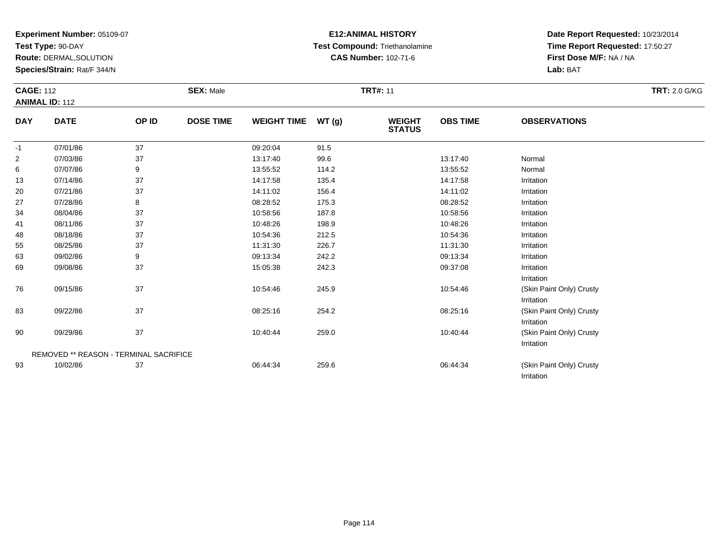**Test Type:** 90-DAY

90

93

**Route:** DERMAL,SOLUTION

**Species/Strain:** Rat/F 344/N

### **E12:ANIMAL HISTORY Test Compound:** Triethanolamine**CAS Number:** 102-71-6

**Date Report Requested:** 10/23/2014**Time Report Requested:** 17:50:27**First Dose M/F:** NA / NA**Lab:** BAT

(Skin Paint Only) Crusty

Irritation

Irritation

|                | <b>CAGE: 112</b><br><b>ANIMAL ID: 112</b> |       | <b>SEX: Male</b> |                    |       | <b>TRT#: 11</b>                |                 | <b>TRT: 2.0 G/KG</b>     |  |
|----------------|-------------------------------------------|-------|------------------|--------------------|-------|--------------------------------|-----------------|--------------------------|--|
| <b>DAY</b>     | <b>DATE</b>                               | OP ID | <b>DOSE TIME</b> | <b>WEIGHT TIME</b> | WT(g) | <b>WEIGHT</b><br><b>STATUS</b> | <b>OBS TIME</b> | <b>OBSERVATIONS</b>      |  |
| $-1$           | 07/01/86                                  | 37    |                  | 09:20:04           | 91.5  |                                |                 |                          |  |
| $\overline{2}$ | 07/03/86                                  | 37    |                  | 13:17:40           | 99.6  |                                | 13:17:40        | Normal                   |  |
| 6              | 07/07/86                                  | 9     |                  | 13:55:52           | 114.2 |                                | 13:55:52        | Normal                   |  |
| 13             | 07/14/86                                  | 37    |                  | 14:17:58           | 135.4 |                                | 14:17:58        | Irritation               |  |
| 20             | 07/21/86                                  | 37    |                  | 14:11:02           | 156.4 |                                | 14:11:02        | Irritation               |  |
| 27             | 07/28/86                                  | 8     |                  | 08:28:52           | 175.3 |                                | 08:28:52        | Irritation               |  |
| 34             | 08/04/86                                  | 37    |                  | 10:58:56           | 187.8 |                                | 10:58:56        | Irritation               |  |
| 41             | 08/11/86                                  | 37    |                  | 10:48:26           | 198.9 |                                | 10:48:26        | Irritation               |  |
| 48             | 08/18/86                                  | 37    |                  | 10:54:36           | 212.5 |                                | 10:54:36        | Irritation               |  |
| 55             | 08/25/86                                  | 37    |                  | 11:31:30           | 226.7 |                                | 11:31:30        | Irritation               |  |
| 63             | 09/02/86                                  | 9     |                  | 09:13:34           | 242.2 |                                | 09:13:34        | Irritation               |  |
| 69             | 09/08/86                                  | 37    |                  | 15:05:38           | 242.3 |                                | 09:37:08        | Irritation               |  |
|                |                                           |       |                  |                    |       |                                |                 | Irritation               |  |
| 76             | 09/15/86                                  | 37    |                  | 10:54:46           | 245.9 |                                | 10:54:46        | (Skin Paint Only) Crusty |  |
|                |                                           |       |                  |                    |       |                                |                 | Irritation               |  |
| 83             | 09/22/86                                  | 37    |                  | 08:25:16           | 254.2 |                                | 08:25:16        | (Skin Paint Only) Crusty |  |
|                |                                           |       |                  |                    |       |                                |                 | Irritation               |  |

0 09/29/86 37 37 10:40:44 259.0 10:00 10:00 10:40:44 259.0 10:40:44 10:40:44 (Skin Paint Only) Crusty

10/02/86 <sup>37</sup> 06:44:34 259.6 06:44:34 (Skin Paint Only) Crusty

|  | <b>REMOVED ** REASON - TERMINAL SACRIFICE</b> |  |
|--|-----------------------------------------------|--|
|  |                                               |  |

Page 114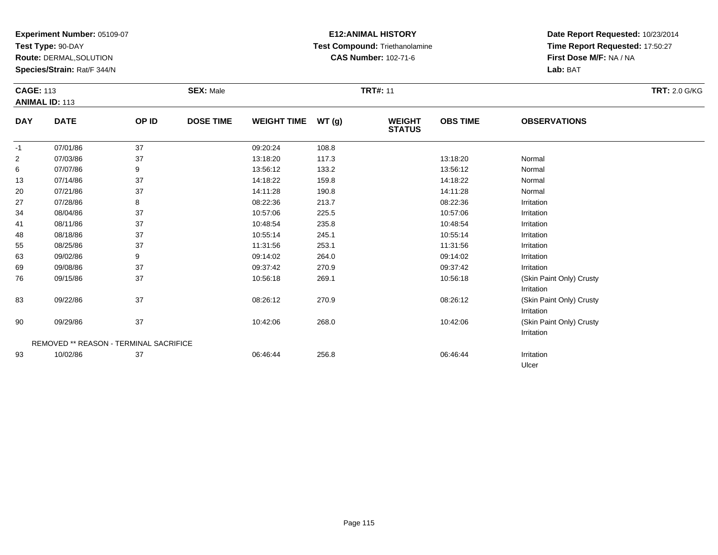**Test Type:** 90-DAY

93

**Route:** DERMAL,SOLUTION

**Species/Strain:** Rat/F 344/N

### **E12:ANIMAL HISTORY Test Compound:** Triethanolamine**CAS Number:** 102-71-6

**Date Report Requested:** 10/23/2014**Time Report Requested:** 17:50:27**First Dose M/F:** NA / NA**Lab:** BAT

Ulcer

|                | <b>CAGE: 113</b><br><b>ANIMAL ID: 113</b> |       | <b>SEX: Male</b> |                    |       | <b>TRT#: 11</b>                | <b>TRT: 2.0 G/KG</b> |                                        |  |
|----------------|-------------------------------------------|-------|------------------|--------------------|-------|--------------------------------|----------------------|----------------------------------------|--|
| <b>DAY</b>     | <b>DATE</b>                               | OP ID | <b>DOSE TIME</b> | <b>WEIGHT TIME</b> | WT(g) | <b>WEIGHT</b><br><b>STATUS</b> | <b>OBS TIME</b>      | <b>OBSERVATIONS</b>                    |  |
| $-1$           | 07/01/86                                  | 37    |                  | 09:20:24           | 108.8 |                                |                      |                                        |  |
| $\overline{c}$ | 07/03/86                                  | 37    |                  | 13:18:20           | 117.3 |                                | 13:18:20             | Normal                                 |  |
| 6              | 07/07/86                                  | 9     |                  | 13:56:12           | 133.2 |                                | 13:56:12             | Normal                                 |  |
| 13             | 07/14/86                                  | 37    |                  | 14:18:22           | 159.8 |                                | 14:18:22             | Normal                                 |  |
| 20             | 07/21/86                                  | 37    |                  | 14:11:28           | 190.8 |                                | 14:11:28             | Normal                                 |  |
| 27             | 07/28/86                                  | 8     |                  | 08:22:36           | 213.7 |                                | 08:22:36             | Irritation                             |  |
| 34             | 08/04/86                                  | 37    |                  | 10:57:06           | 225.5 |                                | 10:57:06             | Irritation                             |  |
| 41             | 08/11/86                                  | 37    |                  | 10:48:54           | 235.8 |                                | 10:48:54             | Irritation                             |  |
| 48             | 08/18/86                                  | 37    |                  | 10:55:14           | 245.1 |                                | 10:55:14             | Irritation                             |  |
| 55             | 08/25/86                                  | 37    |                  | 11:31:56           | 253.1 |                                | 11:31:56             | Irritation                             |  |
| 63             | 09/02/86                                  | 9     |                  | 09:14:02           | 264.0 |                                | 09:14:02             | Irritation                             |  |
| 69             | 09/08/86                                  | 37    |                  | 09:37:42           | 270.9 |                                | 09:37:42             | Irritation                             |  |
| 76             | 09/15/86                                  | 37    |                  | 10:56:18           | 269.1 |                                | 10:56:18             | (Skin Paint Only) Crusty<br>Irritation |  |
| 83             | 09/22/86                                  | 37    |                  | 08:26:12           | 270.9 |                                | 08:26:12             | (Skin Paint Only) Crusty<br>Irritation |  |
| 90             | 09/29/86                                  | 37    |                  | 10:42:06           | 268.0 |                                | 10:42:06             | (Skin Paint Only) Crusty<br>Irritation |  |

10/02/86 <sup>37</sup> 06:46:44 256.8 06:46:44 Irritation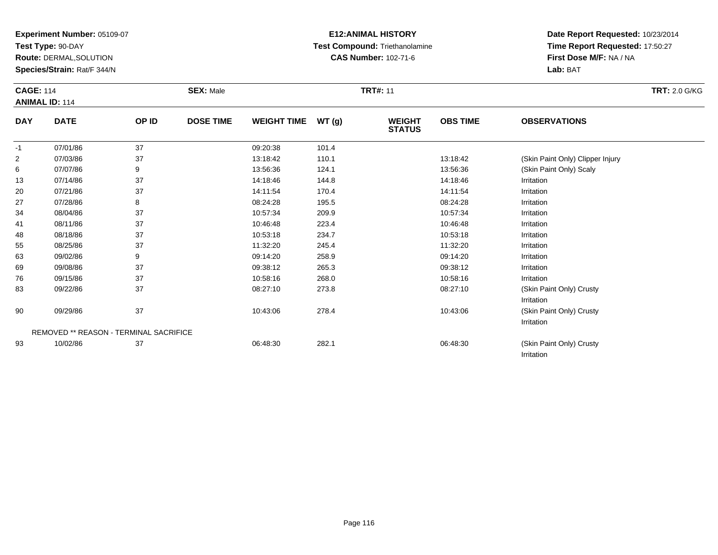**Test Type:** 90-DAY

**Route:** DERMAL,SOLUTION

**Species/Strain:** Rat/F 344/N

## **E12:ANIMAL HISTORY Test Compound:** Triethanolamine**CAS Number:** 102-71-6

**Date Report Requested:** 10/23/2014**Time Report Requested:** 17:50:27**First Dose M/F:** NA / NA**Lab:** BAT

Irritation

|                | <b>CAGE: 114</b><br><b>ANIMAL ID: 114</b>     |       | <b>SEX: Male</b> |                    |        | <b>TRT#: 11</b>                |                 | <b>TRT: 2.0 G/KG</b>             |  |
|----------------|-----------------------------------------------|-------|------------------|--------------------|--------|--------------------------------|-----------------|----------------------------------|--|
| <b>DAY</b>     | <b>DATE</b>                                   | OP ID | <b>DOSE TIME</b> | <b>WEIGHT TIME</b> | WT (g) | <b>WEIGHT</b><br><b>STATUS</b> | <b>OBS TIME</b> | <b>OBSERVATIONS</b>              |  |
| $-1$           | 07/01/86                                      | 37    |                  | 09:20:38           | 101.4  |                                |                 |                                  |  |
| $\overline{2}$ | 07/03/86                                      | 37    |                  | 13:18:42           | 110.1  |                                | 13:18:42        | (Skin Paint Only) Clipper Injury |  |
| 6              | 07/07/86                                      | 9     |                  | 13:56:36           | 124.1  |                                | 13:56:36        | (Skin Paint Only) Scaly          |  |
| 13             | 07/14/86                                      | 37    |                  | 14:18:46           | 144.8  |                                | 14:18:46        | Irritation                       |  |
| 20             | 07/21/86                                      | 37    |                  | 14:11:54           | 170.4  |                                | 14:11:54        | Irritation                       |  |
| 27             | 07/28/86                                      | 8     |                  | 08:24:28           | 195.5  |                                | 08:24:28        | Irritation                       |  |
| 34             | 08/04/86                                      | 37    |                  | 10:57:34           | 209.9  |                                | 10:57:34        | Irritation                       |  |
| 41             | 08/11/86                                      | 37    |                  | 10:46:48           | 223.4  |                                | 10:46:48        | Irritation                       |  |
| 48             | 08/18/86                                      | 37    |                  | 10:53:18           | 234.7  |                                | 10:53:18        | Irritation                       |  |
| 55             | 08/25/86                                      | 37    |                  | 11:32:20           | 245.4  |                                | 11:32:20        | Irritation                       |  |
| 63             | 09/02/86                                      | 9     |                  | 09:14:20           | 258.9  |                                | 09:14:20        | Irritation                       |  |
| 69             | 09/08/86                                      | 37    |                  | 09:38:12           | 265.3  |                                | 09:38:12        | Irritation                       |  |
| 76             | 09/15/86                                      | 37    |                  | 10:58:16           | 268.0  |                                | 10:58:16        | Irritation                       |  |
| 83             | 09/22/86                                      | 37    |                  | 08:27:10           | 273.8  |                                | 08:27:10        | (Skin Paint Only) Crusty         |  |
|                |                                               |       |                  |                    |        |                                |                 | Irritation                       |  |
| 90             | 09/29/86                                      | 37    |                  | 10:43:06           | 278.4  |                                | 10:43:06        | (Skin Paint Only) Crusty         |  |
|                |                                               |       |                  |                    |        |                                |                 | Irritation                       |  |
|                | <b>REMOVED ** REASON - TERMINAL SACRIFICE</b> |       |                  |                    |        |                                |                 |                                  |  |
| 93             | 10/02/86                                      | 37    |                  | 06:48:30           | 282.1  |                                | 06:48:30        | (Skin Paint Only) Crusty         |  |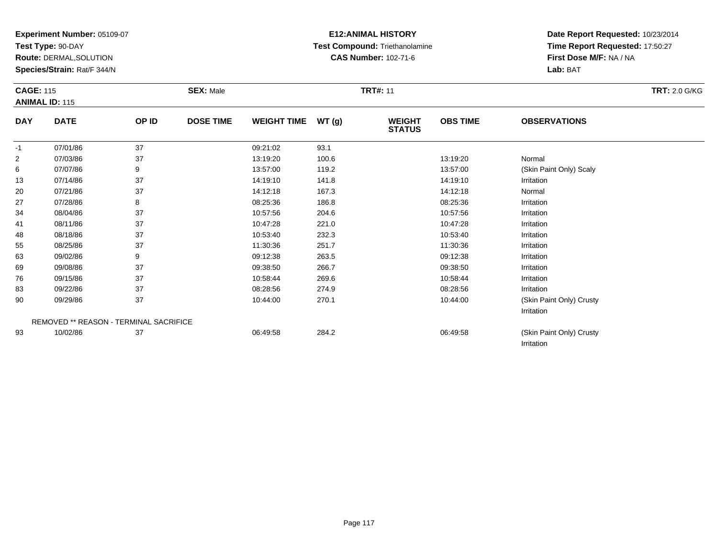**Test Type:** 90-DAY

69

76

83

90

93

**Route:** DERMAL,SOLUTION

**Species/Strain:** Rat/F 344/N

REMOVED \*\* REASON - TERMINAL SACRIFICE

### **E12:ANIMAL HISTORY Test Compound:** Triethanolamine**CAS Number:** 102-71-6

**Date Report Requested:** 10/23/2014**Time Report Requested:** 17:50:27**First Dose M/F:** NA / NA**Lab:** BAT

Irritation

Irritation

| <b>CAGE: 115</b><br><b>ANIMAL ID: 115</b> |             | <b>SEX: Male</b> |                  |                    |       |                                | <b>TRT: 2.0 G/KG</b> |                         |  |
|-------------------------------------------|-------------|------------------|------------------|--------------------|-------|--------------------------------|----------------------|-------------------------|--|
| <b>DAY</b>                                | <b>DATE</b> | OP ID            | <b>DOSE TIME</b> | <b>WEIGHT TIME</b> | WT(g) | <b>WEIGHT</b><br><b>STATUS</b> | <b>OBS TIME</b>      | <b>OBSERVATIONS</b>     |  |
| $-1$                                      | 07/01/86    | 37               |                  | 09:21:02           | 93.1  |                                |                      |                         |  |
| $\overline{2}$                            | 07/03/86    | 37               |                  | 13:19:20           | 100.6 |                                | 13:19:20             | Normal                  |  |
| 6                                         | 07/07/86    | 9                |                  | 13:57:00           | 119.2 |                                | 13:57:00             | (Skin Paint Only) Scaly |  |
| 13                                        | 07/14/86    | 37               |                  | 14:19:10           | 141.8 |                                | 14:19:10             | Irritation              |  |
| 20                                        | 07/21/86    | 37               |                  | 14:12:18           | 167.3 |                                | 14:12:18             | Normal                  |  |
| 27                                        | 07/28/86    | 8                |                  | 08:25:36           | 186.8 |                                | 08:25:36             | Irritation              |  |
| 34                                        | 08/04/86    | 37               |                  | 10:57:56           | 204.6 |                                | 10:57:56             | Irritation              |  |
| 41                                        | 08/11/86    | 37               |                  | 10:47:28           | 221.0 |                                | 10:47:28             | Irritation              |  |
| 48                                        | 08/18/86    | 37               |                  | 10:53:40           | 232.3 |                                | 10:53:40             | Irritation              |  |
| 55                                        | 08/25/86    | 37               |                  | 11:30:36           | 251.7 |                                | 11:30:36             | Irritation              |  |
| 63                                        | 09/02/86    | 9                |                  | 09:12:38           | 263.5 |                                | 09:12:38             | Irritation              |  |

09/08/86 <sup>37</sup> 09:38:50 266.7 09:38:50 Irritation

6 09/15/86 37 37 10:58:44 269.6 10:58 10:58 10:58:44 176:58:44 16:58:44 16:58:44

09/22/86 <sup>37</sup> 08:28:56 274.9 08:28:56 Irritation

0 09/29/86 37 37 10:44:00 270.1 10:44:00 10:44:00 10:44:00 (Skin Paint Only) Crusty

10/02/86 <sup>37</sup> 06:49:58 284.2 06:49:58 (Skin Paint Only) Crusty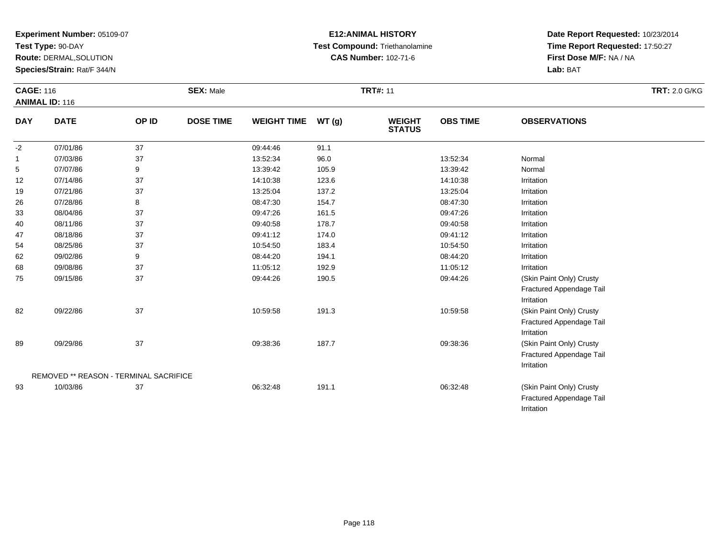**Test Type:** 90-DAY

**Route:** DERMAL,SOLUTION

**Species/Strain:** Rat/F 344/N

### **E12:ANIMAL HISTORY Test Compound:** Triethanolamine**CAS Number:** 102-71-6

**Date Report Requested:** 10/23/2014**Time Report Requested:** 17:50:27**First Dose M/F:** NA / NA**Lab:** BAT

|            | <b>CAGE: 116</b><br><b>ANIMAL ID: 116</b> |       | <b>SEX: Male</b> |                    | <b>TRT: 2.0 G/KG</b> |                                |                 |                                                                    |  |
|------------|-------------------------------------------|-------|------------------|--------------------|----------------------|--------------------------------|-----------------|--------------------------------------------------------------------|--|
| <b>DAY</b> | <b>DATE</b>                               | OP ID | <b>DOSE TIME</b> | <b>WEIGHT TIME</b> | WT(g)                | <b>WEIGHT</b><br><b>STATUS</b> | <b>OBS TIME</b> | <b>OBSERVATIONS</b>                                                |  |
| $-2$       | 07/01/86                                  | 37    |                  | 09:44:46           | 91.1                 |                                |                 |                                                                    |  |
| 1          | 07/03/86                                  | 37    |                  | 13:52:34           | 96.0                 |                                | 13:52:34        | Normal                                                             |  |
| 5          | 07/07/86                                  | 9     |                  | 13:39:42           | 105.9                |                                | 13:39:42        | Normal                                                             |  |
| 12         | 07/14/86                                  | 37    |                  | 14:10:38           | 123.6                |                                | 14:10:38        | Irritation                                                         |  |
| 19         | 07/21/86                                  | 37    |                  | 13:25:04           | 137.2                |                                | 13:25:04        | Irritation                                                         |  |
| 26         | 07/28/86                                  | 8     |                  | 08:47:30           | 154.7                |                                | 08:47:30        | Irritation                                                         |  |
| 33         | 08/04/86                                  | 37    |                  | 09:47:26           | 161.5                |                                | 09:47:26        | Irritation                                                         |  |
| 40         | 08/11/86                                  | 37    |                  | 09:40:58           | 178.7                |                                | 09:40:58        | Irritation                                                         |  |
| 47         | 08/18/86                                  | 37    |                  | 09:41:12           | 174.0                |                                | 09:41:12        | Irritation                                                         |  |
| 54         | 08/25/86                                  | 37    |                  | 10:54:50           | 183.4                |                                | 10:54:50        | Irritation                                                         |  |
| 62         | 09/02/86                                  | 9     |                  | 08:44:20           | 194.1                |                                | 08:44:20        | Irritation                                                         |  |
| 68         | 09/08/86                                  | 37    |                  | 11:05:12           | 192.9                |                                | 11:05:12        | Irritation                                                         |  |
| 75         | 09/15/86                                  | 37    |                  | 09:44:26           | 190.5                |                                | 09:44:26        | (Skin Paint Only) Crusty<br>Fractured Appendage Tail<br>Irritation |  |
| 82         | 09/22/86                                  | 37    |                  | 10:59:58           | 191.3                |                                | 10:59:58        | (Skin Paint Only) Crusty<br>Fractured Appendage Tail<br>Irritation |  |
| 89         | 09/29/86                                  | 37    |                  | 09:38:36           | 187.7                |                                | 09:38:36        | (Skin Paint Only) Crusty<br>Fractured Appendage Tail<br>Irritation |  |
|            | REMOVED ** REASON - TERMINAL SACRIFICE    |       |                  |                    |                      |                                |                 |                                                                    |  |
| 93         | 10/03/86                                  | 37    |                  | 06:32:48           | 191.1                |                                | 06:32:48        | (Skin Paint Only) Crusty                                           |  |

Fractured Appendage TailIrritation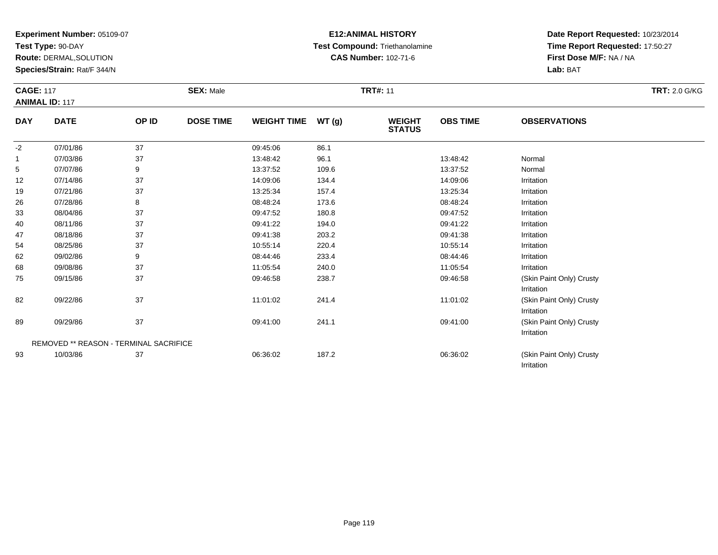**Test Type:** 90-DAY

89

93

REMOVED \*\* REASON - TERMINAL SACRIFICE

**Route:** DERMAL,SOLUTION

**Species/Strain:** Rat/F 344/N

### **E12:ANIMAL HISTORY Test Compound:** Triethanolamine**CAS Number:** 102-71-6

**Date Report Requested:** 10/23/2014**Time Report Requested:** 17:50:27**First Dose M/F:** NA / NA**Lab:** BAT

Irritation

Irritation

|            | <b>CAGE: 117</b><br><b>ANIMAL ID: 117</b> |       | <b>SEX: Male</b> |                    |       | <b>TRT#: 11</b>                |                 |                                        | <b>TRT: 2.0 G/KG</b> |
|------------|-------------------------------------------|-------|------------------|--------------------|-------|--------------------------------|-----------------|----------------------------------------|----------------------|
| <b>DAY</b> | <b>DATE</b>                               | OP ID | <b>DOSE TIME</b> | <b>WEIGHT TIME</b> | WT(g) | <b>WEIGHT</b><br><b>STATUS</b> | <b>OBS TIME</b> | <b>OBSERVATIONS</b>                    |                      |
| $-2$       | 07/01/86                                  | 37    |                  | 09:45:06           | 86.1  |                                |                 |                                        |                      |
|            | 07/03/86                                  | 37    |                  | 13:48:42           | 96.1  |                                | 13:48:42        | Normal                                 |                      |
| 5          | 07/07/86                                  | 9     |                  | 13:37:52           | 109.6 |                                | 13:37:52        | Normal                                 |                      |
| 12         | 07/14/86                                  | 37    |                  | 14:09:06           | 134.4 |                                | 14:09:06        | Irritation                             |                      |
| 19         | 07/21/86                                  | 37    |                  | 13:25:34           | 157.4 |                                | 13:25:34        | Irritation                             |                      |
| 26         | 07/28/86                                  | 8     |                  | 08:48:24           | 173.6 |                                | 08:48:24        | Irritation                             |                      |
| 33         | 08/04/86                                  | 37    |                  | 09:47:52           | 180.8 |                                | 09:47:52        | Irritation                             |                      |
| 40         | 08/11/86                                  | 37    |                  | 09:41:22           | 194.0 |                                | 09:41:22        | Irritation                             |                      |
| 47         | 08/18/86                                  | 37    |                  | 09:41:38           | 203.2 |                                | 09:41:38        | Irritation                             |                      |
| 54         | 08/25/86                                  | 37    |                  | 10:55:14           | 220.4 |                                | 10:55:14        | Irritation                             |                      |
| 62         | 09/02/86                                  | 9     |                  | 08:44:46           | 233.4 |                                | 08:44:46        | Irritation                             |                      |
| 68         | 09/08/86                                  | 37    |                  | 11:05:54           | 240.0 |                                | 11:05:54        | Irritation                             |                      |
| 75         | 09/15/86                                  | 37    |                  | 09:46:58           | 238.7 |                                | 09:46:58        | (Skin Paint Only) Crusty               |                      |
|            |                                           |       |                  |                    |       |                                |                 | Irritation                             |                      |
| 82         | 09/22/86                                  | 37    |                  | 11:01:02           | 241.4 |                                | 11:01:02        | (Skin Paint Only) Crusty<br>Irritation |                      |

09/29/86 <sup>37</sup> 09:41:00 241.1 09:41:00 (Skin Paint Only) Crusty

10/03/86 <sup>37</sup> 06:36:02 187.2 06:36:02 (Skin Paint Only) Crusty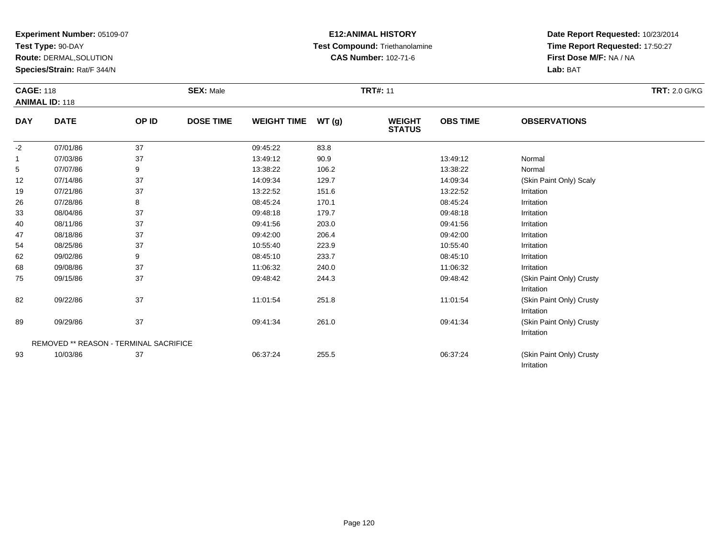**Test Type:** 90-DAY

89

93

REMOVED \*\* REASON - TERMINAL SACRIFICE

**Route:** DERMAL,SOLUTION

**Species/Strain:** Rat/F 344/N

### **E12:ANIMAL HISTORY Test Compound:** Triethanolamine**CAS Number:** 102-71-6

**Date Report Requested:** 10/23/2014**Time Report Requested:** 17:50:27**First Dose M/F:** NA / NA**Lab:** BAT

Irritation

Irritation

Irritation

(Skin Paint Only) Crusty

| <b>CAGE: 118</b> | <b>ANIMAL ID: 118</b> |       | <b>SEX: Male</b> |                    |        | <b>TRT#: 11</b>                |                 |                                        | <b>TRT: 2.0 G/KG</b> |
|------------------|-----------------------|-------|------------------|--------------------|--------|--------------------------------|-----------------|----------------------------------------|----------------------|
| <b>DAY</b>       | <b>DATE</b>           | OP ID | <b>DOSE TIME</b> | <b>WEIGHT TIME</b> | WT (g) | <b>WEIGHT</b><br><b>STATUS</b> | <b>OBS TIME</b> | <b>OBSERVATIONS</b>                    |                      |
| $-2$             | 07/01/86              | 37    |                  | 09:45:22           | 83.8   |                                |                 |                                        |                      |
|                  | 07/03/86              | 37    |                  | 13:49:12           | 90.9   |                                | 13:49:12        | Normal                                 |                      |
| 5                | 07/07/86              | 9     |                  | 13:38:22           | 106.2  |                                | 13:38:22        | Normal                                 |                      |
| 12               | 07/14/86              | 37    |                  | 14:09:34           | 129.7  |                                | 14:09:34        | (Skin Paint Only) Scaly                |                      |
| 19               | 07/21/86              | 37    |                  | 13:22:52           | 151.6  |                                | 13:22:52        | Irritation                             |                      |
| 26               | 07/28/86              | 8     |                  | 08:45:24           | 170.1  |                                | 08:45:24        | Irritation                             |                      |
| 33               | 08/04/86              | 37    |                  | 09:48:18           | 179.7  |                                | 09:48:18        | Irritation                             |                      |
| 40               | 08/11/86              | 37    |                  | 09:41:56           | 203.0  |                                | 09:41:56        | Irritation                             |                      |
| 47               | 08/18/86              | 37    |                  | 09:42:00           | 206.4  |                                | 09:42:00        | Irritation                             |                      |
| 54               | 08/25/86              | 37    |                  | 10:55:40           | 223.9  |                                | 10:55:40        | Irritation                             |                      |
| 62               | 09/02/86              | 9     |                  | 08:45:10           | 233.7  |                                | 08:45:10        | Irritation                             |                      |
| 68               | 09/08/86              | 37    |                  | 11:06:32           | 240.0  |                                | 11:06:32        | Irritation                             |                      |
| 75               | 09/15/86              | 37    |                  | 09:48:42           | 244.3  |                                | 09:48:42        | (Skin Paint Only) Crusty<br>Irritation |                      |
| 82               | 09/22/86              | 37    |                  | 11:01:54           | 251.8  |                                | 11:01:54        | (Skin Paint Only) Crusty               |                      |

09/29/86 <sup>37</sup> 09:41:34 261.0 09:41:34 (Skin Paint Only) Crusty

10/03/86 <sup>37</sup> 06:37:24 255.5 06:37:24 (Skin Paint Only) Crusty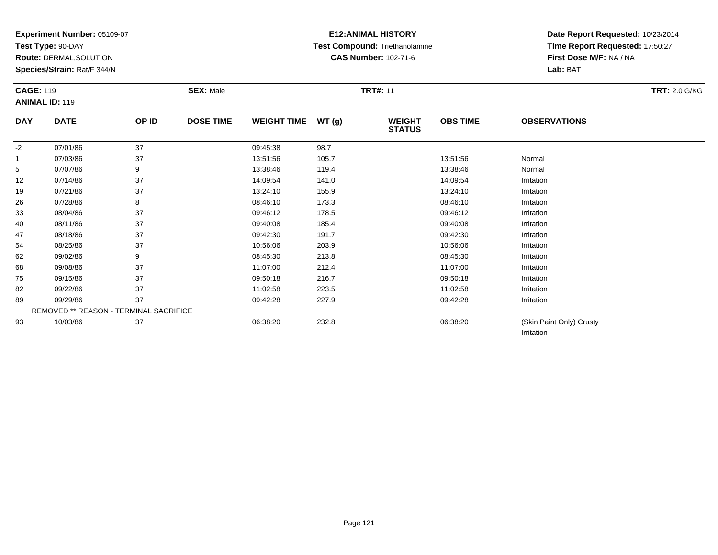**Test Type:** 90-DAY

**Route:** DERMAL,SOLUTION

**Species/Strain:** Rat/F 344/N

### **E12:ANIMAL HISTORY Test Compound:** Triethanolamine**CAS Number:** 102-71-6

**Date Report Requested:** 10/23/2014**Time Report Requested:** 17:50:27**First Dose M/F:** NA / NA**Lab:** BAT

Irritation

| <b>CAGE: 119</b> | <b>ANIMAL ID: 119</b> |       | <b>SEX: Male</b> |                    |       | <b>TRT#: 11</b>                |                 |                     | <b>TRT: 2.0 G/KG</b> |
|------------------|-----------------------|-------|------------------|--------------------|-------|--------------------------------|-----------------|---------------------|----------------------|
| <b>DAY</b>       | <b>DATE</b>           | OP ID | <b>DOSE TIME</b> | <b>WEIGHT TIME</b> | WT(g) | <b>WEIGHT</b><br><b>STATUS</b> | <b>OBS TIME</b> | <b>OBSERVATIONS</b> |                      |
| $-2$             | 07/01/86              | 37    |                  | 09:45:38           | 98.7  |                                |                 |                     |                      |
|                  | 07/03/86              | 37    |                  | 13:51:56           | 105.7 |                                | 13.51.56        | Normal              |                      |
| 5                | 07/07/86              | 9     |                  | 13:38:46           | 119.4 |                                | 13:38:46        | Normal              |                      |
| 12               | 07/14/86              | 37    |                  | 14:09:54           | 141.0 |                                | 14:09:54        | Irritation          |                      |
| 19               | 07/21/86              | 37    |                  | 13:24:10           | 155.9 |                                | 13:24:10        | Irritation          |                      |
| 26               | 07/28/86              | 8     |                  | 08:46:10           | 173.3 |                                | 08:46:10        | Irritation          |                      |
| 33               | 08/04/86              | 37    |                  | 09:46:12           | 178.5 |                                | 09:46:12        | Irritation          |                      |
| 40               | 08/11/86              | 37    |                  | 09:40:08           | 185.4 |                                | 09:40:08        | Irritation          |                      |
| 47               | 08/18/86              | 37    |                  | 09:42:30           | 191.7 |                                | 09:42:30        | Irritation          |                      |
| 54               | 08/25/86              | 37    |                  | 10:56:06           | 203.9 |                                | 10:56:06        | Irritation          |                      |
| 62               | 09/02/86              | 9     |                  | 08:45:30           | 213.8 |                                | 08:45:30        | Irritation          |                      |
| 68               | 09/08/86              | 37    |                  | 11:07:00           | 212.4 |                                | 11:07:00        | Irritation          |                      |
| 75               | 09/15/86              | 37    |                  | 09:50:18           | 216.7 |                                | 09:50:18        | Irritation          |                      |
| 82               | 09/22/86              | 37    |                  | 11:02:58           | 223.5 |                                | 11:02:58        | Irritation          |                      |
| 89               | 09/29/86              | 37    |                  | 09:42:28           | 227.9 |                                | 09:42:28        | Irritation          |                      |

REMOVED \*\* REASON - TERMINAL SACRIFICE9310/03/86 <sup>37</sup> 06:38:20 232.8 06:38:20 (Skin Paint Only) Crusty

Page 121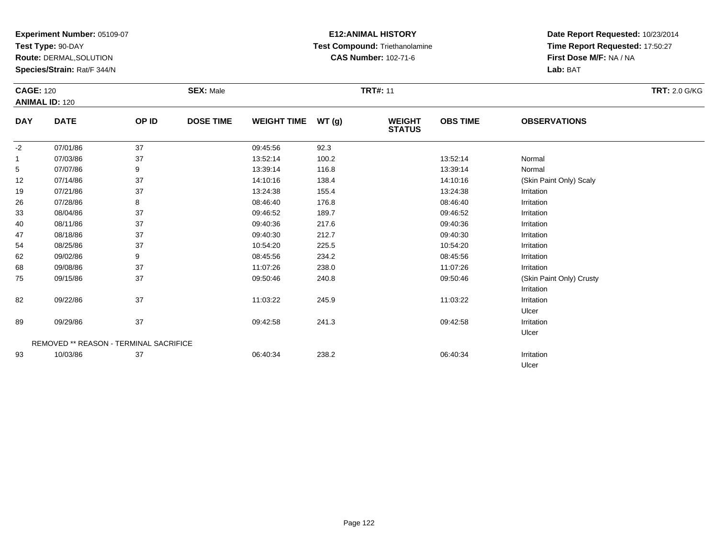**Test Type:** 90-DAY

93

**Route:** DERMAL,SOLUTION

**Species/Strain:** Rat/F 344/N

### **E12:ANIMAL HISTORY Test Compound:** Triethanolamine**CAS Number:** 102-71-6

**Date Report Requested:** 10/23/2014**Time Report Requested:** 17:50:27**First Dose M/F:** NA / NA**Lab:** BAT

Ulcer

| <b>CAGE: 120</b> | <b>ANIMAL ID: 120</b>                         |       | <b>SEX: Male</b> |                    |       | <b>TRT#: 11</b>                |                 |                          | <b>TRT: 2.0 G/KG</b> |
|------------------|-----------------------------------------------|-------|------------------|--------------------|-------|--------------------------------|-----------------|--------------------------|----------------------|
| <b>DAY</b>       | <b>DATE</b>                                   | OP ID | <b>DOSE TIME</b> | <b>WEIGHT TIME</b> | WT(g) | <b>WEIGHT</b><br><b>STATUS</b> | <b>OBS TIME</b> | <b>OBSERVATIONS</b>      |                      |
| $-2$             | 07/01/86                                      | 37    |                  | 09:45:56           | 92.3  |                                |                 |                          |                      |
| $\overline{1}$   | 07/03/86                                      | 37    |                  | 13:52:14           | 100.2 |                                | 13:52:14        | Normal                   |                      |
| 5                | 07/07/86                                      | 9     |                  | 13:39:14           | 116.8 |                                | 13:39:14        | Normal                   |                      |
| 12               | 07/14/86                                      | 37    |                  | 14:10:16           | 138.4 |                                | 14:10:16        | (Skin Paint Only) Scaly  |                      |
| 19               | 07/21/86                                      | 37    |                  | 13:24:38           | 155.4 |                                | 13:24:38        | Irritation               |                      |
| 26               | 07/28/86                                      | 8     |                  | 08:46:40           | 176.8 |                                | 08:46:40        | Irritation               |                      |
| 33               | 08/04/86                                      | 37    |                  | 09:46:52           | 189.7 |                                | 09:46:52        | Irritation               |                      |
| 40               | 08/11/86                                      | 37    |                  | 09:40:36           | 217.6 |                                | 09:40:36        | Irritation               |                      |
| 47               | 08/18/86                                      | 37    |                  | 09:40:30           | 212.7 |                                | 09:40:30        | Irritation               |                      |
| 54               | 08/25/86                                      | 37    |                  | 10:54:20           | 225.5 |                                | 10:54:20        | Irritation               |                      |
| 62               | 09/02/86                                      | 9     |                  | 08:45:56           | 234.2 |                                | 08:45:56        | Irritation               |                      |
| 68               | 09/08/86                                      | 37    |                  | 11:07:26           | 238.0 |                                | 11:07:26        | Irritation               |                      |
| 75               | 09/15/86                                      | 37    |                  | 09:50:46           | 240.8 |                                | 09:50:46        | (Skin Paint Only) Crusty |                      |
|                  |                                               |       |                  |                    |       |                                |                 | Irritation               |                      |
| 82               | 09/22/86                                      | 37    |                  | 11:03:22           | 245.9 |                                | 11:03:22        | Irritation               |                      |
|                  |                                               |       |                  |                    |       |                                |                 | Ulcer                    |                      |
| 89               | 09/29/86                                      | 37    |                  | 09:42:58           | 241.3 |                                | 09:42:58        | Irritation               |                      |
|                  |                                               |       |                  |                    |       |                                |                 | Ulcer                    |                      |
|                  | <b>REMOVED ** REASON - TERMINAL SACRIFICE</b> |       |                  |                    |       |                                |                 |                          |                      |

10/03/86 <sup>37</sup> 06:40:34 238.2 06:40:34 Irritation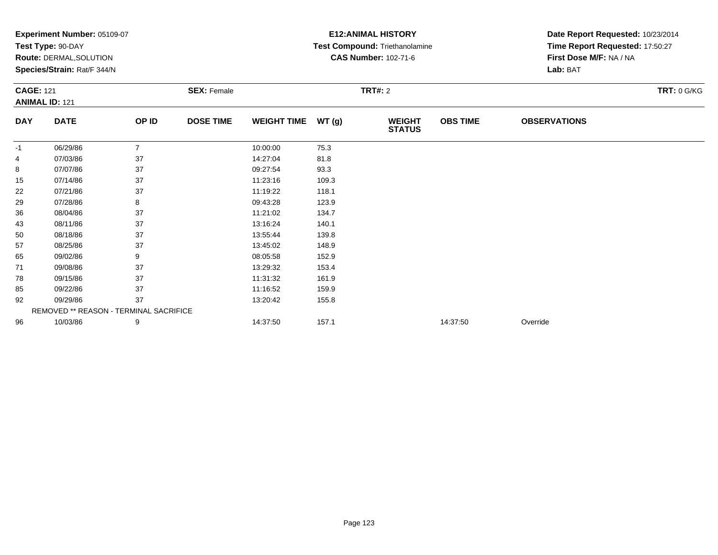|                  | Experiment Number: 05109-07<br>Test Type: 90-DAY |                |                    |                    | <b>E12: ANIMAL HISTORY</b><br>Test Compound: Triethanolamine | Date Report Requested: 10/23/2014<br>Time Report Requested: 17:50:27 |                 |                         |                    |
|------------------|--------------------------------------------------|----------------|--------------------|--------------------|--------------------------------------------------------------|----------------------------------------------------------------------|-----------------|-------------------------|--------------------|
|                  | Route: DERMAL, SOLUTION                          |                |                    |                    |                                                              | <b>CAS Number: 102-71-6</b>                                          |                 | First Dose M/F: NA / NA |                    |
|                  | Species/Strain: Rat/F 344/N                      |                |                    |                    |                                                              |                                                                      |                 | Lab: BAT                |                    |
| <b>CAGE: 121</b> | <b>ANIMAL ID: 121</b>                            |                | <b>SEX: Female</b> |                    |                                                              | <b>TRT#: 2</b>                                                       |                 |                         | <b>TRT: 0 G/KG</b> |
| <b>DAY</b>       | <b>DATE</b>                                      | OP ID          | <b>DOSE TIME</b>   | <b>WEIGHT TIME</b> | WT(g)                                                        | <b>WEIGHT</b><br><b>STATUS</b>                                       | <b>OBS TIME</b> | <b>OBSERVATIONS</b>     |                    |
| -1               | 06/29/86                                         | $\overline{7}$ |                    | 10:00:00           | 75.3                                                         |                                                                      |                 |                         |                    |
| 4                | 07/03/86                                         | 37             |                    | 14:27:04           | 81.8                                                         |                                                                      |                 |                         |                    |
| 8                | 07/07/86                                         | 37             |                    | 09:27:54           | 93.3                                                         |                                                                      |                 |                         |                    |
| 15               | 07/14/86                                         | 37             |                    | 11:23:16           | 109.3                                                        |                                                                      |                 |                         |                    |
| 22               | 07/21/86                                         | 37             |                    | 11:19:22           | 118.1                                                        |                                                                      |                 |                         |                    |
| 29               | 07/28/86                                         | 8              |                    | 09:43:28           | 123.9                                                        |                                                                      |                 |                         |                    |
| 36               | 08/04/86                                         | 37             |                    | 11:21:02           | 134.7                                                        |                                                                      |                 |                         |                    |
| 43               | 08/11/86                                         | 37             |                    | 13:16:24           | 140.1                                                        |                                                                      |                 |                         |                    |
| 50               | 08/18/86                                         | 37             |                    | 13:55:44           | 139.8                                                        |                                                                      |                 |                         |                    |
| 57               | 08/25/86                                         | 37             |                    | 13:45:02           | 148.9                                                        |                                                                      |                 |                         |                    |
| 65               | 09/02/86                                         | 9              |                    | 08:05:58           | 152.9                                                        |                                                                      |                 |                         |                    |
| 71               | 09/08/86                                         | 37             |                    | 13:29:32           | 153.4                                                        |                                                                      |                 |                         |                    |
| 78               | 09/15/86                                         | 37             |                    | 11:31:32           | 161.9                                                        |                                                                      |                 |                         |                    |
| 85               | 09/22/86                                         | 37             |                    | 11:16:52           | 159.9                                                        |                                                                      |                 |                         |                    |
| 92               | 09/29/86                                         | 37             |                    | 13:20:42           | 155.8                                                        |                                                                      |                 |                         |                    |
|                  | <b>REMOVED ** REASON - TERMINAL SACRIFICE</b>    |                |                    |                    |                                                              |                                                                      |                 |                         |                    |
| 96               | 10/03/86                                         | 9              |                    | 14:37:50           | 157.1                                                        |                                                                      | 14:37:50        | Override                |                    |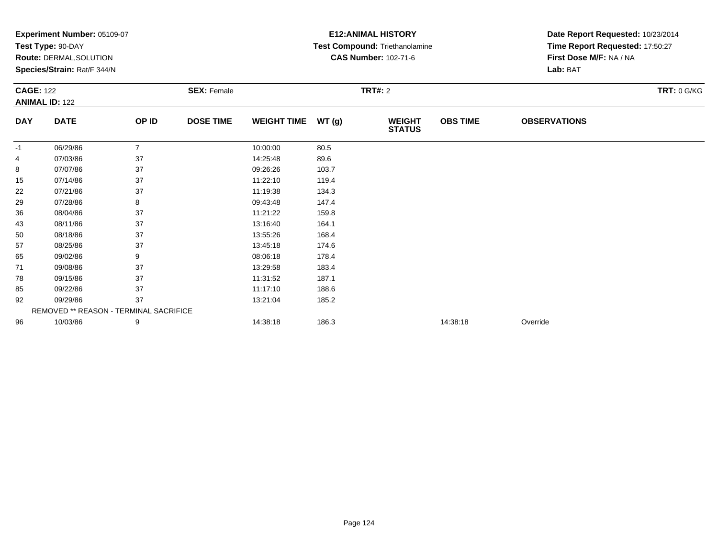|                  | <b>Experiment Number: 05109-07</b>     |                |                    |                    | <b>E12:ANIMAL HISTORY</b> | Date Report Requested: 10/23/2014 |                 |                                 |                    |
|------------------|----------------------------------------|----------------|--------------------|--------------------|---------------------------|-----------------------------------|-----------------|---------------------------------|--------------------|
|                  | Test Type: 90-DAY                      |                |                    |                    |                           | Test Compound: Triethanolamine    |                 | Time Report Requested: 17:50:27 |                    |
|                  | Route: DERMAL, SOLUTION                |                |                    |                    |                           | <b>CAS Number: 102-71-6</b>       |                 | First Dose M/F: NA / NA         |                    |
|                  | Species/Strain: Rat/F 344/N            |                |                    |                    |                           |                                   |                 | Lab: BAT                        |                    |
| <b>CAGE: 122</b> |                                        |                | <b>SEX: Female</b> |                    |                           | <b>TRT#: 2</b>                    |                 |                                 | <b>TRT: 0 G/KG</b> |
|                  | <b>ANIMAL ID: 122</b>                  |                |                    |                    |                           |                                   |                 |                                 |                    |
| <b>DAY</b>       | <b>DATE</b>                            | OP ID          | <b>DOSE TIME</b>   | <b>WEIGHT TIME</b> | WT(g)                     | <b>WEIGHT</b><br><b>STATUS</b>    | <b>OBS TIME</b> | <b>OBSERVATIONS</b>             |                    |
| -1               | 06/29/86                               | $\overline{7}$ |                    | 10:00:00           | 80.5                      |                                   |                 |                                 |                    |
| 4                | 07/03/86                               | 37             |                    | 14:25:48           | 89.6                      |                                   |                 |                                 |                    |
| 8                | 07/07/86                               | 37             |                    | 09:26:26           | 103.7                     |                                   |                 |                                 |                    |
| 15               | 07/14/86                               | 37             |                    | 11:22:10           | 119.4                     |                                   |                 |                                 |                    |
| 22               | 07/21/86                               | 37             |                    | 11:19:38           | 134.3                     |                                   |                 |                                 |                    |
| 29               | 07/28/86                               | 8              |                    | 09:43:48           | 147.4                     |                                   |                 |                                 |                    |
| 36               | 08/04/86                               | 37             |                    | 11:21:22           | 159.8                     |                                   |                 |                                 |                    |
| 43               | 08/11/86                               | 37             |                    | 13:16:40           | 164.1                     |                                   |                 |                                 |                    |
| 50               | 08/18/86                               | 37             |                    | 13:55:26           | 168.4                     |                                   |                 |                                 |                    |
| 57               | 08/25/86                               | 37             |                    | 13:45:18           | 174.6                     |                                   |                 |                                 |                    |
| 65               | 09/02/86                               | 9              |                    | 08:06:18           | 178.4                     |                                   |                 |                                 |                    |
| 71               | 09/08/86                               | 37             |                    | 13:29:58           | 183.4                     |                                   |                 |                                 |                    |
| 78               | 09/15/86                               | 37             |                    | 11:31:52           | 187.1                     |                                   |                 |                                 |                    |
| 85               | 09/22/86                               | 37             |                    | 11:17:10           | 188.6                     |                                   |                 |                                 |                    |
| 92               | 09/29/86                               | 37             |                    | 13:21:04           | 185.2                     |                                   |                 |                                 |                    |
|                  | REMOVED ** REASON - TERMINAL SACRIFICE |                |                    |                    |                           |                                   |                 |                                 |                    |
| 96               | 10/03/86                               | 9              |                    | 14:38:18           | 186.3                     |                                   | 14:38:18        | Override                        |                    |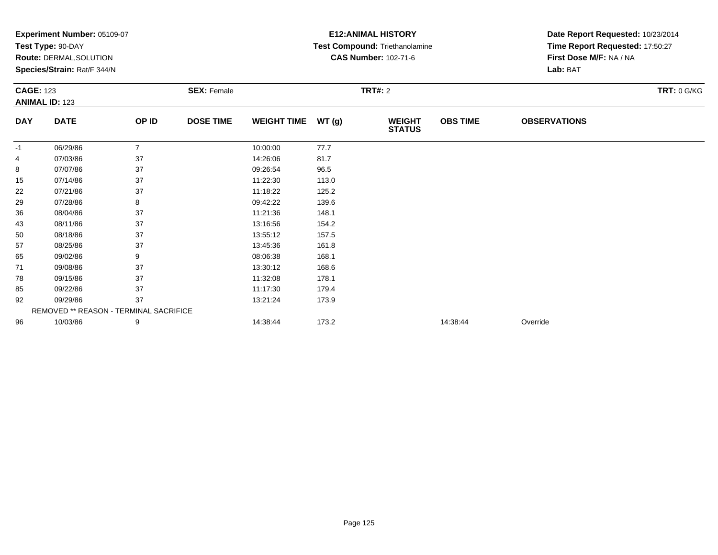|                  | <b>Experiment Number: 05109-07</b>     |                |                    |                    | <b>E12:ANIMAL HISTORY</b> | Date Report Requested: 10/23/2014 |                 |                                 |                    |
|------------------|----------------------------------------|----------------|--------------------|--------------------|---------------------------|-----------------------------------|-----------------|---------------------------------|--------------------|
|                  | Test Type: 90-DAY                      |                |                    |                    |                           | Test Compound: Triethanolamine    |                 | Time Report Requested: 17:50:27 |                    |
|                  | Route: DERMAL, SOLUTION                |                |                    |                    |                           | <b>CAS Number: 102-71-6</b>       |                 | First Dose M/F: NA / NA         |                    |
|                  | Species/Strain: Rat/F 344/N            |                |                    |                    |                           |                                   |                 | Lab: BAT                        |                    |
| <b>CAGE: 123</b> |                                        |                | <b>SEX: Female</b> |                    |                           | <b>TRT#: 2</b>                    |                 |                                 | <b>TRT: 0 G/KG</b> |
|                  | <b>ANIMAL ID: 123</b>                  |                |                    |                    |                           |                                   |                 |                                 |                    |
| <b>DAY</b>       | <b>DATE</b>                            | OP ID          | <b>DOSE TIME</b>   | <b>WEIGHT TIME</b> | WT(g)                     | <b>WEIGHT</b><br><b>STATUS</b>    | <b>OBS TIME</b> | <b>OBSERVATIONS</b>             |                    |
| -1               | 06/29/86                               | $\overline{7}$ |                    | 10:00:00           | 77.7                      |                                   |                 |                                 |                    |
| 4                | 07/03/86                               | 37             |                    | 14:26:06           | 81.7                      |                                   |                 |                                 |                    |
| 8                | 07/07/86                               | 37             |                    | 09:26:54           | 96.5                      |                                   |                 |                                 |                    |
| 15               | 07/14/86                               | 37             |                    | 11:22:30           | 113.0                     |                                   |                 |                                 |                    |
| 22               | 07/21/86                               | 37             |                    | 11:18:22           | 125.2                     |                                   |                 |                                 |                    |
| 29               | 07/28/86                               | 8              |                    | 09:42:22           | 139.6                     |                                   |                 |                                 |                    |
| 36               | 08/04/86                               | 37             |                    | 11:21:36           | 148.1                     |                                   |                 |                                 |                    |
| 43               | 08/11/86                               | 37             |                    | 13:16:56           | 154.2                     |                                   |                 |                                 |                    |
| 50               | 08/18/86                               | 37             |                    | 13:55:12           | 157.5                     |                                   |                 |                                 |                    |
| 57               | 08/25/86                               | 37             |                    | 13:45:36           | 161.8                     |                                   |                 |                                 |                    |
| 65               | 09/02/86                               | 9              |                    | 08:06:38           | 168.1                     |                                   |                 |                                 |                    |
| 71               | 09/08/86                               | 37             |                    | 13:30:12           | 168.6                     |                                   |                 |                                 |                    |
| 78               | 09/15/86                               | 37             |                    | 11:32:08           | 178.1                     |                                   |                 |                                 |                    |
| 85               | 09/22/86                               | 37             |                    | 11:17:30           | 179.4                     |                                   |                 |                                 |                    |
| 92               | 09/29/86                               | 37             |                    | 13:21:24           | 173.9                     |                                   |                 |                                 |                    |
|                  | REMOVED ** REASON - TERMINAL SACRIFICE |                |                    |                    |                           |                                   |                 |                                 |                    |
| 96               | 10/03/86                               | 9              |                    | 14:38:44           | 173.2                     |                                   | 14:38:44        | Override                        |                    |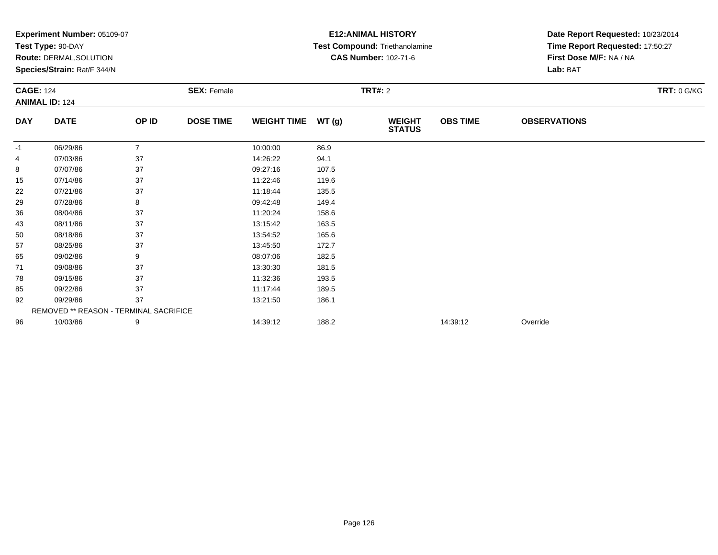|                  |                                               |                |                    |                    | Date Report Requested: 10/23/2014 |                                |                 |                                 |                    |
|------------------|-----------------------------------------------|----------------|--------------------|--------------------|-----------------------------------|--------------------------------|-----------------|---------------------------------|--------------------|
|                  | Test Type: 90-DAY                             |                |                    |                    |                                   | Test Compound: Triethanolamine |                 | Time Report Requested: 17:50:27 |                    |
|                  | Route: DERMAL, SOLUTION                       |                |                    |                    |                                   | <b>CAS Number: 102-71-6</b>    |                 | First Dose M/F: NA / NA         |                    |
|                  | Species/Strain: Rat/F 344/N                   |                |                    |                    |                                   |                                |                 | Lab: BAT                        |                    |
| <b>CAGE: 124</b> |                                               |                | <b>SEX: Female</b> |                    |                                   | <b>TRT#: 2</b>                 |                 |                                 | <b>TRT: 0 G/KG</b> |
|                  | <b>ANIMAL ID: 124</b>                         |                |                    |                    |                                   |                                |                 |                                 |                    |
| <b>DAY</b>       | <b>DATE</b>                                   | OP ID          | <b>DOSE TIME</b>   | <b>WEIGHT TIME</b> | WT(g)                             | <b>WEIGHT</b><br><b>STATUS</b> | <b>OBS TIME</b> | <b>OBSERVATIONS</b>             |                    |
| -1               | 06/29/86                                      | $\overline{7}$ |                    | 10:00:00           | 86.9                              |                                |                 |                                 |                    |
| 4                | 07/03/86                                      | 37             |                    | 14:26:22           | 94.1                              |                                |                 |                                 |                    |
| 8                | 07/07/86                                      | 37             |                    | 09:27:16           | 107.5                             |                                |                 |                                 |                    |
| 15               | 07/14/86                                      | 37             |                    | 11:22:46           | 119.6                             |                                |                 |                                 |                    |
| 22               | 07/21/86                                      | 37             |                    | 11:18:44           | 135.5                             |                                |                 |                                 |                    |
| 29               | 07/28/86                                      | 8              |                    | 09:42:48           | 149.4                             |                                |                 |                                 |                    |
| 36               | 08/04/86                                      | 37             |                    | 11:20:24           | 158.6                             |                                |                 |                                 |                    |
| 43               | 08/11/86                                      | 37             |                    | 13:15:42           | 163.5                             |                                |                 |                                 |                    |
| 50               | 08/18/86                                      | 37             |                    | 13:54:52           | 165.6                             |                                |                 |                                 |                    |
| 57               | 08/25/86                                      | 37             |                    | 13:45:50           | 172.7                             |                                |                 |                                 |                    |
| 65               | 09/02/86                                      | 9              |                    | 08:07:06           | 182.5                             |                                |                 |                                 |                    |
| 71               | 09/08/86                                      | 37             |                    | 13:30:30           | 181.5                             |                                |                 |                                 |                    |
| 78               | 09/15/86                                      | 37             |                    | 11:32:36           | 193.5                             |                                |                 |                                 |                    |
| 85               | 09/22/86                                      | 37             |                    | 11:17:44           | 189.5                             |                                |                 |                                 |                    |
| 92               | 09/29/86                                      | 37             |                    | 13:21:50           | 186.1                             |                                |                 |                                 |                    |
|                  | <b>REMOVED ** REASON - TERMINAL SACRIFICE</b> |                |                    |                    |                                   |                                |                 |                                 |                    |
| 96               | 10/03/86                                      | 9              |                    | 14:39:12           | 188.2                             |                                | 14:39:12        | Override                        |                    |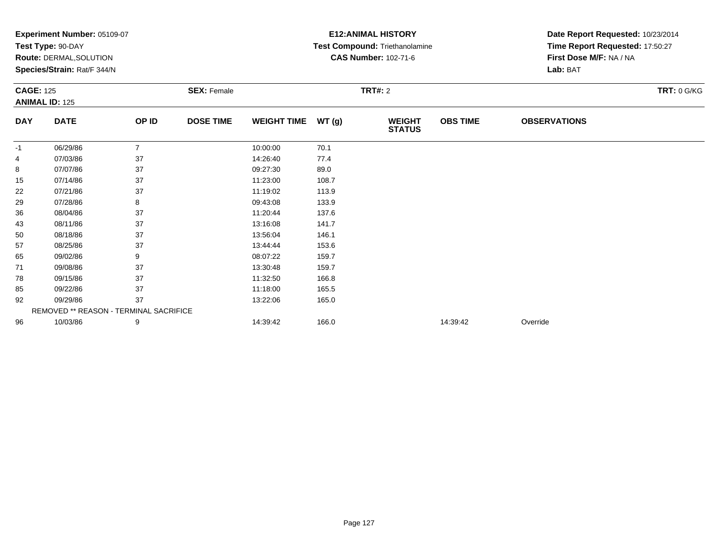|                  | Test Type: 90-DAY<br>Route: DERMAL, SOLUTION |                |                    |                    |       |                                |                 |                                 |                    |  |
|------------------|----------------------------------------------|----------------|--------------------|--------------------|-------|--------------------------------|-----------------|---------------------------------|--------------------|--|
|                  |                                              |                |                    |                    |       | Test Compound: Triethanolamine |                 | Time Report Requested: 17:50:27 |                    |  |
|                  |                                              |                |                    |                    |       | <b>CAS Number: 102-71-6</b>    |                 | First Dose M/F: NA / NA         |                    |  |
|                  | Species/Strain: Rat/F 344/N                  |                |                    |                    |       |                                |                 | Lab: BAT                        |                    |  |
| <b>CAGE: 125</b> |                                              |                | <b>SEX: Female</b> |                    |       | <b>TRT#: 2</b>                 |                 |                                 | <b>TRT: 0 G/KG</b> |  |
|                  | <b>ANIMAL ID: 125</b>                        |                |                    |                    |       |                                |                 |                                 |                    |  |
| <b>DAY</b>       | <b>DATE</b>                                  | OP ID          | <b>DOSE TIME</b>   | <b>WEIGHT TIME</b> | WT(g) | <b>WEIGHT</b><br><b>STATUS</b> | <b>OBS TIME</b> | <b>OBSERVATIONS</b>             |                    |  |
| -1               | 06/29/86                                     | $\overline{7}$ |                    | 10:00:00           | 70.1  |                                |                 |                                 |                    |  |
| 4                | 07/03/86                                     | 37             |                    | 14:26:40           | 77.4  |                                |                 |                                 |                    |  |
| 8                | 07/07/86                                     | 37             |                    | 09:27:30           | 89.0  |                                |                 |                                 |                    |  |
| 15               | 07/14/86                                     | 37             |                    | 11:23:00           | 108.7 |                                |                 |                                 |                    |  |
| 22               | 07/21/86                                     | 37             |                    | 11:19:02           | 113.9 |                                |                 |                                 |                    |  |
| 29               | 07/28/86                                     | 8              |                    | 09:43:08           | 133.9 |                                |                 |                                 |                    |  |
| 36               | 08/04/86                                     | 37             |                    | 11:20:44           | 137.6 |                                |                 |                                 |                    |  |
| 43               | 08/11/86                                     | 37             |                    | 13:16:08           | 141.7 |                                |                 |                                 |                    |  |
| 50               | 08/18/86                                     | 37             |                    | 13:56:04           | 146.1 |                                |                 |                                 |                    |  |
| 57               | 08/25/86                                     | 37             |                    | 13:44:44           | 153.6 |                                |                 |                                 |                    |  |
| 65               | 09/02/86                                     | 9              |                    | 08:07:22           | 159.7 |                                |                 |                                 |                    |  |
| 71               | 09/08/86                                     | 37             |                    | 13:30:48           | 159.7 |                                |                 |                                 |                    |  |
| 78               | 09/15/86                                     | 37             |                    | 11:32:50           | 166.8 |                                |                 |                                 |                    |  |
| 85               | 09/22/86                                     | 37             |                    | 11:18:00           | 165.5 |                                |                 |                                 |                    |  |
| 92               | 09/29/86                                     | 37             |                    | 13:22:06           | 165.0 |                                |                 |                                 |                    |  |
|                  | REMOVED ** REASON - TERMINAL SACRIFICE       |                |                    |                    |       |                                |                 |                                 |                    |  |
| 96               | 10/03/86                                     | 9              |                    | 14:39:42           | 166.0 |                                | 14:39:42        | Override                        |                    |  |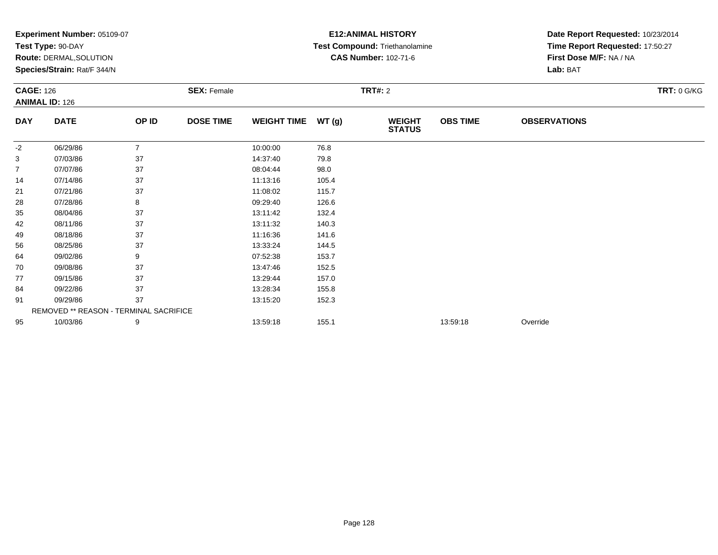|                  | <b>Experiment Number: 05109-07</b>     |                |                    | <b>E12: ANIMAL HISTORY</b> | Date Report Requested: 10/23/2014 |                                |                 |                                 |             |
|------------------|----------------------------------------|----------------|--------------------|----------------------------|-----------------------------------|--------------------------------|-----------------|---------------------------------|-------------|
|                  | Test Type: 90-DAY                      |                |                    |                            |                                   | Test Compound: Triethanolamine |                 | Time Report Requested: 17:50:27 |             |
|                  | <b>Route: DERMAL, SOLUTION</b>         |                |                    |                            |                                   | <b>CAS Number: 102-71-6</b>    |                 | First Dose M/F: NA / NA         |             |
|                  | Species/Strain: Rat/F 344/N            |                |                    |                            |                                   |                                |                 | Lab: BAT                        |             |
| <b>CAGE: 126</b> |                                        |                | <b>SEX: Female</b> |                            |                                   | <b>TRT#: 2</b>                 |                 |                                 | TRT: 0 G/KG |
|                  | <b>ANIMAL ID: 126</b>                  |                |                    |                            |                                   |                                |                 |                                 |             |
| <b>DAY</b>       | <b>DATE</b>                            | OP ID          | <b>DOSE TIME</b>   | <b>WEIGHT TIME</b>         | WT(g)                             | <b>WEIGHT</b><br><b>STATUS</b> | <b>OBS TIME</b> | <b>OBSERVATIONS</b>             |             |
| $-2$             | 06/29/86                               | $\overline{7}$ |                    | 10:00:00                   | 76.8                              |                                |                 |                                 |             |
| 3                | 07/03/86                               | 37             |                    | 14:37:40                   | 79.8                              |                                |                 |                                 |             |
| 7                | 07/07/86                               | 37             |                    | 08:04:44                   | 98.0                              |                                |                 |                                 |             |
| 14               | 07/14/86                               | 37             |                    | 11:13:16                   | 105.4                             |                                |                 |                                 |             |
| 21               | 07/21/86                               | 37             |                    | 11:08:02                   | 115.7                             |                                |                 |                                 |             |
| 28               | 07/28/86                               | 8              |                    | 09:29:40                   | 126.6                             |                                |                 |                                 |             |
| 35               | 08/04/86                               | 37             |                    | 13:11:42                   | 132.4                             |                                |                 |                                 |             |
| 42               | 08/11/86                               | 37             |                    | 13:11:32                   | 140.3                             |                                |                 |                                 |             |
| 49               | 08/18/86                               | 37             |                    | 11:16:36                   | 141.6                             |                                |                 |                                 |             |
| 56               | 08/25/86                               | 37             |                    | 13:33:24                   | 144.5                             |                                |                 |                                 |             |
| 64               | 09/02/86                               | 9              |                    | 07:52:38                   | 153.7                             |                                |                 |                                 |             |
| 70               | 09/08/86                               | 37             |                    | 13:47:46                   | 152.5                             |                                |                 |                                 |             |
| 77               | 09/15/86                               | 37             |                    | 13:29:44                   | 157.0                             |                                |                 |                                 |             |
| 84               | 09/22/86                               | 37             |                    | 13:28:34                   | 155.8                             |                                |                 |                                 |             |
| 91               | 09/29/86                               | 37             |                    | 13:15:20                   | 152.3                             |                                |                 |                                 |             |
|                  | REMOVED ** REASON - TERMINAL SACRIFICE |                |                    |                            |                                   |                                |                 |                                 |             |
| 95               | 10/03/86                               | 9              |                    | 13:59:18                   | 155.1                             |                                | 13:59:18        | Override                        |             |
|                  |                                        |                |                    |                            |                                   |                                |                 |                                 |             |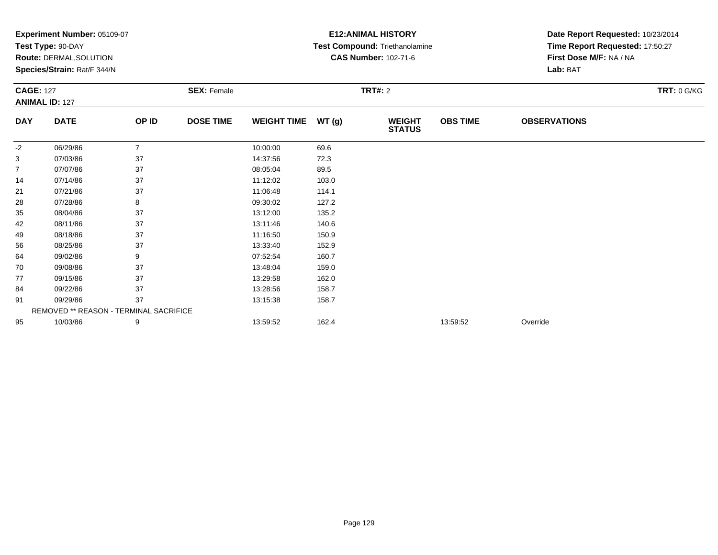|                  | <b>Experiment Number: 05109-07</b>     |                |                    | <b>E12: ANIMAL HISTORY</b> | Date Report Requested: 10/23/2014 |                                |                 |                                 |                    |
|------------------|----------------------------------------|----------------|--------------------|----------------------------|-----------------------------------|--------------------------------|-----------------|---------------------------------|--------------------|
|                  | Test Type: 90-DAY                      |                |                    |                            |                                   | Test Compound: Triethanolamine |                 | Time Report Requested: 17:50:27 |                    |
|                  | <b>Route: DERMAL, SOLUTION</b>         |                |                    |                            |                                   | <b>CAS Number: 102-71-6</b>    |                 | First Dose M/F: NA / NA         |                    |
|                  | Species/Strain: Rat/F 344/N            |                |                    |                            |                                   |                                |                 | Lab: BAT                        |                    |
| <b>CAGE: 127</b> |                                        |                | <b>SEX: Female</b> |                            |                                   | <b>TRT#: 2</b>                 |                 |                                 | <b>TRT: 0 G/KG</b> |
|                  | <b>ANIMAL ID: 127</b>                  |                |                    |                            |                                   |                                |                 |                                 |                    |
| <b>DAY</b>       | <b>DATE</b>                            | OP ID          | <b>DOSE TIME</b>   | <b>WEIGHT TIME</b>         | WT(g)                             | <b>WEIGHT</b><br><b>STATUS</b> | <b>OBS TIME</b> | <b>OBSERVATIONS</b>             |                    |
| -2               | 06/29/86                               | $\overline{7}$ |                    | 10:00:00                   | 69.6                              |                                |                 |                                 |                    |
| 3                | 07/03/86                               | 37             |                    | 14:37:56                   | 72.3                              |                                |                 |                                 |                    |
| 7                | 07/07/86                               | 37             |                    | 08:05:04                   | 89.5                              |                                |                 |                                 |                    |
| 14               | 07/14/86                               | 37             |                    | 11:12:02                   | 103.0                             |                                |                 |                                 |                    |
| 21               | 07/21/86                               | 37             |                    | 11:06:48                   | 114.1                             |                                |                 |                                 |                    |
| 28               | 07/28/86                               | 8              |                    | 09:30:02                   | 127.2                             |                                |                 |                                 |                    |
| 35               | 08/04/86                               | 37             |                    | 13:12:00                   | 135.2                             |                                |                 |                                 |                    |
| 42               | 08/11/86                               | 37             |                    | 13:11:46                   | 140.6                             |                                |                 |                                 |                    |
| 49               | 08/18/86                               | 37             |                    | 11:16:50                   | 150.9                             |                                |                 |                                 |                    |
| 56               | 08/25/86                               | 37             |                    | 13:33:40                   | 152.9                             |                                |                 |                                 |                    |
| 64               | 09/02/86                               | 9              |                    | 07:52:54                   | 160.7                             |                                |                 |                                 |                    |
| 70               | 09/08/86                               | 37             |                    | 13:48:04                   | 159.0                             |                                |                 |                                 |                    |
| 77               | 09/15/86                               | 37             |                    | 13:29:58                   | 162.0                             |                                |                 |                                 |                    |
| 84               | 09/22/86                               | 37             |                    | 13:28:56                   | 158.7                             |                                |                 |                                 |                    |
| 91               | 09/29/86                               | 37             |                    | 13:15:38                   | 158.7                             |                                |                 |                                 |                    |
|                  | REMOVED ** REASON - TERMINAL SACRIFICE |                |                    |                            |                                   |                                |                 |                                 |                    |
| 95               | 10/03/86                               | 9              |                    | 13:59:52                   | 162.4                             |                                | 13:59:52        | Override                        |                    |
|                  |                                        |                |                    |                            |                                   |                                |                 |                                 |                    |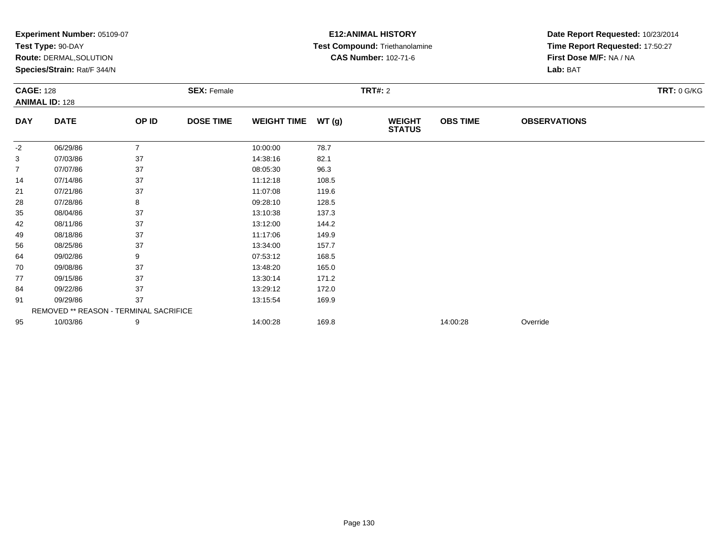|                  | <b>Experiment Number: 05109-07</b>     |                |                    |                    | <b>E12:ANIMAL HISTORY</b> | Date Report Requested: 10/23/2014 |                 |                                 |                    |
|------------------|----------------------------------------|----------------|--------------------|--------------------|---------------------------|-----------------------------------|-----------------|---------------------------------|--------------------|
|                  | Test Type: 90-DAY                      |                |                    |                    |                           | Test Compound: Triethanolamine    |                 | Time Report Requested: 17:50:27 |                    |
|                  | Route: DERMAL, SOLUTION                |                |                    |                    |                           | <b>CAS Number: 102-71-6</b>       |                 | First Dose M/F: NA / NA         |                    |
|                  | Species/Strain: Rat/F 344/N            |                |                    |                    |                           |                                   |                 | Lab: BAT                        |                    |
| <b>CAGE: 128</b> |                                        |                | <b>SEX: Female</b> |                    |                           | <b>TRT#: 2</b>                    |                 |                                 | <b>TRT: 0 G/KG</b> |
|                  | <b>ANIMAL ID: 128</b>                  |                |                    |                    |                           |                                   |                 |                                 |                    |
| <b>DAY</b>       | <b>DATE</b>                            | OP ID          | <b>DOSE TIME</b>   | <b>WEIGHT TIME</b> | WT(g)                     | <b>WEIGHT</b><br><b>STATUS</b>    | <b>OBS TIME</b> | <b>OBSERVATIONS</b>             |                    |
| $-2$             | 06/29/86                               | $\overline{7}$ |                    | 10:00:00           | 78.7                      |                                   |                 |                                 |                    |
| 3                | 07/03/86                               | 37             |                    | 14:38:16           | 82.1                      |                                   |                 |                                 |                    |
| 7                | 07/07/86                               | 37             |                    | 08:05:30           | 96.3                      |                                   |                 |                                 |                    |
| 14               | 07/14/86                               | 37             |                    | 11:12:18           | 108.5                     |                                   |                 |                                 |                    |
| 21               | 07/21/86                               | 37             |                    | 11:07:08           | 119.6                     |                                   |                 |                                 |                    |
| 28               | 07/28/86                               | 8              |                    | 09:28:10           | 128.5                     |                                   |                 |                                 |                    |
| 35               | 08/04/86                               | 37             |                    | 13:10:38           | 137.3                     |                                   |                 |                                 |                    |
| 42               | 08/11/86                               | 37             |                    | 13:12:00           | 144.2                     |                                   |                 |                                 |                    |
| 49               | 08/18/86                               | 37             |                    | 11:17:06           | 149.9                     |                                   |                 |                                 |                    |
| 56               | 08/25/86                               | 37             |                    | 13:34:00           | 157.7                     |                                   |                 |                                 |                    |
| 64               | 09/02/86                               | 9              |                    | 07:53:12           | 168.5                     |                                   |                 |                                 |                    |
| 70               | 09/08/86                               | 37             |                    | 13:48:20           | 165.0                     |                                   |                 |                                 |                    |
| 77               | 09/15/86                               | 37             |                    | 13:30:14           | 171.2                     |                                   |                 |                                 |                    |
| 84               | 09/22/86                               | 37             |                    | 13:29:12           | 172.0                     |                                   |                 |                                 |                    |
| 91               | 09/29/86                               | 37             |                    | 13:15:54           | 169.9                     |                                   |                 |                                 |                    |
|                  | REMOVED ** REASON - TERMINAL SACRIFICE |                |                    |                    |                           |                                   |                 |                                 |                    |
| 95               | 10/03/86                               | 9              |                    | 14:00:28           | 169.8                     |                                   | 14:00:28        | Override                        |                    |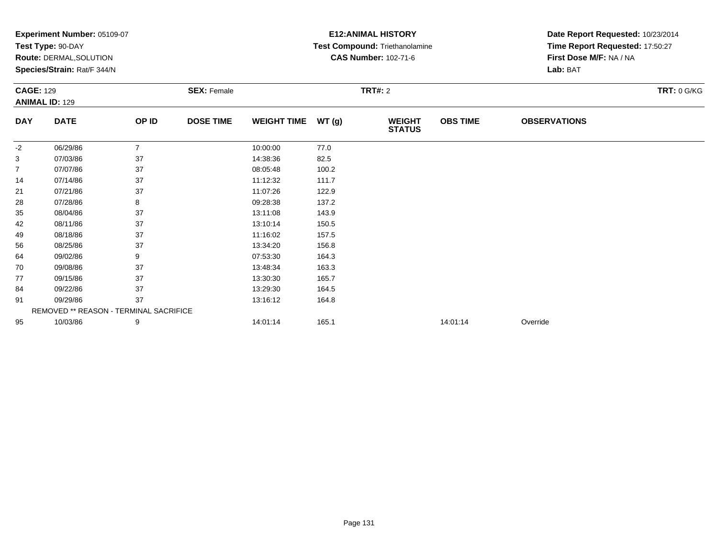|                  | <b>Experiment Number: 05109-07</b>     |                |                    |                    | <b>E12:ANIMAL HISTORY</b> |                                | Date Report Requested: 10/23/2014 |                                 |                    |
|------------------|----------------------------------------|----------------|--------------------|--------------------|---------------------------|--------------------------------|-----------------------------------|---------------------------------|--------------------|
|                  | Test Type: 90-DAY                      |                |                    |                    |                           | Test Compound: Triethanolamine |                                   | Time Report Requested: 17:50:27 |                    |
|                  | Route: DERMAL, SOLUTION                |                |                    |                    |                           | <b>CAS Number: 102-71-6</b>    |                                   | First Dose M/F: NA / NA         |                    |
|                  | Species/Strain: Rat/F 344/N            |                |                    |                    |                           |                                |                                   | Lab: BAT                        |                    |
| <b>CAGE: 129</b> |                                        |                | <b>SEX: Female</b> |                    |                           | <b>TRT#: 2</b>                 |                                   |                                 | <b>TRT: 0 G/KG</b> |
|                  | <b>ANIMAL ID: 129</b>                  |                |                    |                    |                           |                                |                                   |                                 |                    |
| <b>DAY</b>       | <b>DATE</b>                            | OP ID          | <b>DOSE TIME</b>   | <b>WEIGHT TIME</b> | WT(g)                     | <b>WEIGHT</b><br><b>STATUS</b> | <b>OBS TIME</b>                   | <b>OBSERVATIONS</b>             |                    |
| $-2$             | 06/29/86                               | $\overline{7}$ |                    | 10:00:00           | 77.0                      |                                |                                   |                                 |                    |
| 3                | 07/03/86                               | 37             |                    | 14:38:36           | 82.5                      |                                |                                   |                                 |                    |
| 7                | 07/07/86                               | 37             |                    | 08:05:48           | 100.2                     |                                |                                   |                                 |                    |
| 14               | 07/14/86                               | 37             |                    | 11:12:32           | 111.7                     |                                |                                   |                                 |                    |
| 21               | 07/21/86                               | 37             |                    | 11:07:26           | 122.9                     |                                |                                   |                                 |                    |
| 28               | 07/28/86                               | 8              |                    | 09:28:38           | 137.2                     |                                |                                   |                                 |                    |
| 35               | 08/04/86                               | 37             |                    | 13:11:08           | 143.9                     |                                |                                   |                                 |                    |
| 42               | 08/11/86                               | 37             |                    | 13:10:14           | 150.5                     |                                |                                   |                                 |                    |
| 49               | 08/18/86                               | 37             |                    | 11:16:02           | 157.5                     |                                |                                   |                                 |                    |
| 56               | 08/25/86                               | 37             |                    | 13:34:20           | 156.8                     |                                |                                   |                                 |                    |
| 64               | 09/02/86                               | 9              |                    | 07:53:30           | 164.3                     |                                |                                   |                                 |                    |
| 70               | 09/08/86                               | 37             |                    | 13:48:34           | 163.3                     |                                |                                   |                                 |                    |
| 77               | 09/15/86                               | 37             |                    | 13:30:30           | 165.7                     |                                |                                   |                                 |                    |
| 84               | 09/22/86                               | 37             |                    | 13:29:30           | 164.5                     |                                |                                   |                                 |                    |
| 91               | 09/29/86                               | 37             |                    | 13:16:12           | 164.8                     |                                |                                   |                                 |                    |
|                  | REMOVED ** REASON - TERMINAL SACRIFICE |                |                    |                    |                           |                                |                                   |                                 |                    |
| 95               | 10/03/86                               | 9              |                    | 14:01:14           | 165.1                     |                                | 14:01:14                          | Override                        |                    |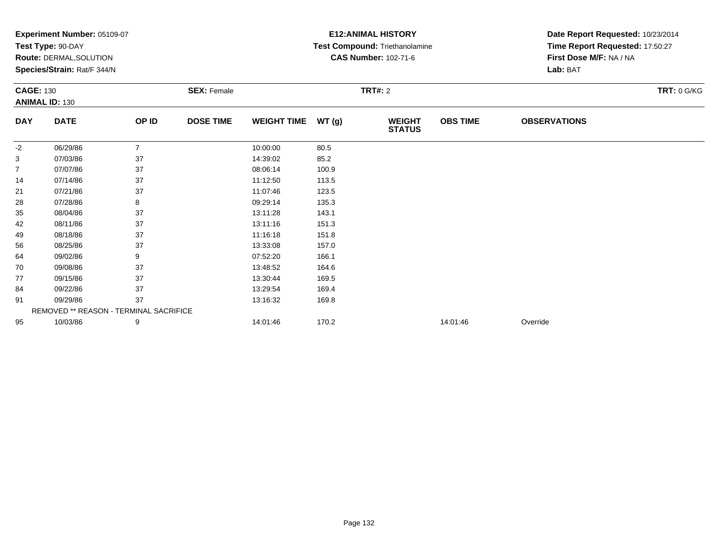|                  | <b>Experiment Number: 05109-07</b>     |                |                    |                    | <b>E12:ANIMAL HISTORY</b> | Date Report Requested: 10/23/2014 |                 |                                     |                    |  |
|------------------|----------------------------------------|----------------|--------------------|--------------------|---------------------------|-----------------------------------|-----------------|-------------------------------------|--------------------|--|
|                  | Test Type: 90-DAY                      |                |                    |                    |                           | Test Compound: Triethanolamine    |                 | Time Report Requested: 17:50:27     |                    |  |
|                  | Route: DERMAL, SOLUTION                |                |                    |                    |                           | <b>CAS Number: 102-71-6</b>       |                 | First Dose M/F: NA / NA<br>Lab: BAT |                    |  |
|                  | Species/Strain: Rat/F 344/N            |                |                    |                    |                           |                                   |                 |                                     |                    |  |
| <b>CAGE: 130</b> |                                        |                | <b>SEX: Female</b> |                    |                           | <b>TRT#: 2</b>                    |                 |                                     | <b>TRT: 0 G/KG</b> |  |
|                  | <b>ANIMAL ID: 130</b>                  |                |                    |                    |                           |                                   |                 |                                     |                    |  |
| <b>DAY</b>       | <b>DATE</b>                            | OP ID          | <b>DOSE TIME</b>   | <b>WEIGHT TIME</b> | WT(g)                     | <b>WEIGHT</b><br><b>STATUS</b>    | <b>OBS TIME</b> | <b>OBSERVATIONS</b>                 |                    |  |
| $-2$             | 06/29/86                               | $\overline{7}$ |                    | 10:00:00           | 80.5                      |                                   |                 |                                     |                    |  |
| 3                | 07/03/86                               | 37             |                    | 14:39:02           | 85.2                      |                                   |                 |                                     |                    |  |
| 7                | 07/07/86                               | 37             |                    | 08:06:14           | 100.9                     |                                   |                 |                                     |                    |  |
| 14               | 07/14/86                               | 37             |                    | 11:12:50           | 113.5                     |                                   |                 |                                     |                    |  |
| 21               | 07/21/86                               | 37             |                    | 11:07:46           | 123.5                     |                                   |                 |                                     |                    |  |
| 28               | 07/28/86                               | 8              |                    | 09:29:14           | 135.3                     |                                   |                 |                                     |                    |  |
| 35               | 08/04/86                               | 37             |                    | 13:11:28           | 143.1                     |                                   |                 |                                     |                    |  |
| 42               | 08/11/86                               | 37             |                    | 13:11:16           | 151.3                     |                                   |                 |                                     |                    |  |
| 49               | 08/18/86                               | 37             |                    | 11:16:18           | 151.8                     |                                   |                 |                                     |                    |  |
| 56               | 08/25/86                               | 37             |                    | 13:33:08           | 157.0                     |                                   |                 |                                     |                    |  |
| 64               | 09/02/86                               | 9              |                    | 07:52:20           | 166.1                     |                                   |                 |                                     |                    |  |
| 70               | 09/08/86                               | 37             |                    | 13:48:52           | 164.6                     |                                   |                 |                                     |                    |  |
| 77               | 09/15/86                               | 37             |                    | 13:30:44           | 169.5                     |                                   |                 |                                     |                    |  |
| 84               | 09/22/86                               | 37             |                    | 13:29:54           | 169.4                     |                                   |                 |                                     |                    |  |
| 91               | 09/29/86                               | 37             |                    | 13:16:32           | 169.8                     |                                   |                 |                                     |                    |  |
|                  | REMOVED ** REASON - TERMINAL SACRIFICE |                |                    |                    |                           |                                   |                 |                                     |                    |  |
| 95               | 10/03/86                               | 9              |                    | 14:01:46           | 170.2                     |                                   | 14:01:46        | Override                            |                    |  |
|                  |                                        |                |                    |                    |                           |                                   |                 |                                     |                    |  |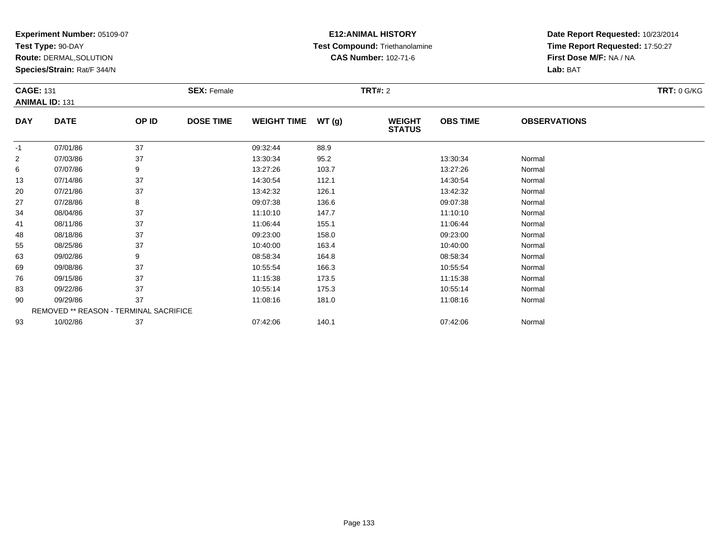**Test Type:** 90-DAY

**Route:** DERMAL,SOLUTION

**Species/Strain:** Rat/F 344/N

### **E12:ANIMAL HISTORY Test Compound:** Triethanolamine**CAS Number:** 102-71-6

| <b>CAGE: 131</b><br><b>ANIMAL ID: 131</b> |                                        |       | <b>SEX: Female</b> |                    |        | <b>TRT#: 2</b>                 |                 |                     | <b>TRT: 0 G/KG</b> |
|-------------------------------------------|----------------------------------------|-------|--------------------|--------------------|--------|--------------------------------|-----------------|---------------------|--------------------|
| <b>DAY</b>                                | <b>DATE</b>                            | OP ID | <b>DOSE TIME</b>   | <b>WEIGHT TIME</b> | WT (g) | <b>WEIGHT</b><br><b>STATUS</b> | <b>OBS TIME</b> | <b>OBSERVATIONS</b> |                    |
| $-1$                                      | 07/01/86                               | 37    |                    | 09:32:44           | 88.9   |                                |                 |                     |                    |
| $\overline{2}$                            | 07/03/86                               | 37    |                    | 13:30:34           | 95.2   |                                | 13:30:34        | Normal              |                    |
| 6                                         | 07/07/86                               | 9     |                    | 13:27:26           | 103.7  |                                | 13:27:26        | Normal              |                    |
| 13                                        | 07/14/86                               | 37    |                    | 14:30:54           | 112.1  |                                | 14:30:54        | Normal              |                    |
| 20                                        | 07/21/86                               | 37    |                    | 13:42:32           | 126.1  |                                | 13:42:32        | Normal              |                    |
| 27                                        | 07/28/86                               | 8     |                    | 09:07:38           | 136.6  |                                | 09:07:38        | Normal              |                    |
| 34                                        | 08/04/86                               | 37    |                    | 11:10:10           | 147.7  |                                | 11:10:10        | Normal              |                    |
| 41                                        | 08/11/86                               | 37    |                    | 11:06:44           | 155.1  |                                | 11:06:44        | Normal              |                    |
| 48                                        | 08/18/86                               | 37    |                    | 09:23:00           | 158.0  |                                | 09:23:00        | Normal              |                    |
| 55                                        | 08/25/86                               | 37    |                    | 10:40:00           | 163.4  |                                | 10:40:00        | Normal              |                    |
| 63                                        | 09/02/86                               | 9     |                    | 08:58:34           | 164.8  |                                | 08:58:34        | Normal              |                    |
| 69                                        | 09/08/86                               | 37    |                    | 10:55:54           | 166.3  |                                | 10:55:54        | Normal              |                    |
| 76                                        | 09/15/86                               | 37    |                    | 11:15:38           | 173.5  |                                | 11:15:38        | Normal              |                    |
| 83                                        | 09/22/86                               | 37    |                    | 10:55:14           | 175.3  |                                | 10:55:14        | Normal              |                    |
| 90                                        | 09/29/86                               | 37    |                    | 11:08:16           | 181.0  |                                | 11:08:16        | Normal              |                    |
|                                           | REMOVED ** REASON - TERMINAL SACRIFICE |       |                    |                    |        |                                |                 |                     |                    |
| 93                                        | 10/02/86                               | 37    |                    | 07:42:06           | 140.1  |                                | 07:42:06        | Normal              |                    |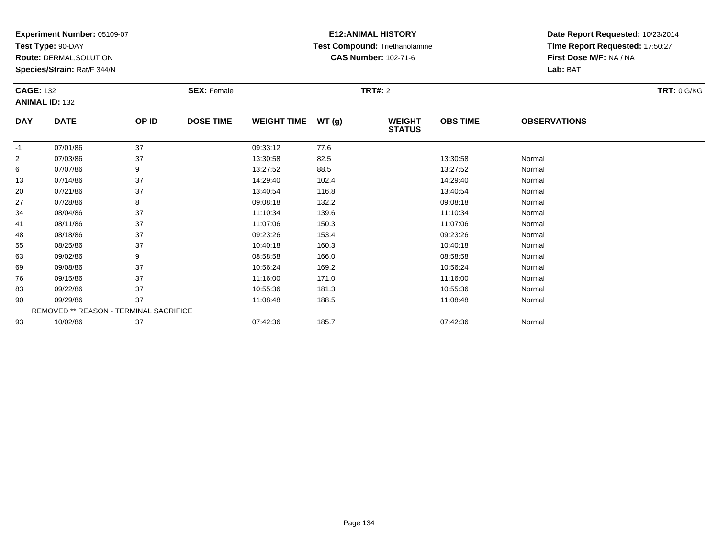**Test Type:** 90-DAY

**Route:** DERMAL,SOLUTION

**Species/Strain:** Rat/F 344/N

### **E12:ANIMAL HISTORY Test Compound:** Triethanolamine**CAS Number:** 102-71-6

| <b>CAGE: 132</b> | <b>ANIMAL ID: 132</b>                  |       | <b>SEX: Female</b> |                    |       | <b>TRT#: 2</b>                 |                 |                     | <b>TRT: 0 G/KG</b> |
|------------------|----------------------------------------|-------|--------------------|--------------------|-------|--------------------------------|-----------------|---------------------|--------------------|
| <b>DAY</b>       | <b>DATE</b>                            | OP ID | <b>DOSE TIME</b>   | <b>WEIGHT TIME</b> | WT(g) | <b>WEIGHT</b><br><b>STATUS</b> | <b>OBS TIME</b> | <b>OBSERVATIONS</b> |                    |
| $-1$             | 07/01/86                               | 37    |                    | 09:33:12           | 77.6  |                                |                 |                     |                    |
| 2                | 07/03/86                               | 37    |                    | 13:30:58           | 82.5  |                                | 13:30:58        | Normal              |                    |
| 6                | 07/07/86                               | 9     |                    | 13:27:52           | 88.5  |                                | 13:27:52        | Normal              |                    |
| 13               | 07/14/86                               | 37    |                    | 14:29:40           | 102.4 |                                | 14:29:40        | Normal              |                    |
| 20               | 07/21/86                               | 37    |                    | 13:40:54           | 116.8 |                                | 13:40:54        | Normal              |                    |
| 27               | 07/28/86                               | 8     |                    | 09:08:18           | 132.2 |                                | 09:08:18        | Normal              |                    |
| 34               | 08/04/86                               | 37    |                    | 11:10:34           | 139.6 |                                | 11:10:34        | Normal              |                    |
| 41               | 08/11/86                               | 37    |                    | 11:07:06           | 150.3 |                                | 11:07:06        | Normal              |                    |
| 48               | 08/18/86                               | 37    |                    | 09:23:26           | 153.4 |                                | 09:23:26        | Normal              |                    |
| 55               | 08/25/86                               | 37    |                    | 10:40:18           | 160.3 |                                | 10:40:18        | Normal              |                    |
| 63               | 09/02/86                               | 9     |                    | 08:58:58           | 166.0 |                                | 08:58:58        | Normal              |                    |
| 69               | 09/08/86                               | 37    |                    | 10:56:24           | 169.2 |                                | 10:56:24        | Normal              |                    |
| 76               | 09/15/86                               | 37    |                    | 11:16:00           | 171.0 |                                | 11:16:00        | Normal              |                    |
| 83               | 09/22/86                               | 37    |                    | 10:55:36           | 181.3 |                                | 10:55:36        | Normal              |                    |
| 90               | 09/29/86                               | 37    |                    | 11:08:48           | 188.5 |                                | 11:08:48        | Normal              |                    |
|                  | REMOVED ** REASON - TERMINAL SACRIFICE |       |                    |                    |       |                                |                 |                     |                    |
| 93               | 10/02/86                               | 37    |                    | 07:42:36           | 185.7 |                                | 07:42:36        | Normal              |                    |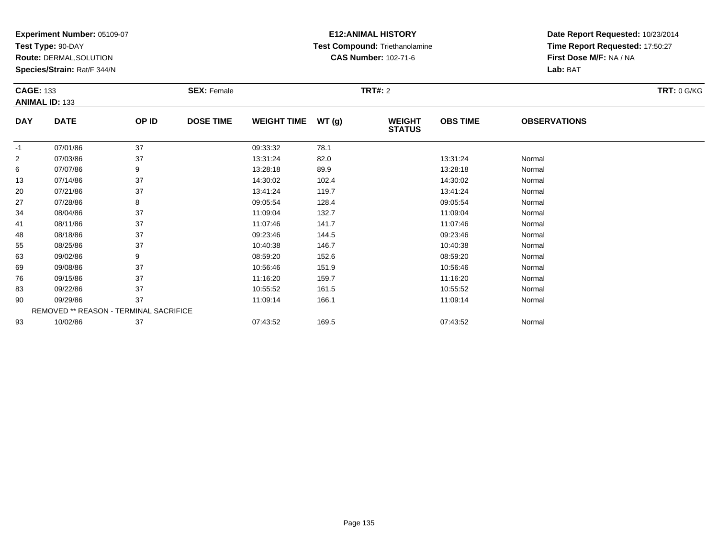**Test Type:** 90-DAY

**Route:** DERMAL,SOLUTION

**Species/Strain:** Rat/F 344/N

### **E12:ANIMAL HISTORY Test Compound:** Triethanolamine**CAS Number:** 102-71-6

| <b>CAGE: 133</b><br><b>ANIMAL ID: 133</b> |                                        |       | <b>SEX: Female</b> |                    |       | <b>TRT#: 2</b>                 |                 |                     | <b>TRT: 0 G/KG</b> |
|-------------------------------------------|----------------------------------------|-------|--------------------|--------------------|-------|--------------------------------|-----------------|---------------------|--------------------|
| <b>DAY</b>                                | <b>DATE</b>                            | OP ID | <b>DOSE TIME</b>   | <b>WEIGHT TIME</b> | WT(g) | <b>WEIGHT</b><br><b>STATUS</b> | <b>OBS TIME</b> | <b>OBSERVATIONS</b> |                    |
| $-1$                                      | 07/01/86                               | 37    |                    | 09:33:32           | 78.1  |                                |                 |                     |                    |
| $\overline{2}$                            | 07/03/86                               | 37    |                    | 13:31:24           | 82.0  |                                | 13:31:24        | Normal              |                    |
| 6                                         | 07/07/86                               | 9     |                    | 13:28:18           | 89.9  |                                | 13:28:18        | Normal              |                    |
| 13                                        | 07/14/86                               | 37    |                    | 14:30:02           | 102.4 |                                | 14:30:02        | Normal              |                    |
| 20                                        | 07/21/86                               | 37    |                    | 13:41:24           | 119.7 |                                | 13:41:24        | Normal              |                    |
| 27                                        | 07/28/86                               | 8     |                    | 09:05:54           | 128.4 |                                | 09:05:54        | Normal              |                    |
| 34                                        | 08/04/86                               | 37    |                    | 11:09:04           | 132.7 |                                | 11:09:04        | Normal              |                    |
| 41                                        | 08/11/86                               | 37    |                    | 11:07:46           | 141.7 |                                | 11:07:46        | Normal              |                    |
| 48                                        | 08/18/86                               | 37    |                    | 09:23:46           | 144.5 |                                | 09:23:46        | Normal              |                    |
| 55                                        | 08/25/86                               | 37    |                    | 10:40:38           | 146.7 |                                | 10:40:38        | Normal              |                    |
| 63                                        | 09/02/86                               | 9     |                    | 08:59:20           | 152.6 |                                | 08:59:20        | Normal              |                    |
| 69                                        | 09/08/86                               | 37    |                    | 10:56:46           | 151.9 |                                | 10:56:46        | Normal              |                    |
| 76                                        | 09/15/86                               | 37    |                    | 11:16:20           | 159.7 |                                | 11:16:20        | Normal              |                    |
| 83                                        | 09/22/86                               | 37    |                    | 10:55:52           | 161.5 |                                | 10:55:52        | Normal              |                    |
| 90                                        | 09/29/86                               | 37    |                    | 11:09:14           | 166.1 |                                | 11:09:14        | Normal              |                    |
|                                           | REMOVED ** REASON - TERMINAL SACRIFICE |       |                    |                    |       |                                |                 |                     |                    |
| 93                                        | 10/02/86                               | 37    |                    | 07:43:52           | 169.5 |                                | 07:43:52        | Normal              |                    |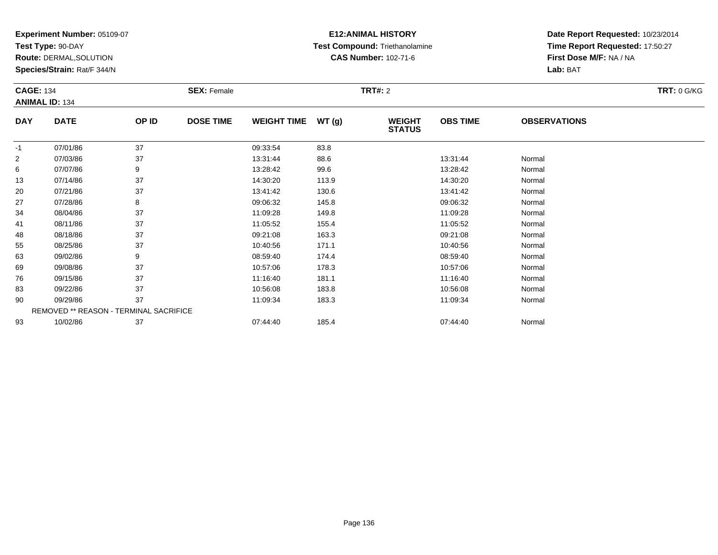**Test Type:** 90-DAY

**Route:** DERMAL,SOLUTION

**Species/Strain:** Rat/F 344/N

### **E12:ANIMAL HISTORY Test Compound:** Triethanolamine**CAS Number:** 102-71-6

| <b>CAGE: 134</b> |                                        |       | <b>SEX: Female</b> |                    |       | <b>TRT#: 2</b>                 |                 |                     | <b>TRT: 0 G/KG</b> |
|------------------|----------------------------------------|-------|--------------------|--------------------|-------|--------------------------------|-----------------|---------------------|--------------------|
|                  | <b>ANIMAL ID: 134</b>                  |       |                    |                    |       |                                |                 |                     |                    |
| <b>DAY</b>       | <b>DATE</b>                            | OP ID | <b>DOSE TIME</b>   | <b>WEIGHT TIME</b> | WT(g) | <b>WEIGHT</b><br><b>STATUS</b> | <b>OBS TIME</b> | <b>OBSERVATIONS</b> |                    |
| $-1$             | 07/01/86                               | 37    |                    | 09:33:54           | 83.8  |                                |                 |                     |                    |
| $\overline{2}$   | 07/03/86                               | 37    |                    | 13:31:44           | 88.6  |                                | 13:31:44        | Normal              |                    |
| 6                | 07/07/86                               | 9     |                    | 13:28:42           | 99.6  |                                | 13:28:42        | Normal              |                    |
| 13               | 07/14/86                               | 37    |                    | 14:30:20           | 113.9 |                                | 14:30:20        | Normal              |                    |
| 20               | 07/21/86                               | 37    |                    | 13:41:42           | 130.6 |                                | 13:41:42        | Normal              |                    |
| 27               | 07/28/86                               | 8     |                    | 09:06:32           | 145.8 |                                | 09:06:32        | Normal              |                    |
| 34               | 08/04/86                               | 37    |                    | 11:09:28           | 149.8 |                                | 11:09:28        | Normal              |                    |
| 41               | 08/11/86                               | 37    |                    | 11:05:52           | 155.4 |                                | 11:05:52        | Normal              |                    |
| 48               | 08/18/86                               | 37    |                    | 09:21:08           | 163.3 |                                | 09:21:08        | Normal              |                    |
| 55               | 08/25/86                               | 37    |                    | 10:40:56           | 171.1 |                                | 10:40:56        | Normal              |                    |
| 63               | 09/02/86                               | 9     |                    | 08:59:40           | 174.4 |                                | 08:59:40        | Normal              |                    |
| 69               | 09/08/86                               | 37    |                    | 10:57:06           | 178.3 |                                | 10:57:06        | Normal              |                    |
| 76               | 09/15/86                               | 37    |                    | 11:16:40           | 181.1 |                                | 11:16:40        | Normal              |                    |
| 83               | 09/22/86                               | 37    |                    | 10:56:08           | 183.8 |                                | 10:56:08        | Normal              |                    |
| 90               | 09/29/86                               | 37    |                    | 11:09:34           | 183.3 |                                | 11:09:34        | Normal              |                    |
|                  | REMOVED ** REASON - TERMINAL SACRIFICE |       |                    |                    |       |                                |                 |                     |                    |
| 93               | 10/02/86                               | 37    |                    | 07:44:40           | 185.4 |                                | 07:44:40        | Normal              |                    |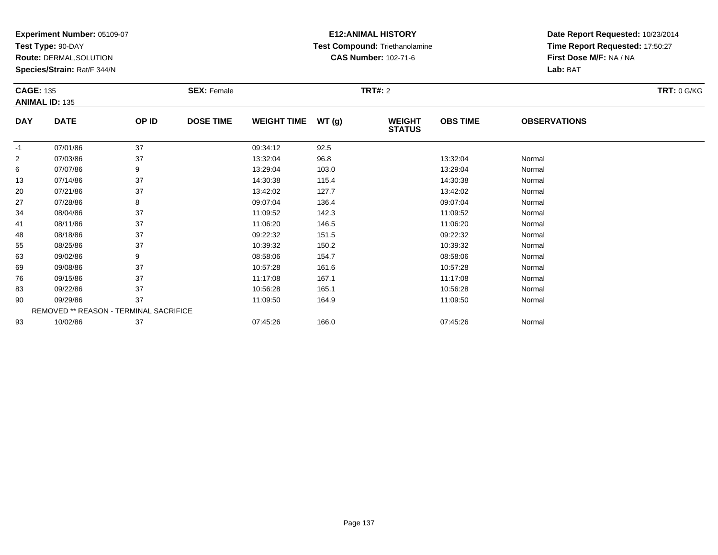**Test Type:** 90-DAY

**Route:** DERMAL,SOLUTION

**Species/Strain:** Rat/F 344/N

## **E12:ANIMAL HISTORY Test Compound:** Triethanolamine**CAS Number:** 102-71-6

| <b>CAGE: 135</b> |                                        |       | <b>SEX: Female</b> |                    |       | <b>TRT#: 2</b>                 |                 |                     | <b>TRT: 0 G/KG</b> |
|------------------|----------------------------------------|-------|--------------------|--------------------|-------|--------------------------------|-----------------|---------------------|--------------------|
|                  | <b>ANIMAL ID: 135</b>                  |       |                    |                    |       |                                |                 |                     |                    |
| <b>DAY</b>       | <b>DATE</b>                            | OP ID | <b>DOSE TIME</b>   | <b>WEIGHT TIME</b> | WT(g) | <b>WEIGHT</b><br><b>STATUS</b> | <b>OBS TIME</b> | <b>OBSERVATIONS</b> |                    |
| $-1$             | 07/01/86                               | 37    |                    | 09:34:12           | 92.5  |                                |                 |                     |                    |
| $\overline{2}$   | 07/03/86                               | 37    |                    | 13:32:04           | 96.8  |                                | 13:32:04        | Normal              |                    |
| 6                | 07/07/86                               | 9     |                    | 13:29:04           | 103.0 |                                | 13:29:04        | Normal              |                    |
| 13               | 07/14/86                               | 37    |                    | 14:30:38           | 115.4 |                                | 14:30:38        | Normal              |                    |
| 20               | 07/21/86                               | 37    |                    | 13:42:02           | 127.7 |                                | 13:42:02        | Normal              |                    |
| 27               | 07/28/86                               | 8     |                    | 09:07:04           | 136.4 |                                | 09:07:04        | Normal              |                    |
| 34               | 08/04/86                               | 37    |                    | 11:09:52           | 142.3 |                                | 11:09:52        | Normal              |                    |
| 41               | 08/11/86                               | 37    |                    | 11:06:20           | 146.5 |                                | 11:06:20        | Normal              |                    |
| 48               | 08/18/86                               | 37    |                    | 09:22:32           | 151.5 |                                | 09:22:32        | Normal              |                    |
| 55               | 08/25/86                               | 37    |                    | 10:39:32           | 150.2 |                                | 10:39:32        | Normal              |                    |
| 63               | 09/02/86                               | 9     |                    | 08:58:06           | 154.7 |                                | 08:58:06        | Normal              |                    |
| 69               | 09/08/86                               | 37    |                    | 10:57:28           | 161.6 |                                | 10:57:28        | Normal              |                    |
| 76               | 09/15/86                               | 37    |                    | 11:17:08           | 167.1 |                                | 11:17:08        | Normal              |                    |
| 83               | 09/22/86                               | 37    |                    | 10:56:28           | 165.1 |                                | 10:56:28        | Normal              |                    |
| 90               | 09/29/86                               | 37    |                    | 11:09:50           | 164.9 |                                | 11:09:50        | Normal              |                    |
|                  | REMOVED ** REASON - TERMINAL SACRIFICE |       |                    |                    |       |                                |                 |                     |                    |
| 93               | 10/02/86                               | 37    |                    | 07:45:26           | 166.0 |                                | 07:45:26        | Normal              |                    |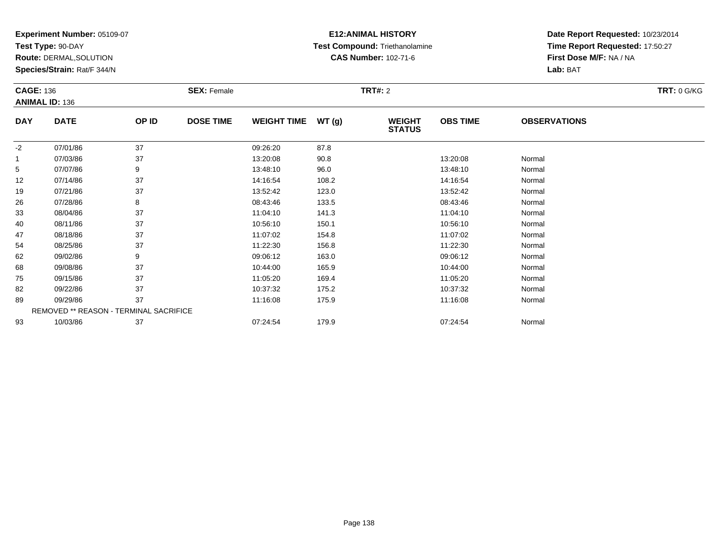**Test Type:** 90-DAY

**Route:** DERMAL,SOLUTION

**Species/Strain:** Rat/F 344/N

## **E12:ANIMAL HISTORY Test Compound:** Triethanolamine**CAS Number:** 102-71-6

| <b>CAGE: 136</b> |                                        |       | <b>SEX: Female</b> |                    |       | <b>TRT#:</b> 2                 |                 |                     | <b>TRT: 0 G/KG</b> |
|------------------|----------------------------------------|-------|--------------------|--------------------|-------|--------------------------------|-----------------|---------------------|--------------------|
|                  | <b>ANIMAL ID: 136</b>                  |       |                    |                    |       |                                |                 |                     |                    |
| <b>DAY</b>       | <b>DATE</b>                            | OP ID | <b>DOSE TIME</b>   | <b>WEIGHT TIME</b> | WT(g) | <b>WEIGHT</b><br><b>STATUS</b> | <b>OBS TIME</b> | <b>OBSERVATIONS</b> |                    |
| $-2$             | 07/01/86                               | 37    |                    | 09:26:20           | 87.8  |                                |                 |                     |                    |
|                  | 07/03/86                               | 37    |                    | 13:20:08           | 90.8  |                                | 13:20:08        | Normal              |                    |
| 5                | 07/07/86                               | 9     |                    | 13:48:10           | 96.0  |                                | 13:48:10        | Normal              |                    |
| 12               | 07/14/86                               | 37    |                    | 14:16:54           | 108.2 |                                | 14:16:54        | Normal              |                    |
| 19               | 07/21/86                               | 37    |                    | 13:52:42           | 123.0 |                                | 13:52:42        | Normal              |                    |
| 26               | 07/28/86                               | 8     |                    | 08:43:46           | 133.5 |                                | 08:43:46        | Normal              |                    |
| 33               | 08/04/86                               | 37    |                    | 11:04:10           | 141.3 |                                | 11:04:10        | Normal              |                    |
| 40               | 08/11/86                               | 37    |                    | 10:56:10           | 150.1 |                                | 10:56:10        | Normal              |                    |
| 47               | 08/18/86                               | 37    |                    | 11:07:02           | 154.8 |                                | 11:07:02        | Normal              |                    |
| 54               | 08/25/86                               | 37    |                    | 11:22:30           | 156.8 |                                | 11:22:30        | Normal              |                    |
| 62               | 09/02/86                               | 9     |                    | 09:06:12           | 163.0 |                                | 09:06:12        | Normal              |                    |
| 68               | 09/08/86                               | 37    |                    | 10:44:00           | 165.9 |                                | 10:44:00        | Normal              |                    |
| 75               | 09/15/86                               | 37    |                    | 11:05:20           | 169.4 |                                | 11:05:20        | Normal              |                    |
| 82               | 09/22/86                               | 37    |                    | 10:37:32           | 175.2 |                                | 10:37:32        | Normal              |                    |
| 89               | 09/29/86                               | 37    |                    | 11:16:08           | 175.9 |                                | 11:16:08        | Normal              |                    |
|                  | REMOVED ** REASON - TERMINAL SACRIFICE |       |                    |                    |       |                                |                 |                     |                    |
| 93               | 10/03/86                               | 37    |                    | 07:24:54           | 179.9 |                                | 07:24:54        | Normal              |                    |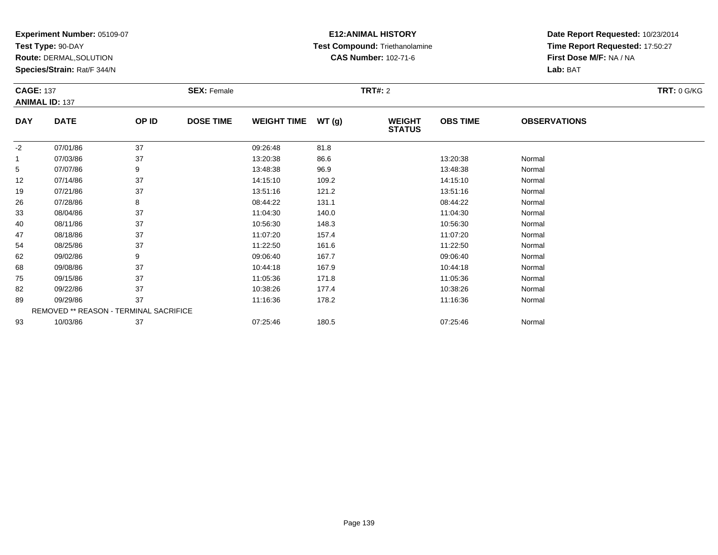**Test Type:** 90-DAY

**Route:** DERMAL,SOLUTION

**Species/Strain:** Rat/F 344/N

## **E12:ANIMAL HISTORY Test Compound:** Triethanolamine**CAS Number:** 102-71-6

| <b>CAGE: 137</b><br><b>ANIMAL ID: 137</b> |                                        |       | <b>SEX: Female</b> |                    |               | <b>TRT#: 2</b>                 |                 |                     | <b>TRT: 0 G/KG</b> |
|-------------------------------------------|----------------------------------------|-------|--------------------|--------------------|---------------|--------------------------------|-----------------|---------------------|--------------------|
| <b>DAY</b>                                | <b>DATE</b>                            | OP ID | <b>DOSE TIME</b>   | <b>WEIGHT TIME</b> | <b>WT (g)</b> | <b>WEIGHT</b><br><b>STATUS</b> | <b>OBS TIME</b> | <b>OBSERVATIONS</b> |                    |
| $-2$                                      | 07/01/86                               | 37    |                    | 09:26:48           | 81.8          |                                |                 |                     |                    |
| $\mathbf{1}$                              | 07/03/86                               | 37    |                    | 13:20:38           | 86.6          |                                | 13:20:38        | Normal              |                    |
| 5                                         | 07/07/86                               | 9     |                    | 13:48:38           | 96.9          |                                | 13:48:38        | Normal              |                    |
| 12                                        | 07/14/86                               | 37    |                    | 14:15:10           | 109.2         |                                | 14:15:10        | Normal              |                    |
| 19                                        | 07/21/86                               | 37    |                    | 13:51:16           | 121.2         |                                | 13:51:16        | Normal              |                    |
| 26                                        | 07/28/86                               | 8     |                    | 08:44:22           | 131.1         |                                | 08:44:22        | Normal              |                    |
| 33                                        | 08/04/86                               | 37    |                    | 11:04:30           | 140.0         |                                | 11:04:30        | Normal              |                    |
| 40                                        | 08/11/86                               | 37    |                    | 10:56:30           | 148.3         |                                | 10:56:30        | Normal              |                    |
| 47                                        | 08/18/86                               | 37    |                    | 11:07:20           | 157.4         |                                | 11:07:20        | Normal              |                    |
| 54                                        | 08/25/86                               | 37    |                    | 11:22:50           | 161.6         |                                | 11:22:50        | Normal              |                    |
| 62                                        | 09/02/86                               | 9     |                    | 09:06:40           | 167.7         |                                | 09:06:40        | Normal              |                    |
| 68                                        | 09/08/86                               | 37    |                    | 10:44:18           | 167.9         |                                | 10:44:18        | Normal              |                    |
| 75                                        | 09/15/86                               | 37    |                    | 11:05:36           | 171.8         |                                | 11:05:36        | Normal              |                    |
| 82                                        | 09/22/86                               | 37    |                    | 10:38:26           | 177.4         |                                | 10:38:26        | Normal              |                    |
| 89                                        | 09/29/86                               | 37    |                    | 11:16:36           | 178.2         |                                | 11:16:36        | Normal              |                    |
|                                           | REMOVED ** REASON - TERMINAL SACRIFICE |       |                    |                    |               |                                |                 |                     |                    |
| 93                                        | 10/03/86                               | 37    |                    | 07:25:46           | 180.5         |                                | 07:25:46        | Normal              |                    |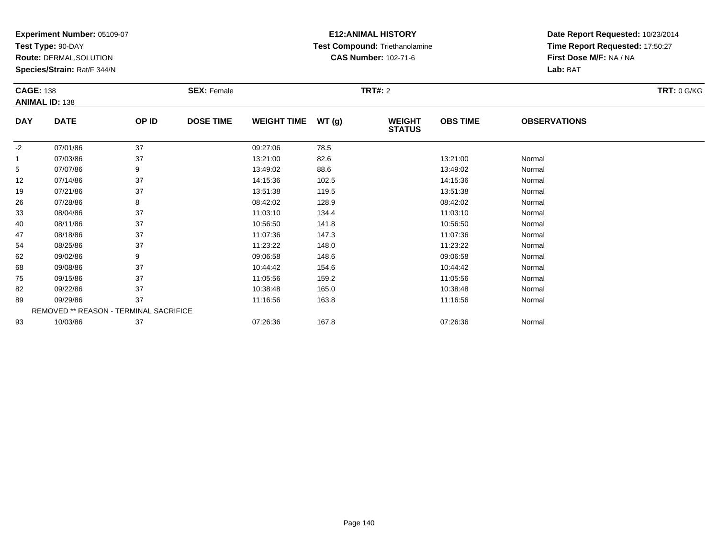**Test Type:** 90-DAY

**Route:** DERMAL,SOLUTION

**Species/Strain:** Rat/F 344/N

## **E12:ANIMAL HISTORY Test Compound:** Triethanolamine**CAS Number:** 102-71-6

| <b>CAGE: 138</b> |                                        |       | <b>SEX: Female</b> |                    |       | <b>TRT#: 2</b>                 |                 |                     | <b>TRT: 0 G/KG</b> |
|------------------|----------------------------------------|-------|--------------------|--------------------|-------|--------------------------------|-----------------|---------------------|--------------------|
|                  | <b>ANIMAL ID: 138</b>                  |       |                    |                    |       |                                |                 |                     |                    |
| <b>DAY</b>       | <b>DATE</b>                            | OP ID | <b>DOSE TIME</b>   | <b>WEIGHT TIME</b> | WT(g) | <b>WEIGHT</b><br><b>STATUS</b> | <b>OBS TIME</b> | <b>OBSERVATIONS</b> |                    |
| $-2$             | 07/01/86                               | 37    |                    | 09:27:06           | 78.5  |                                |                 |                     |                    |
|                  | 07/03/86                               | 37    |                    | 13:21:00           | 82.6  |                                | 13:21:00        | Normal              |                    |
| 5                | 07/07/86                               | 9     |                    | 13:49:02           | 88.6  |                                | 13:49:02        | Normal              |                    |
| 12               | 07/14/86                               | 37    |                    | 14:15:36           | 102.5 |                                | 14:15:36        | Normal              |                    |
| 19               | 07/21/86                               | 37    |                    | 13:51:38           | 119.5 |                                | 13:51:38        | Normal              |                    |
| 26               | 07/28/86                               | 8     |                    | 08:42:02           | 128.9 |                                | 08:42:02        | Normal              |                    |
| 33               | 08/04/86                               | 37    |                    | 11:03:10           | 134.4 |                                | 11:03:10        | Normal              |                    |
| 40               | 08/11/86                               | 37    |                    | 10:56:50           | 141.8 |                                | 10:56:50        | Normal              |                    |
| 47               | 08/18/86                               | 37    |                    | 11:07:36           | 147.3 |                                | 11:07:36        | Normal              |                    |
| 54               | 08/25/86                               | 37    |                    | 11:23:22           | 148.0 |                                | 11:23:22        | Normal              |                    |
| 62               | 09/02/86                               | 9     |                    | 09:06:58           | 148.6 |                                | 09:06:58        | Normal              |                    |
| 68               | 09/08/86                               | 37    |                    | 10:44:42           | 154.6 |                                | 10:44:42        | Normal              |                    |
| 75               | 09/15/86                               | 37    |                    | 11:05:56           | 159.2 |                                | 11:05:56        | Normal              |                    |
| 82               | 09/22/86                               | 37    |                    | 10:38:48           | 165.0 |                                | 10:38:48        | Normal              |                    |
| 89               | 09/29/86                               | 37    |                    | 11:16:56           | 163.8 |                                | 11:16:56        | Normal              |                    |
|                  | REMOVED ** REASON - TERMINAL SACRIFICE |       |                    |                    |       |                                |                 |                     |                    |
| 93               | 10/03/86                               | 37    |                    | 07:26:36           | 167.8 |                                | 07:26:36        | Normal              |                    |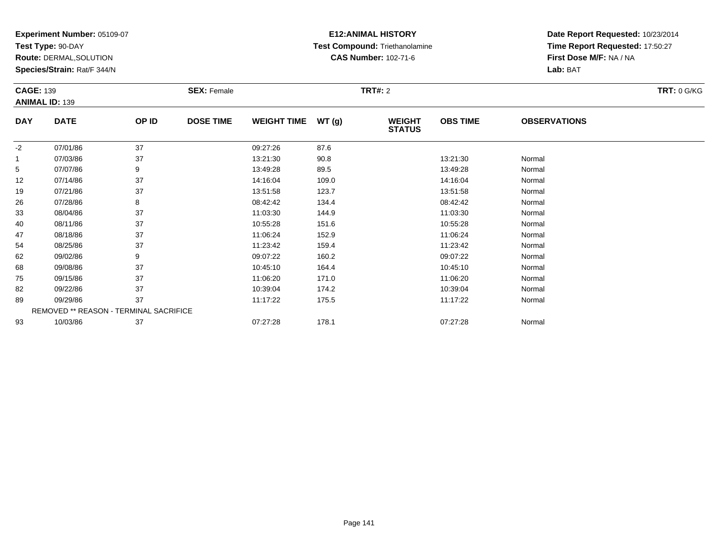**Test Type:** 90-DAY

**Route:** DERMAL,SOLUTION

**Species/Strain:** Rat/F 344/N

## **E12:ANIMAL HISTORY Test Compound:** Triethanolamine**CAS Number:** 102-71-6

| <b>CAGE: 139</b> |                                        |       | <b>SEX: Female</b> |                    |       | <b>TRT#: 2</b>                 |                 |                     | <b>TRT: 0 G/KG</b> |
|------------------|----------------------------------------|-------|--------------------|--------------------|-------|--------------------------------|-----------------|---------------------|--------------------|
|                  | <b>ANIMAL ID: 139</b>                  |       |                    |                    |       |                                |                 |                     |                    |
| <b>DAY</b>       | <b>DATE</b>                            | OP ID | <b>DOSE TIME</b>   | WEIGHT TIME WT (g) |       | <b>WEIGHT</b><br><b>STATUS</b> | <b>OBS TIME</b> | <b>OBSERVATIONS</b> |                    |
| $-2$             | 07/01/86                               | 37    |                    | 09:27:26           | 87.6  |                                |                 |                     |                    |
| $\mathbf{1}$     | 07/03/86                               | 37    |                    | 13:21:30           | 90.8  |                                | 13:21:30        | Normal              |                    |
| 5                | 07/07/86                               | 9     |                    | 13:49:28           | 89.5  |                                | 13:49:28        | Normal              |                    |
| 12               | 07/14/86                               | 37    |                    | 14:16:04           | 109.0 |                                | 14:16:04        | Normal              |                    |
| 19               | 07/21/86                               | 37    |                    | 13:51:58           | 123.7 |                                | 13:51:58        | Normal              |                    |
| 26               | 07/28/86                               | 8     |                    | 08:42:42           | 134.4 |                                | 08:42:42        | Normal              |                    |
| 33               | 08/04/86                               | 37    |                    | 11:03:30           | 144.9 |                                | 11:03:30        | Normal              |                    |
| 40               | 08/11/86                               | 37    |                    | 10:55:28           | 151.6 |                                | 10:55:28        | Normal              |                    |
| 47               | 08/18/86                               | 37    |                    | 11:06:24           | 152.9 |                                | 11:06:24        | Normal              |                    |
| 54               | 08/25/86                               | 37    |                    | 11:23:42           | 159.4 |                                | 11:23:42        | Normal              |                    |
| 62               | 09/02/86                               | 9     |                    | 09:07:22           | 160.2 |                                | 09:07:22        | Normal              |                    |
| 68               | 09/08/86                               | 37    |                    | 10:45:10           | 164.4 |                                | 10:45:10        | Normal              |                    |
| 75               | 09/15/86                               | 37    |                    | 11:06:20           | 171.0 |                                | 11:06:20        | Normal              |                    |
| 82               | 09/22/86                               | 37    |                    | 10:39:04           | 174.2 |                                | 10:39:04        | Normal              |                    |
| 89               | 09/29/86                               | 37    |                    | 11:17:22           | 175.5 |                                | 11:17:22        | Normal              |                    |
|                  | REMOVED ** REASON - TERMINAL SACRIFICE |       |                    |                    |       |                                |                 |                     |                    |
| 93               | 10/03/86                               | 37    |                    | 07:27:28           | 178.1 |                                | 07:27:28        | Normal              |                    |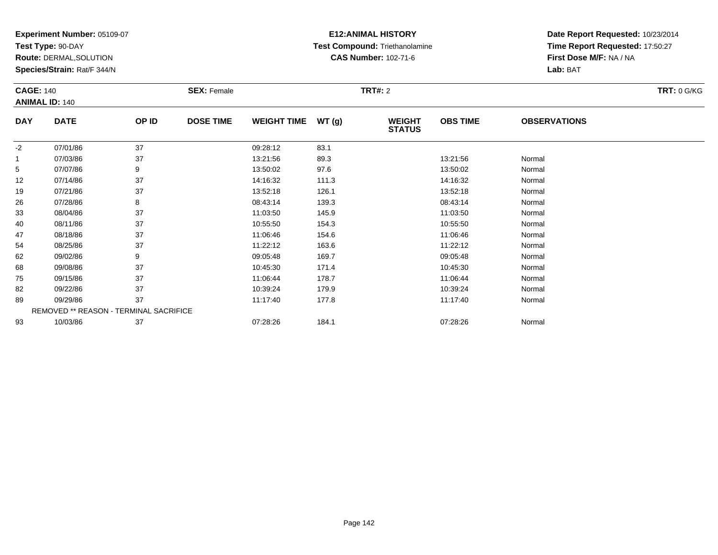**Test Type:** 90-DAY

**Route:** DERMAL,SOLUTION

**Species/Strain:** Rat/F 344/N

## **E12:ANIMAL HISTORY Test Compound:** Triethanolamine**CAS Number:** 102-71-6

| <b>CAGE: 140</b> |                                        |       | <b>SEX: Female</b> |                    |        | <b>TRT#:</b> 2                 |                 |                     | <b>TRT: 0 G/KG</b> |
|------------------|----------------------------------------|-------|--------------------|--------------------|--------|--------------------------------|-----------------|---------------------|--------------------|
|                  | <b>ANIMAL ID: 140</b>                  |       |                    |                    |        |                                |                 |                     |                    |
| <b>DAY</b>       | <b>DATE</b>                            | OP ID | <b>DOSE TIME</b>   | <b>WEIGHT TIME</b> | WT (g) | <b>WEIGHT</b><br><b>STATUS</b> | <b>OBS TIME</b> | <b>OBSERVATIONS</b> |                    |
| $-2$             | 07/01/86                               | 37    |                    | 09:28:12           | 83.1   |                                |                 |                     |                    |
|                  | 07/03/86                               | 37    |                    | 13:21:56           | 89.3   |                                | 13:21:56        | Normal              |                    |
| 5                | 07/07/86                               | 9     |                    | 13:50:02           | 97.6   |                                | 13:50:02        | Normal              |                    |
| 12               | 07/14/86                               | 37    |                    | 14:16:32           | 111.3  |                                | 14:16:32        | Normal              |                    |
| 19               | 07/21/86                               | 37    |                    | 13:52:18           | 126.1  |                                | 13:52:18        | Normal              |                    |
| 26               | 07/28/86                               | 8     |                    | 08:43:14           | 139.3  |                                | 08:43:14        | Normal              |                    |
| 33               | 08/04/86                               | 37    |                    | 11:03:50           | 145.9  |                                | 11:03:50        | Normal              |                    |
| 40               | 08/11/86                               | 37    |                    | 10:55:50           | 154.3  |                                | 10:55:50        | Normal              |                    |
| 47               | 08/18/86                               | 37    |                    | 11:06:46           | 154.6  |                                | 11:06:46        | Normal              |                    |
| 54               | 08/25/86                               | 37    |                    | 11:22:12           | 163.6  |                                | 11:22:12        | Normal              |                    |
| 62               | 09/02/86                               | 9     |                    | 09:05:48           | 169.7  |                                | 09:05:48        | Normal              |                    |
| 68               | 09/08/86                               | 37    |                    | 10:45:30           | 171.4  |                                | 10:45:30        | Normal              |                    |
| 75               | 09/15/86                               | 37    |                    | 11:06:44           | 178.7  |                                | 11:06:44        | Normal              |                    |
| 82               | 09/22/86                               | 37    |                    | 10:39:24           | 179.9  |                                | 10:39:24        | Normal              |                    |
| 89               | 09/29/86                               | 37    |                    | 11:17:40           | 177.8  |                                | 11:17:40        | Normal              |                    |
|                  | REMOVED ** REASON - TERMINAL SACRIFICE |       |                    |                    |        |                                |                 |                     |                    |
| 93               | 10/03/86                               | 37    |                    | 07:28:26           | 184.1  |                                | 07:28:26        | Normal              |                    |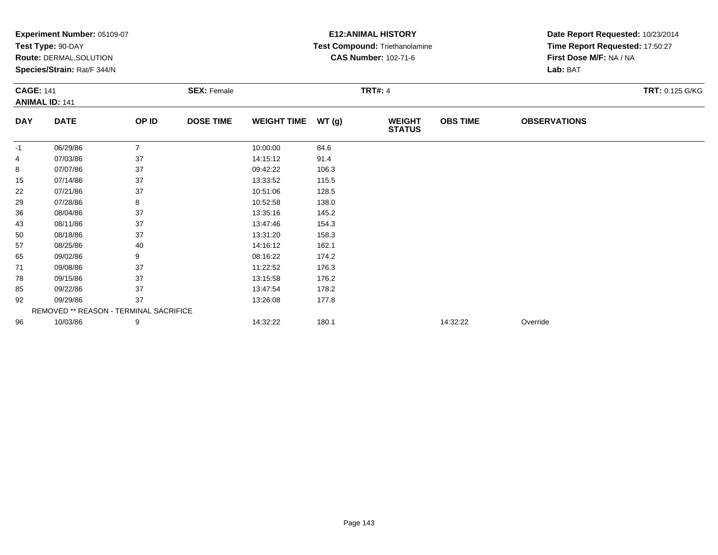|                  | Experiment Number: 05109-07            |                |                    | <b>E12: ANIMAL HISTORY</b> | Date Report Requested: 10/23/2014 |                                |                 |                                 |                        |  |
|------------------|----------------------------------------|----------------|--------------------|----------------------------|-----------------------------------|--------------------------------|-----------------|---------------------------------|------------------------|--|
|                  | Test Type: 90-DAY                      |                |                    |                            |                                   | Test Compound: Triethanolamine |                 | Time Report Requested: 17:50:27 |                        |  |
|                  | Route: DERMAL, SOLUTION                |                |                    |                            |                                   | <b>CAS Number: 102-71-6</b>    |                 | First Dose M/F: NA / NA         |                        |  |
|                  | Species/Strain: Rat/F 344/N            |                |                    |                            |                                   |                                |                 | Lab: BAT                        |                        |  |
| <b>CAGE: 141</b> |                                        |                | <b>SEX: Female</b> |                            |                                   | <b>TRT#: 4</b>                 |                 |                                 | <b>TRT: 0.125 G/KG</b> |  |
|                  | <b>ANIMAL ID: 141</b>                  |                |                    |                            |                                   |                                |                 |                                 |                        |  |
| <b>DAY</b>       | <b>DATE</b>                            | OP ID          | <b>DOSE TIME</b>   | <b>WEIGHT TIME</b>         | WT(g)                             | <b>WEIGHT</b><br><b>STATUS</b> | <b>OBS TIME</b> | <b>OBSERVATIONS</b>             |                        |  |
| -1               | 06/29/86                               | $\overline{7}$ |                    | 10:00:00                   | 84.6                              |                                |                 |                                 |                        |  |
| 4                | 07/03/86                               | 37             |                    | 14:15:12                   | 91.4                              |                                |                 |                                 |                        |  |
| 8                | 07/07/86                               | 37             |                    | 09:42:22                   | 106.3                             |                                |                 |                                 |                        |  |
| 15               | 07/14/86                               | 37             |                    | 13:33:52                   | 115.5                             |                                |                 |                                 |                        |  |
| 22               | 07/21/86                               | 37             |                    | 10:51:06                   | 128.5                             |                                |                 |                                 |                        |  |
| 29               | 07/28/86                               | 8              |                    | 10:52:58                   | 138.0                             |                                |                 |                                 |                        |  |
| 36               | 08/04/86                               | 37             |                    | 13:35:16                   | 145.2                             |                                |                 |                                 |                        |  |
| 43               | 08/11/86                               | 37             |                    | 13:47:46                   | 154.3                             |                                |                 |                                 |                        |  |
| 50               | 08/18/86                               | 37             |                    | 13:31:20                   | 158.3                             |                                |                 |                                 |                        |  |
| 57               | 08/25/86                               | 40             |                    | 14:16:12                   | 162.1                             |                                |                 |                                 |                        |  |
| 65               | 09/02/86                               | 9              |                    | 08:16:22                   | 174.2                             |                                |                 |                                 |                        |  |
| 71               | 09/08/86                               | 37             |                    | 11:22:52                   | 176.3                             |                                |                 |                                 |                        |  |
| 78               | 09/15/86                               | 37             |                    | 13:15:58                   | 176.2                             |                                |                 |                                 |                        |  |
| 85               | 09/22/86                               | 37             |                    | 13:47:54                   | 178.2                             |                                |                 |                                 |                        |  |
| 92               | 09/29/86                               | 37             |                    | 13:26:08                   | 177.8                             |                                |                 |                                 |                        |  |
|                  | REMOVED ** REASON - TERMINAL SACRIFICE |                |                    |                            |                                   |                                |                 |                                 |                        |  |
| 96               | 10/03/86                               | 9              |                    | 14:32:22                   | 180.1                             |                                | 14:32:22        | Override                        |                        |  |
|                  |                                        |                |                    |                            |                                   |                                |                 |                                 |                        |  |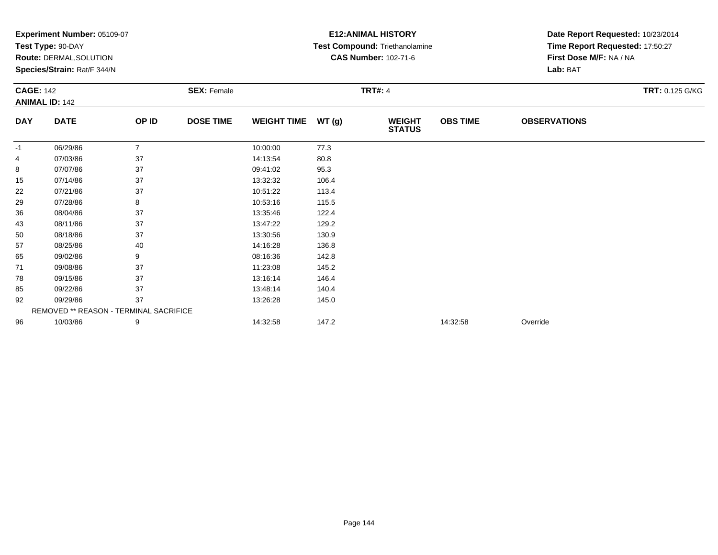| Experiment Number: 05109-07<br>Test Type: 90-DAY<br>Route: DERMAL, SOLUTION<br>Species/Strain: Rat/F 344/N |                                        |                |                  | <b>E12: ANIMAL HISTORY</b><br>Test Compound: Triethanolamine<br><b>CAS Number: 102-71-6</b><br><b>TRT#: 4</b> |       |                                |                 | Date Report Requested: 10/23/2014   |  |                                        |
|------------------------------------------------------------------------------------------------------------|----------------------------------------|----------------|------------------|---------------------------------------------------------------------------------------------------------------|-------|--------------------------------|-----------------|-------------------------------------|--|----------------------------------------|
|                                                                                                            |                                        |                |                  |                                                                                                               |       |                                |                 | Time Report Requested: 17:50:27     |  |                                        |
|                                                                                                            |                                        |                |                  |                                                                                                               |       |                                |                 | First Dose M/F: NA / NA<br>Lab: BAT |  |                                        |
|                                                                                                            |                                        |                |                  |                                                                                                               |       |                                |                 |                                     |  | <b>CAGE: 142</b><br><b>SEX: Female</b> |
|                                                                                                            | <b>ANIMAL ID: 142</b>                  |                |                  |                                                                                                               |       |                                |                 |                                     |  |                                        |
| <b>DAY</b>                                                                                                 | <b>DATE</b>                            | OP ID          | <b>DOSE TIME</b> | <b>WEIGHT TIME</b>                                                                                            | WT(g) | <b>WEIGHT</b><br><b>STATUS</b> | <b>OBS TIME</b> | <b>OBSERVATIONS</b>                 |  |                                        |
| -1                                                                                                         | 06/29/86                               | $\overline{7}$ |                  | 10:00:00                                                                                                      | 77.3  |                                |                 |                                     |  |                                        |
| 4                                                                                                          | 07/03/86                               | 37             |                  | 14:13:54                                                                                                      | 80.8  |                                |                 |                                     |  |                                        |
| 8                                                                                                          | 07/07/86                               | 37             |                  | 09:41:02                                                                                                      | 95.3  |                                |                 |                                     |  |                                        |
| 15                                                                                                         | 07/14/86                               | 37             |                  | 13:32:32                                                                                                      | 106.4 |                                |                 |                                     |  |                                        |
| 22                                                                                                         | 07/21/86                               | 37             |                  | 10:51:22                                                                                                      | 113.4 |                                |                 |                                     |  |                                        |
| 29                                                                                                         | 07/28/86                               | 8              |                  | 10:53:16                                                                                                      | 115.5 |                                |                 |                                     |  |                                        |
| 36                                                                                                         | 08/04/86                               | 37             |                  | 13:35:46                                                                                                      | 122.4 |                                |                 |                                     |  |                                        |
| 43                                                                                                         | 08/11/86                               | 37             |                  | 13:47:22                                                                                                      | 129.2 |                                |                 |                                     |  |                                        |
| 50                                                                                                         | 08/18/86                               | 37             |                  | 13:30:56                                                                                                      | 130.9 |                                |                 |                                     |  |                                        |
| 57                                                                                                         | 08/25/86                               | 40             |                  | 14:16:28                                                                                                      | 136.8 |                                |                 |                                     |  |                                        |
| 65                                                                                                         | 09/02/86                               | 9              |                  | 08:16:36                                                                                                      | 142.8 |                                |                 |                                     |  |                                        |
| 71                                                                                                         | 09/08/86                               | 37             |                  | 11:23:08                                                                                                      | 145.2 |                                |                 |                                     |  |                                        |
| 78                                                                                                         | 09/15/86                               | 37             |                  | 13:16:14                                                                                                      | 146.4 |                                |                 |                                     |  |                                        |
| 85                                                                                                         | 09/22/86                               | 37             |                  | 13:48:14                                                                                                      | 140.4 |                                |                 |                                     |  |                                        |
| 92                                                                                                         | 09/29/86                               | 37             |                  | 13:26:28                                                                                                      | 145.0 |                                |                 |                                     |  |                                        |
|                                                                                                            | REMOVED ** REASON - TERMINAL SACRIFICE |                |                  |                                                                                                               |       |                                |                 |                                     |  |                                        |
| 96                                                                                                         | 10/03/86                               | 9              |                  | 14:32:58                                                                                                      | 147.2 |                                | 14:32:58        | Override                            |  |                                        |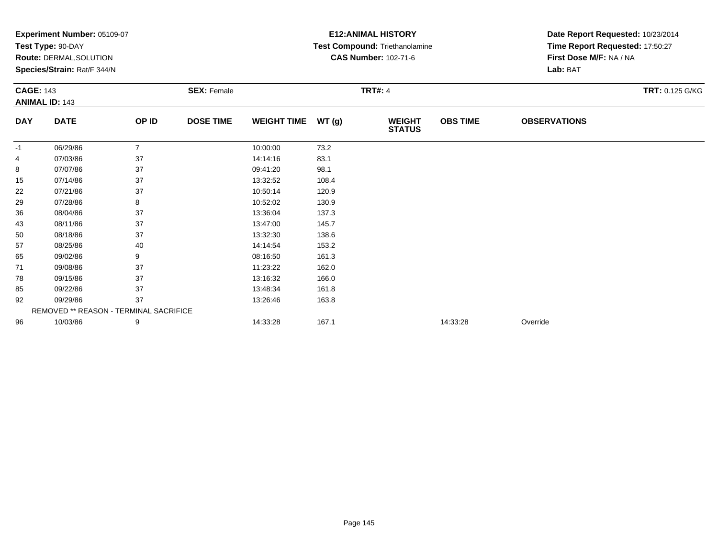|                  | Experiment Number: 05109-07            |                |                    |                    |       | <b>E12: ANIMAL HISTORY</b>     | Date Report Requested: 10/23/2014 |                                 |                 |  |
|------------------|----------------------------------------|----------------|--------------------|--------------------|-------|--------------------------------|-----------------------------------|---------------------------------|-----------------|--|
|                  | Test Type: 90-DAY                      |                |                    |                    |       | Test Compound: Triethanolamine |                                   | Time Report Requested: 17:50:27 |                 |  |
|                  | Route: DERMAL, SOLUTION                |                |                    |                    |       | <b>CAS Number: 102-71-6</b>    |                                   | First Dose M/F: NA / NA         |                 |  |
|                  | Species/Strain: Rat/F 344/N            |                |                    |                    |       |                                |                                   | Lab: BAT                        |                 |  |
| <b>CAGE: 143</b> |                                        |                | <b>SEX: Female</b> |                    |       | <b>TRT#: 4</b>                 |                                   |                                 | TRT: 0.125 G/KG |  |
|                  | <b>ANIMAL ID: 143</b>                  |                |                    |                    |       |                                |                                   |                                 |                 |  |
| <b>DAY</b>       | <b>DATE</b>                            | OP ID          | <b>DOSE TIME</b>   | <b>WEIGHT TIME</b> | WT(g) | <b>WEIGHT</b><br><b>STATUS</b> | <b>OBS TIME</b>                   | <b>OBSERVATIONS</b>             |                 |  |
| -1               | 06/29/86                               | $\overline{7}$ |                    | 10:00:00           | 73.2  |                                |                                   |                                 |                 |  |
| 4                | 07/03/86                               | 37             |                    | 14:14:16           | 83.1  |                                |                                   |                                 |                 |  |
| 8                | 07/07/86                               | 37             |                    | 09:41:20           | 98.1  |                                |                                   |                                 |                 |  |
| 15               | 07/14/86                               | 37             |                    | 13:32:52           | 108.4 |                                |                                   |                                 |                 |  |
| 22               | 07/21/86                               | 37             |                    | 10:50:14           | 120.9 |                                |                                   |                                 |                 |  |
| 29               | 07/28/86                               | 8              |                    | 10:52:02           | 130.9 |                                |                                   |                                 |                 |  |
| 36               | 08/04/86                               | 37             |                    | 13:36:04           | 137.3 |                                |                                   |                                 |                 |  |
| 43               | 08/11/86                               | 37             |                    | 13:47:00           | 145.7 |                                |                                   |                                 |                 |  |
| 50               | 08/18/86                               | 37             |                    | 13:32:30           | 138.6 |                                |                                   |                                 |                 |  |
| 57               | 08/25/86                               | 40             |                    | 14:14:54           | 153.2 |                                |                                   |                                 |                 |  |
| 65               | 09/02/86                               | 9              |                    | 08:16:50           | 161.3 |                                |                                   |                                 |                 |  |
| 71               | 09/08/86                               | 37             |                    | 11:23:22           | 162.0 |                                |                                   |                                 |                 |  |
| 78               | 09/15/86                               | 37             |                    | 13:16:32           | 166.0 |                                |                                   |                                 |                 |  |
| 85               | 09/22/86                               | 37             |                    | 13:48:34           | 161.8 |                                |                                   |                                 |                 |  |
| 92               | 09/29/86                               | 37             |                    | 13:26:46           | 163.8 |                                |                                   |                                 |                 |  |
|                  | REMOVED ** REASON - TERMINAL SACRIFICE |                |                    |                    |       |                                |                                   |                                 |                 |  |
| 96               | 10/03/86                               | 9              |                    | 14:33:28           | 167.1 |                                | 14:33:28                          | Override                        |                 |  |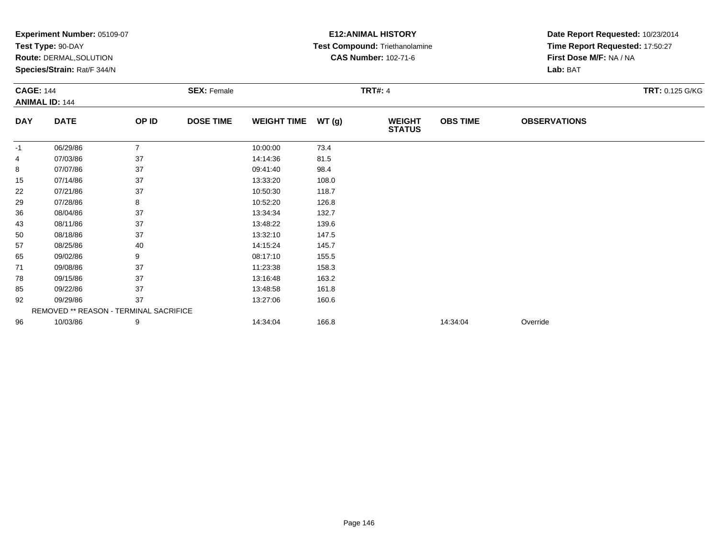|                  | Experiment Number: 05109-07            |                |                    | <b>E12: ANIMAL HISTORY</b> | Date Report Requested: 10/23/2014 |                                |                 |                                 |                 |  |
|------------------|----------------------------------------|----------------|--------------------|----------------------------|-----------------------------------|--------------------------------|-----------------|---------------------------------|-----------------|--|
|                  | Test Type: 90-DAY                      |                |                    |                            |                                   | Test Compound: Triethanolamine |                 | Time Report Requested: 17:50:27 |                 |  |
|                  | Route: DERMAL, SOLUTION                |                |                    |                            |                                   | <b>CAS Number: 102-71-6</b>    |                 | First Dose M/F: NA / NA         |                 |  |
|                  | Species/Strain: Rat/F 344/N            |                |                    |                            |                                   |                                |                 | Lab: BAT                        |                 |  |
| <b>CAGE: 144</b> |                                        |                | <b>SEX: Female</b> |                            | <b>TRT#: 4</b>                    |                                |                 |                                 | TRT: 0.125 G/KG |  |
|                  | <b>ANIMAL ID: 144</b>                  |                |                    |                            |                                   |                                |                 |                                 |                 |  |
| <b>DAY</b>       | <b>DATE</b>                            | OP ID          | <b>DOSE TIME</b>   | <b>WEIGHT TIME</b>         | WT(g)                             | <b>WEIGHT</b><br><b>STATUS</b> | <b>OBS TIME</b> | <b>OBSERVATIONS</b>             |                 |  |
| -1               | 06/29/86                               | $\overline{7}$ |                    | 10:00:00                   | 73.4                              |                                |                 |                                 |                 |  |
| 4                | 07/03/86                               | 37             |                    | 14:14:36                   | 81.5                              |                                |                 |                                 |                 |  |
| 8                | 07/07/86                               | 37             |                    | 09:41:40                   | 98.4                              |                                |                 |                                 |                 |  |
| 15               | 07/14/86                               | 37             |                    | 13:33:20                   | 108.0                             |                                |                 |                                 |                 |  |
| 22               | 07/21/86                               | 37             |                    | 10:50:30                   | 118.7                             |                                |                 |                                 |                 |  |
| 29               | 07/28/86                               | 8              |                    | 10:52:20                   | 126.8                             |                                |                 |                                 |                 |  |
| 36               | 08/04/86                               | 37             |                    | 13:34:34                   | 132.7                             |                                |                 |                                 |                 |  |
| 43               | 08/11/86                               | 37             |                    | 13:48:22                   | 139.6                             |                                |                 |                                 |                 |  |
| 50               | 08/18/86                               | 37             |                    | 13:32:10                   | 147.5                             |                                |                 |                                 |                 |  |
| 57               | 08/25/86                               | 40             |                    | 14:15:24                   | 145.7                             |                                |                 |                                 |                 |  |
| 65               | 09/02/86                               | 9              |                    | 08:17:10                   | 155.5                             |                                |                 |                                 |                 |  |
| 71               | 09/08/86                               | 37             |                    | 11:23:38                   | 158.3                             |                                |                 |                                 |                 |  |
| 78               | 09/15/86                               | 37             |                    | 13:16:48                   | 163.2                             |                                |                 |                                 |                 |  |
| 85               | 09/22/86                               | 37             |                    | 13:48:58                   | 161.8                             |                                |                 |                                 |                 |  |
| 92               | 09/29/86                               | 37             |                    | 13:27:06                   | 160.6                             |                                |                 |                                 |                 |  |
|                  | REMOVED ** REASON - TERMINAL SACRIFICE |                |                    |                            |                                   |                                |                 |                                 |                 |  |
| 96               | 10/03/86                               | 9              |                    | 14:34:04                   | 166.8                             |                                | 14:34:04        | Override                        |                 |  |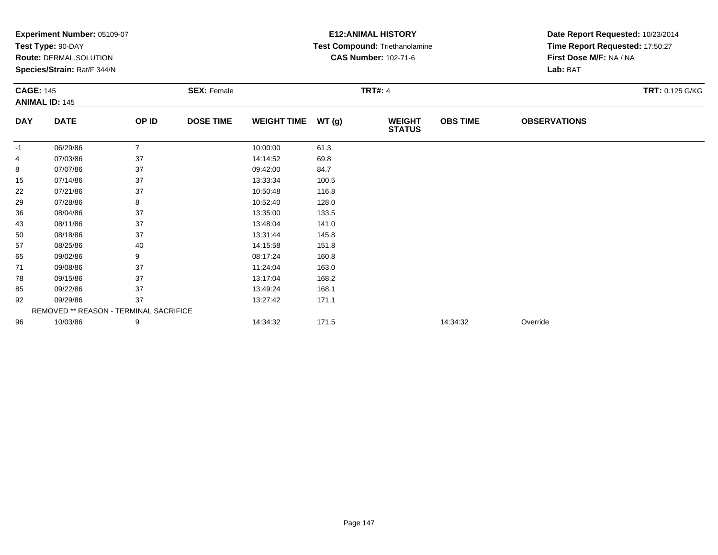|                  | Experiment Number: 05109-07            |                |                    |                    |       | <b>E12: ANIMAL HISTORY</b>     | Date Report Requested: 10/23/2014 |                                 |                 |  |
|------------------|----------------------------------------|----------------|--------------------|--------------------|-------|--------------------------------|-----------------------------------|---------------------------------|-----------------|--|
|                  | Test Type: 90-DAY                      |                |                    |                    |       | Test Compound: Triethanolamine |                                   | Time Report Requested: 17:50:27 |                 |  |
|                  | Route: DERMAL, SOLUTION                |                |                    |                    |       | <b>CAS Number: 102-71-6</b>    |                                   | First Dose M/F: NA / NA         |                 |  |
|                  | Species/Strain: Rat/F 344/N            |                |                    |                    |       |                                |                                   | Lab: BAT                        |                 |  |
| <b>CAGE: 145</b> |                                        |                | <b>SEX: Female</b> |                    |       | <b>TRT#: 4</b>                 |                                   |                                 | TRT: 0.125 G/KG |  |
|                  | <b>ANIMAL ID: 145</b>                  |                |                    |                    |       |                                |                                   |                                 |                 |  |
| <b>DAY</b>       | <b>DATE</b>                            | OP ID          | <b>DOSE TIME</b>   | <b>WEIGHT TIME</b> | WT(g) | <b>WEIGHT</b><br><b>STATUS</b> | <b>OBS TIME</b>                   | <b>OBSERVATIONS</b>             |                 |  |
| -1               | 06/29/86                               | $\overline{7}$ |                    | 10:00:00           | 61.3  |                                |                                   |                                 |                 |  |
| 4                | 07/03/86                               | 37             |                    | 14:14:52           | 69.8  |                                |                                   |                                 |                 |  |
| 8                | 07/07/86                               | 37             |                    | 09:42:00           | 84.7  |                                |                                   |                                 |                 |  |
| 15               | 07/14/86                               | 37             |                    | 13:33:34           | 100.5 |                                |                                   |                                 |                 |  |
| 22               | 07/21/86                               | 37             |                    | 10:50:48           | 116.8 |                                |                                   |                                 |                 |  |
| 29               | 07/28/86                               | 8              |                    | 10:52:40           | 128.0 |                                |                                   |                                 |                 |  |
| 36               | 08/04/86                               | 37             |                    | 13:35:00           | 133.5 |                                |                                   |                                 |                 |  |
| 43               | 08/11/86                               | 37             |                    | 13:48:04           | 141.0 |                                |                                   |                                 |                 |  |
| 50               | 08/18/86                               | 37             |                    | 13:31:44           | 145.8 |                                |                                   |                                 |                 |  |
| 57               | 08/25/86                               | 40             |                    | 14:15:58           | 151.8 |                                |                                   |                                 |                 |  |
| 65               | 09/02/86                               | 9              |                    | 08:17:24           | 160.8 |                                |                                   |                                 |                 |  |
| 71               | 09/08/86                               | 37             |                    | 11:24:04           | 163.0 |                                |                                   |                                 |                 |  |
| 78               | 09/15/86                               | 37             |                    | 13:17:04           | 168.2 |                                |                                   |                                 |                 |  |
| 85               | 09/22/86                               | 37             |                    | 13:49:24           | 168.1 |                                |                                   |                                 |                 |  |
| 92               | 09/29/86                               | 37             |                    | 13:27:42           | 171.1 |                                |                                   |                                 |                 |  |
|                  | REMOVED ** REASON - TERMINAL SACRIFICE |                |                    |                    |       |                                |                                   |                                 |                 |  |
| 96               | 10/03/86                               | 9              |                    | 14:34:32           | 171.5 |                                | 14:34:32                          | Override                        |                 |  |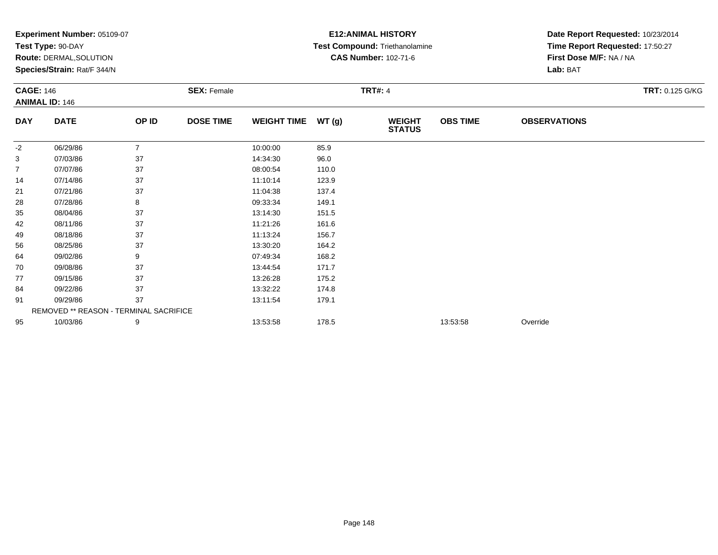|                  | Experiment Number: 05109-07            |                |                    |                    |       | <b>E12: ANIMAL HISTORY</b>     | Date Report Requested: 10/23/2014 |                                 |                 |  |
|------------------|----------------------------------------|----------------|--------------------|--------------------|-------|--------------------------------|-----------------------------------|---------------------------------|-----------------|--|
|                  | Test Type: 90-DAY                      |                |                    |                    |       | Test Compound: Triethanolamine |                                   | Time Report Requested: 17:50:27 |                 |  |
|                  | Route: DERMAL, SOLUTION                |                |                    |                    |       | <b>CAS Number: 102-71-6</b>    |                                   | First Dose M/F: NA / NA         |                 |  |
|                  | Species/Strain: Rat/F 344/N            |                |                    |                    |       |                                |                                   | Lab: BAT                        |                 |  |
| <b>CAGE: 146</b> |                                        |                | <b>SEX: Female</b> |                    |       | <b>TRT#: 4</b>                 |                                   |                                 | TRT: 0.125 G/KG |  |
|                  | <b>ANIMAL ID: 146</b>                  |                |                    |                    |       |                                |                                   |                                 |                 |  |
| <b>DAY</b>       | <b>DATE</b>                            | OP ID          | <b>DOSE TIME</b>   | <b>WEIGHT TIME</b> | WT(g) | <b>WEIGHT</b><br><b>STATUS</b> | <b>OBS TIME</b>                   | <b>OBSERVATIONS</b>             |                 |  |
| -2               | 06/29/86                               | $\overline{7}$ |                    | 10:00:00           | 85.9  |                                |                                   |                                 |                 |  |
| 3                | 07/03/86                               | 37             |                    | 14:34:30           | 96.0  |                                |                                   |                                 |                 |  |
| 7                | 07/07/86                               | 37             |                    | 08:00:54           | 110.0 |                                |                                   |                                 |                 |  |
| 14               | 07/14/86                               | 37             |                    | 11:10:14           | 123.9 |                                |                                   |                                 |                 |  |
| 21               | 07/21/86                               | 37             |                    | 11:04:38           | 137.4 |                                |                                   |                                 |                 |  |
| 28               | 07/28/86                               | 8              |                    | 09:33:34           | 149.1 |                                |                                   |                                 |                 |  |
| 35               | 08/04/86                               | 37             |                    | 13:14:30           | 151.5 |                                |                                   |                                 |                 |  |
| 42               | 08/11/86                               | 37             |                    | 11:21:26           | 161.6 |                                |                                   |                                 |                 |  |
| 49               | 08/18/86                               | 37             |                    | 11:13:24           | 156.7 |                                |                                   |                                 |                 |  |
| 56               | 08/25/86                               | 37             |                    | 13:30:20           | 164.2 |                                |                                   |                                 |                 |  |
| 64               | 09/02/86                               | 9              |                    | 07:49:34           | 168.2 |                                |                                   |                                 |                 |  |
| 70               | 09/08/86                               | 37             |                    | 13:44:54           | 171.7 |                                |                                   |                                 |                 |  |
| 77               | 09/15/86                               | 37             |                    | 13:26:28           | 175.2 |                                |                                   |                                 |                 |  |
| 84               | 09/22/86                               | 37             |                    | 13:32:22           | 174.8 |                                |                                   |                                 |                 |  |
| 91               | 09/29/86                               | 37             |                    | 13:11:54           | 179.1 |                                |                                   |                                 |                 |  |
|                  | REMOVED ** REASON - TERMINAL SACRIFICE |                |                    |                    |       |                                |                                   |                                 |                 |  |
| 95               | 10/03/86                               | 9              |                    | 13:53:58           | 178.5 |                                | 13:53:58                          | Override                        |                 |  |
|                  |                                        |                |                    |                    |       |                                |                                   |                                 |                 |  |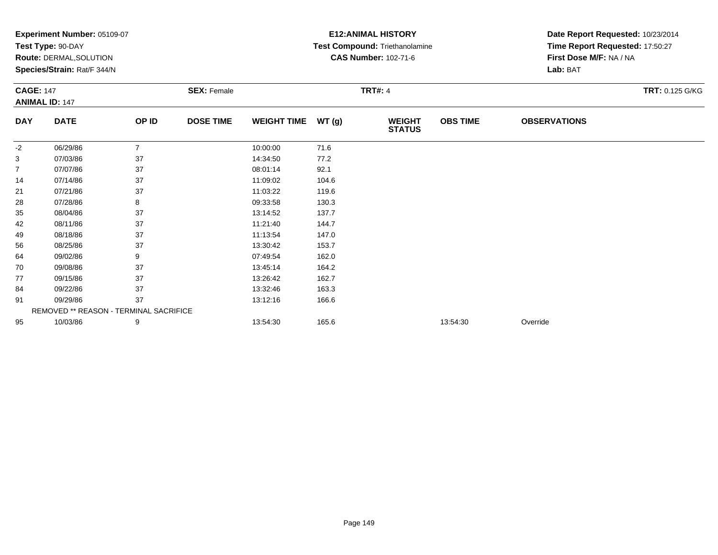|                  | Experiment Number: 05109-07            |                |                    | <b>E12: ANIMAL HISTORY</b> | Date Report Requested: 10/23/2014 |                                |                 |                                 |                 |  |
|------------------|----------------------------------------|----------------|--------------------|----------------------------|-----------------------------------|--------------------------------|-----------------|---------------------------------|-----------------|--|
|                  | Test Type: 90-DAY                      |                |                    |                            |                                   | Test Compound: Triethanolamine |                 | Time Report Requested: 17:50:27 |                 |  |
|                  | Route: DERMAL, SOLUTION                |                |                    |                            |                                   | <b>CAS Number: 102-71-6</b>    |                 | First Dose M/F: NA / NA         |                 |  |
|                  | Species/Strain: Rat/F 344/N            |                |                    |                            |                                   |                                |                 | Lab: BAT                        |                 |  |
| <b>CAGE: 147</b> |                                        |                | <b>SEX: Female</b> |                            |                                   | <b>TRT#: 4</b>                 |                 |                                 | TRT: 0.125 G/KG |  |
|                  | <b>ANIMAL ID: 147</b>                  |                |                    |                            |                                   |                                |                 |                                 |                 |  |
| <b>DAY</b>       | <b>DATE</b>                            | OP ID          | <b>DOSE TIME</b>   | <b>WEIGHT TIME</b>         | WT(g)                             | <b>WEIGHT</b><br><b>STATUS</b> | <b>OBS TIME</b> | <b>OBSERVATIONS</b>             |                 |  |
| -2               | 06/29/86                               | $\overline{7}$ |                    | 10:00:00                   | 71.6                              |                                |                 |                                 |                 |  |
| 3                | 07/03/86                               | 37             |                    | 14:34:50                   | 77.2                              |                                |                 |                                 |                 |  |
| $\overline{7}$   | 07/07/86                               | 37             |                    | 08:01:14                   | 92.1                              |                                |                 |                                 |                 |  |
| 14               | 07/14/86                               | 37             |                    | 11:09:02                   | 104.6                             |                                |                 |                                 |                 |  |
| 21               | 07/21/86                               | 37             |                    | 11:03:22                   | 119.6                             |                                |                 |                                 |                 |  |
| 28               | 07/28/86                               | 8              |                    | 09:33:58                   | 130.3                             |                                |                 |                                 |                 |  |
| 35               | 08/04/86                               | 37             |                    | 13:14:52                   | 137.7                             |                                |                 |                                 |                 |  |
| 42               | 08/11/86                               | 37             |                    | 11:21:40                   | 144.7                             |                                |                 |                                 |                 |  |
| 49               | 08/18/86                               | 37             |                    | 11:13:54                   | 147.0                             |                                |                 |                                 |                 |  |
| 56               | 08/25/86                               | 37             |                    | 13:30:42                   | 153.7                             |                                |                 |                                 |                 |  |
| 64               | 09/02/86                               | 9              |                    | 07:49:54                   | 162.0                             |                                |                 |                                 |                 |  |
| 70               | 09/08/86                               | 37             |                    | 13:45:14                   | 164.2                             |                                |                 |                                 |                 |  |
| 77               | 09/15/86                               | 37             |                    | 13:26:42                   | 162.7                             |                                |                 |                                 |                 |  |
| 84               | 09/22/86                               | 37             |                    | 13:32:46                   | 163.3                             |                                |                 |                                 |                 |  |
| 91               | 09/29/86                               | 37             |                    | 13:12:16                   | 166.6                             |                                |                 |                                 |                 |  |
|                  | REMOVED ** REASON - TERMINAL SACRIFICE |                |                    |                            |                                   |                                |                 |                                 |                 |  |
| 95               | 10/03/86                               | 9              |                    | 13:54:30                   | 165.6                             |                                | 13:54:30        | Override                        |                 |  |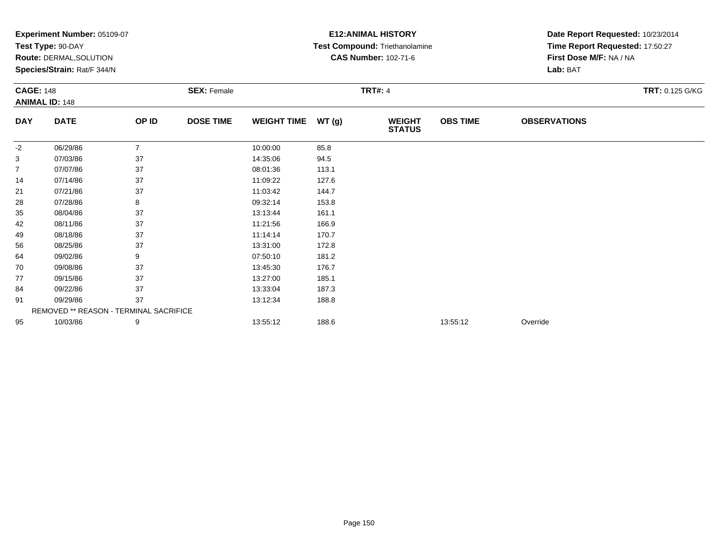|                  | Experiment Number: 05109-07            |                |                    |                    |       | <b>E12: ANIMAL HISTORY</b>     | Date Report Requested: 10/23/2014 |                                 |                 |  |
|------------------|----------------------------------------|----------------|--------------------|--------------------|-------|--------------------------------|-----------------------------------|---------------------------------|-----------------|--|
|                  | Test Type: 90-DAY                      |                |                    |                    |       | Test Compound: Triethanolamine |                                   | Time Report Requested: 17:50:27 |                 |  |
|                  | Route: DERMAL, SOLUTION                |                |                    |                    |       | <b>CAS Number: 102-71-6</b>    |                                   | First Dose M/F: NA / NA         |                 |  |
|                  | Species/Strain: Rat/F 344/N            |                |                    |                    |       |                                |                                   | Lab: BAT                        |                 |  |
| <b>CAGE: 148</b> |                                        |                | <b>SEX: Female</b> |                    |       | <b>TRT#: 4</b>                 |                                   |                                 | TRT: 0.125 G/KG |  |
|                  | <b>ANIMAL ID: 148</b>                  |                |                    |                    |       |                                |                                   |                                 |                 |  |
| <b>DAY</b>       | <b>DATE</b>                            | OP ID          | <b>DOSE TIME</b>   | <b>WEIGHT TIME</b> | WT(g) | <b>WEIGHT</b><br><b>STATUS</b> | <b>OBS TIME</b>                   | <b>OBSERVATIONS</b>             |                 |  |
| -2               | 06/29/86                               | $\overline{7}$ |                    | 10:00:00           | 85.8  |                                |                                   |                                 |                 |  |
| 3                | 07/03/86                               | 37             |                    | 14:35:06           | 94.5  |                                |                                   |                                 |                 |  |
| 7                | 07/07/86                               | 37             |                    | 08:01:36           | 113.1 |                                |                                   |                                 |                 |  |
| 14               | 07/14/86                               | 37             |                    | 11:09:22           | 127.6 |                                |                                   |                                 |                 |  |
| 21               | 07/21/86                               | 37             |                    | 11:03:42           | 144.7 |                                |                                   |                                 |                 |  |
| 28               | 07/28/86                               | 8              |                    | 09:32:14           | 153.8 |                                |                                   |                                 |                 |  |
| 35               | 08/04/86                               | 37             |                    | 13:13:44           | 161.1 |                                |                                   |                                 |                 |  |
| 42               | 08/11/86                               | 37             |                    | 11:21:56           | 166.9 |                                |                                   |                                 |                 |  |
| 49               | 08/18/86                               | 37             |                    | 11:14:14           | 170.7 |                                |                                   |                                 |                 |  |
| 56               | 08/25/86                               | 37             |                    | 13:31:00           | 172.8 |                                |                                   |                                 |                 |  |
| 64               | 09/02/86                               | 9              |                    | 07:50:10           | 181.2 |                                |                                   |                                 |                 |  |
| 70               | 09/08/86                               | 37             |                    | 13:45:30           | 176.7 |                                |                                   |                                 |                 |  |
| 77               | 09/15/86                               | 37             |                    | 13:27:00           | 185.1 |                                |                                   |                                 |                 |  |
| 84               | 09/22/86                               | 37             |                    | 13:33:04           | 187.3 |                                |                                   |                                 |                 |  |
| 91               | 09/29/86                               | 37             |                    | 13:12:34           | 188.8 |                                |                                   |                                 |                 |  |
|                  | REMOVED ** REASON - TERMINAL SACRIFICE |                |                    |                    |       |                                |                                   |                                 |                 |  |
| 95               | 10/03/86                               | 9              |                    | 13:55:12           | 188.6 |                                | 13:55:12                          | Override                        |                 |  |
|                  |                                        |                |                    |                    |       |                                |                                   |                                 |                 |  |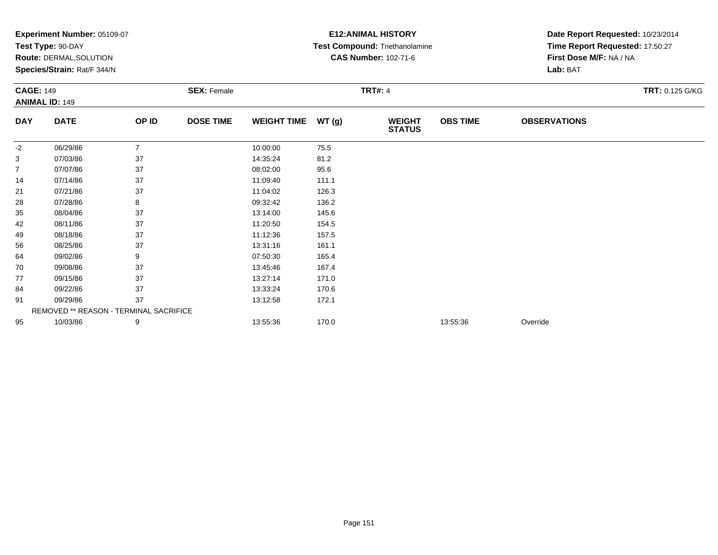|                  | Experiment Number: 05109-07            |                |                    |                    |       | <b>E12: ANIMAL HISTORY</b>     | Date Report Requested: 10/23/2014 |                                 |                 |  |
|------------------|----------------------------------------|----------------|--------------------|--------------------|-------|--------------------------------|-----------------------------------|---------------------------------|-----------------|--|
|                  | Test Type: 90-DAY                      |                |                    |                    |       | Test Compound: Triethanolamine |                                   | Time Report Requested: 17:50:27 |                 |  |
|                  | Route: DERMAL, SOLUTION                |                |                    |                    |       | <b>CAS Number: 102-71-6</b>    |                                   | First Dose M/F: NA / NA         |                 |  |
|                  | Species/Strain: Rat/F 344/N            |                |                    |                    |       |                                |                                   | Lab: BAT                        |                 |  |
| <b>CAGE: 149</b> |                                        |                | <b>SEX: Female</b> |                    |       | <b>TRT#: 4</b>                 |                                   |                                 | TRT: 0.125 G/KG |  |
|                  | <b>ANIMAL ID: 149</b>                  |                |                    |                    |       |                                |                                   |                                 |                 |  |
| <b>DAY</b>       | <b>DATE</b>                            | OP ID          | <b>DOSE TIME</b>   | <b>WEIGHT TIME</b> | WT(g) | <b>WEIGHT</b><br><b>STATUS</b> | <b>OBS TIME</b>                   | <b>OBSERVATIONS</b>             |                 |  |
| -2               | 06/29/86                               | $\overline{7}$ |                    | 10:00:00           | 75.5  |                                |                                   |                                 |                 |  |
| 3                | 07/03/86                               | 37             |                    | 14:35:24           | 81.2  |                                |                                   |                                 |                 |  |
| $\overline{7}$   | 07/07/86                               | 37             |                    | 08:02:00           | 95.6  |                                |                                   |                                 |                 |  |
| 14               | 07/14/86                               | 37             |                    | 11:09:40           | 111.1 |                                |                                   |                                 |                 |  |
| 21               | 07/21/86                               | 37             |                    | 11:04:02           | 126.3 |                                |                                   |                                 |                 |  |
| 28               | 07/28/86                               | 8              |                    | 09:32:42           | 136.2 |                                |                                   |                                 |                 |  |
| 35               | 08/04/86                               | 37             |                    | 13:14:00           | 145.6 |                                |                                   |                                 |                 |  |
| 42               | 08/11/86                               | 37             |                    | 11:20:50           | 154.5 |                                |                                   |                                 |                 |  |
| 49               | 08/18/86                               | 37             |                    | 11:12:36           | 157.5 |                                |                                   |                                 |                 |  |
| 56               | 08/25/86                               | 37             |                    | 13:31:16           | 161.1 |                                |                                   |                                 |                 |  |
| 64               | 09/02/86                               | 9              |                    | 07:50:30           | 165.4 |                                |                                   |                                 |                 |  |
| 70               | 09/08/86                               | 37             |                    | 13:45:46           | 167.4 |                                |                                   |                                 |                 |  |
| 77               | 09/15/86                               | 37             |                    | 13:27:14           | 171.0 |                                |                                   |                                 |                 |  |
| 84               | 09/22/86                               | 37             |                    | 13:33:24           | 170.6 |                                |                                   |                                 |                 |  |
| 91               | 09/29/86                               | 37             |                    | 13:12:58           | 172.1 |                                |                                   |                                 |                 |  |
|                  | REMOVED ** REASON - TERMINAL SACRIFICE |                |                    |                    |       |                                |                                   |                                 |                 |  |
| 95               | 10/03/86                               | 9              |                    | 13:55:36           | 170.0 |                                | 13:55:36                          | Override                        |                 |  |
|                  |                                        |                |                    |                    |       |                                |                                   |                                 |                 |  |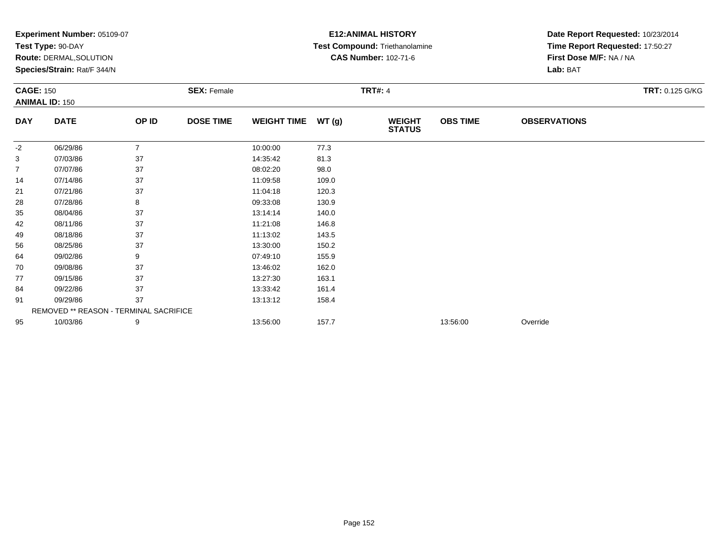|                  | Experiment Number: 05109-07            |                |                    |                    |       | <b>E12: ANIMAL HISTORY</b>     | Date Report Requested: 10/23/2014 |                                 |                 |  |
|------------------|----------------------------------------|----------------|--------------------|--------------------|-------|--------------------------------|-----------------------------------|---------------------------------|-----------------|--|
|                  | Test Type: 90-DAY                      |                |                    |                    |       | Test Compound: Triethanolamine |                                   | Time Report Requested: 17:50:27 |                 |  |
|                  | Route: DERMAL, SOLUTION                |                |                    |                    |       | <b>CAS Number: 102-71-6</b>    |                                   | First Dose M/F: NA / NA         |                 |  |
|                  | Species/Strain: Rat/F 344/N            |                |                    |                    |       |                                |                                   | Lab: BAT                        |                 |  |
| <b>CAGE: 150</b> |                                        |                | <b>SEX: Female</b> |                    |       | <b>TRT#: 4</b>                 |                                   |                                 | TRT: 0.125 G/KG |  |
|                  | <b>ANIMAL ID: 150</b>                  |                |                    |                    |       |                                |                                   |                                 |                 |  |
| <b>DAY</b>       | <b>DATE</b>                            | OP ID          | <b>DOSE TIME</b>   | <b>WEIGHT TIME</b> | WT(g) | <b>WEIGHT</b><br><b>STATUS</b> | <b>OBS TIME</b>                   | <b>OBSERVATIONS</b>             |                 |  |
| -2               | 06/29/86                               | $\overline{7}$ |                    | 10:00:00           | 77.3  |                                |                                   |                                 |                 |  |
| 3                | 07/03/86                               | 37             |                    | 14:35:42           | 81.3  |                                |                                   |                                 |                 |  |
| $\overline{7}$   | 07/07/86                               | 37             |                    | 08:02:20           | 98.0  |                                |                                   |                                 |                 |  |
| 14               | 07/14/86                               | 37             |                    | 11:09:58           | 109.0 |                                |                                   |                                 |                 |  |
| 21               | 07/21/86                               | 37             |                    | 11:04:18           | 120.3 |                                |                                   |                                 |                 |  |
| 28               | 07/28/86                               | 8              |                    | 09:33:08           | 130.9 |                                |                                   |                                 |                 |  |
| 35               | 08/04/86                               | 37             |                    | 13:14:14           | 140.0 |                                |                                   |                                 |                 |  |
| 42               | 08/11/86                               | 37             |                    | 11:21:08           | 146.8 |                                |                                   |                                 |                 |  |
| 49               | 08/18/86                               | 37             |                    | 11:13:02           | 143.5 |                                |                                   |                                 |                 |  |
| 56               | 08/25/86                               | 37             |                    | 13:30:00           | 150.2 |                                |                                   |                                 |                 |  |
| 64               | 09/02/86                               | 9              |                    | 07:49:10           | 155.9 |                                |                                   |                                 |                 |  |
| 70               | 09/08/86                               | 37             |                    | 13:46:02           | 162.0 |                                |                                   |                                 |                 |  |
| 77               | 09/15/86                               | 37             |                    | 13:27:30           | 163.1 |                                |                                   |                                 |                 |  |
| 84               | 09/22/86                               | 37             |                    | 13:33:42           | 161.4 |                                |                                   |                                 |                 |  |
| 91               | 09/29/86                               | 37             |                    | 13:13:12           | 158.4 |                                |                                   |                                 |                 |  |
|                  | REMOVED ** REASON - TERMINAL SACRIFICE |                |                    |                    |       |                                |                                   |                                 |                 |  |
| 95               | 10/03/86                               | 9              |                    | 13:56:00           | 157.7 |                                | 13:56:00                          | Override                        |                 |  |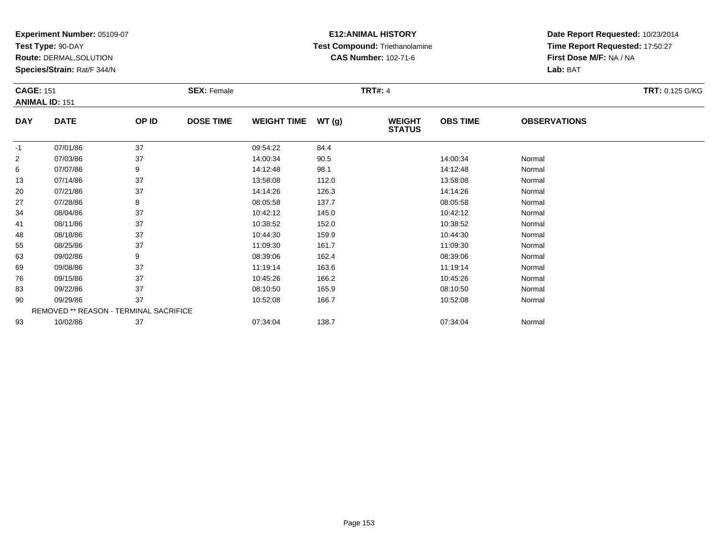**Test Type:** 90-DAY

**Route:** DERMAL,SOLUTION

**Species/Strain:** Rat/F 344/N

# **E12:ANIMAL HISTORY Test Compound:** Triethanolamine**CAS Number:** 102-71-6

|                | <b>CAGE: 151</b><br><b>ANIMAL ID: 151</b> |       | <b>SEX: Female</b> |                    | <b>TRT: 0.125 G/KG</b> |                                |                 |                     |  |
|----------------|-------------------------------------------|-------|--------------------|--------------------|------------------------|--------------------------------|-----------------|---------------------|--|
| <b>DAY</b>     | <b>DATE</b>                               | OP ID | <b>DOSE TIME</b>   | <b>WEIGHT TIME</b> | WT(g)                  | <b>WEIGHT</b><br><b>STATUS</b> | <b>OBS TIME</b> | <b>OBSERVATIONS</b> |  |
| $-1$           | 07/01/86                                  | 37    |                    | 09:54:22           | 84.4                   |                                |                 |                     |  |
| $\overline{2}$ | 07/03/86                                  | 37    |                    | 14:00:34           | 90.5                   |                                | 14:00:34        | Normal              |  |
| 6              | 07/07/86                                  | 9     |                    | 14:12:48           | 98.1                   |                                | 14:12:48        | Normal              |  |
| 13             | 07/14/86                                  | 37    |                    | 13:58:08           | 112.0                  |                                | 13:58:08        | Normal              |  |
| 20             | 07/21/86                                  | 37    |                    | 14:14:26           | 126.3                  |                                | 14:14:26        | Normal              |  |
| 27             | 07/28/86                                  | 8     |                    | 08:05:58           | 137.7                  |                                | 08:05:58        | Normal              |  |
| 34             | 08/04/86                                  | 37    |                    | 10:42:12           | 145.0                  |                                | 10:42:12        | Normal              |  |
| 41             | 08/11/86                                  | 37    |                    | 10:38:52           | 152.0                  |                                | 10:38:52        | Normal              |  |
| 48             | 08/18/86                                  | 37    |                    | 10:44:30           | 159.9                  |                                | 10:44:30        | Normal              |  |
| 55             | 08/25/86                                  | 37    |                    | 11:09:30           | 161.7                  |                                | 11:09:30        | Normal              |  |
| 63             | 09/02/86                                  | 9     |                    | 08:39:06           | 162.4                  |                                | 08:39:06        | Normal              |  |
| 69             | 09/08/86                                  | 37    |                    | 11:19:14           | 163.6                  |                                | 11:19:14        | Normal              |  |
| 76             | 09/15/86                                  | 37    |                    | 10:45:26           | 166.2                  |                                | 10:45:26        | Normal              |  |
| 83             | 09/22/86                                  | 37    |                    | 08:10:50           | 165.9                  |                                | 08:10:50        | Normal              |  |
| 90             | 09/29/86                                  | 37    |                    | 10:52:08           | 166.7                  |                                | 10:52:08        | Normal              |  |
|                | REMOVED ** REASON - TERMINAL SACRIFICE    |       |                    |                    |                        |                                |                 |                     |  |
| 93             | 10/02/86                                  | 37    |                    | 07:34:04           | 138.7                  |                                | 07:34:04        | Normal              |  |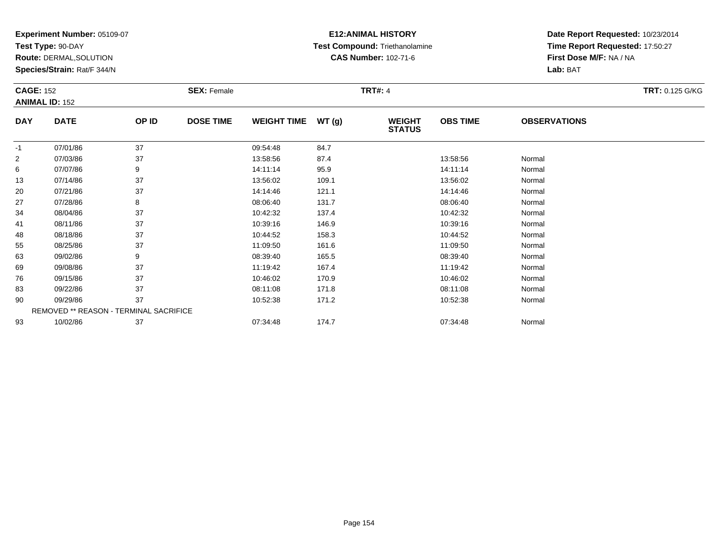**Test Type:** 90-DAY

**Route:** DERMAL,SOLUTION

**Species/Strain:** Rat/F 344/N

# **E12:ANIMAL HISTORY Test Compound:** Triethanolamine**CAS Number:** 102-71-6

|            | <b>CAGE: 152</b>                       |       | <b>SEX: Female</b> |                    |       | <b>TRT: 0.125 G/KG</b>         |                 |                     |  |
|------------|----------------------------------------|-------|--------------------|--------------------|-------|--------------------------------|-----------------|---------------------|--|
|            | <b>ANIMAL ID: 152</b>                  |       |                    |                    |       |                                |                 |                     |  |
| <b>DAY</b> | <b>DATE</b>                            | OP ID | <b>DOSE TIME</b>   | <b>WEIGHT TIME</b> | WT(g) | <b>WEIGHT</b><br><b>STATUS</b> | <b>OBS TIME</b> | <b>OBSERVATIONS</b> |  |
| $-1$       | 07/01/86                               | 37    |                    | 09:54:48           | 84.7  |                                |                 |                     |  |
| 2          | 07/03/86                               | 37    |                    | 13:58:56           | 87.4  |                                | 13:58:56        | Normal              |  |
| 6          | 07/07/86                               | 9     |                    | 14:11:14           | 95.9  |                                | 14:11:14        | Normal              |  |
| 13         | 07/14/86                               | 37    |                    | 13:56:02           | 109.1 |                                | 13:56:02        | Normal              |  |
| 20         | 07/21/86                               | 37    |                    | 14:14:46           | 121.1 |                                | 14:14:46        | Normal              |  |
| 27         | 07/28/86                               | 8     |                    | 08:06:40           | 131.7 |                                | 08:06:40        | Normal              |  |
| 34         | 08/04/86                               | 37    |                    | 10:42:32           | 137.4 |                                | 10:42:32        | Normal              |  |
| 41         | 08/11/86                               | 37    |                    | 10:39:16           | 146.9 |                                | 10:39:16        | Normal              |  |
| 48         | 08/18/86                               | 37    |                    | 10:44:52           | 158.3 |                                | 10:44:52        | Normal              |  |
| 55         | 08/25/86                               | 37    |                    | 11:09:50           | 161.6 |                                | 11:09:50        | Normal              |  |
| 63         | 09/02/86                               | 9     |                    | 08:39:40           | 165.5 |                                | 08:39:40        | Normal              |  |
| 69         | 09/08/86                               | 37    |                    | 11:19:42           | 167.4 |                                | 11:19:42        | Normal              |  |
| 76         | 09/15/86                               | 37    |                    | 10:46:02           | 170.9 |                                | 10:46:02        | Normal              |  |
| 83         | 09/22/86                               | 37    |                    | 08:11:08           | 171.8 |                                | 08:11:08        | Normal              |  |
| 90         | 09/29/86                               | 37    |                    | 10:52:38           | 171.2 |                                | 10:52:38        | Normal              |  |
|            | REMOVED ** REASON - TERMINAL SACRIFICE |       |                    |                    |       |                                |                 |                     |  |
| 93         | 10/02/86                               | 37    |                    | 07:34:48           | 174.7 |                                | 07:34:48        | Normal              |  |
|            |                                        |       |                    |                    |       |                                |                 |                     |  |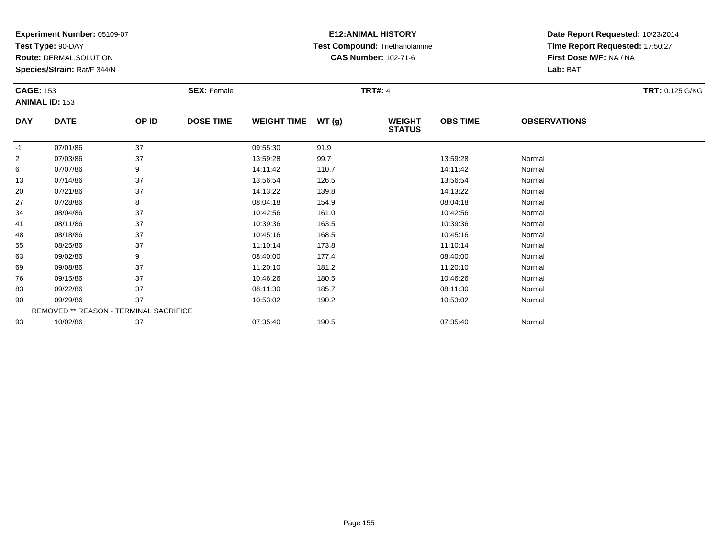**Test Type:** 90-DAY

**Route:** DERMAL,SOLUTION

**Species/Strain:** Rat/F 344/N

# **E12:ANIMAL HISTORY Test Compound:** Triethanolamine**CAS Number:** 102-71-6

| <b>CAGE: 153</b> |                                        |       | <b>SEX: Female</b> |                    |       | <b>TRT#: 4</b>                 |                 |                     | <b>TRT: 0.125 G/KG</b> |
|------------------|----------------------------------------|-------|--------------------|--------------------|-------|--------------------------------|-----------------|---------------------|------------------------|
|                  | <b>ANIMAL ID: 153</b>                  |       |                    |                    |       |                                |                 |                     |                        |
| <b>DAY</b>       | <b>DATE</b>                            | OP ID | <b>DOSE TIME</b>   | <b>WEIGHT TIME</b> | WT(g) | <b>WEIGHT</b><br><b>STATUS</b> | <b>OBS TIME</b> | <b>OBSERVATIONS</b> |                        |
| $-1$             | 07/01/86                               | 37    |                    | 09:55:30           | 91.9  |                                |                 |                     |                        |
| $\overline{2}$   | 07/03/86                               | 37    |                    | 13:59:28           | 99.7  |                                | 13:59:28        | Normal              |                        |
| 6                | 07/07/86                               | 9     |                    | 14:11:42           | 110.7 |                                | 14:11:42        | Normal              |                        |
| 13               | 07/14/86                               | 37    |                    | 13:56:54           | 126.5 |                                | 13:56:54        | Normal              |                        |
| 20               | 07/21/86                               | 37    |                    | 14:13:22           | 139.8 |                                | 14:13:22        | Normal              |                        |
| 27               | 07/28/86                               | 8     |                    | 08:04:18           | 154.9 |                                | 08:04:18        | Normal              |                        |
| 34               | 08/04/86                               | 37    |                    | 10:42:56           | 161.0 |                                | 10:42:56        | Normal              |                        |
| 41               | 08/11/86                               | 37    |                    | 10:39:36           | 163.5 |                                | 10:39:36        | Normal              |                        |
| 48               | 08/18/86                               | 37    |                    | 10:45:16           | 168.5 |                                | 10:45:16        | Normal              |                        |
| 55               | 08/25/86                               | 37    |                    | 11:10:14           | 173.8 |                                | 11:10:14        | Normal              |                        |
| 63               | 09/02/86                               | 9     |                    | 08:40:00           | 177.4 |                                | 08:40:00        | Normal              |                        |
| 69               | 09/08/86                               | 37    |                    | 11:20:10           | 181.2 |                                | 11:20:10        | Normal              |                        |
| 76               | 09/15/86                               | 37    |                    | 10:46:26           | 180.5 |                                | 10:46:26        | Normal              |                        |
| 83               | 09/22/86                               | 37    |                    | 08:11:30           | 185.7 |                                | 08:11:30        | Normal              |                        |
| 90               | 09/29/86                               | 37    |                    | 10:53:02           | 190.2 |                                | 10:53:02        | Normal              |                        |
|                  | REMOVED ** REASON - TERMINAL SACRIFICE |       |                    |                    |       |                                |                 |                     |                        |
| 93               | 10/02/86                               | 37    |                    | 07:35:40           | 190.5 |                                | 07:35:40        | Normal              |                        |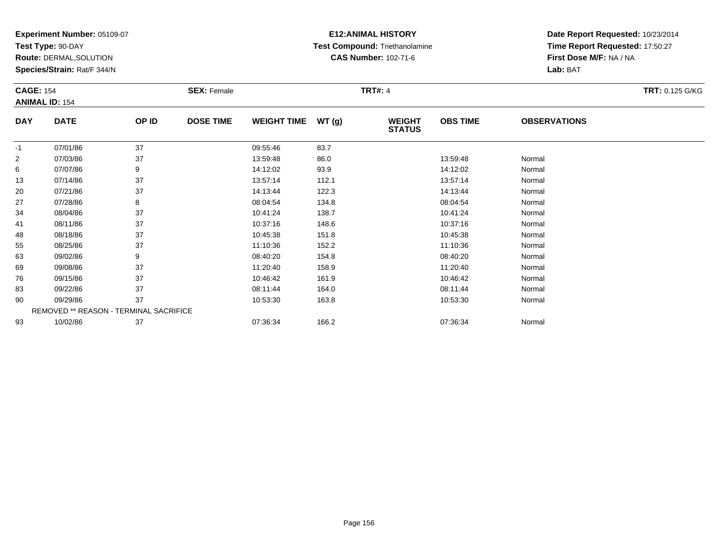**Test Type:** 90-DAY

**Route:** DERMAL,SOLUTION

**Species/Strain:** Rat/F 344/N

# **E12:ANIMAL HISTORY Test Compound:** Triethanolamine**CAS Number:** 102-71-6

|                | <b>CAGE: 154</b><br><b>SEX: Female</b> |       |                  | <b>TRT#: 4</b>     |       | <b>TRT: 0.125 G/KG</b>         |                 |                     |  |  |  |
|----------------|----------------------------------------|-------|------------------|--------------------|-------|--------------------------------|-----------------|---------------------|--|--|--|
|                | <b>ANIMAL ID: 154</b>                  |       |                  |                    |       |                                |                 |                     |  |  |  |
| <b>DAY</b>     | <b>DATE</b>                            | OP ID | <b>DOSE TIME</b> | <b>WEIGHT TIME</b> | WT(g) | <b>WEIGHT</b><br><b>STATUS</b> | <b>OBS TIME</b> | <b>OBSERVATIONS</b> |  |  |  |
| $-1$           | 07/01/86                               | 37    |                  | 09:55:46           | 83.7  |                                |                 |                     |  |  |  |
| $\overline{2}$ | 07/03/86                               | 37    |                  | 13:59:48           | 86.0  |                                | 13:59:48        | Normal              |  |  |  |
| 6              | 07/07/86                               | 9     |                  | 14:12:02           | 93.9  |                                | 14:12:02        | Normal              |  |  |  |
| 13             | 07/14/86                               | 37    |                  | 13:57:14           | 112.1 |                                | 13:57:14        | Normal              |  |  |  |
| 20             | 07/21/86                               | 37    |                  | 14:13:44           | 122.3 |                                | 14:13:44        | Normal              |  |  |  |
| 27             | 07/28/86                               | 8     |                  | 08:04:54           | 134.8 |                                | 08:04:54        | Normal              |  |  |  |
| 34             | 08/04/86                               | 37    |                  | 10:41:24           | 138.7 |                                | 10:41:24        | Normal              |  |  |  |
| 41             | 08/11/86                               | 37    |                  | 10:37:16           | 148.6 |                                | 10:37:16        | Normal              |  |  |  |
| 48             | 08/18/86                               | 37    |                  | 10:45:38           | 151.8 |                                | 10:45:38        | Normal              |  |  |  |
| 55             | 08/25/86                               | 37    |                  | 11:10:36           | 152.2 |                                | 11:10:36        | Normal              |  |  |  |
| 63             | 09/02/86                               | 9     |                  | 08:40:20           | 154.8 |                                | 08:40:20        | Normal              |  |  |  |
| 69             | 09/08/86                               | 37    |                  | 11:20:40           | 158.9 |                                | 11:20:40        | Normal              |  |  |  |
| 76             | 09/15/86                               | 37    |                  | 10:46:42           | 161.9 |                                | 10:46:42        | Normal              |  |  |  |
| 83             | 09/22/86                               | 37    |                  | 08:11:44           | 164.0 |                                | 08:11:44        | Normal              |  |  |  |
| 90             | 09/29/86                               | 37    |                  | 10:53:30           | 163.8 |                                | 10:53:30        | Normal              |  |  |  |
|                | REMOVED ** REASON - TERMINAL SACRIFICE |       |                  |                    |       |                                |                 |                     |  |  |  |
| 93             | 10/02/86                               | 37    |                  | 07:36:34           | 166.2 |                                | 07:36:34        | Normal              |  |  |  |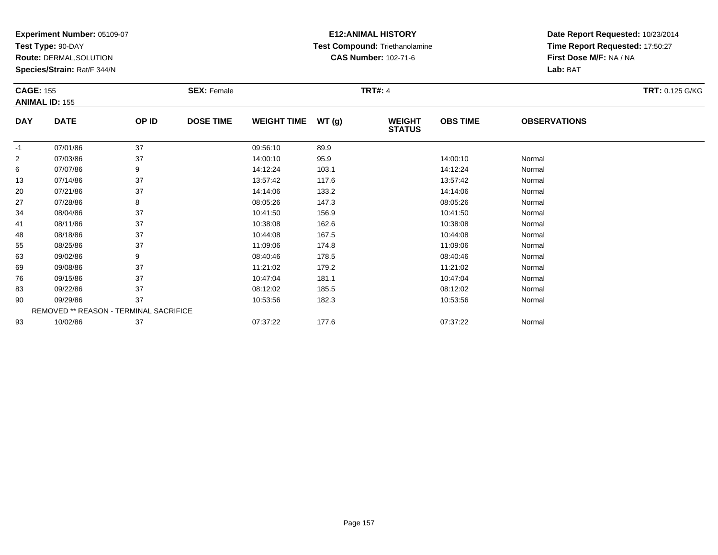**Test Type:** 90-DAY

**Route:** DERMAL,SOLUTION

**Species/Strain:** Rat/F 344/N

# **E12:ANIMAL HISTORY Test Compound:** Triethanolamine**CAS Number:** 102-71-6

| <b>CAGE: 155</b> | <b>ANIMAL ID: 155</b>                  |       | <b>SEX: Female</b> |                    |       | <b>TRT#: 4</b>                 |                 |                     | <b>TRT: 0.125 G/KG</b> |
|------------------|----------------------------------------|-------|--------------------|--------------------|-------|--------------------------------|-----------------|---------------------|------------------------|
| <b>DAY</b>       | <b>DATE</b>                            | OP ID | <b>DOSE TIME</b>   | <b>WEIGHT TIME</b> | WT(g) | <b>WEIGHT</b><br><b>STATUS</b> | <b>OBS TIME</b> | <b>OBSERVATIONS</b> |                        |
| $-1$             | 07/01/86                               | 37    |                    | 09:56:10           | 89.9  |                                |                 |                     |                        |
| $\overline{2}$   | 07/03/86                               | 37    |                    | 14:00:10           | 95.9  |                                | 14:00:10        | Normal              |                        |
| 6                | 07/07/86                               | 9     |                    | 14:12:24           | 103.1 |                                | 14:12:24        | Normal              |                        |
| 13               | 07/14/86                               | 37    |                    | 13:57:42           | 117.6 |                                | 13:57:42        | Normal              |                        |
| 20               | 07/21/86                               | 37    |                    | 14:14:06           | 133.2 |                                | 14:14:06        | Normal              |                        |
| 27               | 07/28/86                               | 8     |                    | 08:05:26           | 147.3 |                                | 08:05:26        | Normal              |                        |
| 34               | 08/04/86                               | 37    |                    | 10:41:50           | 156.9 |                                | 10:41:50        | Normal              |                        |
| 41               | 08/11/86                               | 37    |                    | 10:38:08           | 162.6 |                                | 10:38:08        | Normal              |                        |
| 48               | 08/18/86                               | 37    |                    | 10:44:08           | 167.5 |                                | 10:44:08        | Normal              |                        |
| 55               | 08/25/86                               | 37    |                    | 11:09:06           | 174.8 |                                | 11:09:06        | Normal              |                        |
| 63               | 09/02/86                               | 9     |                    | 08:40:46           | 178.5 |                                | 08:40:46        | Normal              |                        |
| 69               | 09/08/86                               | 37    |                    | 11:21:02           | 179.2 |                                | 11:21:02        | Normal              |                        |
| 76               | 09/15/86                               | 37    |                    | 10:47:04           | 181.1 |                                | 10:47:04        | Normal              |                        |
| 83               | 09/22/86                               | 37    |                    | 08:12:02           | 185.5 |                                | 08:12:02        | Normal              |                        |
| 90               | 09/29/86                               | 37    |                    | 10:53:56           | 182.3 |                                | 10:53:56        | Normal              |                        |
|                  | REMOVED ** REASON - TERMINAL SACRIFICE |       |                    |                    |       |                                |                 |                     |                        |
| 93               | 10/02/86                               | 37    |                    | 07:37:22           | 177.6 |                                | 07:37:22        | Normal              |                        |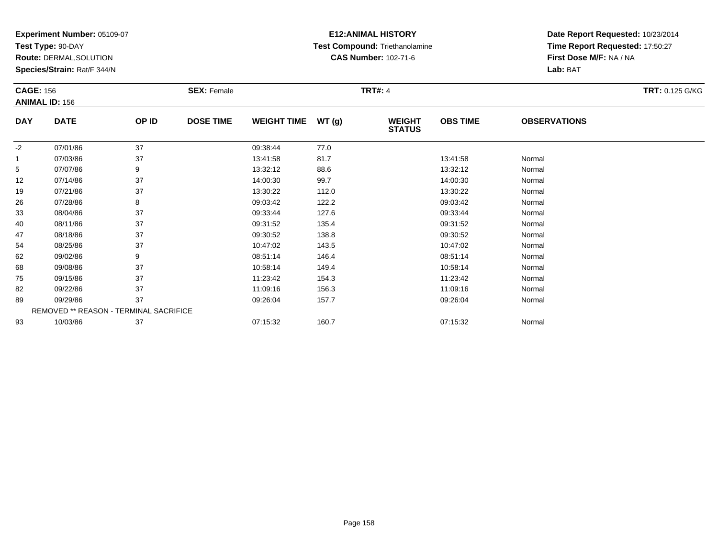**Test Type:** 90-DAY

**Route:** DERMAL,SOLUTION

**Species/Strain:** Rat/F 344/N

# **E12:ANIMAL HISTORY Test Compound:** Triethanolamine**CAS Number:** 102-71-6

| <b>CAGE: 156</b> |                                        |       | <b>SEX: Female</b> |                    |       | <b>TRT#: 4</b>                 |                 |                     | <b>TRT: 0.125 G/KG</b> |
|------------------|----------------------------------------|-------|--------------------|--------------------|-------|--------------------------------|-----------------|---------------------|------------------------|
|                  | <b>ANIMAL ID: 156</b>                  |       |                    |                    |       |                                |                 |                     |                        |
| <b>DAY</b>       | <b>DATE</b>                            | OP ID | <b>DOSE TIME</b>   | <b>WEIGHT TIME</b> | WT(g) | <b>WEIGHT</b><br><b>STATUS</b> | <b>OBS TIME</b> | <b>OBSERVATIONS</b> |                        |
| $-2$             | 07/01/86                               | 37    |                    | 09:38:44           | 77.0  |                                |                 |                     |                        |
| $\mathbf{1}$     | 07/03/86                               | 37    |                    | 13:41:58           | 81.7  |                                | 13:41:58        | Normal              |                        |
| 5                | 07/07/86                               | 9     |                    | 13:32:12           | 88.6  |                                | 13:32:12        | Normal              |                        |
| 12               | 07/14/86                               | 37    |                    | 14:00:30           | 99.7  |                                | 14:00:30        | Normal              |                        |
| 19               | 07/21/86                               | 37    |                    | 13:30:22           | 112.0 |                                | 13:30:22        | Normal              |                        |
| 26               | 07/28/86                               | 8     |                    | 09:03:42           | 122.2 |                                | 09:03:42        | Normal              |                        |
| 33               | 08/04/86                               | 37    |                    | 09:33:44           | 127.6 |                                | 09:33:44        | Normal              |                        |
| 40               | 08/11/86                               | 37    |                    | 09:31:52           | 135.4 |                                | 09:31:52        | Normal              |                        |
| 47               | 08/18/86                               | 37    |                    | 09:30:52           | 138.8 |                                | 09:30:52        | Normal              |                        |
| 54               | 08/25/86                               | 37    |                    | 10:47:02           | 143.5 |                                | 10:47:02        | Normal              |                        |
| 62               | 09/02/86                               | 9     |                    | 08:51:14           | 146.4 |                                | 08:51:14        | Normal              |                        |
| 68               | 09/08/86                               | 37    |                    | 10:58:14           | 149.4 |                                | 10:58:14        | Normal              |                        |
| 75               | 09/15/86                               | 37    |                    | 11:23:42           | 154.3 |                                | 11:23:42        | Normal              |                        |
| 82               | 09/22/86                               | 37    |                    | 11:09:16           | 156.3 |                                | 11:09:16        | Normal              |                        |
| 89               | 09/29/86                               | 37    |                    | 09:26:04           | 157.7 |                                | 09:26:04        | Normal              |                        |
|                  | REMOVED ** REASON - TERMINAL SACRIFICE |       |                    |                    |       |                                |                 |                     |                        |
| 93               | 10/03/86                               | 37    |                    | 07:15:32           | 160.7 |                                | 07:15:32        | Normal              |                        |
|                  |                                        |       |                    |                    |       |                                |                 |                     |                        |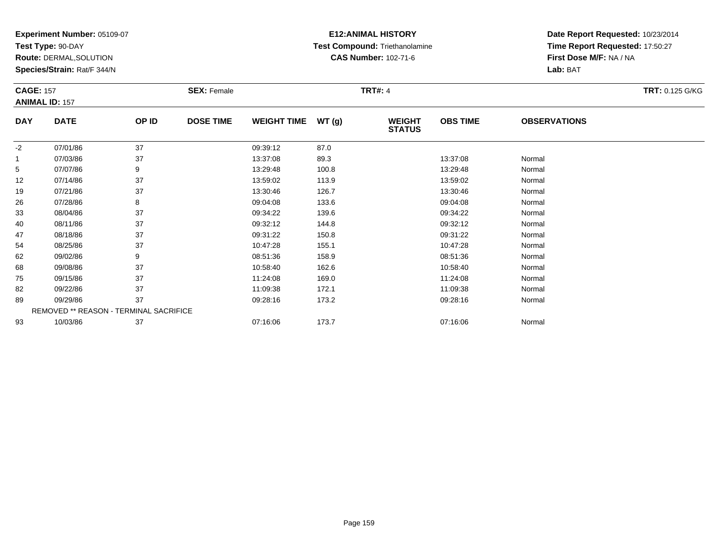**Test Type:** 90-DAY

**Route:** DERMAL,SOLUTION

**Species/Strain:** Rat/F 344/N

# **E12:ANIMAL HISTORY Test Compound:** Triethanolamine**CAS Number:** 102-71-6

| <b>CAGE: 157</b> |                                        |       | <b>SEX: Female</b> |                    |       | <b>TRT#: 4</b>                 |                 |                     | TRT: 0.125 G/KG |
|------------------|----------------------------------------|-------|--------------------|--------------------|-------|--------------------------------|-----------------|---------------------|-----------------|
|                  | <b>ANIMAL ID: 157</b>                  |       |                    |                    |       |                                |                 |                     |                 |
| <b>DAY</b>       | <b>DATE</b>                            | OP ID | <b>DOSE TIME</b>   | <b>WEIGHT TIME</b> | WT(g) | <b>WEIGHT</b><br><b>STATUS</b> | <b>OBS TIME</b> | <b>OBSERVATIONS</b> |                 |
| $-2$             | 07/01/86                               | 37    |                    | 09:39:12           | 87.0  |                                |                 |                     |                 |
| $\mathbf{1}$     | 07/03/86                               | 37    |                    | 13:37:08           | 89.3  |                                | 13:37:08        | Normal              |                 |
| 5                | 07/07/86                               | 9     |                    | 13:29:48           | 100.8 |                                | 13:29:48        | Normal              |                 |
| 12               | 07/14/86                               | 37    |                    | 13:59:02           | 113.9 |                                | 13:59:02        | Normal              |                 |
| 19               | 07/21/86                               | 37    |                    | 13:30:46           | 126.7 |                                | 13:30:46        | Normal              |                 |
| 26               | 07/28/86                               | 8     |                    | 09:04:08           | 133.6 |                                | 09:04:08        | Normal              |                 |
| 33               | 08/04/86                               | 37    |                    | 09:34:22           | 139.6 |                                | 09:34:22        | Normal              |                 |
| 40               | 08/11/86                               | 37    |                    | 09:32:12           | 144.8 |                                | 09:32:12        | Normal              |                 |
| 47               | 08/18/86                               | 37    |                    | 09:31:22           | 150.8 |                                | 09:31:22        | Normal              |                 |
| 54               | 08/25/86                               | 37    |                    | 10:47:28           | 155.1 |                                | 10:47:28        | Normal              |                 |
| 62               | 09/02/86                               | 9     |                    | 08:51:36           | 158.9 |                                | 08:51:36        | Normal              |                 |
| 68               | 09/08/86                               | 37    |                    | 10:58:40           | 162.6 |                                | 10:58:40        | Normal              |                 |
| 75               | 09/15/86                               | 37    |                    | 11:24:08           | 169.0 |                                | 11:24:08        | Normal              |                 |
| 82               | 09/22/86                               | 37    |                    | 11:09:38           | 172.1 |                                | 11:09:38        | Normal              |                 |
| 89               | 09/29/86                               | 37    |                    | 09:28:16           | 173.2 |                                | 09:28:16        | Normal              |                 |
|                  | REMOVED ** REASON - TERMINAL SACRIFICE |       |                    |                    |       |                                |                 |                     |                 |
| 93               | 10/03/86                               | 37    |                    | 07:16:06           | 173.7 |                                | 07:16:06        | Normal              |                 |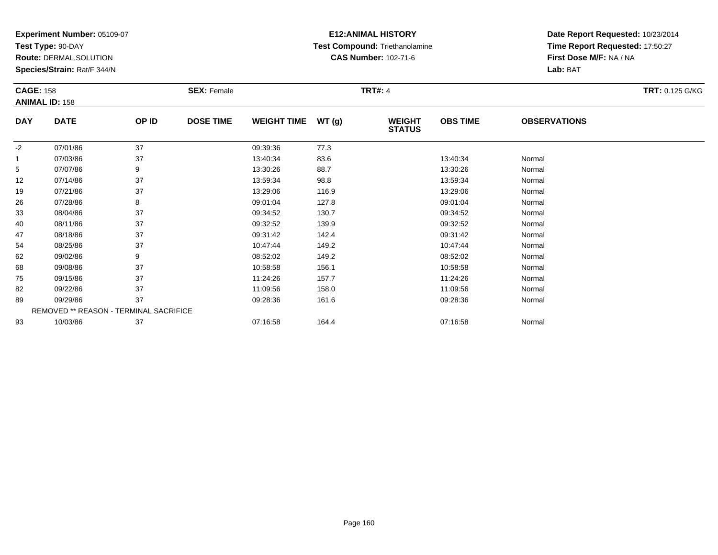**Test Type:** 90-DAY

**Route:** DERMAL,SOLUTION

**Species/Strain:** Rat/F 344/N

# **E12:ANIMAL HISTORY Test Compound:** Triethanolamine**CAS Number:** 102-71-6

| <b>CAGE: 158</b> |                                        |       | <b>SEX: Female</b> |                    |       | <b>TRT#: 4</b>                 |                 |                     | <b>TRT: 0.125 G/KG</b> |
|------------------|----------------------------------------|-------|--------------------|--------------------|-------|--------------------------------|-----------------|---------------------|------------------------|
|                  | <b>ANIMAL ID: 158</b>                  |       |                    |                    |       |                                |                 |                     |                        |
| <b>DAY</b>       | <b>DATE</b>                            | OP ID | <b>DOSE TIME</b>   | <b>WEIGHT TIME</b> | WT(g) | <b>WEIGHT</b><br><b>STATUS</b> | <b>OBS TIME</b> | <b>OBSERVATIONS</b> |                        |
| $-2$             | 07/01/86                               | 37    |                    | 09:39:36           | 77.3  |                                |                 |                     |                        |
| $\mathbf{1}$     | 07/03/86                               | 37    |                    | 13:40:34           | 83.6  |                                | 13:40:34        | Normal              |                        |
| 5                | 07/07/86                               | 9     |                    | 13:30:26           | 88.7  |                                | 13:30:26        | Normal              |                        |
| 12               | 07/14/86                               | 37    |                    | 13:59:34           | 98.8  |                                | 13:59:34        | Normal              |                        |
| 19               | 07/21/86                               | 37    |                    | 13:29:06           | 116.9 |                                | 13:29:06        | Normal              |                        |
| 26               | 07/28/86                               | 8     |                    | 09:01:04           | 127.8 |                                | 09:01:04        | Normal              |                        |
| 33               | 08/04/86                               | 37    |                    | 09:34:52           | 130.7 |                                | 09:34:52        | Normal              |                        |
| 40               | 08/11/86                               | 37    |                    | 09:32:52           | 139.9 |                                | 09:32:52        | Normal              |                        |
| 47               | 08/18/86                               | 37    |                    | 09:31:42           | 142.4 |                                | 09:31:42        | Normal              |                        |
| 54               | 08/25/86                               | 37    |                    | 10:47:44           | 149.2 |                                | 10:47:44        | Normal              |                        |
| 62               | 09/02/86                               | 9     |                    | 08:52:02           | 149.2 |                                | 08:52:02        | Normal              |                        |
| 68               | 09/08/86                               | 37    |                    | 10:58:58           | 156.1 |                                | 10:58:58        | Normal              |                        |
| 75               | 09/15/86                               | 37    |                    | 11:24:26           | 157.7 |                                | 11:24:26        | Normal              |                        |
| 82               | 09/22/86                               | 37    |                    | 11:09:56           | 158.0 |                                | 11:09:56        | Normal              |                        |
| 89               | 09/29/86                               | 37    |                    | 09:28:36           | 161.6 |                                | 09:28:36        | Normal              |                        |
|                  | REMOVED ** REASON - TERMINAL SACRIFICE |       |                    |                    |       |                                |                 |                     |                        |
| 93               | 10/03/86                               | 37    |                    | 07:16:58           | 164.4 |                                | 07:16:58        | Normal              |                        |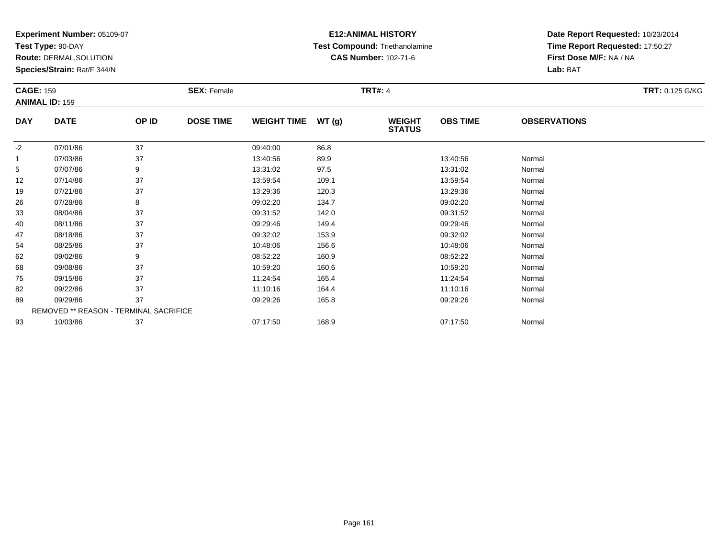**Test Type:** 90-DAY

**Route:** DERMAL,SOLUTION

**Species/Strain:** Rat/F 344/N

# **E12:ANIMAL HISTORY Test Compound:** Triethanolamine**CAS Number:** 102-71-6

| <b>CAGE: 159</b>      |                                        |       | <b>SEX: Female</b> |                    |       | <b>TRT#: 4</b>                 |                 |                     | <b>TRT: 0.125 G/KG</b> |
|-----------------------|----------------------------------------|-------|--------------------|--------------------|-------|--------------------------------|-----------------|---------------------|------------------------|
| <b>ANIMAL ID: 159</b> |                                        |       |                    |                    |       |                                |                 |                     |                        |
| <b>DAY</b>            | <b>DATE</b>                            | OP ID | <b>DOSE TIME</b>   | <b>WEIGHT TIME</b> | WT(g) | <b>WEIGHT</b><br><b>STATUS</b> | <b>OBS TIME</b> | <b>OBSERVATIONS</b> |                        |
| $-2$                  | 07/01/86                               | 37    |                    | 09:40:00           | 86.8  |                                |                 |                     |                        |
| 1                     | 07/03/86                               | 37    |                    | 13:40:56           | 89.9  |                                | 13:40:56        | Normal              |                        |
| 5                     | 07/07/86                               | 9     |                    | 13:31:02           | 97.5  |                                | 13:31:02        | Normal              |                        |
| 12                    | 07/14/86                               | 37    |                    | 13:59:54           | 109.1 |                                | 13:59:54        | Normal              |                        |
| 19                    | 07/21/86                               | 37    |                    | 13:29:36           | 120.3 |                                | 13:29:36        | Normal              |                        |
| 26                    | 07/28/86                               | 8     |                    | 09:02:20           | 134.7 |                                | 09:02:20        | Normal              |                        |
| 33                    | 08/04/86                               | 37    |                    | 09:31:52           | 142.0 |                                | 09:31:52        | Normal              |                        |
| 40                    | 08/11/86                               | 37    |                    | 09:29:46           | 149.4 |                                | 09:29:46        | Normal              |                        |
| 47                    | 08/18/86                               | 37    |                    | 09:32:02           | 153.9 |                                | 09:32:02        | Normal              |                        |
| 54                    | 08/25/86                               | 37    |                    | 10:48:06           | 156.6 |                                | 10:48:06        | Normal              |                        |
| 62                    | 09/02/86                               | 9     |                    | 08:52:22           | 160.9 |                                | 08:52:22        | Normal              |                        |
| 68                    | 09/08/86                               | 37    |                    | 10:59:20           | 160.6 |                                | 10:59:20        | Normal              |                        |
| 75                    | 09/15/86                               | 37    |                    | 11:24:54           | 165.4 |                                | 11:24:54        | Normal              |                        |
| 82                    | 09/22/86                               | 37    |                    | 11:10:16           | 164.4 |                                | 11:10:16        | Normal              |                        |
| 89                    | 09/29/86                               | 37    |                    | 09:29:26           | 165.8 |                                | 09:29:26        | Normal              |                        |
|                       | REMOVED ** REASON - TERMINAL SACRIFICE |       |                    |                    |       |                                |                 |                     |                        |
| 93                    | 10/03/86                               | 37    |                    | 07:17:50           | 168.9 |                                | 07:17:50        | Normal              |                        |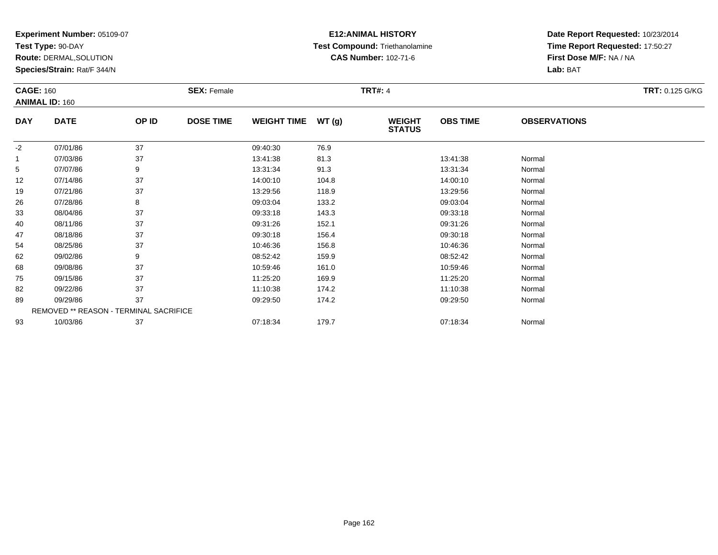**Test Type:** 90-DAY

**Route:** DERMAL,SOLUTION

**Species/Strain:** Rat/F 344/N

# **E12:ANIMAL HISTORY Test Compound:** Triethanolamine**CAS Number:** 102-71-6

| <b>CAGE: 160</b> | <b>ANIMAL ID: 160</b>                  |       | <b>SEX: Female</b> |                    |       | <b>TRT#: 4</b>                 |                 |                     | <b>TRT: 0.125 G/KG</b> |
|------------------|----------------------------------------|-------|--------------------|--------------------|-------|--------------------------------|-----------------|---------------------|------------------------|
| <b>DAY</b>       | <b>DATE</b>                            | OP ID | <b>DOSE TIME</b>   | <b>WEIGHT TIME</b> | WT(g) | <b>WEIGHT</b><br><b>STATUS</b> | <b>OBS TIME</b> | <b>OBSERVATIONS</b> |                        |
| $-2$             | 07/01/86                               | 37    |                    | 09:40:30           | 76.9  |                                |                 |                     |                        |
|                  | 07/03/86                               | 37    |                    | 13:41:38           | 81.3  |                                | 13:41:38        | Normal              |                        |
| 5                | 07/07/86                               | 9     |                    | 13:31:34           | 91.3  |                                | 13:31:34        | Normal              |                        |
| 12               | 07/14/86                               | 37    |                    | 14:00:10           | 104.8 |                                | 14:00:10        | Normal              |                        |
| 19               | 07/21/86                               | 37    |                    | 13:29:56           | 118.9 |                                | 13:29:56        | Normal              |                        |
| 26               | 07/28/86                               | 8     |                    | 09:03:04           | 133.2 |                                | 09:03:04        | Normal              |                        |
| 33               | 08/04/86                               | 37    |                    | 09:33:18           | 143.3 |                                | 09:33:18        | Normal              |                        |
| 40               | 08/11/86                               | 37    |                    | 09:31:26           | 152.1 |                                | 09:31:26        | Normal              |                        |
| 47               | 08/18/86                               | 37    |                    | 09:30:18           | 156.4 |                                | 09:30:18        | Normal              |                        |
| 54               | 08/25/86                               | 37    |                    | 10:46:36           | 156.8 |                                | 10:46:36        | Normal              |                        |
| 62               | 09/02/86                               | 9     |                    | 08:52:42           | 159.9 |                                | 08:52:42        | Normal              |                        |
| 68               | 09/08/86                               | 37    |                    | 10:59:46           | 161.0 |                                | 10:59:46        | Normal              |                        |
| 75               | 09/15/86                               | 37    |                    | 11:25:20           | 169.9 |                                | 11:25:20        | Normal              |                        |
| 82               | 09/22/86                               | 37    |                    | 11:10:38           | 174.2 |                                | 11:10:38        | Normal              |                        |
| 89               | 09/29/86                               | 37    |                    | 09:29:50           | 174.2 |                                | 09:29:50        | Normal              |                        |
|                  | REMOVED ** REASON - TERMINAL SACRIFICE |       |                    |                    |       |                                |                 |                     |                        |
| 93               | 10/03/86                               | 37    |                    | 07:18:34           | 179.7 |                                | 07:18:34        | Normal              |                        |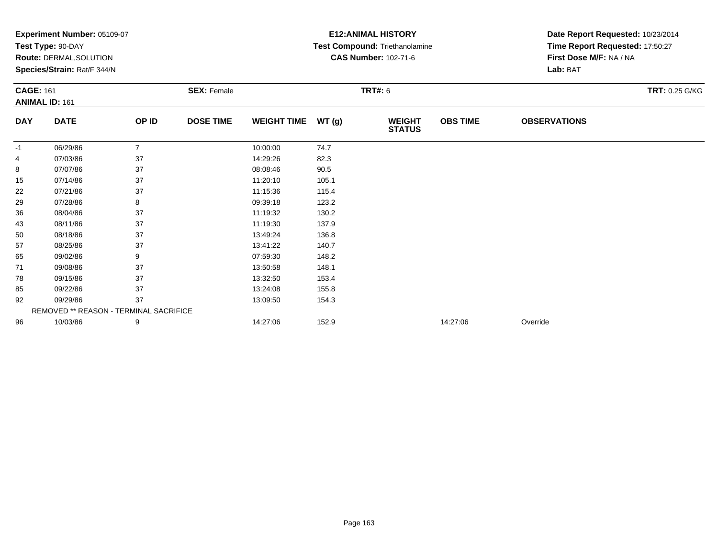|                  | <b>Experiment Number: 05109-07</b>     |                |                    |                    |       | <b>E12: ANIMAL HISTORY</b>     | Date Report Requested: 10/23/2014 |                                 |                |
|------------------|----------------------------------------|----------------|--------------------|--------------------|-------|--------------------------------|-----------------------------------|---------------------------------|----------------|
|                  | Test Type: 90-DAY                      |                |                    |                    |       | Test Compound: Triethanolamine |                                   | Time Report Requested: 17:50:27 |                |
|                  | <b>Route: DERMAL, SOLUTION</b>         |                |                    |                    |       | <b>CAS Number: 102-71-6</b>    |                                   | First Dose M/F: NA / NA         |                |
|                  | Species/Strain: Rat/F 344/N            |                |                    |                    |       |                                |                                   | Lab: BAT                        |                |
| <b>CAGE: 161</b> |                                        |                | <b>SEX: Female</b> |                    |       | <b>TRT#: 6</b>                 |                                   |                                 | TRT: 0.25 G/KG |
|                  | <b>ANIMAL ID: 161</b>                  |                |                    |                    |       |                                |                                   |                                 |                |
| <b>DAY</b>       | <b>DATE</b>                            | OP ID          | <b>DOSE TIME</b>   | <b>WEIGHT TIME</b> | WT(g) | <b>WEIGHT</b><br><b>STATUS</b> | <b>OBS TIME</b>                   | <b>OBSERVATIONS</b>             |                |
| -1               | 06/29/86                               | $\overline{7}$ |                    | 10:00:00           | 74.7  |                                |                                   |                                 |                |
| 4                | 07/03/86                               | 37             |                    | 14:29:26           | 82.3  |                                |                                   |                                 |                |
| 8                | 07/07/86                               | 37             |                    | 08:08:46           | 90.5  |                                |                                   |                                 |                |
| 15               | 07/14/86                               | 37             |                    | 11:20:10           | 105.1 |                                |                                   |                                 |                |
| 22               | 07/21/86                               | 37             |                    | 11:15:36           | 115.4 |                                |                                   |                                 |                |
| 29               | 07/28/86                               | 8              |                    | 09:39:18           | 123.2 |                                |                                   |                                 |                |
| 36               | 08/04/86                               | 37             |                    | 11:19:32           | 130.2 |                                |                                   |                                 |                |
| 43               | 08/11/86                               | 37             |                    | 11:19:30           | 137.9 |                                |                                   |                                 |                |
| 50               | 08/18/86                               | 37             |                    | 13:49:24           | 136.8 |                                |                                   |                                 |                |
| 57               | 08/25/86                               | 37             |                    | 13:41:22           | 140.7 |                                |                                   |                                 |                |
| 65               | 09/02/86                               | 9              |                    | 07:59:30           | 148.2 |                                |                                   |                                 |                |
| 71               | 09/08/86                               | 37             |                    | 13:50:58           | 148.1 |                                |                                   |                                 |                |
| 78               | 09/15/86                               | 37             |                    | 13:32:50           | 153.4 |                                |                                   |                                 |                |
| 85               | 09/22/86                               | 37             |                    | 13:24:08           | 155.8 |                                |                                   |                                 |                |
| 92               | 09/29/86                               | 37             |                    | 13:09:50           | 154.3 |                                |                                   |                                 |                |
|                  | REMOVED ** REASON - TERMINAL SACRIFICE |                |                    |                    |       |                                |                                   |                                 |                |
| 96               | 10/03/86                               | 9              |                    | 14:27:06           | 152.9 |                                | 14:27:06                          | Override                        |                |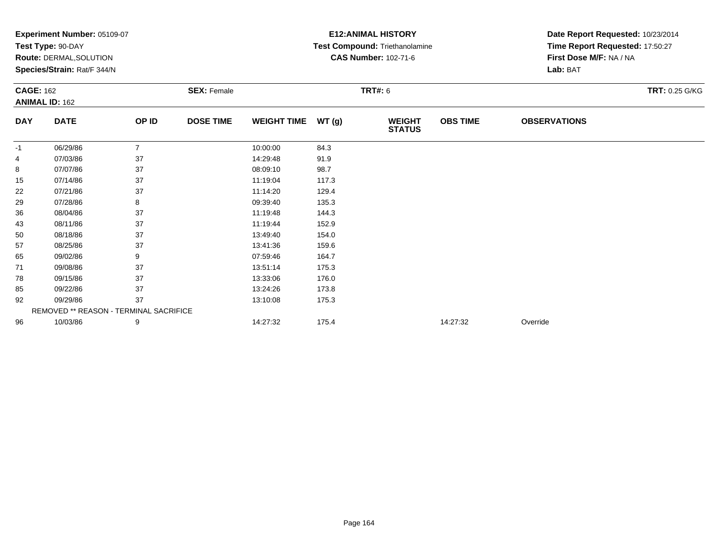|                  | Experiment Number: 05109-07            |                |                    | <b>E12: ANIMAL HISTORY</b> | Date Report Requested: 10/23/2014 |                                |                 |                                 |                       |
|------------------|----------------------------------------|----------------|--------------------|----------------------------|-----------------------------------|--------------------------------|-----------------|---------------------------------|-----------------------|
|                  | Test Type: 90-DAY                      |                |                    |                            |                                   | Test Compound: Triethanolamine |                 | Time Report Requested: 17:50:27 |                       |
|                  | Route: DERMAL, SOLUTION                |                |                    |                            |                                   | <b>CAS Number: 102-71-6</b>    |                 | First Dose M/F: NA / NA         |                       |
|                  | Species/Strain: Rat/F 344/N            |                |                    |                            |                                   |                                |                 | Lab: BAT                        |                       |
| <b>CAGE: 162</b> |                                        |                | <b>SEX: Female</b> |                            |                                   | <b>TRT#: 6</b>                 |                 |                                 | <b>TRT: 0.25 G/KG</b> |
|                  | <b>ANIMAL ID: 162</b>                  |                |                    |                            |                                   |                                |                 |                                 |                       |
| <b>DAY</b>       | <b>DATE</b>                            | OP ID          | <b>DOSE TIME</b>   | <b>WEIGHT TIME</b>         | WT(g)                             | <b>WEIGHT</b><br><b>STATUS</b> | <b>OBS TIME</b> | <b>OBSERVATIONS</b>             |                       |
| -1               | 06/29/86                               | $\overline{7}$ |                    | 10:00:00                   | 84.3                              |                                |                 |                                 |                       |
| 4                | 07/03/86                               | 37             |                    | 14:29:48                   | 91.9                              |                                |                 |                                 |                       |
| 8                | 07/07/86                               | 37             |                    | 08:09:10                   | 98.7                              |                                |                 |                                 |                       |
| 15               | 07/14/86                               | 37             |                    | 11:19:04                   | 117.3                             |                                |                 |                                 |                       |
| 22               | 07/21/86                               | 37             |                    | 11:14:20                   | 129.4                             |                                |                 |                                 |                       |
| 29               | 07/28/86                               | 8              |                    | 09:39:40                   | 135.3                             |                                |                 |                                 |                       |
| 36               | 08/04/86                               | 37             |                    | 11:19:48                   | 144.3                             |                                |                 |                                 |                       |
| 43               | 08/11/86                               | 37             |                    | 11:19:44                   | 152.9                             |                                |                 |                                 |                       |
| 50               | 08/18/86                               | 37             |                    | 13:49:40                   | 154.0                             |                                |                 |                                 |                       |
| 57               | 08/25/86                               | 37             |                    | 13:41:36                   | 159.6                             |                                |                 |                                 |                       |
| 65               | 09/02/86                               | 9              |                    | 07:59:46                   | 164.7                             |                                |                 |                                 |                       |
| 71               | 09/08/86                               | 37             |                    | 13:51:14                   | 175.3                             |                                |                 |                                 |                       |
| 78               | 09/15/86                               | 37             |                    | 13:33:06                   | 176.0                             |                                |                 |                                 |                       |
| 85               | 09/22/86                               | 37             |                    | 13:24:26                   | 173.8                             |                                |                 |                                 |                       |
| 92               | 09/29/86                               | 37             |                    | 13:10:08                   | 175.3                             |                                |                 |                                 |                       |
|                  | REMOVED ** REASON - TERMINAL SACRIFICE |                |                    |                            |                                   |                                |                 |                                 |                       |
| 96               | 10/03/86                               | 9              |                    | 14:27:32                   | 175.4                             |                                | 14:27:32        | Override                        |                       |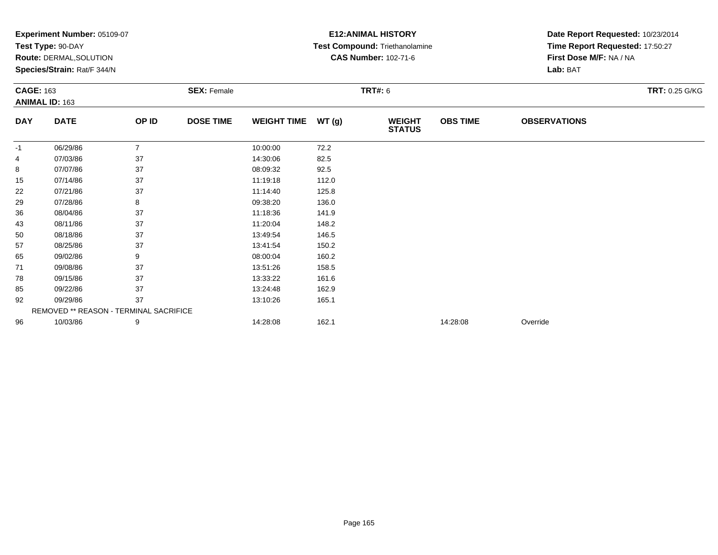|                  | Experiment Number: 05109-07            |                |                    | <b>E12: ANIMAL HISTORY</b> | Date Report Requested: 10/23/2014 |                                |                 |                                 |                       |
|------------------|----------------------------------------|----------------|--------------------|----------------------------|-----------------------------------|--------------------------------|-----------------|---------------------------------|-----------------------|
|                  | Test Type: 90-DAY                      |                |                    |                            |                                   | Test Compound: Triethanolamine |                 | Time Report Requested: 17:50:27 |                       |
|                  | Route: DERMAL, SOLUTION                |                |                    |                            |                                   | <b>CAS Number: 102-71-6</b>    |                 | First Dose M/F: NA / NA         |                       |
|                  | Species/Strain: Rat/F 344/N            |                |                    |                            |                                   |                                |                 | Lab: BAT                        |                       |
| <b>CAGE: 163</b> |                                        |                | <b>SEX: Female</b> |                            | <b>TRT#: 6</b>                    |                                |                 |                                 | <b>TRT: 0.25 G/KG</b> |
|                  | <b>ANIMAL ID: 163</b>                  |                |                    |                            |                                   |                                |                 |                                 |                       |
| <b>DAY</b>       | <b>DATE</b>                            | OP ID          | <b>DOSE TIME</b>   | <b>WEIGHT TIME</b>         | WT(g)                             | <b>WEIGHT</b><br><b>STATUS</b> | <b>OBS TIME</b> | <b>OBSERVATIONS</b>             |                       |
| -1               | 06/29/86                               | $\overline{7}$ |                    | 10:00:00                   | 72.2                              |                                |                 |                                 |                       |
| 4                | 07/03/86                               | 37             |                    | 14:30:06                   | 82.5                              |                                |                 |                                 |                       |
| 8                | 07/07/86                               | 37             |                    | 08:09:32                   | 92.5                              |                                |                 |                                 |                       |
| 15               | 07/14/86                               | 37             |                    | 11:19:18                   | 112.0                             |                                |                 |                                 |                       |
| 22               | 07/21/86                               | 37             |                    | 11:14:40                   | 125.8                             |                                |                 |                                 |                       |
| 29               | 07/28/86                               | 8              |                    | 09:38:20                   | 136.0                             |                                |                 |                                 |                       |
| 36               | 08/04/86                               | 37             |                    | 11:18:36                   | 141.9                             |                                |                 |                                 |                       |
| 43               | 08/11/86                               | 37             |                    | 11:20:04                   | 148.2                             |                                |                 |                                 |                       |
| 50               | 08/18/86                               | 37             |                    | 13:49:54                   | 146.5                             |                                |                 |                                 |                       |
| 57               | 08/25/86                               | 37             |                    | 13:41:54                   | 150.2                             |                                |                 |                                 |                       |
| 65               | 09/02/86                               | 9              |                    | 08:00:04                   | 160.2                             |                                |                 |                                 |                       |
| 71               | 09/08/86                               | 37             |                    | 13:51:26                   | 158.5                             |                                |                 |                                 |                       |
| 78               | 09/15/86                               | 37             |                    | 13:33:22                   | 161.6                             |                                |                 |                                 |                       |
| 85               | 09/22/86                               | 37             |                    | 13:24:48                   | 162.9                             |                                |                 |                                 |                       |
| 92               | 09/29/86                               | 37             |                    | 13:10:26                   | 165.1                             |                                |                 |                                 |                       |
|                  | REMOVED ** REASON - TERMINAL SACRIFICE |                |                    |                            |                                   |                                |                 |                                 |                       |
| 96               | 10/03/86                               | 9              |                    | 14:28:08                   | 162.1                             |                                | 14:28:08        | Override                        |                       |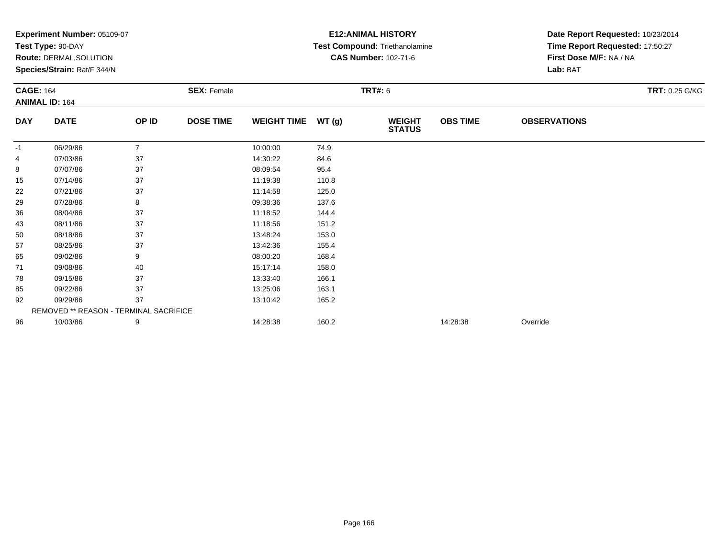|                  | Experiment Number: 05109-07            |                |                    | <b>E12: ANIMAL HISTORY</b> | Date Report Requested: 10/23/2014 |                                |                 |                                 |                       |
|------------------|----------------------------------------|----------------|--------------------|----------------------------|-----------------------------------|--------------------------------|-----------------|---------------------------------|-----------------------|
|                  | Test Type: 90-DAY                      |                |                    |                            |                                   | Test Compound: Triethanolamine |                 | Time Report Requested: 17:50:27 |                       |
|                  | Route: DERMAL, SOLUTION                |                |                    |                            |                                   | <b>CAS Number: 102-71-6</b>    |                 | First Dose M/F: NA / NA         |                       |
|                  | Species/Strain: Rat/F 344/N            |                |                    |                            |                                   |                                |                 | Lab: BAT                        |                       |
| <b>CAGE: 164</b> |                                        |                | <b>SEX: Female</b> |                            |                                   | <b>TRT#: 6</b>                 |                 |                                 | <b>TRT: 0.25 G/KG</b> |
|                  | <b>ANIMAL ID: 164</b>                  |                |                    |                            |                                   |                                |                 |                                 |                       |
| <b>DAY</b>       | <b>DATE</b>                            | OP ID          | <b>DOSE TIME</b>   | <b>WEIGHT TIME</b>         | WT(g)                             | <b>WEIGHT</b><br><b>STATUS</b> | <b>OBS TIME</b> | <b>OBSERVATIONS</b>             |                       |
| -1               | 06/29/86                               | $\overline{7}$ |                    | 10:00:00                   | 74.9                              |                                |                 |                                 |                       |
| 4                | 07/03/86                               | 37             |                    | 14:30:22                   | 84.6                              |                                |                 |                                 |                       |
| 8                | 07/07/86                               | 37             |                    | 08:09:54                   | 95.4                              |                                |                 |                                 |                       |
| 15               | 07/14/86                               | 37             |                    | 11:19:38                   | 110.8                             |                                |                 |                                 |                       |
| 22               | 07/21/86                               | 37             |                    | 11:14:58                   | 125.0                             |                                |                 |                                 |                       |
| 29               | 07/28/86                               | 8              |                    | 09:38:36                   | 137.6                             |                                |                 |                                 |                       |
| 36               | 08/04/86                               | 37             |                    | 11:18:52                   | 144.4                             |                                |                 |                                 |                       |
| 43               | 08/11/86                               | 37             |                    | 11:18:56                   | 151.2                             |                                |                 |                                 |                       |
| 50               | 08/18/86                               | 37             |                    | 13:48:24                   | 153.0                             |                                |                 |                                 |                       |
| 57               | 08/25/86                               | 37             |                    | 13:42:36                   | 155.4                             |                                |                 |                                 |                       |
| 65               | 09/02/86                               | 9              |                    | 08:00:20                   | 168.4                             |                                |                 |                                 |                       |
| 71               | 09/08/86                               | 40             |                    | 15:17:14                   | 158.0                             |                                |                 |                                 |                       |
| 78               | 09/15/86                               | 37             |                    | 13:33:40                   | 166.1                             |                                |                 |                                 |                       |
| 85               | 09/22/86                               | 37             |                    | 13:25:06                   | 163.1                             |                                |                 |                                 |                       |
| 92               | 09/29/86                               | 37             |                    | 13:10:42                   | 165.2                             |                                |                 |                                 |                       |
|                  | REMOVED ** REASON - TERMINAL SACRIFICE |                |                    |                            |                                   |                                |                 |                                 |                       |
| 96               | 10/03/86                               | 9              |                    | 14:28:38                   | 160.2                             |                                | 14:28:38        | Override                        |                       |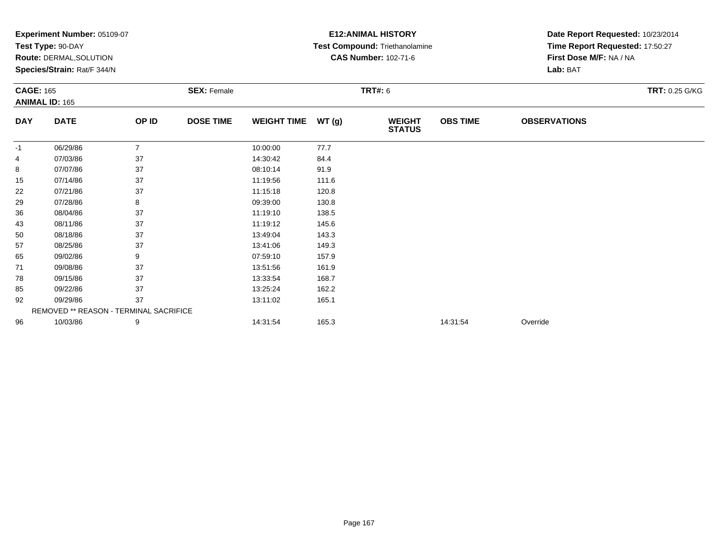|                  | Experiment Number: 05109-07            |                |                    | <b>E12: ANIMAL HISTORY</b> | Date Report Requested: 10/23/2014 |                                |                 |                                 |                       |
|------------------|----------------------------------------|----------------|--------------------|----------------------------|-----------------------------------|--------------------------------|-----------------|---------------------------------|-----------------------|
|                  | Test Type: 90-DAY                      |                |                    |                            |                                   | Test Compound: Triethanolamine |                 | Time Report Requested: 17:50:27 |                       |
|                  | Route: DERMAL, SOLUTION                |                |                    |                            |                                   | <b>CAS Number: 102-71-6</b>    |                 | First Dose M/F: NA / NA         |                       |
|                  | Species/Strain: Rat/F 344/N            |                |                    |                            |                                   |                                |                 | Lab: BAT                        |                       |
| <b>CAGE: 165</b> |                                        |                | <b>SEX: Female</b> | <b>TRT#: 6</b>             |                                   |                                |                 |                                 | <b>TRT: 0.25 G/KG</b> |
|                  | <b>ANIMAL ID: 165</b>                  |                |                    |                            |                                   |                                |                 |                                 |                       |
| <b>DAY</b>       | <b>DATE</b>                            | OP ID          | <b>DOSE TIME</b>   | <b>WEIGHT TIME</b>         | WT(g)                             | <b>WEIGHT</b><br><b>STATUS</b> | <b>OBS TIME</b> | <b>OBSERVATIONS</b>             |                       |
| -1               | 06/29/86                               | $\overline{7}$ |                    | 10:00:00                   | 77.7                              |                                |                 |                                 |                       |
| 4                | 07/03/86                               | 37             |                    | 14:30:42                   | 84.4                              |                                |                 |                                 |                       |
| 8                | 07/07/86                               | 37             |                    | 08:10:14                   | 91.9                              |                                |                 |                                 |                       |
| 15               | 07/14/86                               | 37             |                    | 11:19:56                   | 111.6                             |                                |                 |                                 |                       |
| 22               | 07/21/86                               | 37             |                    | 11:15:18                   | 120.8                             |                                |                 |                                 |                       |
| 29               | 07/28/86                               | 8              |                    | 09:39:00                   | 130.8                             |                                |                 |                                 |                       |
| 36               | 08/04/86                               | 37             |                    | 11:19:10                   | 138.5                             |                                |                 |                                 |                       |
| 43               | 08/11/86                               | 37             |                    | 11:19:12                   | 145.6                             |                                |                 |                                 |                       |
| 50               | 08/18/86                               | 37             |                    | 13:49:04                   | 143.3                             |                                |                 |                                 |                       |
| 57               | 08/25/86                               | 37             |                    | 13:41:06                   | 149.3                             |                                |                 |                                 |                       |
| 65               | 09/02/86                               | 9              |                    | 07:59:10                   | 157.9                             |                                |                 |                                 |                       |
| 71               | 09/08/86                               | 37             |                    | 13:51:56                   | 161.9                             |                                |                 |                                 |                       |
| 78               | 09/15/86                               | 37             |                    | 13:33:54                   | 168.7                             |                                |                 |                                 |                       |
| 85               | 09/22/86                               | 37             |                    | 13:25:24                   | 162.2                             |                                |                 |                                 |                       |
| 92               | 09/29/86                               | 37             |                    | 13:11:02                   | 165.1                             |                                |                 |                                 |                       |
|                  | REMOVED ** REASON - TERMINAL SACRIFICE |                |                    |                            |                                   |                                |                 |                                 |                       |
| 96               | 10/03/86                               | 9              |                    | 14:31:54                   | 165.3                             |                                | 14:31:54        | Override                        |                       |
|                  |                                        |                |                    |                            |                                   |                                |                 |                                 |                       |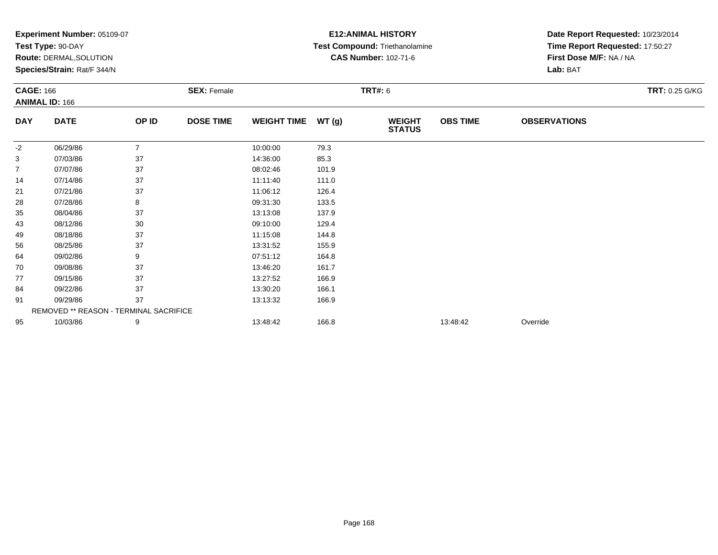|                  | Experiment Number: 05109-07            |                |                    | <b>E12: ANIMAL HISTORY</b> | Date Report Requested: 10/23/2014 |                                       |                 |                                 |                       |
|------------------|----------------------------------------|----------------|--------------------|----------------------------|-----------------------------------|---------------------------------------|-----------------|---------------------------------|-----------------------|
|                  | Test Type: 90-DAY                      |                |                    |                            |                                   | <b>Test Compound: Triethanolamine</b> |                 | Time Report Requested: 17:50:27 |                       |
|                  | Route: DERMAL, SOLUTION                |                |                    |                            |                                   | <b>CAS Number: 102-71-6</b>           |                 | First Dose M/F: NA / NA         |                       |
|                  | Species/Strain: Rat/F 344/N            |                |                    |                            |                                   |                                       |                 | Lab: BAT                        |                       |
| <b>CAGE: 166</b> |                                        |                | <b>SEX: Female</b> | <b>TRT#: 6</b>             |                                   |                                       |                 |                                 | <b>TRT: 0.25 G/KG</b> |
|                  | <b>ANIMAL ID: 166</b>                  |                |                    |                            |                                   |                                       |                 |                                 |                       |
| <b>DAY</b>       | <b>DATE</b>                            | OP ID          | <b>DOSE TIME</b>   | <b>WEIGHT TIME</b>         | WT(g)                             | <b>WEIGHT</b><br><b>STATUS</b>        | <b>OBS TIME</b> | <b>OBSERVATIONS</b>             |                       |
| -2               | 06/29/86                               | $\overline{7}$ |                    | 10:00:00                   | 79.3                              |                                       |                 |                                 |                       |
| 3                | 07/03/86                               | 37             |                    | 14:36:00                   | 85.3                              |                                       |                 |                                 |                       |
| 7                | 07/07/86                               | 37             |                    | 08:02:46                   | 101.9                             |                                       |                 |                                 |                       |
| 14               | 07/14/86                               | 37             |                    | 11:11:40                   | 111.0                             |                                       |                 |                                 |                       |
| 21               | 07/21/86                               | 37             |                    | 11:06:12                   | 126.4                             |                                       |                 |                                 |                       |
| 28               | 07/28/86                               | 8              |                    | 09:31:30                   | 133.5                             |                                       |                 |                                 |                       |
| 35               | 08/04/86                               | 37             |                    | 13:13:08                   | 137.9                             |                                       |                 |                                 |                       |
| 43               | 08/12/86                               | 30             |                    | 09:10:00                   | 129.4                             |                                       |                 |                                 |                       |
| 49               | 08/18/86                               | 37             |                    | 11:15:08                   | 144.8                             |                                       |                 |                                 |                       |
| 56               | 08/25/86                               | 37             |                    | 13:31:52                   | 155.9                             |                                       |                 |                                 |                       |
| 64               | 09/02/86                               | 9              |                    | 07:51:12                   | 164.8                             |                                       |                 |                                 |                       |
| 70               | 09/08/86                               | 37             |                    | 13:46:20                   | 161.7                             |                                       |                 |                                 |                       |
| 77               | 09/15/86                               | 37             |                    | 13:27:52                   | 166.9                             |                                       |                 |                                 |                       |
| 84               | 09/22/86                               | 37             |                    | 13:30:20                   | 166.1                             |                                       |                 |                                 |                       |
| 91               | 09/29/86                               | 37             |                    | 13:13:32                   | 166.9                             |                                       |                 |                                 |                       |
|                  | REMOVED ** REASON - TERMINAL SACRIFICE |                |                    |                            |                                   |                                       |                 |                                 |                       |
| 95               | 10/03/86                               | 9              |                    | 13:48:42                   | 166.8                             |                                       | 13:48:42        | Override                        |                       |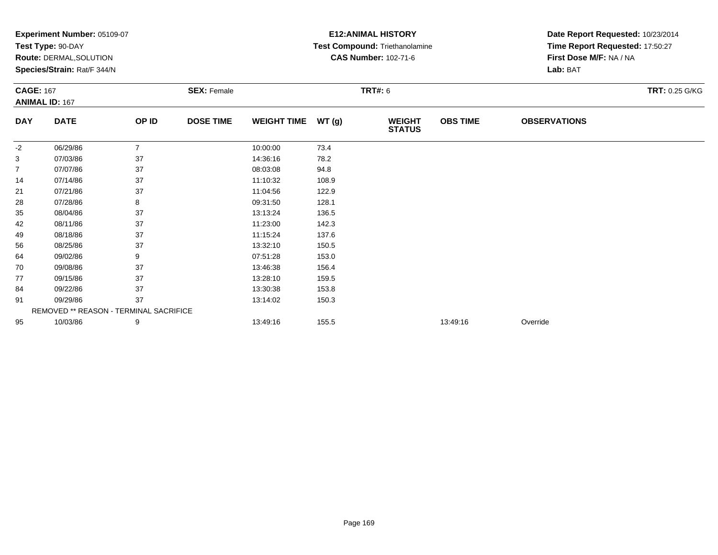|                  | Experiment Number: 05109-07            |                |                    |                    |       | <b>E12: ANIMAL HISTORY</b>     | Date Report Requested: 10/23/2014 |                                 |                       |  |
|------------------|----------------------------------------|----------------|--------------------|--------------------|-------|--------------------------------|-----------------------------------|---------------------------------|-----------------------|--|
|                  | Test Type: 90-DAY                      |                |                    |                    |       | Test Compound: Triethanolamine |                                   | Time Report Requested: 17:50:27 |                       |  |
|                  | Route: DERMAL, SOLUTION                |                |                    |                    |       | <b>CAS Number: 102-71-6</b>    |                                   | First Dose M/F: NA / NA         |                       |  |
|                  | Species/Strain: Rat/F 344/N            |                |                    |                    |       |                                |                                   | Lab: BAT                        |                       |  |
| <b>CAGE: 167</b> |                                        |                | <b>SEX: Female</b> |                    |       | <b>TRT#: 6</b>                 |                                   |                                 | <b>TRT: 0.25 G/KG</b> |  |
|                  | <b>ANIMAL ID: 167</b>                  |                |                    |                    |       |                                |                                   |                                 |                       |  |
| <b>DAY</b>       | <b>DATE</b>                            | OP ID          | <b>DOSE TIME</b>   | <b>WEIGHT TIME</b> | WT(g) | <b>WEIGHT</b><br><b>STATUS</b> | <b>OBS TIME</b>                   | <b>OBSERVATIONS</b>             |                       |  |
| -2               | 06/29/86                               | $\overline{7}$ |                    | 10:00:00           | 73.4  |                                |                                   |                                 |                       |  |
| 3                | 07/03/86                               | 37             |                    | 14:36:16           | 78.2  |                                |                                   |                                 |                       |  |
| 7                | 07/07/86                               | 37             |                    | 08:03:08           | 94.8  |                                |                                   |                                 |                       |  |
| 14               | 07/14/86                               | 37             |                    | 11:10:32           | 108.9 |                                |                                   |                                 |                       |  |
| 21               | 07/21/86                               | 37             |                    | 11:04:56           | 122.9 |                                |                                   |                                 |                       |  |
| 28               | 07/28/86                               | 8              |                    | 09:31:50           | 128.1 |                                |                                   |                                 |                       |  |
| 35               | 08/04/86                               | 37             |                    | 13:13:24           | 136.5 |                                |                                   |                                 |                       |  |
| 42               | 08/11/86                               | 37             |                    | 11:23:00           | 142.3 |                                |                                   |                                 |                       |  |
| 49               | 08/18/86                               | 37             |                    | 11:15:24           | 137.6 |                                |                                   |                                 |                       |  |
| 56               | 08/25/86                               | 37             |                    | 13:32:10           | 150.5 |                                |                                   |                                 |                       |  |
| 64               | 09/02/86                               | 9              |                    | 07:51:28           | 153.0 |                                |                                   |                                 |                       |  |
| 70               | 09/08/86                               | 37             |                    | 13:46:38           | 156.4 |                                |                                   |                                 |                       |  |
| 77               | 09/15/86                               | 37             |                    | 13:28:10           | 159.5 |                                |                                   |                                 |                       |  |
| 84               | 09/22/86                               | 37             |                    | 13:30:38           | 153.8 |                                |                                   |                                 |                       |  |
| 91               | 09/29/86                               | 37             |                    | 13:14:02           | 150.3 |                                |                                   |                                 |                       |  |
|                  | REMOVED ** REASON - TERMINAL SACRIFICE |                |                    |                    |       |                                |                                   |                                 |                       |  |
| 95               | 10/03/86                               | 9              |                    | 13:49:16           | 155.5 |                                | 13:49:16                          | Override                        |                       |  |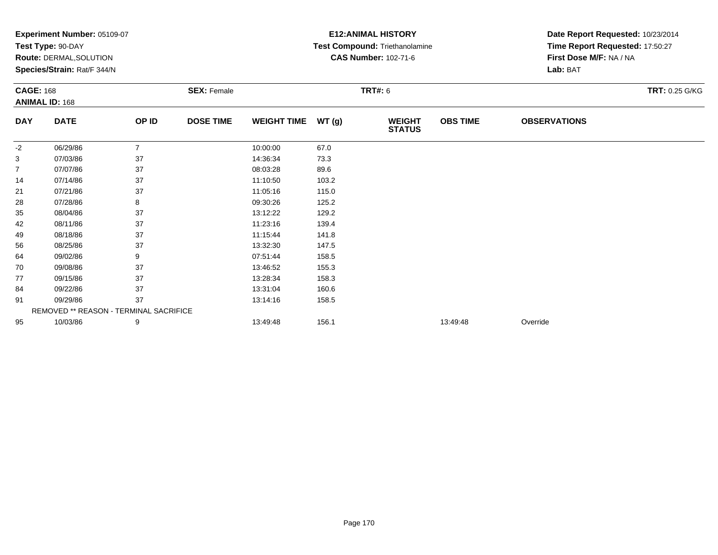|                  | Experiment Number: 05109-07            |                |                    |                    |       | <b>E12: ANIMAL HISTORY</b>     | Date Report Requested: 10/23/2014 |                                 |                       |  |
|------------------|----------------------------------------|----------------|--------------------|--------------------|-------|--------------------------------|-----------------------------------|---------------------------------|-----------------------|--|
|                  | Test Type: 90-DAY                      |                |                    |                    |       | Test Compound: Triethanolamine |                                   | Time Report Requested: 17:50:27 |                       |  |
|                  | Route: DERMAL, SOLUTION                |                |                    |                    |       | <b>CAS Number: 102-71-6</b>    |                                   | First Dose M/F: NA / NA         |                       |  |
|                  | Species/Strain: Rat/F 344/N            |                |                    |                    |       |                                |                                   | Lab: BAT                        |                       |  |
| <b>CAGE: 168</b> |                                        |                | <b>SEX: Female</b> |                    |       | <b>TRT#: 6</b>                 |                                   |                                 | <b>TRT: 0.25 G/KG</b> |  |
|                  | <b>ANIMAL ID: 168</b>                  |                |                    |                    |       |                                |                                   |                                 |                       |  |
| <b>DAY</b>       | <b>DATE</b>                            | OP ID          | <b>DOSE TIME</b>   | <b>WEIGHT TIME</b> | WT(g) | <b>WEIGHT</b><br><b>STATUS</b> | <b>OBS TIME</b>                   | <b>OBSERVATIONS</b>             |                       |  |
| $-2$             | 06/29/86                               | $\overline{7}$ |                    | 10:00:00           | 67.0  |                                |                                   |                                 |                       |  |
| 3                | 07/03/86                               | 37             |                    | 14:36:34           | 73.3  |                                |                                   |                                 |                       |  |
| 7                | 07/07/86                               | 37             |                    | 08:03:28           | 89.6  |                                |                                   |                                 |                       |  |
| 14               | 07/14/86                               | 37             |                    | 11:10:50           | 103.2 |                                |                                   |                                 |                       |  |
| 21               | 07/21/86                               | 37             |                    | 11:05:16           | 115.0 |                                |                                   |                                 |                       |  |
| 28               | 07/28/86                               | 8              |                    | 09:30:26           | 125.2 |                                |                                   |                                 |                       |  |
| 35               | 08/04/86                               | 37             |                    | 13:12:22           | 129.2 |                                |                                   |                                 |                       |  |
| 42               | 08/11/86                               | 37             |                    | 11:23:16           | 139.4 |                                |                                   |                                 |                       |  |
| 49               | 08/18/86                               | 37             |                    | 11:15:44           | 141.8 |                                |                                   |                                 |                       |  |
| 56               | 08/25/86                               | 37             |                    | 13:32:30           | 147.5 |                                |                                   |                                 |                       |  |
| 64               | 09/02/86                               | 9              |                    | 07:51:44           | 158.5 |                                |                                   |                                 |                       |  |
| 70               | 09/08/86                               | 37             |                    | 13:46:52           | 155.3 |                                |                                   |                                 |                       |  |
| 77               | 09/15/86                               | 37             |                    | 13:28:34           | 158.3 |                                |                                   |                                 |                       |  |
| 84               | 09/22/86                               | 37             |                    | 13:31:04           | 160.6 |                                |                                   |                                 |                       |  |
| 91               | 09/29/86                               | 37             |                    | 13:14:16           | 158.5 |                                |                                   |                                 |                       |  |
|                  | REMOVED ** REASON - TERMINAL SACRIFICE |                |                    |                    |       |                                |                                   |                                 |                       |  |
| 95               | 10/03/86                               | 9              |                    | 13:49:48           | 156.1 |                                | 13:49:48                          | Override                        |                       |  |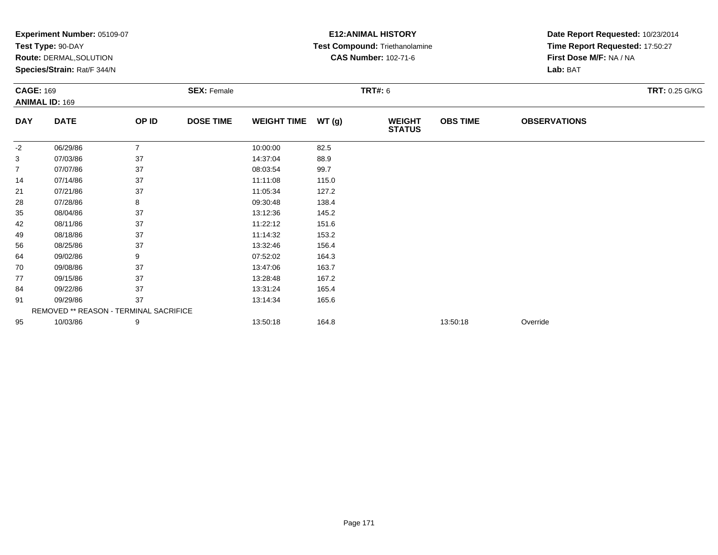|                  | Experiment Number: 05109-07            |                |                    |                    |       | <b>E12: ANIMAL HISTORY</b>     | Date Report Requested: 10/23/2014 |                                 |                |  |
|------------------|----------------------------------------|----------------|--------------------|--------------------|-------|--------------------------------|-----------------------------------|---------------------------------|----------------|--|
|                  | Test Type: 90-DAY                      |                |                    |                    |       | Test Compound: Triethanolamine |                                   | Time Report Requested: 17:50:27 |                |  |
|                  | Route: DERMAL, SOLUTION                |                |                    |                    |       | <b>CAS Number: 102-71-6</b>    |                                   | First Dose M/F: NA / NA         |                |  |
|                  | Species/Strain: Rat/F 344/N            |                |                    |                    |       |                                |                                   | Lab: BAT                        |                |  |
| <b>CAGE: 169</b> |                                        |                | <b>SEX: Female</b> |                    |       | <b>TRT#: 6</b>                 |                                   |                                 | TRT: 0.25 G/KG |  |
|                  | <b>ANIMAL ID: 169</b>                  |                |                    |                    |       |                                |                                   |                                 |                |  |
| <b>DAY</b>       | <b>DATE</b>                            | OP ID          | <b>DOSE TIME</b>   | <b>WEIGHT TIME</b> | WT(g) | <b>WEIGHT</b><br><b>STATUS</b> | <b>OBS TIME</b>                   | <b>OBSERVATIONS</b>             |                |  |
| -2               | 06/29/86                               | $\overline{7}$ |                    | 10:00:00           | 82.5  |                                |                                   |                                 |                |  |
| 3                | 07/03/86                               | 37             |                    | 14:37:04           | 88.9  |                                |                                   |                                 |                |  |
| $\overline{7}$   | 07/07/86                               | 37             |                    | 08:03:54           | 99.7  |                                |                                   |                                 |                |  |
| 14               | 07/14/86                               | 37             |                    | 11:11:08           | 115.0 |                                |                                   |                                 |                |  |
| 21               | 07/21/86                               | 37             |                    | 11:05:34           | 127.2 |                                |                                   |                                 |                |  |
| 28               | 07/28/86                               | 8              |                    | 09:30:48           | 138.4 |                                |                                   |                                 |                |  |
| 35               | 08/04/86                               | 37             |                    | 13:12:36           | 145.2 |                                |                                   |                                 |                |  |
| 42               | 08/11/86                               | 37             |                    | 11:22:12           | 151.6 |                                |                                   |                                 |                |  |
| 49               | 08/18/86                               | 37             |                    | 11:14:32           | 153.2 |                                |                                   |                                 |                |  |
| 56               | 08/25/86                               | 37             |                    | 13:32:46           | 156.4 |                                |                                   |                                 |                |  |
| 64               | 09/02/86                               | 9              |                    | 07:52:02           | 164.3 |                                |                                   |                                 |                |  |
| 70               | 09/08/86                               | 37             |                    | 13:47:06           | 163.7 |                                |                                   |                                 |                |  |
| 77               | 09/15/86                               | 37             |                    | 13:28:48           | 167.2 |                                |                                   |                                 |                |  |
| 84               | 09/22/86                               | 37             |                    | 13:31:24           | 165.4 |                                |                                   |                                 |                |  |
| 91               | 09/29/86                               | 37             |                    | 13:14:34           | 165.6 |                                |                                   |                                 |                |  |
|                  | REMOVED ** REASON - TERMINAL SACRIFICE |                |                    |                    |       |                                |                                   |                                 |                |  |
| 95               | 10/03/86                               | 9              |                    | 13:50:18           | 164.8 |                                | 13:50:18                          | Override                        |                |  |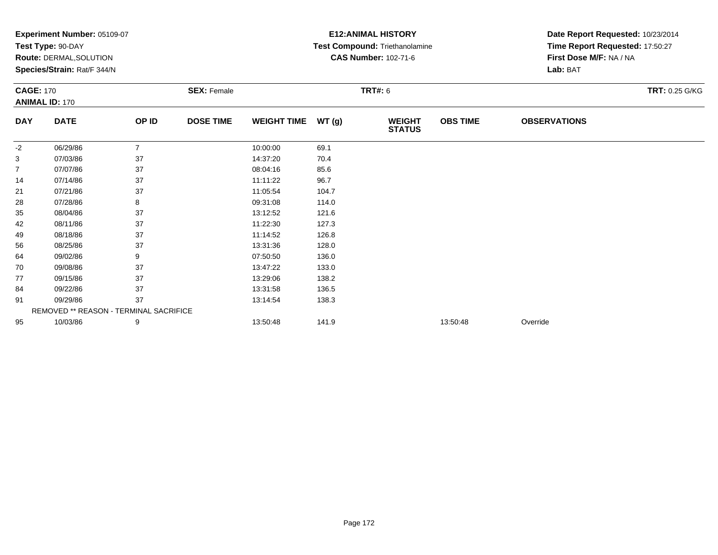|                  | Experiment Number: 05109-07<br>Test Type: 90-DAY |                |                    |                    |       | <b>E12: ANIMAL HISTORY</b>     | Date Report Requested: 10/23/2014 |                                 |                       |
|------------------|--------------------------------------------------|----------------|--------------------|--------------------|-------|--------------------------------|-----------------------------------|---------------------------------|-----------------------|
|                  |                                                  |                |                    |                    |       | Test Compound: Triethanolamine |                                   | Time Report Requested: 17:50:27 |                       |
|                  | Route: DERMAL, SOLUTION                          |                |                    |                    |       | <b>CAS Number: 102-71-6</b>    |                                   | First Dose M/F: NA / NA         |                       |
|                  | Species/Strain: Rat/F 344/N                      |                |                    |                    |       |                                |                                   | Lab: BAT                        |                       |
| <b>CAGE: 170</b> |                                                  |                | <b>SEX: Female</b> |                    |       | <b>TRT#: 6</b>                 |                                   |                                 | <b>TRT: 0.25 G/KG</b> |
|                  | <b>ANIMAL ID: 170</b>                            |                |                    |                    |       |                                |                                   |                                 |                       |
| <b>DAY</b>       | <b>DATE</b>                                      | OP ID          | <b>DOSE TIME</b>   | <b>WEIGHT TIME</b> | WT(g) | <b>WEIGHT</b><br><b>STATUS</b> | <b>OBS TIME</b>                   | <b>OBSERVATIONS</b>             |                       |
| -2               | 06/29/86                                         | $\overline{7}$ |                    | 10:00:00           | 69.1  |                                |                                   |                                 |                       |
| 3                | 07/03/86                                         | 37             |                    | 14:37:20           | 70.4  |                                |                                   |                                 |                       |
| 7                | 07/07/86                                         | 37             |                    | 08:04:16           | 85.6  |                                |                                   |                                 |                       |
| 14               | 07/14/86                                         | 37             |                    | 11:11:22           | 96.7  |                                |                                   |                                 |                       |
| 21               | 07/21/86                                         | 37             |                    | 11:05:54           | 104.7 |                                |                                   |                                 |                       |
| 28               | 07/28/86                                         | 8              |                    | 09:31:08           | 114.0 |                                |                                   |                                 |                       |
| 35               | 08/04/86                                         | 37             |                    | 13:12:52           | 121.6 |                                |                                   |                                 |                       |
| 42               | 08/11/86                                         | 37             |                    | 11:22:30           | 127.3 |                                |                                   |                                 |                       |
| 49               | 08/18/86                                         | 37             |                    | 11:14:52           | 126.8 |                                |                                   |                                 |                       |
| 56               | 08/25/86                                         | 37             |                    | 13:31:36           | 128.0 |                                |                                   |                                 |                       |
| 64               | 09/02/86                                         | 9              |                    | 07:50:50           | 136.0 |                                |                                   |                                 |                       |
| 70               | 09/08/86                                         | 37             |                    | 13:47:22           | 133.0 |                                |                                   |                                 |                       |
| 77               | 09/15/86                                         | 37             |                    | 13:29:06           | 138.2 |                                |                                   |                                 |                       |
| 84               | 09/22/86                                         | 37             |                    | 13:31:58           | 136.5 |                                |                                   |                                 |                       |
| 91               | 09/29/86                                         | 37             |                    | 13:14:54           | 138.3 |                                |                                   |                                 |                       |
|                  | REMOVED ** REASON - TERMINAL SACRIFICE           |                |                    |                    |       |                                |                                   |                                 |                       |
| 95               | 10/03/86                                         | 9              |                    | 13:50:48           | 141.9 |                                | 13:50:48                          | Override                        |                       |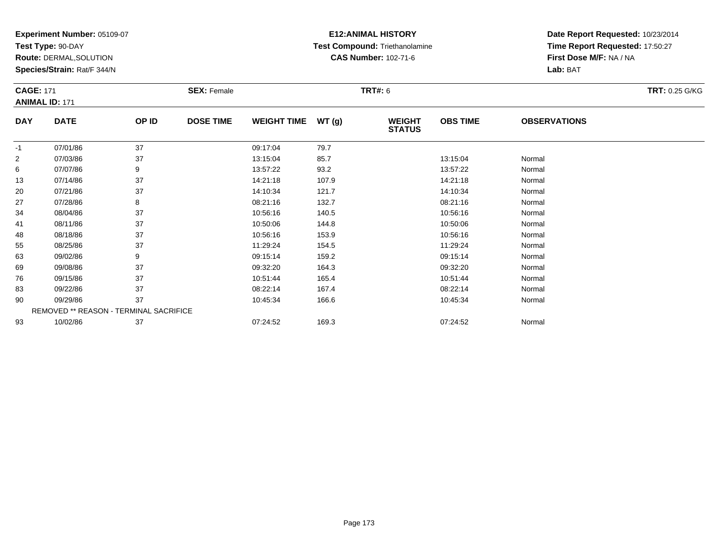**Test Type:** 90-DAY

**Route:** DERMAL,SOLUTION

**Species/Strain:** Rat/F 344/N

# **E12:ANIMAL HISTORY Test Compound:** Triethanolamine**CAS Number:** 102-71-6

| <b>CAGE: 171</b> | <b>ANIMAL ID: 171</b>                  |       | <b>SEX: Female</b> |                    |       | <b>TRT#: 6</b>                 |                 |                     | <b>TRT: 0.25 G/KG</b> |
|------------------|----------------------------------------|-------|--------------------|--------------------|-------|--------------------------------|-----------------|---------------------|-----------------------|
| <b>DAY</b>       | <b>DATE</b>                            | OP ID | <b>DOSE TIME</b>   | <b>WEIGHT TIME</b> | WT(g) | <b>WEIGHT</b><br><b>STATUS</b> | <b>OBS TIME</b> | <b>OBSERVATIONS</b> |                       |
| $-1$             | 07/01/86                               | 37    |                    | 09:17:04           | 79.7  |                                |                 |                     |                       |
| $\overline{2}$   | 07/03/86                               | 37    |                    | 13:15:04           | 85.7  |                                | 13:15:04        | Normal              |                       |
| 6                | 07/07/86                               | 9     |                    | 13:57:22           | 93.2  |                                | 13:57:22        | Normal              |                       |
| 13               | 07/14/86                               | 37    |                    | 14:21:18           | 107.9 |                                | 14:21:18        | Normal              |                       |
| 20               | 07/21/86                               | 37    |                    | 14:10:34           | 121.7 |                                | 14:10:34        | Normal              |                       |
| 27               | 07/28/86                               | 8     |                    | 08:21:16           | 132.7 |                                | 08:21:16        | Normal              |                       |
| 34               | 08/04/86                               | 37    |                    | 10:56:16           | 140.5 |                                | 10:56:16        | Normal              |                       |
| 41               | 08/11/86                               | 37    |                    | 10:50:06           | 144.8 |                                | 10:50:06        | Normal              |                       |
| 48               | 08/18/86                               | 37    |                    | 10:56:16           | 153.9 |                                | 10:56:16        | Normal              |                       |
| 55               | 08/25/86                               | 37    |                    | 11:29:24           | 154.5 |                                | 11:29:24        | Normal              |                       |
| 63               | 09/02/86                               | 9     |                    | 09:15:14           | 159.2 |                                | 09:15:14        | Normal              |                       |
| 69               | 09/08/86                               | 37    |                    | 09:32:20           | 164.3 |                                | 09:32:20        | Normal              |                       |
| 76               | 09/15/86                               | 37    |                    | 10:51:44           | 165.4 |                                | 10:51:44        | Normal              |                       |
| 83               | 09/22/86                               | 37    |                    | 08:22:14           | 167.4 |                                | 08:22:14        | Normal              |                       |
| 90               | 09/29/86                               | 37    |                    | 10:45:34           | 166.6 |                                | 10:45:34        | Normal              |                       |
|                  | REMOVED ** REASON - TERMINAL SACRIFICE |       |                    |                    |       |                                |                 |                     |                       |
| 93               | 10/02/86                               | 37    |                    | 07:24:52           | 169.3 |                                | 07:24:52        | Normal              |                       |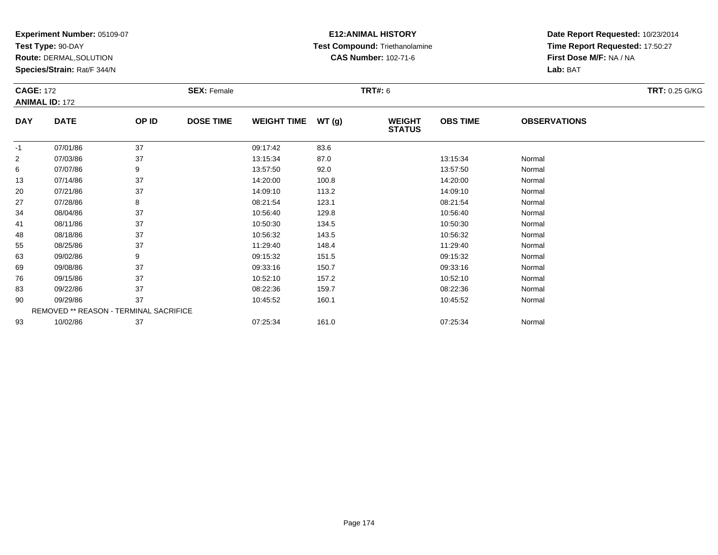**Test Type:** 90-DAY

**Route:** DERMAL,SOLUTION

**Species/Strain:** Rat/F 344/N

# **E12:ANIMAL HISTORY Test Compound:** Triethanolamine**CAS Number:** 102-71-6

| <b>CAGE: 172</b><br><b>ANIMAL ID: 172</b> |                                        |       | <b>SEX: Female</b> |                    |       | <b>TRT#: 6</b>                 |                 |                     | <b>TRT: 0.25 G/KG</b> |
|-------------------------------------------|----------------------------------------|-------|--------------------|--------------------|-------|--------------------------------|-----------------|---------------------|-----------------------|
| <b>DAY</b>                                | <b>DATE</b>                            | OP ID | <b>DOSE TIME</b>   | <b>WEIGHT TIME</b> | WT(g) | <b>WEIGHT</b><br><b>STATUS</b> | <b>OBS TIME</b> | <b>OBSERVATIONS</b> |                       |
| $-1$                                      | 07/01/86                               | 37    |                    | 09:17:42           | 83.6  |                                |                 |                     |                       |
| $\overline{2}$                            | 07/03/86                               | 37    |                    | 13:15:34           | 87.0  |                                | 13:15:34        | Normal              |                       |
| 6                                         | 07/07/86                               | 9     |                    | 13:57:50           | 92.0  |                                | 13:57:50        | Normal              |                       |
| 13                                        | 07/14/86                               | 37    |                    | 14:20:00           | 100.8 |                                | 14:20:00        | Normal              |                       |
| 20                                        | 07/21/86                               | 37    |                    | 14:09:10           | 113.2 |                                | 14:09:10        | Normal              |                       |
| 27                                        | 07/28/86                               | 8     |                    | 08:21:54           | 123.1 |                                | 08:21:54        | Normal              |                       |
| 34                                        | 08/04/86                               | 37    |                    | 10:56:40           | 129.8 |                                | 10:56:40        | Normal              |                       |
| 41                                        | 08/11/86                               | 37    |                    | 10:50:30           | 134.5 |                                | 10:50:30        | Normal              |                       |
| 48                                        | 08/18/86                               | 37    |                    | 10:56:32           | 143.5 |                                | 10:56:32        | Normal              |                       |
| 55                                        | 08/25/86                               | 37    |                    | 11:29:40           | 148.4 |                                | 11:29:40        | Normal              |                       |
| 63                                        | 09/02/86                               | 9     |                    | 09:15:32           | 151.5 |                                | 09:15:32        | Normal              |                       |
| 69                                        | 09/08/86                               | 37    |                    | 09:33:16           | 150.7 |                                | 09:33:16        | Normal              |                       |
| 76                                        | 09/15/86                               | 37    |                    | 10:52:10           | 157.2 |                                | 10:52:10        | Normal              |                       |
| 83                                        | 09/22/86                               | 37    |                    | 08:22:36           | 159.7 |                                | 08:22:36        | Normal              |                       |
| 90                                        | 09/29/86                               | 37    |                    | 10:45:52           | 160.1 |                                | 10:45:52        | Normal              |                       |
|                                           | REMOVED ** REASON - TERMINAL SACRIFICE |       |                    |                    |       |                                |                 |                     |                       |
| 93                                        | 10/02/86                               | 37    |                    | 07:25:34           | 161.0 |                                | 07:25:34        | Normal              |                       |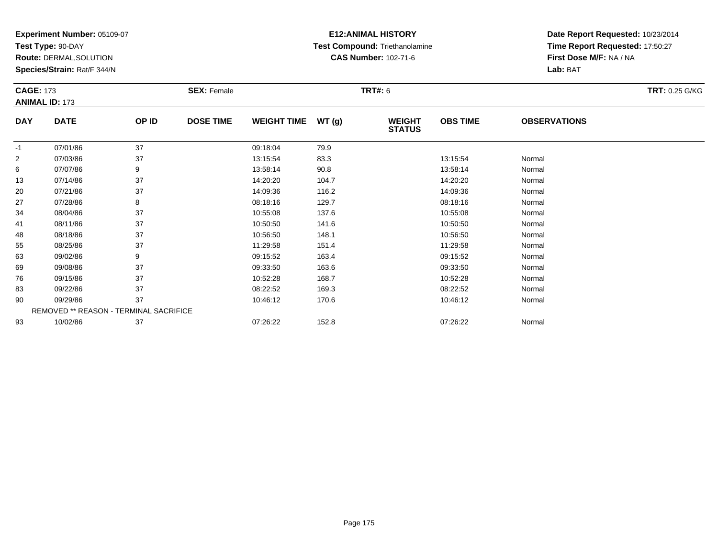**Test Type:** 90-DAY

**Route:** DERMAL,SOLUTION

**Species/Strain:** Rat/F 344/N

# **E12:ANIMAL HISTORY Test Compound:** Triethanolamine**CAS Number:** 102-71-6

| <b>CAGE: 173</b> | <b>ANIMAL ID: 173</b>                  |       | <b>SEX: Female</b> |                    |       | <b>TRT#: 6</b>                 |                 |                     | <b>TRT: 0.25 G/KG</b> |
|------------------|----------------------------------------|-------|--------------------|--------------------|-------|--------------------------------|-----------------|---------------------|-----------------------|
| <b>DAY</b>       | <b>DATE</b>                            | OP ID | <b>DOSE TIME</b>   | <b>WEIGHT TIME</b> | WT(g) | <b>WEIGHT</b><br><b>STATUS</b> | <b>OBS TIME</b> | <b>OBSERVATIONS</b> |                       |
| $-1$             | 07/01/86                               | 37    |                    | 09:18:04           | 79.9  |                                |                 |                     |                       |
| $\overline{2}$   | 07/03/86                               | 37    |                    | 13:15:54           | 83.3  |                                | 13:15:54        | Normal              |                       |
| 6                | 07/07/86                               | 9     |                    | 13:58:14           | 90.8  |                                | 13:58:14        | Normal              |                       |
| 13               | 07/14/86                               | 37    |                    | 14:20:20           | 104.7 |                                | 14:20:20        | Normal              |                       |
| 20               | 07/21/86                               | 37    |                    | 14:09:36           | 116.2 |                                | 14:09:36        | Normal              |                       |
| 27               | 07/28/86                               | 8     |                    | 08:18:16           | 129.7 |                                | 08:18:16        | Normal              |                       |
| 34               | 08/04/86                               | 37    |                    | 10:55:08           | 137.6 |                                | 10:55:08        | Normal              |                       |
| 41               | 08/11/86                               | 37    |                    | 10:50:50           | 141.6 |                                | 10:50:50        | Normal              |                       |
| 48               | 08/18/86                               | 37    |                    | 10:56:50           | 148.1 |                                | 10:56:50        | Normal              |                       |
| 55               | 08/25/86                               | 37    |                    | 11:29:58           | 151.4 |                                | 11:29:58        | Normal              |                       |
| 63               | 09/02/86                               | 9     |                    | 09:15:52           | 163.4 |                                | 09:15:52        | Normal              |                       |
| 69               | 09/08/86                               | 37    |                    | 09:33:50           | 163.6 |                                | 09:33:50        | Normal              |                       |
| 76               | 09/15/86                               | 37    |                    | 10:52:28           | 168.7 |                                | 10:52:28        | Normal              |                       |
| 83               | 09/22/86                               | 37    |                    | 08:22:52           | 169.3 |                                | 08:22:52        | Normal              |                       |
| 90               | 09/29/86                               | 37    |                    | 10:46:12           | 170.6 |                                | 10:46:12        | Normal              |                       |
|                  | REMOVED ** REASON - TERMINAL SACRIFICE |       |                    |                    |       |                                |                 |                     |                       |
| 93               | 10/02/86                               | 37    |                    | 07:26:22           | 152.8 |                                | 07:26:22        | Normal              |                       |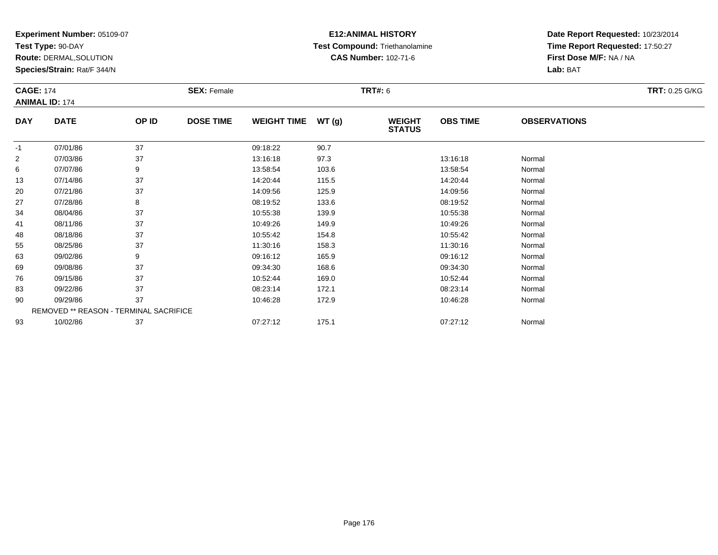**Test Type:** 90-DAY

**Route:** DERMAL,SOLUTION

**Species/Strain:** Rat/F 344/N

# **E12:ANIMAL HISTORY Test Compound:** Triethanolamine**CAS Number:** 102-71-6

| <b>CAGE: 174</b> | <b>ANIMAL ID: 174</b>                  |       | <b>SEX: Female</b> |                    |       | <b>TRT#: 6</b>                 |                 |                     | <b>TRT: 0.25 G/KG</b> |
|------------------|----------------------------------------|-------|--------------------|--------------------|-------|--------------------------------|-----------------|---------------------|-----------------------|
| <b>DAY</b>       | <b>DATE</b>                            | OP ID | <b>DOSE TIME</b>   | <b>WEIGHT TIME</b> | WT(g) | <b>WEIGHT</b><br><b>STATUS</b> | <b>OBS TIME</b> | <b>OBSERVATIONS</b> |                       |
| $-1$             | 07/01/86                               | 37    |                    | 09:18:22           | 90.7  |                                |                 |                     |                       |
| $\overline{c}$   | 07/03/86                               | 37    |                    | 13:16:18           | 97.3  |                                | 13:16:18        | Normal              |                       |
| 6                | 07/07/86                               | 9     |                    | 13:58:54           | 103.6 |                                | 13:58:54        | Normal              |                       |
| 13               | 07/14/86                               | 37    |                    | 14:20:44           | 115.5 |                                | 14:20:44        | Normal              |                       |
| 20               | 07/21/86                               | 37    |                    | 14:09:56           | 125.9 |                                | 14:09:56        | Normal              |                       |
| 27               | 07/28/86                               | 8     |                    | 08:19:52           | 133.6 |                                | 08:19:52        | Normal              |                       |
| 34               | 08/04/86                               | 37    |                    | 10:55:38           | 139.9 |                                | 10:55:38        | Normal              |                       |
| 41               | 08/11/86                               | 37    |                    | 10:49:26           | 149.9 |                                | 10:49:26        | Normal              |                       |
| 48               | 08/18/86                               | 37    |                    | 10:55:42           | 154.8 |                                | 10:55:42        | Normal              |                       |
| 55               | 08/25/86                               | 37    |                    | 11:30:16           | 158.3 |                                | 11:30:16        | Normal              |                       |
| 63               | 09/02/86                               | 9     |                    | 09:16:12           | 165.9 |                                | 09:16:12        | Normal              |                       |
| 69               | 09/08/86                               | 37    |                    | 09:34:30           | 168.6 |                                | 09:34:30        | Normal              |                       |
| 76               | 09/15/86                               | 37    |                    | 10:52:44           | 169.0 |                                | 10:52:44        | Normal              |                       |
| 83               | 09/22/86                               | 37    |                    | 08:23:14           | 172.1 |                                | 08:23:14        | Normal              |                       |
| 90               | 09/29/86                               | 37    |                    | 10:46:28           | 172.9 |                                | 10:46:28        | Normal              |                       |
|                  | REMOVED ** REASON - TERMINAL SACRIFICE |       |                    |                    |       |                                |                 |                     |                       |
| 93               | 10/02/86                               | 37    |                    | 07:27:12           | 175.1 |                                | 07:27:12        | Normal              |                       |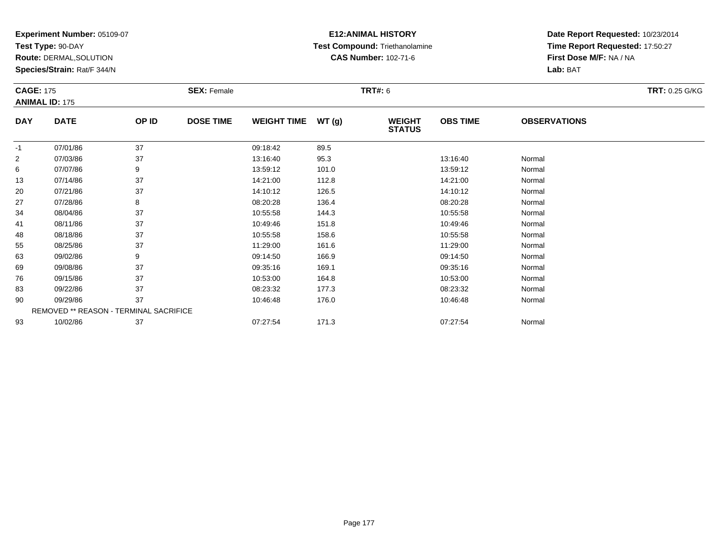**Test Type:** 90-DAY

**Route:** DERMAL,SOLUTION

**Species/Strain:** Rat/F 344/N

# **E12:ANIMAL HISTORY Test Compound:** Triethanolamine**CAS Number:** 102-71-6

| <b>CAGE: 175</b> | <b>ANIMAL ID: 175</b>                  |       | <b>SEX: Female</b> |                    |       | <b>TRT#: 6</b>                 |                 |                     | TRT: 0.25 G/KG |
|------------------|----------------------------------------|-------|--------------------|--------------------|-------|--------------------------------|-----------------|---------------------|----------------|
| DAY              | <b>DATE</b>                            | OP ID | <b>DOSE TIME</b>   | <b>WEIGHT TIME</b> | WT(g) | <b>WEIGHT</b><br><b>STATUS</b> | <b>OBS TIME</b> | <b>OBSERVATIONS</b> |                |
| $-1$             | 07/01/86                               | 37    |                    | 09:18:42           | 89.5  |                                |                 |                     |                |
| $\overline{c}$   | 07/03/86                               | 37    |                    | 13:16:40           | 95.3  |                                | 13:16:40        | Normal              |                |
| 6                | 07/07/86                               | 9     |                    | 13:59:12           | 101.0 |                                | 13:59:12        | Normal              |                |
| 13               | 07/14/86                               | 37    |                    | 14:21:00           | 112.8 |                                | 14:21:00        | Normal              |                |
| 20               | 07/21/86                               | 37    |                    | 14:10:12           | 126.5 |                                | 14:10:12        | Normal              |                |
| 27               | 07/28/86                               | 8     |                    | 08:20:28           | 136.4 |                                | 08:20:28        | Normal              |                |
| 34               | 08/04/86                               | 37    |                    | 10:55:58           | 144.3 |                                | 10:55:58        | Normal              |                |
| 41               | 08/11/86                               | 37    |                    | 10:49:46           | 151.8 |                                | 10:49:46        | Normal              |                |
| 48               | 08/18/86                               | 37    |                    | 10:55:58           | 158.6 |                                | 10:55:58        | Normal              |                |
| 55               | 08/25/86                               | 37    |                    | 11:29:00           | 161.6 |                                | 11:29:00        | Normal              |                |
| 63               | 09/02/86                               | 9     |                    | 09:14:50           | 166.9 |                                | 09:14:50        | Normal              |                |
| 69               | 09/08/86                               | 37    |                    | 09:35:16           | 169.1 |                                | 09:35:16        | Normal              |                |
| 76               | 09/15/86                               | 37    |                    | 10:53:00           | 164.8 |                                | 10:53:00        | Normal              |                |
| 83               | 09/22/86                               | 37    |                    | 08:23:32           | 177.3 |                                | 08:23:32        | Normal              |                |
| 90               | 09/29/86                               | 37    |                    | 10:46:48           | 176.0 |                                | 10:46:48        | Normal              |                |
|                  | REMOVED ** REASON - TERMINAL SACRIFICE |       |                    |                    |       |                                |                 |                     |                |
| 93               | 10/02/86                               | 37    |                    | 07:27:54           | 171.3 |                                | 07:27:54        | Normal              |                |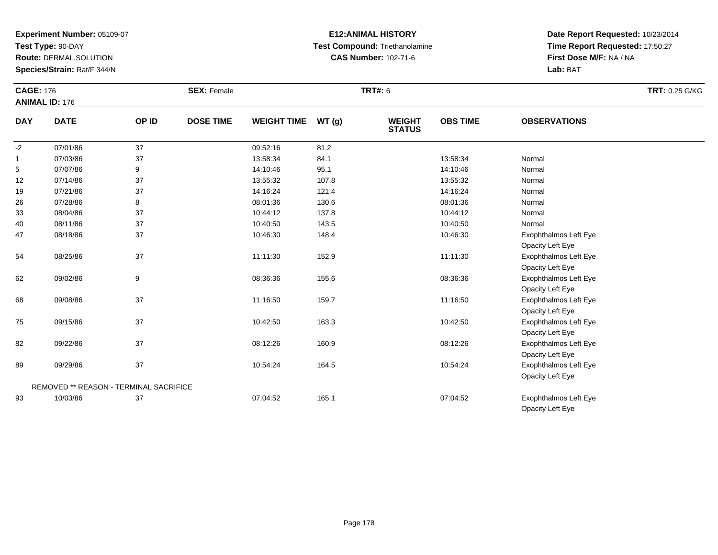**Test Type:** 90-DAY

**Route:** DERMAL,SOLUTION

**Species/Strain:** Rat/F 344/N

# **E12:ANIMAL HISTORY Test Compound:** Triethanolamine**CAS Number:** 102-71-6

|              | <b>CAGE: 176</b><br><b>ANIMAL ID: 176</b> |       | <b>SEX: Female</b> |                    |       |                                | <b>TRT#: 6</b>  |                       |  |  |
|--------------|-------------------------------------------|-------|--------------------|--------------------|-------|--------------------------------|-----------------|-----------------------|--|--|
| <b>DAY</b>   | <b>DATE</b>                               | OP ID | <b>DOSE TIME</b>   | <b>WEIGHT TIME</b> | WT(g) | <b>WEIGHT</b><br><b>STATUS</b> | <b>OBS TIME</b> | <b>OBSERVATIONS</b>   |  |  |
| $-2$         | 07/01/86                                  | 37    |                    | 09:52:16           | 81.2  |                                |                 |                       |  |  |
| $\mathbf{1}$ | 07/03/86                                  | 37    |                    | 13:58:34           | 84.1  |                                | 13:58:34        | Normal                |  |  |
| 5            | 07/07/86                                  | 9     |                    | 14:10:46           | 95.1  |                                | 14:10:46        | Normal                |  |  |
| 12           | 07/14/86                                  | 37    |                    | 13:55:32           | 107.8 |                                | 13:55:32        | Normal                |  |  |
| 19           | 07/21/86                                  | 37    |                    | 14:16:24           | 121.4 |                                | 14:16:24        | Normal                |  |  |
| 26           | 07/28/86                                  | 8     |                    | 08:01:36           | 130.6 |                                | 08:01:36        | Normal                |  |  |
| 33           | 08/04/86                                  | 37    |                    | 10:44:12           | 137.8 |                                | 10:44:12        | Normal                |  |  |
| 40           | 08/11/86                                  | 37    |                    | 10:40:50           | 143.5 |                                | 10:40:50        | Normal                |  |  |
| 47           | 08/18/86                                  | 37    |                    | 10:46:30           | 148.4 |                                | 10:46:30        | Exophthalmos Left Eye |  |  |
|              |                                           |       |                    |                    |       |                                |                 | Opacity Left Eye      |  |  |
| 54           | 08/25/86                                  | 37    |                    | 11:11:30           | 152.9 |                                | 11:11:30        | Exophthalmos Left Eye |  |  |
|              |                                           |       |                    |                    |       |                                |                 | Opacity Left Eye      |  |  |
| 62           | 09/02/86                                  | 9     |                    | 08:36:36           | 155.6 |                                | 08:36:36        | Exophthalmos Left Eye |  |  |
|              |                                           |       |                    |                    |       |                                |                 | Opacity Left Eye      |  |  |
| 68           | 09/08/86                                  | 37    |                    | 11:16:50           | 159.7 |                                | 11:16:50        | Exophthalmos Left Eye |  |  |
|              |                                           |       |                    |                    |       |                                |                 | Opacity Left Eye      |  |  |
| 75           | 09/15/86                                  | 37    |                    | 10:42:50           | 163.3 |                                | 10:42:50        | Exophthalmos Left Eye |  |  |
|              |                                           |       |                    |                    |       |                                |                 | Opacity Left Eye      |  |  |
| 82           | 09/22/86                                  | 37    |                    | 08:12:26           | 160.9 |                                | 08:12:26        | Exophthalmos Left Eye |  |  |
|              |                                           |       |                    |                    |       |                                |                 | Opacity Left Eye      |  |  |
| 89           | 09/29/86                                  | 37    |                    | 10:54:24           | 164.5 |                                | 10:54:24        | Exophthalmos Left Eye |  |  |
|              |                                           |       |                    |                    |       |                                |                 | Opacity Left Eye      |  |  |
|              | REMOVED ** REASON - TERMINAL SACRIFICE    |       |                    |                    |       |                                |                 |                       |  |  |
| 93           | 10/03/86                                  | 37    |                    | 07:04:52           | 165.1 |                                | 07:04:52        | Exophthalmos Left Eye |  |  |
|              |                                           |       |                    |                    |       |                                |                 | Opacity Left Eye      |  |  |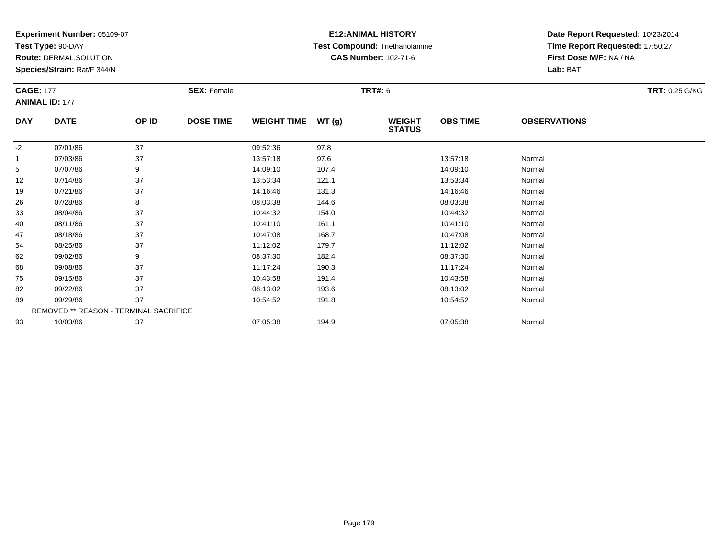**Test Type:** 90-DAY

**Route:** DERMAL,SOLUTION

**Species/Strain:** Rat/F 344/N

# **E12:ANIMAL HISTORY Test Compound:** Triethanolamine**CAS Number:** 102-71-6

| <b>CAGE: 177</b> |                                        |       | <b>SEX: Female</b> |                    |       | <b>TRT#: 6</b>                 |                 |                     | <b>TRT: 0.25 G/KG</b> |
|------------------|----------------------------------------|-------|--------------------|--------------------|-------|--------------------------------|-----------------|---------------------|-----------------------|
|                  | <b>ANIMAL ID: 177</b>                  |       |                    |                    |       |                                |                 |                     |                       |
| <b>DAY</b>       | <b>DATE</b>                            | OP ID | <b>DOSE TIME</b>   | <b>WEIGHT TIME</b> | WT(g) | <b>WEIGHT</b><br><b>STATUS</b> | <b>OBS TIME</b> | <b>OBSERVATIONS</b> |                       |
| $-2$             | 07/01/86                               | 37    |                    | 09:52:36           | 97.8  |                                |                 |                     |                       |
|                  | 07/03/86                               | 37    |                    | 13:57:18           | 97.6  |                                | 13:57:18        | Normal              |                       |
| 5                | 07/07/86                               | 9     |                    | 14:09:10           | 107.4 |                                | 14:09:10        | Normal              |                       |
| 12               | 07/14/86                               | 37    |                    | 13:53:34           | 121.1 |                                | 13:53:34        | Normal              |                       |
| 19               | 07/21/86                               | 37    |                    | 14:16:46           | 131.3 |                                | 14:16:46        | Normal              |                       |
| 26               | 07/28/86                               | 8     |                    | 08:03:38           | 144.6 |                                | 08:03:38        | Normal              |                       |
| 33               | 08/04/86                               | 37    |                    | 10:44:32           | 154.0 |                                | 10:44:32        | Normal              |                       |
| 40               | 08/11/86                               | 37    |                    | 10:41:10           | 161.1 |                                | 10:41:10        | Normal              |                       |
| 47               | 08/18/86                               | 37    |                    | 10:47:08           | 168.7 |                                | 10:47:08        | Normal              |                       |
| 54               | 08/25/86                               | 37    |                    | 11:12:02           | 179.7 |                                | 11:12:02        | Normal              |                       |
| 62               | 09/02/86                               | 9     |                    | 08:37:30           | 182.4 |                                | 08:37:30        | Normal              |                       |
| 68               | 09/08/86                               | 37    |                    | 11:17:24           | 190.3 |                                | 11:17:24        | Normal              |                       |
| 75               | 09/15/86                               | 37    |                    | 10:43:58           | 191.4 |                                | 10:43:58        | Normal              |                       |
| 82               | 09/22/86                               | 37    |                    | 08:13:02           | 193.6 |                                | 08:13:02        | Normal              |                       |
| 89               | 09/29/86                               | 37    |                    | 10:54:52           | 191.8 |                                | 10:54:52        | Normal              |                       |
|                  | REMOVED ** REASON - TERMINAL SACRIFICE |       |                    |                    |       |                                |                 |                     |                       |
| 93               | 10/03/86                               | 37    |                    | 07:05:38           | 194.9 |                                | 07:05:38        | Normal              |                       |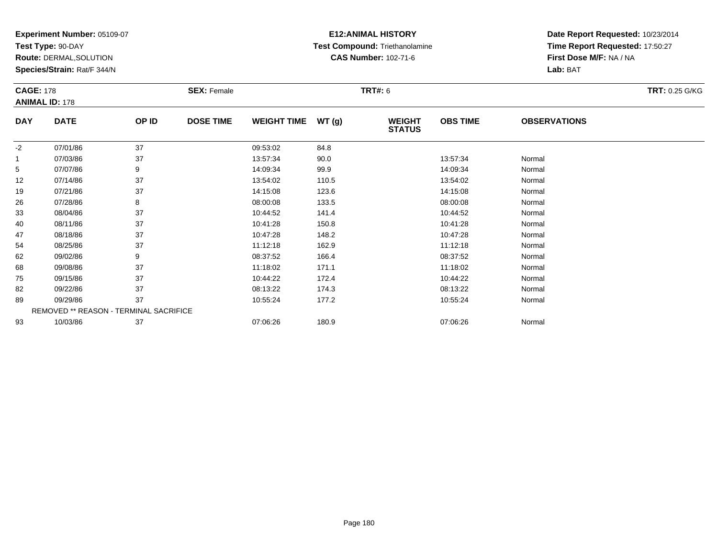**Test Type:** 90-DAY

**Route:** DERMAL,SOLUTION

**Species/Strain:** Rat/F 344/N

# **E12:ANIMAL HISTORY Test Compound:** Triethanolamine**CAS Number:** 102-71-6

| <b>CAGE: 178</b> |                                        |       | <b>SEX: Female</b> |                    |       | <b>TRT#: 6</b>                 |                 |                     | <b>TRT: 0.25 G/KG</b> |
|------------------|----------------------------------------|-------|--------------------|--------------------|-------|--------------------------------|-----------------|---------------------|-----------------------|
|                  | <b>ANIMAL ID: 178</b>                  |       |                    |                    |       |                                |                 |                     |                       |
| <b>DAY</b>       | <b>DATE</b>                            | OP ID | <b>DOSE TIME</b>   | <b>WEIGHT TIME</b> | WT(g) | <b>WEIGHT</b><br><b>STATUS</b> | <b>OBS TIME</b> | <b>OBSERVATIONS</b> |                       |
| $-2$             | 07/01/86                               | 37    |                    | 09:53:02           | 84.8  |                                |                 |                     |                       |
|                  | 07/03/86                               | 37    |                    | 13:57:34           | 90.0  |                                | 13:57:34        | Normal              |                       |
| 5                | 07/07/86                               | 9     |                    | 14:09:34           | 99.9  |                                | 14:09:34        | Normal              |                       |
| 12               | 07/14/86                               | 37    |                    | 13:54:02           | 110.5 |                                | 13:54:02        | Normal              |                       |
| 19               | 07/21/86                               | 37    |                    | 14:15:08           | 123.6 |                                | 14:15:08        | Normal              |                       |
| 26               | 07/28/86                               | 8     |                    | 08:00:08           | 133.5 |                                | 08:00:08        | Normal              |                       |
| 33               | 08/04/86                               | 37    |                    | 10:44:52           | 141.4 |                                | 10:44:52        | Normal              |                       |
| 40               | 08/11/86                               | 37    |                    | 10:41:28           | 150.8 |                                | 10:41:28        | Normal              |                       |
| 47               | 08/18/86                               | 37    |                    | 10:47:28           | 148.2 |                                | 10:47:28        | Normal              |                       |
| 54               | 08/25/86                               | 37    |                    | 11:12:18           | 162.9 |                                | 11:12:18        | Normal              |                       |
| 62               | 09/02/86                               | 9     |                    | 08:37:52           | 166.4 |                                | 08:37:52        | Normal              |                       |
| 68               | 09/08/86                               | 37    |                    | 11:18:02           | 171.1 |                                | 11:18:02        | Normal              |                       |
| 75               | 09/15/86                               | 37    |                    | 10:44:22           | 172.4 |                                | 10:44:22        | Normal              |                       |
| 82               | 09/22/86                               | 37    |                    | 08:13:22           | 174.3 |                                | 08:13:22        | Normal              |                       |
| 89               | 09/29/86                               | 37    |                    | 10:55:24           | 177.2 |                                | 10:55:24        | Normal              |                       |
|                  | REMOVED ** REASON - TERMINAL SACRIFICE |       |                    |                    |       |                                |                 |                     |                       |
| 93               | 10/03/86                               | 37    |                    | 07:06:26           | 180.9 |                                | 07:06:26        | Normal              |                       |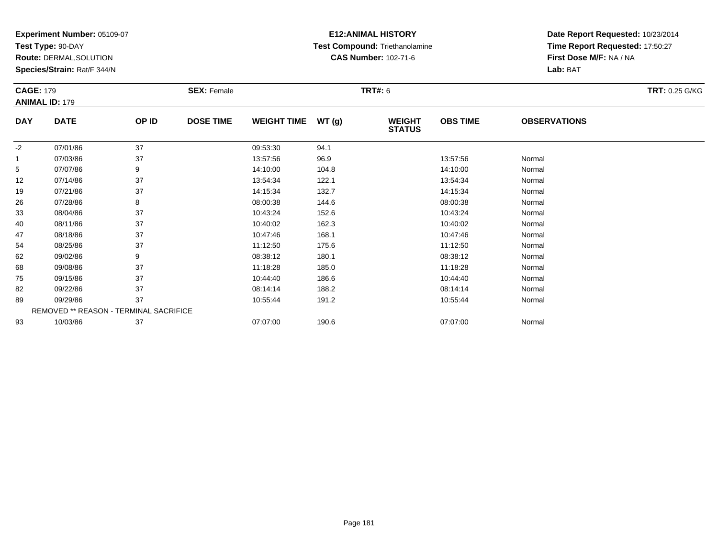**Test Type:** 90-DAY

**Route:** DERMAL,SOLUTION

**Species/Strain:** Rat/F 344/N

# **E12:ANIMAL HISTORY Test Compound:** Triethanolamine**CAS Number:** 102-71-6

| <b>CAGE: 179</b> |                                        |       | <b>SEX: Female</b> |                    |       | <b>TRT#: 6</b>                 |                 |                     | <b>TRT: 0.25 G/KG</b> |  |
|------------------|----------------------------------------|-------|--------------------|--------------------|-------|--------------------------------|-----------------|---------------------|-----------------------|--|
|                  | <b>ANIMAL ID: 179</b>                  |       |                    |                    |       |                                |                 |                     |                       |  |
| <b>DAY</b>       | <b>DATE</b>                            | OP ID | <b>DOSE TIME</b>   | <b>WEIGHT TIME</b> | WT(g) | <b>WEIGHT</b><br><b>STATUS</b> | <b>OBS TIME</b> | <b>OBSERVATIONS</b> |                       |  |
| $-2$             | 07/01/86                               | 37    |                    | 09:53:30           | 94.1  |                                |                 |                     |                       |  |
|                  | 07/03/86                               | 37    |                    | 13:57:56           | 96.9  |                                | 13:57:56        | Normal              |                       |  |
| 5                | 07/07/86                               | 9     |                    | 14:10:00           | 104.8 |                                | 14:10:00        | Normal              |                       |  |
| 12               | 07/14/86                               | 37    |                    | 13:54:34           | 122.1 |                                | 13:54:34        | Normal              |                       |  |
| 19               | 07/21/86                               | 37    |                    | 14:15:34           | 132.7 |                                | 14:15:34        | Normal              |                       |  |
| 26               | 07/28/86                               | 8     |                    | 08:00:38           | 144.6 |                                | 08:00:38        | Normal              |                       |  |
| 33               | 08/04/86                               | 37    |                    | 10:43:24           | 152.6 |                                | 10:43:24        | Normal              |                       |  |
| 40               | 08/11/86                               | 37    |                    | 10:40:02           | 162.3 |                                | 10:40:02        | Normal              |                       |  |
| 47               | 08/18/86                               | 37    |                    | 10:47:46           | 168.1 |                                | 10:47:46        | Normal              |                       |  |
| 54               | 08/25/86                               | 37    |                    | 11:12:50           | 175.6 |                                | 11:12:50        | Normal              |                       |  |
| 62               | 09/02/86                               | 9     |                    | 08:38:12           | 180.1 |                                | 08:38:12        | Normal              |                       |  |
| 68               | 09/08/86                               | 37    |                    | 11:18:28           | 185.0 |                                | 11:18:28        | Normal              |                       |  |
| 75               | 09/15/86                               | 37    |                    | 10:44:40           | 186.6 |                                | 10:44:40        | Normal              |                       |  |
| 82               | 09/22/86                               | 37    |                    | 08:14:14           | 188.2 |                                | 08:14:14        | Normal              |                       |  |
| 89               | 09/29/86                               | 37    |                    | 10:55:44           | 191.2 |                                | 10:55:44        | Normal              |                       |  |
|                  | REMOVED ** REASON - TERMINAL SACRIFICE |       |                    |                    |       |                                |                 |                     |                       |  |
| 93               | 10/03/86                               | 37    |                    | 07:07:00           | 190.6 |                                | 07:07:00        | Normal              |                       |  |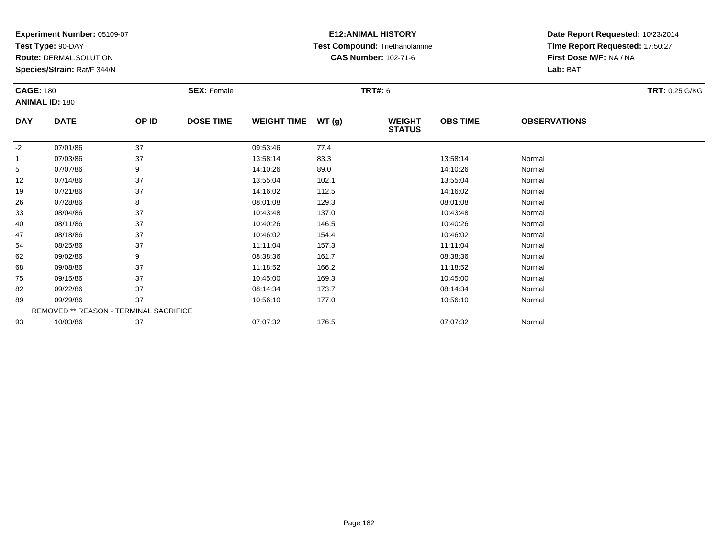**Test Type:** 90-DAY

**Route:** DERMAL,SOLUTION

**Species/Strain:** Rat/F 344/N

# **E12:ANIMAL HISTORY Test Compound:** Triethanolamine**CAS Number:** 102-71-6

| <b>CAGE: 180</b> |                                        |       | <b>SEX: Female</b> |                    |       | <b>TRT#: 6</b>                 |                 |                     | TRT: 0.25 G/KG |
|------------------|----------------------------------------|-------|--------------------|--------------------|-------|--------------------------------|-----------------|---------------------|----------------|
|                  | <b>ANIMAL ID: 180</b>                  |       |                    |                    |       |                                |                 |                     |                |
| <b>DAY</b>       | <b>DATE</b>                            | OP ID | <b>DOSE TIME</b>   | <b>WEIGHT TIME</b> | WT(g) | <b>WEIGHT</b><br><b>STATUS</b> | <b>OBS TIME</b> | <b>OBSERVATIONS</b> |                |
| $-2$             | 07/01/86                               | 37    |                    | 09:53:46           | 77.4  |                                |                 |                     |                |
|                  | 07/03/86                               | 37    |                    | 13:58:14           | 83.3  |                                | 13:58:14        | Normal              |                |
| 5                | 07/07/86                               | 9     |                    | 14:10:26           | 89.0  |                                | 14:10:26        | Normal              |                |
| 12               | 07/14/86                               | 37    |                    | 13:55:04           | 102.1 |                                | 13:55:04        | Normal              |                |
| 19               | 07/21/86                               | 37    |                    | 14:16:02           | 112.5 |                                | 14:16:02        | Normal              |                |
| 26               | 07/28/86                               | 8     |                    | 08:01:08           | 129.3 |                                | 08:01:08        | Normal              |                |
| 33               | 08/04/86                               | 37    |                    | 10:43:48           | 137.0 |                                | 10:43:48        | Normal              |                |
| 40               | 08/11/86                               | 37    |                    | 10:40:26           | 146.5 |                                | 10:40:26        | Normal              |                |
| 47               | 08/18/86                               | 37    |                    | 10:46:02           | 154.4 |                                | 10:46:02        | Normal              |                |
| 54               | 08/25/86                               | 37    |                    | 11:11:04           | 157.3 |                                | 11:11:04        | Normal              |                |
| 62               | 09/02/86                               | 9     |                    | 08:38:36           | 161.7 |                                | 08:38:36        | Normal              |                |
| 68               | 09/08/86                               | 37    |                    | 11:18:52           | 166.2 |                                | 11:18:52        | Normal              |                |
| 75               | 09/15/86                               | 37    |                    | 10:45:00           | 169.3 |                                | 10:45:00        | Normal              |                |
| 82               | 09/22/86                               | 37    |                    | 08:14:34           | 173.7 |                                | 08:14:34        | Normal              |                |
| 89               | 09/29/86                               | 37    |                    | 10:56:10           | 177.0 |                                | 10:56:10        | Normal              |                |
|                  | REMOVED ** REASON - TERMINAL SACRIFICE |       |                    |                    |       |                                |                 |                     |                |
| 93               | 10/03/86                               | 37    |                    | 07:07:32           | 176.5 |                                | 07:07:32        | Normal              |                |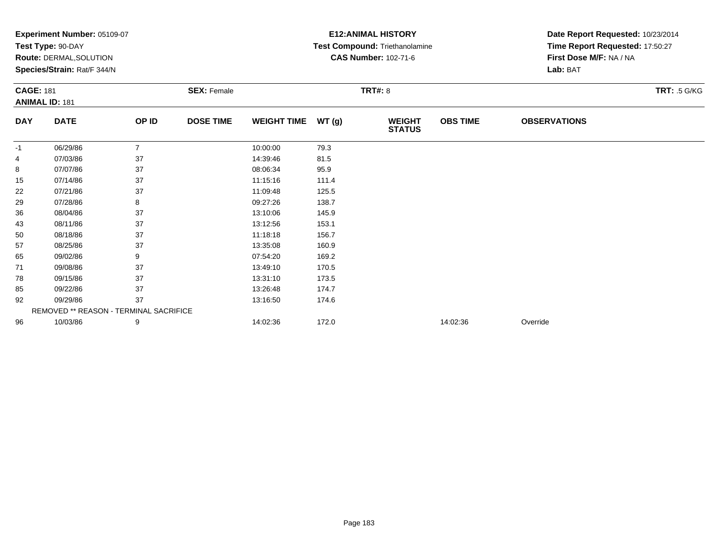|                  | Experiment Number: 05109-07            |                |                    |                    | <b>E12: ANIMAL HISTORY</b> | Date Report Requested: 10/23/2014 |                 |                                 |                     |  |
|------------------|----------------------------------------|----------------|--------------------|--------------------|----------------------------|-----------------------------------|-----------------|---------------------------------|---------------------|--|
|                  | Test Type: 90-DAY                      |                |                    |                    |                            | Test Compound: Triethanolamine    |                 | Time Report Requested: 17:50:27 |                     |  |
|                  | Route: DERMAL, SOLUTION                |                |                    |                    |                            | <b>CAS Number: 102-71-6</b>       |                 | First Dose M/F: NA / NA         |                     |  |
|                  | Species/Strain: Rat/F 344/N            |                |                    |                    |                            |                                   |                 | Lab: BAT                        |                     |  |
| <b>CAGE: 181</b> |                                        |                | <b>SEX: Female</b> |                    |                            | <b>TRT#: 8</b>                    |                 |                                 | <b>TRT: .5 G/KG</b> |  |
|                  | <b>ANIMAL ID: 181</b>                  |                |                    |                    |                            |                                   |                 |                                 |                     |  |
| <b>DAY</b>       | <b>DATE</b>                            | OP ID          | <b>DOSE TIME</b>   | <b>WEIGHT TIME</b> | WT(g)                      | <b>WEIGHT</b><br><b>STATUS</b>    | <b>OBS TIME</b> | <b>OBSERVATIONS</b>             |                     |  |
| $-1$             | 06/29/86                               | $\overline{7}$ |                    | 10:00:00           | 79.3                       |                                   |                 |                                 |                     |  |
| 4                | 07/03/86                               | 37             |                    | 14:39:46           | 81.5                       |                                   |                 |                                 |                     |  |
| 8                | 07/07/86                               | 37             |                    | 08:06:34           | 95.9                       |                                   |                 |                                 |                     |  |
| 15               | 07/14/86                               | 37             |                    | 11:15:16           | 111.4                      |                                   |                 |                                 |                     |  |
| 22               | 07/21/86                               | 37             |                    | 11:09:48           | 125.5                      |                                   |                 |                                 |                     |  |
| 29               | 07/28/86                               | 8              |                    | 09:27:26           | 138.7                      |                                   |                 |                                 |                     |  |
| 36               | 08/04/86                               | 37             |                    | 13:10:06           | 145.9                      |                                   |                 |                                 |                     |  |
| 43               | 08/11/86                               | 37             |                    | 13:12:56           | 153.1                      |                                   |                 |                                 |                     |  |
| 50               | 08/18/86                               | 37             |                    | 11:18:18           | 156.7                      |                                   |                 |                                 |                     |  |
| 57               | 08/25/86                               | 37             |                    | 13:35:08           | 160.9                      |                                   |                 |                                 |                     |  |
| 65               | 09/02/86                               | 9              |                    | 07:54:20           | 169.2                      |                                   |                 |                                 |                     |  |
| 71               | 09/08/86                               | 37             |                    | 13:49:10           | 170.5                      |                                   |                 |                                 |                     |  |
| 78               | 09/15/86                               | 37             |                    | 13:31:10           | 173.5                      |                                   |                 |                                 |                     |  |
| 85               | 09/22/86                               | 37             |                    | 13:26:48           | 174.7                      |                                   |                 |                                 |                     |  |
| 92               | 09/29/86                               | 37             |                    | 13:16:50           | 174.6                      |                                   |                 |                                 |                     |  |
|                  | REMOVED ** REASON - TERMINAL SACRIFICE |                |                    |                    |                            |                                   |                 |                                 |                     |  |
| 96               | 10/03/86                               | 9              |                    | 14:02:36           | 172.0                      |                                   | 14:02:36        | Override                        |                     |  |
|                  |                                        |                |                    |                    |                            |                                   |                 |                                 |                     |  |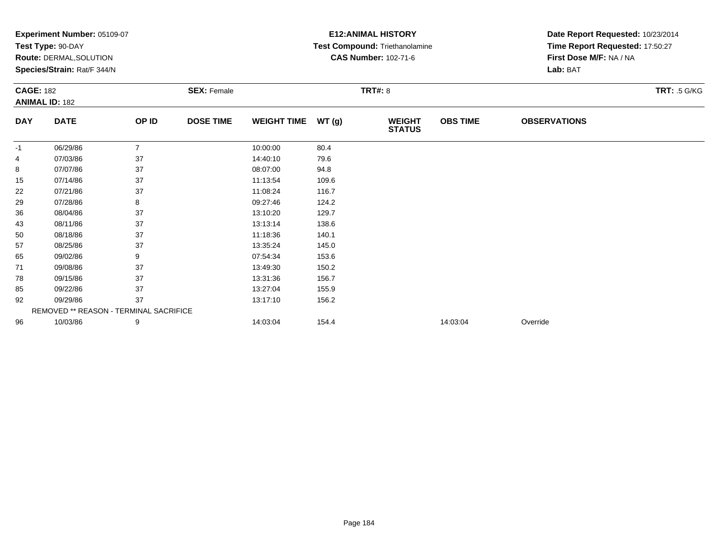|                  | <b>Experiment Number: 05109-07</b>            |                |                    |                    |       | <b>E12:ANIMAL HISTORY</b>      | Date Report Requested: 10/23/2014 |                                 |                     |
|------------------|-----------------------------------------------|----------------|--------------------|--------------------|-------|--------------------------------|-----------------------------------|---------------------------------|---------------------|
|                  | Test Type: 90-DAY                             |                |                    |                    |       | Test Compound: Triethanolamine |                                   | Time Report Requested: 17:50:27 |                     |
|                  | Route: DERMAL, SOLUTION                       |                |                    |                    |       | <b>CAS Number: 102-71-6</b>    |                                   | First Dose M/F: NA / NA         |                     |
|                  | Species/Strain: Rat/F 344/N                   |                |                    |                    |       |                                |                                   | Lab: BAT                        |                     |
| <b>CAGE: 182</b> |                                               |                | <b>SEX: Female</b> |                    |       | <b>TRT#: 8</b>                 |                                   |                                 | <b>TRT: .5 G/KG</b> |
|                  | <b>ANIMAL ID: 182</b>                         |                |                    |                    |       |                                |                                   |                                 |                     |
| <b>DAY</b>       | <b>DATE</b>                                   | OP ID          | <b>DOSE TIME</b>   | <b>WEIGHT TIME</b> | WT(g) | <b>WEIGHT</b><br><b>STATUS</b> | <b>OBS TIME</b>                   | <b>OBSERVATIONS</b>             |                     |
| -1               | 06/29/86                                      | $\overline{7}$ |                    | 10:00:00           | 80.4  |                                |                                   |                                 |                     |
| 4                | 07/03/86                                      | 37             |                    | 14:40:10           | 79.6  |                                |                                   |                                 |                     |
| 8                | 07/07/86                                      | 37             |                    | 08:07:00           | 94.8  |                                |                                   |                                 |                     |
| 15               | 07/14/86                                      | 37             |                    | 11:13:54           | 109.6 |                                |                                   |                                 |                     |
| 22               | 07/21/86                                      | 37             |                    | 11:08:24           | 116.7 |                                |                                   |                                 |                     |
| 29               | 07/28/86                                      | 8              |                    | 09:27:46           | 124.2 |                                |                                   |                                 |                     |
| 36               | 08/04/86                                      | 37             |                    | 13:10:20           | 129.7 |                                |                                   |                                 |                     |
| 43               | 08/11/86                                      | 37             |                    | 13:13:14           | 138.6 |                                |                                   |                                 |                     |
| 50               | 08/18/86                                      | 37             |                    | 11:18:36           | 140.1 |                                |                                   |                                 |                     |
| 57               | 08/25/86                                      | 37             |                    | 13:35:24           | 145.0 |                                |                                   |                                 |                     |
| 65               | 09/02/86                                      | 9              |                    | 07:54:34           | 153.6 |                                |                                   |                                 |                     |
| 71               | 09/08/86                                      | 37             |                    | 13:49:30           | 150.2 |                                |                                   |                                 |                     |
| 78               | 09/15/86                                      | 37             |                    | 13:31:36           | 156.7 |                                |                                   |                                 |                     |
| 85               | 09/22/86                                      | 37             |                    | 13:27:04           | 155.9 |                                |                                   |                                 |                     |
| 92               | 09/29/86                                      | 37             |                    | 13:17:10           | 156.2 |                                |                                   |                                 |                     |
|                  | <b>REMOVED ** REASON - TERMINAL SACRIFICE</b> |                |                    |                    |       |                                |                                   |                                 |                     |
| 96               | 10/03/86                                      | 9              |                    | 14:03:04           | 154.4 |                                | 14:03:04                          | Override                        |                     |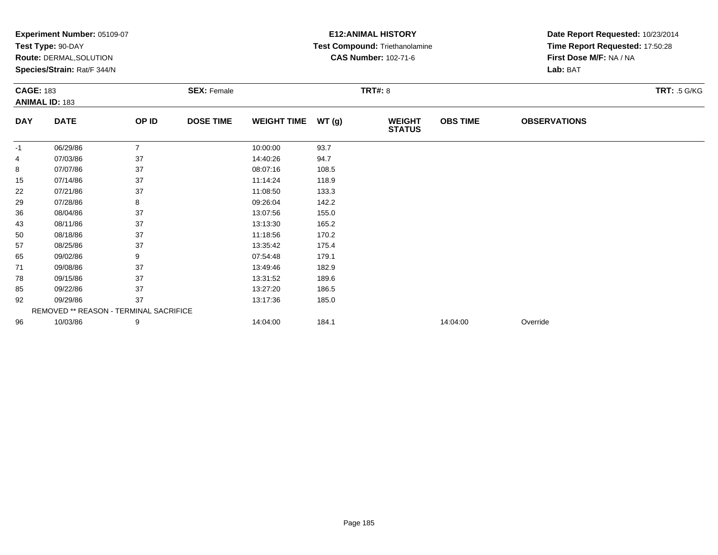|                  | <b>Experiment Number: 05109-07</b>     |                |                    |                    |       | <b>E12:ANIMAL HISTORY</b>      | Date Report Requested: 10/23/2014 |                                 |                     |
|------------------|----------------------------------------|----------------|--------------------|--------------------|-------|--------------------------------|-----------------------------------|---------------------------------|---------------------|
|                  | Test Type: 90-DAY                      |                |                    |                    |       | Test Compound: Triethanolamine |                                   | Time Report Requested: 17:50:28 |                     |
|                  | Route: DERMAL, SOLUTION                |                |                    |                    |       | <b>CAS Number: 102-71-6</b>    |                                   | First Dose M/F: NA / NA         |                     |
|                  | Species/Strain: Rat/F 344/N            |                |                    |                    |       |                                |                                   | Lab: BAT                        |                     |
| <b>CAGE: 183</b> |                                        |                | <b>SEX: Female</b> |                    |       | TRT#: 8                        |                                   |                                 | <b>TRT: .5 G/KG</b> |
|                  | <b>ANIMAL ID: 183</b>                  |                |                    |                    |       |                                |                                   |                                 |                     |
| <b>DAY</b>       | <b>DATE</b>                            | OP ID          | <b>DOSE TIME</b>   | <b>WEIGHT TIME</b> | WT(g) | <b>WEIGHT</b><br><b>STATUS</b> | <b>OBS TIME</b>                   | <b>OBSERVATIONS</b>             |                     |
| -1               | 06/29/86                               | $\overline{7}$ |                    | 10:00:00           | 93.7  |                                |                                   |                                 |                     |
| 4                | 07/03/86                               | 37             |                    | 14:40:26           | 94.7  |                                |                                   |                                 |                     |
| 8                | 07/07/86                               | 37             |                    | 08:07:16           | 108.5 |                                |                                   |                                 |                     |
| 15               | 07/14/86                               | 37             |                    | 11:14:24           | 118.9 |                                |                                   |                                 |                     |
| 22               | 07/21/86                               | 37             |                    | 11:08:50           | 133.3 |                                |                                   |                                 |                     |
| 29               | 07/28/86                               | 8              |                    | 09:26:04           | 142.2 |                                |                                   |                                 |                     |
| 36               | 08/04/86                               | 37             |                    | 13:07:56           | 155.0 |                                |                                   |                                 |                     |
| 43               | 08/11/86                               | 37             |                    | 13:13:30           | 165.2 |                                |                                   |                                 |                     |
| 50               | 08/18/86                               | 37             |                    | 11:18:56           | 170.2 |                                |                                   |                                 |                     |
| 57               | 08/25/86                               | 37             |                    | 13:35:42           | 175.4 |                                |                                   |                                 |                     |
| 65               | 09/02/86                               | 9              |                    | 07:54:48           | 179.1 |                                |                                   |                                 |                     |
| 71               | 09/08/86                               | 37             |                    | 13:49:46           | 182.9 |                                |                                   |                                 |                     |
| 78               | 09/15/86                               | 37             |                    | 13:31:52           | 189.6 |                                |                                   |                                 |                     |
| 85               | 09/22/86                               | 37             |                    | 13:27:20           | 186.5 |                                |                                   |                                 |                     |
| 92               | 09/29/86                               | 37             |                    | 13:17:36           | 185.0 |                                |                                   |                                 |                     |
|                  | REMOVED ** REASON - TERMINAL SACRIFICE |                |                    |                    |       |                                |                                   |                                 |                     |
| 96               | 10/03/86                               | 9              |                    | 14:04:00           | 184.1 |                                | 14:04:00                          | Override                        |                     |
|                  |                                        |                |                    |                    |       |                                |                                   |                                 |                     |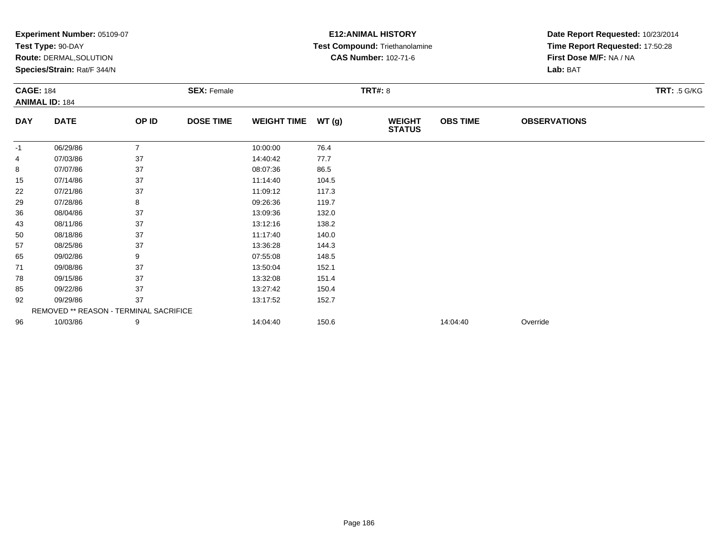|                  | <b>Experiment Number: 05109-07</b>            |                |                    |                    |       | <b>E12:ANIMAL HISTORY</b>      | Date Report Requested: 10/23/2014 |                                 |                     |  |
|------------------|-----------------------------------------------|----------------|--------------------|--------------------|-------|--------------------------------|-----------------------------------|---------------------------------|---------------------|--|
|                  | Test Type: 90-DAY                             |                |                    |                    |       | Test Compound: Triethanolamine |                                   | Time Report Requested: 17:50:28 |                     |  |
|                  | Route: DERMAL, SOLUTION                       |                |                    |                    |       | <b>CAS Number: 102-71-6</b>    |                                   | First Dose M/F: NA / NA         |                     |  |
|                  | Species/Strain: Rat/F 344/N                   |                |                    |                    |       |                                |                                   | Lab: BAT                        |                     |  |
| <b>CAGE: 184</b> |                                               |                | <b>SEX: Female</b> |                    |       | <b>TRT#: 8</b>                 |                                   |                                 | <b>TRT: .5 G/KG</b> |  |
|                  | <b>ANIMAL ID: 184</b>                         |                |                    |                    |       |                                |                                   |                                 |                     |  |
| <b>DAY</b>       | <b>DATE</b>                                   | OP ID          | <b>DOSE TIME</b>   | <b>WEIGHT TIME</b> | WT(g) | <b>WEIGHT</b><br><b>STATUS</b> | <b>OBS TIME</b>                   | <b>OBSERVATIONS</b>             |                     |  |
| -1               | 06/29/86                                      | $\overline{7}$ |                    | 10:00:00           | 76.4  |                                |                                   |                                 |                     |  |
| 4                | 07/03/86                                      | 37             |                    | 14:40:42           | 77.7  |                                |                                   |                                 |                     |  |
| 8                | 07/07/86                                      | 37             |                    | 08:07:36           | 86.5  |                                |                                   |                                 |                     |  |
| 15               | 07/14/86                                      | 37             |                    | 11:14:40           | 104.5 |                                |                                   |                                 |                     |  |
| 22               | 07/21/86                                      | 37             |                    | 11:09:12           | 117.3 |                                |                                   |                                 |                     |  |
| 29               | 07/28/86                                      | 8              |                    | 09:26:36           | 119.7 |                                |                                   |                                 |                     |  |
| 36               | 08/04/86                                      | 37             |                    | 13:09:36           | 132.0 |                                |                                   |                                 |                     |  |
| 43               | 08/11/86                                      | 37             |                    | 13:12:16           | 138.2 |                                |                                   |                                 |                     |  |
| 50               | 08/18/86                                      | 37             |                    | 11:17:40           | 140.0 |                                |                                   |                                 |                     |  |
| 57               | 08/25/86                                      | 37             |                    | 13:36:28           | 144.3 |                                |                                   |                                 |                     |  |
| 65               | 09/02/86                                      | 9              |                    | 07:55:08           | 148.5 |                                |                                   |                                 |                     |  |
| 71               | 09/08/86                                      | 37             |                    | 13:50:04           | 152.1 |                                |                                   |                                 |                     |  |
| 78               | 09/15/86                                      | 37             |                    | 13:32:08           | 151.4 |                                |                                   |                                 |                     |  |
| 85               | 09/22/86                                      | 37             |                    | 13:27:42           | 150.4 |                                |                                   |                                 |                     |  |
| 92               | 09/29/86                                      | 37             |                    | 13:17:52           | 152.7 |                                |                                   |                                 |                     |  |
|                  | <b>REMOVED ** REASON - TERMINAL SACRIFICE</b> |                |                    |                    |       |                                |                                   |                                 |                     |  |
| 96               | 10/03/86                                      | 9              |                    | 14:04:40           | 150.6 |                                | 14:04:40                          | Override                        |                     |  |
|                  |                                               |                |                    |                    |       |                                |                                   |                                 |                     |  |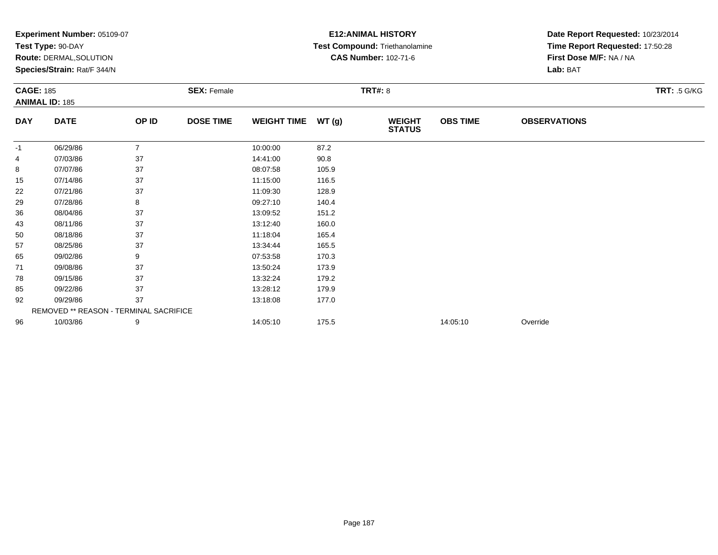|                  | <b>Experiment Number: 05109-07</b>     |                |                    |                    |       | <b>E12:ANIMAL HISTORY</b>      | Date Report Requested: 10/23/2014 |                                 |                     |  |
|------------------|----------------------------------------|----------------|--------------------|--------------------|-------|--------------------------------|-----------------------------------|---------------------------------|---------------------|--|
|                  | Test Type: 90-DAY                      |                |                    |                    |       | Test Compound: Triethanolamine |                                   | Time Report Requested: 17:50:28 |                     |  |
|                  | Route: DERMAL, SOLUTION                |                |                    |                    |       | <b>CAS Number: 102-71-6</b>    |                                   | First Dose M/F: NA / NA         |                     |  |
|                  | Species/Strain: Rat/F 344/N            |                |                    |                    |       |                                |                                   | Lab: BAT                        |                     |  |
| <b>CAGE: 185</b> |                                        |                | <b>SEX: Female</b> |                    |       | TRT#: 8                        |                                   |                                 | <b>TRT: .5 G/KG</b> |  |
|                  | <b>ANIMAL ID: 185</b>                  |                |                    |                    |       |                                |                                   |                                 |                     |  |
| <b>DAY</b>       | <b>DATE</b>                            | OP ID          | <b>DOSE TIME</b>   | <b>WEIGHT TIME</b> | WT(g) | <b>WEIGHT</b><br><b>STATUS</b> | <b>OBS TIME</b>                   | <b>OBSERVATIONS</b>             |                     |  |
| -1               | 06/29/86                               | $\overline{7}$ |                    | 10:00:00           | 87.2  |                                |                                   |                                 |                     |  |
| 4                | 07/03/86                               | 37             |                    | 14:41:00           | 90.8  |                                |                                   |                                 |                     |  |
| 8                | 07/07/86                               | 37             |                    | 08:07:58           | 105.9 |                                |                                   |                                 |                     |  |
| 15               | 07/14/86                               | 37             |                    | 11:15:00           | 116.5 |                                |                                   |                                 |                     |  |
| 22               | 07/21/86                               | 37             |                    | 11:09:30           | 128.9 |                                |                                   |                                 |                     |  |
| 29               | 07/28/86                               | 8              |                    | 09:27:10           | 140.4 |                                |                                   |                                 |                     |  |
| 36               | 08/04/86                               | 37             |                    | 13:09:52           | 151.2 |                                |                                   |                                 |                     |  |
| 43               | 08/11/86                               | 37             |                    | 13:12:40           | 160.0 |                                |                                   |                                 |                     |  |
| 50               | 08/18/86                               | 37             |                    | 11:18:04           | 165.4 |                                |                                   |                                 |                     |  |
| 57               | 08/25/86                               | 37             |                    | 13:34:44           | 165.5 |                                |                                   |                                 |                     |  |
| 65               | 09/02/86                               | 9              |                    | 07:53:58           | 170.3 |                                |                                   |                                 |                     |  |
| 71               | 09/08/86                               | 37             |                    | 13:50:24           | 173.9 |                                |                                   |                                 |                     |  |
| 78               | 09/15/86                               | 37             |                    | 13:32:24           | 179.2 |                                |                                   |                                 |                     |  |
| 85               | 09/22/86                               | 37             |                    | 13:28:12           | 179.9 |                                |                                   |                                 |                     |  |
| 92               | 09/29/86                               | 37             |                    | 13:18:08           | 177.0 |                                |                                   |                                 |                     |  |
|                  | REMOVED ** REASON - TERMINAL SACRIFICE |                |                    |                    |       |                                |                                   |                                 |                     |  |
| 96               | 10/03/86                               | 9              |                    | 14:05:10           | 175.5 |                                | 14:05:10                          | Override                        |                     |  |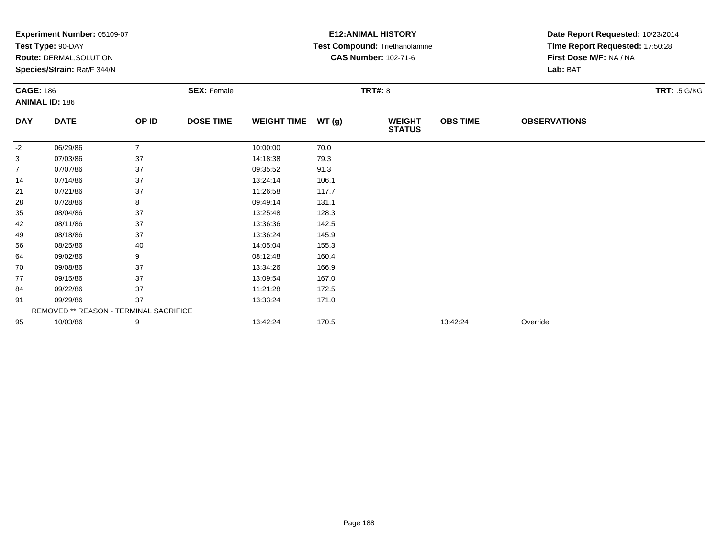|                  | Experiment Number: 05109-07            |                |                    |                    | <b>E12: ANIMAL HISTORY</b> | Date Report Requested: 10/23/2014 |                 |                                 |                     |  |
|------------------|----------------------------------------|----------------|--------------------|--------------------|----------------------------|-----------------------------------|-----------------|---------------------------------|---------------------|--|
|                  | Test Type: 90-DAY                      |                |                    |                    |                            | Test Compound: Triethanolamine    |                 | Time Report Requested: 17:50:28 |                     |  |
|                  | Route: DERMAL, SOLUTION                |                |                    |                    |                            | <b>CAS Number: 102-71-6</b>       |                 | First Dose M/F: NA / NA         |                     |  |
|                  | Species/Strain: Rat/F 344/N            |                |                    |                    |                            |                                   |                 | Lab: BAT                        |                     |  |
| <b>CAGE: 186</b> | <b>ANIMAL ID: 186</b>                  |                | <b>SEX: Female</b> |                    | <b>TRT#: 8</b>             |                                   |                 |                                 | <b>TRT: .5 G/KG</b> |  |
| <b>DAY</b>       | <b>DATE</b>                            | OP ID          | <b>DOSE TIME</b>   | <b>WEIGHT TIME</b> | WT(g)                      | <b>WEIGHT</b><br><b>STATUS</b>    | <b>OBS TIME</b> | <b>OBSERVATIONS</b>             |                     |  |
| -2               | 06/29/86                               | $\overline{7}$ |                    | 10:00:00           | 70.0                       |                                   |                 |                                 |                     |  |
| 3                | 07/03/86                               | 37             |                    | 14:18:38           | 79.3                       |                                   |                 |                                 |                     |  |
| 7                | 07/07/86                               | 37             |                    | 09:35:52           | 91.3                       |                                   |                 |                                 |                     |  |
| 14               | 07/14/86                               | 37             |                    | 13:24:14           | 106.1                      |                                   |                 |                                 |                     |  |
| 21               | 07/21/86                               | 37             |                    | 11:26:58           | 117.7                      |                                   |                 |                                 |                     |  |
| 28               | 07/28/86                               | 8              |                    | 09:49:14           | 131.1                      |                                   |                 |                                 |                     |  |
| 35               | 08/04/86                               | 37             |                    | 13:25:48           | 128.3                      |                                   |                 |                                 |                     |  |
| 42               | 08/11/86                               | 37             |                    | 13:36:36           | 142.5                      |                                   |                 |                                 |                     |  |
| 49               | 08/18/86                               | 37             |                    | 13:36:24           | 145.9                      |                                   |                 |                                 |                     |  |
| 56               | 08/25/86                               | 40             |                    | 14:05:04           | 155.3                      |                                   |                 |                                 |                     |  |
| 64               | 09/02/86                               | 9              |                    | 08:12:48           | 160.4                      |                                   |                 |                                 |                     |  |
| 70               | 09/08/86                               | 37             |                    | 13:34:26           | 166.9                      |                                   |                 |                                 |                     |  |
| 77               | 09/15/86                               | 37             |                    | 13:09:54           | 167.0                      |                                   |                 |                                 |                     |  |
| 84               | 09/22/86                               | 37             |                    | 11:21:28           | 172.5                      |                                   |                 |                                 |                     |  |
| 91               | 09/29/86                               | 37             |                    | 13:33:24           | 171.0                      |                                   |                 |                                 |                     |  |
|                  | REMOVED ** REASON - TERMINAL SACRIFICE |                |                    |                    |                            |                                   |                 |                                 |                     |  |
| 95               | 10/03/86                               | 9              |                    | 13:42:24           | 170.5                      |                                   | 13:42:24        | Override                        |                     |  |
|                  |                                        |                |                    |                    |                            |                                   |                 |                                 |                     |  |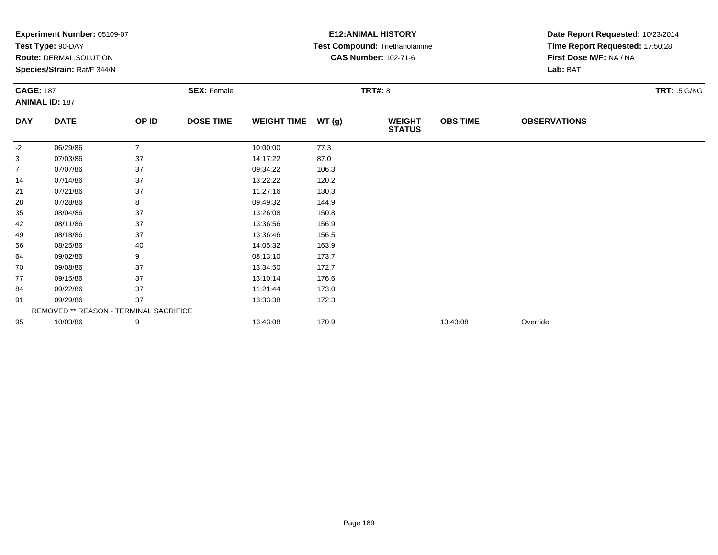|                  | <b>Experiment Number: 05109-07</b>     |                |                    |                    | <b>E12: ANIMAL HISTORY</b> | Date Report Requested: 10/23/2014 |                 |                                 |                     |  |
|------------------|----------------------------------------|----------------|--------------------|--------------------|----------------------------|-----------------------------------|-----------------|---------------------------------|---------------------|--|
|                  | Test Type: 90-DAY                      |                |                    |                    |                            | Test Compound: Triethanolamine    |                 | Time Report Requested: 17:50:28 |                     |  |
|                  | <b>Route: DERMAL, SOLUTION</b>         |                |                    |                    |                            | <b>CAS Number: 102-71-6</b>       |                 | First Dose M/F: NA / NA         |                     |  |
|                  | Species/Strain: Rat/F 344/N            |                |                    |                    |                            |                                   |                 | Lab: BAT                        |                     |  |
| <b>CAGE: 187</b> |                                        |                | <b>SEX: Female</b> |                    |                            | <b>TRT#: 8</b>                    |                 |                                 | <b>TRT: .5 G/KG</b> |  |
|                  | <b>ANIMAL ID: 187</b>                  |                |                    |                    |                            |                                   |                 |                                 |                     |  |
| <b>DAY</b>       | <b>DATE</b>                            | OP ID          | <b>DOSE TIME</b>   | <b>WEIGHT TIME</b> | WT(g)                      | <b>WEIGHT</b><br><b>STATUS</b>    | <b>OBS TIME</b> | <b>OBSERVATIONS</b>             |                     |  |
| $-2$             | 06/29/86                               | $\overline{7}$ |                    | 10:00:00           | 77.3                       |                                   |                 |                                 |                     |  |
| 3                | 07/03/86                               | 37             |                    | 14:17:22           | 87.0                       |                                   |                 |                                 |                     |  |
| 7                | 07/07/86                               | 37             |                    | 09:34:22           | 106.3                      |                                   |                 |                                 |                     |  |
| 14               | 07/14/86                               | 37             |                    | 13:22:22           | 120.2                      |                                   |                 |                                 |                     |  |
| 21               | 07/21/86                               | 37             |                    | 11:27:16           | 130.3                      |                                   |                 |                                 |                     |  |
| 28               | 07/28/86                               | 8              |                    | 09:49:32           | 144.9                      |                                   |                 |                                 |                     |  |
| 35               | 08/04/86                               | 37             |                    | 13:26:08           | 150.8                      |                                   |                 |                                 |                     |  |
| 42               | 08/11/86                               | 37             |                    | 13:36:56           | 156.9                      |                                   |                 |                                 |                     |  |
| 49               | 08/18/86                               | 37             |                    | 13:36:46           | 156.5                      |                                   |                 |                                 |                     |  |
| 56               | 08/25/86                               | 40             |                    | 14:05:32           | 163.9                      |                                   |                 |                                 |                     |  |
| 64               | 09/02/86                               | 9              |                    | 08:13:10           | 173.7                      |                                   |                 |                                 |                     |  |
| 70               | 09/08/86                               | 37             |                    | 13:34:50           | 172.7                      |                                   |                 |                                 |                     |  |
| 77               | 09/15/86                               | 37             |                    | 13:10:14           | 176.6                      |                                   |                 |                                 |                     |  |
| 84               | 09/22/86                               | 37             |                    | 11:21:44           | 173.0                      |                                   |                 |                                 |                     |  |
| 91               | 09/29/86                               | 37             |                    | 13:33:38           | 172.3                      |                                   |                 |                                 |                     |  |
|                  | REMOVED ** REASON - TERMINAL SACRIFICE |                |                    |                    |                            |                                   |                 |                                 |                     |  |
| 95               | 10/03/86                               | 9              |                    | 13:43:08           | 170.9                      |                                   | 13:43:08        | Override                        |                     |  |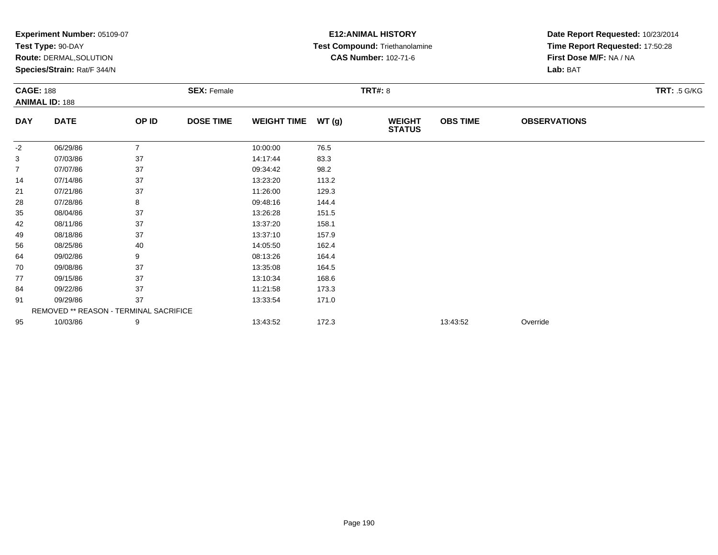|                  | Experiment Number: 05109-07            |                |                    |                    |       | <b>E12: ANIMAL HISTORY</b>     | Date Report Requested: 10/23/2014 |                                 |                     |  |
|------------------|----------------------------------------|----------------|--------------------|--------------------|-------|--------------------------------|-----------------------------------|---------------------------------|---------------------|--|
|                  | Test Type: 90-DAY                      |                |                    |                    |       | Test Compound: Triethanolamine |                                   | Time Report Requested: 17:50:28 |                     |  |
|                  | Route: DERMAL, SOLUTION                |                |                    |                    |       | <b>CAS Number: 102-71-6</b>    |                                   | First Dose M/F: NA / NA         |                     |  |
|                  | Species/Strain: Rat/F 344/N            |                |                    |                    |       |                                |                                   | Lab: BAT                        |                     |  |
| <b>CAGE: 188</b> |                                        |                | <b>SEX: Female</b> |                    |       | <b>TRT#: 8</b>                 |                                   |                                 | <b>TRT: .5 G/KG</b> |  |
|                  | <b>ANIMAL ID: 188</b>                  |                |                    |                    |       |                                |                                   |                                 |                     |  |
| <b>DAY</b>       | <b>DATE</b>                            | OP ID          | <b>DOSE TIME</b>   | <b>WEIGHT TIME</b> | WT(g) | <b>WEIGHT</b><br><b>STATUS</b> | <b>OBS TIME</b>                   | <b>OBSERVATIONS</b>             |                     |  |
| -2               | 06/29/86                               | $\overline{7}$ |                    | 10:00:00           | 76.5  |                                |                                   |                                 |                     |  |
| 3                | 07/03/86                               | 37             |                    | 14:17:44           | 83.3  |                                |                                   |                                 |                     |  |
| 7                | 07/07/86                               | 37             |                    | 09:34:42           | 98.2  |                                |                                   |                                 |                     |  |
| 14               | 07/14/86                               | 37             |                    | 13:23:20           | 113.2 |                                |                                   |                                 |                     |  |
| 21               | 07/21/86                               | 37             |                    | 11:26:00           | 129.3 |                                |                                   |                                 |                     |  |
| 28               | 07/28/86                               | 8              |                    | 09:48:16           | 144.4 |                                |                                   |                                 |                     |  |
| 35               | 08/04/86                               | 37             |                    | 13:26:28           | 151.5 |                                |                                   |                                 |                     |  |
| 42               | 08/11/86                               | 37             |                    | 13:37:20           | 158.1 |                                |                                   |                                 |                     |  |
| 49               | 08/18/86                               | 37             |                    | 13:37:10           | 157.9 |                                |                                   |                                 |                     |  |
| 56               | 08/25/86                               | 40             |                    | 14:05:50           | 162.4 |                                |                                   |                                 |                     |  |
| 64               | 09/02/86                               | 9              |                    | 08:13:26           | 164.4 |                                |                                   |                                 |                     |  |
| 70               | 09/08/86                               | 37             |                    | 13:35:08           | 164.5 |                                |                                   |                                 |                     |  |
| 77               | 09/15/86                               | 37             |                    | 13:10:34           | 168.6 |                                |                                   |                                 |                     |  |
| 84               | 09/22/86                               | 37             |                    | 11:21:58           | 173.3 |                                |                                   |                                 |                     |  |
| 91               | 09/29/86                               | 37             |                    | 13:33:54           | 171.0 |                                |                                   |                                 |                     |  |
|                  | REMOVED ** REASON - TERMINAL SACRIFICE |                |                    |                    |       |                                |                                   |                                 |                     |  |
| 95               | 10/03/86                               | 9              |                    | 13:43:52           | 172.3 |                                | 13:43:52                          | Override                        |                     |  |
|                  |                                        |                |                    |                    |       |                                |                                   |                                 |                     |  |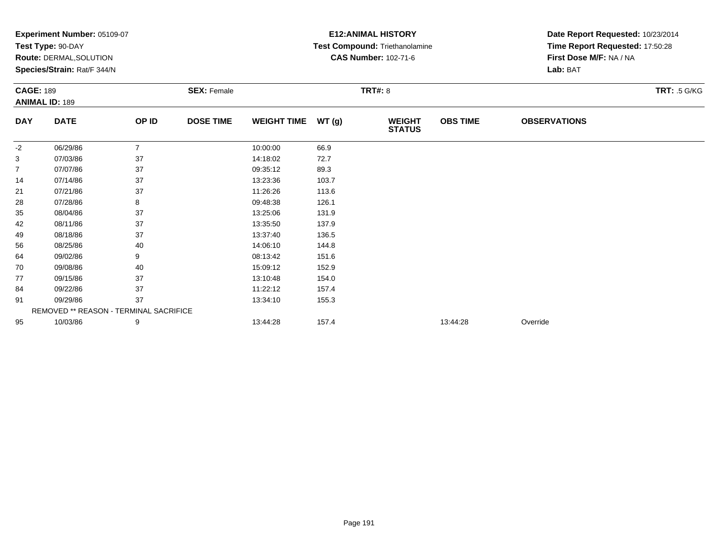|                  | <b>Experiment Number: 05109-07</b>     |                |                    |                    | <b>E12: ANIMAL HISTORY</b> | Date Report Requested: 10/23/2014 |                 |                                 |                     |  |
|------------------|----------------------------------------|----------------|--------------------|--------------------|----------------------------|-----------------------------------|-----------------|---------------------------------|---------------------|--|
|                  | Test Type: 90-DAY                      |                |                    |                    |                            | Test Compound: Triethanolamine    |                 | Time Report Requested: 17:50:28 |                     |  |
|                  | <b>Route: DERMAL, SOLUTION</b>         |                |                    |                    |                            | <b>CAS Number: 102-71-6</b>       |                 | First Dose M/F: NA / NA         |                     |  |
|                  | Species/Strain: Rat/F 344/N            |                |                    |                    |                            |                                   |                 | Lab: BAT                        |                     |  |
| <b>CAGE: 189</b> |                                        |                | <b>SEX: Female</b> |                    |                            | <b>TRT#: 8</b>                    |                 |                                 | <b>TRT: .5 G/KG</b> |  |
|                  | <b>ANIMAL ID: 189</b>                  |                |                    |                    |                            |                                   |                 |                                 |                     |  |
| <b>DAY</b>       | <b>DATE</b>                            | OP ID          | <b>DOSE TIME</b>   | <b>WEIGHT TIME</b> | WT(g)                      | <b>WEIGHT</b><br><b>STATUS</b>    | <b>OBS TIME</b> | <b>OBSERVATIONS</b>             |                     |  |
| -2               | 06/29/86                               | $\overline{7}$ |                    | 10:00:00           | 66.9                       |                                   |                 |                                 |                     |  |
| 3                | 07/03/86                               | 37             |                    | 14:18:02           | 72.7                       |                                   |                 |                                 |                     |  |
| 7                | 07/07/86                               | 37             |                    | 09:35:12           | 89.3                       |                                   |                 |                                 |                     |  |
| 14               | 07/14/86                               | 37             |                    | 13:23:36           | 103.7                      |                                   |                 |                                 |                     |  |
| 21               | 07/21/86                               | 37             |                    | 11:26:26           | 113.6                      |                                   |                 |                                 |                     |  |
| 28               | 07/28/86                               | 8              |                    | 09:48:38           | 126.1                      |                                   |                 |                                 |                     |  |
| 35               | 08/04/86                               | 37             |                    | 13:25:06           | 131.9                      |                                   |                 |                                 |                     |  |
| 42               | 08/11/86                               | 37             |                    | 13:35:50           | 137.9                      |                                   |                 |                                 |                     |  |
| 49               | 08/18/86                               | 37             |                    | 13:37:40           | 136.5                      |                                   |                 |                                 |                     |  |
| 56               | 08/25/86                               | 40             |                    | 14:06:10           | 144.8                      |                                   |                 |                                 |                     |  |
| 64               | 09/02/86                               | 9              |                    | 08:13:42           | 151.6                      |                                   |                 |                                 |                     |  |
| 70               | 09/08/86                               | 40             |                    | 15:09:12           | 152.9                      |                                   |                 |                                 |                     |  |
| 77               | 09/15/86                               | 37             |                    | 13:10:48           | 154.0                      |                                   |                 |                                 |                     |  |
| 84               | 09/22/86                               | 37             |                    | 11:22:12           | 157.4                      |                                   |                 |                                 |                     |  |
| 91               | 09/29/86                               | 37             |                    | 13:34:10           | 155.3                      |                                   |                 |                                 |                     |  |
|                  | REMOVED ** REASON - TERMINAL SACRIFICE |                |                    |                    |                            |                                   |                 |                                 |                     |  |
| 95               | 10/03/86                               | 9              |                    | 13:44:28           | 157.4                      |                                   | 13:44:28        | Override                        |                     |  |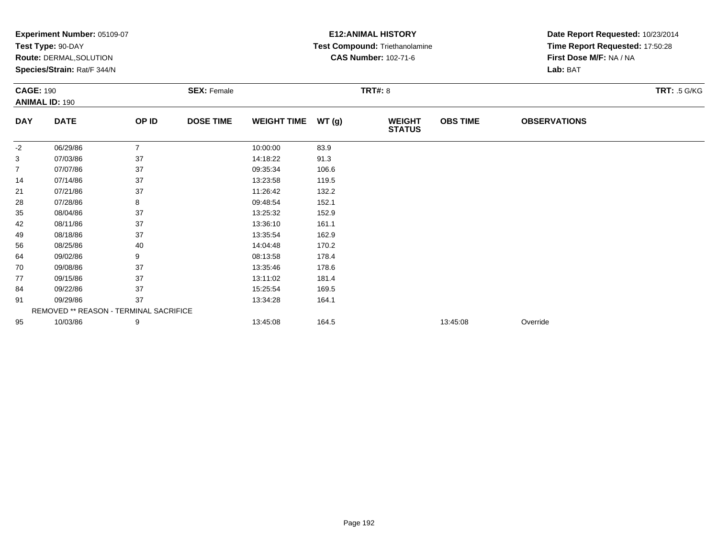|                  | Experiment Number: 05109-07<br>Test Type: 90-DAY |                |                    |                    |       | <b>E12: ANIMAL HISTORY</b>     | Date Report Requested: 10/23/2014 |                                 |                     |
|------------------|--------------------------------------------------|----------------|--------------------|--------------------|-------|--------------------------------|-----------------------------------|---------------------------------|---------------------|
|                  |                                                  |                |                    |                    |       | Test Compound: Triethanolamine |                                   | Time Report Requested: 17:50:28 |                     |
|                  | Route: DERMAL, SOLUTION                          |                |                    |                    |       | <b>CAS Number: 102-71-6</b>    |                                   | First Dose M/F: NA / NA         |                     |
|                  | Species/Strain: Rat/F 344/N                      |                |                    |                    |       |                                |                                   | Lab: BAT                        |                     |
| <b>CAGE: 190</b> |                                                  |                | <b>SEX: Female</b> |                    |       | <b>TRT#: 8</b>                 |                                   |                                 | <b>TRT: .5 G/KG</b> |
|                  | <b>ANIMAL ID: 190</b>                            |                |                    |                    |       |                                |                                   |                                 |                     |
| <b>DAY</b>       | <b>DATE</b>                                      | OP ID          | <b>DOSE TIME</b>   | <b>WEIGHT TIME</b> | WT(g) | <b>WEIGHT</b><br><b>STATUS</b> | <b>OBS TIME</b>                   | <b>OBSERVATIONS</b>             |                     |
| $-2$             | 06/29/86                                         | $\overline{7}$ |                    | 10:00:00           | 83.9  |                                |                                   |                                 |                     |
| 3                | 07/03/86                                         | 37             |                    | 14:18:22           | 91.3  |                                |                                   |                                 |                     |
| 7                | 07/07/86                                         | 37             |                    | 09:35:34           | 106.6 |                                |                                   |                                 |                     |
| 14               | 07/14/86                                         | 37             |                    | 13:23:58           | 119.5 |                                |                                   |                                 |                     |
| 21               | 07/21/86                                         | 37             |                    | 11:26:42           | 132.2 |                                |                                   |                                 |                     |
| 28               | 07/28/86                                         | 8              |                    | 09:48:54           | 152.1 |                                |                                   |                                 |                     |
| 35               | 08/04/86                                         | 37             |                    | 13:25:32           | 152.9 |                                |                                   |                                 |                     |
| 42               | 08/11/86                                         | 37             |                    | 13:36:10           | 161.1 |                                |                                   |                                 |                     |
| 49               | 08/18/86                                         | 37             |                    | 13:35:54           | 162.9 |                                |                                   |                                 |                     |
| 56               | 08/25/86                                         | 40             |                    | 14:04:48           | 170.2 |                                |                                   |                                 |                     |
| 64               | 09/02/86                                         | 9              |                    | 08:13:58           | 178.4 |                                |                                   |                                 |                     |
| 70               | 09/08/86                                         | 37             |                    | 13:35:46           | 178.6 |                                |                                   |                                 |                     |
| 77               | 09/15/86                                         | 37             |                    | 13:11:02           | 181.4 |                                |                                   |                                 |                     |
| 84               | 09/22/86                                         | 37             |                    | 15:25:54           | 169.5 |                                |                                   |                                 |                     |
| 91               | 09/29/86                                         | 37             |                    | 13:34:28           | 164.1 |                                |                                   |                                 |                     |
|                  | REMOVED ** REASON - TERMINAL SACRIFICE           |                |                    |                    |       |                                |                                   |                                 |                     |
| 95               | 10/03/86                                         | 9              |                    | 13:45:08           | 164.5 |                                | 13:45:08                          | Override                        |                     |
|                  |                                                  |                |                    |                    |       |                                |                                   |                                 |                     |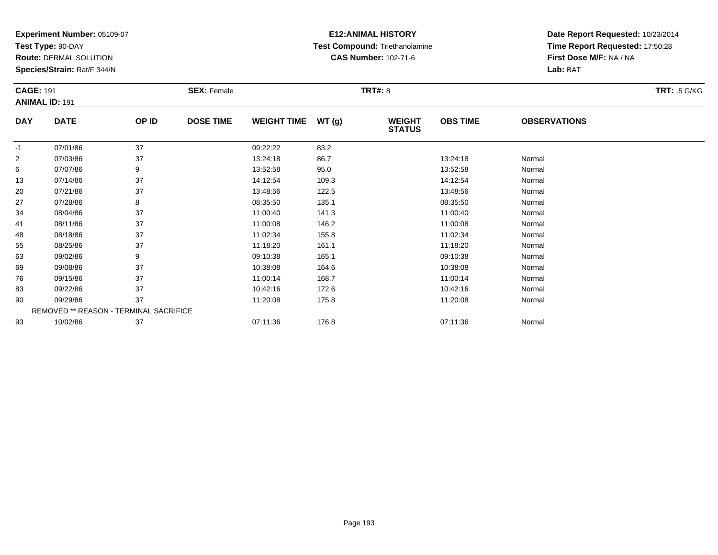**Test Type:** 90-DAY

**Route:** DERMAL,SOLUTION

**Species/Strain:** Rat/F 344/N

# **E12:ANIMAL HISTORY Test Compound:** Triethanolamine**CAS Number:** 102-71-6

| <b>CAGE: 191</b> | <b>ANIMAL ID: 191</b>                  |       | <b>SEX: Female</b> |                    |       | <b>TRT#: 8</b>                 |                 |                     | <b>TRT: .5 G/KG</b> |
|------------------|----------------------------------------|-------|--------------------|--------------------|-------|--------------------------------|-----------------|---------------------|---------------------|
| <b>DAY</b>       | <b>DATE</b>                            | OP ID | <b>DOSE TIME</b>   | <b>WEIGHT TIME</b> | WT(g) | <b>WEIGHT</b><br><b>STATUS</b> | <b>OBS TIME</b> | <b>OBSERVATIONS</b> |                     |
| $-1$             | 07/01/86                               | 37    |                    | 09:22:22           | 83.2  |                                |                 |                     |                     |
| $\overline{2}$   | 07/03/86                               | 37    |                    | 13:24:18           | 86.7  |                                | 13:24:18        | Normal              |                     |
| 6                | 07/07/86                               | 9     |                    | 13:52:58           | 95.0  |                                | 13:52:58        | Normal              |                     |
| 13               | 07/14/86                               | 37    |                    | 14:12:54           | 109.3 |                                | 14:12:54        | Normal              |                     |
| 20               | 07/21/86                               | 37    |                    | 13:48:56           | 122.5 |                                | 13:48:56        | Normal              |                     |
| 27               | 07/28/86                               | 8     |                    | 08:35:50           | 135.1 |                                | 08:35:50        | Normal              |                     |
| 34               | 08/04/86                               | 37    |                    | 11:00:40           | 141.3 |                                | 11:00:40        | Normal              |                     |
| 41               | 08/11/86                               | 37    |                    | 11:00:08           | 146.2 |                                | 11:00:08        | Normal              |                     |
| 48               | 08/18/86                               | 37    |                    | 11:02:34           | 155.8 |                                | 11:02:34        | Normal              |                     |
| 55               | 08/25/86                               | 37    |                    | 11:18:20           | 161.1 |                                | 11:18:20        | Normal              |                     |
| 63               | 09/02/86                               | 9     |                    | 09:10:38           | 165.1 |                                | 09:10:38        | Normal              |                     |
| 69               | 09/08/86                               | 37    |                    | 10:38:08           | 164.6 |                                | 10:38:08        | Normal              |                     |
| 76               | 09/15/86                               | 37    |                    | 11:00:14           | 168.7 |                                | 11:00:14        | Normal              |                     |
| 83               | 09/22/86                               | 37    |                    | 10:42:16           | 172.6 |                                | 10:42:16        | Normal              |                     |
| 90               | 09/29/86                               | 37    |                    | 11:20:08           | 175.8 |                                | 11:20:08        | Normal              |                     |
|                  | REMOVED ** REASON - TERMINAL SACRIFICE |       |                    |                    |       |                                |                 |                     |                     |
| 93               | 10/02/86                               | 37    |                    | 07:11:36           | 176.8 |                                | 07:11:36        | Normal              |                     |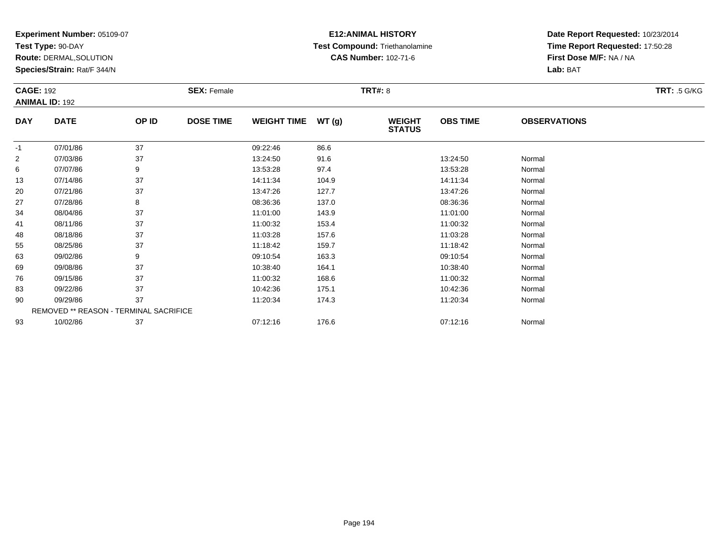**Test Type:** 90-DAY

**Route:** DERMAL,SOLUTION

**Species/Strain:** Rat/F 344/N

# **E12:ANIMAL HISTORY Test Compound:** Triethanolamine**CAS Number:** 102-71-6

| <b>CAGE: 192</b> |                                        | <b>SEX: Female</b> |                  |                    | <b>TRT: .5 G/KG</b> |                                |                 |                     |  |
|------------------|----------------------------------------|--------------------|------------------|--------------------|---------------------|--------------------------------|-----------------|---------------------|--|
|                  | <b>ANIMAL ID: 192</b>                  |                    |                  |                    |                     |                                |                 |                     |  |
| <b>DAY</b>       | <b>DATE</b>                            | OP ID              | <b>DOSE TIME</b> | <b>WEIGHT TIME</b> | WT(g)               | <b>WEIGHT</b><br><b>STATUS</b> | <b>OBS TIME</b> | <b>OBSERVATIONS</b> |  |
| $-1$             | 07/01/86                               | 37                 |                  | 09:22:46           | 86.6                |                                |                 |                     |  |
| $\overline{c}$   | 07/03/86                               | 37                 |                  | 13:24:50           | 91.6                |                                | 13:24:50        | Normal              |  |
| 6                | 07/07/86                               | 9                  |                  | 13:53:28           | 97.4                |                                | 13:53:28        | Normal              |  |
| 13               | 07/14/86                               | 37                 |                  | 14:11:34           | 104.9               |                                | 14:11:34        | Normal              |  |
| 20               | 07/21/86                               | 37                 |                  | 13:47:26           | 127.7               |                                | 13:47:26        | Normal              |  |
| 27               | 07/28/86                               | 8                  |                  | 08:36:36           | 137.0               |                                | 08:36:36        | Normal              |  |
| 34               | 08/04/86                               | 37                 |                  | 11:01:00           | 143.9               |                                | 11:01:00        | Normal              |  |
| 41               | 08/11/86                               | 37                 |                  | 11:00:32           | 153.4               |                                | 11:00:32        | Normal              |  |
| 48               | 08/18/86                               | 37                 |                  | 11:03:28           | 157.6               |                                | 11:03:28        | Normal              |  |
| 55               | 08/25/86                               | 37                 |                  | 11:18:42           | 159.7               |                                | 11:18:42        | Normal              |  |
| 63               | 09/02/86                               | 9                  |                  | 09:10:54           | 163.3               |                                | 09:10:54        | Normal              |  |
| 69               | 09/08/86                               | 37                 |                  | 10:38:40           | 164.1               |                                | 10:38:40        | Normal              |  |
| 76               | 09/15/86                               | 37                 |                  | 11:00:32           | 168.6               |                                | 11:00:32        | Normal              |  |
| 83               | 09/22/86                               | 37                 |                  | 10:42:36           | 175.1               |                                | 10:42:36        | Normal              |  |
| 90               | 09/29/86                               | 37                 |                  | 11:20:34           | 174.3               |                                | 11:20:34        | Normal              |  |
|                  | REMOVED ** REASON - TERMINAL SACRIFICE |                    |                  |                    |                     |                                |                 |                     |  |
| 93               | 10/02/86                               | 37                 |                  | 07:12:16           | 176.6               |                                | 07:12:16        | Normal              |  |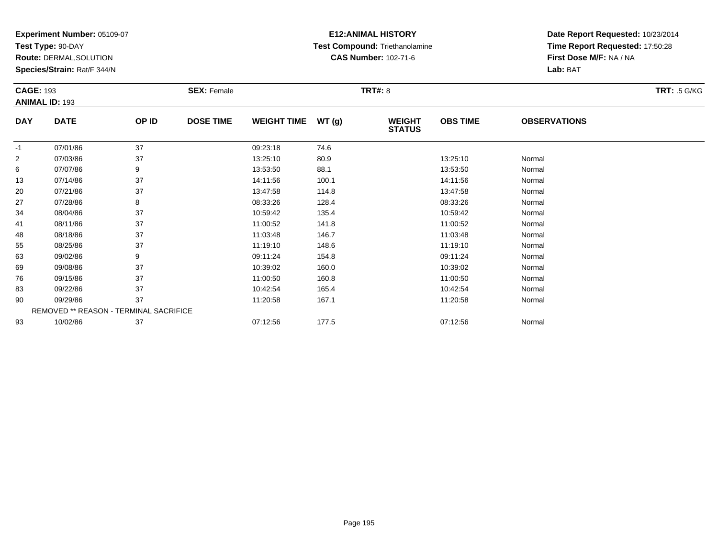**Test Type:** 90-DAY

**Route:** DERMAL,SOLUTION

**Species/Strain:** Rat/F 344/N

# **E12:ANIMAL HISTORY Test Compound:** Triethanolamine**CAS Number:** 102-71-6

| <b>SEX: Female</b><br><b>CAGE: 193</b> |                                        |       |                  | <b>TRT#: 8</b>     |       |                                |                 |                     |  |  |
|----------------------------------------|----------------------------------------|-------|------------------|--------------------|-------|--------------------------------|-----------------|---------------------|--|--|
|                                        | <b>ANIMAL ID: 193</b>                  |       |                  |                    |       |                                |                 |                     |  |  |
| <b>DAY</b>                             | <b>DATE</b>                            | OP ID | <b>DOSE TIME</b> | <b>WEIGHT TIME</b> | WT(g) | <b>WEIGHT</b><br><b>STATUS</b> | <b>OBS TIME</b> | <b>OBSERVATIONS</b> |  |  |
| $-1$                                   | 07/01/86                               | 37    |                  | 09:23:18           | 74.6  |                                |                 |                     |  |  |
| $\overline{2}$                         | 07/03/86                               | 37    |                  | 13:25:10           | 80.9  |                                | 13:25:10        | Normal              |  |  |
| 6                                      | 07/07/86                               | 9     |                  | 13:53:50           | 88.1  |                                | 13:53:50        | Normal              |  |  |
| 13                                     | 07/14/86                               | 37    |                  | 14:11:56           | 100.1 |                                | 14:11:56        | Normal              |  |  |
| 20                                     | 07/21/86                               | 37    |                  | 13:47:58           | 114.8 |                                | 13:47:58        | Normal              |  |  |
| 27                                     | 07/28/86                               | 8     |                  | 08:33:26           | 128.4 |                                | 08:33:26        | Normal              |  |  |
| 34                                     | 08/04/86                               | 37    |                  | 10:59:42           | 135.4 |                                | 10:59:42        | Normal              |  |  |
| 41                                     | 08/11/86                               | 37    |                  | 11:00:52           | 141.8 |                                | 11:00:52        | Normal              |  |  |
| 48                                     | 08/18/86                               | 37    |                  | 11:03:48           | 146.7 |                                | 11:03:48        | Normal              |  |  |
| 55                                     | 08/25/86                               | 37    |                  | 11:19:10           | 148.6 |                                | 11:19:10        | Normal              |  |  |
| 63                                     | 09/02/86                               | 9     |                  | 09:11:24           | 154.8 |                                | 09:11:24        | Normal              |  |  |
| 69                                     | 09/08/86                               | 37    |                  | 10:39:02           | 160.0 |                                | 10:39:02        | Normal              |  |  |
| 76                                     | 09/15/86                               | 37    |                  | 11:00:50           | 160.8 |                                | 11:00:50        | Normal              |  |  |
| 83                                     | 09/22/86                               | 37    |                  | 10:42:54           | 165.4 |                                | 10:42:54        | Normal              |  |  |
| 90                                     | 09/29/86                               | 37    |                  | 11:20:58           | 167.1 |                                | 11:20:58        | Normal              |  |  |
|                                        | REMOVED ** REASON - TERMINAL SACRIFICE |       |                  |                    |       |                                |                 |                     |  |  |
| 93                                     | 10/02/86                               | 37    |                  | 07:12:56           | 177.5 |                                | 07:12:56        | Normal              |  |  |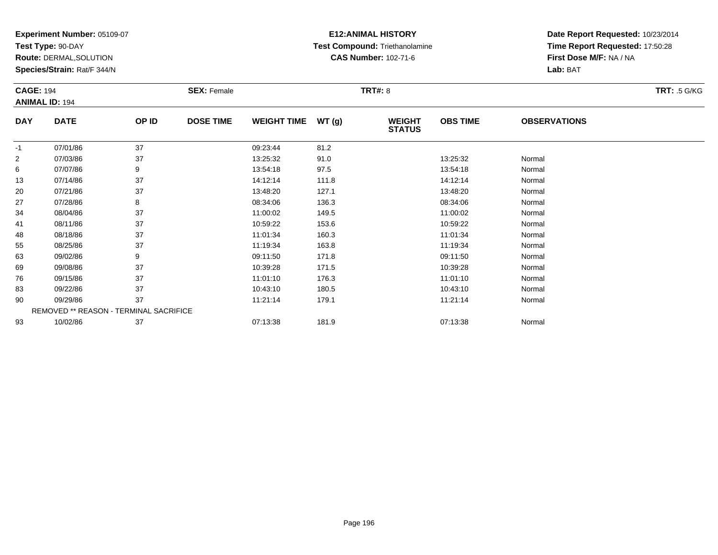**Test Type:** 90-DAY

**Route:** DERMAL,SOLUTION

**Species/Strain:** Rat/F 344/N

# **E12:ANIMAL HISTORY Test Compound:** Triethanolamine**CAS Number:** 102-71-6

| <b>CAGE: 194</b> |                                        |       | <b>SEX: Female</b> |                    |       | <b>TRT: .5 G/KG</b>            |                 |                     |  |
|------------------|----------------------------------------|-------|--------------------|--------------------|-------|--------------------------------|-----------------|---------------------|--|
|                  | <b>ANIMAL ID: 194</b>                  |       |                    |                    |       |                                |                 |                     |  |
| <b>DAY</b>       | <b>DATE</b>                            | OP ID | <b>DOSE TIME</b>   | <b>WEIGHT TIME</b> | WT(g) | <b>WEIGHT</b><br><b>STATUS</b> | <b>OBS TIME</b> | <b>OBSERVATIONS</b> |  |
| $-1$             | 07/01/86                               | 37    |                    | 09:23:44           | 81.2  |                                |                 |                     |  |
| 2                | 07/03/86                               | 37    |                    | 13:25:32           | 91.0  |                                | 13:25:32        | Normal              |  |
| 6                | 07/07/86                               | 9     |                    | 13:54:18           | 97.5  |                                | 13:54:18        | Normal              |  |
| 13               | 07/14/86                               | 37    |                    | 14:12:14           | 111.8 |                                | 14:12:14        | Normal              |  |
| 20               | 07/21/86                               | 37    |                    | 13:48:20           | 127.1 |                                | 13:48:20        | Normal              |  |
| 27               | 07/28/86                               | 8     |                    | 08:34:06           | 136.3 |                                | 08:34:06        | Normal              |  |
| 34               | 08/04/86                               | 37    |                    | 11:00:02           | 149.5 |                                | 11:00:02        | Normal              |  |
| 41               | 08/11/86                               | 37    |                    | 10:59:22           | 153.6 |                                | 10:59:22        | Normal              |  |
| 48               | 08/18/86                               | 37    |                    | 11:01:34           | 160.3 |                                | 11:01:34        | Normal              |  |
| 55               | 08/25/86                               | 37    |                    | 11:19:34           | 163.8 |                                | 11:19:34        | Normal              |  |
| 63               | 09/02/86                               | 9     |                    | 09:11:50           | 171.8 |                                | 09:11:50        | Normal              |  |
| 69               | 09/08/86                               | 37    |                    | 10:39:28           | 171.5 |                                | 10:39:28        | Normal              |  |
| 76               | 09/15/86                               | 37    |                    | 11:01:10           | 176.3 |                                | 11:01:10        | Normal              |  |
| 83               | 09/22/86                               | 37    |                    | 10:43:10           | 180.5 |                                | 10:43:10        | Normal              |  |
| 90               | 09/29/86                               | 37    |                    | 11:21:14           | 179.1 |                                | 11:21:14        | Normal              |  |
|                  | REMOVED ** REASON - TERMINAL SACRIFICE |       |                    |                    |       |                                |                 |                     |  |
| 93               | 10/02/86                               | 37    |                    | 07:13:38           | 181.9 |                                | 07:13:38        | Normal              |  |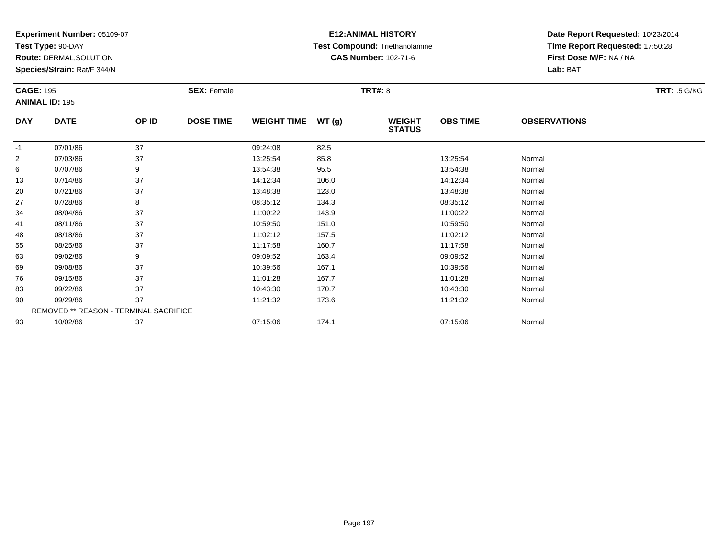**Test Type:** 90-DAY

**Route:** DERMAL,SOLUTION

**Species/Strain:** Rat/F 344/N

# **E12:ANIMAL HISTORY Test Compound:** Triethanolamine**CAS Number:** 102-71-6

|                | <b>CAGE: 195</b><br><b>SEX: Female</b> |       |                  | <b>TRT#: 8</b>     |       |                                |                 |                     |  |  |
|----------------|----------------------------------------|-------|------------------|--------------------|-------|--------------------------------|-----------------|---------------------|--|--|
|                | <b>ANIMAL ID: 195</b>                  |       |                  |                    |       |                                |                 |                     |  |  |
| <b>DAY</b>     | <b>DATE</b>                            | OP ID | <b>DOSE TIME</b> | <b>WEIGHT TIME</b> | WT(g) | <b>WEIGHT</b><br><b>STATUS</b> | <b>OBS TIME</b> | <b>OBSERVATIONS</b> |  |  |
| $-1$           | 07/01/86                               | 37    |                  | 09:24:08           | 82.5  |                                |                 |                     |  |  |
| $\overline{c}$ | 07/03/86                               | 37    |                  | 13:25:54           | 85.8  |                                | 13:25:54        | Normal              |  |  |
| 6              | 07/07/86                               | 9     |                  | 13:54:38           | 95.5  |                                | 13:54:38        | Normal              |  |  |
| 13             | 07/14/86                               | 37    |                  | 14:12:34           | 106.0 |                                | 14:12:34        | Normal              |  |  |
| 20             | 07/21/86                               | 37    |                  | 13:48:38           | 123.0 |                                | 13:48:38        | Normal              |  |  |
| 27             | 07/28/86                               | 8     |                  | 08:35:12           | 134.3 |                                | 08:35:12        | Normal              |  |  |
| 34             | 08/04/86                               | 37    |                  | 11:00:22           | 143.9 |                                | 11:00:22        | Normal              |  |  |
| 41             | 08/11/86                               | 37    |                  | 10:59:50           | 151.0 |                                | 10:59:50        | Normal              |  |  |
| 48             | 08/18/86                               | 37    |                  | 11:02:12           | 157.5 |                                | 11:02:12        | Normal              |  |  |
| 55             | 08/25/86                               | 37    |                  | 11:17:58           | 160.7 |                                | 11:17:58        | Normal              |  |  |
| 63             | 09/02/86                               | 9     |                  | 09:09:52           | 163.4 |                                | 09:09:52        | Normal              |  |  |
| 69             | 09/08/86                               | 37    |                  | 10:39:56           | 167.1 |                                | 10:39:56        | Normal              |  |  |
| 76             | 09/15/86                               | 37    |                  | 11:01:28           | 167.7 |                                | 11:01:28        | Normal              |  |  |
| 83             | 09/22/86                               | 37    |                  | 10:43:30           | 170.7 |                                | 10:43:30        | Normal              |  |  |
| 90             | 09/29/86                               | 37    |                  | 11:21:32           | 173.6 |                                | 11:21:32        | Normal              |  |  |
|                | REMOVED ** REASON - TERMINAL SACRIFICE |       |                  |                    |       |                                |                 |                     |  |  |
| 93             | 10/02/86                               | 37    |                  | 07:15:06           | 174.1 |                                | 07:15:06        | Normal              |  |  |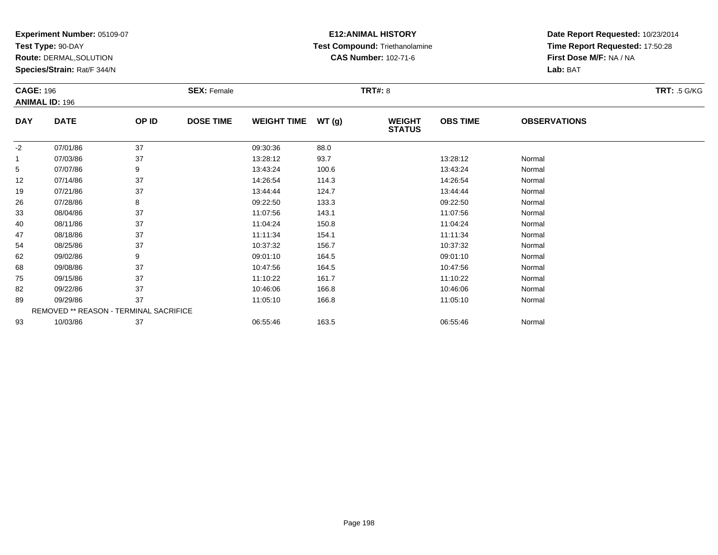**Test Type:** 90-DAY

**Route:** DERMAL,SOLUTION

**Species/Strain:** Rat/F 344/N

# **E12:ANIMAL HISTORY Test Compound:** Triethanolamine**CAS Number:** 102-71-6

| <b>CAGE: 196</b> | <b>ANIMAL ID: 196</b>                  |       | <b>SEX: Female</b> |                    |       | <b>TRT#: 8</b>                 |                 |                     | <b>TRT: .5 G/KG</b> |
|------------------|----------------------------------------|-------|--------------------|--------------------|-------|--------------------------------|-----------------|---------------------|---------------------|
| <b>DAY</b>       | <b>DATE</b>                            | OP ID | <b>DOSE TIME</b>   | <b>WEIGHT TIME</b> | WT(g) | <b>WEIGHT</b><br><b>STATUS</b> | <b>OBS TIME</b> | <b>OBSERVATIONS</b> |                     |
| $-2$             | 07/01/86                               | 37    |                    | 09:30:36           | 88.0  |                                |                 |                     |                     |
|                  | 07/03/86                               | 37    |                    | 13:28:12           | 93.7  |                                | 13:28:12        | Normal              |                     |
| 5                | 07/07/86                               | 9     |                    | 13:43:24           | 100.6 |                                | 13:43:24        | Normal              |                     |
| 12               | 07/14/86                               | 37    |                    | 14:26:54           | 114.3 |                                | 14:26:54        | Normal              |                     |
| 19               | 07/21/86                               | 37    |                    | 13:44:44           | 124.7 |                                | 13:44:44        | Normal              |                     |
| 26               | 07/28/86                               | 8     |                    | 09:22:50           | 133.3 |                                | 09:22:50        | Normal              |                     |
| 33               | 08/04/86                               | 37    |                    | 11:07:56           | 143.1 |                                | 11:07:56        | Normal              |                     |
| 40               | 08/11/86                               | 37    |                    | 11:04:24           | 150.8 |                                | 11:04:24        | Normal              |                     |
| 47               | 08/18/86                               | 37    |                    | 11:11:34           | 154.1 |                                | 11:11:34        | Normal              |                     |
| 54               | 08/25/86                               | 37    |                    | 10:37:32           | 156.7 |                                | 10:37:32        | Normal              |                     |
| 62               | 09/02/86                               | 9     |                    | 09:01:10           | 164.5 |                                | 09:01:10        | Normal              |                     |
| 68               | 09/08/86                               | 37    |                    | 10:47:56           | 164.5 |                                | 10:47:56        | Normal              |                     |
| 75               | 09/15/86                               | 37    |                    | 11:10:22           | 161.7 |                                | 11:10:22        | Normal              |                     |
| 82               | 09/22/86                               | 37    |                    | 10:46:06           | 166.8 |                                | 10:46:06        | Normal              |                     |
| 89               | 09/29/86                               | 37    |                    | 11:05:10           | 166.8 |                                | 11:05:10        | Normal              |                     |
|                  | REMOVED ** REASON - TERMINAL SACRIFICE |       |                    |                    |       |                                |                 |                     |                     |
| 93               | 10/03/86                               | 37    |                    | 06:55:46           | 163.5 |                                | 06:55:46        | Normal              |                     |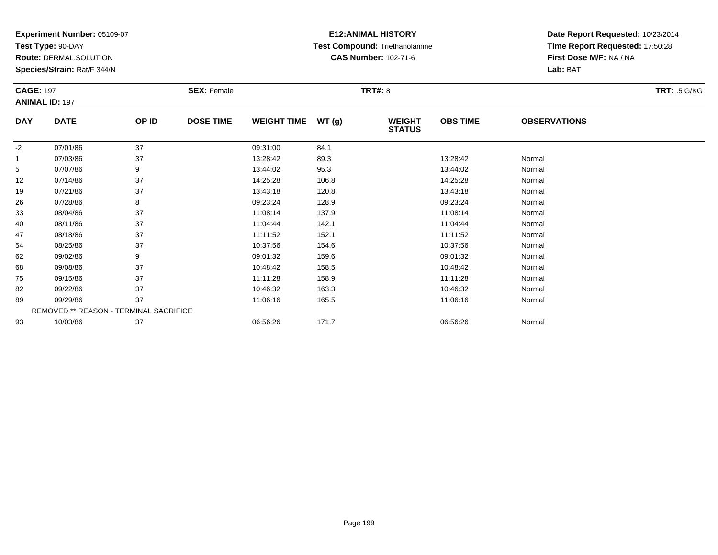**Test Type:** 90-DAY

**Route:** DERMAL,SOLUTION

**Species/Strain:** Rat/F 344/N

# **E12:ANIMAL HISTORY Test Compound:** Triethanolamine**CAS Number:** 102-71-6

|            | <b>CAGE: 197</b><br><b>ANIMAL ID: 197</b> |       | <b>SEX: Female</b> |                    |       | <b>TRT: .5 G/KG</b>            |                 |                     |  |
|------------|-------------------------------------------|-------|--------------------|--------------------|-------|--------------------------------|-----------------|---------------------|--|
| <b>DAY</b> | <b>DATE</b>                               | OP ID | <b>DOSE TIME</b>   | <b>WEIGHT TIME</b> | WT(g) | <b>WEIGHT</b><br><b>STATUS</b> | <b>OBS TIME</b> | <b>OBSERVATIONS</b> |  |
| $-2$       | 07/01/86                                  | 37    |                    | 09:31:00           | 84.1  |                                |                 |                     |  |
|            | 07/03/86                                  | 37    |                    | 13:28:42           | 89.3  |                                | 13:28:42        | Normal              |  |
| 5          | 07/07/86                                  | 9     |                    | 13:44:02           | 95.3  |                                | 13:44:02        | Normal              |  |
| 12         | 07/14/86                                  | 37    |                    | 14:25:28           | 106.8 |                                | 14:25:28        | Normal              |  |
| 19         | 07/21/86                                  | 37    |                    | 13:43:18           | 120.8 |                                | 13:43:18        | Normal              |  |
| 26         | 07/28/86                                  | 8     |                    | 09:23:24           | 128.9 |                                | 09:23:24        | Normal              |  |
| 33         | 08/04/86                                  | 37    |                    | 11:08:14           | 137.9 |                                | 11:08:14        | Normal              |  |
| 40         | 08/11/86                                  | 37    |                    | 11:04:44           | 142.1 |                                | 11:04:44        | Normal              |  |
| 47         | 08/18/86                                  | 37    |                    | 11:11:52           | 152.1 |                                | 11:11:52        | Normal              |  |
| 54         | 08/25/86                                  | 37    |                    | 10:37:56           | 154.6 |                                | 10:37:56        | Normal              |  |
| 62         | 09/02/86                                  | 9     |                    | 09:01:32           | 159.6 |                                | 09:01:32        | Normal              |  |
| 68         | 09/08/86                                  | 37    |                    | 10:48:42           | 158.5 |                                | 10:48:42        | Normal              |  |
| 75         | 09/15/86                                  | 37    |                    | 11:11:28           | 158.9 |                                | 11:11:28        | Normal              |  |
| 82         | 09/22/86                                  | 37    |                    | 10:46:32           | 163.3 |                                | 10:46:32        | Normal              |  |
| 89         | 09/29/86                                  | 37    |                    | 11:06:16           | 165.5 |                                | 11:06:16        | Normal              |  |
|            | REMOVED ** REASON - TERMINAL SACRIFICE    |       |                    |                    |       |                                |                 |                     |  |
| 93         | 10/03/86                                  | 37    |                    | 06:56:26           | 171.7 |                                | 06:56:26        | Normal              |  |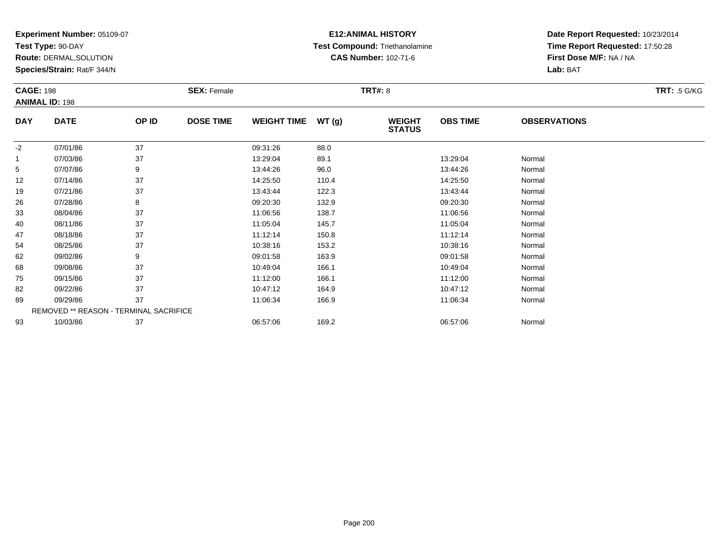**Test Type:** 90-DAY

**Route:** DERMAL,SOLUTION

**Species/Strain:** Rat/F 344/N

# **E12:ANIMAL HISTORY Test Compound:** Triethanolamine**CAS Number:** 102-71-6

| <b>CAGE: 198</b> | <b>ANIMAL ID: 198</b>                  |       | <b>SEX: Female</b> |                    |       | <b>TRT#: 8</b>                 |                 |                     | <b>TRT: .5 G/KG</b> |
|------------------|----------------------------------------|-------|--------------------|--------------------|-------|--------------------------------|-----------------|---------------------|---------------------|
| <b>DAY</b>       | <b>DATE</b>                            | OP ID | <b>DOSE TIME</b>   | <b>WEIGHT TIME</b> | WT(g) | <b>WEIGHT</b><br><b>STATUS</b> | <b>OBS TIME</b> | <b>OBSERVATIONS</b> |                     |
| $-2$             | 07/01/86                               | 37    |                    | 09:31:26           | 88.0  |                                |                 |                     |                     |
| $\mathbf{1}$     | 07/03/86                               | 37    |                    | 13:29:04           | 89.1  |                                | 13:29:04        | Normal              |                     |
| 5                | 07/07/86                               | 9     |                    | 13:44:26           | 96.0  |                                | 13:44:26        | Normal              |                     |
| 12               | 07/14/86                               | 37    |                    | 14:25:50           | 110.4 |                                | 14:25:50        | Normal              |                     |
| 19               | 07/21/86                               | 37    |                    | 13:43:44           | 122.3 |                                | 13:43:44        | Normal              |                     |
| 26               | 07/28/86                               | 8     |                    | 09:20:30           | 132.9 |                                | 09:20:30        | Normal              |                     |
| 33               | 08/04/86                               | 37    |                    | 11:06:56           | 138.7 |                                | 11:06:56        | Normal              |                     |
| 40               | 08/11/86                               | 37    |                    | 11:05:04           | 145.7 |                                | 11:05:04        | Normal              |                     |
| 47               | 08/18/86                               | 37    |                    | 11:12:14           | 150.8 |                                | 11:12:14        | Normal              |                     |
| 54               | 08/25/86                               | 37    |                    | 10:38:16           | 153.2 |                                | 10:38:16        | Normal              |                     |
| 62               | 09/02/86                               | 9     |                    | 09:01:58           | 163.9 |                                | 09:01:58        | Normal              |                     |
| 68               | 09/08/86                               | 37    |                    | 10:49:04           | 166.1 |                                | 10:49:04        | Normal              |                     |
| 75               | 09/15/86                               | 37    |                    | 11:12:00           | 166.1 |                                | 11:12:00        | Normal              |                     |
| 82               | 09/22/86                               | 37    |                    | 10:47:12           | 164.9 |                                | 10:47:12        | Normal              |                     |
| 89               | 09/29/86                               | 37    |                    | 11:06:34           | 166.9 |                                | 11:06:34        | Normal              |                     |
|                  | REMOVED ** REASON - TERMINAL SACRIFICE |       |                    |                    |       |                                |                 |                     |                     |
| 93               | 10/03/86                               | 37    |                    | 06:57:06           | 169.2 |                                | 06:57:06        | Normal              |                     |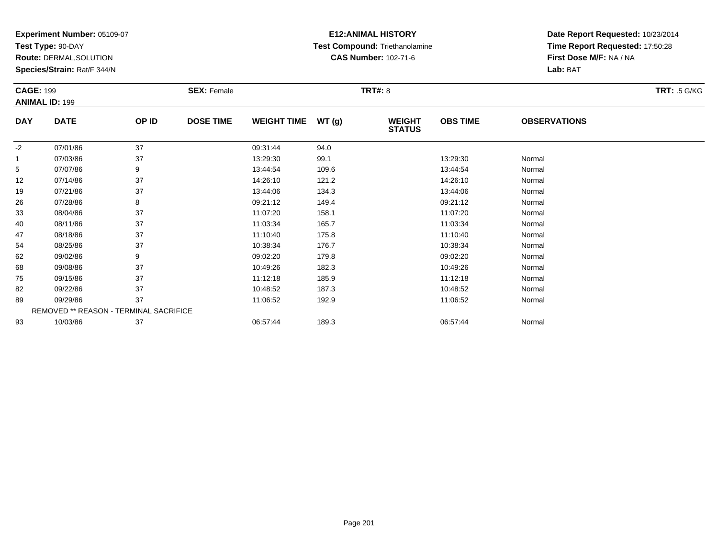**Test Type:** 90-DAY

**Route:** DERMAL,SOLUTION

**Species/Strain:** Rat/F 344/N

# **E12:ANIMAL HISTORY Test Compound:** Triethanolamine**CAS Number:** 102-71-6

|            | <b>CAGE: 199</b>                       |       | <b>SEX: Female</b> |                    |       | <b>TRT: .5 G/KG</b>            |                 |                     |  |
|------------|----------------------------------------|-------|--------------------|--------------------|-------|--------------------------------|-----------------|---------------------|--|
|            | <b>ANIMAL ID: 199</b>                  |       |                    |                    |       |                                |                 |                     |  |
| <b>DAY</b> | <b>DATE</b>                            | OP ID | <b>DOSE TIME</b>   | <b>WEIGHT TIME</b> | WT(g) | <b>WEIGHT</b><br><b>STATUS</b> | <b>OBS TIME</b> | <b>OBSERVATIONS</b> |  |
| $-2$       | 07/01/86                               | 37    |                    | 09:31:44           | 94.0  |                                |                 |                     |  |
|            | 07/03/86                               | 37    |                    | 13:29:30           | 99.1  |                                | 13:29:30        | Normal              |  |
| 5          | 07/07/86                               | 9     |                    | 13:44:54           | 109.6 |                                | 13:44:54        | Normal              |  |
| 12         | 07/14/86                               | 37    |                    | 14:26:10           | 121.2 |                                | 14:26:10        | Normal              |  |
| 19         | 07/21/86                               | 37    |                    | 13:44:06           | 134.3 |                                | 13:44:06        | Normal              |  |
| 26         | 07/28/86                               | 8     |                    | 09:21:12           | 149.4 |                                | 09:21:12        | Normal              |  |
| 33         | 08/04/86                               | 37    |                    | 11:07:20           | 158.1 |                                | 11:07:20        | Normal              |  |
| 40         | 08/11/86                               | 37    |                    | 11:03:34           | 165.7 |                                | 11:03:34        | Normal              |  |
| 47         | 08/18/86                               | 37    |                    | 11:10:40           | 175.8 |                                | 11:10:40        | Normal              |  |
| 54         | 08/25/86                               | 37    |                    | 10:38:34           | 176.7 |                                | 10:38:34        | Normal              |  |
| 62         | 09/02/86                               | 9     |                    | 09:02:20           | 179.8 |                                | 09:02:20        | Normal              |  |
| 68         | 09/08/86                               | 37    |                    | 10:49:26           | 182.3 |                                | 10:49:26        | Normal              |  |
| 75         | 09/15/86                               | 37    |                    | 11:12:18           | 185.9 |                                | 11:12:18        | Normal              |  |
| 82         | 09/22/86                               | 37    |                    | 10:48:52           | 187.3 |                                | 10:48:52        | Normal              |  |
| 89         | 09/29/86                               | 37    |                    | 11:06:52           | 192.9 |                                | 11:06:52        | Normal              |  |
|            | REMOVED ** REASON - TERMINAL SACRIFICE |       |                    |                    |       |                                |                 |                     |  |
| 93         | 10/03/86                               | 37    |                    | 06:57:44           | 189.3 |                                | 06:57:44        | Normal              |  |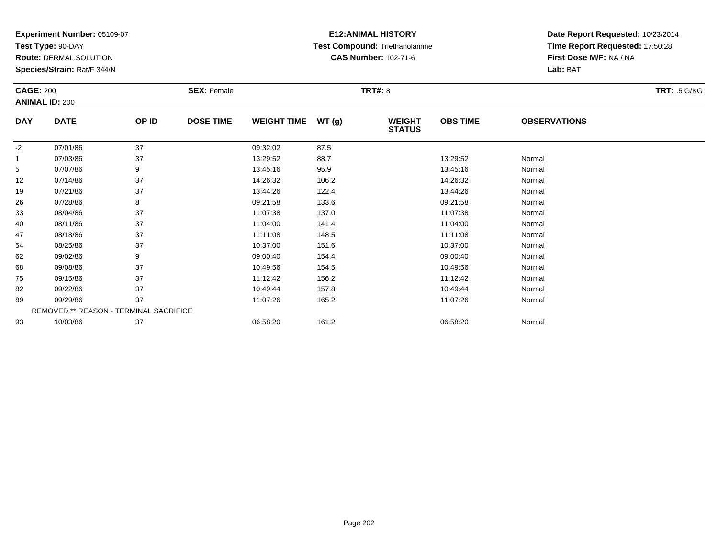**Test Type:** 90-DAY

**Route:** DERMAL,SOLUTION

**Species/Strain:** Rat/F 344/N

# **E12:ANIMAL HISTORY Test Compound:** Triethanolamine**CAS Number:** 102-71-6

|            | <b>CAGE: 200</b><br><b>SEX: Female</b> |       |                  |                    |       | <b>TRT: .5 G/KG</b>            |                 |                     |  |
|------------|----------------------------------------|-------|------------------|--------------------|-------|--------------------------------|-----------------|---------------------|--|
|            | <b>ANIMAL ID: 200</b>                  |       |                  |                    |       |                                |                 |                     |  |
| <b>DAY</b> | <b>DATE</b>                            | OP ID | <b>DOSE TIME</b> | <b>WEIGHT TIME</b> | WT(g) | <b>WEIGHT</b><br><b>STATUS</b> | <b>OBS TIME</b> | <b>OBSERVATIONS</b> |  |
| $-2$       | 07/01/86                               | 37    |                  | 09:32:02           | 87.5  |                                |                 |                     |  |
|            | 07/03/86                               | 37    |                  | 13:29:52           | 88.7  |                                | 13:29:52        | Normal              |  |
| 5          | 07/07/86                               | 9     |                  | 13:45:16           | 95.9  |                                | 13:45:16        | Normal              |  |
| 12         | 07/14/86                               | 37    |                  | 14:26:32           | 106.2 |                                | 14:26:32        | Normal              |  |
| 19         | 07/21/86                               | 37    |                  | 13:44:26           | 122.4 |                                | 13:44:26        | Normal              |  |
| 26         | 07/28/86                               | 8     |                  | 09:21:58           | 133.6 |                                | 09:21:58        | Normal              |  |
| 33         | 08/04/86                               | 37    |                  | 11:07:38           | 137.0 |                                | 11:07:38        | Normal              |  |
| 40         | 08/11/86                               | 37    |                  | 11:04:00           | 141.4 |                                | 11:04:00        | Normal              |  |
| 47         | 08/18/86                               | 37    |                  | 11:11:08           | 148.5 |                                | 11:11:08        | Normal              |  |
| 54         | 08/25/86                               | 37    |                  | 10:37:00           | 151.6 |                                | 10:37:00        | Normal              |  |
| 62         | 09/02/86                               | 9     |                  | 09:00:40           | 154.4 |                                | 09:00:40        | Normal              |  |
| 68         | 09/08/86                               | 37    |                  | 10:49:56           | 154.5 |                                | 10:49:56        | Normal              |  |
| 75         | 09/15/86                               | 37    |                  | 11:12:42           | 156.2 |                                | 11:12:42        | Normal              |  |
| 82         | 09/22/86                               | 37    |                  | 10:49:44           | 157.8 |                                | 10:49:44        | Normal              |  |
| 89         | 09/29/86                               | 37    |                  | 11:07:26           | 165.2 |                                | 11:07:26        | Normal              |  |
|            | REMOVED ** REASON - TERMINAL SACRIFICE |       |                  |                    |       |                                |                 |                     |  |
| 93         | 10/03/86                               | 37    |                  | 06:58:20           | 161.2 |                                | 06:58:20        | Normal              |  |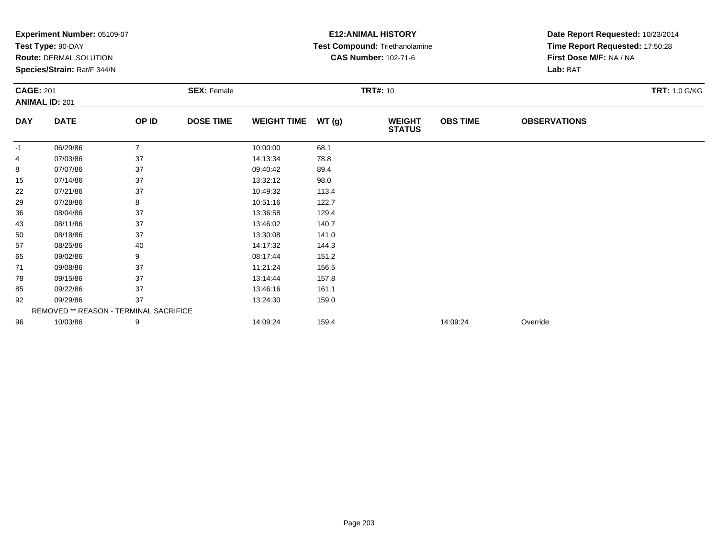|                  |                                               |                |                    |                    | Date Report Requested: 10/23/2014 |                                |                 |                                 |                      |
|------------------|-----------------------------------------------|----------------|--------------------|--------------------|-----------------------------------|--------------------------------|-----------------|---------------------------------|----------------------|
|                  | Test Type: 90-DAY                             |                |                    |                    |                                   | Test Compound: Triethanolamine |                 | Time Report Requested: 17:50:28 |                      |
|                  | <b>Route: DERMAL, SOLUTION</b>                |                |                    |                    |                                   | <b>CAS Number: 102-71-6</b>    |                 | First Dose M/F: NA / NA         |                      |
|                  | Species/Strain: Rat/F 344/N                   |                |                    |                    |                                   |                                |                 | Lab: BAT                        |                      |
| <b>CAGE: 201</b> |                                               |                | <b>SEX: Female</b> |                    |                                   | <b>TRT#: 10</b>                |                 |                                 | <b>TRT: 1.0 G/KG</b> |
|                  | <b>ANIMAL ID: 201</b>                         |                |                    |                    |                                   |                                |                 |                                 |                      |
| <b>DAY</b>       | <b>DATE</b>                                   | OP ID          | <b>DOSE TIME</b>   | <b>WEIGHT TIME</b> | WT(g)                             | <b>WEIGHT</b><br><b>STATUS</b> | <b>OBS TIME</b> | <b>OBSERVATIONS</b>             |                      |
| -1               | 06/29/86                                      | $\overline{7}$ |                    | 10:00:00           | 68.1                              |                                |                 |                                 |                      |
| 4                | 07/03/86                                      | 37             |                    | 14:13:34           | 78.8                              |                                |                 |                                 |                      |
| 8                | 07/07/86                                      | 37             |                    | 09:40:42           | 89.4                              |                                |                 |                                 |                      |
| 15               | 07/14/86                                      | 37             |                    | 13:32:12           | 98.0                              |                                |                 |                                 |                      |
| 22               | 07/21/86                                      | 37             |                    | 10:49:32           | 113.4                             |                                |                 |                                 |                      |
| 29               | 07/28/86                                      | 8              |                    | 10:51:16           | 122.7                             |                                |                 |                                 |                      |
| 36               | 08/04/86                                      | 37             |                    | 13:36:58           | 129.4                             |                                |                 |                                 |                      |
| 43               | 08/11/86                                      | 37             |                    | 13:46:02           | 140.7                             |                                |                 |                                 |                      |
| 50               | 08/18/86                                      | 37             |                    | 13:30:08           | 141.0                             |                                |                 |                                 |                      |
| 57               | 08/25/86                                      | 40             |                    | 14:17:32           | 144.3                             |                                |                 |                                 |                      |
| 65               | 09/02/86                                      | 9              |                    | 08:17:44           | 151.2                             |                                |                 |                                 |                      |
| 71               | 09/08/86                                      | 37             |                    | 11:21:24           | 156.5                             |                                |                 |                                 |                      |
| 78               | 09/15/86                                      | 37             |                    | 13:14:44           | 157.8                             |                                |                 |                                 |                      |
| 85               | 09/22/86                                      | 37             |                    | 13:46:16           | 161.1                             |                                |                 |                                 |                      |
| 92               | 09/29/86                                      | 37             |                    | 13:24:30           | 159.0                             |                                |                 |                                 |                      |
|                  | <b>REMOVED ** REASON - TERMINAL SACRIFICE</b> |                |                    |                    |                                   |                                |                 |                                 |                      |
| 96               | 10/03/86                                      | 9              |                    | 14:09:24           | 159.4                             |                                | 14:09:24        | Override                        |                      |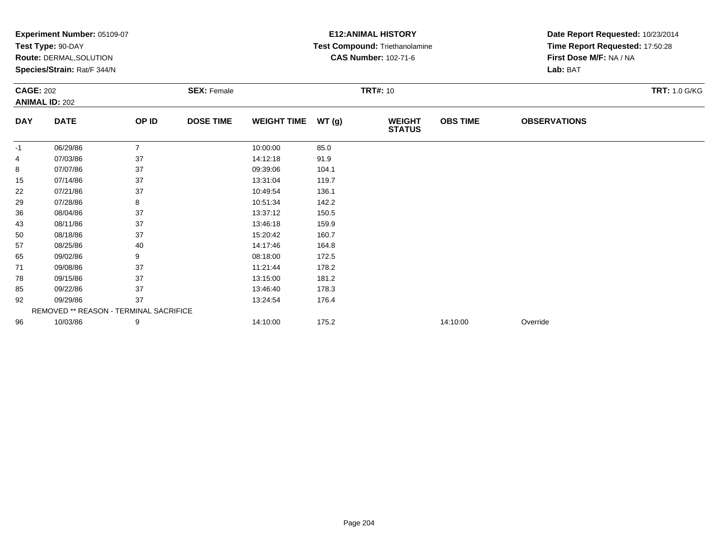| Test Type: 90-DAY                      |                | <b>Experiment Number: 05109-07</b> |                    |       |                                | <b>E12:ANIMAL HISTORY</b>     |                                 |                      |  |  |
|----------------------------------------|----------------|------------------------------------|--------------------|-------|--------------------------------|-------------------------------|---------------------------------|----------------------|--|--|
|                                        |                |                                    |                    |       | Test Compound: Triethanolamine |                               | Time Report Requested: 17:50:28 |                      |  |  |
| Route: DERMAL, SOLUTION                |                |                                    |                    |       | <b>CAS Number: 102-71-6</b>    |                               | First Dose M/F: NA / NA         |                      |  |  |
| Species/Strain: Rat/F 344/N            |                |                                    |                    |       |                                |                               | Lab: BAT                        |                      |  |  |
| <b>CAGE: 202</b>                       |                | <b>SEX: Female</b>                 |                    |       | <b>TRT#: 10</b>                |                               |                                 | <b>TRT: 1.0 G/KG</b> |  |  |
| <b>ANIMAL ID: 202</b>                  |                |                                    |                    |       |                                |                               |                                 |                      |  |  |
| <b>DATE</b>                            | OP ID          | <b>DOSE TIME</b>                   | <b>WEIGHT TIME</b> | WT(g) | <b>WEIGHT</b><br><b>STATUS</b> | <b>OBS TIME</b>               | <b>OBSERVATIONS</b>             |                      |  |  |
| 06/29/86                               | $\overline{7}$ |                                    | 10:00:00           | 85.0  |                                |                               |                                 |                      |  |  |
| 07/03/86                               | 37             |                                    | 14:12:18           | 91.9  |                                |                               |                                 |                      |  |  |
| 07/07/86                               | 37             |                                    | 09:39:06           | 104.1 |                                |                               |                                 |                      |  |  |
| 07/14/86                               | 37             |                                    | 13:31:04           | 119.7 |                                |                               |                                 |                      |  |  |
| 07/21/86                               | 37             |                                    | 10:49:54           | 136.1 |                                |                               |                                 |                      |  |  |
| 07/28/86                               | 8              |                                    | 10:51:34           | 142.2 |                                |                               |                                 |                      |  |  |
| 08/04/86                               | 37             |                                    | 13:37:12           | 150.5 |                                |                               |                                 |                      |  |  |
| 08/11/86                               | 37             |                                    | 13:46:18           | 159.9 |                                |                               |                                 |                      |  |  |
| 08/18/86                               | 37             |                                    | 15:20:42           | 160.7 |                                |                               |                                 |                      |  |  |
| 08/25/86                               | 40             |                                    | 14:17:46           | 164.8 |                                |                               |                                 |                      |  |  |
| 09/02/86                               | 9              |                                    | 08:18:00           | 172.5 |                                |                               |                                 |                      |  |  |
| 09/08/86                               | 37             |                                    | 11:21:44           | 178.2 |                                |                               |                                 |                      |  |  |
| 09/15/86                               | 37             |                                    | 13:15:00           | 181.2 |                                |                               |                                 |                      |  |  |
| 09/22/86                               | 37             |                                    | 13:46:40           | 178.3 |                                |                               |                                 |                      |  |  |
| 09/29/86                               | 37             |                                    | 13:24:54           | 176.4 |                                |                               |                                 |                      |  |  |
| REMOVED ** REASON - TERMINAL SACRIFICE |                |                                    |                    |       |                                |                               |                                 |                      |  |  |
|                                        |                |                                    |                    |       |                                | 14:10:00                      | Override                        |                      |  |  |
|                                        |                |                                    |                    |       |                                | 175.2<br>10/03/86<br>14:10:00 |                                 |                      |  |  |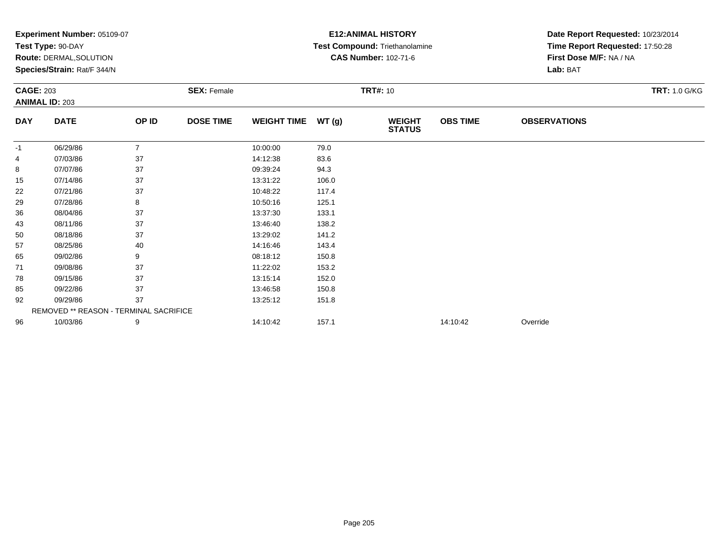|                  | <b>Experiment Number: 05109-07</b>     |                |                    |                    |       | <b>E12: ANIMAL HISTORY</b>     |                 | Date Report Requested: 10/23/2014 |                      |  |
|------------------|----------------------------------------|----------------|--------------------|--------------------|-------|--------------------------------|-----------------|-----------------------------------|----------------------|--|
|                  | Test Type: 90-DAY                      |                |                    |                    |       | Test Compound: Triethanolamine |                 | Time Report Requested: 17:50:28   |                      |  |
|                  | <b>Route: DERMAL, SOLUTION</b>         |                |                    |                    |       | <b>CAS Number: 102-71-6</b>    |                 | First Dose M/F: NA / NA           |                      |  |
|                  | Species/Strain: Rat/F 344/N            |                |                    |                    |       |                                |                 | Lab: BAT                          |                      |  |
| <b>CAGE: 203</b> |                                        |                | <b>SEX: Female</b> |                    |       | <b>TRT#: 10</b>                |                 |                                   | <b>TRT: 1.0 G/KG</b> |  |
|                  | <b>ANIMAL ID: 203</b>                  |                |                    |                    |       |                                |                 |                                   |                      |  |
| <b>DAY</b>       | <b>DATE</b>                            | OP ID          | <b>DOSE TIME</b>   | <b>WEIGHT TIME</b> | WT(g) | <b>WEIGHT</b><br><b>STATUS</b> | <b>OBS TIME</b> | <b>OBSERVATIONS</b>               |                      |  |
| -1               | 06/29/86                               | $\overline{7}$ |                    | 10:00:00           | 79.0  |                                |                 |                                   |                      |  |
| 4                | 07/03/86                               | 37             |                    | 14:12:38           | 83.6  |                                |                 |                                   |                      |  |
| 8                | 07/07/86                               | 37             |                    | 09:39:24           | 94.3  |                                |                 |                                   |                      |  |
| 15               | 07/14/86                               | 37             |                    | 13:31:22           | 106.0 |                                |                 |                                   |                      |  |
| 22               | 07/21/86                               | 37             |                    | 10:48:22           | 117.4 |                                |                 |                                   |                      |  |
| 29               | 07/28/86                               | 8              |                    | 10:50:16           | 125.1 |                                |                 |                                   |                      |  |
| 36               | 08/04/86                               | 37             |                    | 13:37:30           | 133.1 |                                |                 |                                   |                      |  |
| 43               | 08/11/86                               | 37             |                    | 13:46:40           | 138.2 |                                |                 |                                   |                      |  |
| 50               | 08/18/86                               | 37             |                    | 13:29:02           | 141.2 |                                |                 |                                   |                      |  |
| 57               | 08/25/86                               | 40             |                    | 14:16:46           | 143.4 |                                |                 |                                   |                      |  |
| 65               | 09/02/86                               | 9              |                    | 08:18:12           | 150.8 |                                |                 |                                   |                      |  |
| 71               | 09/08/86                               | 37             |                    | 11:22:02           | 153.2 |                                |                 |                                   |                      |  |
| 78               | 09/15/86                               | 37             |                    | 13:15:14           | 152.0 |                                |                 |                                   |                      |  |
| 85               | 09/22/86                               | 37             |                    | 13:46:58           | 150.8 |                                |                 |                                   |                      |  |
| 92               | 09/29/86                               | 37             |                    | 13:25:12           | 151.8 |                                |                 |                                   |                      |  |
|                  | REMOVED ** REASON - TERMINAL SACRIFICE |                |                    |                    |       |                                |                 |                                   |                      |  |
| 96               | 10/03/86                               | 9              |                    | 14:10:42           | 157.1 |                                | 14:10:42        | Override                          |                      |  |
|                  |                                        |                |                    |                    |       |                                |                 |                                   |                      |  |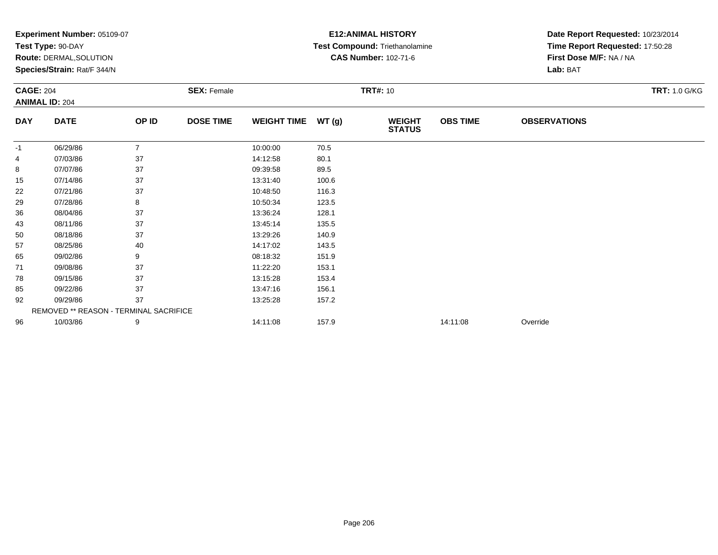|                  | <b>Experiment Number: 05109-07</b>     |                |                    |                    |       | <b>E12: ANIMAL HISTORY</b>     | Date Report Requested: 10/23/2014 |                                 |                      |
|------------------|----------------------------------------|----------------|--------------------|--------------------|-------|--------------------------------|-----------------------------------|---------------------------------|----------------------|
|                  | Test Type: 90-DAY                      |                |                    |                    |       | Test Compound: Triethanolamine |                                   | Time Report Requested: 17:50:28 |                      |
|                  | <b>Route: DERMAL, SOLUTION</b>         |                |                    |                    |       | <b>CAS Number: 102-71-6</b>    |                                   | First Dose M/F: NA / NA         |                      |
|                  | Species/Strain: Rat/F 344/N            |                |                    |                    |       |                                |                                   | Lab: BAT                        |                      |
| <b>CAGE: 204</b> |                                        |                | <b>SEX: Female</b> |                    |       | <b>TRT#: 10</b>                |                                   |                                 | <b>TRT: 1.0 G/KG</b> |
|                  | <b>ANIMAL ID: 204</b>                  |                |                    |                    |       |                                |                                   |                                 |                      |
| <b>DAY</b>       | <b>DATE</b>                            | OP ID          | <b>DOSE TIME</b>   | <b>WEIGHT TIME</b> | WT(g) | <b>WEIGHT</b><br><b>STATUS</b> | <b>OBS TIME</b>                   | <b>OBSERVATIONS</b>             |                      |
| -1               | 06/29/86                               | $\overline{7}$ |                    | 10:00:00           | 70.5  |                                |                                   |                                 |                      |
| 4                | 07/03/86                               | 37             |                    | 14:12:58           | 80.1  |                                |                                   |                                 |                      |
| 8                | 07/07/86                               | 37             |                    | 09:39:58           | 89.5  |                                |                                   |                                 |                      |
| 15               | 07/14/86                               | 37             |                    | 13:31:40           | 100.6 |                                |                                   |                                 |                      |
| 22               | 07/21/86                               | 37             |                    | 10:48:50           | 116.3 |                                |                                   |                                 |                      |
| 29               | 07/28/86                               | 8              |                    | 10:50:34           | 123.5 |                                |                                   |                                 |                      |
| 36               | 08/04/86                               | 37             |                    | 13:36:24           | 128.1 |                                |                                   |                                 |                      |
| 43               | 08/11/86                               | 37             |                    | 13:45:14           | 135.5 |                                |                                   |                                 |                      |
| 50               | 08/18/86                               | 37             |                    | 13:29:26           | 140.9 |                                |                                   |                                 |                      |
| 57               | 08/25/86                               | 40             |                    | 14:17:02           | 143.5 |                                |                                   |                                 |                      |
| 65               | 09/02/86                               | 9              |                    | 08:18:32           | 151.9 |                                |                                   |                                 |                      |
| 71               | 09/08/86                               | 37             |                    | 11:22:20           | 153.1 |                                |                                   |                                 |                      |
| 78               | 09/15/86                               | 37             |                    | 13:15:28           | 153.4 |                                |                                   |                                 |                      |
| 85               | 09/22/86                               | 37             |                    | 13:47:16           | 156.1 |                                |                                   |                                 |                      |
| 92               | 09/29/86                               | 37             |                    | 13:25:28           | 157.2 |                                |                                   |                                 |                      |
|                  | REMOVED ** REASON - TERMINAL SACRIFICE |                |                    |                    |       |                                |                                   |                                 |                      |
| 96               | 10/03/86                               | 9              |                    | 14:11:08           | 157.9 |                                | 14:11:08                          | Override                        |                      |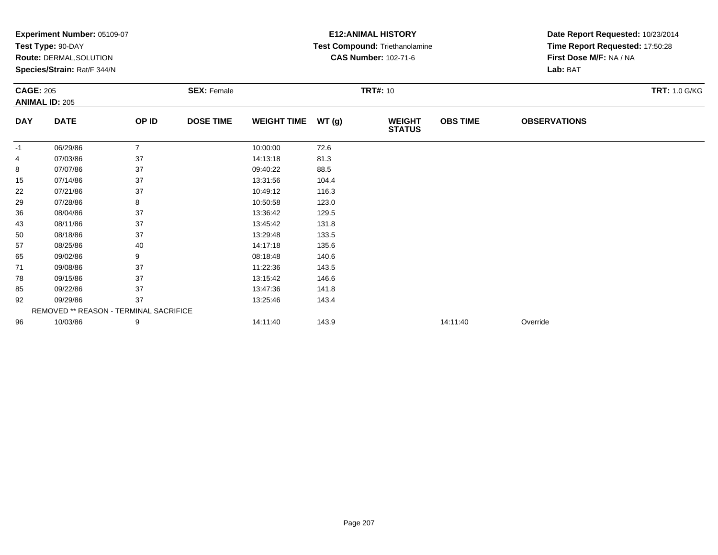|                  | <b>Experiment Number: 05109-07</b>     |                |                    |                    |       | <b>E12: ANIMAL HISTORY</b>     | Date Report Requested: 10/23/2014 |                                 |                      |  |
|------------------|----------------------------------------|----------------|--------------------|--------------------|-------|--------------------------------|-----------------------------------|---------------------------------|----------------------|--|
|                  | Test Type: 90-DAY                      |                |                    |                    |       | Test Compound: Triethanolamine |                                   | Time Report Requested: 17:50:28 |                      |  |
|                  | <b>Route: DERMAL, SOLUTION</b>         |                |                    |                    |       | <b>CAS Number: 102-71-6</b>    |                                   | First Dose M/F: NA / NA         |                      |  |
|                  | Species/Strain: Rat/F 344/N            |                |                    |                    |       |                                |                                   | Lab: BAT                        |                      |  |
| <b>CAGE: 205</b> |                                        |                | <b>SEX: Female</b> |                    |       | <b>TRT#: 10</b>                |                                   |                                 | <b>TRT: 1.0 G/KG</b> |  |
|                  | <b>ANIMAL ID: 205</b>                  |                |                    |                    |       |                                |                                   |                                 |                      |  |
| <b>DAY</b>       | <b>DATE</b>                            | OP ID          | <b>DOSE TIME</b>   | <b>WEIGHT TIME</b> | WT(g) | <b>WEIGHT</b><br><b>STATUS</b> | <b>OBS TIME</b>                   | <b>OBSERVATIONS</b>             |                      |  |
| -1               | 06/29/86                               | $\overline{7}$ |                    | 10:00:00           | 72.6  |                                |                                   |                                 |                      |  |
| 4                | 07/03/86                               | 37             |                    | 14:13:18           | 81.3  |                                |                                   |                                 |                      |  |
| 8                | 07/07/86                               | 37             |                    | 09:40:22           | 88.5  |                                |                                   |                                 |                      |  |
| 15               | 07/14/86                               | 37             |                    | 13:31:56           | 104.4 |                                |                                   |                                 |                      |  |
| 22               | 07/21/86                               | 37             |                    | 10:49:12           | 116.3 |                                |                                   |                                 |                      |  |
| 29               | 07/28/86                               | 8              |                    | 10:50:58           | 123.0 |                                |                                   |                                 |                      |  |
| 36               | 08/04/86                               | 37             |                    | 13:36:42           | 129.5 |                                |                                   |                                 |                      |  |
| 43               | 08/11/86                               | 37             |                    | 13:45:42           | 131.8 |                                |                                   |                                 |                      |  |
| 50               | 08/18/86                               | 37             |                    | 13:29:48           | 133.5 |                                |                                   |                                 |                      |  |
| 57               | 08/25/86                               | 40             |                    | 14:17:18           | 135.6 |                                |                                   |                                 |                      |  |
| 65               | 09/02/86                               | 9              |                    | 08:18:48           | 140.6 |                                |                                   |                                 |                      |  |
| 71               | 09/08/86                               | 37             |                    | 11:22:36           | 143.5 |                                |                                   |                                 |                      |  |
| 78               | 09/15/86                               | 37             |                    | 13:15:42           | 146.6 |                                |                                   |                                 |                      |  |
| 85               | 09/22/86                               | 37             |                    | 13:47:36           | 141.8 |                                |                                   |                                 |                      |  |
| 92               | 09/29/86                               | 37             |                    | 13:25:46           | 143.4 |                                |                                   |                                 |                      |  |
|                  | REMOVED ** REASON - TERMINAL SACRIFICE |                |                    |                    |       |                                |                                   |                                 |                      |  |
| 96               | 10/03/86                               | 9              |                    | 14:11:40           | 143.9 |                                | 14:11:40                          | Override                        |                      |  |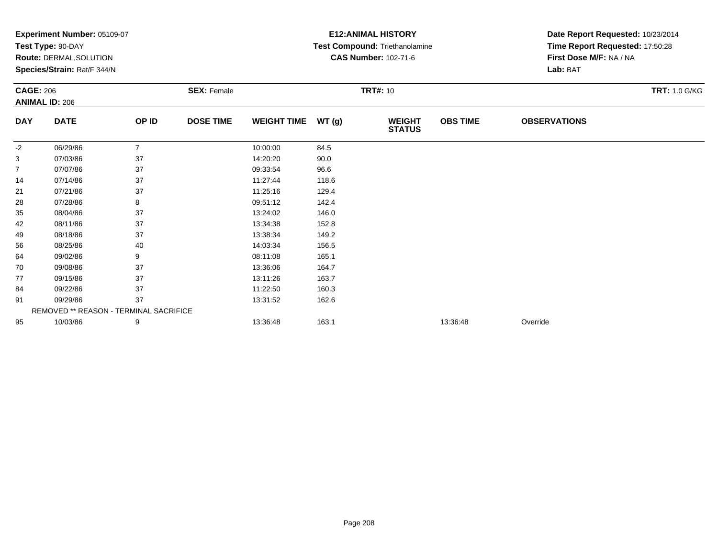| <b>Experiment Number: 05109-07</b> |                |                    |                                        |       | <b>E12:ANIMAL HISTORY</b>      | Date Report Requested: 10/23/2014 |                                 |                      |
|------------------------------------|----------------|--------------------|----------------------------------------|-------|--------------------------------|-----------------------------------|---------------------------------|----------------------|
| Test Type: 90-DAY                  |                |                    |                                        |       | Test Compound: Triethanolamine |                                   | Time Report Requested: 17:50:28 |                      |
| Route: DERMAL, SOLUTION            |                |                    |                                        |       | <b>CAS Number: 102-71-6</b>    |                                   | First Dose M/F: NA / NA         |                      |
| Species/Strain: Rat/F 344/N        |                |                    |                                        |       |                                |                                   | Lab: BAT                        |                      |
| <b>CAGE: 206</b>                   |                | <b>SEX: Female</b> |                                        |       | <b>TRT#: 10</b>                |                                   |                                 | <b>TRT: 1.0 G/KG</b> |
| <b>ANIMAL ID: 206</b>              |                |                    |                                        |       |                                |                                   |                                 |                      |
| <b>DATE</b>                        | OP ID          | <b>DOSE TIME</b>   | <b>WEIGHT TIME</b>                     | WT(g) | <b>WEIGHT</b><br><b>STATUS</b> | <b>OBS TIME</b>                   | <b>OBSERVATIONS</b>             |                      |
| 06/29/86                           | $\overline{7}$ |                    | 10:00:00                               | 84.5  |                                |                                   |                                 |                      |
| 07/03/86                           | 37             |                    | 14:20:20                               | 90.0  |                                |                                   |                                 |                      |
| 07/07/86                           | 37             |                    | 09:33:54                               | 96.6  |                                |                                   |                                 |                      |
| 07/14/86                           | 37             |                    | 11:27:44                               | 118.6 |                                |                                   |                                 |                      |
| 07/21/86                           | 37             |                    | 11:25:16                               | 129.4 |                                |                                   |                                 |                      |
| 07/28/86                           | 8              |                    | 09:51:12                               | 142.4 |                                |                                   |                                 |                      |
| 08/04/86                           | 37             |                    | 13:24:02                               | 146.0 |                                |                                   |                                 |                      |
| 08/11/86                           | 37             |                    | 13:34:38                               | 152.8 |                                |                                   |                                 |                      |
| 08/18/86                           | 37             |                    | 13:38:34                               | 149.2 |                                |                                   |                                 |                      |
| 08/25/86                           | 40             |                    | 14:03:34                               | 156.5 |                                |                                   |                                 |                      |
| 09/02/86                           | 9              |                    | 08:11:08                               | 165.1 |                                |                                   |                                 |                      |
| 09/08/86                           | 37             |                    | 13:36:06                               | 164.7 |                                |                                   |                                 |                      |
| 09/15/86                           | 37             |                    | 13:11:26                               | 163.7 |                                |                                   |                                 |                      |
| 09/22/86                           | 37             |                    | 11:22:50                               | 160.3 |                                |                                   |                                 |                      |
| 09/29/86                           | 37             |                    | 13:31:52                               | 162.6 |                                |                                   |                                 |                      |
|                                    |                |                    |                                        |       |                                |                                   |                                 |                      |
|                                    |                |                    |                                        |       |                                |                                   |                                 |                      |
|                                    |                |                    | REMOVED ** REASON - TERMINAL SACRIFICE |       |                                |                                   |                                 |                      |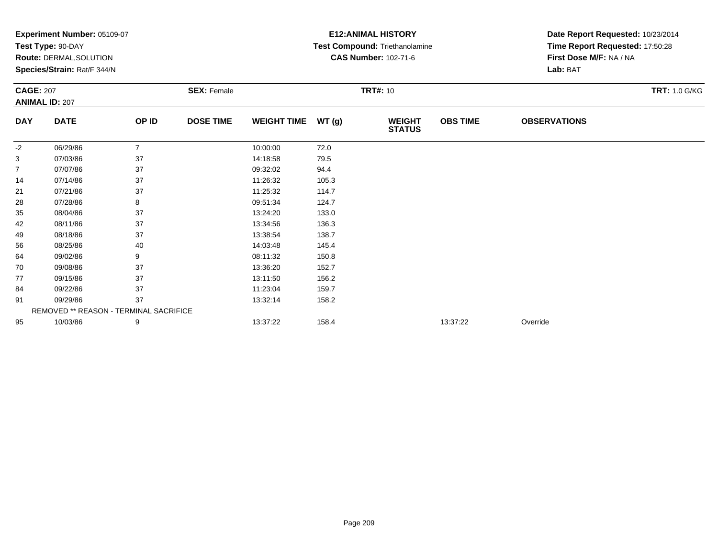|                  | <b>Experiment Number: 05109-07</b>     |                |                    |                    |       | <b>E12:ANIMAL HISTORY</b>      |                 | Date Report Requested: 10/23/2014 |                      |  |
|------------------|----------------------------------------|----------------|--------------------|--------------------|-------|--------------------------------|-----------------|-----------------------------------|----------------------|--|
|                  | Test Type: 90-DAY                      |                |                    |                    |       | Test Compound: Triethanolamine |                 | Time Report Requested: 17:50:28   |                      |  |
|                  | Route: DERMAL, SOLUTION                |                |                    |                    |       | <b>CAS Number: 102-71-6</b>    |                 | First Dose M/F: NA / NA           |                      |  |
|                  | Species/Strain: Rat/F 344/N            |                |                    |                    |       |                                |                 | Lab: BAT                          |                      |  |
| <b>CAGE: 207</b> |                                        |                | <b>SEX: Female</b> |                    |       | <b>TRT#: 10</b>                |                 |                                   | <b>TRT: 1.0 G/KG</b> |  |
|                  | <b>ANIMAL ID: 207</b>                  |                |                    |                    |       |                                |                 |                                   |                      |  |
| <b>DAY</b>       | <b>DATE</b>                            | OP ID          | <b>DOSE TIME</b>   | <b>WEIGHT TIME</b> | WT(g) | <b>WEIGHT</b><br><b>STATUS</b> | <b>OBS TIME</b> | <b>OBSERVATIONS</b>               |                      |  |
| $-2$             | 06/29/86                               | $\overline{7}$ |                    | 10:00:00           | 72.0  |                                |                 |                                   |                      |  |
| 3                | 07/03/86                               | 37             |                    | 14:18:58           | 79.5  |                                |                 |                                   |                      |  |
| 7                | 07/07/86                               | 37             |                    | 09:32:02           | 94.4  |                                |                 |                                   |                      |  |
| 14               | 07/14/86                               | 37             |                    | 11:26:32           | 105.3 |                                |                 |                                   |                      |  |
| 21               | 07/21/86                               | 37             |                    | 11:25:32           | 114.7 |                                |                 |                                   |                      |  |
| 28               | 07/28/86                               | 8              |                    | 09:51:34           | 124.7 |                                |                 |                                   |                      |  |
| 35               | 08/04/86                               | 37             |                    | 13:24:20           | 133.0 |                                |                 |                                   |                      |  |
| 42               | 08/11/86                               | 37             |                    | 13:34:56           | 136.3 |                                |                 |                                   |                      |  |
| 49               | 08/18/86                               | 37             |                    | 13:38:54           | 138.7 |                                |                 |                                   |                      |  |
| 56               | 08/25/86                               | 40             |                    | 14:03:48           | 145.4 |                                |                 |                                   |                      |  |
| 64               | 09/02/86                               | 9              |                    | 08:11:32           | 150.8 |                                |                 |                                   |                      |  |
| 70               | 09/08/86                               | 37             |                    | 13:36:20           | 152.7 |                                |                 |                                   |                      |  |
| 77               | 09/15/86                               | 37             |                    | 13:11:50           | 156.2 |                                |                 |                                   |                      |  |
| 84               | 09/22/86                               | 37             |                    | 11:23:04           | 159.7 |                                |                 |                                   |                      |  |
| 91               | 09/29/86                               | 37             |                    | 13:32:14           | 158.2 |                                |                 |                                   |                      |  |
|                  | REMOVED ** REASON - TERMINAL SACRIFICE |                |                    |                    |       |                                |                 |                                   |                      |  |
| 95               | 10/03/86                               | 9              |                    | 13:37:22           | 158.4 |                                | 13:37:22        | Override                          |                      |  |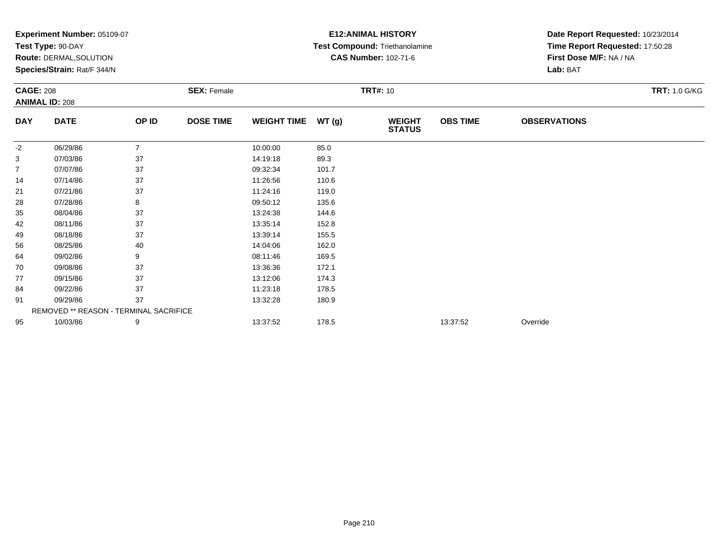|                  | <b>Experiment Number: 05109-07</b>            |                |                    |                    |       | <b>E12:ANIMAL HISTORY</b>      | Date Report Requested: 10/23/2014 |                                 |                      |
|------------------|-----------------------------------------------|----------------|--------------------|--------------------|-------|--------------------------------|-----------------------------------|---------------------------------|----------------------|
|                  | Test Type: 90-DAY                             |                |                    |                    |       | Test Compound: Triethanolamine |                                   | Time Report Requested: 17:50:28 |                      |
|                  | <b>Route: DERMAL, SOLUTION</b>                |                |                    |                    |       | <b>CAS Number: 102-71-6</b>    |                                   | First Dose M/F: NA / NA         |                      |
|                  | Species/Strain: Rat/F 344/N                   |                |                    |                    |       |                                |                                   | Lab: BAT                        |                      |
| <b>CAGE: 208</b> |                                               |                | <b>SEX: Female</b> |                    |       | <b>TRT#: 10</b>                |                                   |                                 | <b>TRT: 1.0 G/KG</b> |
|                  | <b>ANIMAL ID: 208</b>                         |                |                    |                    |       |                                |                                   |                                 |                      |
| <b>DAY</b>       | <b>DATE</b>                                   | OP ID          | <b>DOSE TIME</b>   | <b>WEIGHT TIME</b> | WT(g) | <b>WEIGHT</b><br><b>STATUS</b> | <b>OBS TIME</b>                   | <b>OBSERVATIONS</b>             |                      |
| -2               | 06/29/86                                      | $\overline{7}$ |                    | 10:00:00           | 85.0  |                                |                                   |                                 |                      |
| 3                | 07/03/86                                      | 37             |                    | 14:19:18           | 89.3  |                                |                                   |                                 |                      |
| 7                | 07/07/86                                      | 37             |                    | 09:32:34           | 101.7 |                                |                                   |                                 |                      |
| 14               | 07/14/86                                      | 37             |                    | 11:26:56           | 110.6 |                                |                                   |                                 |                      |
| 21               | 07/21/86                                      | 37             |                    | 11:24:16           | 119.0 |                                |                                   |                                 |                      |
| 28               | 07/28/86                                      | 8              |                    | 09:50:12           | 135.6 |                                |                                   |                                 |                      |
| 35               | 08/04/86                                      | 37             |                    | 13:24:38           | 144.6 |                                |                                   |                                 |                      |
| 42               | 08/11/86                                      | 37             |                    | 13:35:14           | 152.8 |                                |                                   |                                 |                      |
| 49               | 08/18/86                                      | 37             |                    | 13:39:14           | 155.5 |                                |                                   |                                 |                      |
| 56               | 08/25/86                                      | 40             |                    | 14:04:06           | 162.0 |                                |                                   |                                 |                      |
| 64               | 09/02/86                                      | 9              |                    | 08:11:46           | 169.5 |                                |                                   |                                 |                      |
| 70               | 09/08/86                                      | 37             |                    | 13:36:36           | 172.1 |                                |                                   |                                 |                      |
| 77               | 09/15/86                                      | 37             |                    | 13:12:06           | 174.3 |                                |                                   |                                 |                      |
| 84               | 09/22/86                                      | 37             |                    | 11:23:18           | 178.5 |                                |                                   |                                 |                      |
| 91               | 09/29/86                                      | 37             |                    | 13:32:28           | 180.9 |                                |                                   |                                 |                      |
|                  | <b>REMOVED ** REASON - TERMINAL SACRIFICE</b> |                |                    |                    |       |                                |                                   |                                 |                      |
| 95               | 10/03/86                                      | 9              |                    | 13:37:52           | 178.5 |                                | 13:37:52                          | Override                        |                      |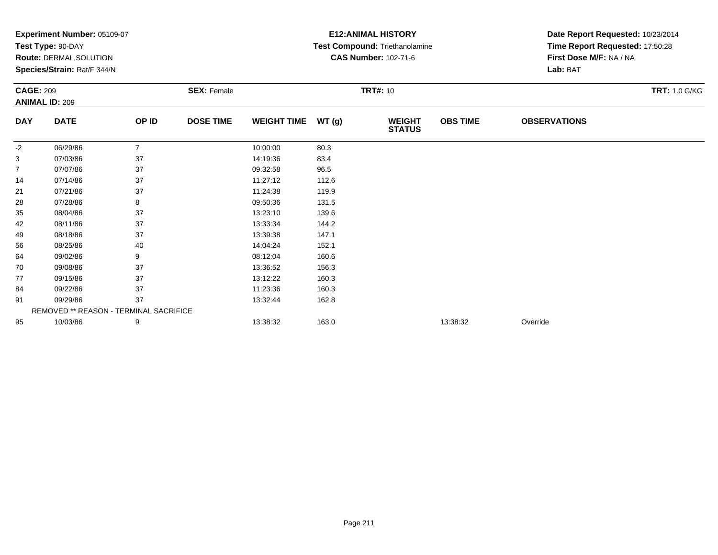|                  | <b>Experiment Number: 05109-07</b>     |                |                    |                    |       | <b>E12: ANIMAL HISTORY</b>     | Date Report Requested: 10/23/2014 |                                 |                      |
|------------------|----------------------------------------|----------------|--------------------|--------------------|-------|--------------------------------|-----------------------------------|---------------------------------|----------------------|
|                  | Test Type: 90-DAY                      |                |                    |                    |       | Test Compound: Triethanolamine |                                   | Time Report Requested: 17:50:28 |                      |
|                  | Route: DERMAL, SOLUTION                |                |                    |                    |       | <b>CAS Number: 102-71-6</b>    |                                   | First Dose M/F: NA / NA         |                      |
|                  | Species/Strain: Rat/F 344/N            |                |                    |                    |       |                                |                                   | Lab: BAT                        |                      |
| <b>CAGE: 209</b> |                                        |                | <b>SEX: Female</b> |                    |       | <b>TRT#: 10</b>                |                                   |                                 | <b>TRT: 1.0 G/KG</b> |
|                  | <b>ANIMAL ID: 209</b>                  |                |                    |                    |       |                                |                                   |                                 |                      |
| <b>DAY</b>       | <b>DATE</b>                            | OP ID          | <b>DOSE TIME</b>   | <b>WEIGHT TIME</b> | WT(g) | <b>WEIGHT</b><br><b>STATUS</b> | <b>OBS TIME</b>                   | <b>OBSERVATIONS</b>             |                      |
| -2               | 06/29/86                               | $\overline{7}$ |                    | 10:00:00           | 80.3  |                                |                                   |                                 |                      |
| 3                | 07/03/86                               | 37             |                    | 14:19:36           | 83.4  |                                |                                   |                                 |                      |
| 7                | 07/07/86                               | 37             |                    | 09:32:58           | 96.5  |                                |                                   |                                 |                      |
| 14               | 07/14/86                               | 37             |                    | 11:27:12           | 112.6 |                                |                                   |                                 |                      |
| 21               | 07/21/86                               | 37             |                    | 11:24:38           | 119.9 |                                |                                   |                                 |                      |
| 28               | 07/28/86                               | 8              |                    | 09:50:36           | 131.5 |                                |                                   |                                 |                      |
| 35               | 08/04/86                               | 37             |                    | 13:23:10           | 139.6 |                                |                                   |                                 |                      |
| 42               | 08/11/86                               | 37             |                    | 13:33:34           | 144.2 |                                |                                   |                                 |                      |
| 49               | 08/18/86                               | 37             |                    | 13:39:38           | 147.1 |                                |                                   |                                 |                      |
| 56               | 08/25/86                               | 40             |                    | 14:04:24           | 152.1 |                                |                                   |                                 |                      |
| 64               | 09/02/86                               | 9              |                    | 08:12:04           | 160.6 |                                |                                   |                                 |                      |
| 70               | 09/08/86                               | 37             |                    | 13:36:52           | 156.3 |                                |                                   |                                 |                      |
| 77               | 09/15/86                               | 37             |                    | 13:12:22           | 160.3 |                                |                                   |                                 |                      |
| 84               | 09/22/86                               | 37             |                    | 11:23:36           | 160.3 |                                |                                   |                                 |                      |
| 91               | 09/29/86                               | 37             |                    | 13:32:44           | 162.8 |                                |                                   |                                 |                      |
|                  | REMOVED ** REASON - TERMINAL SACRIFICE |                |                    |                    |       |                                |                                   |                                 |                      |
| 95               | 10/03/86                               | 9              |                    | 13:38:32           | 163.0 |                                | 13:38:32                          | Override                        |                      |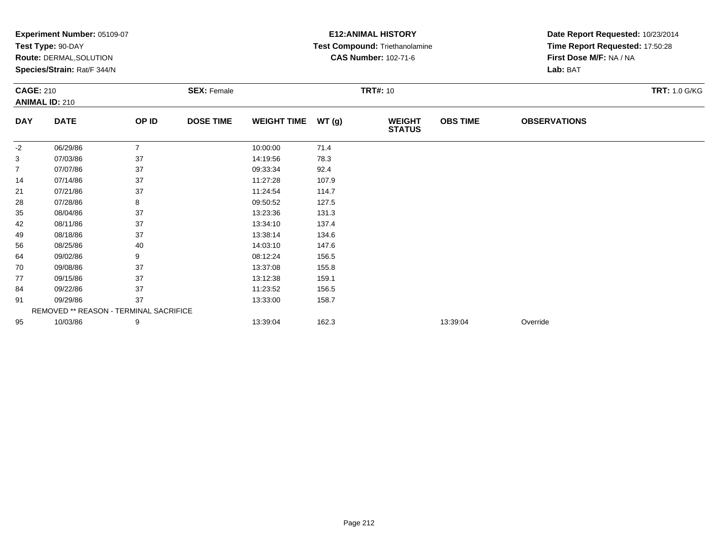|                  | <b>Experiment Number: 05109-07</b>     |                |                    | <b>E12: ANIMAL HISTORY</b> |       | Date Report Requested: 10/23/2014 |                 |                                 |                      |  |
|------------------|----------------------------------------|----------------|--------------------|----------------------------|-------|-----------------------------------|-----------------|---------------------------------|----------------------|--|
|                  | Test Type: 90-DAY                      |                |                    |                            |       | Test Compound: Triethanolamine    |                 | Time Report Requested: 17:50:28 |                      |  |
|                  | <b>Route: DERMAL, SOLUTION</b>         |                |                    |                            |       | <b>CAS Number: 102-71-6</b>       |                 | First Dose M/F: NA / NA         |                      |  |
|                  | Species/Strain: Rat/F 344/N            |                |                    |                            |       |                                   |                 | Lab: BAT                        |                      |  |
| <b>CAGE: 210</b> |                                        |                | <b>SEX: Female</b> |                            |       | <b>TRT#: 10</b>                   |                 |                                 | <b>TRT: 1.0 G/KG</b> |  |
|                  | <b>ANIMAL ID: 210</b>                  |                |                    |                            |       |                                   |                 |                                 |                      |  |
| <b>DAY</b>       | <b>DATE</b>                            | OP ID          | <b>DOSE TIME</b>   | <b>WEIGHT TIME</b>         | WT(g) | <b>WEIGHT</b><br><b>STATUS</b>    | <b>OBS TIME</b> | <b>OBSERVATIONS</b>             |                      |  |
| $-2$             | 06/29/86                               | $\overline{7}$ |                    | 10:00:00                   | 71.4  |                                   |                 |                                 |                      |  |
| 3                | 07/03/86                               | 37             |                    | 14:19:56                   | 78.3  |                                   |                 |                                 |                      |  |
| 7                | 07/07/86                               | 37             |                    | 09:33:34                   | 92.4  |                                   |                 |                                 |                      |  |
| 14               | 07/14/86                               | 37             |                    | 11:27:28                   | 107.9 |                                   |                 |                                 |                      |  |
| 21               | 07/21/86                               | 37             |                    | 11:24:54                   | 114.7 |                                   |                 |                                 |                      |  |
| 28               | 07/28/86                               | 8              |                    | 09:50:52                   | 127.5 |                                   |                 |                                 |                      |  |
| 35               | 08/04/86                               | 37             |                    | 13:23:36                   | 131.3 |                                   |                 |                                 |                      |  |
| 42               | 08/11/86                               | 37             |                    | 13:34:10                   | 137.4 |                                   |                 |                                 |                      |  |
| 49               | 08/18/86                               | 37             |                    | 13:38:14                   | 134.6 |                                   |                 |                                 |                      |  |
| 56               | 08/25/86                               | 40             |                    | 14:03:10                   | 147.6 |                                   |                 |                                 |                      |  |
| 64               | 09/02/86                               | 9              |                    | 08:12:24                   | 156.5 |                                   |                 |                                 |                      |  |
| 70               | 09/08/86                               | 37             |                    | 13:37:08                   | 155.8 |                                   |                 |                                 |                      |  |
| 77               | 09/15/86                               | 37             |                    | 13:12:38                   | 159.1 |                                   |                 |                                 |                      |  |
| 84               | 09/22/86                               | 37             |                    | 11:23:52                   | 156.5 |                                   |                 |                                 |                      |  |
| 91               | 09/29/86                               | 37             |                    | 13:33:00                   | 158.7 |                                   |                 |                                 |                      |  |
|                  | REMOVED ** REASON - TERMINAL SACRIFICE |                |                    |                            |       |                                   |                 |                                 |                      |  |
| 95               | 10/03/86                               | 9              |                    | 13:39:04                   | 162.3 |                                   | 13:39:04        | Override                        |                      |  |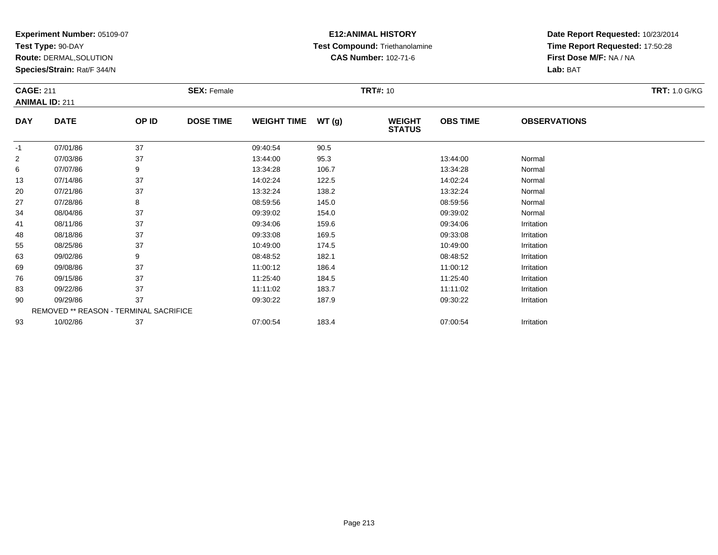**Test Type:** 90-DAY

**Route:** DERMAL,SOLUTION

**Species/Strain:** Rat/F 344/N

### **E12:ANIMAL HISTORY Test Compound:** Triethanolamine**CAS Number:** 102-71-6

| <b>CAGE: 211</b> | <b>ANIMAL ID: 211</b>                  |       | <b>SEX: Female</b> |                    |       | <b>TRT#: 10</b>                |                 |                     | <b>TRT: 1.0 G/KG</b> |
|------------------|----------------------------------------|-------|--------------------|--------------------|-------|--------------------------------|-----------------|---------------------|----------------------|
| <b>DAY</b>       | <b>DATE</b>                            | OP ID | <b>DOSE TIME</b>   | <b>WEIGHT TIME</b> | WT(g) | <b>WEIGHT</b><br><b>STATUS</b> | <b>OBS TIME</b> | <b>OBSERVATIONS</b> |                      |
| $-1$             | 07/01/86                               | 37    |                    | 09:40:54           | 90.5  |                                |                 |                     |                      |
| $\overline{2}$   | 07/03/86                               | 37    |                    | 13:44:00           | 95.3  |                                | 13:44:00        | Normal              |                      |
| 6                | 07/07/86                               | 9     |                    | 13:34:28           | 106.7 |                                | 13:34:28        | Normal              |                      |
| 13               | 07/14/86                               | 37    |                    | 14:02:24           | 122.5 |                                | 14:02:24        | Normal              |                      |
| 20               | 07/21/86                               | 37    |                    | 13:32:24           | 138.2 |                                | 13:32:24        | Normal              |                      |
| 27               | 07/28/86                               | 8     |                    | 08:59:56           | 145.0 |                                | 08:59:56        | Normal              |                      |
| 34               | 08/04/86                               | 37    |                    | 09:39:02           | 154.0 |                                | 09:39:02        | Normal              |                      |
| 41               | 08/11/86                               | 37    |                    | 09:34:06           | 159.6 |                                | 09:34:06        | Irritation          |                      |
| 48               | 08/18/86                               | 37    |                    | 09:33:08           | 169.5 |                                | 09:33:08        | Irritation          |                      |
| 55               | 08/25/86                               | 37    |                    | 10:49:00           | 174.5 |                                | 10:49:00        | Irritation          |                      |
| 63               | 09/02/86                               | 9     |                    | 08:48:52           | 182.1 |                                | 08:48:52        | Irritation          |                      |
| 69               | 09/08/86                               | 37    |                    | 11:00:12           | 186.4 |                                | 11:00:12        | Irritation          |                      |
| 76               | 09/15/86                               | 37    |                    | 11:25:40           | 184.5 |                                | 11:25:40        | Irritation          |                      |
| 83               | 09/22/86                               | 37    |                    | 11:11:02           | 183.7 |                                | 11:11:02        | Irritation          |                      |
| 90               | 09/29/86                               | 37    |                    | 09:30:22           | 187.9 |                                | 09:30:22        | Irritation          |                      |
|                  | REMOVED ** REASON - TERMINAL SACRIFICE |       |                    |                    |       |                                |                 |                     |                      |
| 93               | 10/02/86                               | 37    |                    | 07:00:54           | 183.4 |                                | 07:00:54        | Irritation          |                      |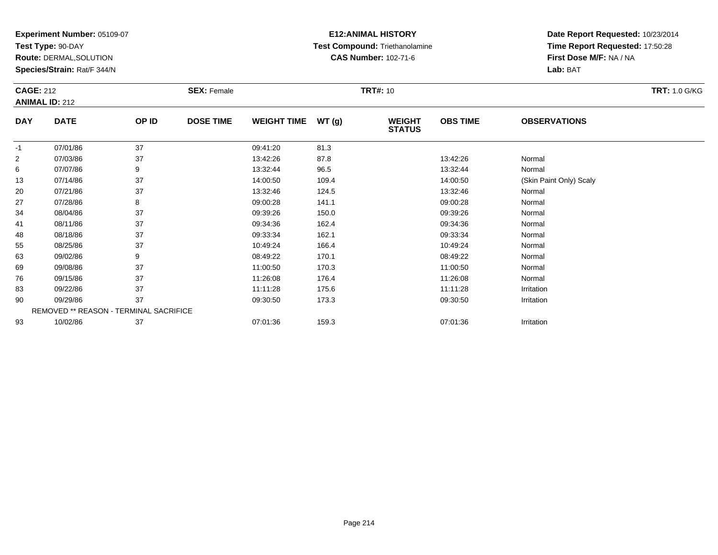**Test Type:** 90-DAY

**Route:** DERMAL,SOLUTION

**Species/Strain:** Rat/F 344/N

# **E12:ANIMAL HISTORY Test Compound:** Triethanolamine**CAS Number:** 102-71-6

| <b>CAGE: 212</b> | <b>ANIMAL ID: 212</b>                  |       | <b>SEX: Female</b> |                    |       | <b>TRT#: 10</b>                |                 |                         | <b>TRT: 1.0 G/KG</b> |
|------------------|----------------------------------------|-------|--------------------|--------------------|-------|--------------------------------|-----------------|-------------------------|----------------------|
| <b>DAY</b>       | <b>DATE</b>                            | OP ID | <b>DOSE TIME</b>   | <b>WEIGHT TIME</b> | WT(g) | <b>WEIGHT</b><br><b>STATUS</b> | <b>OBS TIME</b> | <b>OBSERVATIONS</b>     |                      |
| $-1$             | 07/01/86                               | 37    |                    | 09:41:20           | 81.3  |                                |                 |                         |                      |
| $\overline{2}$   | 07/03/86                               | 37    |                    | 13:42:26           | 87.8  |                                | 13:42:26        | Normal                  |                      |
| 6                | 07/07/86                               | 9     |                    | 13:32:44           | 96.5  |                                | 13:32:44        | Normal                  |                      |
| 13               | 07/14/86                               | 37    |                    | 14:00:50           | 109.4 |                                | 14:00:50        | (Skin Paint Only) Scaly |                      |
| 20               | 07/21/86                               | 37    |                    | 13:32:46           | 124.5 |                                | 13:32:46        | Normal                  |                      |
| 27               | 07/28/86                               | 8     |                    | 09:00:28           | 141.1 |                                | 09:00:28        | Normal                  |                      |
| 34               | 08/04/86                               | 37    |                    | 09:39:26           | 150.0 |                                | 09:39:26        | Normal                  |                      |
| 41               | 08/11/86                               | 37    |                    | 09:34:36           | 162.4 |                                | 09:34:36        | Normal                  |                      |
| 48               | 08/18/86                               | 37    |                    | 09:33:34           | 162.1 |                                | 09:33:34        | Normal                  |                      |
| 55               | 08/25/86                               | 37    |                    | 10:49:24           | 166.4 |                                | 10:49:24        | Normal                  |                      |
| 63               | 09/02/86                               | 9     |                    | 08:49:22           | 170.1 |                                | 08:49:22        | Normal                  |                      |
| 69               | 09/08/86                               | 37    |                    | 11:00:50           | 170.3 |                                | 11:00:50        | Normal                  |                      |
| 76               | 09/15/86                               | 37    |                    | 11:26:08           | 176.4 |                                | 11:26:08        | Normal                  |                      |
| 83               | 09/22/86                               | 37    |                    | 11:11:28           | 175.6 |                                | 11:11:28        | Irritation              |                      |
| 90               | 09/29/86                               | 37    |                    | 09:30:50           | 173.3 |                                | 09:30:50        | Irritation              |                      |
|                  | REMOVED ** REASON - TERMINAL SACRIFICE |       |                    |                    |       |                                |                 |                         |                      |
| 93               | 10/02/86                               | 37    |                    | 07:01:36           | 159.3 |                                | 07:01:36        | Irritation              |                      |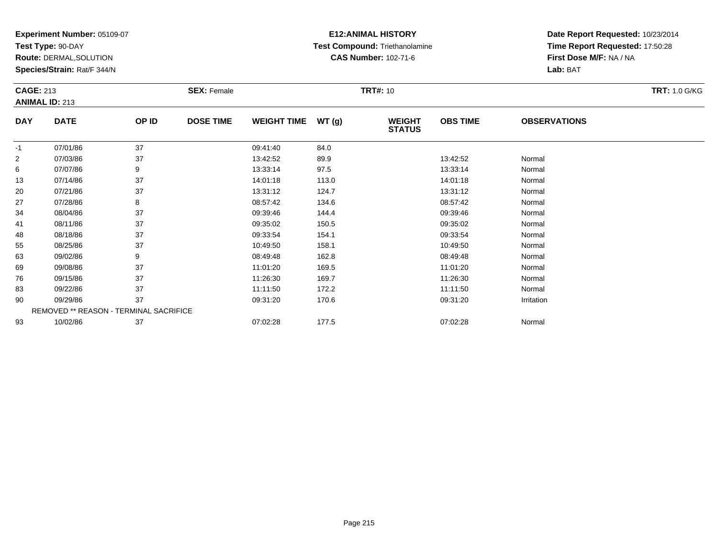**Test Type:** 90-DAY

**Route:** DERMAL,SOLUTION

**Species/Strain:** Rat/F 344/N

# **E12:ANIMAL HISTORY Test Compound:** Triethanolamine**CAS Number:** 102-71-6

| <b>CAGE: 213</b> | <b>ANIMAL ID: 213</b>                  |       | <b>SEX: Female</b> |                    |       | <b>TRT#: 10</b>                |                 |                     | <b>TRT: 1.0 G/KG</b> |
|------------------|----------------------------------------|-------|--------------------|--------------------|-------|--------------------------------|-----------------|---------------------|----------------------|
| <b>DAY</b>       | <b>DATE</b>                            | OP ID | <b>DOSE TIME</b>   | <b>WEIGHT TIME</b> | WT(g) | <b>WEIGHT</b><br><b>STATUS</b> | <b>OBS TIME</b> | <b>OBSERVATIONS</b> |                      |
| $-1$             | 07/01/86                               | 37    |                    | 09:41:40           | 84.0  |                                |                 |                     |                      |
| $\overline{2}$   | 07/03/86                               | 37    |                    | 13:42:52           | 89.9  |                                | 13:42:52        | Normal              |                      |
| 6                | 07/07/86                               | 9     |                    | 13:33:14           | 97.5  |                                | 13:33:14        | Normal              |                      |
| 13               | 07/14/86                               | 37    |                    | 14:01:18           | 113.0 |                                | 14:01:18        | Normal              |                      |
| 20               | 07/21/86                               | 37    |                    | 13:31:12           | 124.7 |                                | 13:31:12        | Normal              |                      |
| 27               | 07/28/86                               | 8     |                    | 08:57:42           | 134.6 |                                | 08:57:42        | Normal              |                      |
| 34               | 08/04/86                               | 37    |                    | 09:39:46           | 144.4 |                                | 09:39:46        | Normal              |                      |
| 41               | 08/11/86                               | 37    |                    | 09:35:02           | 150.5 |                                | 09:35:02        | Normal              |                      |
| 48               | 08/18/86                               | 37    |                    | 09:33:54           | 154.1 |                                | 09:33:54        | Normal              |                      |
| 55               | 08/25/86                               | 37    |                    | 10:49:50           | 158.1 |                                | 10:49:50        | Normal              |                      |
| 63               | 09/02/86                               | 9     |                    | 08:49:48           | 162.8 |                                | 08:49:48        | Normal              |                      |
| 69               | 09/08/86                               | 37    |                    | 11:01:20           | 169.5 |                                | 11:01:20        | Normal              |                      |
| 76               | 09/15/86                               | 37    |                    | 11:26:30           | 169.7 |                                | 11:26:30        | Normal              |                      |
| 83               | 09/22/86                               | 37    |                    | 11:11:50           | 172.2 |                                | 11:11:50        | Normal              |                      |
| 90               | 09/29/86                               | 37    |                    | 09:31:20           | 170.6 |                                | 09:31:20        | Irritation          |                      |
|                  | REMOVED ** REASON - TERMINAL SACRIFICE |       |                    |                    |       |                                |                 |                     |                      |
| 93               | 10/02/86                               | 37    |                    | 07:02:28           | 177.5 |                                | 07:02:28        | Normal              |                      |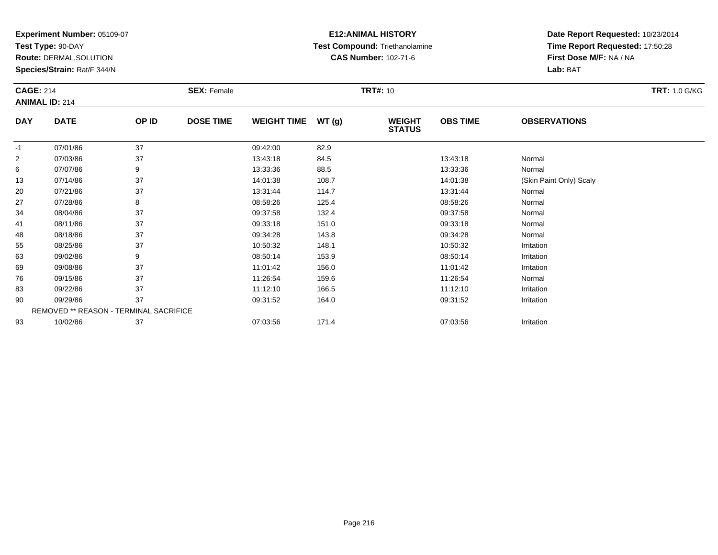**Test Type:** 90-DAY

**Route:** DERMAL,SOLUTION

**Species/Strain:** Rat/F 344/N

# **E12:ANIMAL HISTORY Test Compound:** Triethanolamine**CAS Number:** 102-71-6

| <b>CAGE: 214</b> |                                        |       | <b>SEX: Female</b> |                    |       | <b>TRT#: 10</b>                |                 |                         | <b>TRT: 1.0 G/KG</b> |
|------------------|----------------------------------------|-------|--------------------|--------------------|-------|--------------------------------|-----------------|-------------------------|----------------------|
|                  | <b>ANIMAL ID: 214</b>                  |       |                    |                    |       |                                |                 |                         |                      |
| <b>DAY</b>       | <b>DATE</b>                            | OP ID | <b>DOSE TIME</b>   | <b>WEIGHT TIME</b> | WT(g) | <b>WEIGHT</b><br><b>STATUS</b> | <b>OBS TIME</b> | <b>OBSERVATIONS</b>     |                      |
| $-1$             | 07/01/86                               | 37    |                    | 09:42:00           | 82.9  |                                |                 |                         |                      |
| $\overline{2}$   | 07/03/86                               | 37    |                    | 13:43:18           | 84.5  |                                | 13:43:18        | Normal                  |                      |
| 6                | 07/07/86                               | 9     |                    | 13:33:36           | 88.5  |                                | 13:33:36        | Normal                  |                      |
| 13               | 07/14/86                               | 37    |                    | 14:01:38           | 108.7 |                                | 14:01:38        | (Skin Paint Only) Scaly |                      |
| 20               | 07/21/86                               | 37    |                    | 13:31:44           | 114.7 |                                | 13:31:44        | Normal                  |                      |
| 27               | 07/28/86                               | 8     |                    | 08:58:26           | 125.4 |                                | 08:58:26        | Normal                  |                      |
| 34               | 08/04/86                               | 37    |                    | 09:37:58           | 132.4 |                                | 09:37:58        | Normal                  |                      |
| 41               | 08/11/86                               | 37    |                    | 09:33:18           | 151.0 |                                | 09:33:18        | Normal                  |                      |
| 48               | 08/18/86                               | 37    |                    | 09:34:28           | 143.8 |                                | 09:34:28        | Normal                  |                      |
| 55               | 08/25/86                               | 37    |                    | 10:50:32           | 148.1 |                                | 10:50:32        | Irritation              |                      |
| 63               | 09/02/86                               | 9     |                    | 08:50:14           | 153.9 |                                | 08:50:14        | Irritation              |                      |
| 69               | 09/08/86                               | 37    |                    | 11:01:42           | 156.0 |                                | 11:01:42        | Irritation              |                      |
| 76               | 09/15/86                               | 37    |                    | 11:26:54           | 159.6 |                                | 11:26:54        | Normal                  |                      |
| 83               | 09/22/86                               | 37    |                    | 11:12:10           | 166.5 |                                | 11:12:10        | Irritation              |                      |
| 90               | 09/29/86                               | 37    |                    | 09:31:52           | 164.0 |                                | 09:31:52        | Irritation              |                      |
|                  | REMOVED ** REASON - TERMINAL SACRIFICE |       |                    |                    |       |                                |                 |                         |                      |
| 93               | 10/02/86                               | 37    |                    | 07:03:56           | 171.4 |                                | 07:03:56        | Irritation              |                      |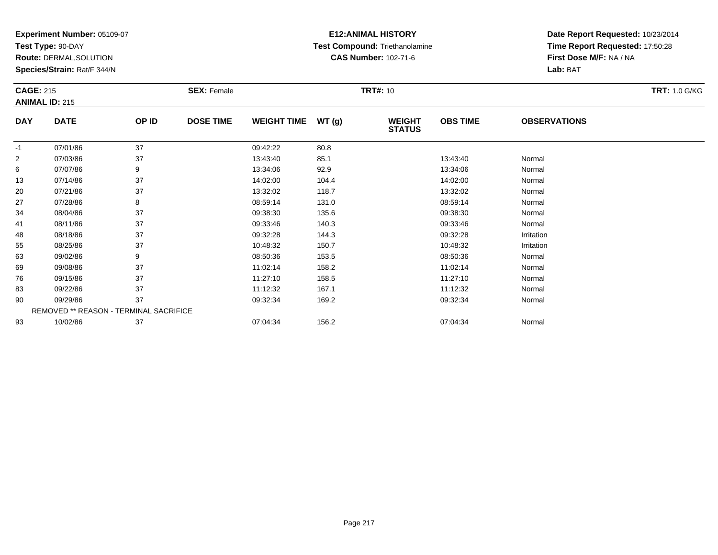**Test Type:** 90-DAY

**Route:** DERMAL,SOLUTION

**Species/Strain:** Rat/F 344/N

# **E12:ANIMAL HISTORY Test Compound:** Triethanolamine**CAS Number:** 102-71-6

| <b>CAGE: 215</b> | <b>ANIMAL ID: 215</b>                  |       | <b>SEX: Female</b> |                    |       | <b>TRT#: 10</b>                |                 |                     | <b>TRT: 1.0 G/KG</b> |
|------------------|----------------------------------------|-------|--------------------|--------------------|-------|--------------------------------|-----------------|---------------------|----------------------|
| DAY              | <b>DATE</b>                            | OP ID | <b>DOSE TIME</b>   | <b>WEIGHT TIME</b> | WT(g) | <b>WEIGHT</b><br><b>STATUS</b> | <b>OBS TIME</b> | <b>OBSERVATIONS</b> |                      |
| $-1$             | 07/01/86                               | 37    |                    | 09:42:22           | 80.8  |                                |                 |                     |                      |
| $\overline{c}$   | 07/03/86                               | 37    |                    | 13:43:40           | 85.1  |                                | 13:43:40        | Normal              |                      |
| 6                | 07/07/86                               | 9     |                    | 13:34:06           | 92.9  |                                | 13:34:06        | Normal              |                      |
| 13               | 07/14/86                               | 37    |                    | 14:02:00           | 104.4 |                                | 14:02:00        | Normal              |                      |
| 20               | 07/21/86                               | 37    |                    | 13:32:02           | 118.7 |                                | 13:32:02        | Normal              |                      |
| 27               | 07/28/86                               | 8     |                    | 08:59:14           | 131.0 |                                | 08:59:14        | Normal              |                      |
| 34               | 08/04/86                               | 37    |                    | 09:38:30           | 135.6 |                                | 09:38:30        | Normal              |                      |
| 41               | 08/11/86                               | 37    |                    | 09:33:46           | 140.3 |                                | 09:33:46        | Normal              |                      |
| 48               | 08/18/86                               | 37    |                    | 09:32:28           | 144.3 |                                | 09:32:28        | Irritation          |                      |
| 55               | 08/25/86                               | 37    |                    | 10:48:32           | 150.7 |                                | 10:48:32        | Irritation          |                      |
| 63               | 09/02/86                               | 9     |                    | 08:50:36           | 153.5 |                                | 08:50:36        | Normal              |                      |
| 69               | 09/08/86                               | 37    |                    | 11:02:14           | 158.2 |                                | 11:02:14        | Normal              |                      |
| 76               | 09/15/86                               | 37    |                    | 11:27:10           | 158.5 |                                | 11:27:10        | Normal              |                      |
| 83               | 09/22/86                               | 37    |                    | 11:12:32           | 167.1 |                                | 11:12:32        | Normal              |                      |
| 90               | 09/29/86                               | 37    |                    | 09:32:34           | 169.2 |                                | 09:32:34        | Normal              |                      |
|                  | REMOVED ** REASON - TERMINAL SACRIFICE |       |                    |                    |       |                                |                 |                     |                      |
| 93               | 10/02/86                               | 37    |                    | 07:04:34           | 156.2 |                                | 07:04:34        | Normal              |                      |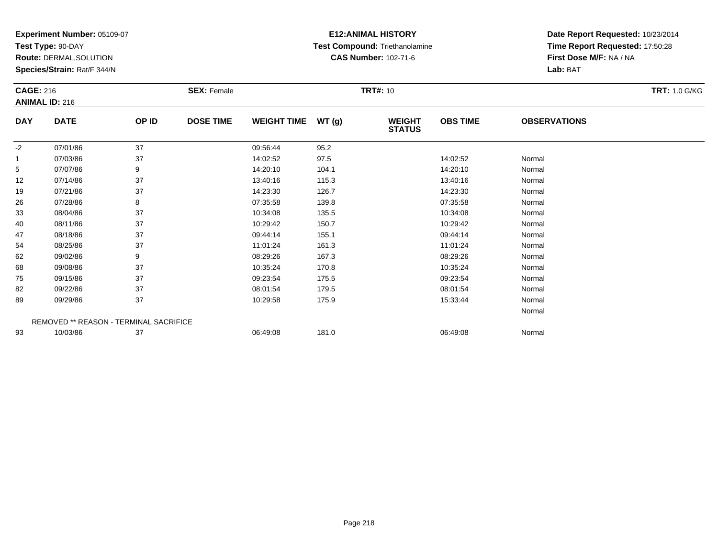**Test Type:** 90-DAY

**Route:** DERMAL,SOLUTION

**Species/Strain:** Rat/F 344/N

# **E12:ANIMAL HISTORY Test Compound:** Triethanolamine**CAS Number:** 102-71-6

|            | <b>CAGE: 216</b><br><b>ANIMAL ID: 216</b> |                                        | <b>SEX: Female</b> |                    |       | <b>TRT#: 10</b>                |                 | <b>TRT: 1.0 G/KG</b> |  |
|------------|-------------------------------------------|----------------------------------------|--------------------|--------------------|-------|--------------------------------|-----------------|----------------------|--|
| <b>DAY</b> | <b>DATE</b>                               | OP ID                                  | <b>DOSE TIME</b>   | <b>WEIGHT TIME</b> | WT(g) | <b>WEIGHT</b><br><b>STATUS</b> | <b>OBS TIME</b> | <b>OBSERVATIONS</b>  |  |
| $-2$       | 07/01/86                                  | 37                                     |                    | 09:56:44           | 95.2  |                                |                 |                      |  |
| 1          | 07/03/86                                  | 37                                     |                    | 14:02:52           | 97.5  |                                | 14:02:52        | Normal               |  |
| 5          | 07/07/86                                  | 9                                      |                    | 14:20:10           | 104.1 |                                | 14:20:10        | Normal               |  |
| 12         | 07/14/86                                  | 37                                     |                    | 13:40:16           | 115.3 |                                | 13:40:16        | Normal               |  |
| 19         | 07/21/86                                  | 37                                     |                    | 14:23:30           | 126.7 |                                | 14:23:30        | Normal               |  |
| 26         | 07/28/86                                  | 8                                      |                    | 07:35:58           | 139.8 |                                | 07:35:58        | Normal               |  |
| 33         | 08/04/86                                  | 37                                     |                    | 10:34:08           | 135.5 |                                | 10:34:08        | Normal               |  |
| 40         | 08/11/86                                  | 37                                     |                    | 10:29:42           | 150.7 |                                | 10:29:42        | Normal               |  |
| 47         | 08/18/86                                  | 37                                     |                    | 09:44:14           | 155.1 |                                | 09:44:14        | Normal               |  |
| 54         | 08/25/86                                  | 37                                     |                    | 11:01:24           | 161.3 |                                | 11:01:24        | Normal               |  |
| 62         | 09/02/86                                  | 9                                      |                    | 08:29:26           | 167.3 |                                | 08:29:26        | Normal               |  |
| 68         | 09/08/86                                  | 37                                     |                    | 10:35:24           | 170.8 |                                | 10:35:24        | Normal               |  |
| 75         | 09/15/86                                  | 37                                     |                    | 09:23:54           | 175.5 |                                | 09:23:54        | Normal               |  |
| 82         | 09/22/86                                  | 37                                     |                    | 08:01:54           | 179.5 |                                | 08:01:54        | Normal               |  |
| 89         | 09/29/86                                  | 37                                     |                    | 10:29:58           | 175.9 |                                | 15:33:44        | Normal               |  |
|            |                                           |                                        |                    |                    |       |                                |                 | Normal               |  |
|            |                                           | REMOVED ** REASON - TERMINAL SACRIFICE |                    |                    |       |                                |                 |                      |  |
| 93         | 10/03/86                                  | 37                                     |                    | 06:49:08           | 181.0 |                                | 06:49:08        | Normal               |  |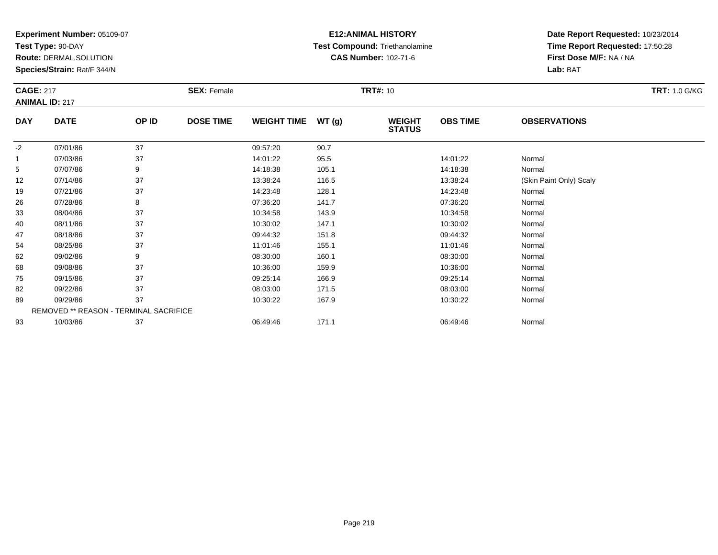**Test Type:** 90-DAY

**Route:** DERMAL,SOLUTION

**Species/Strain:** Rat/F 344/N

### **E12:ANIMAL HISTORY Test Compound:** Triethanolamine**CAS Number:** 102-71-6

| <b>CAGE: 217</b><br><b>ANIMAL ID: 217</b> |                                        |       | <b>SEX: Female</b> |                    |       | <b>TRT#: 10</b>                |                 |                         | <b>TRT: 1.0 G/KG</b> |
|-------------------------------------------|----------------------------------------|-------|--------------------|--------------------|-------|--------------------------------|-----------------|-------------------------|----------------------|
| <b>DAY</b>                                | <b>DATE</b>                            | OP ID | <b>DOSE TIME</b>   | <b>WEIGHT TIME</b> | WT(g) | <b>WEIGHT</b><br><b>STATUS</b> | <b>OBS TIME</b> | <b>OBSERVATIONS</b>     |                      |
| $-2$                                      | 07/01/86                               | 37    |                    | 09:57:20           | 90.7  |                                |                 |                         |                      |
| $\overline{1}$                            | 07/03/86                               | 37    |                    | 14:01:22           | 95.5  |                                | 14:01:22        | Normal                  |                      |
| 5                                         | 07/07/86                               | 9     |                    | 14:18:38           | 105.1 |                                | 14:18:38        | Normal                  |                      |
| 12                                        | 07/14/86                               | 37    |                    | 13:38:24           | 116.5 |                                | 13:38:24        | (Skin Paint Only) Scaly |                      |
| 19                                        | 07/21/86                               | 37    |                    | 14:23:48           | 128.1 |                                | 14:23:48        | Normal                  |                      |
| 26                                        | 07/28/86                               | 8     |                    | 07:36:20           | 141.7 |                                | 07:36:20        | Normal                  |                      |
| 33                                        | 08/04/86                               | 37    |                    | 10:34:58           | 143.9 |                                | 10:34:58        | Normal                  |                      |
| 40                                        | 08/11/86                               | 37    |                    | 10:30:02           | 147.1 |                                | 10:30:02        | Normal                  |                      |
| 47                                        | 08/18/86                               | 37    |                    | 09:44:32           | 151.8 |                                | 09:44:32        | Normal                  |                      |
| 54                                        | 08/25/86                               | 37    |                    | 11:01:46           | 155.1 |                                | 11:01:46        | Normal                  |                      |
| 62                                        | 09/02/86                               | 9     |                    | 08:30:00           | 160.1 |                                | 08:30:00        | Normal                  |                      |
| 68                                        | 09/08/86                               | 37    |                    | 10:36:00           | 159.9 |                                | 10:36:00        | Normal                  |                      |
| 75                                        | 09/15/86                               | 37    |                    | 09:25:14           | 166.9 |                                | 09:25:14        | Normal                  |                      |
| 82                                        | 09/22/86                               | 37    |                    | 08:03:00           | 171.5 |                                | 08:03:00        | Normal                  |                      |
| 89                                        | 09/29/86                               | 37    |                    | 10:30:22           | 167.9 |                                | 10:30:22        | Normal                  |                      |
|                                           | REMOVED ** REASON - TERMINAL SACRIFICE |       |                    |                    |       |                                |                 |                         |                      |
| 93                                        | 10/03/86                               | 37    |                    | 06:49:46           | 171.1 |                                | 06:49:46        | Normal                  |                      |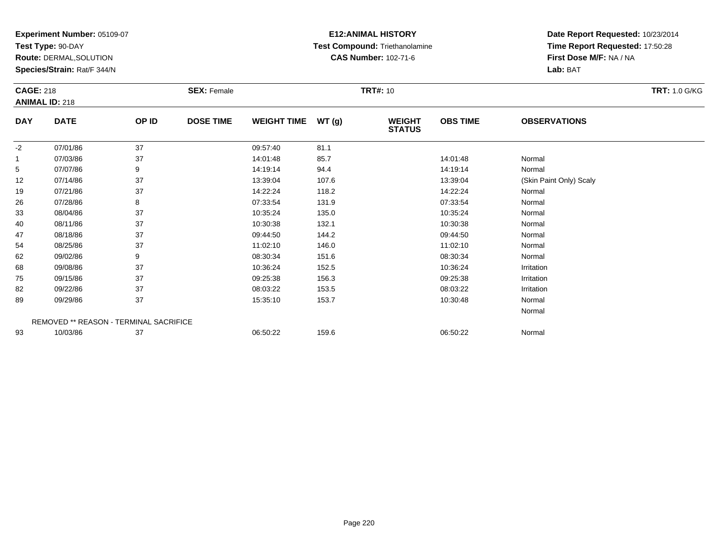**Test Type:** 90-DAY

**Route:** DERMAL,SOLUTION

**Species/Strain:** Rat/F 344/N

# **E12:ANIMAL HISTORY Test Compound:** Triethanolamine**CAS Number:** 102-71-6

| <b>CAGE: 218</b> | <b>ANIMAL ID: 218</b>                  |       | <b>SEX: Female</b> |                    |       | <b>TRT#: 10</b>                |                 |                         | <b>TRT: 1.0 G/KG</b> |
|------------------|----------------------------------------|-------|--------------------|--------------------|-------|--------------------------------|-----------------|-------------------------|----------------------|
| <b>DAY</b>       | <b>DATE</b>                            | OP ID | <b>DOSE TIME</b>   | <b>WEIGHT TIME</b> | WT(g) | <b>WEIGHT</b><br><b>STATUS</b> | <b>OBS TIME</b> | <b>OBSERVATIONS</b>     |                      |
| $-2$             | 07/01/86                               | 37    |                    | 09:57:40           | 81.1  |                                |                 |                         |                      |
|                  | 07/03/86                               | 37    |                    | 14:01:48           | 85.7  |                                | 14:01:48        | Normal                  |                      |
| 5                | 07/07/86                               | 9     |                    | 14:19:14           | 94.4  |                                | 14:19:14        | Normal                  |                      |
| 12               | 07/14/86                               | 37    |                    | 13:39:04           | 107.6 |                                | 13:39:04        | (Skin Paint Only) Scaly |                      |
| 19               | 07/21/86                               | 37    |                    | 14:22:24           | 118.2 |                                | 14:22:24        | Normal                  |                      |
| 26               | 07/28/86                               | 8     |                    | 07:33:54           | 131.9 |                                | 07:33:54        | Normal                  |                      |
| 33               | 08/04/86                               | 37    |                    | 10:35:24           | 135.0 |                                | 10:35:24        | Normal                  |                      |
| 40               | 08/11/86                               | 37    |                    | 10:30:38           | 132.1 |                                | 10:30:38        | Normal                  |                      |
| 47               | 08/18/86                               | 37    |                    | 09:44:50           | 144.2 |                                | 09:44:50        | Normal                  |                      |
| 54               | 08/25/86                               | 37    |                    | 11:02:10           | 146.0 |                                | 11:02:10        | Normal                  |                      |
| 62               | 09/02/86                               | 9     |                    | 08:30:34           | 151.6 |                                | 08:30:34        | Normal                  |                      |
| 68               | 09/08/86                               | 37    |                    | 10:36:24           | 152.5 |                                | 10:36:24        | Irritation              |                      |
| 75               | 09/15/86                               | 37    |                    | 09:25:38           | 156.3 |                                | 09:25:38        | Irritation              |                      |
| 82               | 09/22/86                               | 37    |                    | 08:03:22           | 153.5 |                                | 08:03:22        | Irritation              |                      |
| 89               | 09/29/86                               | 37    |                    | 15:35:10           | 153.7 |                                | 10:30:48        | Normal                  |                      |
|                  |                                        |       |                    |                    |       |                                |                 | Normal                  |                      |
|                  | REMOVED ** REASON - TERMINAL SACRIFICE |       |                    |                    |       |                                |                 |                         |                      |
| 93               | 10/03/86                               | 37    |                    | 06:50:22           | 159.6 |                                | 06:50:22        | Normal                  |                      |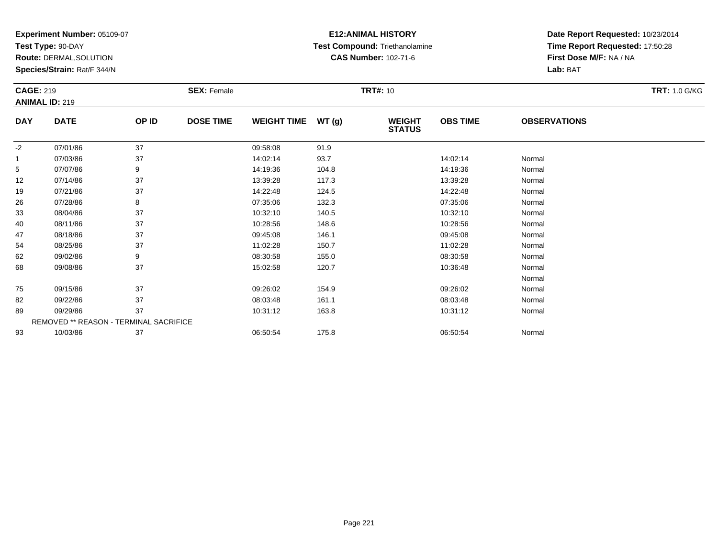**Test Type:** 90-DAY

**Route:** DERMAL,SOLUTION

**Species/Strain:** Rat/F 344/N

# **E12:ANIMAL HISTORY Test Compound:** Triethanolamine**CAS Number:** 102-71-6

| <b>CAGE: 219</b> | <b>ANIMAL ID: 219</b>                  |       | <b>SEX: Female</b> |                    |       | <b>TRT#: 10</b>                |                 |                     | <b>TRT: 1.0 G/KG</b> |
|------------------|----------------------------------------|-------|--------------------|--------------------|-------|--------------------------------|-----------------|---------------------|----------------------|
| <b>DAY</b>       | <b>DATE</b>                            | OP ID | <b>DOSE TIME</b>   | <b>WEIGHT TIME</b> | WT(g) | <b>WEIGHT</b><br><b>STATUS</b> | <b>OBS TIME</b> | <b>OBSERVATIONS</b> |                      |
| $-2$             | 07/01/86                               | 37    |                    | 09:58:08           | 91.9  |                                |                 |                     |                      |
| 1                | 07/03/86                               | 37    |                    | 14:02:14           | 93.7  |                                | 14:02:14        | Normal              |                      |
| 5                | 07/07/86                               | 9     |                    | 14:19:36           | 104.8 |                                | 14:19:36        | Normal              |                      |
| 12               | 07/14/86                               | 37    |                    | 13:39:28           | 117.3 |                                | 13:39:28        | Normal              |                      |
| 19               | 07/21/86                               | 37    |                    | 14:22:48           | 124.5 |                                | 14:22:48        | Normal              |                      |
| 26               | 07/28/86                               | 8     |                    | 07:35:06           | 132.3 |                                | 07:35:06        | Normal              |                      |
| 33               | 08/04/86                               | 37    |                    | 10:32:10           | 140.5 |                                | 10:32:10        | Normal              |                      |
| 40               | 08/11/86                               | 37    |                    | 10:28:56           | 148.6 |                                | 10:28:56        | Normal              |                      |
| 47               | 08/18/86                               | 37    |                    | 09:45:08           | 146.1 |                                | 09:45:08        | Normal              |                      |
| 54               | 08/25/86                               | 37    |                    | 11:02:28           | 150.7 |                                | 11:02:28        | Normal              |                      |
| 62               | 09/02/86                               | 9     |                    | 08:30:58           | 155.0 |                                | 08:30:58        | Normal              |                      |
| 68               | 09/08/86                               | 37    |                    | 15:02:58           | 120.7 |                                | 10:36:48        | Normal              |                      |
|                  |                                        |       |                    |                    |       |                                |                 | Normal              |                      |
| 75               | 09/15/86                               | 37    |                    | 09:26:02           | 154.9 |                                | 09:26:02        | Normal              |                      |
| 82               | 09/22/86                               | 37    |                    | 08:03:48           | 161.1 |                                | 08:03:48        | Normal              |                      |
| 89               | 09/29/86                               | 37    |                    | 10:31:12           | 163.8 |                                | 10:31:12        | Normal              |                      |
|                  | REMOVED ** REASON - TERMINAL SACRIFICE |       |                    |                    |       |                                |                 |                     |                      |
| 93               | 10/03/86                               | 37    |                    | 06:50:54           | 175.8 |                                | 06:50:54        | Normal              |                      |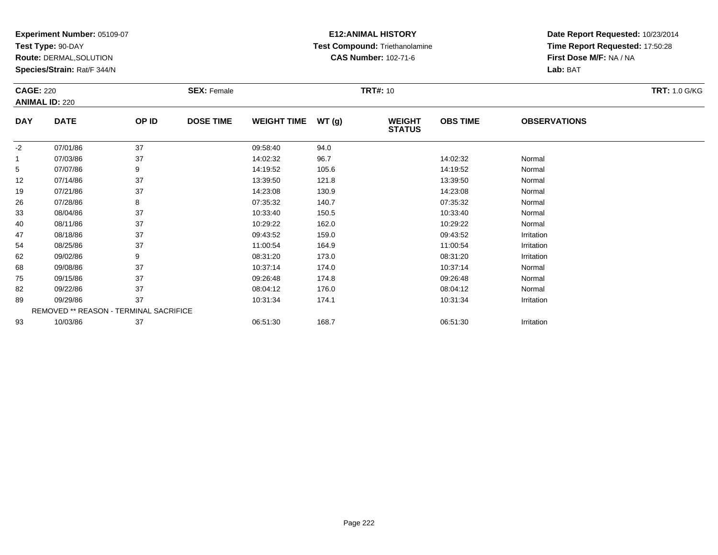**Test Type:** 90-DAY

**Route:** DERMAL,SOLUTION

**Species/Strain:** Rat/F 344/N

# **E12:ANIMAL HISTORY Test Compound:** Triethanolamine**CAS Number:** 102-71-6

| <b>CAGE: 220</b> | <b>ANIMAL ID: 220</b>                  |       | <b>SEX: Female</b> |                    |       | <b>TRT#: 10</b>                |                 |                     | <b>TRT: 1.0 G/KG</b> |
|------------------|----------------------------------------|-------|--------------------|--------------------|-------|--------------------------------|-----------------|---------------------|----------------------|
| <b>DAY</b>       | <b>DATE</b>                            | OP ID | <b>DOSE TIME</b>   | <b>WEIGHT TIME</b> | WT(g) | <b>WEIGHT</b><br><b>STATUS</b> | <b>OBS TIME</b> | <b>OBSERVATIONS</b> |                      |
| $-2$             | 07/01/86                               | 37    |                    | 09:58:40           | 94.0  |                                |                 |                     |                      |
| $\mathbf{1}$     | 07/03/86                               | 37    |                    | 14:02:32           | 96.7  |                                | 14:02:32        | Normal              |                      |
| 5                | 07/07/86                               | 9     |                    | 14:19:52           | 105.6 |                                | 14:19:52        | Normal              |                      |
| 12               | 07/14/86                               | 37    |                    | 13:39:50           | 121.8 |                                | 13:39:50        | Normal              |                      |
| 19               | 07/21/86                               | 37    |                    | 14:23:08           | 130.9 |                                | 14:23:08        | Normal              |                      |
| 26               | 07/28/86                               | 8     |                    | 07:35:32           | 140.7 |                                | 07:35:32        | Normal              |                      |
| 33               | 08/04/86                               | 37    |                    | 10:33:40           | 150.5 |                                | 10:33:40        | Normal              |                      |
| 40               | 08/11/86                               | 37    |                    | 10:29:22           | 162.0 |                                | 10:29:22        | Normal              |                      |
| 47               | 08/18/86                               | 37    |                    | 09:43:52           | 159.0 |                                | 09:43:52        | Irritation          |                      |
| 54               | 08/25/86                               | 37    |                    | 11:00:54           | 164.9 |                                | 11:00:54        | Irritation          |                      |
| 62               | 09/02/86                               | 9     |                    | 08:31:20           | 173.0 |                                | 08:31:20        | Irritation          |                      |
| 68               | 09/08/86                               | 37    |                    | 10:37:14           | 174.0 |                                | 10:37:14        | Normal              |                      |
| 75               | 09/15/86                               | 37    |                    | 09:26:48           | 174.8 |                                | 09:26:48        | Normal              |                      |
| 82               | 09/22/86                               | 37    |                    | 08:04:12           | 176.0 |                                | 08:04:12        | Normal              |                      |
| 89               | 09/29/86                               | 37    |                    | 10:31:34           | 174.1 |                                | 10:31:34        | Irritation          |                      |
|                  | REMOVED ** REASON - TERMINAL SACRIFICE |       |                    |                    |       |                                |                 |                     |                      |
| 93               | 10/03/86                               | 37    |                    | 06:51:30           | 168.7 |                                | 06:51:30        | Irritation          |                      |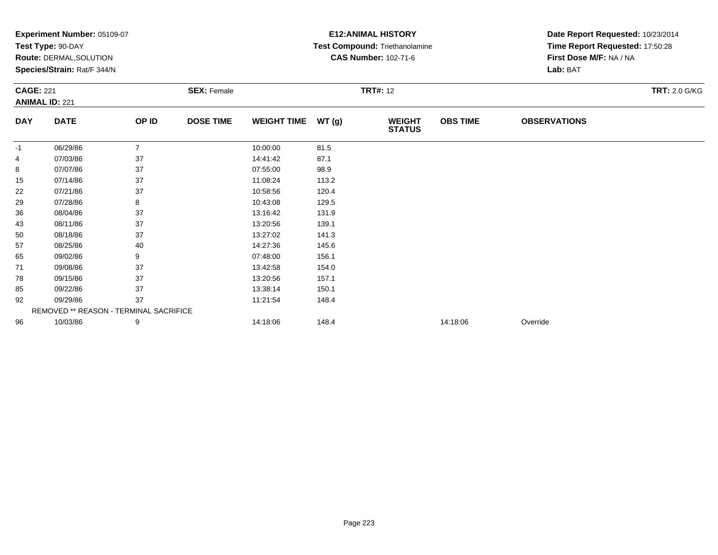|                  | Experiment Number: 05109-07            |                |                    |                    |       | <b>E12: ANIMAL HISTORY</b>     | Date Report Requested: 10/23/2014 |                                 |                      |
|------------------|----------------------------------------|----------------|--------------------|--------------------|-------|--------------------------------|-----------------------------------|---------------------------------|----------------------|
|                  | Test Type: 90-DAY                      |                |                    |                    |       | Test Compound: Triethanolamine |                                   | Time Report Requested: 17:50:28 |                      |
|                  | Route: DERMAL, SOLUTION                |                |                    |                    |       | <b>CAS Number: 102-71-6</b>    |                                   | First Dose M/F: NA / NA         |                      |
|                  | Species/Strain: Rat/F 344/N            |                |                    |                    |       |                                |                                   | Lab: BAT                        |                      |
| <b>CAGE: 221</b> |                                        |                | <b>SEX: Female</b> |                    |       | <b>TRT#: 12</b>                |                                   |                                 | <b>TRT: 2.0 G/KG</b> |
|                  | <b>ANIMAL ID: 221</b>                  |                |                    |                    |       |                                |                                   |                                 |                      |
| <b>DAY</b>       | <b>DATE</b>                            | OP ID          | <b>DOSE TIME</b>   | <b>WEIGHT TIME</b> | WT(g) | <b>WEIGHT</b><br><b>STATUS</b> | <b>OBS TIME</b>                   | <b>OBSERVATIONS</b>             |                      |
| -1               | 06/29/86                               | $\overline{7}$ |                    | 10:00:00           | 81.5  |                                |                                   |                                 |                      |
| 4                | 07/03/86                               | 37             |                    | 14:41:42           | 87.1  |                                |                                   |                                 |                      |
| 8                | 07/07/86                               | 37             |                    | 07:55:00           | 98.9  |                                |                                   |                                 |                      |
| 15               | 07/14/86                               | 37             |                    | 11:08:24           | 113.2 |                                |                                   |                                 |                      |
| 22               | 07/21/86                               | 37             |                    | 10:58:56           | 120.4 |                                |                                   |                                 |                      |
| 29               | 07/28/86                               | 8              |                    | 10:43:08           | 129.5 |                                |                                   |                                 |                      |
| 36               | 08/04/86                               | 37             |                    | 13:16:42           | 131.9 |                                |                                   |                                 |                      |
| 43               | 08/11/86                               | 37             |                    | 13:20:56           | 139.1 |                                |                                   |                                 |                      |
| 50               | 08/18/86                               | 37             |                    | 13:27:02           | 141.3 |                                |                                   |                                 |                      |
| 57               | 08/25/86                               | 40             |                    | 14:27:36           | 145.6 |                                |                                   |                                 |                      |
| 65               | 09/02/86                               | 9              |                    | 07:48:00           | 156.1 |                                |                                   |                                 |                      |
| 71               | 09/08/86                               | 37             |                    | 13:42:58           | 154.0 |                                |                                   |                                 |                      |
| 78               | 09/15/86                               | 37             |                    | 13:20:56           | 157.1 |                                |                                   |                                 |                      |
| 85               | 09/22/86                               | 37             |                    | 13:38:14           | 150.1 |                                |                                   |                                 |                      |
| 92               | 09/29/86                               | 37             |                    | 11:21:54           | 148.4 |                                |                                   |                                 |                      |
|                  | REMOVED ** REASON - TERMINAL SACRIFICE |                |                    |                    |       |                                |                                   |                                 |                      |
| 96               | 10/03/86                               | 9              |                    | 14:18:06           | 148.4 |                                | 14:18:06                          | Override                        |                      |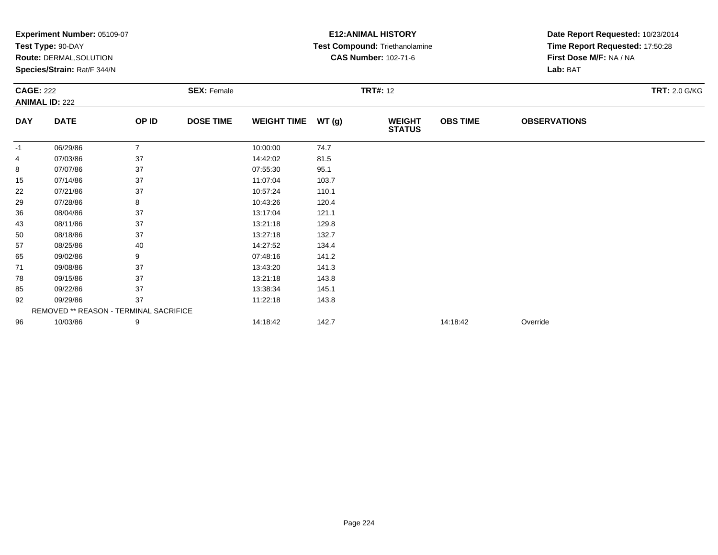|                  | Experiment Number: 05109-07            |                |                    |                    |       | <b>E12: ANIMAL HISTORY</b>            | Date Report Requested: 10/23/2014 |                                 |                      |  |
|------------------|----------------------------------------|----------------|--------------------|--------------------|-------|---------------------------------------|-----------------------------------|---------------------------------|----------------------|--|
|                  | Test Type: 90-DAY                      |                |                    |                    |       | <b>Test Compound: Triethanolamine</b> |                                   | Time Report Requested: 17:50:28 |                      |  |
|                  | Route: DERMAL, SOLUTION                |                |                    |                    |       | <b>CAS Number: 102-71-6</b>           |                                   | First Dose M/F: NA / NA         |                      |  |
|                  | Species/Strain: Rat/F 344/N            |                |                    |                    |       |                                       |                                   | Lab: BAT                        |                      |  |
| <b>CAGE: 222</b> |                                        |                | <b>SEX: Female</b> |                    |       | <b>TRT#: 12</b>                       |                                   |                                 | <b>TRT: 2.0 G/KG</b> |  |
|                  | <b>ANIMAL ID: 222</b>                  |                |                    |                    |       |                                       |                                   |                                 |                      |  |
| <b>DAY</b>       | <b>DATE</b>                            | OP ID          | <b>DOSE TIME</b>   | <b>WEIGHT TIME</b> | WT(g) | <b>WEIGHT</b><br><b>STATUS</b>        | <b>OBS TIME</b>                   | <b>OBSERVATIONS</b>             |                      |  |
| -1               | 06/29/86                               | $\overline{7}$ |                    | 10:00:00           | 74.7  |                                       |                                   |                                 |                      |  |
| 4                | 07/03/86                               | 37             |                    | 14:42:02           | 81.5  |                                       |                                   |                                 |                      |  |
| 8                | 07/07/86                               | 37             |                    | 07:55:30           | 95.1  |                                       |                                   |                                 |                      |  |
| 15               | 07/14/86                               | 37             |                    | 11:07:04           | 103.7 |                                       |                                   |                                 |                      |  |
| 22               | 07/21/86                               | 37             |                    | 10:57:24           | 110.1 |                                       |                                   |                                 |                      |  |
| 29               | 07/28/86                               | 8              |                    | 10:43:26           | 120.4 |                                       |                                   |                                 |                      |  |
| 36               | 08/04/86                               | 37             |                    | 13:17:04           | 121.1 |                                       |                                   |                                 |                      |  |
| 43               | 08/11/86                               | 37             |                    | 13:21:18           | 129.8 |                                       |                                   |                                 |                      |  |
| 50               | 08/18/86                               | 37             |                    | 13:27:18           | 132.7 |                                       |                                   |                                 |                      |  |
| 57               | 08/25/86                               | 40             |                    | 14:27:52           | 134.4 |                                       |                                   |                                 |                      |  |
| 65               | 09/02/86                               | 9              |                    | 07:48:16           | 141.2 |                                       |                                   |                                 |                      |  |
| 71               | 09/08/86                               | 37             |                    | 13:43:20           | 141.3 |                                       |                                   |                                 |                      |  |
| 78               | 09/15/86                               | 37             |                    | 13:21:18           | 143.8 |                                       |                                   |                                 |                      |  |
| 85               | 09/22/86                               | 37             |                    | 13:38:34           | 145.1 |                                       |                                   |                                 |                      |  |
| 92               | 09/29/86                               | 37             |                    | 11:22:18           | 143.8 |                                       |                                   |                                 |                      |  |
|                  | REMOVED ** REASON - TERMINAL SACRIFICE |                |                    |                    |       |                                       |                                   |                                 |                      |  |
| 96               | 10/03/86                               | 9              |                    | 14:18:42           | 142.7 |                                       | 14:18:42                          | Override                        |                      |  |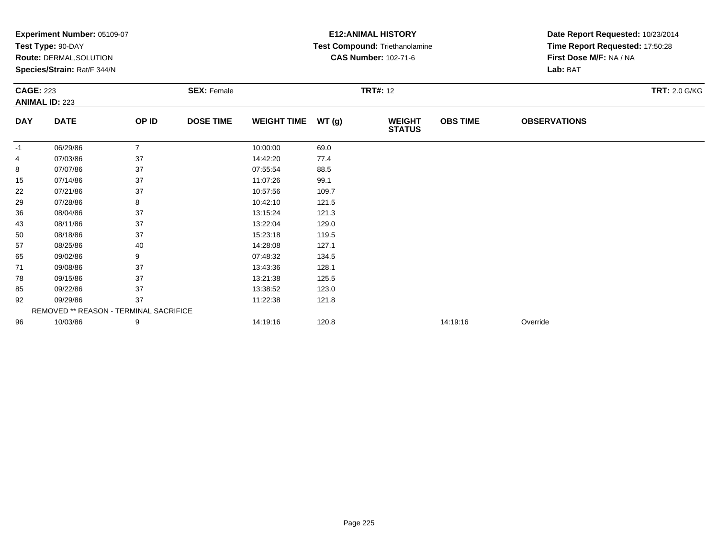|                  | Experiment Number: 05109-07            |                |                    |                    |       | <b>E12: ANIMAL HISTORY</b>     | Date Report Requested: 10/23/2014 |                                 |                      |  |
|------------------|----------------------------------------|----------------|--------------------|--------------------|-------|--------------------------------|-----------------------------------|---------------------------------|----------------------|--|
|                  | Test Type: 90-DAY                      |                |                    |                    |       | Test Compound: Triethanolamine |                                   | Time Report Requested: 17:50:28 |                      |  |
|                  | Route: DERMAL, SOLUTION                |                |                    |                    |       | <b>CAS Number: 102-71-6</b>    |                                   | First Dose M/F: NA / NA         |                      |  |
|                  | Species/Strain: Rat/F 344/N            |                |                    |                    |       |                                |                                   | Lab: BAT                        |                      |  |
| <b>CAGE: 223</b> |                                        |                | <b>SEX: Female</b> |                    |       | <b>TRT#: 12</b>                |                                   |                                 | <b>TRT: 2.0 G/KG</b> |  |
|                  | <b>ANIMAL ID: 223</b>                  |                |                    |                    |       |                                |                                   |                                 |                      |  |
| <b>DAY</b>       | <b>DATE</b>                            | OP ID          | <b>DOSE TIME</b>   | <b>WEIGHT TIME</b> | WT(g) | <b>WEIGHT</b><br><b>STATUS</b> | <b>OBS TIME</b>                   | <b>OBSERVATIONS</b>             |                      |  |
| -1               | 06/29/86                               | $\overline{7}$ |                    | 10:00:00           | 69.0  |                                |                                   |                                 |                      |  |
| 4                | 07/03/86                               | 37             |                    | 14:42:20           | 77.4  |                                |                                   |                                 |                      |  |
| 8                | 07/07/86                               | 37             |                    | 07:55:54           | 88.5  |                                |                                   |                                 |                      |  |
| 15               | 07/14/86                               | 37             |                    | 11:07:26           | 99.1  |                                |                                   |                                 |                      |  |
| 22               | 07/21/86                               | 37             |                    | 10:57:56           | 109.7 |                                |                                   |                                 |                      |  |
| 29               | 07/28/86                               | 8              |                    | 10:42:10           | 121.5 |                                |                                   |                                 |                      |  |
| 36               | 08/04/86                               | 37             |                    | 13:15:24           | 121.3 |                                |                                   |                                 |                      |  |
| 43               | 08/11/86                               | 37             |                    | 13:22:04           | 129.0 |                                |                                   |                                 |                      |  |
| 50               | 08/18/86                               | 37             |                    | 15:23:18           | 119.5 |                                |                                   |                                 |                      |  |
| 57               | 08/25/86                               | 40             |                    | 14:28:08           | 127.1 |                                |                                   |                                 |                      |  |
| 65               | 09/02/86                               | 9              |                    | 07:48:32           | 134.5 |                                |                                   |                                 |                      |  |
| 71               | 09/08/86                               | 37             |                    | 13:43:36           | 128.1 |                                |                                   |                                 |                      |  |
| 78               | 09/15/86                               | 37             |                    | 13:21:38           | 125.5 |                                |                                   |                                 |                      |  |
| 85               | 09/22/86                               | 37             |                    | 13:38:52           | 123.0 |                                |                                   |                                 |                      |  |
| 92               | 09/29/86                               | 37             |                    | 11:22:38           | 121.8 |                                |                                   |                                 |                      |  |
|                  | REMOVED ** REASON - TERMINAL SACRIFICE |                |                    |                    |       |                                |                                   |                                 |                      |  |
| 96               | 10/03/86                               | 9              |                    | 14:19:16           | 120.8 |                                | 14:19:16                          | Override                        |                      |  |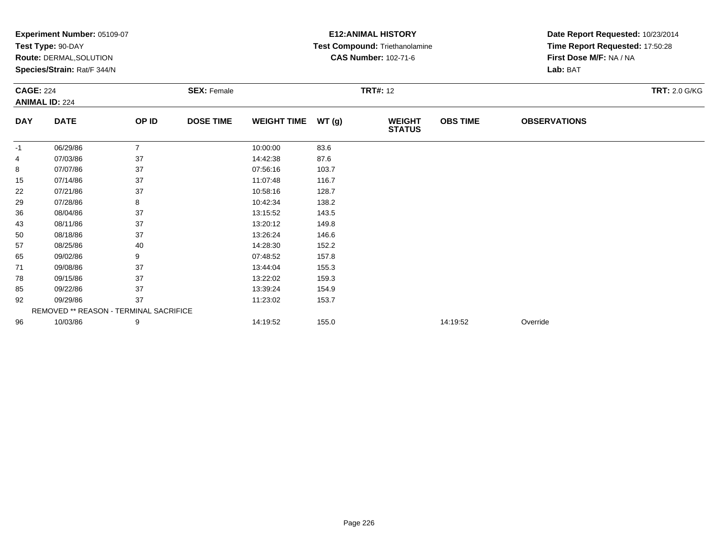|                  | Experiment Number: 05109-07            |                |                    |                    |       | <b>E12: ANIMAL HISTORY</b>            | Date Report Requested: 10/23/2014 |                                 |                      |
|------------------|----------------------------------------|----------------|--------------------|--------------------|-------|---------------------------------------|-----------------------------------|---------------------------------|----------------------|
|                  | Test Type: 90-DAY                      |                |                    |                    |       | <b>Test Compound: Triethanolamine</b> |                                   | Time Report Requested: 17:50:28 |                      |
|                  | Route: DERMAL, SOLUTION                |                |                    |                    |       | <b>CAS Number: 102-71-6</b>           |                                   | First Dose M/F: NA / NA         |                      |
|                  | Species/Strain: Rat/F 344/N            |                |                    |                    |       |                                       |                                   | Lab: BAT                        |                      |
| <b>CAGE: 224</b> |                                        |                | <b>SEX: Female</b> |                    |       | <b>TRT#: 12</b>                       |                                   |                                 | <b>TRT: 2.0 G/KG</b> |
|                  | <b>ANIMAL ID: 224</b>                  |                |                    |                    |       |                                       |                                   |                                 |                      |
| <b>DAY</b>       | <b>DATE</b>                            | OP ID          | <b>DOSE TIME</b>   | <b>WEIGHT TIME</b> | WT(g) | <b>WEIGHT</b><br><b>STATUS</b>        | <b>OBS TIME</b>                   | <b>OBSERVATIONS</b>             |                      |
| -1               | 06/29/86                               | $\overline{7}$ |                    | 10:00:00           | 83.6  |                                       |                                   |                                 |                      |
| 4                | 07/03/86                               | 37             |                    | 14:42:38           | 87.6  |                                       |                                   |                                 |                      |
| 8                | 07/07/86                               | 37             |                    | 07:56:16           | 103.7 |                                       |                                   |                                 |                      |
| 15               | 07/14/86                               | 37             |                    | 11:07:48           | 116.7 |                                       |                                   |                                 |                      |
| 22               | 07/21/86                               | 37             |                    | 10:58:16           | 128.7 |                                       |                                   |                                 |                      |
| 29               | 07/28/86                               | 8              |                    | 10:42:34           | 138.2 |                                       |                                   |                                 |                      |
| 36               | 08/04/86                               | 37             |                    | 13:15:52           | 143.5 |                                       |                                   |                                 |                      |
| 43               | 08/11/86                               | 37             |                    | 13:20:12           | 149.8 |                                       |                                   |                                 |                      |
| 50               | 08/18/86                               | 37             |                    | 13:26:24           | 146.6 |                                       |                                   |                                 |                      |
| 57               | 08/25/86                               | 40             |                    | 14:28:30           | 152.2 |                                       |                                   |                                 |                      |
| 65               | 09/02/86                               | 9              |                    | 07:48:52           | 157.8 |                                       |                                   |                                 |                      |
| 71               | 09/08/86                               | 37             |                    | 13:44:04           | 155.3 |                                       |                                   |                                 |                      |
| 78               | 09/15/86                               | 37             |                    | 13:22:02           | 159.3 |                                       |                                   |                                 |                      |
| 85               | 09/22/86                               | 37             |                    | 13:39:24           | 154.9 |                                       |                                   |                                 |                      |
| 92               | 09/29/86                               | 37             |                    | 11:23:02           | 153.7 |                                       |                                   |                                 |                      |
|                  | REMOVED ** REASON - TERMINAL SACRIFICE |                |                    |                    |       |                                       |                                   |                                 |                      |
| 96               | 10/03/86                               | 9              |                    | 14:19:52           | 155.0 |                                       | 14:19:52                          | Override                        |                      |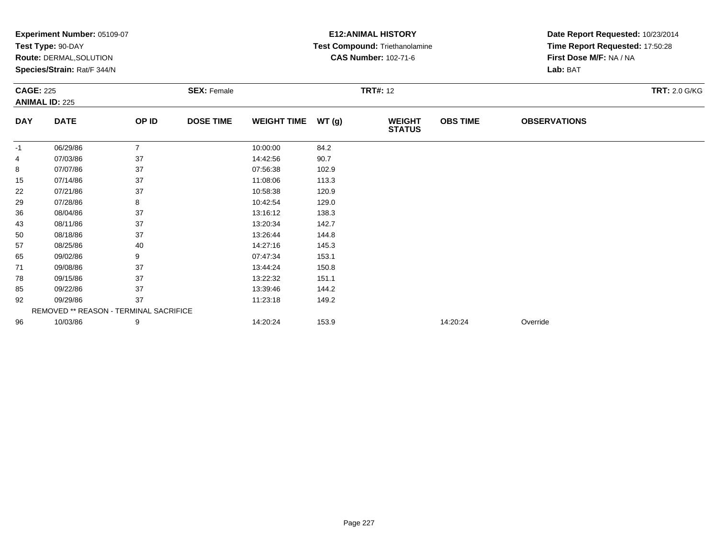|                  | Experiment Number: 05109-07            |                |                    | <b>E12: ANIMAL HISTORY</b> | Date Report Requested: 10/23/2014 |                                |                 |                                 |                      |  |
|------------------|----------------------------------------|----------------|--------------------|----------------------------|-----------------------------------|--------------------------------|-----------------|---------------------------------|----------------------|--|
|                  | Test Type: 90-DAY                      |                |                    |                            |                                   | Test Compound: Triethanolamine |                 | Time Report Requested: 17:50:28 |                      |  |
|                  | <b>Route: DERMAL, SOLUTION</b>         |                |                    |                            |                                   | <b>CAS Number: 102-71-6</b>    |                 | First Dose M/F: NA / NA         |                      |  |
|                  | Species/Strain: Rat/F 344/N            |                |                    |                            |                                   |                                |                 | Lab: BAT                        |                      |  |
| <b>CAGE: 225</b> | <b>ANIMAL ID: 225</b>                  |                | <b>SEX: Female</b> |                            |                                   | <b>TRT#: 12</b>                |                 |                                 | <b>TRT: 2.0 G/KG</b> |  |
|                  |                                        |                |                    |                            |                                   |                                |                 |                                 |                      |  |
| <b>DAY</b>       | <b>DATE</b>                            | OP ID          | <b>DOSE TIME</b>   | <b>WEIGHT TIME</b>         | WT(g)                             | <b>WEIGHT</b><br><b>STATUS</b> | <b>OBS TIME</b> | <b>OBSERVATIONS</b>             |                      |  |
| $-1$             | 06/29/86                               | $\overline{7}$ |                    | 10:00:00                   | 84.2                              |                                |                 |                                 |                      |  |
| 4                | 07/03/86                               | 37             |                    | 14:42:56                   | 90.7                              |                                |                 |                                 |                      |  |
| 8                | 07/07/86                               | 37             |                    | 07:56:38                   | 102.9                             |                                |                 |                                 |                      |  |
| 15               | 07/14/86                               | 37             |                    | 11:08:06                   | 113.3                             |                                |                 |                                 |                      |  |
| 22               | 07/21/86                               | 37             |                    | 10:58:38                   | 120.9                             |                                |                 |                                 |                      |  |
| 29               | 07/28/86                               | 8              |                    | 10:42:54                   | 129.0                             |                                |                 |                                 |                      |  |
| 36               | 08/04/86                               | 37             |                    | 13:16:12                   | 138.3                             |                                |                 |                                 |                      |  |
| 43               | 08/11/86                               | 37             |                    | 13:20:34                   | 142.7                             |                                |                 |                                 |                      |  |
| 50               | 08/18/86                               | 37             |                    | 13:26:44                   | 144.8                             |                                |                 |                                 |                      |  |
| 57               | 08/25/86                               | 40             |                    | 14:27:16                   | 145.3                             |                                |                 |                                 |                      |  |
| 65               | 09/02/86                               | 9              |                    | 07:47:34                   | 153.1                             |                                |                 |                                 |                      |  |
| 71               | 09/08/86                               | 37             |                    | 13:44:24                   | 150.8                             |                                |                 |                                 |                      |  |
| 78               | 09/15/86                               | 37             |                    | 13:22:32                   | 151.1                             |                                |                 |                                 |                      |  |
| 85               | 09/22/86                               | 37             |                    | 13:39:46                   | 144.2                             |                                |                 |                                 |                      |  |
| 92               | 09/29/86                               | 37             |                    | 11:23:18                   | 149.2                             |                                |                 |                                 |                      |  |
|                  | REMOVED ** REASON - TERMINAL SACRIFICE |                |                    |                            |                                   |                                |                 |                                 |                      |  |
| 96               | 10/03/86                               | 9              |                    | 14:20:24                   | 153.9                             |                                | 14:20:24        | Override                        |                      |  |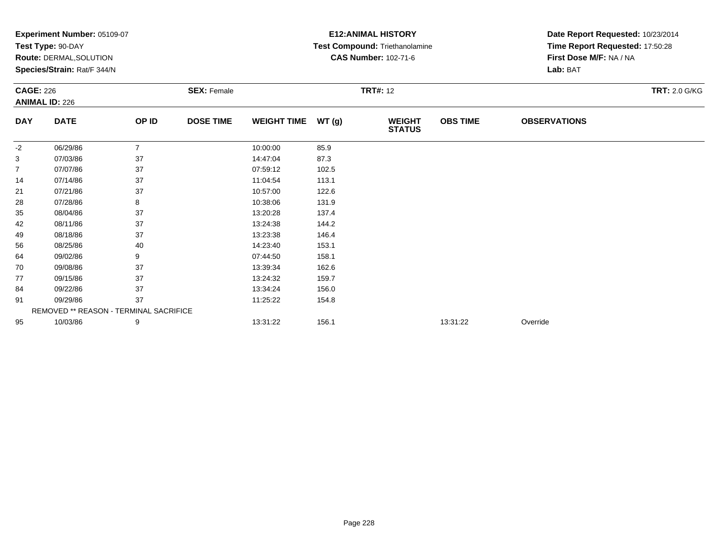|                  | Experiment Number: 05109-07            |                |                    |                    |       | <b>E12: ANIMAL HISTORY</b>     | Date Report Requested: 10/23/2014 |                                 |                      |  |
|------------------|----------------------------------------|----------------|--------------------|--------------------|-------|--------------------------------|-----------------------------------|---------------------------------|----------------------|--|
|                  | Test Type: 90-DAY                      |                |                    |                    |       | Test Compound: Triethanolamine |                                   | Time Report Requested: 17:50:28 |                      |  |
|                  | Route: DERMAL, SOLUTION                |                |                    |                    |       | <b>CAS Number: 102-71-6</b>    |                                   | First Dose M/F: NA / NA         |                      |  |
|                  | Species/Strain: Rat/F 344/N            |                |                    |                    |       |                                |                                   | Lab: BAT                        |                      |  |
| <b>CAGE: 226</b> |                                        |                | <b>SEX: Female</b> |                    |       | <b>TRT#: 12</b>                |                                   |                                 | <b>TRT: 2.0 G/KG</b> |  |
|                  | <b>ANIMAL ID: 226</b>                  |                |                    |                    |       |                                |                                   |                                 |                      |  |
| <b>DAY</b>       | <b>DATE</b>                            | OP ID          | <b>DOSE TIME</b>   | <b>WEIGHT TIME</b> | WT(g) | <b>WEIGHT</b><br><b>STATUS</b> | <b>OBS TIME</b>                   | <b>OBSERVATIONS</b>             |                      |  |
| -2               | 06/29/86                               | $\overline{7}$ |                    | 10:00:00           | 85.9  |                                |                                   |                                 |                      |  |
| 3                | 07/03/86                               | 37             |                    | 14:47:04           | 87.3  |                                |                                   |                                 |                      |  |
| $\overline{7}$   | 07/07/86                               | 37             |                    | 07:59:12           | 102.5 |                                |                                   |                                 |                      |  |
| 14               | 07/14/86                               | 37             |                    | 11:04:54           | 113.1 |                                |                                   |                                 |                      |  |
| 21               | 07/21/86                               | 37             |                    | 10:57:00           | 122.6 |                                |                                   |                                 |                      |  |
| 28               | 07/28/86                               | 8              |                    | 10:38:06           | 131.9 |                                |                                   |                                 |                      |  |
| 35               | 08/04/86                               | 37             |                    | 13:20:28           | 137.4 |                                |                                   |                                 |                      |  |
| 42               | 08/11/86                               | 37             |                    | 13:24:38           | 144.2 |                                |                                   |                                 |                      |  |
| 49               | 08/18/86                               | 37             |                    | 13:23:38           | 146.4 |                                |                                   |                                 |                      |  |
| 56               | 08/25/86                               | 40             |                    | 14:23:40           | 153.1 |                                |                                   |                                 |                      |  |
| 64               | 09/02/86                               | 9              |                    | 07:44:50           | 158.1 |                                |                                   |                                 |                      |  |
| 70               | 09/08/86                               | 37             |                    | 13:39:34           | 162.6 |                                |                                   |                                 |                      |  |
| 77               | 09/15/86                               | 37             |                    | 13:24:32           | 159.7 |                                |                                   |                                 |                      |  |
| 84               | 09/22/86                               | 37             |                    | 13:34:24           | 156.0 |                                |                                   |                                 |                      |  |
| 91               | 09/29/86                               | 37             |                    | 11:25:22           | 154.8 |                                |                                   |                                 |                      |  |
|                  | REMOVED ** REASON - TERMINAL SACRIFICE |                |                    |                    |       |                                |                                   |                                 |                      |  |
| 95               | 10/03/86                               | 9              |                    | 13:31:22           | 156.1 |                                | 13:31:22                          | Override                        |                      |  |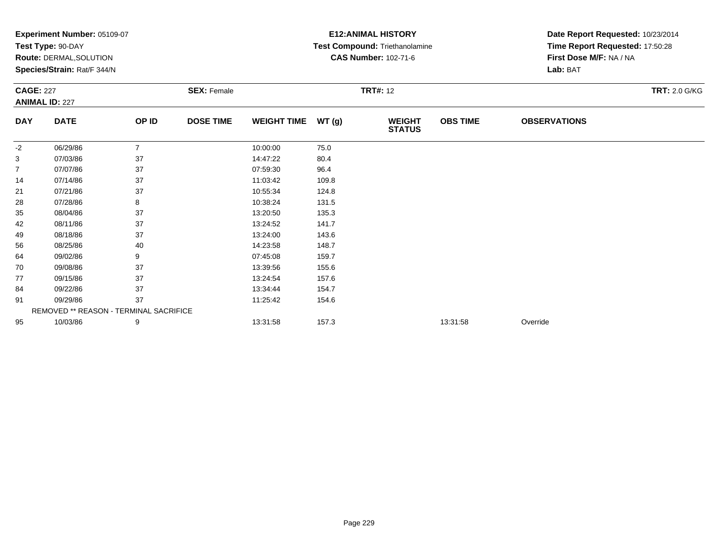|                  | Experiment Number: 05109-07<br>Test Type: 90-DAY       |                |                    |                    | <b>E12: ANIMAL HISTORY</b><br>Test Compound: Triethanolamine | Date Report Requested: 10/23/2014<br>Time Report Requested: 17:50:28 |                 |                         |                      |  |
|------------------|--------------------------------------------------------|----------------|--------------------|--------------------|--------------------------------------------------------------|----------------------------------------------------------------------|-----------------|-------------------------|----------------------|--|
|                  |                                                        |                |                    |                    |                                                              | <b>CAS Number: 102-71-6</b>                                          |                 | First Dose M/F: NA / NA |                      |  |
|                  | Route: DERMAL, SOLUTION<br>Species/Strain: Rat/F 344/N |                |                    |                    |                                                              |                                                                      |                 | Lab: BAT                |                      |  |
|                  |                                                        |                |                    |                    |                                                              |                                                                      |                 |                         |                      |  |
| <b>CAGE: 227</b> |                                                        |                | <b>SEX: Female</b> |                    |                                                              | <b>TRT#: 12</b>                                                      |                 |                         | <b>TRT: 2.0 G/KG</b> |  |
|                  | <b>ANIMAL ID: 227</b>                                  |                |                    |                    |                                                              |                                                                      |                 |                         |                      |  |
| <b>DAY</b>       | <b>DATE</b>                                            | OP ID          | <b>DOSE TIME</b>   | <b>WEIGHT TIME</b> | WT(g)                                                        | <b>WEIGHT</b><br><b>STATUS</b>                                       | <b>OBS TIME</b> | <b>OBSERVATIONS</b>     |                      |  |
| $-2$             | 06/29/86                                               | $\overline{7}$ |                    | 10:00:00           | 75.0                                                         |                                                                      |                 |                         |                      |  |
| 3                | 07/03/86                                               | 37             |                    | 14:47:22           | 80.4                                                         |                                                                      |                 |                         |                      |  |
| $\overline{7}$   | 07/07/86                                               | 37             |                    | 07:59:30           | 96.4                                                         |                                                                      |                 |                         |                      |  |
| 14               | 07/14/86                                               | 37             |                    | 11:03:42           | 109.8                                                        |                                                                      |                 |                         |                      |  |
| 21               | 07/21/86                                               | 37             |                    | 10:55:34           | 124.8                                                        |                                                                      |                 |                         |                      |  |
| 28               | 07/28/86                                               | 8              |                    | 10:38:24           | 131.5                                                        |                                                                      |                 |                         |                      |  |
| 35               | 08/04/86                                               | 37             |                    | 13:20:50           | 135.3                                                        |                                                                      |                 |                         |                      |  |
| 42               | 08/11/86                                               | 37             |                    | 13:24:52           | 141.7                                                        |                                                                      |                 |                         |                      |  |
| 49               | 08/18/86                                               | 37             |                    | 13:24:00           | 143.6                                                        |                                                                      |                 |                         |                      |  |
| 56               | 08/25/86                                               | 40             |                    | 14:23:58           | 148.7                                                        |                                                                      |                 |                         |                      |  |
| 64               | 09/02/86                                               | 9              |                    | 07:45:08           | 159.7                                                        |                                                                      |                 |                         |                      |  |
| 70               | 09/08/86                                               | 37             |                    | 13:39:56           | 155.6                                                        |                                                                      |                 |                         |                      |  |
| 77               | 09/15/86                                               | 37             |                    | 13:24:54           | 157.6                                                        |                                                                      |                 |                         |                      |  |
| 84               | 09/22/86                                               | 37             |                    | 13:34:44           | 154.7                                                        |                                                                      |                 |                         |                      |  |
| 91               | 09/29/86                                               | 37             |                    | 11:25:42           | 154.6                                                        |                                                                      |                 |                         |                      |  |
|                  | REMOVED ** REASON - TERMINAL SACRIFICE                 |                |                    |                    |                                                              |                                                                      |                 |                         |                      |  |
| 95               | 10/03/86                                               | 9              |                    | 13:31:58           | 157.3                                                        |                                                                      | 13:31:58        | Override                |                      |  |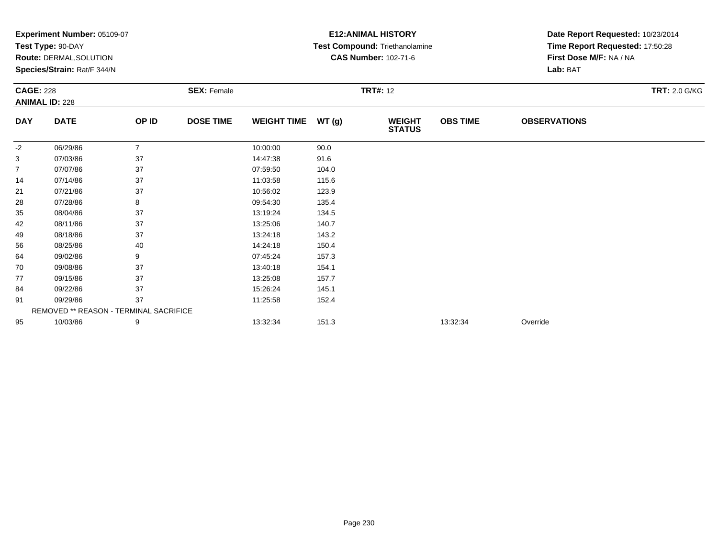|                  | Experiment Number: 05109-07            |                |                    | <b>E12: ANIMAL HISTORY</b> | Date Report Requested: 10/23/2014 |                                       |                 |                                 |                      |  |
|------------------|----------------------------------------|----------------|--------------------|----------------------------|-----------------------------------|---------------------------------------|-----------------|---------------------------------|----------------------|--|
|                  | Test Type: 90-DAY                      |                |                    |                            |                                   | <b>Test Compound: Triethanolamine</b> |                 | Time Report Requested: 17:50:28 |                      |  |
|                  | Route: DERMAL, SOLUTION                |                |                    |                            |                                   | <b>CAS Number: 102-71-6</b>           |                 | First Dose M/F: NA / NA         |                      |  |
|                  | Species/Strain: Rat/F 344/N            |                |                    |                            |                                   |                                       |                 | Lab: BAT                        |                      |  |
| <b>CAGE: 228</b> |                                        |                | <b>SEX: Female</b> |                            |                                   | <b>TRT#: 12</b>                       |                 |                                 | <b>TRT: 2.0 G/KG</b> |  |
|                  | <b>ANIMAL ID: 228</b>                  |                |                    |                            |                                   |                                       |                 |                                 |                      |  |
| <b>DAY</b>       | <b>DATE</b>                            | OP ID          | <b>DOSE TIME</b>   | <b>WEIGHT TIME</b>         | WT(g)                             | <b>WEIGHT</b><br><b>STATUS</b>        | <b>OBS TIME</b> | <b>OBSERVATIONS</b>             |                      |  |
| -2               | 06/29/86                               | $\overline{7}$ |                    | 10:00:00                   | 90.0                              |                                       |                 |                                 |                      |  |
| 3                | 07/03/86                               | 37             |                    | 14:47:38                   | 91.6                              |                                       |                 |                                 |                      |  |
| 7                | 07/07/86                               | 37             |                    | 07:59:50                   | 104.0                             |                                       |                 |                                 |                      |  |
| 14               | 07/14/86                               | 37             |                    | 11:03:58                   | 115.6                             |                                       |                 |                                 |                      |  |
| 21               | 07/21/86                               | 37             |                    | 10:56:02                   | 123.9                             |                                       |                 |                                 |                      |  |
| 28               | 07/28/86                               | 8              |                    | 09:54:30                   | 135.4                             |                                       |                 |                                 |                      |  |
| 35               | 08/04/86                               | 37             |                    | 13:19:24                   | 134.5                             |                                       |                 |                                 |                      |  |
| 42               | 08/11/86                               | 37             |                    | 13:25:06                   | 140.7                             |                                       |                 |                                 |                      |  |
| 49               | 08/18/86                               | 37             |                    | 13:24:18                   | 143.2                             |                                       |                 |                                 |                      |  |
| 56               | 08/25/86                               | 40             |                    | 14:24:18                   | 150.4                             |                                       |                 |                                 |                      |  |
| 64               | 09/02/86                               | 9              |                    | 07:45:24                   | 157.3                             |                                       |                 |                                 |                      |  |
| 70               | 09/08/86                               | 37             |                    | 13:40:18                   | 154.1                             |                                       |                 |                                 |                      |  |
| 77               | 09/15/86                               | 37             |                    | 13:25:08                   | 157.7                             |                                       |                 |                                 |                      |  |
| 84               | 09/22/86                               | 37             |                    | 15:26:24                   | 145.1                             |                                       |                 |                                 |                      |  |
| 91               | 09/29/86                               | 37             |                    | 11:25:58                   | 152.4                             |                                       |                 |                                 |                      |  |
|                  | REMOVED ** REASON - TERMINAL SACRIFICE |                |                    |                            |                                   |                                       |                 |                                 |                      |  |
| 95               | 10/03/86                               | 9              |                    | 13:32:34                   | 151.3                             |                                       | 13:32:34        | Override                        |                      |  |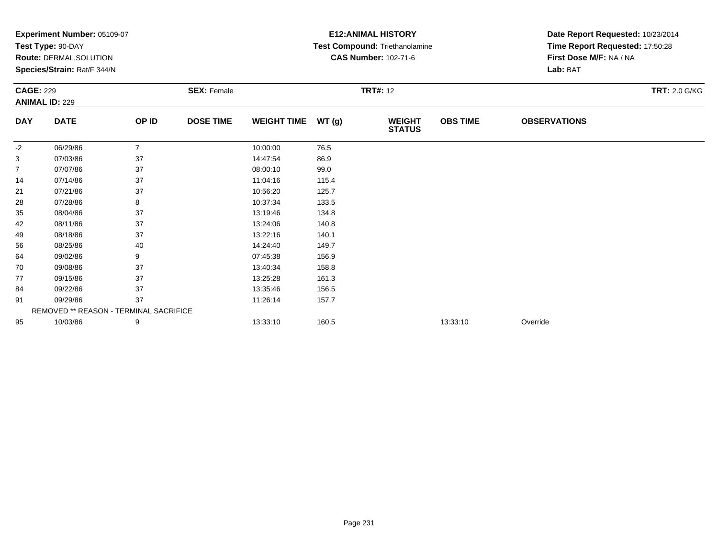|                  | Experiment Number: 05109-07            |                |                    | <b>E12: ANIMAL HISTORY</b> | Date Report Requested: 10/23/2014 |                                       |                 |                                 |                      |  |
|------------------|----------------------------------------|----------------|--------------------|----------------------------|-----------------------------------|---------------------------------------|-----------------|---------------------------------|----------------------|--|
|                  | Test Type: 90-DAY                      |                |                    |                            |                                   | <b>Test Compound: Triethanolamine</b> |                 | Time Report Requested: 17:50:28 |                      |  |
|                  | Route: DERMAL, SOLUTION                |                |                    |                            |                                   | <b>CAS Number: 102-71-6</b>           |                 | First Dose M/F: NA / NA         |                      |  |
|                  | Species/Strain: Rat/F 344/N            |                |                    |                            |                                   |                                       |                 | Lab: BAT                        |                      |  |
| <b>CAGE: 229</b> |                                        |                | <b>SEX: Female</b> |                            | <b>TRT#: 12</b>                   |                                       |                 |                                 | <b>TRT: 2.0 G/KG</b> |  |
|                  | <b>ANIMAL ID: 229</b>                  |                |                    |                            |                                   |                                       |                 |                                 |                      |  |
| <b>DAY</b>       | <b>DATE</b>                            | OP ID          | <b>DOSE TIME</b>   | <b>WEIGHT TIME</b>         | WT(g)                             | <b>WEIGHT</b><br><b>STATUS</b>        | <b>OBS TIME</b> | <b>OBSERVATIONS</b>             |                      |  |
| -2               | 06/29/86                               | $\overline{7}$ |                    | 10:00:00                   | 76.5                              |                                       |                 |                                 |                      |  |
| 3                | 07/03/86                               | 37             |                    | 14:47:54                   | 86.9                              |                                       |                 |                                 |                      |  |
| 7                | 07/07/86                               | 37             |                    | 08:00:10                   | 99.0                              |                                       |                 |                                 |                      |  |
| 14               | 07/14/86                               | 37             |                    | 11:04:16                   | 115.4                             |                                       |                 |                                 |                      |  |
| 21               | 07/21/86                               | 37             |                    | 10:56:20                   | 125.7                             |                                       |                 |                                 |                      |  |
| 28               | 07/28/86                               | 8              |                    | 10:37:34                   | 133.5                             |                                       |                 |                                 |                      |  |
| 35               | 08/04/86                               | 37             |                    | 13:19:46                   | 134.8                             |                                       |                 |                                 |                      |  |
| 42               | 08/11/86                               | 37             |                    | 13:24:06                   | 140.8                             |                                       |                 |                                 |                      |  |
| 49               | 08/18/86                               | 37             |                    | 13:22:16                   | 140.1                             |                                       |                 |                                 |                      |  |
| 56               | 08/25/86                               | 40             |                    | 14:24:40                   | 149.7                             |                                       |                 |                                 |                      |  |
| 64               | 09/02/86                               | 9              |                    | 07:45:38                   | 156.9                             |                                       |                 |                                 |                      |  |
| 70               | 09/08/86                               | 37             |                    | 13:40:34                   | 158.8                             |                                       |                 |                                 |                      |  |
| 77               | 09/15/86                               | 37             |                    | 13:25:28                   | 161.3                             |                                       |                 |                                 |                      |  |
| 84               | 09/22/86                               | 37             |                    | 13:35:46                   | 156.5                             |                                       |                 |                                 |                      |  |
| 91               | 09/29/86                               | 37             |                    | 11:26:14                   | 157.7                             |                                       |                 |                                 |                      |  |
|                  | REMOVED ** REASON - TERMINAL SACRIFICE |                |                    |                            |                                   |                                       |                 |                                 |                      |  |
| 95               | 10/03/86                               | 9              |                    | 13:33:10                   | 160.5                             |                                       | 13:33:10        | Override                        |                      |  |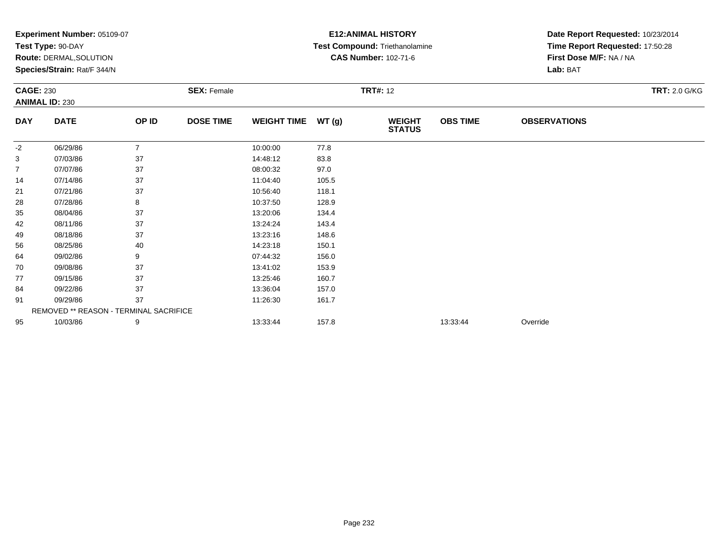|                  | Experiment Number: 05109-07            |                |                    | <b>E12: ANIMAL HISTORY</b> | Date Report Requested: 10/23/2014 |                                       |                 |                                 |                      |  |
|------------------|----------------------------------------|----------------|--------------------|----------------------------|-----------------------------------|---------------------------------------|-----------------|---------------------------------|----------------------|--|
|                  | Test Type: 90-DAY                      |                |                    |                            |                                   | <b>Test Compound: Triethanolamine</b> |                 | Time Report Requested: 17:50:28 |                      |  |
|                  | Route: DERMAL, SOLUTION                |                |                    |                            |                                   | <b>CAS Number: 102-71-6</b>           |                 | First Dose M/F: NA / NA         |                      |  |
|                  | Species/Strain: Rat/F 344/N            |                |                    |                            |                                   |                                       |                 | Lab: BAT                        |                      |  |
| <b>CAGE: 230</b> |                                        |                | <b>SEX: Female</b> | <b>TRT#: 12</b>            |                                   |                                       |                 |                                 | <b>TRT: 2.0 G/KG</b> |  |
|                  | <b>ANIMAL ID: 230</b>                  |                |                    |                            |                                   |                                       |                 |                                 |                      |  |
| <b>DAY</b>       | <b>DATE</b>                            | OP ID          | <b>DOSE TIME</b>   | <b>WEIGHT TIME</b>         | WT(g)                             | <b>WEIGHT</b><br><b>STATUS</b>        | <b>OBS TIME</b> | <b>OBSERVATIONS</b>             |                      |  |
| -2               | 06/29/86                               | $\overline{7}$ |                    | 10:00:00                   | 77.8                              |                                       |                 |                                 |                      |  |
| 3                | 07/03/86                               | 37             |                    | 14:48:12                   | 83.8                              |                                       |                 |                                 |                      |  |
| 7                | 07/07/86                               | 37             |                    | 08:00:32                   | 97.0                              |                                       |                 |                                 |                      |  |
| 14               | 07/14/86                               | 37             |                    | 11:04:40                   | 105.5                             |                                       |                 |                                 |                      |  |
| 21               | 07/21/86                               | 37             |                    | 10:56:40                   | 118.1                             |                                       |                 |                                 |                      |  |
| 28               | 07/28/86                               | 8              |                    | 10:37:50                   | 128.9                             |                                       |                 |                                 |                      |  |
| 35               | 08/04/86                               | 37             |                    | 13:20:06                   | 134.4                             |                                       |                 |                                 |                      |  |
| 42               | 08/11/86                               | 37             |                    | 13:24:24                   | 143.4                             |                                       |                 |                                 |                      |  |
| 49               | 08/18/86                               | 37             |                    | 13:23:16                   | 148.6                             |                                       |                 |                                 |                      |  |
| 56               | 08/25/86                               | 40             |                    | 14:23:18                   | 150.1                             |                                       |                 |                                 |                      |  |
| 64               | 09/02/86                               | 9              |                    | 07:44:32                   | 156.0                             |                                       |                 |                                 |                      |  |
| 70               | 09/08/86                               | 37             |                    | 13:41:02                   | 153.9                             |                                       |                 |                                 |                      |  |
| 77               | 09/15/86                               | 37             |                    | 13:25:46                   | 160.7                             |                                       |                 |                                 |                      |  |
| 84               | 09/22/86                               | 37             |                    | 13:36:04                   | 157.0                             |                                       |                 |                                 |                      |  |
| 91               | 09/29/86                               | 37             |                    | 11:26:30                   | 161.7                             |                                       |                 |                                 |                      |  |
|                  | REMOVED ** REASON - TERMINAL SACRIFICE |                |                    |                            |                                   |                                       |                 |                                 |                      |  |
| 95               | 10/03/86                               | 9              |                    | 13:33:44                   | 157.8                             |                                       | 13:33:44        | Override                        |                      |  |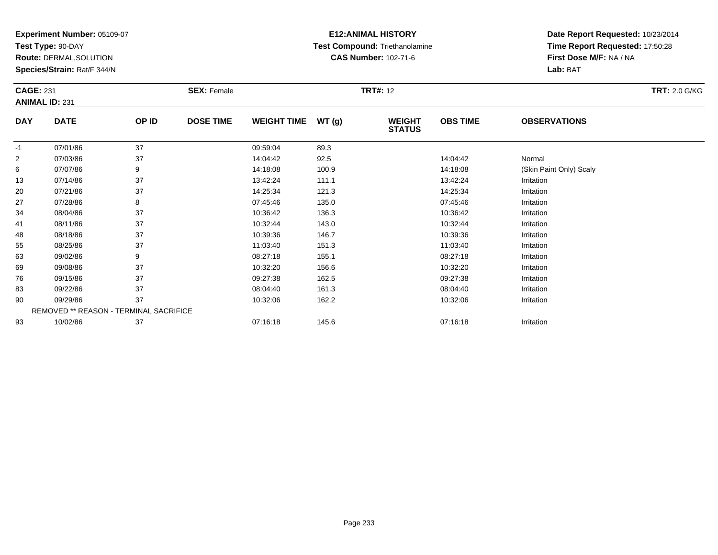**Test Type:** 90-DAY

**Route:** DERMAL,SOLUTION

**Species/Strain:** Rat/F 344/N

### **E12:ANIMAL HISTORY Test Compound:** Triethanolamine**CAS Number:** 102-71-6

| <b>CAGE: 231</b> | <b>ANIMAL ID: 231</b>                  |       | <b>SEX: Female</b> |                    |       | <b>TRT#: 12</b>                |                 |                         | <b>TRT: 2.0 G/KG</b> |
|------------------|----------------------------------------|-------|--------------------|--------------------|-------|--------------------------------|-----------------|-------------------------|----------------------|
|                  |                                        |       |                    |                    |       |                                |                 |                         |                      |
| <b>DAY</b>       | <b>DATE</b>                            | OP ID | <b>DOSE TIME</b>   | <b>WEIGHT TIME</b> | WT(g) | <b>WEIGHT</b><br><b>STATUS</b> | <b>OBS TIME</b> | <b>OBSERVATIONS</b>     |                      |
| $-1$             | 07/01/86                               | 37    |                    | 09:59:04           | 89.3  |                                |                 |                         |                      |
| $\overline{2}$   | 07/03/86                               | 37    |                    | 14:04:42           | 92.5  |                                | 14:04:42        | Normal                  |                      |
| 6                | 07/07/86                               | 9     |                    | 14:18:08           | 100.9 |                                | 14:18:08        | (Skin Paint Only) Scaly |                      |
| 13               | 07/14/86                               | 37    |                    | 13:42:24           | 111.1 |                                | 13:42:24        | Irritation              |                      |
| 20               | 07/21/86                               | 37    |                    | 14:25:34           | 121.3 |                                | 14:25:34        | Irritation              |                      |
| 27               | 07/28/86                               | 8     |                    | 07:45:46           | 135.0 |                                | 07:45:46        | Irritation              |                      |
| 34               | 08/04/86                               | 37    |                    | 10:36:42           | 136.3 |                                | 10:36:42        | Irritation              |                      |
| 41               | 08/11/86                               | 37    |                    | 10:32:44           | 143.0 |                                | 10:32:44        | Irritation              |                      |
| 48               | 08/18/86                               | 37    |                    | 10:39:36           | 146.7 |                                | 10:39:36        | Irritation              |                      |
| 55               | 08/25/86                               | 37    |                    | 11:03:40           | 151.3 |                                | 11:03:40        | Irritation              |                      |
| 63               | 09/02/86                               | 9     |                    | 08:27:18           | 155.1 |                                | 08:27:18        | Irritation              |                      |
| 69               | 09/08/86                               | 37    |                    | 10:32:20           | 156.6 |                                | 10:32:20        | Irritation              |                      |
| 76               | 09/15/86                               | 37    |                    | 09:27:38           | 162.5 |                                | 09:27:38        | Irritation              |                      |
| 83               | 09/22/86                               | 37    |                    | 08:04:40           | 161.3 |                                | 08:04:40        | Irritation              |                      |
| 90               | 09/29/86                               | 37    |                    | 10:32:06           | 162.2 |                                | 10:32:06        | Irritation              |                      |
|                  | REMOVED ** REASON - TERMINAL SACRIFICE |       |                    |                    |       |                                |                 |                         |                      |
| 93               | 10/02/86                               | 37    |                    | 07:16:18           | 145.6 |                                | 07:16:18        | Irritation              |                      |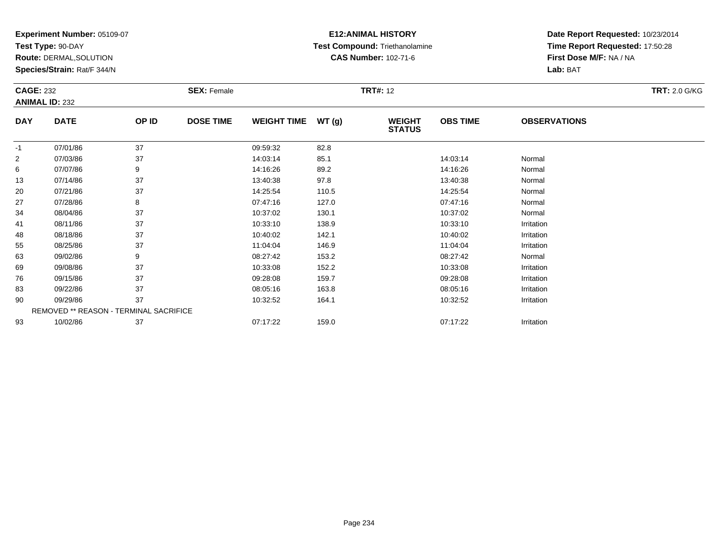**Test Type:** 90-DAY

**Route:** DERMAL,SOLUTION

**Species/Strain:** Rat/F 344/N

# **E12:ANIMAL HISTORY Test Compound:** Triethanolamine**CAS Number:** 102-71-6

| <b>CAGE: 232</b> |                                        |       | <b>SEX: Female</b> |                    |       | <b>TRT#: 12</b>                |                 |                     | <b>TRT: 2.0 G/KG</b> |
|------------------|----------------------------------------|-------|--------------------|--------------------|-------|--------------------------------|-----------------|---------------------|----------------------|
|                  | <b>ANIMAL ID: 232</b>                  |       |                    |                    |       |                                |                 |                     |                      |
| <b>DAY</b>       | <b>DATE</b>                            | OP ID | <b>DOSE TIME</b>   | <b>WEIGHT TIME</b> | WT(g) | <b>WEIGHT</b><br><b>STATUS</b> | <b>OBS TIME</b> | <b>OBSERVATIONS</b> |                      |
| $-1$             | 07/01/86                               | 37    |                    | 09:59:32           | 82.8  |                                |                 |                     |                      |
| $\overline{2}$   | 07/03/86                               | 37    |                    | 14:03:14           | 85.1  |                                | 14:03:14        | Normal              |                      |
| 6                | 07/07/86                               | 9     |                    | 14:16:26           | 89.2  |                                | 14:16:26        | Normal              |                      |
| 13               | 07/14/86                               | 37    |                    | 13:40:38           | 97.8  |                                | 13:40:38        | Normal              |                      |
| 20               | 07/21/86                               | 37    |                    | 14:25:54           | 110.5 |                                | 14:25:54        | Normal              |                      |
| 27               | 07/28/86                               | 8     |                    | 07:47:16           | 127.0 |                                | 07:47:16        | Normal              |                      |
| 34               | 08/04/86                               | 37    |                    | 10:37:02           | 130.1 |                                | 10:37:02        | Normal              |                      |
| 41               | 08/11/86                               | 37    |                    | 10:33:10           | 138.9 |                                | 10:33:10        | Irritation          |                      |
| 48               | 08/18/86                               | 37    |                    | 10:40:02           | 142.1 |                                | 10:40:02        | Irritation          |                      |
| 55               | 08/25/86                               | 37    |                    | 11:04:04           | 146.9 |                                | 11:04:04        | Irritation          |                      |
| 63               | 09/02/86                               | 9     |                    | 08:27:42           | 153.2 |                                | 08:27:42        | Normal              |                      |
| 69               | 09/08/86                               | 37    |                    | 10:33:08           | 152.2 |                                | 10:33:08        | Irritation          |                      |
| 76               | 09/15/86                               | 37    |                    | 09:28:08           | 159.7 |                                | 09:28:08        | Irritation          |                      |
| 83               | 09/22/86                               | 37    |                    | 08:05:16           | 163.8 |                                | 08:05:16        | Irritation          |                      |
| 90               | 09/29/86                               | 37    |                    | 10:32:52           | 164.1 |                                | 10:32:52        | Irritation          |                      |
|                  | REMOVED ** REASON - TERMINAL SACRIFICE |       |                    |                    |       |                                |                 |                     |                      |
| 93               | 10/02/86                               | 37    |                    | 07:17:22           | 159.0 |                                | 07:17:22        | Irritation          |                      |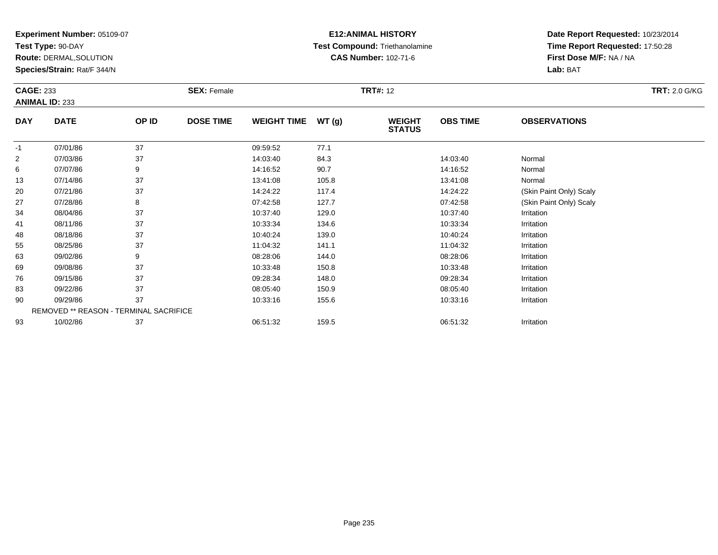**Test Type:** 90-DAY

**Route:** DERMAL,SOLUTION

**Species/Strain:** Rat/F 344/N

### **E12:ANIMAL HISTORY Test Compound:** Triethanolamine**CAS Number:** 102-71-6

| <b>CAGE: 233</b> | <b>ANIMAL ID: 233</b>                  |       | <b>SEX: Female</b> |                    |        | <b>TRT#: 12</b>                |                 |                         | <b>TRT: 2.0 G/KG</b> |
|------------------|----------------------------------------|-------|--------------------|--------------------|--------|--------------------------------|-----------------|-------------------------|----------------------|
| <b>DAY</b>       | <b>DATE</b>                            | OP ID | <b>DOSE TIME</b>   | <b>WEIGHT TIME</b> | WT (g) | <b>WEIGHT</b><br><b>STATUS</b> | <b>OBS TIME</b> | <b>OBSERVATIONS</b>     |                      |
| $-1$             | 07/01/86                               | 37    |                    | 09:59:52           | 77.1   |                                |                 |                         |                      |
| $\overline{2}$   | 07/03/86                               | 37    |                    | 14:03:40           | 84.3   |                                | 14:03:40        | Normal                  |                      |
| 6                | 07/07/86                               | 9     |                    | 14:16:52           | 90.7   |                                | 14:16:52        | Normal                  |                      |
| 13               | 07/14/86                               | 37    |                    | 13:41:08           | 105.8  |                                | 13:41:08        | Normal                  |                      |
| 20               | 07/21/86                               | 37    |                    | 14:24:22           | 117.4  |                                | 14:24:22        | (Skin Paint Only) Scaly |                      |
| 27               | 07/28/86                               | 8     |                    | 07:42:58           | 127.7  |                                | 07:42:58        | (Skin Paint Only) Scaly |                      |
| 34               | 08/04/86                               | 37    |                    | 10:37:40           | 129.0  |                                | 10:37:40        | Irritation              |                      |
| 41               | 08/11/86                               | 37    |                    | 10:33:34           | 134.6  |                                | 10:33:34        | Irritation              |                      |
| 48               | 08/18/86                               | 37    |                    | 10:40:24           | 139.0  |                                | 10:40:24        | Irritation              |                      |
| 55               | 08/25/86                               | 37    |                    | 11:04:32           | 141.1  |                                | 11:04:32        | Irritation              |                      |
| 63               | 09/02/86                               | 9     |                    | 08:28:06           | 144.0  |                                | 08:28:06        | Irritation              |                      |
| 69               | 09/08/86                               | 37    |                    | 10:33:48           | 150.8  |                                | 10:33:48        | Irritation              |                      |
| 76               | 09/15/86                               | 37    |                    | 09:28:34           | 148.0  |                                | 09:28:34        | Irritation              |                      |
| 83               | 09/22/86                               | 37    |                    | 08:05:40           | 150.9  |                                | 08:05:40        | Irritation              |                      |
| 90               | 09/29/86                               | 37    |                    | 10:33:16           | 155.6  |                                | 10:33:16        | Irritation              |                      |
|                  | REMOVED ** REASON - TERMINAL SACRIFICE |       |                    |                    |        |                                |                 |                         |                      |
| 93               | 10/02/86                               | 37    |                    | 06:51:32           | 159.5  |                                | 06:51:32        | Irritation              |                      |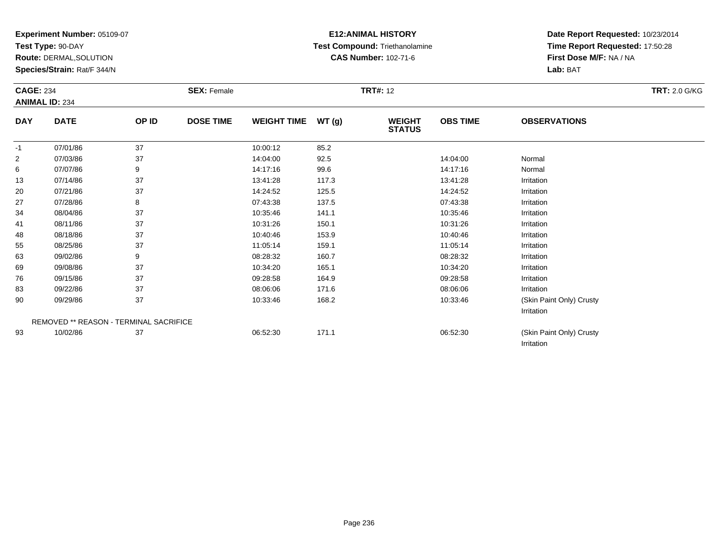**Test Type:** 90-DAY

**Route:** DERMAL,SOLUTION

**Species/Strain:** Rat/F 344/N

# **E12:ANIMAL HISTORY Test Compound:** Triethanolamine**CAS Number:** 102-71-6

| <b>CAGE: 234</b> | <b>ANIMAL ID: 234</b> |                                        | <b>SEX: Female</b> |                    |       | <b>TRT#: 12</b>                |                 |                                        | <b>TRT: 2.0 G/KG</b> |
|------------------|-----------------------|----------------------------------------|--------------------|--------------------|-------|--------------------------------|-----------------|----------------------------------------|----------------------|
| <b>DAY</b>       | <b>DATE</b>           | OP ID                                  | <b>DOSE TIME</b>   | <b>WEIGHT TIME</b> | WT(g) | <b>WEIGHT</b><br><b>STATUS</b> | <b>OBS TIME</b> | <b>OBSERVATIONS</b>                    |                      |
| $-1$             | 07/01/86              | 37                                     |                    | 10:00:12           | 85.2  |                                |                 |                                        |                      |
| 2                | 07/03/86              | 37                                     |                    | 14:04:00           | 92.5  |                                | 14:04:00        | Normal                                 |                      |
| 6                | 07/07/86              | 9                                      |                    | 14:17:16           | 99.6  |                                | 14:17:16        | Normal                                 |                      |
| 13               | 07/14/86              | 37                                     |                    | 13:41:28           | 117.3 |                                | 13:41:28        | Irritation                             |                      |
| 20               | 07/21/86              | 37                                     |                    | 14:24:52           | 125.5 |                                | 14:24:52        | Irritation                             |                      |
| 27               | 07/28/86              | 8                                      |                    | 07:43:38           | 137.5 |                                | 07:43:38        | Irritation                             |                      |
| 34               | 08/04/86              | 37                                     |                    | 10:35:46           | 141.1 |                                | 10:35:46        | Irritation                             |                      |
| 41               | 08/11/86              | 37                                     |                    | 10:31:26           | 150.1 |                                | 10:31:26        | Irritation                             |                      |
| 48               | 08/18/86              | 37                                     |                    | 10:40:46           | 153.9 |                                | 10:40:46        | Irritation                             |                      |
| 55               | 08/25/86              | 37                                     |                    | 11:05:14           | 159.1 |                                | 11:05:14        | Irritation                             |                      |
| 63               | 09/02/86              | 9                                      |                    | 08:28:32           | 160.7 |                                | 08:28:32        | Irritation                             |                      |
| 69               | 09/08/86              | 37                                     |                    | 10:34:20           | 165.1 |                                | 10:34:20        | Irritation                             |                      |
| 76               | 09/15/86              | 37                                     |                    | 09:28:58           | 164.9 |                                | 09:28:58        | Irritation                             |                      |
| 83               | 09/22/86              | 37                                     |                    | 08:06:06           | 171.6 |                                | 08:06:06        | Irritation                             |                      |
| 90               | 09/29/86              | 37                                     |                    | 10:33:46           | 168.2 |                                | 10:33:46        | (Skin Paint Only) Crusty               |                      |
|                  |                       |                                        |                    |                    |       |                                |                 | Irritation                             |                      |
|                  |                       | REMOVED ** REASON - TERMINAL SACRIFICE |                    |                    |       |                                |                 |                                        |                      |
| 93               | 10/02/86              | 37                                     |                    | 06:52:30           | 171.1 |                                | 06:52:30        | (Skin Paint Only) Crusty<br>Irritation |                      |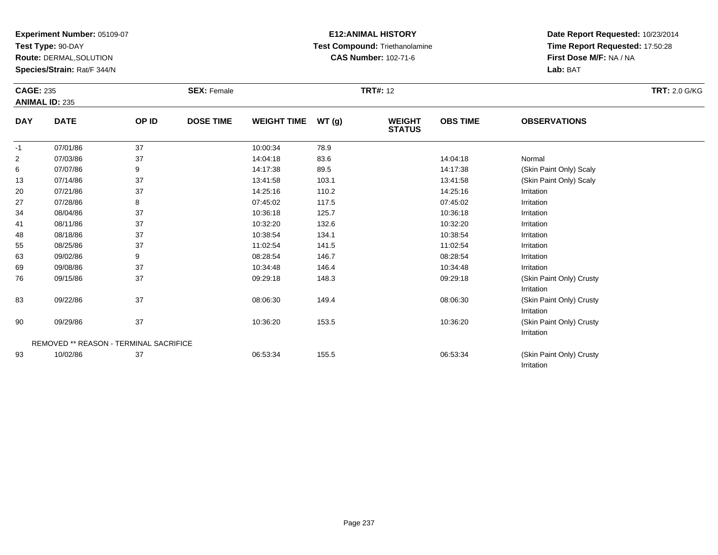**Test Type:** 90-DAY

**Route:** DERMAL,SOLUTION

**Species/Strain:** Rat/F 344/N

# **E12:ANIMAL HISTORY Test Compound:** Triethanolamine**CAS Number:** 102-71-6

**Date Report Requested:** 10/23/2014 **Time Report Requested:** 17:50:28**First Dose M/F:** NA / NA**Lab:** BAT

Irritation

| <b>CAGE: 235</b> | <b>ANIMAL ID: 235</b>                  |       | <b>SEX: Female</b> |                    |       | <b>TRT#: 12</b>                |                 |                                        | <b>TRT: 2.0 G/KG</b> |
|------------------|----------------------------------------|-------|--------------------|--------------------|-------|--------------------------------|-----------------|----------------------------------------|----------------------|
| <b>DAY</b>       | <b>DATE</b>                            | OP ID | <b>DOSE TIME</b>   | <b>WEIGHT TIME</b> | WT(g) | <b>WEIGHT</b><br><b>STATUS</b> | <b>OBS TIME</b> | <b>OBSERVATIONS</b>                    |                      |
| $-1$             | 07/01/86                               | 37    |                    | 10:00:34           | 78.9  |                                |                 |                                        |                      |
| $\overline{2}$   | 07/03/86                               | 37    |                    | 14:04:18           | 83.6  |                                | 14:04:18        | Normal                                 |                      |
| 6                | 07/07/86                               | 9     |                    | 14:17:38           | 89.5  |                                | 14:17:38        | (Skin Paint Only) Scaly                |                      |
| 13               | 07/14/86                               | 37    |                    | 13:41:58           | 103.1 |                                | 13:41:58        | (Skin Paint Only) Scaly                |                      |
| 20               | 07/21/86                               | 37    |                    | 14:25:16           | 110.2 |                                | 14:25:16        | Irritation                             |                      |
| 27               | 07/28/86                               | 8     |                    | 07:45:02           | 117.5 |                                | 07:45:02        | Irritation                             |                      |
| 34               | 08/04/86                               | 37    |                    | 10:36:18           | 125.7 |                                | 10:36:18        | Irritation                             |                      |
| 41               | 08/11/86                               | 37    |                    | 10:32:20           | 132.6 |                                | 10:32:20        | Irritation                             |                      |
| 48               | 08/18/86                               | 37    |                    | 10:38:54           | 134.1 |                                | 10:38:54        | Irritation                             |                      |
| 55               | 08/25/86                               | 37    |                    | 11:02:54           | 141.5 |                                | 11:02:54        | Irritation                             |                      |
| 63               | 09/02/86                               | 9     |                    | 08:28:54           | 146.7 |                                | 08:28:54        | Irritation                             |                      |
| 69               | 09/08/86                               | 37    |                    | 10:34:48           | 146.4 |                                | 10:34:48        | Irritation                             |                      |
| 76               | 09/15/86                               | 37    |                    | 09:29:18           | 148.3 |                                | 09:29:18        | (Skin Paint Only) Crusty<br>Irritation |                      |
| 83               | 09/22/86                               | 37    |                    | 08:06:30           | 149.4 |                                | 08:06:30        | (Skin Paint Only) Crusty<br>Irritation |                      |
| 90               | 09/29/86                               | 37    |                    | 10:36:20           | 153.5 |                                | 10:36:20        | (Skin Paint Only) Crusty<br>Irritation |                      |
|                  | REMOVED ** REASON - TERMINAL SACRIFICE |       |                    |                    |       |                                |                 |                                        |                      |
| 93               | 10/02/86                               | 37    |                    | 06:53:34           | 155.5 |                                | 06:53:34        | (Skin Paint Only) Crusty               |                      |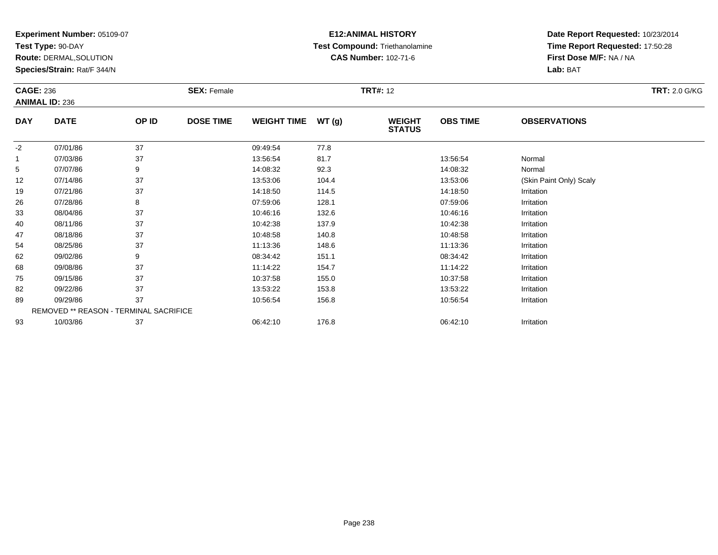**Test Type:** 90-DAY

**Route:** DERMAL,SOLUTION

**Species/Strain:** Rat/F 344/N

# **E12:ANIMAL HISTORY Test Compound:** Triethanolamine**CAS Number:** 102-71-6

| <b>CAGE: 236</b> |                                        |       | <b>SEX: Female</b> |                    |       | <b>TRT#: 12</b>                |                 |                         | <b>TRT: 2.0 G/KG</b> |
|------------------|----------------------------------------|-------|--------------------|--------------------|-------|--------------------------------|-----------------|-------------------------|----------------------|
|                  | <b>ANIMAL ID: 236</b>                  |       |                    |                    |       |                                |                 |                         |                      |
| <b>DAY</b>       | <b>DATE</b>                            | OP ID | <b>DOSE TIME</b>   | <b>WEIGHT TIME</b> | WT(g) | <b>WEIGHT</b><br><b>STATUS</b> | <b>OBS TIME</b> | <b>OBSERVATIONS</b>     |                      |
| $-2$             | 07/01/86                               | 37    |                    | 09:49:54           | 77.8  |                                |                 |                         |                      |
| $\mathbf{1}$     | 07/03/86                               | 37    |                    | 13:56:54           | 81.7  |                                | 13:56:54        | Normal                  |                      |
| 5                | 07/07/86                               | 9     |                    | 14:08:32           | 92.3  |                                | 14:08:32        | Normal                  |                      |
| 12               | 07/14/86                               | 37    |                    | 13:53:06           | 104.4 |                                | 13:53:06        | (Skin Paint Only) Scaly |                      |
| 19               | 07/21/86                               | 37    |                    | 14:18:50           | 114.5 |                                | 14:18:50        | Irritation              |                      |
| 26               | 07/28/86                               | 8     |                    | 07:59:06           | 128.1 |                                | 07:59:06        | Irritation              |                      |
| 33               | 08/04/86                               | 37    |                    | 10:46:16           | 132.6 |                                | 10:46:16        | Irritation              |                      |
| 40               | 08/11/86                               | 37    |                    | 10:42:38           | 137.9 |                                | 10:42:38        | Irritation              |                      |
| 47               | 08/18/86                               | 37    |                    | 10:48:58           | 140.8 |                                | 10:48:58        | Irritation              |                      |
| 54               | 08/25/86                               | 37    |                    | 11:13:36           | 148.6 |                                | 11:13:36        | Irritation              |                      |
| 62               | 09/02/86                               | 9     |                    | 08:34:42           | 151.1 |                                | 08:34:42        | Irritation              |                      |
| 68               | 09/08/86                               | 37    |                    | 11:14:22           | 154.7 |                                | 11:14:22        | Irritation              |                      |
| 75               | 09/15/86                               | 37    |                    | 10:37:58           | 155.0 |                                | 10:37:58        | Irritation              |                      |
| 82               | 09/22/86                               | 37    |                    | 13:53:22           | 153.8 |                                | 13:53:22        | Irritation              |                      |
| 89               | 09/29/86                               | 37    |                    | 10:56:54           | 156.8 |                                | 10:56:54        | Irritation              |                      |
|                  | REMOVED ** REASON - TERMINAL SACRIFICE |       |                    |                    |       |                                |                 |                         |                      |
| 93               | 10/03/86                               | 37    |                    | 06:42:10           | 176.8 |                                | 06:42:10        | Irritation              |                      |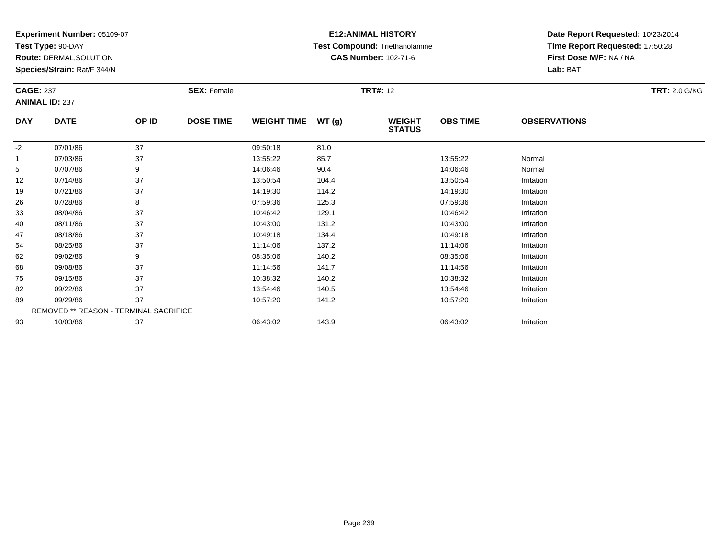**Test Type:** 90-DAY

**Route:** DERMAL,SOLUTION

**Species/Strain:** Rat/F 344/N

# **E12:ANIMAL HISTORY Test Compound:** Triethanolamine**CAS Number:** 102-71-6

| <b>CAGE: 237</b> |                                        |       | <b>SEX: Female</b> |                    |        | <b>TRT#: 12</b>                |                 |                     | <b>TRT: 2.0 G/KG</b> |
|------------------|----------------------------------------|-------|--------------------|--------------------|--------|--------------------------------|-----------------|---------------------|----------------------|
|                  | <b>ANIMAL ID: 237</b>                  |       |                    |                    |        |                                |                 |                     |                      |
| <b>DAY</b>       | <b>DATE</b>                            | OP ID | <b>DOSE TIME</b>   | <b>WEIGHT TIME</b> | WT (g) | <b>WEIGHT</b><br><b>STATUS</b> | <b>OBS TIME</b> | <b>OBSERVATIONS</b> |                      |
| $-2$             | 07/01/86                               | 37    |                    | 09:50:18           | 81.0   |                                |                 |                     |                      |
| $\mathbf{1}$     | 07/03/86                               | 37    |                    | 13:55:22           | 85.7   |                                | 13:55:22        | Normal              |                      |
| 5                | 07/07/86                               | 9     |                    | 14:06:46           | 90.4   |                                | 14:06:46        | Normal              |                      |
| 12               | 07/14/86                               | 37    |                    | 13:50:54           | 104.4  |                                | 13:50:54        | Irritation          |                      |
| 19               | 07/21/86                               | 37    |                    | 14:19:30           | 114.2  |                                | 14:19:30        | Irritation          |                      |
| 26               | 07/28/86                               | 8     |                    | 07:59:36           | 125.3  |                                | 07:59:36        | Irritation          |                      |
| 33               | 08/04/86                               | 37    |                    | 10:46:42           | 129.1  |                                | 10:46:42        | Irritation          |                      |
| 40               | 08/11/86                               | 37    |                    | 10:43:00           | 131.2  |                                | 10:43:00        | Irritation          |                      |
| 47               | 08/18/86                               | 37    |                    | 10:49:18           | 134.4  |                                | 10:49:18        | Irritation          |                      |
| 54               | 08/25/86                               | 37    |                    | 11:14:06           | 137.2  |                                | 11:14:06        | Irritation          |                      |
| 62               | 09/02/86                               | 9     |                    | 08:35:06           | 140.2  |                                | 08:35:06        | Irritation          |                      |
| 68               | 09/08/86                               | 37    |                    | 11:14:56           | 141.7  |                                | 11:14:56        | Irritation          |                      |
| 75               | 09/15/86                               | 37    |                    | 10:38:32           | 140.2  |                                | 10:38:32        | Irritation          |                      |
| 82               | 09/22/86                               | 37    |                    | 13:54:46           | 140.5  |                                | 13:54:46        | Irritation          |                      |
| 89               | 09/29/86                               | 37    |                    | 10:57:20           | 141.2  |                                | 10:57:20        | Irritation          |                      |
|                  | REMOVED ** REASON - TERMINAL SACRIFICE |       |                    |                    |        |                                |                 |                     |                      |
| 93               | 10/03/86                               | 37    |                    | 06:43:02           | 143.9  |                                | 06:43:02        | Irritation          |                      |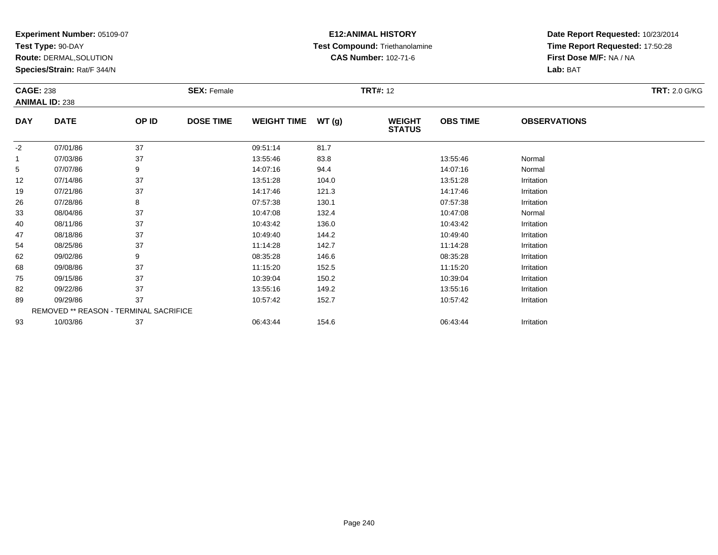**Test Type:** 90-DAY

**Route:** DERMAL,SOLUTION

**Species/Strain:** Rat/F 344/N

# **E12:ANIMAL HISTORY Test Compound:** Triethanolamine**CAS Number:** 102-71-6

| <b>CAGE: 238</b> |                                        |       | <b>SEX: Female</b> |                    |       | <b>TRT#: 12</b>                |                 |                     | <b>TRT: 2.0 G/KG</b> |
|------------------|----------------------------------------|-------|--------------------|--------------------|-------|--------------------------------|-----------------|---------------------|----------------------|
|                  | <b>ANIMAL ID: 238</b>                  |       |                    |                    |       |                                |                 |                     |                      |
| <b>DAY</b>       | <b>DATE</b>                            | OP ID | <b>DOSE TIME</b>   | <b>WEIGHT TIME</b> | WT(g) | <b>WEIGHT</b><br><b>STATUS</b> | <b>OBS TIME</b> | <b>OBSERVATIONS</b> |                      |
| $-2$             | 07/01/86                               | 37    |                    | 09:51:14           | 81.7  |                                |                 |                     |                      |
|                  | 07/03/86                               | 37    |                    | 13:55:46           | 83.8  |                                | 13:55:46        | Normal              |                      |
| 5                | 07/07/86                               | 9     |                    | 14:07:16           | 94.4  |                                | 14:07:16        | Normal              |                      |
| 12               | 07/14/86                               | 37    |                    | 13:51:28           | 104.0 |                                | 13:51:28        | Irritation          |                      |
| 19               | 07/21/86                               | 37    |                    | 14:17:46           | 121.3 |                                | 14:17:46        | Irritation          |                      |
| 26               | 07/28/86                               | 8     |                    | 07:57:38           | 130.1 |                                | 07:57:38        | Irritation          |                      |
| 33               | 08/04/86                               | 37    |                    | 10:47:08           | 132.4 |                                | 10:47:08        | Normal              |                      |
| 40               | 08/11/86                               | 37    |                    | 10:43:42           | 136.0 |                                | 10:43:42        | Irritation          |                      |
| 47               | 08/18/86                               | 37    |                    | 10:49:40           | 144.2 |                                | 10:49:40        | Irritation          |                      |
| 54               | 08/25/86                               | 37    |                    | 11:14:28           | 142.7 |                                | 11:14:28        | Irritation          |                      |
| 62               | 09/02/86                               | 9     |                    | 08:35:28           | 146.6 |                                | 08:35:28        | Irritation          |                      |
| 68               | 09/08/86                               | 37    |                    | 11:15:20           | 152.5 |                                | 11:15:20        | Irritation          |                      |
| 75               | 09/15/86                               | 37    |                    | 10:39:04           | 150.2 |                                | 10:39:04        | Irritation          |                      |
| 82               | 09/22/86                               | 37    |                    | 13:55:16           | 149.2 |                                | 13:55:16        | Irritation          |                      |
| 89               | 09/29/86                               | 37    |                    | 10:57:42           | 152.7 |                                | 10:57:42        | Irritation          |                      |
|                  | REMOVED ** REASON - TERMINAL SACRIFICE |       |                    |                    |       |                                |                 |                     |                      |
| 93               | 10/03/86                               | 37    |                    | 06:43:44           | 154.6 |                                | 06:43:44        | Irritation          |                      |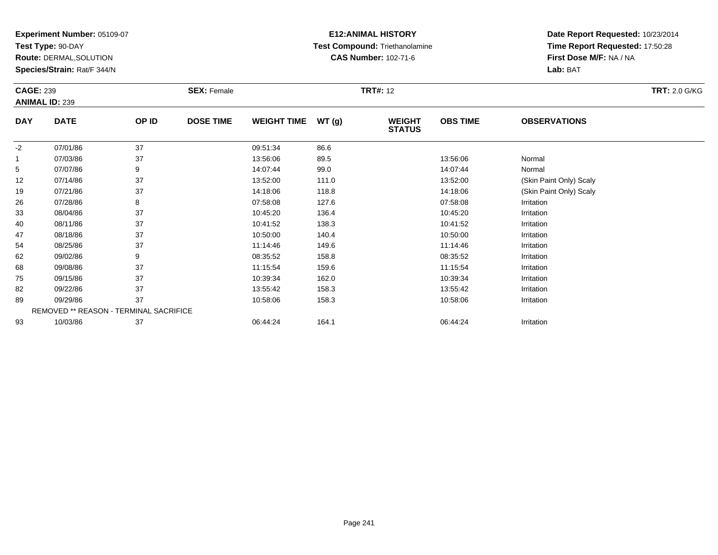**Test Type:** 90-DAY

**Route:** DERMAL,SOLUTION

**Species/Strain:** Rat/F 344/N

### **E12:ANIMAL HISTORY Test Compound:** Triethanolamine**CAS Number:** 102-71-6

|                           |                                        | <b>CAGE: 239</b> |                  |                    |       | <b>TRT#: 12</b>                |                 |                         |  |  |
|---------------------------|----------------------------------------|------------------|------------------|--------------------|-------|--------------------------------|-----------------|-------------------------|--|--|
| <b>ANIMAL ID: 239</b>     |                                        |                  |                  |                    |       |                                |                 |                         |  |  |
| <b>DATE</b><br><b>DAY</b> |                                        | OP ID            | <b>DOSE TIME</b> | <b>WEIGHT TIME</b> | WT(g) | <b>WEIGHT</b><br><b>STATUS</b> | <b>OBS TIME</b> | <b>OBSERVATIONS</b>     |  |  |
| $-2$                      | 07/01/86                               | 37               |                  | 09:51:34           | 86.6  |                                |                 |                         |  |  |
| $\mathbf{1}$              | 07/03/86                               | 37               |                  | 13:56:06           | 89.5  |                                | 13:56:06        | Normal                  |  |  |
| 5                         | 07/07/86                               | 9                |                  | 14:07:44           | 99.0  |                                | 14:07:44        | Normal                  |  |  |
| 12                        | 07/14/86                               | 37               |                  | 13:52:00           | 111.0 |                                | 13:52:00        | (Skin Paint Only) Scaly |  |  |
| 19                        | 07/21/86                               | 37               |                  | 14:18:06           | 118.8 |                                | 14:18:06        | (Skin Paint Only) Scaly |  |  |
| 26                        | 07/28/86                               | 8                |                  | 07:58:08           | 127.6 |                                | 07:58:08        | Irritation              |  |  |
| 33                        | 08/04/86                               | 37               |                  | 10:45:20           | 136.4 |                                | 10:45:20        | Irritation              |  |  |
| 40                        | 08/11/86                               | 37               |                  | 10:41:52           | 138.3 |                                | 10:41:52        | Irritation              |  |  |
| 47                        | 08/18/86                               | 37               |                  | 10:50:00           | 140.4 |                                | 10:50:00        | Irritation              |  |  |
| 54                        | 08/25/86                               | 37               |                  | 11:14:46           | 149.6 |                                | 11:14:46        | Irritation              |  |  |
| 62                        | 09/02/86                               | 9                |                  | 08:35:52           | 158.8 |                                | 08:35:52        | Irritation              |  |  |
| 68                        | 09/08/86                               | 37               |                  | 11:15:54           | 159.6 |                                | 11:15:54        | Irritation              |  |  |
| 75                        | 09/15/86                               | 37               |                  | 10:39:34           | 162.0 |                                | 10:39:34        | Irritation              |  |  |
| 82                        | 09/22/86                               | 37               |                  | 13:55:42           | 158.3 |                                | 13:55:42        | Irritation              |  |  |
| 89                        | 09/29/86                               | 37               |                  | 10:58:06           | 158.3 |                                | 10:58:06        | Irritation              |  |  |
|                           | REMOVED ** REASON - TERMINAL SACRIFICE |                  |                  |                    |       |                                |                 |                         |  |  |
| 93                        | 10/03/86                               | 37               |                  | 06:44:24           | 164.1 |                                | 06:44:24        | Irritation              |  |  |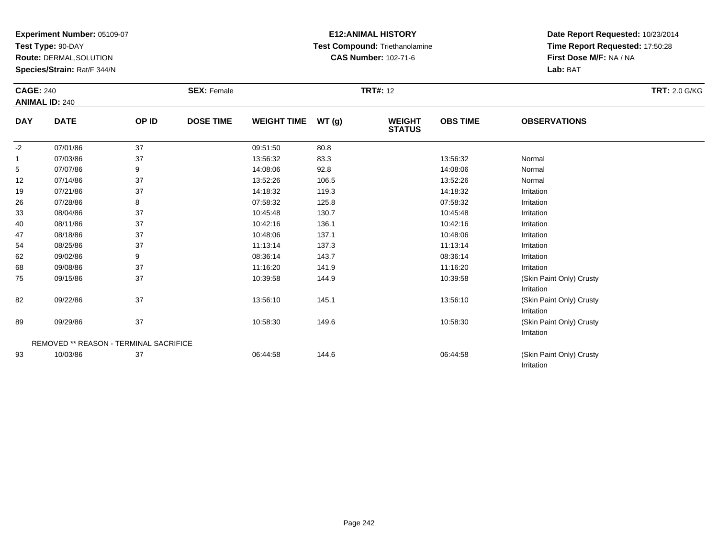**Test Type:** 90-DAY

**Route:** DERMAL,SOLUTION

**Species/Strain:** Rat/F 344/N

# **E12:ANIMAL HISTORY Test Compound:** Triethanolamine**CAS Number:** 102-71-6

**Date Report Requested:** 10/23/2014 **Time Report Requested:** 17:50:28**First Dose M/F:** NA / NA**Lab:** BAT

Irritation

| <b>CAGE: 240</b> |                                               | <b>SEX: Female</b> |                  | <b>TRT#: 12</b>    |       |                                |                 | <b>TRT: 2.0 G/KG</b>                   |  |
|------------------|-----------------------------------------------|--------------------|------------------|--------------------|-------|--------------------------------|-----------------|----------------------------------------|--|
|                  | <b>ANIMAL ID: 240</b>                         |                    |                  |                    |       |                                |                 |                                        |  |
| <b>DAY</b>       | <b>DATE</b>                                   | OP ID              | <b>DOSE TIME</b> | <b>WEIGHT TIME</b> | WT(g) | <b>WEIGHT</b><br><b>STATUS</b> | <b>OBS TIME</b> | <b>OBSERVATIONS</b>                    |  |
| $-2$             | 07/01/86                                      | 37                 |                  | 09:51:50           | 80.8  |                                |                 |                                        |  |
|                  | 07/03/86                                      | 37                 |                  | 13:56:32           | 83.3  |                                | 13:56:32        | Normal                                 |  |
| 5                | 07/07/86                                      | 9                  |                  | 14:08:06           | 92.8  |                                | 14:08:06        | Normal                                 |  |
| 12               | 07/14/86                                      | 37                 |                  | 13:52:26           | 106.5 |                                | 13:52:26        | Normal                                 |  |
| 19               | 07/21/86                                      | 37                 |                  | 14:18:32           | 119.3 |                                | 14:18:32        | Irritation                             |  |
| 26               | 07/28/86                                      | 8                  |                  | 07:58:32           | 125.8 |                                | 07:58:32        | Irritation                             |  |
| 33               | 08/04/86                                      | 37                 |                  | 10:45:48           | 130.7 |                                | 10:45:48        | Irritation                             |  |
| 40               | 08/11/86                                      | 37                 |                  | 10:42:16           | 136.1 |                                | 10:42:16        | Irritation                             |  |
| 47               | 08/18/86                                      | 37                 |                  | 10:48:06           | 137.1 |                                | 10:48:06        | Irritation                             |  |
| 54               | 08/25/86                                      | 37                 |                  | 11:13:14           | 137.3 |                                | 11:13:14        | Irritation                             |  |
| 62               | 09/02/86                                      | 9                  |                  | 08:36:14           | 143.7 |                                | 08:36:14        | Irritation                             |  |
| 68               | 09/08/86                                      | 37                 |                  | 11:16:20           | 141.9 |                                | 11:16:20        | Irritation                             |  |
| 75               | 09/15/86                                      | 37                 |                  | 10:39:58           | 144.9 |                                | 10:39:58        | (Skin Paint Only) Crusty<br>Irritation |  |
| 82               | 09/22/86                                      | 37                 |                  | 13:56:10           | 145.1 |                                | 13:56:10        | (Skin Paint Only) Crusty<br>Irritation |  |
| 89               | 09/29/86                                      | 37                 |                  | 10:58:30           | 149.6 |                                | 10:58:30        | (Skin Paint Only) Crusty<br>Irritation |  |
|                  | <b>REMOVED ** REASON - TERMINAL SACRIFICE</b> |                    |                  |                    |       |                                |                 |                                        |  |
| 93               | 10/03/86                                      | 37                 |                  | 06:44:58           | 144.6 |                                | 06:44:58        | (Skin Paint Only) Crusty               |  |